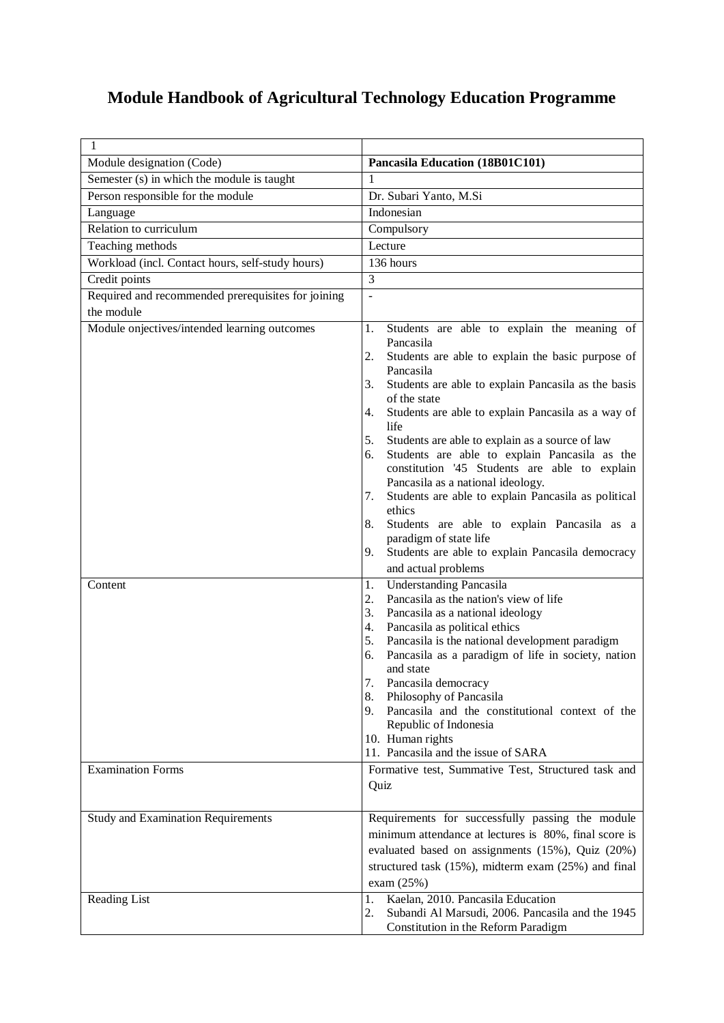## **Module Handbook of Agricultural Technology Education Programme**

| 1                                                  |                                                                                                                                                                                                                                                                                                                                                                                                                                                                                                                                                                                                                                                     |  |  |  |  |
|----------------------------------------------------|-----------------------------------------------------------------------------------------------------------------------------------------------------------------------------------------------------------------------------------------------------------------------------------------------------------------------------------------------------------------------------------------------------------------------------------------------------------------------------------------------------------------------------------------------------------------------------------------------------------------------------------------------------|--|--|--|--|
| Module designation (Code)                          | Pancasila Education (18B01C101)                                                                                                                                                                                                                                                                                                                                                                                                                                                                                                                                                                                                                     |  |  |  |  |
| Semester (s) in which the module is taught         | 1                                                                                                                                                                                                                                                                                                                                                                                                                                                                                                                                                                                                                                                   |  |  |  |  |
| Person responsible for the module                  | Dr. Subari Yanto, M.Si                                                                                                                                                                                                                                                                                                                                                                                                                                                                                                                                                                                                                              |  |  |  |  |
| Language                                           | Indonesian                                                                                                                                                                                                                                                                                                                                                                                                                                                                                                                                                                                                                                          |  |  |  |  |
| Relation to curriculum                             | Compulsory                                                                                                                                                                                                                                                                                                                                                                                                                                                                                                                                                                                                                                          |  |  |  |  |
| Teaching methods                                   | Lecture                                                                                                                                                                                                                                                                                                                                                                                                                                                                                                                                                                                                                                             |  |  |  |  |
| Workload (incl. Contact hours, self-study hours)   | 136 hours                                                                                                                                                                                                                                                                                                                                                                                                                                                                                                                                                                                                                                           |  |  |  |  |
| Credit points                                      | 3                                                                                                                                                                                                                                                                                                                                                                                                                                                                                                                                                                                                                                                   |  |  |  |  |
| Required and recommended prerequisites for joining | $\overline{a}$                                                                                                                                                                                                                                                                                                                                                                                                                                                                                                                                                                                                                                      |  |  |  |  |
| the module                                         |                                                                                                                                                                                                                                                                                                                                                                                                                                                                                                                                                                                                                                                     |  |  |  |  |
| Module onjectives/intended learning outcomes       | Students are able to explain the meaning of<br>1.<br>Pancasila<br>2.<br>Students are able to explain the basic purpose of<br>Pancasila<br>Students are able to explain Pancasila as the basis<br>3.<br>of the state<br>Students are able to explain Pancasila as a way of<br>4.<br>life<br>5.<br>Students are able to explain as a source of law<br>Students are able to explain Pancasila as the<br>6.<br>constitution '45 Students are able to explain<br>Pancasila as a national ideology.<br>Students are able to explain Pancasila as political<br>7.<br>ethics<br>Students are able to explain Pancasila as a<br>8.<br>paradigm of state life |  |  |  |  |
|                                                    | Students are able to explain Pancasila democracy<br>9.<br>and actual problems                                                                                                                                                                                                                                                                                                                                                                                                                                                                                                                                                                       |  |  |  |  |
| Content                                            | <b>Understanding Pancasila</b><br>1.<br>Pancasila as the nation's view of life<br>2.<br>3.<br>Pancasila as a national ideology<br>Pancasila as political ethics<br>4.<br>Pancasila is the national development paradigm<br>5.<br>Pancasila as a paradigm of life in society, nation<br>6.<br>and state<br>7.<br>Pancasila democracy<br>8.<br>Philosophy of Pancasila<br>Pancasila and the constitutional context of the<br>9.<br>Republic of Indonesia<br>10. Human rights<br>11. Pancasila and the issue of SARA                                                                                                                                   |  |  |  |  |
| <b>Examination Forms</b>                           | Formative test, Summative Test, Structured task and<br>Quiz                                                                                                                                                                                                                                                                                                                                                                                                                                                                                                                                                                                         |  |  |  |  |
| <b>Study and Examination Requirements</b>          | Requirements for successfully passing the module<br>minimum attendance at lectures is 80%, final score is<br>evaluated based on assignments (15%), Quiz (20%)<br>structured task (15%), midterm exam (25%) and final<br>exam $(25%)$                                                                                                                                                                                                                                                                                                                                                                                                                |  |  |  |  |
| Reading List                                       | Kaelan, 2010. Pancasila Education<br>1.<br>Subandi Al Marsudi, 2006. Pancasila and the 1945<br>2.<br>Constitution in the Reform Paradigm                                                                                                                                                                                                                                                                                                                                                                                                                                                                                                            |  |  |  |  |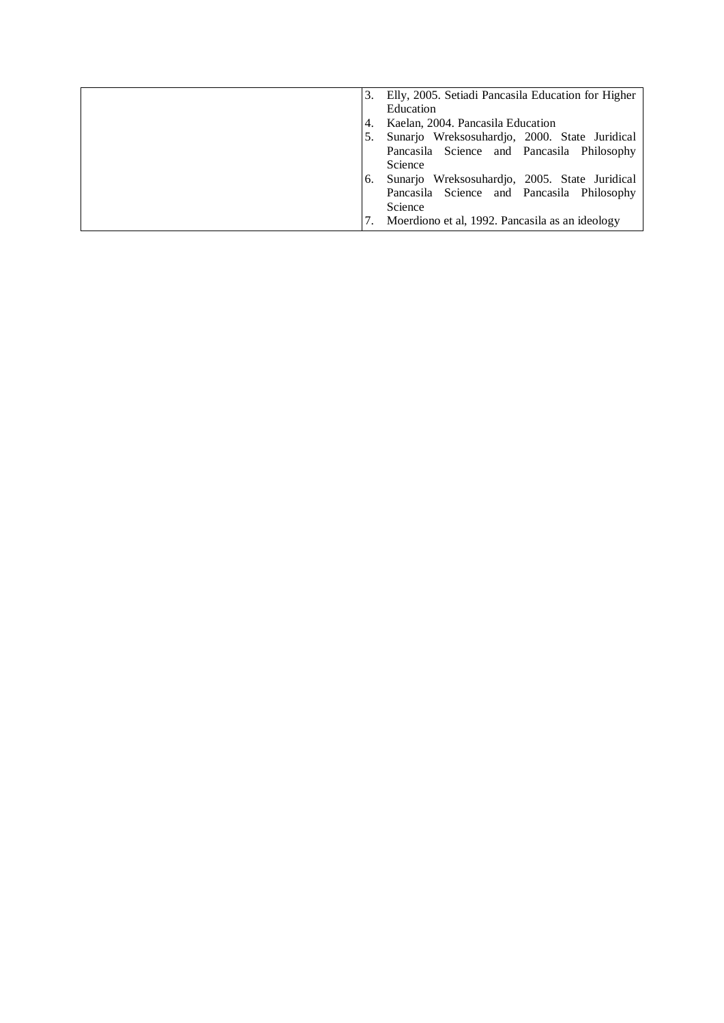|    | Elly, 2005. Setiadi Pancasila Education for Higher |
|----|----------------------------------------------------|
|    | Education                                          |
| 4. | Kaelan, 2004. Pancasila Education                  |
|    | Sunarjo Wreksosuhardjo, 2000. State Juridical      |
|    | Pancasila Science and Pancasila Philosophy         |
|    | Science                                            |
| 6. | Sunarjo Wreksosuhardjo, 2005. State Juridical      |
|    | Pancasila Science and Pancasila Philosophy         |
|    | Science                                            |
|    | Moerdiono et al, 1992. Pancasila as an ideology    |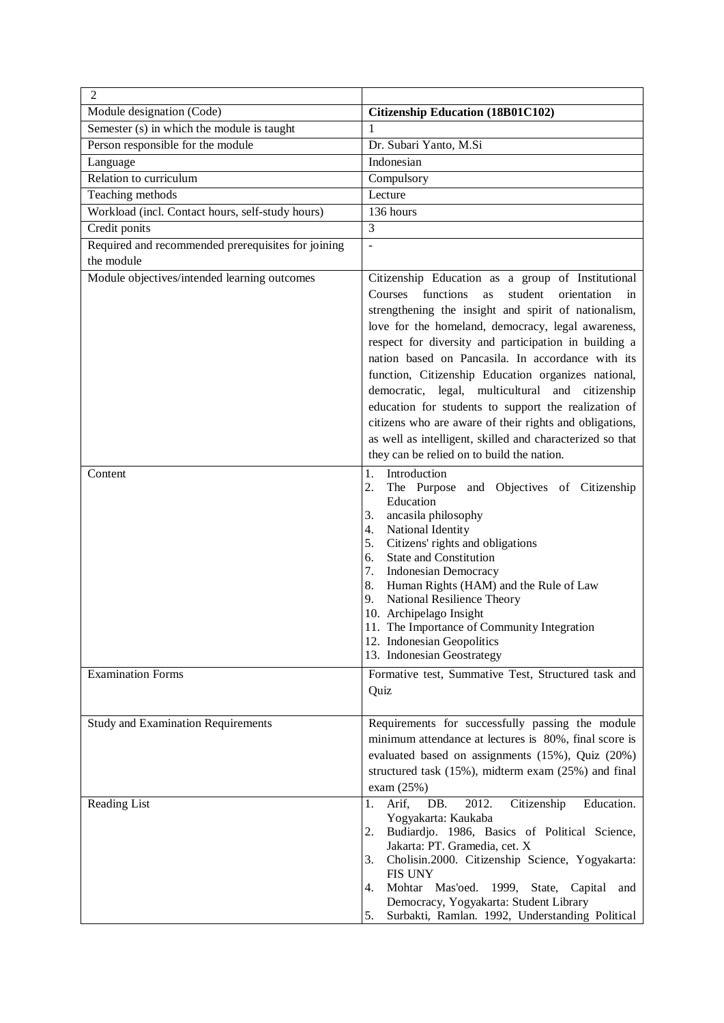| $\overline{2}$                                     |                                                                                                                                                                                                                                                                                                                                                                                                                                                                                                                                                                                                                                                                                      |
|----------------------------------------------------|--------------------------------------------------------------------------------------------------------------------------------------------------------------------------------------------------------------------------------------------------------------------------------------------------------------------------------------------------------------------------------------------------------------------------------------------------------------------------------------------------------------------------------------------------------------------------------------------------------------------------------------------------------------------------------------|
| Module designation (Code)                          | <b>Citizenship Education (18B01C102)</b>                                                                                                                                                                                                                                                                                                                                                                                                                                                                                                                                                                                                                                             |
| Semester (s) in which the module is taught         | 1                                                                                                                                                                                                                                                                                                                                                                                                                                                                                                                                                                                                                                                                                    |
| Person responsible for the module                  | Dr. Subari Yanto, M.Si                                                                                                                                                                                                                                                                                                                                                                                                                                                                                                                                                                                                                                                               |
| Language                                           | Indonesian                                                                                                                                                                                                                                                                                                                                                                                                                                                                                                                                                                                                                                                                           |
| Relation to curriculum                             | Compulsory                                                                                                                                                                                                                                                                                                                                                                                                                                                                                                                                                                                                                                                                           |
| Teaching methods                                   | Lecture                                                                                                                                                                                                                                                                                                                                                                                                                                                                                                                                                                                                                                                                              |
| Workload (incl. Contact hours, self-study hours)   | 136 hours                                                                                                                                                                                                                                                                                                                                                                                                                                                                                                                                                                                                                                                                            |
| Credit ponits                                      | 3                                                                                                                                                                                                                                                                                                                                                                                                                                                                                                                                                                                                                                                                                    |
| Required and recommended prerequisites for joining | ÷,                                                                                                                                                                                                                                                                                                                                                                                                                                                                                                                                                                                                                                                                                   |
| the module                                         |                                                                                                                                                                                                                                                                                                                                                                                                                                                                                                                                                                                                                                                                                      |
| Module objectives/intended learning outcomes       | Citizenship Education as a group of Institutional<br>functions<br>Courses<br>student<br>orientation<br>as<br>in<br>strengthening the insight and spirit of nationalism,<br>love for the homeland, democracy, legal awareness,<br>respect for diversity and participation in building a<br>nation based on Pancasila. In accordance with its<br>function, Citizenship Education organizes national,<br>democratic, legal, multicultural and citizenship<br>education for students to support the realization of<br>citizens who are aware of their rights and obligations,<br>as well as intelligent, skilled and characterized so that<br>they can be relied on to build the nation. |
| Content                                            | 1.<br>Introduction<br>2.<br>The Purpose and Objectives of Citizenship<br>Education<br>ancasila philosophy<br>3.<br>National Identity<br>4.<br>Citizens' rights and obligations<br>5.<br>State and Constitution<br>6.<br>7.<br><b>Indonesian Democracy</b><br>Human Rights (HAM) and the Rule of Law<br>8.<br>National Resilience Theory<br>9.<br>10. Archipelago Insight<br>11. The Importance of Community Integration<br>12. Indonesian Geopolitics<br>13. Indonesian Geostrategy                                                                                                                                                                                                  |
| <b>Examination Forms</b>                           | Formative test, Summative Test, Structured task and<br>Quiz                                                                                                                                                                                                                                                                                                                                                                                                                                                                                                                                                                                                                          |
| <b>Study and Examination Requirements</b>          | Requirements for successfully passing the module<br>minimum attendance at lectures is 80%, final score is<br>evaluated based on assignments (15%), Quiz (20%)<br>structured task (15%), midterm exam (25%) and final<br>exam $(25%)$                                                                                                                                                                                                                                                                                                                                                                                                                                                 |
| Reading List                                       | Arif,<br>DB.<br>2012.<br>Citizenship<br>Education.<br>1.<br>Yogyakarta: Kaukaba<br>Budiardjo. 1986, Basics of Political Science,<br>2.<br>Jakarta: PT. Gramedia, cet. X<br>Cholisin.2000. Citizenship Science, Yogyakarta:<br>3.<br><b>FIS UNY</b><br>Mohtar Mas'oed. 1999, State, Capital<br>4.<br>and<br>Democracy, Yogyakarta: Student Library<br>Surbakti, Ramlan. 1992, Understanding Political<br>5.                                                                                                                                                                                                                                                                           |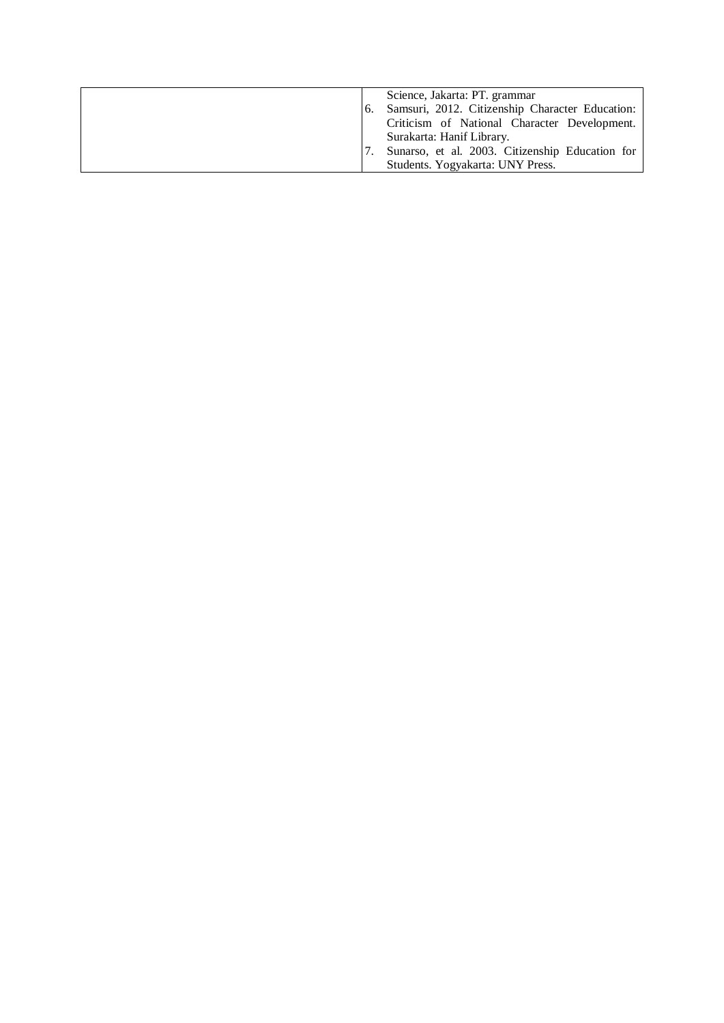|  | Science, Jakarta: PT. grammar<br>Samsuri, 2012. Citizenship Character Education:<br>Criticism of National Character Development. |
|--|----------------------------------------------------------------------------------------------------------------------------------|
|  | Surakarta: Hanif Library.<br>Sunarso, et al. 2003. Citizenship Education for<br>Students. Yogyakarta: UNY Press.                 |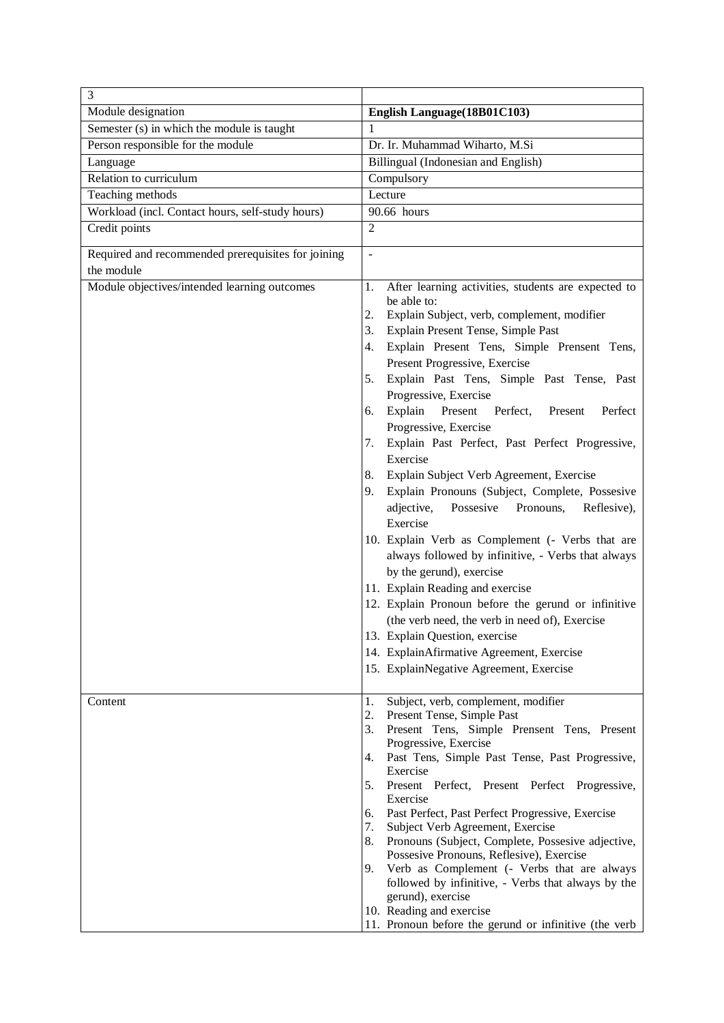| 3                                                  |                                                                                                                                                                                                                                                                                                                                                                                                                                                                                                                                                                                                                                                                                                                                                                                                                                                                                                                                                                          |  |  |  |  |
|----------------------------------------------------|--------------------------------------------------------------------------------------------------------------------------------------------------------------------------------------------------------------------------------------------------------------------------------------------------------------------------------------------------------------------------------------------------------------------------------------------------------------------------------------------------------------------------------------------------------------------------------------------------------------------------------------------------------------------------------------------------------------------------------------------------------------------------------------------------------------------------------------------------------------------------------------------------------------------------------------------------------------------------|--|--|--|--|
| Module designation                                 | English Language(18B01C103)                                                                                                                                                                                                                                                                                                                                                                                                                                                                                                                                                                                                                                                                                                                                                                                                                                                                                                                                              |  |  |  |  |
| Semester (s) in which the module is taught         | 1                                                                                                                                                                                                                                                                                                                                                                                                                                                                                                                                                                                                                                                                                                                                                                                                                                                                                                                                                                        |  |  |  |  |
| Person responsible for the module                  | Dr. Ir. Muhammad Wiharto, M.Si                                                                                                                                                                                                                                                                                                                                                                                                                                                                                                                                                                                                                                                                                                                                                                                                                                                                                                                                           |  |  |  |  |
| Language                                           | Billingual (Indonesian and English)                                                                                                                                                                                                                                                                                                                                                                                                                                                                                                                                                                                                                                                                                                                                                                                                                                                                                                                                      |  |  |  |  |
| Relation to curriculum                             | Compulsory                                                                                                                                                                                                                                                                                                                                                                                                                                                                                                                                                                                                                                                                                                                                                                                                                                                                                                                                                               |  |  |  |  |
| Teaching methods                                   | Lecture                                                                                                                                                                                                                                                                                                                                                                                                                                                                                                                                                                                                                                                                                                                                                                                                                                                                                                                                                                  |  |  |  |  |
| Workload (incl. Contact hours, self-study hours)   | 90.66 hours                                                                                                                                                                                                                                                                                                                                                                                                                                                                                                                                                                                                                                                                                                                                                                                                                                                                                                                                                              |  |  |  |  |
| Credit points                                      | 2                                                                                                                                                                                                                                                                                                                                                                                                                                                                                                                                                                                                                                                                                                                                                                                                                                                                                                                                                                        |  |  |  |  |
| Required and recommended prerequisites for joining | $\overline{a}$                                                                                                                                                                                                                                                                                                                                                                                                                                                                                                                                                                                                                                                                                                                                                                                                                                                                                                                                                           |  |  |  |  |
| the module                                         |                                                                                                                                                                                                                                                                                                                                                                                                                                                                                                                                                                                                                                                                                                                                                                                                                                                                                                                                                                          |  |  |  |  |
| Module objectives/intended learning outcomes       | After learning activities, students are expected to<br>1.<br>be able to:<br>Explain Subject, verb, complement, modifier<br>2.<br>Explain Present Tense, Simple Past<br>3.<br>Explain Present Tens, Simple Prensent Tens,<br>4.<br>Present Progressive, Exercise<br>Explain Past Tens, Simple Past Tense, Past<br>5.<br>Progressive, Exercise<br>Explain<br>Present<br>Perfect,<br>Present<br>Perfect<br>6.<br>Progressive, Exercise<br>Explain Past Perfect, Past Perfect Progressive,<br>7.<br>Exercise<br>Explain Subject Verb Agreement, Exercise<br>8.<br>Explain Pronouns (Subject, Complete, Possesive<br>9.<br>adjective,<br>Possesive<br>Pronouns,<br>Reflesive),<br>Exercise<br>10. Explain Verb as Complement (- Verbs that are<br>always followed by infinitive, - Verbs that always<br>by the gerund), exercise<br>11. Explain Reading and exercise<br>12. Explain Pronoun before the gerund or infinitive<br>(the verb need, the verb in need of), Exercise |  |  |  |  |
|                                                    | 13. Explain Question, exercise                                                                                                                                                                                                                                                                                                                                                                                                                                                                                                                                                                                                                                                                                                                                                                                                                                                                                                                                           |  |  |  |  |
|                                                    | 14. ExplainAfirmative Agreement, Exercise<br>15. ExplainNegative Agreement, Exercise                                                                                                                                                                                                                                                                                                                                                                                                                                                                                                                                                                                                                                                                                                                                                                                                                                                                                     |  |  |  |  |
|                                                    |                                                                                                                                                                                                                                                                                                                                                                                                                                                                                                                                                                                                                                                                                                                                                                                                                                                                                                                                                                          |  |  |  |  |
| Content                                            | 1.<br>Subject, verb, complement, modifier                                                                                                                                                                                                                                                                                                                                                                                                                                                                                                                                                                                                                                                                                                                                                                                                                                                                                                                                |  |  |  |  |
|                                                    | 2.<br>Present Tense, Simple Past<br>Present Tens, Simple Prensent Tens, Present<br>3.                                                                                                                                                                                                                                                                                                                                                                                                                                                                                                                                                                                                                                                                                                                                                                                                                                                                                    |  |  |  |  |
|                                                    | Progressive, Exercise<br>Past Tens, Simple Past Tense, Past Progressive,<br>4.<br>Exercise                                                                                                                                                                                                                                                                                                                                                                                                                                                                                                                                                                                                                                                                                                                                                                                                                                                                               |  |  |  |  |
|                                                    | Present Perfect, Present Perfect Progressive,<br>5.<br>Exercise                                                                                                                                                                                                                                                                                                                                                                                                                                                                                                                                                                                                                                                                                                                                                                                                                                                                                                          |  |  |  |  |
|                                                    | Past Perfect, Past Perfect Progressive, Exercise<br>6.                                                                                                                                                                                                                                                                                                                                                                                                                                                                                                                                                                                                                                                                                                                                                                                                                                                                                                                   |  |  |  |  |
|                                                    | Subject Verb Agreement, Exercise<br>7.                                                                                                                                                                                                                                                                                                                                                                                                                                                                                                                                                                                                                                                                                                                                                                                                                                                                                                                                   |  |  |  |  |
|                                                    | Pronouns (Subject, Complete, Possesive adjective,<br>8.                                                                                                                                                                                                                                                                                                                                                                                                                                                                                                                                                                                                                                                                                                                                                                                                                                                                                                                  |  |  |  |  |
|                                                    | Possesive Pronouns, Reflesive), Exercise                                                                                                                                                                                                                                                                                                                                                                                                                                                                                                                                                                                                                                                                                                                                                                                                                                                                                                                                 |  |  |  |  |
|                                                    | Verb as Complement (- Verbs that are always<br>9.<br>followed by infinitive, - Verbs that always by the<br>gerund), exercise                                                                                                                                                                                                                                                                                                                                                                                                                                                                                                                                                                                                                                                                                                                                                                                                                                             |  |  |  |  |
|                                                    | 10. Reading and exercise                                                                                                                                                                                                                                                                                                                                                                                                                                                                                                                                                                                                                                                                                                                                                                                                                                                                                                                                                 |  |  |  |  |
|                                                    | 11. Pronoun before the gerund or infinitive (the verb                                                                                                                                                                                                                                                                                                                                                                                                                                                                                                                                                                                                                                                                                                                                                                                                                                                                                                                    |  |  |  |  |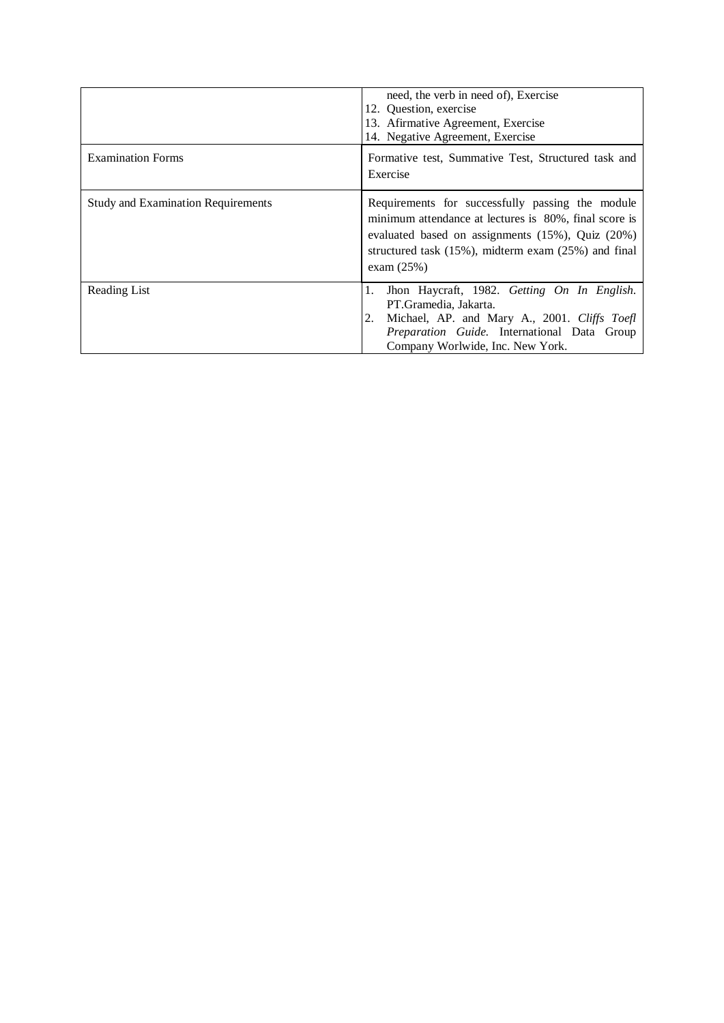|                                           | need, the verb in need of), Exercise<br>12. Ouestion, exercise<br>13. Afirmative Agreement, Exercise<br>14. Negative Agreement, Exercise                                                                                                    |
|-------------------------------------------|---------------------------------------------------------------------------------------------------------------------------------------------------------------------------------------------------------------------------------------------|
| <b>Examination Forms</b>                  | Formative test, Summative Test, Structured task and<br>Exercise                                                                                                                                                                             |
| <b>Study and Examination Requirements</b> | Requirements for successfully passing the module<br>minimum attendance at lectures is 80%, final score is<br>evaluated based on assignments (15%), Quiz (20%)<br>structured task $(15\%)$ , midterm exam $(25\%)$ and final<br>exam $(25%)$ |
| Reading List                              | Jhon Haycraft, 1982. Getting On In English.<br>1.<br>PT.Gramedia, Jakarta.<br>Michael, AP. and Mary A., 2001. Cliffs Toefl<br>2.<br><i>Preparation Guide</i> . International Data Group<br>Company Worlwide, Inc. New York.                 |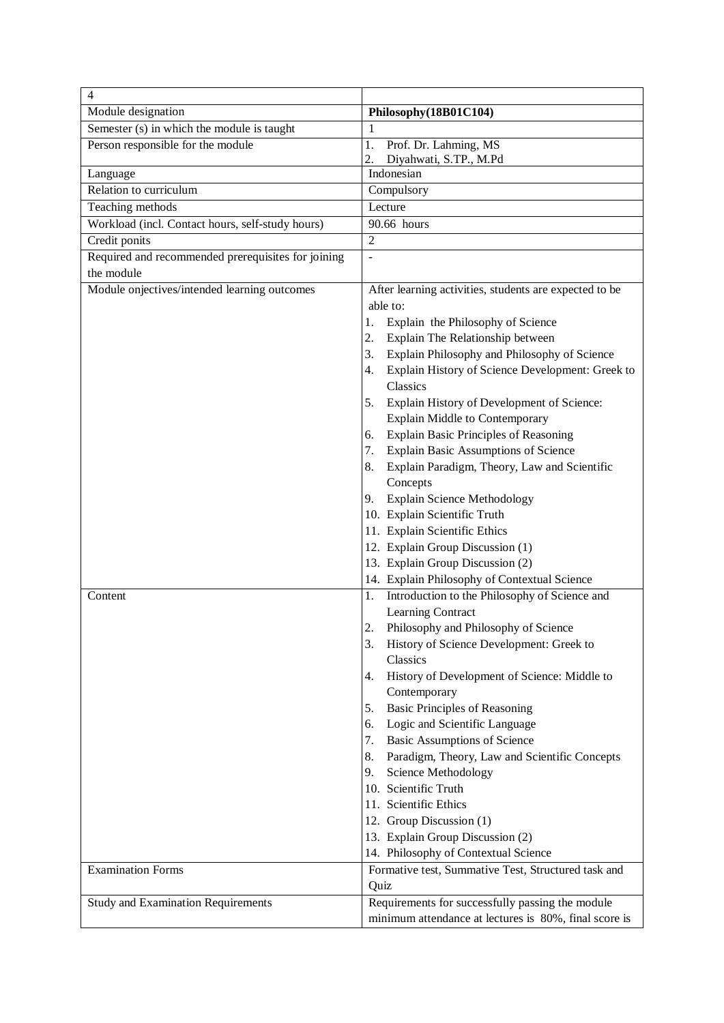| $\overline{4}$                                     |                                                        |  |  |  |
|----------------------------------------------------|--------------------------------------------------------|--|--|--|
| Module designation                                 | Philosophy(18B01C104)                                  |  |  |  |
| Semester $(s)$ in which the module is taught       | -1                                                     |  |  |  |
| Person responsible for the module                  | 1.<br>Prof. Dr. Lahming, MS                            |  |  |  |
|                                                    | 2.<br>Diyahwati, S.TP., M.Pd                           |  |  |  |
| Language                                           | Indonesian                                             |  |  |  |
| Relation to curriculum                             | Compulsory                                             |  |  |  |
| Teaching methods                                   | Lecture                                                |  |  |  |
| Workload (incl. Contact hours, self-study hours)   | 90.66 hours                                            |  |  |  |
| Credit ponits                                      | $\overline{2}$                                         |  |  |  |
| Required and recommended prerequisites for joining | $\overline{\phantom{a}}$                               |  |  |  |
| the module                                         |                                                        |  |  |  |
| Module onjectives/intended learning outcomes       | After learning activities, students are expected to be |  |  |  |
|                                                    | able to:                                               |  |  |  |
|                                                    | Explain the Philosophy of Science<br>1.                |  |  |  |
|                                                    | Explain The Relationship between<br>2.                 |  |  |  |
|                                                    | Explain Philosophy and Philosophy of Science<br>3.     |  |  |  |
|                                                    | Explain History of Science Development: Greek to<br>4. |  |  |  |
|                                                    | Classics                                               |  |  |  |
|                                                    | Explain History of Development of Science:<br>5.       |  |  |  |
|                                                    | <b>Explain Middle to Contemporary</b>                  |  |  |  |
|                                                    | Explain Basic Principles of Reasoning<br>6.            |  |  |  |
|                                                    | Explain Basic Assumptions of Science<br>7.             |  |  |  |
|                                                    | Explain Paradigm, Theory, Law and Scientific<br>8.     |  |  |  |
|                                                    | Concepts                                               |  |  |  |
|                                                    | <b>Explain Science Methodology</b><br>9.               |  |  |  |
|                                                    | 10. Explain Scientific Truth                           |  |  |  |
|                                                    | 11. Explain Scientific Ethics                          |  |  |  |
|                                                    | 12. Explain Group Discussion (1)                       |  |  |  |
|                                                    | 13. Explain Group Discussion (2)                       |  |  |  |
|                                                    | 14. Explain Philosophy of Contextual Science           |  |  |  |
| Content                                            | Introduction to the Philosophy of Science and<br>1.    |  |  |  |
|                                                    | Learning Contract                                      |  |  |  |
|                                                    | Philosophy and Philosophy of Science<br>2.             |  |  |  |
|                                                    | 3.<br>History of Science Development: Greek to         |  |  |  |
|                                                    | Classics                                               |  |  |  |
|                                                    | History of Development of Science: Middle to<br>4.     |  |  |  |
|                                                    | Contemporary                                           |  |  |  |
|                                                    | <b>Basic Principles of Reasoning</b><br>5.             |  |  |  |
|                                                    | Logic and Scientific Language<br>6.                    |  |  |  |
|                                                    | Basic Assumptions of Science<br>7.                     |  |  |  |
|                                                    | Paradigm, Theory, Law and Scientific Concepts<br>8.    |  |  |  |
|                                                    | Science Methodology<br>9.                              |  |  |  |
|                                                    | 10. Scientific Truth                                   |  |  |  |
|                                                    | 11. Scientific Ethics                                  |  |  |  |
|                                                    | 12. Group Discussion (1)                               |  |  |  |
|                                                    | 13. Explain Group Discussion (2)                       |  |  |  |
|                                                    | 14. Philosophy of Contextual Science                   |  |  |  |
| <b>Examination Forms</b>                           | Formative test, Summative Test, Structured task and    |  |  |  |
|                                                    | Quiz                                                   |  |  |  |
| <b>Study and Examination Requirements</b>          | Requirements for successfully passing the module       |  |  |  |
|                                                    | minimum attendance at lectures is 80%, final score is  |  |  |  |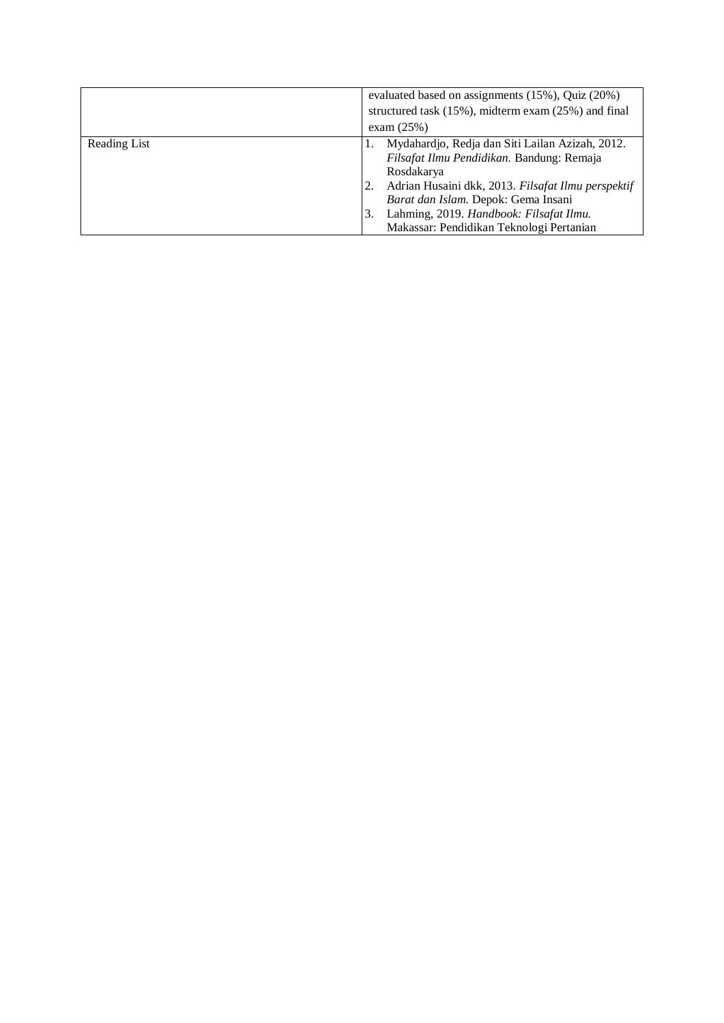|              | evaluated based on assignments (15%), Quiz (20%)<br>structured task (15%), midterm exam (25%) and final                                                                                                                                                                                              |  |  |  |  |
|--------------|------------------------------------------------------------------------------------------------------------------------------------------------------------------------------------------------------------------------------------------------------------------------------------------------------|--|--|--|--|
|              | exam $(25%)$                                                                                                                                                                                                                                                                                         |  |  |  |  |
| Reading List | Mydahardjo, Redja dan Siti Lailan Azizah, 2012.<br>Filsafat Ilmu Pendidikan. Bandung: Remaja<br>Rosdakarya<br>Adrian Husaini dkk, 2013. Filsafat Ilmu perspektif<br>Barat dan Islam. Depok: Gema Insani<br>Lahming, 2019. Handbook: Filsafat Ilmu.<br>3.<br>Makassar: Pendidikan Teknologi Pertanian |  |  |  |  |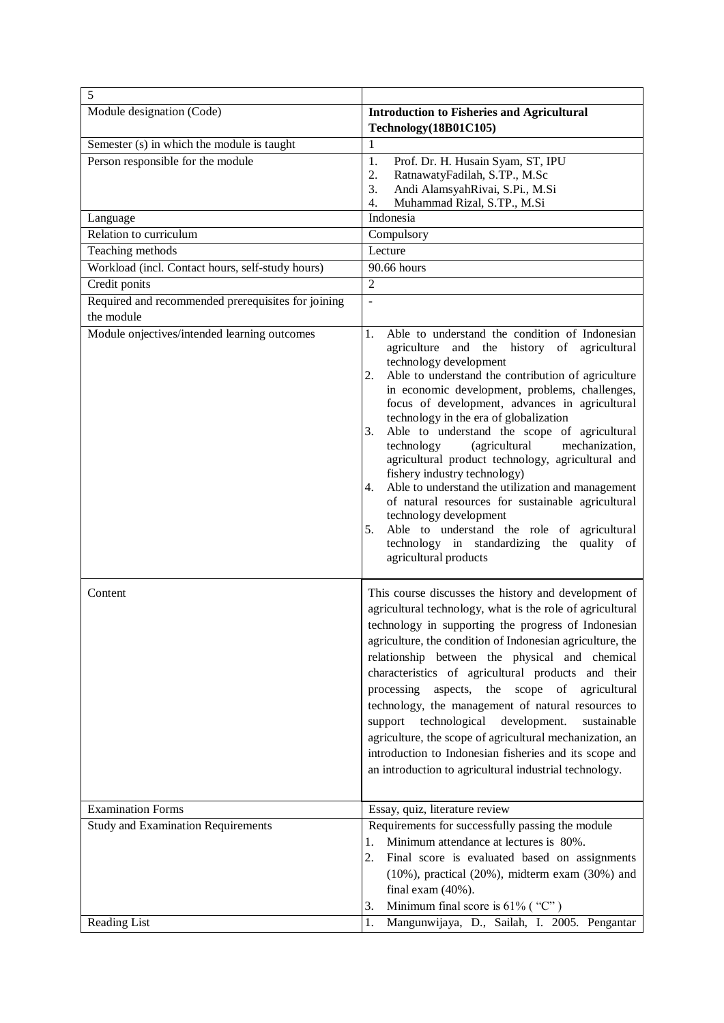| $\sqrt{5}$                                                                      |                                                                                                                                                                                                                                                                                                                                                                                                                                                                                                                                                                                                                                                                                                                                                                                                              |  |  |
|---------------------------------------------------------------------------------|--------------------------------------------------------------------------------------------------------------------------------------------------------------------------------------------------------------------------------------------------------------------------------------------------------------------------------------------------------------------------------------------------------------------------------------------------------------------------------------------------------------------------------------------------------------------------------------------------------------------------------------------------------------------------------------------------------------------------------------------------------------------------------------------------------------|--|--|
| Module designation (Code)                                                       | <b>Introduction to Fisheries and Agricultural</b><br>Technology(18B01C105)                                                                                                                                                                                                                                                                                                                                                                                                                                                                                                                                                                                                                                                                                                                                   |  |  |
|                                                                                 | $\mathbf{1}$                                                                                                                                                                                                                                                                                                                                                                                                                                                                                                                                                                                                                                                                                                                                                                                                 |  |  |
| Semester (s) in which the module is taught<br>Person responsible for the module | 1.<br>Prof. Dr. H. Husain Syam, ST, IPU<br>2.<br>RatnawatyFadilah, S.TP., M.Sc<br>Andi AlamsyahRivai, S.Pi., M.Si<br>3.<br>Muhammad Rizal, S.TP., M.Si<br>4.                                                                                                                                                                                                                                                                                                                                                                                                                                                                                                                                                                                                                                                 |  |  |
| Language                                                                        | Indonesia                                                                                                                                                                                                                                                                                                                                                                                                                                                                                                                                                                                                                                                                                                                                                                                                    |  |  |
| Relation to curriculum                                                          | Compulsory                                                                                                                                                                                                                                                                                                                                                                                                                                                                                                                                                                                                                                                                                                                                                                                                   |  |  |
| Teaching methods                                                                | Lecture                                                                                                                                                                                                                                                                                                                                                                                                                                                                                                                                                                                                                                                                                                                                                                                                      |  |  |
| Workload (incl. Contact hours, self-study hours)                                | 90.66 hours                                                                                                                                                                                                                                                                                                                                                                                                                                                                                                                                                                                                                                                                                                                                                                                                  |  |  |
| Credit ponits                                                                   | $\overline{2}$                                                                                                                                                                                                                                                                                                                                                                                                                                                                                                                                                                                                                                                                                                                                                                                               |  |  |
| Required and recommended prerequisites for joining<br>the module                | L,                                                                                                                                                                                                                                                                                                                                                                                                                                                                                                                                                                                                                                                                                                                                                                                                           |  |  |
| Module onjectives/intended learning outcomes                                    | Able to understand the condition of Indonesian<br>1.<br>agriculture and the history of agricultural<br>technology development<br>Able to understand the contribution of agriculture<br>2.<br>in economic development, problems, challenges,<br>focus of development, advances in agricultural<br>technology in the era of globalization<br>Able to understand the scope of agricultural<br>3.<br>mechanization,<br>(agricultural<br>technology<br>agricultural product technology, agricultural and<br>fishery industry technology)<br>Able to understand the utilization and management<br>4.<br>of natural resources for sustainable agricultural<br>technology development<br>Able to understand the role of agricultural<br>5.<br>technology in standardizing the<br>quality of<br>agricultural products |  |  |
| Content                                                                         | This course discusses the history and development of<br>agricultural technology, what is the role of agricultural<br>technology in supporting the progress of Indonesian<br>agriculture, the condition of Indonesian agriculture, the<br>relationship between the physical and chemical<br>characteristics of agricultural products and their<br>processing<br>scope of<br>aspects,<br>the<br>agricultural<br>technology, the management of natural resources to<br>technological<br>development.<br>support<br>sustainable<br>agriculture, the scope of agricultural mechanization, an<br>introduction to Indonesian fisheries and its scope and<br>an introduction to agricultural industrial technology.                                                                                                  |  |  |
| <b>Examination Forms</b>                                                        | Essay, quiz, literature review                                                                                                                                                                                                                                                                                                                                                                                                                                                                                                                                                                                                                                                                                                                                                                               |  |  |
| <b>Study and Examination Requirements</b><br>Reading List                       | Requirements for successfully passing the module<br>Minimum attendance at lectures is 80%.<br>1.<br>2.<br>Final score is evaluated based on assignments<br>$(10\%)$ , practical $(20\%)$ , midterm exam $(30\%)$ and<br>final exam $(40\%)$ .<br>Minimum final score is 61% ("C")<br>3.<br>1.<br>Mangunwijaya, D., Sailah, I. 2005. Pengantar                                                                                                                                                                                                                                                                                                                                                                                                                                                                |  |  |
|                                                                                 |                                                                                                                                                                                                                                                                                                                                                                                                                                                                                                                                                                                                                                                                                                                                                                                                              |  |  |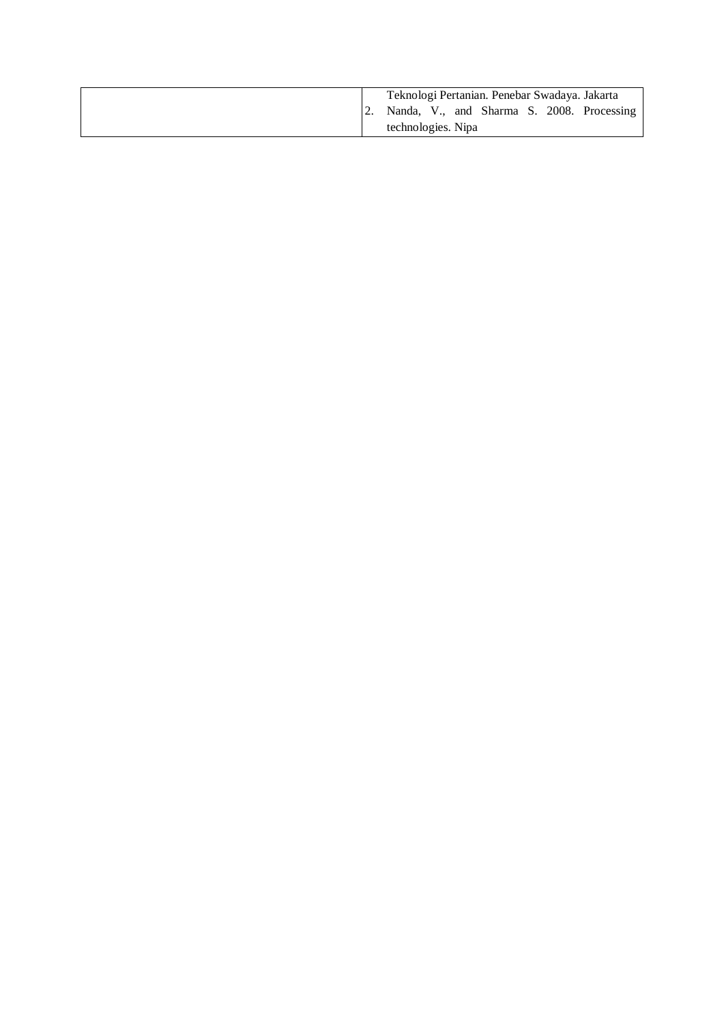|  | Teknologi Pertanian. Penebar Swadaya. Jakarta |  |  |  |
|--|-----------------------------------------------|--|--|--|
|  | Nanda, V., and Sharma S. 2008. Processing     |  |  |  |
|  | technologies. Nipa                            |  |  |  |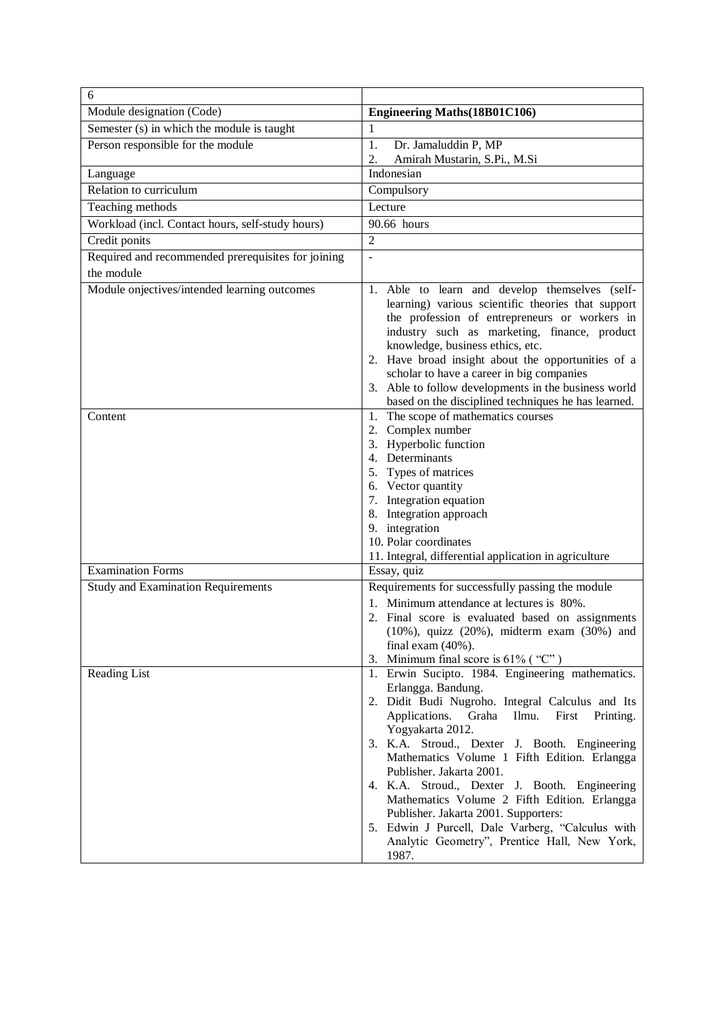| 6                                                  |                                                                                                                                                                                                                                                                                                                                                                                                                                                                                                                                                                                   |  |  |  |  |
|----------------------------------------------------|-----------------------------------------------------------------------------------------------------------------------------------------------------------------------------------------------------------------------------------------------------------------------------------------------------------------------------------------------------------------------------------------------------------------------------------------------------------------------------------------------------------------------------------------------------------------------------------|--|--|--|--|
| Module designation (Code)                          | <b>Engineering Maths (18B01C106)</b>                                                                                                                                                                                                                                                                                                                                                                                                                                                                                                                                              |  |  |  |  |
| Semester (s) in which the module is taught         | 1                                                                                                                                                                                                                                                                                                                                                                                                                                                                                                                                                                                 |  |  |  |  |
| Person responsible for the module                  | 1.<br>Dr. Jamaluddin P, MP                                                                                                                                                                                                                                                                                                                                                                                                                                                                                                                                                        |  |  |  |  |
|                                                    | Amirah Mustarin, S.Pi., M.Si<br>2.                                                                                                                                                                                                                                                                                                                                                                                                                                                                                                                                                |  |  |  |  |
| Language                                           | Indonesian                                                                                                                                                                                                                                                                                                                                                                                                                                                                                                                                                                        |  |  |  |  |
| Relation to curriculum                             | Compulsory                                                                                                                                                                                                                                                                                                                                                                                                                                                                                                                                                                        |  |  |  |  |
| Teaching methods                                   | Lecture                                                                                                                                                                                                                                                                                                                                                                                                                                                                                                                                                                           |  |  |  |  |
| Workload (incl. Contact hours, self-study hours)   | 90.66 hours                                                                                                                                                                                                                                                                                                                                                                                                                                                                                                                                                                       |  |  |  |  |
| Credit ponits                                      | $\overline{2}$                                                                                                                                                                                                                                                                                                                                                                                                                                                                                                                                                                    |  |  |  |  |
| Required and recommended prerequisites for joining | $\overline{\phantom{a}}$                                                                                                                                                                                                                                                                                                                                                                                                                                                                                                                                                          |  |  |  |  |
| the module                                         |                                                                                                                                                                                                                                                                                                                                                                                                                                                                                                                                                                                   |  |  |  |  |
| Module onjectives/intended learning outcomes       | 1. Able to learn and develop themselves (self-<br>learning) various scientific theories that support<br>the profession of entrepreneurs or workers in<br>industry such as marketing, finance, product<br>knowledge, business ethics, etc.<br>2. Have broad insight about the opportunities of a<br>scholar to have a career in big companies<br>3. Able to follow developments in the business world<br>based on the disciplined techniques he has learned.                                                                                                                       |  |  |  |  |
| Content                                            | 1. The scope of mathematics courses<br>2. Complex number<br>3. Hyperbolic function<br>4. Determinants<br>5. Types of matrices<br>6. Vector quantity<br>7. Integration equation<br>8. Integration approach<br>9. integration<br>10. Polar coordinates<br>11. Integral, differential application in agriculture                                                                                                                                                                                                                                                                     |  |  |  |  |
| <b>Examination Forms</b>                           | Essay, quiz                                                                                                                                                                                                                                                                                                                                                                                                                                                                                                                                                                       |  |  |  |  |
| <b>Study and Examination Requirements</b>          | Requirements for successfully passing the module<br>1. Minimum attendance at lectures is 80%.<br>2. Final score is evaluated based on assignments<br>$(10\%)$ , quizz $(20\%)$ , midterm exam $(30\%)$ and<br>final exam $(40\%)$ .<br>3. Minimum final score is $61\%$ ("C")                                                                                                                                                                                                                                                                                                     |  |  |  |  |
| Reading List                                       | 1. Erwin Sucipto. 1984. Engineering mathematics.<br>Erlangga. Bandung.<br>2. Didit Budi Nugroho. Integral Calculus and Its<br>Applications. Graha<br>Ilmu. First Printing.<br>Yogyakarta 2012.<br>3. K.A. Stroud., Dexter J. Booth. Engineering<br>Mathematics Volume 1 Fifth Edition. Erlangga<br>Publisher. Jakarta 2001.<br>4. K.A. Stroud., Dexter J. Booth. Engineering<br>Mathematics Volume 2 Fifth Edition. Erlangga<br>Publisher. Jakarta 2001. Supporters:<br>5. Edwin J Purcell, Dale Varberg, "Calculus with<br>Analytic Geometry", Prentice Hall, New York,<br>1987. |  |  |  |  |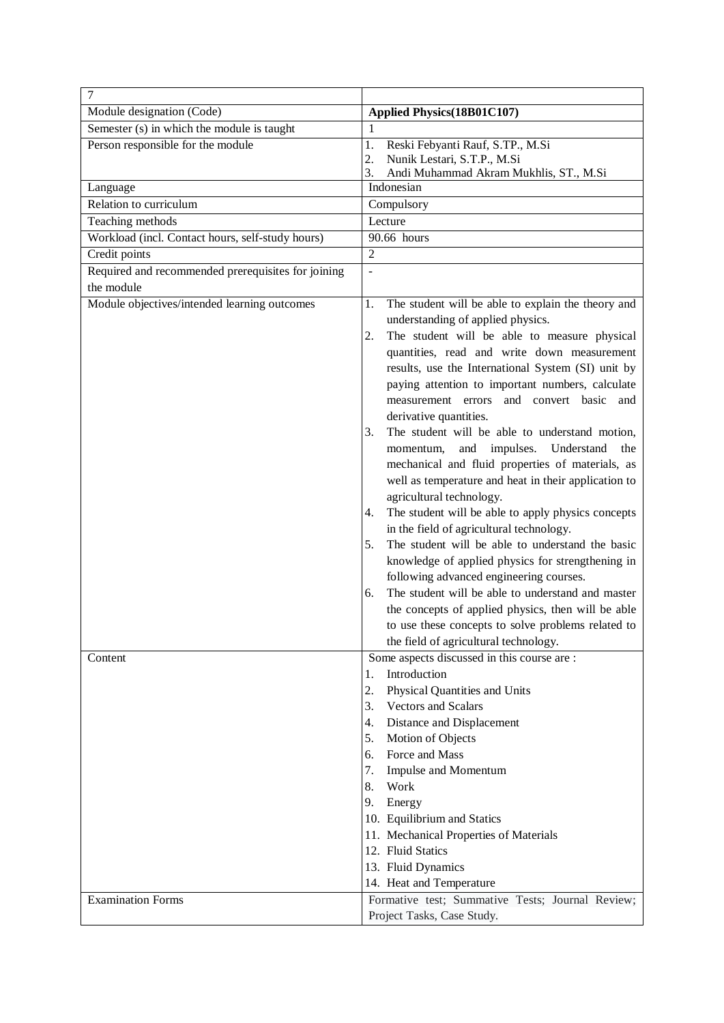| 7                                                  |                                                                                                      |  |  |
|----------------------------------------------------|------------------------------------------------------------------------------------------------------|--|--|
| Module designation (Code)                          | Applied Physics(18B01C107)                                                                           |  |  |
| Semester (s) in which the module is taught         | 1                                                                                                    |  |  |
| Person responsible for the module                  | Reski Febyanti Rauf, S.TP., M.Si<br>1.                                                               |  |  |
|                                                    | Nunik Lestari, S.T.P., M.Si<br>2.                                                                    |  |  |
|                                                    | Andi Muhammad Akram Mukhlis, ST., M.Si<br>3.                                                         |  |  |
| Language                                           | Indonesian                                                                                           |  |  |
| Relation to curriculum                             | Compulsory                                                                                           |  |  |
| Teaching methods                                   | Lecture                                                                                              |  |  |
| Workload (incl. Contact hours, self-study hours)   | 90.66 hours                                                                                          |  |  |
| Credit points                                      | $\overline{2}$                                                                                       |  |  |
| Required and recommended prerequisites for joining | ÷,                                                                                                   |  |  |
| the module                                         |                                                                                                      |  |  |
| Module objectives/intended learning outcomes       | The student will be able to explain the theory and<br>1.                                             |  |  |
|                                                    | understanding of applied physics.                                                                    |  |  |
|                                                    | The student will be able to measure physical<br>2.                                                   |  |  |
|                                                    | quantities, read and write down measurement                                                          |  |  |
|                                                    | results, use the International System (SI) unit by                                                   |  |  |
|                                                    | paying attention to important numbers, calculate                                                     |  |  |
|                                                    | measurement errors and convert basic and                                                             |  |  |
|                                                    | derivative quantities.<br>The student will be able to understand motion,                             |  |  |
|                                                    | 3.<br>impulses.<br>Understand<br>and<br>the                                                          |  |  |
|                                                    | momentum,<br>mechanical and fluid properties of materials, as                                        |  |  |
|                                                    | well as temperature and heat in their application to                                                 |  |  |
|                                                    | agricultural technology.                                                                             |  |  |
|                                                    |                                                                                                      |  |  |
|                                                    | The student will be able to apply physics concepts<br>4.<br>in the field of agricultural technology. |  |  |
|                                                    | The student will be able to understand the basic<br>5.                                               |  |  |
|                                                    | knowledge of applied physics for strengthening in                                                    |  |  |
|                                                    | following advanced engineering courses.                                                              |  |  |
|                                                    | The student will be able to understand and master<br>6.                                              |  |  |
|                                                    | the concepts of applied physics, then will be able                                                   |  |  |
|                                                    | to use these concepts to solve problems related to                                                   |  |  |
|                                                    | the field of agricultural technology.                                                                |  |  |
| Content                                            | Some aspects discussed in this course are :                                                          |  |  |
|                                                    | Introduction<br>1.                                                                                   |  |  |
|                                                    | 2.<br>Physical Quantities and Units                                                                  |  |  |
|                                                    | <b>Vectors and Scalars</b><br>3.                                                                     |  |  |
|                                                    | Distance and Displacement<br>4.                                                                      |  |  |
|                                                    | 5.<br>Motion of Objects                                                                              |  |  |
|                                                    | Force and Mass<br>6.                                                                                 |  |  |
|                                                    | Impulse and Momentum<br>7.                                                                           |  |  |
|                                                    | Work<br>8.                                                                                           |  |  |
|                                                    | 9. Energy                                                                                            |  |  |
|                                                    | 10. Equilibrium and Statics                                                                          |  |  |
|                                                    | 11. Mechanical Properties of Materials                                                               |  |  |
|                                                    | 12. Fluid Statics                                                                                    |  |  |
|                                                    | 13. Fluid Dynamics                                                                                   |  |  |
|                                                    | 14. Heat and Temperature                                                                             |  |  |
| <b>Examination Forms</b>                           | Formative test; Summative Tests; Journal Review;<br>Project Tasks, Case Study.                       |  |  |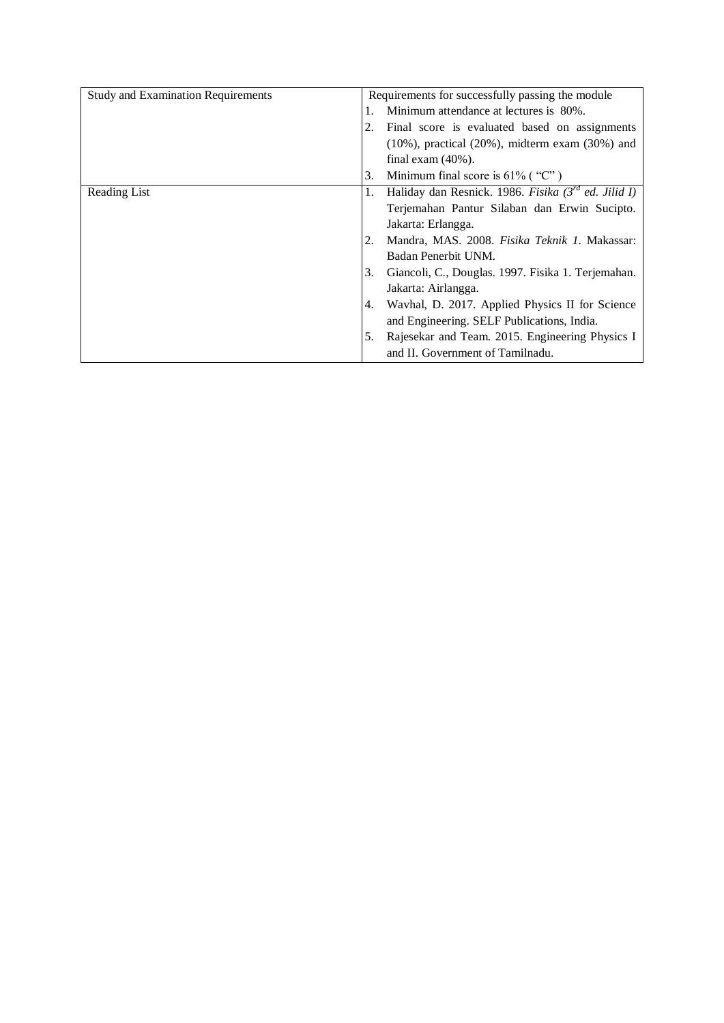| <b>Study and Examination Requirements</b> |    | Requirements for successfully passing the module          |
|-------------------------------------------|----|-----------------------------------------------------------|
|                                           | 1. | Minimum attendance at lectures is 80%.                    |
|                                           | 2. | Final score is evaluated based on assignments             |
|                                           |    | $(10\%)$ , practical $(20\%)$ , midterm exam $(30\%)$ and |
|                                           |    | final exam $(40\%)$ .                                     |
|                                           | 3. | Minimum final score is $61\%$ ("C")                       |
| Reading List                              | 1. | Haliday dan Resnick. 1986. Fisika $3^{rd}$ ed. Jilid I)   |
|                                           |    | Terjemahan Pantur Silaban dan Erwin Sucipto.              |
|                                           |    | Jakarta: Erlangga.                                        |
|                                           |    | Mandra, MAS. 2008. Fisika Teknik 1. Makassar:             |
|                                           |    | Badan Penerbit UNM.                                       |
|                                           | 3. | Giancoli, C., Douglas. 1997. Fisika 1. Terjemahan.        |
|                                           |    | Jakarta: Airlangga.                                       |
|                                           | 4. | Wavhal, D. 2017. Applied Physics II for Science           |
|                                           |    | and Engineering. SELF Publications, India.                |
|                                           | 5. | Rajesekar and Team. 2015. Engineering Physics I           |
|                                           |    | and II. Government of Tamilnadu.                          |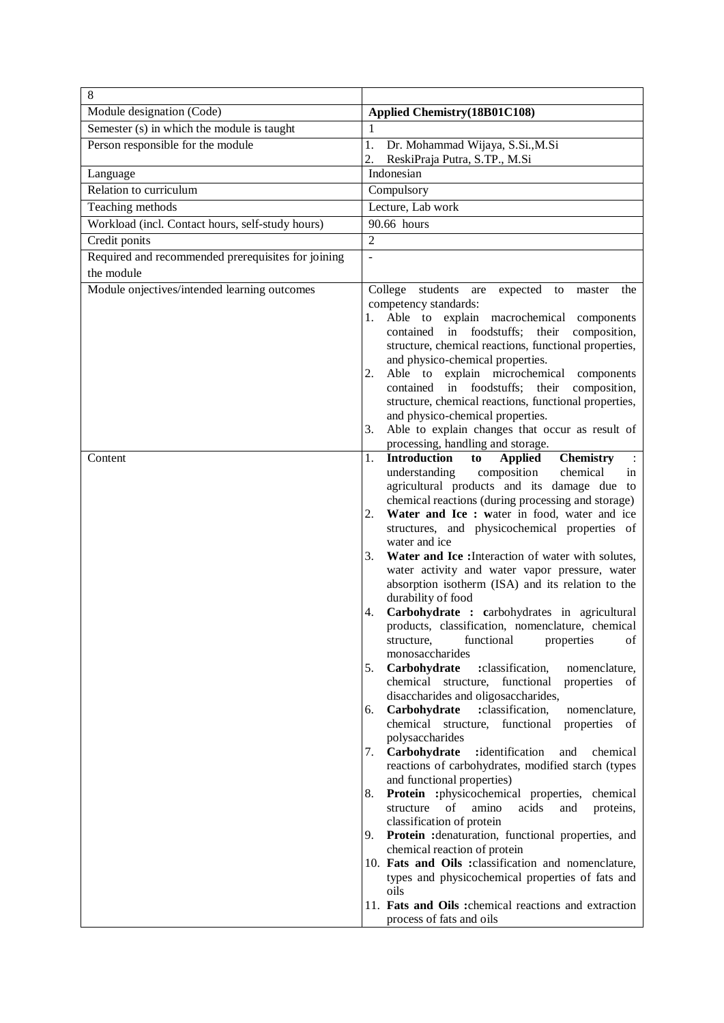| 8                                                       |                                                                                                                                                                                                                                                                                                                                                                                                                                                                                                                                                                                                                                                                                                                                                                                                                                                                                                                                                                                                                                                                                                                                                                                                                                                                                                                                                                                                             |
|---------------------------------------------------------|-------------------------------------------------------------------------------------------------------------------------------------------------------------------------------------------------------------------------------------------------------------------------------------------------------------------------------------------------------------------------------------------------------------------------------------------------------------------------------------------------------------------------------------------------------------------------------------------------------------------------------------------------------------------------------------------------------------------------------------------------------------------------------------------------------------------------------------------------------------------------------------------------------------------------------------------------------------------------------------------------------------------------------------------------------------------------------------------------------------------------------------------------------------------------------------------------------------------------------------------------------------------------------------------------------------------------------------------------------------------------------------------------------------|
| Module designation (Code)                               | Applied Chemistry(18B01C108)                                                                                                                                                                                                                                                                                                                                                                                                                                                                                                                                                                                                                                                                                                                                                                                                                                                                                                                                                                                                                                                                                                                                                                                                                                                                                                                                                                                |
| Semester (s) in which the module is taught              | 1                                                                                                                                                                                                                                                                                                                                                                                                                                                                                                                                                                                                                                                                                                                                                                                                                                                                                                                                                                                                                                                                                                                                                                                                                                                                                                                                                                                                           |
| Person responsible for the module                       | 1.<br>Dr. Mohammad Wijaya, S.Si., M.Si<br>ReskiPraja Putra, S.TP., M.Si<br>2.                                                                                                                                                                                                                                                                                                                                                                                                                                                                                                                                                                                                                                                                                                                                                                                                                                                                                                                                                                                                                                                                                                                                                                                                                                                                                                                               |
| Language                                                | Indonesian                                                                                                                                                                                                                                                                                                                                                                                                                                                                                                                                                                                                                                                                                                                                                                                                                                                                                                                                                                                                                                                                                                                                                                                                                                                                                                                                                                                                  |
| Relation to curriculum                                  | Compulsory                                                                                                                                                                                                                                                                                                                                                                                                                                                                                                                                                                                                                                                                                                                                                                                                                                                                                                                                                                                                                                                                                                                                                                                                                                                                                                                                                                                                  |
| Teaching methods                                        | Lecture, Lab work                                                                                                                                                                                                                                                                                                                                                                                                                                                                                                                                                                                                                                                                                                                                                                                                                                                                                                                                                                                                                                                                                                                                                                                                                                                                                                                                                                                           |
| Workload (incl. Contact hours, self-study hours)        | 90.66 hours                                                                                                                                                                                                                                                                                                                                                                                                                                                                                                                                                                                                                                                                                                                                                                                                                                                                                                                                                                                                                                                                                                                                                                                                                                                                                                                                                                                                 |
| Credit ponits                                           | $\overline{2}$                                                                                                                                                                                                                                                                                                                                                                                                                                                                                                                                                                                                                                                                                                                                                                                                                                                                                                                                                                                                                                                                                                                                                                                                                                                                                                                                                                                              |
| Required and recommended prerequisites for joining      | ÷,                                                                                                                                                                                                                                                                                                                                                                                                                                                                                                                                                                                                                                                                                                                                                                                                                                                                                                                                                                                                                                                                                                                                                                                                                                                                                                                                                                                                          |
| the module                                              |                                                                                                                                                                                                                                                                                                                                                                                                                                                                                                                                                                                                                                                                                                                                                                                                                                                                                                                                                                                                                                                                                                                                                                                                                                                                                                                                                                                                             |
| Module onjectives/intended learning outcomes<br>Content | College students are expected<br>to<br>master<br>the<br>competency standards:<br>Able to explain macrochemical components<br>1.<br>contained in foodstuffs; their<br>composition,<br>structure, chemical reactions, functional properties,<br>and physico-chemical properties.<br>Able to explain microchemical components<br>2.<br>contained in foodstuffs; their composition,<br>structure, chemical reactions, functional properties,<br>and physico-chemical properties.<br>Able to explain changes that occur as result of<br>3.<br>processing, handling and storage.<br><b>Introduction</b><br><b>Applied</b><br><b>Chemistry</b><br>1.<br>to<br>composition<br>chemical<br>understanding<br>in                                                                                                                                                                                                                                                                                                                                                                                                                                                                                                                                                                                                                                                                                                       |
|                                                         | agricultural products and its damage due to<br>chemical reactions (during processing and storage)<br>Water and Ice : water in food, water and ice<br>2.<br>structures, and physicochemical properties of<br>water and ice<br>Water and Ice : Interaction of water with solutes,<br>3.<br>water activity and water vapor pressure, water<br>absorption isotherm (ISA) and its relation to the<br>durability of food<br>Carbohydrate : carbohydrates in agricultural<br>4.<br>products, classification, nomenclature, chemical<br>functional<br>of<br>structure,<br>properties<br>monosaccharides<br>5.<br>Carbohydrate<br>:classification,<br>nomenclature.<br>chemical structure,<br>functional<br>properties of<br>disaccharides and oligosaccharides,<br>Carbohydrate<br>:classification,<br>6.<br>nomenclature,<br>chemical structure,<br>functional<br>properties of<br>polysaccharides<br>7.<br>Carbohydrate<br>:identification<br>and<br>chemical<br>reactions of carbohydrates, modified starch (types<br>and functional properties)<br>Protein :physicochemical properties,<br>8.<br>chemical<br>structure<br>of<br>amino<br>acids<br>proteins,<br>and<br>classification of protein<br>Protein : denaturation, functional properties, and<br>9.<br>chemical reaction of protein<br>10. Fats and Oils : classification and nomenclature,<br>types and physicochemical properties of fats and<br>oils |
|                                                         | 11. Fats and Oils : chemical reactions and extraction<br>process of fats and oils                                                                                                                                                                                                                                                                                                                                                                                                                                                                                                                                                                                                                                                                                                                                                                                                                                                                                                                                                                                                                                                                                                                                                                                                                                                                                                                           |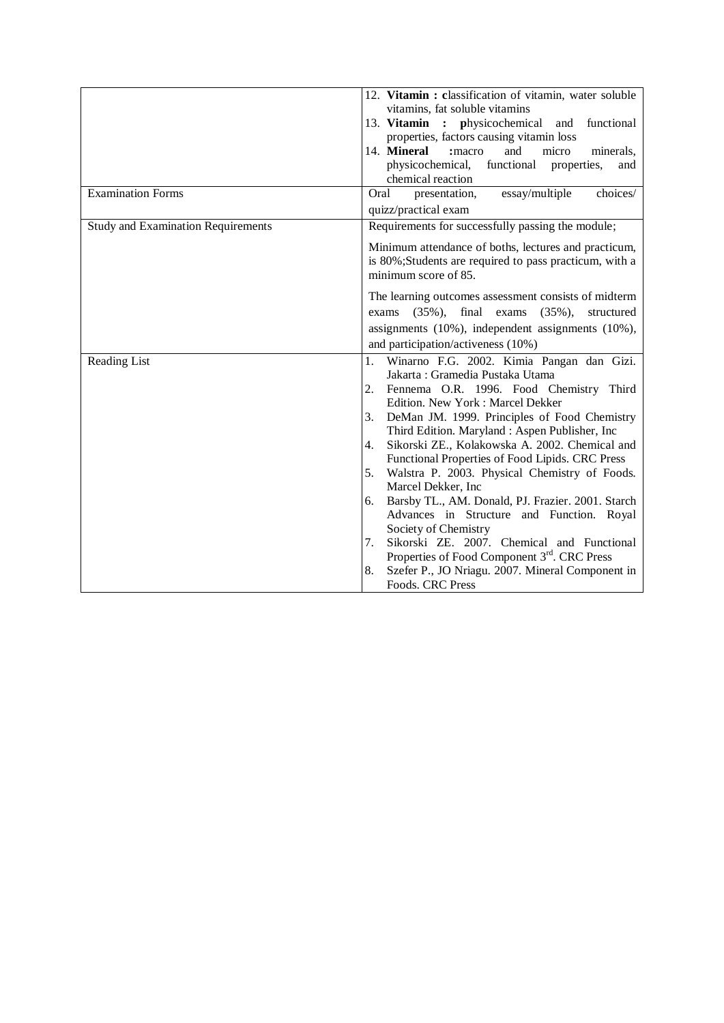| 12. Vitamin: classification of vitamin, water soluble<br>vitamins, fat soluble vitamins<br>13. Vitamin : physicochemical<br>functional<br>and<br>properties, factors causing vitamin loss<br>14. Mineral<br>micro<br>:macro<br>and<br>minerals,<br>functional properties,<br>physicochemical,<br>and<br>chemical reaction                                                                                                                                                                                                                                                                                                                                                                                                                                             |
|-----------------------------------------------------------------------------------------------------------------------------------------------------------------------------------------------------------------------------------------------------------------------------------------------------------------------------------------------------------------------------------------------------------------------------------------------------------------------------------------------------------------------------------------------------------------------------------------------------------------------------------------------------------------------------------------------------------------------------------------------------------------------|
| Oral<br>essay/multiple<br>choices/<br>presentation,                                                                                                                                                                                                                                                                                                                                                                                                                                                                                                                                                                                                                                                                                                                   |
| quizz/practical exam                                                                                                                                                                                                                                                                                                                                                                                                                                                                                                                                                                                                                                                                                                                                                  |
| Requirements for successfully passing the module;                                                                                                                                                                                                                                                                                                                                                                                                                                                                                                                                                                                                                                                                                                                     |
| Minimum attendance of boths, lectures and practicum,<br>is 80%;Students are required to pass practicum, with a<br>minimum score of 85.                                                                                                                                                                                                                                                                                                                                                                                                                                                                                                                                                                                                                                |
| The learning outcomes assessment consists of midterm<br>final exams<br>$(35\%),$<br>$(35\%)$ ,<br>structured<br>exams<br>assignments (10%), independent assignments (10%),                                                                                                                                                                                                                                                                                                                                                                                                                                                                                                                                                                                            |
| and participation/activeness (10%)                                                                                                                                                                                                                                                                                                                                                                                                                                                                                                                                                                                                                                                                                                                                    |
| Winarno F.G. 2002. Kimia Pangan dan Gizi.<br>1.<br>Jakarta: Gramedia Pustaka Utama<br>Fennema O.R. 1996. Food Chemistry Third<br>2.<br>Edition. New York: Marcel Dekker<br>DeMan JM. 1999. Principles of Food Chemistry<br>3.<br>Third Edition. Maryland: Aspen Publisher, Inc.<br>Sikorski ZE., Kolakowska A. 2002. Chemical and<br>4.<br>Functional Properties of Food Lipids. CRC Press<br>Walstra P. 2003. Physical Chemistry of Foods.<br>5.<br>Marcel Dekker, Inc.<br>Barsby TL., AM. Donald, PJ. Frazier. 2001. Starch<br>6.<br>Advances in Structure and Function. Royal<br>Society of Chemistry<br>Sikorski ZE. 2007. Chemical and Functional<br>7.<br>Properties of Food Component 3rd. CRC Press<br>Szefer P., JO Nriagu. 2007. Mineral Component in<br>8. |
|                                                                                                                                                                                                                                                                                                                                                                                                                                                                                                                                                                                                                                                                                                                                                                       |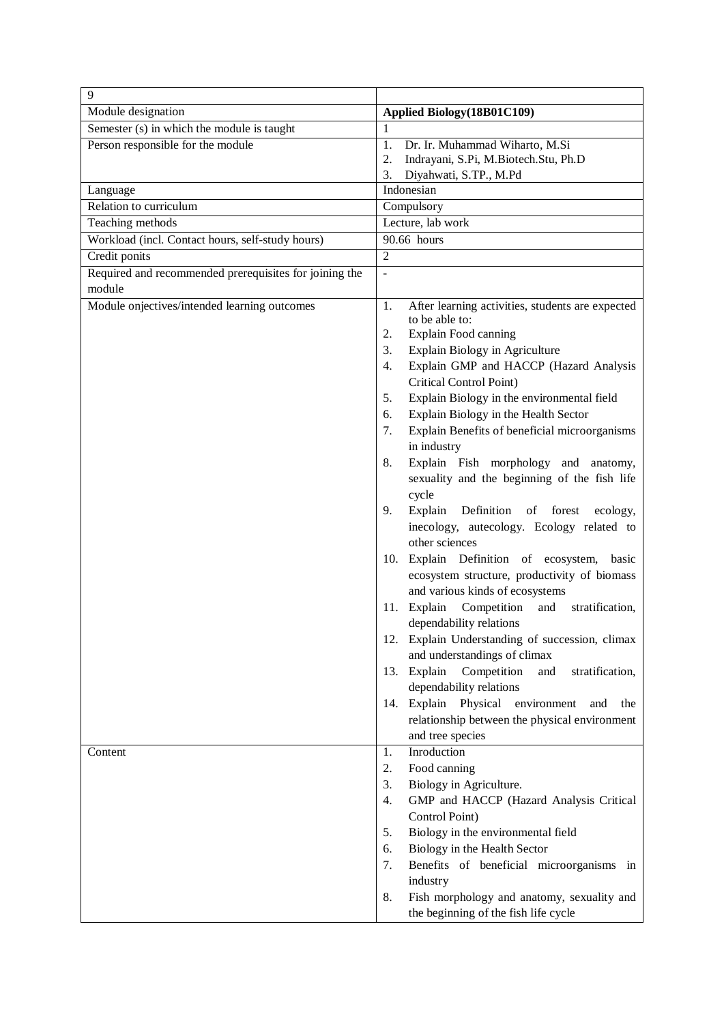| 9                                                                |                                                                                                                                                                                                                                                                                                                                                                                                                                                                                                                                                                                                                                                                                                                                                                                                                                                                                                                                                                                                                                                                                                                                 |
|------------------------------------------------------------------|---------------------------------------------------------------------------------------------------------------------------------------------------------------------------------------------------------------------------------------------------------------------------------------------------------------------------------------------------------------------------------------------------------------------------------------------------------------------------------------------------------------------------------------------------------------------------------------------------------------------------------------------------------------------------------------------------------------------------------------------------------------------------------------------------------------------------------------------------------------------------------------------------------------------------------------------------------------------------------------------------------------------------------------------------------------------------------------------------------------------------------|
| Module designation                                               | Applied Biology (18B01C109)                                                                                                                                                                                                                                                                                                                                                                                                                                                                                                                                                                                                                                                                                                                                                                                                                                                                                                                                                                                                                                                                                                     |
| Semester (s) in which the module is taught                       | 1                                                                                                                                                                                                                                                                                                                                                                                                                                                                                                                                                                                                                                                                                                                                                                                                                                                                                                                                                                                                                                                                                                                               |
| Person responsible for the module                                | Dr. Ir. Muhammad Wiharto, M.Si<br>1.<br>Indrayani, S.Pi, M.Biotech.Stu, Ph.D<br>2.<br>Diyahwati, S.TP., M.Pd<br>3.                                                                                                                                                                                                                                                                                                                                                                                                                                                                                                                                                                                                                                                                                                                                                                                                                                                                                                                                                                                                              |
| Language                                                         | Indonesian                                                                                                                                                                                                                                                                                                                                                                                                                                                                                                                                                                                                                                                                                                                                                                                                                                                                                                                                                                                                                                                                                                                      |
| Relation to curriculum                                           | Compulsory                                                                                                                                                                                                                                                                                                                                                                                                                                                                                                                                                                                                                                                                                                                                                                                                                                                                                                                                                                                                                                                                                                                      |
| Teaching methods                                                 | Lecture, lab work                                                                                                                                                                                                                                                                                                                                                                                                                                                                                                                                                                                                                                                                                                                                                                                                                                                                                                                                                                                                                                                                                                               |
| Workload (incl. Contact hours, self-study hours)                 | 90.66 hours                                                                                                                                                                                                                                                                                                                                                                                                                                                                                                                                                                                                                                                                                                                                                                                                                                                                                                                                                                                                                                                                                                                     |
| Credit ponits                                                    | $\overline{2}$                                                                                                                                                                                                                                                                                                                                                                                                                                                                                                                                                                                                                                                                                                                                                                                                                                                                                                                                                                                                                                                                                                                  |
| Required and recommended prerequisites for joining the<br>module | $\overline{a}$                                                                                                                                                                                                                                                                                                                                                                                                                                                                                                                                                                                                                                                                                                                                                                                                                                                                                                                                                                                                                                                                                                                  |
| Module onjectives/intended learning outcomes                     | After learning activities, students are expected<br>1.<br>to be able to:<br>Explain Food canning<br>2.<br>Explain Biology in Agriculture<br>3.<br>Explain GMP and HACCP (Hazard Analysis<br>4.<br>Critical Control Point)<br>Explain Biology in the environmental field<br>5.<br>Explain Biology in the Health Sector<br>6.<br>Explain Benefits of beneficial microorganisms<br>7.<br>in industry<br>Explain Fish morphology and anatomy,<br>8.<br>sexuality and the beginning of the fish life<br>cycle<br>Explain Definition of forest<br>9.<br>ecology,<br>inecology, autecology. Ecology related to<br>other sciences<br>10. Explain Definition of ecosystem,<br>basic<br>ecosystem structure, productivity of biomass<br>and various kinds of ecosystems<br>Competition<br>and<br>Explain<br>stratification,<br>11.<br>dependability relations<br>12. Explain Understanding of succession, climax<br>and understandings of climax<br>13. Explain<br>Competition<br>stratification,<br>and<br>dependability relations<br>14. Explain Physical<br>environment<br>and<br>the<br>relationship between the physical environment |
|                                                                  | and tree species                                                                                                                                                                                                                                                                                                                                                                                                                                                                                                                                                                                                                                                                                                                                                                                                                                                                                                                                                                                                                                                                                                                |
| Content                                                          | Inroduction<br>1.<br>Food canning<br>2.                                                                                                                                                                                                                                                                                                                                                                                                                                                                                                                                                                                                                                                                                                                                                                                                                                                                                                                                                                                                                                                                                         |
|                                                                  | Biology in Agriculture.<br>3.                                                                                                                                                                                                                                                                                                                                                                                                                                                                                                                                                                                                                                                                                                                                                                                                                                                                                                                                                                                                                                                                                                   |
|                                                                  | GMP and HACCP (Hazard Analysis Critical<br>4.                                                                                                                                                                                                                                                                                                                                                                                                                                                                                                                                                                                                                                                                                                                                                                                                                                                                                                                                                                                                                                                                                   |
|                                                                  | Control Point)                                                                                                                                                                                                                                                                                                                                                                                                                                                                                                                                                                                                                                                                                                                                                                                                                                                                                                                                                                                                                                                                                                                  |
|                                                                  | Biology in the environmental field<br>5.                                                                                                                                                                                                                                                                                                                                                                                                                                                                                                                                                                                                                                                                                                                                                                                                                                                                                                                                                                                                                                                                                        |
|                                                                  | Biology in the Health Sector<br>6.                                                                                                                                                                                                                                                                                                                                                                                                                                                                                                                                                                                                                                                                                                                                                                                                                                                                                                                                                                                                                                                                                              |
|                                                                  | Benefits of beneficial microorganisms in<br>7.                                                                                                                                                                                                                                                                                                                                                                                                                                                                                                                                                                                                                                                                                                                                                                                                                                                                                                                                                                                                                                                                                  |
|                                                                  | industry                                                                                                                                                                                                                                                                                                                                                                                                                                                                                                                                                                                                                                                                                                                                                                                                                                                                                                                                                                                                                                                                                                                        |
|                                                                  | Fish morphology and anatomy, sexuality and<br>8.                                                                                                                                                                                                                                                                                                                                                                                                                                                                                                                                                                                                                                                                                                                                                                                                                                                                                                                                                                                                                                                                                |
|                                                                  | the beginning of the fish life cycle                                                                                                                                                                                                                                                                                                                                                                                                                                                                                                                                                                                                                                                                                                                                                                                                                                                                                                                                                                                                                                                                                            |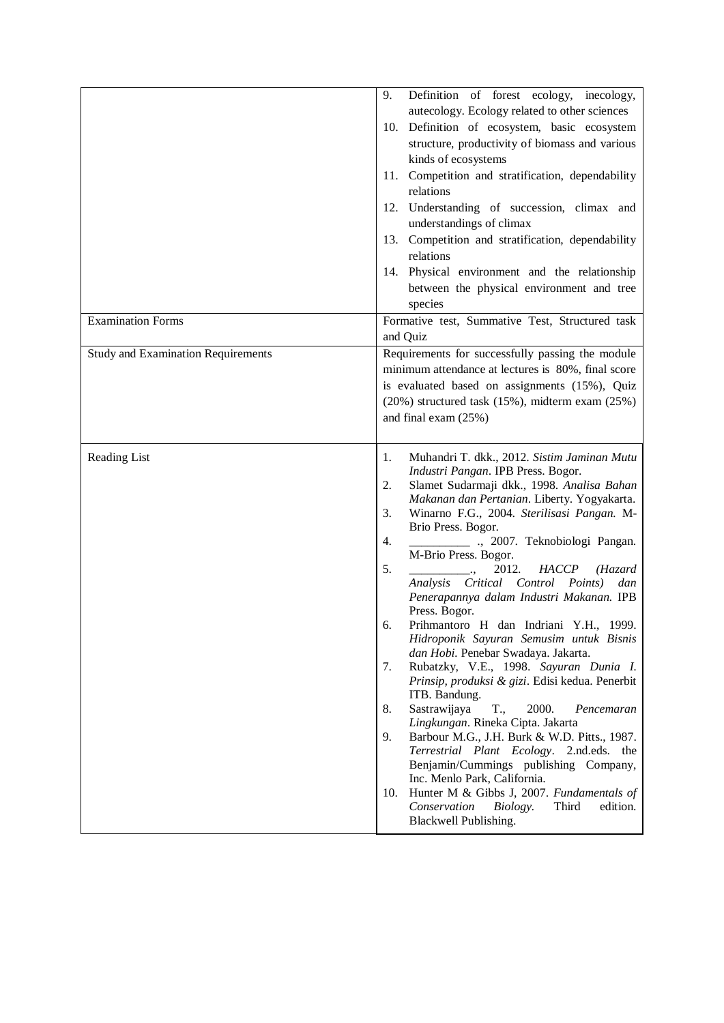|                                           | 9.<br>Definition of forest ecology, inecology,<br>autecology. Ecology related to other sciences<br>10. Definition of ecosystem, basic ecosystem<br>structure, productivity of biomass and various<br>kinds of ecosystems<br>11. Competition and stratification, dependability<br>relations<br>12. Understanding of succession, climax and<br>understandings of climax<br>13. Competition and stratification, dependability<br>relations<br>14. Physical environment and the relationship<br>between the physical environment and tree<br>species                                                                                                                                                                                                                                                                                                                                                                                                                                                                                                                                                                                               |
|-------------------------------------------|------------------------------------------------------------------------------------------------------------------------------------------------------------------------------------------------------------------------------------------------------------------------------------------------------------------------------------------------------------------------------------------------------------------------------------------------------------------------------------------------------------------------------------------------------------------------------------------------------------------------------------------------------------------------------------------------------------------------------------------------------------------------------------------------------------------------------------------------------------------------------------------------------------------------------------------------------------------------------------------------------------------------------------------------------------------------------------------------------------------------------------------------|
| <b>Examination Forms</b>                  | Formative test, Summative Test, Structured task<br>and Quiz                                                                                                                                                                                                                                                                                                                                                                                                                                                                                                                                                                                                                                                                                                                                                                                                                                                                                                                                                                                                                                                                                    |
| <b>Study and Examination Requirements</b> | Requirements for successfully passing the module<br>minimum attendance at lectures is 80%, final score<br>is evaluated based on assignments (15%), Quiz<br>$(20\%)$ structured task $(15\%)$ , midterm exam $(25\%)$<br>and final exam (25%)                                                                                                                                                                                                                                                                                                                                                                                                                                                                                                                                                                                                                                                                                                                                                                                                                                                                                                   |
| Reading List                              | Muhandri T. dkk., 2012. Sistim Jaminan Mutu<br>1.<br>Industri Pangan. IPB Press. Bogor.<br>Slamet Sudarmaji dkk., 1998. Analisa Bahan<br>2.<br>Makanan dan Pertanian. Liberty. Yogyakarta.<br>Winarno F.G., 2004. Sterilisasi Pangan. M-<br>3.<br>Brio Press. Bogor.<br>., 2007. Teknobiologi Pangan.<br>4.<br>M-Brio Press. Bogor.<br>2012.<br>5.<br><b>HACCP</b><br>(Hazard<br>Analysis Critical Control Points)<br>dan<br>Penerapannya dalam Industri Makanan. IPB<br>Press. Bogor.<br>Prihmantoro H dan Indriani Y.H., 1999.<br>6.<br>Hidroponik Sayuran Semusim untuk Bisnis<br>dan Hobi. Penebar Swadaya. Jakarta.<br>Rubatzky, V.E., 1998. Sayuran Dunia I.<br>7.<br>Prinsip, produksi & gizi. Edisi kedua. Penerbit<br>ITB. Bandung.<br>T.,<br>2000.<br>8.<br>Sastrawijaya<br>Pencemaran<br>Lingkungan. Rineka Cipta. Jakarta<br>Barbour M.G., J.H. Burk & W.D. Pitts., 1987.<br>9.<br>Terrestrial Plant Ecology. 2.nd.eds. the<br>Benjamin/Cummings publishing Company,<br>Inc. Menlo Park, California.<br>Hunter M & Gibbs J, 2007. Fundamentals of<br>10.<br>Conservation<br>Biology.<br>Third<br>edition.<br>Blackwell Publishing. |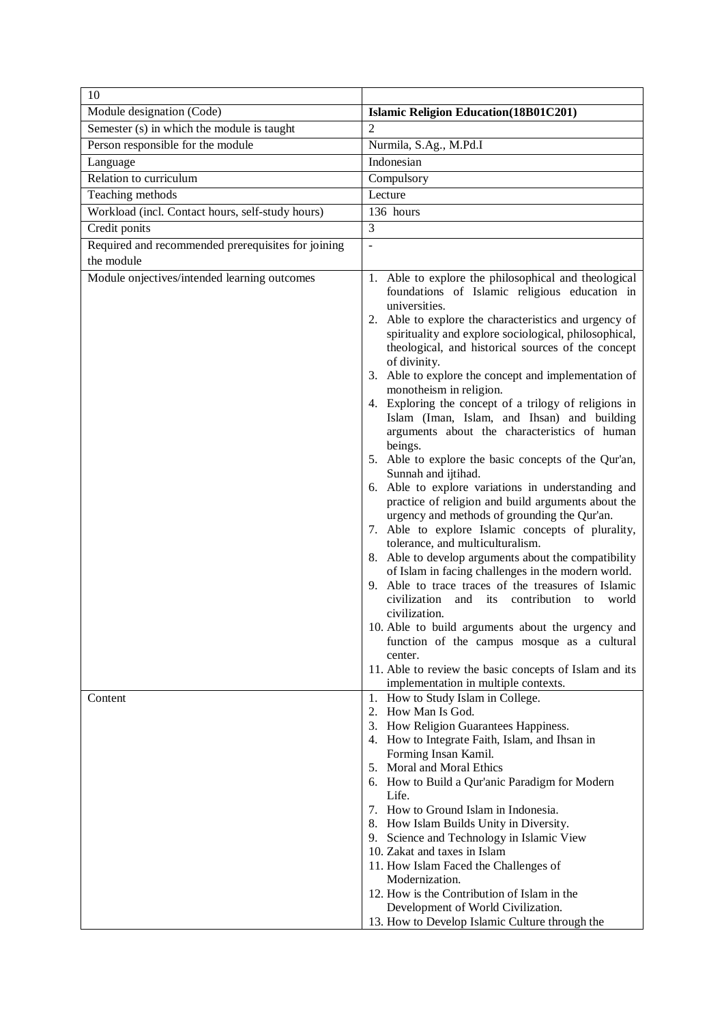| 10                                                 |                                                                                                                                                                                                                                                                                                                                                                                                                                                                                                                                                                                                                                                                                                                                                                                                                                                                                                                                                                                                                                                                                                                                                                                                                                                                                                                                                                           |
|----------------------------------------------------|---------------------------------------------------------------------------------------------------------------------------------------------------------------------------------------------------------------------------------------------------------------------------------------------------------------------------------------------------------------------------------------------------------------------------------------------------------------------------------------------------------------------------------------------------------------------------------------------------------------------------------------------------------------------------------------------------------------------------------------------------------------------------------------------------------------------------------------------------------------------------------------------------------------------------------------------------------------------------------------------------------------------------------------------------------------------------------------------------------------------------------------------------------------------------------------------------------------------------------------------------------------------------------------------------------------------------------------------------------------------------|
| Module designation (Code)                          | <b>Islamic Religion Education (18B01C201)</b>                                                                                                                                                                                                                                                                                                                                                                                                                                                                                                                                                                                                                                                                                                                                                                                                                                                                                                                                                                                                                                                                                                                                                                                                                                                                                                                             |
| Semester (s) in which the module is taught         | $\overline{2}$                                                                                                                                                                                                                                                                                                                                                                                                                                                                                                                                                                                                                                                                                                                                                                                                                                                                                                                                                                                                                                                                                                                                                                                                                                                                                                                                                            |
| Person responsible for the module                  | Nurmila, S.Ag., M.Pd.I                                                                                                                                                                                                                                                                                                                                                                                                                                                                                                                                                                                                                                                                                                                                                                                                                                                                                                                                                                                                                                                                                                                                                                                                                                                                                                                                                    |
| Language                                           | Indonesian                                                                                                                                                                                                                                                                                                                                                                                                                                                                                                                                                                                                                                                                                                                                                                                                                                                                                                                                                                                                                                                                                                                                                                                                                                                                                                                                                                |
| Relation to curriculum                             | Compulsory                                                                                                                                                                                                                                                                                                                                                                                                                                                                                                                                                                                                                                                                                                                                                                                                                                                                                                                                                                                                                                                                                                                                                                                                                                                                                                                                                                |
| Teaching methods                                   | Lecture                                                                                                                                                                                                                                                                                                                                                                                                                                                                                                                                                                                                                                                                                                                                                                                                                                                                                                                                                                                                                                                                                                                                                                                                                                                                                                                                                                   |
| Workload (incl. Contact hours, self-study hours)   | 136 hours                                                                                                                                                                                                                                                                                                                                                                                                                                                                                                                                                                                                                                                                                                                                                                                                                                                                                                                                                                                                                                                                                                                                                                                                                                                                                                                                                                 |
| Credit ponits                                      | 3                                                                                                                                                                                                                                                                                                                                                                                                                                                                                                                                                                                                                                                                                                                                                                                                                                                                                                                                                                                                                                                                                                                                                                                                                                                                                                                                                                         |
| Required and recommended prerequisites for joining | ÷,                                                                                                                                                                                                                                                                                                                                                                                                                                                                                                                                                                                                                                                                                                                                                                                                                                                                                                                                                                                                                                                                                                                                                                                                                                                                                                                                                                        |
| the module                                         |                                                                                                                                                                                                                                                                                                                                                                                                                                                                                                                                                                                                                                                                                                                                                                                                                                                                                                                                                                                                                                                                                                                                                                                                                                                                                                                                                                           |
| Module onjectives/intended learning outcomes       | 1. Able to explore the philosophical and theological<br>foundations of Islamic religious education in<br>universities.<br>2. Able to explore the characteristics and urgency of<br>spirituality and explore sociological, philosophical,<br>theological, and historical sources of the concept<br>of divinity.<br>3. Able to explore the concept and implementation of<br>monotheism in religion.<br>4. Exploring the concept of a trilogy of religions in<br>Islam (Iman, Islam, and Ihsan) and building<br>arguments about the characteristics of human<br>beings.<br>5. Able to explore the basic concepts of the Qur'an,<br>Sunnah and ijtihad.<br>6. Able to explore variations in understanding and<br>practice of religion and build arguments about the<br>urgency and methods of grounding the Qur'an.<br>7. Able to explore Islamic concepts of plurality,<br>tolerance, and multiculturalism.<br>8. Able to develop arguments about the compatibility<br>of Islam in facing challenges in the modern world.<br>9. Able to trace traces of the treasures of Islamic<br>civilization<br>its contribution<br>and<br>to<br>world<br>civilization.<br>10. Able to build arguments about the urgency and<br>function of the campus mosque as a cultural<br>center.<br>11. Able to review the basic concepts of Islam and its<br>implementation in multiple contexts. |
| Content                                            | 1. How to Study Islam in College.<br>2. How Man Is God.<br>3. How Religion Guarantees Happiness.<br>4. How to Integrate Faith, Islam, and Ihsan in<br>Forming Insan Kamil.<br>5. Moral and Moral Ethics<br>6. How to Build a Qur'anic Paradigm for Modern<br>Life.<br>7. How to Ground Islam in Indonesia.<br>8. How Islam Builds Unity in Diversity.<br>9. Science and Technology in Islamic View<br>10. Zakat and taxes in Islam<br>11. How Islam Faced the Challenges of<br>Modernization.<br>12. How is the Contribution of Islam in the<br>Development of World Civilization.<br>13. How to Develop Islamic Culture through the                                                                                                                                                                                                                                                                                                                                                                                                                                                                                                                                                                                                                                                                                                                                      |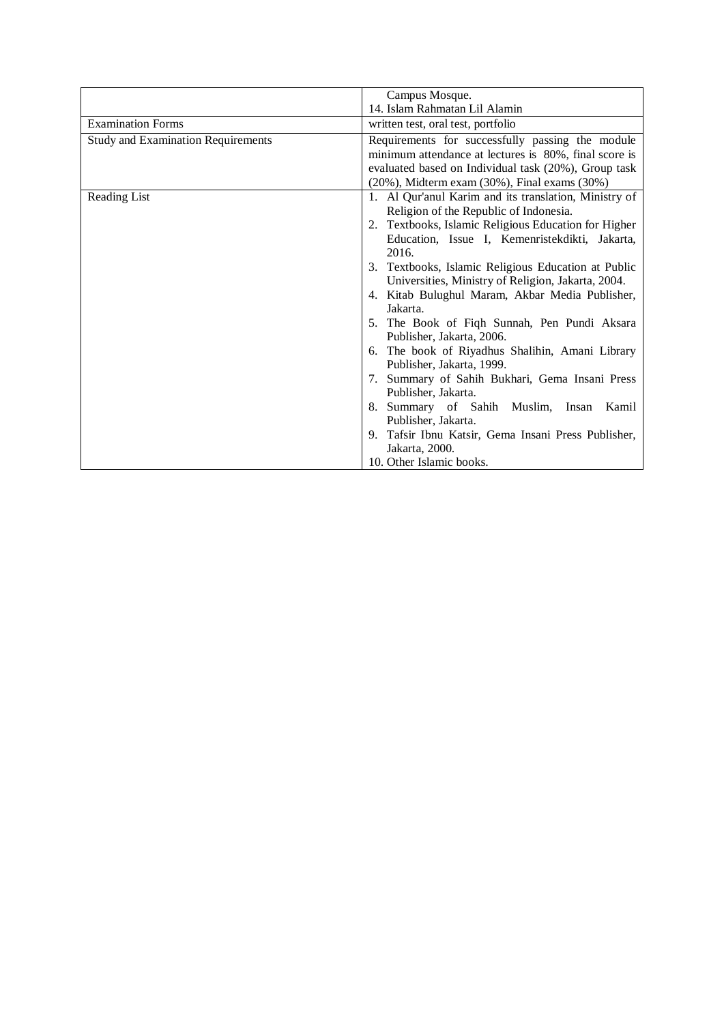|                                           | Campus Mosque.                                          |
|-------------------------------------------|---------------------------------------------------------|
|                                           | 14. Islam Rahmatan Lil Alamin                           |
| <b>Examination Forms</b>                  | written test, oral test, portfolio                      |
| <b>Study and Examination Requirements</b> | Requirements for successfully passing the module        |
|                                           | minimum attendance at lectures is 80%, final score is   |
|                                           | evaluated based on Individual task (20%), Group task    |
|                                           | $(20\%)$ , Midterm exam $(30\%)$ , Final exams $(30\%)$ |
| Reading List                              | 1. Al Qur'anul Karim and its translation, Ministry of   |
|                                           | Religion of the Republic of Indonesia.                  |
|                                           | 2. Textbooks, Islamic Religious Education for Higher    |
|                                           | Education, Issue I, Kemenristekdikti, Jakarta,          |
|                                           | 2016.                                                   |
|                                           | 3. Textbooks, Islamic Religious Education at Public     |
|                                           | Universities, Ministry of Religion, Jakarta, 2004.      |
|                                           | 4. Kitab Bulughul Maram, Akbar Media Publisher,         |
|                                           | Jakarta.                                                |
|                                           | 5. The Book of Fiqh Sunnah, Pen Pundi Aksara            |
|                                           | Publisher, Jakarta, 2006.                               |
|                                           | 6. The book of Riyadhus Shalihin, Amani Library         |
|                                           | Publisher, Jakarta, 1999.                               |
|                                           | Summary of Sahih Bukhari, Gema Insani Press             |
|                                           | Publisher, Jakarta.                                     |
|                                           | 8. Summary of Sahih Muslim, Insan<br>Kamil              |
|                                           | Publisher, Jakarta.                                     |
|                                           | 9. Tafsir Ibnu Katsir, Gema Insani Press Publisher,     |
|                                           | Jakarta, 2000.                                          |
|                                           | 10. Other Islamic books.                                |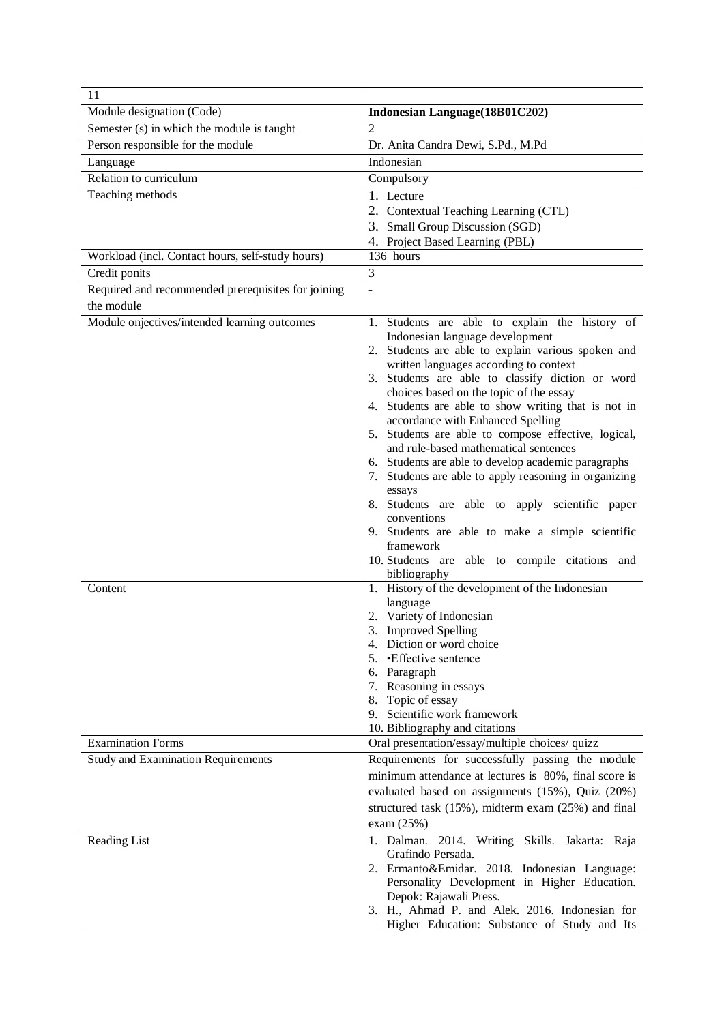| 11                                                 |                                                                                                |
|----------------------------------------------------|------------------------------------------------------------------------------------------------|
| Module designation (Code)                          | Indonesian Language(18B01C202)                                                                 |
| Semester (s) in which the module is taught         | $\overline{2}$                                                                                 |
| Person responsible for the module                  | Dr. Anita Candra Dewi, S.Pd., M.Pd                                                             |
| Language                                           | Indonesian                                                                                     |
| Relation to curriculum                             | Compulsory                                                                                     |
| Teaching methods                                   | 1. Lecture                                                                                     |
|                                                    | 2. Contextual Teaching Learning (CTL)                                                          |
|                                                    | 3. Small Group Discussion (SGD)                                                                |
|                                                    | 4. Project Based Learning (PBL)                                                                |
| Workload (incl. Contact hours, self-study hours)   | 136 hours                                                                                      |
| Credit ponits                                      | 3                                                                                              |
| Required and recommended prerequisites for joining | $\overline{a}$                                                                                 |
| the module                                         |                                                                                                |
| Module onjectives/intended learning outcomes       | 1. Students are able to explain the history of                                                 |
|                                                    | Indonesian language development<br>2. Students are able to explain various spoken and          |
|                                                    | written languages according to context                                                         |
|                                                    | 3. Students are able to classify diction or word                                               |
|                                                    | choices based on the topic of the essay                                                        |
|                                                    | 4. Students are able to show writing that is not in                                            |
|                                                    | accordance with Enhanced Spelling<br>5. Students are able to compose effective, logical,       |
|                                                    | and rule-based mathematical sentences                                                          |
|                                                    | 6. Students are able to develop academic paragraphs                                            |
|                                                    | Students are able to apply reasoning in organizing                                             |
|                                                    | essays                                                                                         |
|                                                    | 8. Students are able to apply scientific paper                                                 |
|                                                    | conventions                                                                                    |
|                                                    | 9. Students are able to make a simple scientific<br>framework                                  |
|                                                    | 10. Students are able to compile citations and                                                 |
|                                                    | bibliography                                                                                   |
| Content                                            | 1. History of the development of the Indonesian                                                |
|                                                    | language                                                                                       |
|                                                    | 2. Variety of Indonesian<br>3.                                                                 |
|                                                    | <b>Improved Spelling</b><br>4. Diction or word choice                                          |
|                                                    | •Effective sentence                                                                            |
|                                                    | 6. Paragraph                                                                                   |
|                                                    | 7. Reasoning in essays                                                                         |
|                                                    | 8. Topic of essay                                                                              |
|                                                    | 9. Scientific work framework<br>10. Bibliography and citations                                 |
| <b>Examination Forms</b>                           | Oral presentation/essay/multiple choices/ quizz                                                |
| <b>Study and Examination Requirements</b>          | Requirements for successfully passing the module                                               |
|                                                    | minimum attendance at lectures is 80%, final score is                                          |
|                                                    | evaluated based on assignments (15%), Quiz (20%)                                               |
|                                                    | structured task (15%), midterm exam (25%) and final                                            |
|                                                    | exam $(25%)$                                                                                   |
| Reading List                                       | 1. Dalman. 2014. Writing Skills.<br>Jakarta: Raja                                              |
|                                                    | Grafindo Persada.                                                                              |
|                                                    | 2. Ermanto&Emidar. 2018. Indonesian Language:                                                  |
|                                                    | Personality Development in Higher Education.                                                   |
|                                                    | Depok: Rajawali Press.                                                                         |
|                                                    | 3. H., Ahmad P. and Alek. 2016. Indonesian for<br>Higher Education: Substance of Study and Its |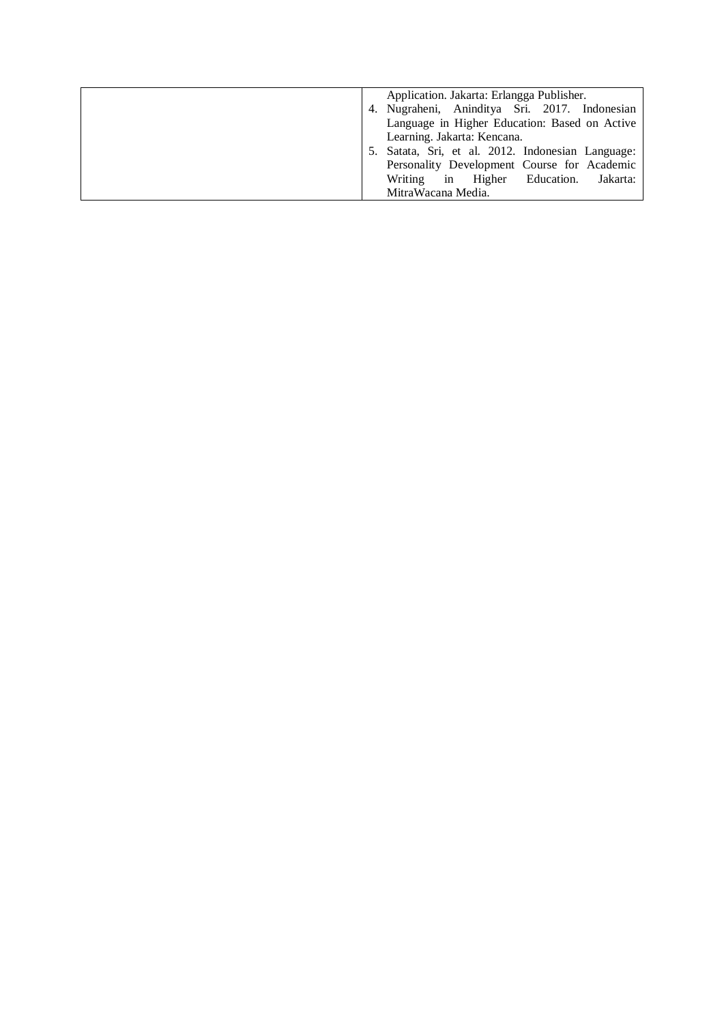|    | Application. Jakarta: Erlangga Publisher.      |
|----|------------------------------------------------|
|    | 4. Nugraheni, Aninditya Sri. 2017. Indonesian  |
|    | Language in Higher Education: Based on Active  |
|    | Learning. Jakarta: Kencana.                    |
| 5. | Satata, Sri, et al. 2012. Indonesian Language: |
|    | Personality Development Course for Academic    |
|    | Writing in Higher Education.<br>Jakarta:       |
|    | MitraWacana Media.                             |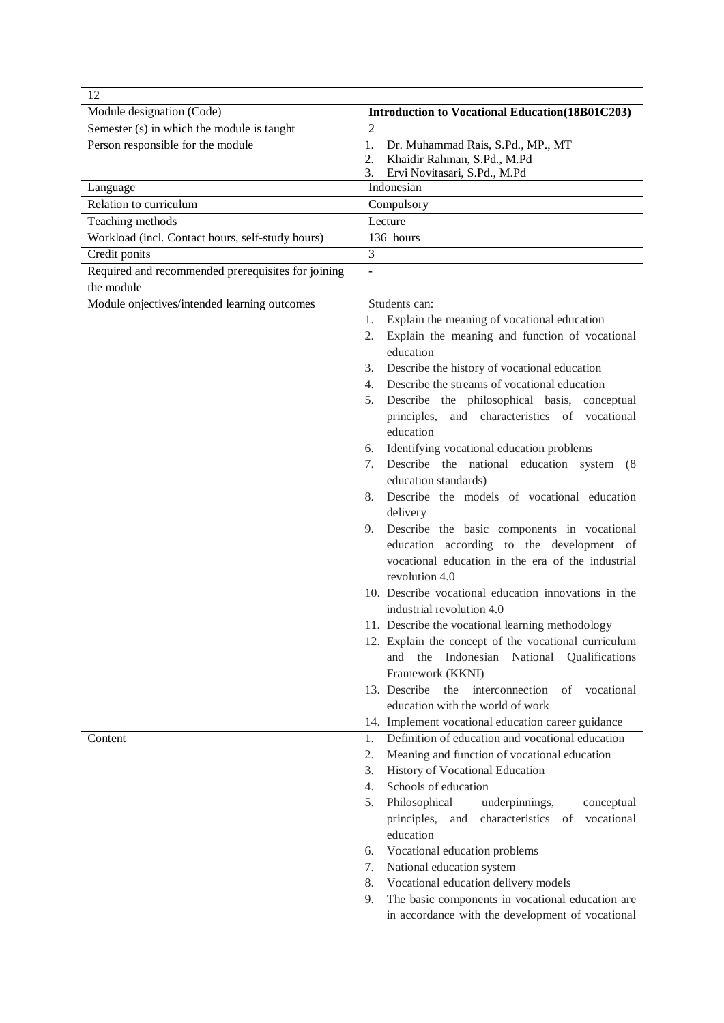| 12                                                 |                                                                                                          |
|----------------------------------------------------|----------------------------------------------------------------------------------------------------------|
| Module designation (Code)                          | <b>Introduction to Vocational Education (18B01C203)</b>                                                  |
| Semester (s) in which the module is taught         | $\overline{2}$                                                                                           |
| Person responsible for the module                  | Dr. Muhammad Rais, S.Pd., MP., MT<br>1.                                                                  |
|                                                    | 2.<br>Khaidir Rahman, S.Pd., M.Pd                                                                        |
|                                                    | 3.<br>Ervi Novitasari, S.Pd., M.Pd                                                                       |
| Language                                           | Indonesian                                                                                               |
| Relation to curriculum                             | Compulsory                                                                                               |
| Teaching methods                                   | Lecture                                                                                                  |
| Workload (incl. Contact hours, self-study hours)   | $\overline{136}$ hours                                                                                   |
| Credit ponits                                      | $\overline{3}$                                                                                           |
| Required and recommended prerequisites for joining | $\sim$                                                                                                   |
| the module                                         |                                                                                                          |
| Module onjectives/intended learning outcomes       | Students can:                                                                                            |
|                                                    | Explain the meaning of vocational education<br>1.                                                        |
|                                                    | 2.<br>Explain the meaning and function of vocational                                                     |
|                                                    | education                                                                                                |
|                                                    | Describe the history of vocational education<br>3.<br>Describe the streams of vocational education<br>4. |
|                                                    | 5.<br>Describe the philosophical basis, conceptual                                                       |
|                                                    | principles, and characteristics of vocational                                                            |
|                                                    | education                                                                                                |
|                                                    | Identifying vocational education problems<br>6.                                                          |
|                                                    | Describe the national education system (8)<br>7.                                                         |
|                                                    | education standards)                                                                                     |
|                                                    | 8.<br>Describe the models of vocational education                                                        |
|                                                    | delivery                                                                                                 |
|                                                    | 9.<br>Describe the basic components in vocational                                                        |
|                                                    | education according to the development of                                                                |
|                                                    | vocational education in the era of the industrial                                                        |
|                                                    | revolution 4.0                                                                                           |
|                                                    | 10. Describe vocational education innovations in the                                                     |
|                                                    | industrial revolution 4.0                                                                                |
|                                                    | 11. Describe the vocational learning methodology                                                         |
|                                                    | 12. Explain the concept of the vocational curriculum                                                     |
|                                                    | Indonesian National<br>and<br>the<br>Qualifications                                                      |
|                                                    | Framework (KKNI)                                                                                         |
|                                                    | 13. Describe<br>the<br>interconnection<br>vocational<br>οf                                               |
|                                                    | education with the world of work                                                                         |
|                                                    | 14. Implement vocational education career guidance                                                       |
| Content                                            | Definition of education and vocational education<br>1.                                                   |
|                                                    | 2.<br>Meaning and function of vocational education                                                       |
|                                                    | 3.<br>History of Vocational Education                                                                    |
|                                                    | Schools of education<br>4.                                                                               |
|                                                    | 5.<br>Philosophical<br>underpinnings,<br>conceptual                                                      |
|                                                    | characteristics<br>vocational<br>principles,<br>and<br>of                                                |
|                                                    | education                                                                                                |
|                                                    | Vocational education problems<br>6.                                                                      |
|                                                    | 7.<br>National education system                                                                          |
|                                                    | 8.<br>Vocational education delivery models                                                               |
|                                                    | 9.<br>The basic components in vocational education are                                                   |
|                                                    | in accordance with the development of vocational                                                         |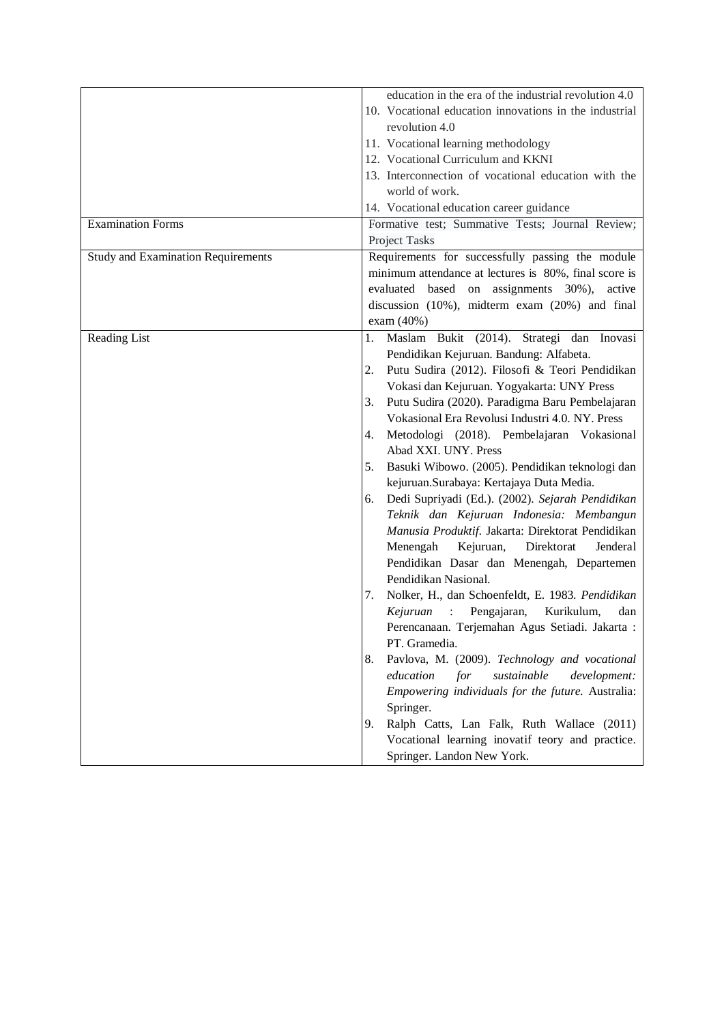|                                           | education in the era of the industrial revolution 4.0                    |
|-------------------------------------------|--------------------------------------------------------------------------|
|                                           | 10. Vocational education innovations in the industrial                   |
|                                           | revolution 4.0                                                           |
|                                           | 11. Vocational learning methodology                                      |
|                                           | 12. Vocational Curriculum and KKNI                                       |
|                                           |                                                                          |
|                                           | 13. Interconnection of vocational education with the                     |
|                                           | world of work.                                                           |
|                                           | 14. Vocational education career guidance                                 |
| <b>Examination Forms</b>                  | Formative test; Summative Tests; Journal Review;                         |
|                                           | Project Tasks                                                            |
| <b>Study and Examination Requirements</b> | Requirements for successfully passing the module                         |
|                                           | minimum attendance at lectures is 80%, final score is                    |
|                                           | evaluated based on assignments 30%),<br>active                           |
|                                           | discussion (10%), midterm exam (20%) and final                           |
|                                           | exam (40%)                                                               |
| Reading List                              | Maslam Bukit (2014). Strategi dan Inovasi<br>1.                          |
|                                           | Pendidikan Kejuruan. Bandung: Alfabeta.                                  |
|                                           | Putu Sudira (2012). Filosofi & Teori Pendidikan<br>2.                    |
|                                           | Vokasi dan Kejuruan. Yogyakarta: UNY Press                               |
|                                           | Putu Sudira (2020). Paradigma Baru Pembelajaran<br>3.                    |
|                                           | Vokasional Era Revolusi Industri 4.0. NY. Press                          |
|                                           |                                                                          |
|                                           | Metodologi (2018). Pembelajaran Vokasional<br>4.<br>Abad XXI. UNY. Press |
|                                           | Basuki Wibowo. (2005). Pendidikan teknologi dan<br>5.                    |
|                                           |                                                                          |
|                                           | kejuruan.Surabaya: Kertajaya Duta Media.                                 |
|                                           | Dedi Supriyadi (Ed.). (2002). Sejarah Pendidikan<br>6.                   |
|                                           | Teknik dan Kejuruan Indonesia: Membangun                                 |
|                                           | Manusia Produktif. Jakarta: Direktorat Pendidikan                        |
|                                           | Kejuruan,<br>Menengah<br>Direktorat<br>Jenderal                          |
|                                           | Pendidikan Dasar dan Menengah, Departemen                                |
|                                           | Pendidikan Nasional.                                                     |
|                                           | Nolker, H., dan Schoenfeldt, E. 1983. Pendidikan<br>7.                   |
|                                           | Kejuruan :<br>Pengajaran,<br>Kurikulum,<br>dan                           |
|                                           | Perencanaan. Terjemahan Agus Setiadi. Jakarta :                          |
|                                           | PT. Gramedia.                                                            |
|                                           | Pavlova, M. (2009). Technology and vocational<br>8.                      |
|                                           | education<br>for<br>sustainable<br>development:                          |
|                                           | Empowering individuals for the future. Australia:                        |
|                                           | Springer.                                                                |
|                                           | Ralph Catts, Lan Falk, Ruth Wallace (2011)<br>9.                         |
|                                           | Vocational learning inovatif teory and practice.                         |
|                                           |                                                                          |
|                                           | Springer. Landon New York.                                               |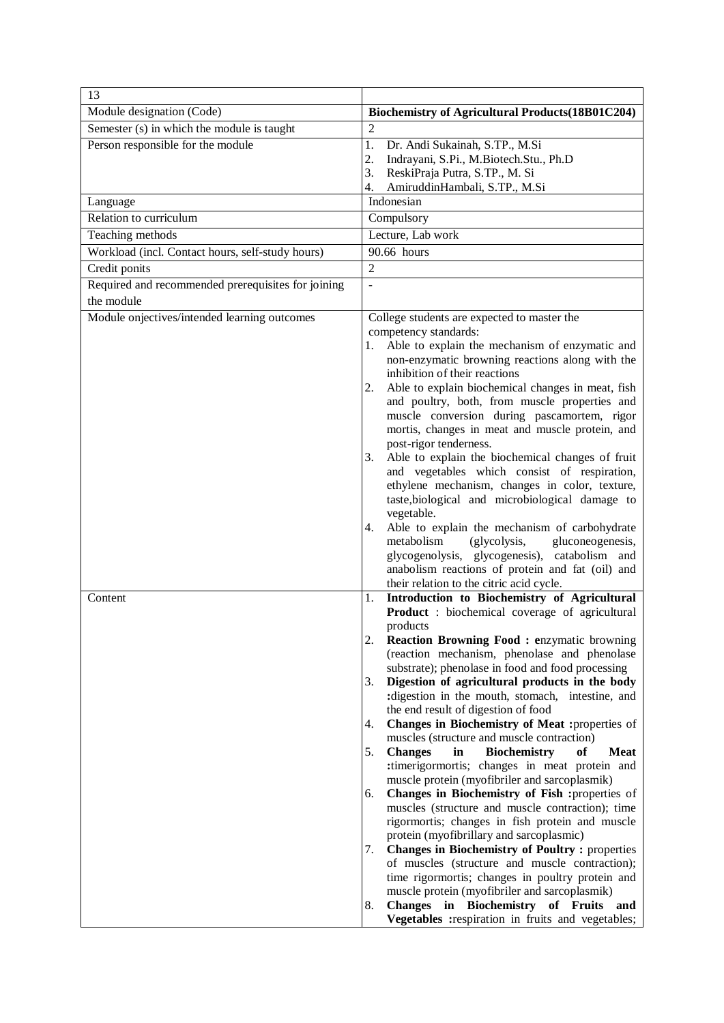| 13                                                 |                                                                                                                      |
|----------------------------------------------------|----------------------------------------------------------------------------------------------------------------------|
| Module designation (Code)                          | Biochemistry of Agricultural Products(18B01C204)                                                                     |
| Semester (s) in which the module is taught         | $\overline{2}$                                                                                                       |
| Person responsible for the module                  | 1.<br>Dr. Andi Sukainah, S.TP., M.Si                                                                                 |
|                                                    | Indrayani, S.Pi., M.Biotech.Stu., Ph.D<br>2.                                                                         |
|                                                    | ReskiPraja Putra, S.TP., M. Si<br>3.                                                                                 |
| Language                                           | AmiruddinHambali, S.TP., M.Si<br>4.<br>Indonesian                                                                    |
| Relation to curriculum                             | Compulsory                                                                                                           |
|                                                    | Lecture, Lab work                                                                                                    |
| Teaching methods                                   | 90.66 hours                                                                                                          |
| Workload (incl. Contact hours, self-study hours)   |                                                                                                                      |
| Credit ponits                                      | $\overline{2}$                                                                                                       |
| Required and recommended prerequisites for joining |                                                                                                                      |
| the module                                         |                                                                                                                      |
| Module onjectives/intended learning outcomes       | College students are expected to master the                                                                          |
|                                                    | competency standards:<br>Able to explain the mechanism of enzymatic and<br>1.                                        |
|                                                    | non-enzymatic browning reactions along with the                                                                      |
|                                                    | inhibition of their reactions                                                                                        |
|                                                    | Able to explain biochemical changes in meat, fish<br>2.                                                              |
|                                                    | and poultry, both, from muscle properties and                                                                        |
|                                                    | muscle conversion during pascamortem, rigor                                                                          |
|                                                    | mortis, changes in meat and muscle protein, and<br>post-rigor tenderness.                                            |
|                                                    | Able to explain the biochemical changes of fruit<br>3.                                                               |
|                                                    | and vegetables which consist of respiration,                                                                         |
|                                                    | ethylene mechanism, changes in color, texture,                                                                       |
|                                                    | taste, biological and microbiological damage to                                                                      |
|                                                    | vegetable.                                                                                                           |
|                                                    | Able to explain the mechanism of carbohydrate<br>4.<br>metabolism<br>(glycolysis,<br>gluconeogenesis,                |
|                                                    | glycogenolysis, glycogenesis), catabolism and                                                                        |
|                                                    | anabolism reactions of protein and fat (oil) and                                                                     |
|                                                    | their relation to the citric acid cycle.                                                                             |
| Content                                            | Introduction to Biochemistry of Agricultural<br>1.                                                                   |
|                                                    | <b>Product</b> : biochemical coverage of agricultural                                                                |
|                                                    | products                                                                                                             |
|                                                    | 2.<br><b>Reaction Browning Food: enzymatic browning</b><br>(reaction mechanism, phenolase and phenolase              |
|                                                    | substrate); phenolase in food and food processing                                                                    |
|                                                    | Digestion of agricultural products in the body<br>3.                                                                 |
|                                                    | :digestion in the mouth, stomach, intestine, and                                                                     |
|                                                    | the end result of digestion of food                                                                                  |
|                                                    | Changes in Biochemistry of Meat :properties of<br>4.                                                                 |
|                                                    | muscles (structure and muscle contraction)<br><b>Biochemistry</b><br>5.<br><b>Changes</b><br>in<br>of<br><b>Meat</b> |
|                                                    | :timerigormortis; changes in meat protein and                                                                        |
|                                                    | muscle protein (myofibriler and sarcoplasmik)                                                                        |
|                                                    | Changes in Biochemistry of Fish :properties of<br>6.                                                                 |
|                                                    | muscles (structure and muscle contraction); time                                                                     |
|                                                    | rigormortis; changes in fish protein and muscle                                                                      |
|                                                    | protein (myofibrillary and sarcoplasmic)                                                                             |
|                                                    | <b>Changes in Biochemistry of Poultry:</b> properties<br>7.<br>of muscles (structure and muscle contraction);        |
|                                                    | time rigormortis; changes in poultry protein and                                                                     |
|                                                    | muscle protein (myofibriler and sarcoplasmik)                                                                        |
|                                                    | Changes in Biochemistry of Fruits<br>8.<br>and                                                                       |
|                                                    | Vegetables : respiration in fruits and vegetables;                                                                   |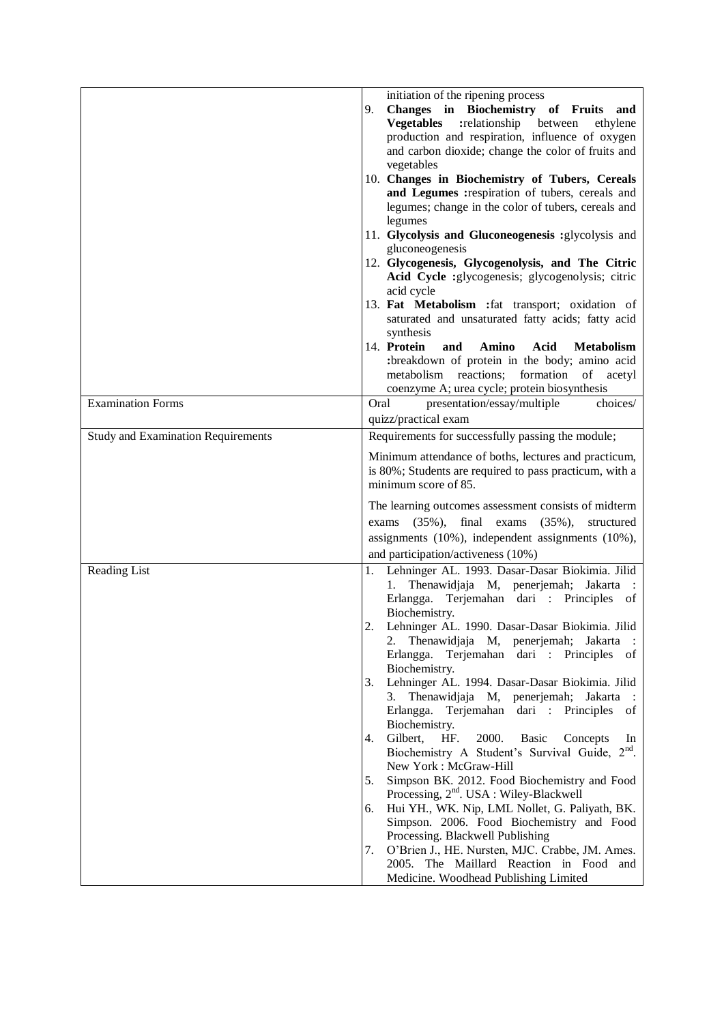|                                           | initiation of the ripening process<br>Changes in Biochemistry of Fruits<br>9.<br>and<br><b>Vegetables</b><br>:relationship<br>between<br>ethylene<br>production and respiration, influence of oxygen<br>and carbon dioxide; change the color of fruits and<br>vegetables<br>10. Changes in Biochemistry of Tubers, Cereals<br>and Legumes : respiration of tubers, cereals and<br>legumes; change in the color of tubers, cereals and<br>legumes<br>11. Glycolysis and Gluconeogenesis :glycolysis and<br>gluconeogenesis<br>12. Glycogenesis, Glycogenolysis, and The Citric<br>Acid Cycle :glycogenesis; glycogenolysis; citric<br>acid cycle<br>13. Fat Metabolism : fat transport; oxidation of                                                                                                                                                                                                                                                                                                                                                                                    |
|-------------------------------------------|----------------------------------------------------------------------------------------------------------------------------------------------------------------------------------------------------------------------------------------------------------------------------------------------------------------------------------------------------------------------------------------------------------------------------------------------------------------------------------------------------------------------------------------------------------------------------------------------------------------------------------------------------------------------------------------------------------------------------------------------------------------------------------------------------------------------------------------------------------------------------------------------------------------------------------------------------------------------------------------------------------------------------------------------------------------------------------------|
|                                           | saturated and unsaturated fatty acids; fatty acid<br>synthesis<br>14. Protein<br>Acid<br>and<br>Amino<br><b>Metabolism</b><br>:breakdown of protein in the body; amino acid<br>metabolism reactions; formation<br>of acetyl                                                                                                                                                                                                                                                                                                                                                                                                                                                                                                                                                                                                                                                                                                                                                                                                                                                            |
| <b>Examination Forms</b>                  | coenzyme A; urea cycle; protein biosynthesis<br>presentation/essay/multiple<br>Oral<br>choices/                                                                                                                                                                                                                                                                                                                                                                                                                                                                                                                                                                                                                                                                                                                                                                                                                                                                                                                                                                                        |
| <b>Study and Examination Requirements</b> | quizz/practical exam<br>Requirements for successfully passing the module;                                                                                                                                                                                                                                                                                                                                                                                                                                                                                                                                                                                                                                                                                                                                                                                                                                                                                                                                                                                                              |
|                                           | Minimum attendance of boths, lectures and practicum,<br>is 80%; Students are required to pass practicum, with a<br>minimum score of 85.                                                                                                                                                                                                                                                                                                                                                                                                                                                                                                                                                                                                                                                                                                                                                                                                                                                                                                                                                |
|                                           | The learning outcomes assessment consists of midterm<br>final exams<br>$(35\%)$ ,<br>$(35\%),$<br>structured<br>exams<br>assignments (10%), independent assignments (10%),<br>and participation/activeness (10%)                                                                                                                                                                                                                                                                                                                                                                                                                                                                                                                                                                                                                                                                                                                                                                                                                                                                       |
| Reading List                              | Lehninger AL. 1993. Dasar-Dasar Biokimia. Jilid<br>1.<br>Thenawidjaja M, penerjemah; Jakarta :<br>1.<br>Erlangga. Terjemahan dari : Principles of<br>Biochemistry.<br>2.<br>Lehninger AL. 1990. Dasar-Dasar Biokimia. Jilid<br>2. Thenawidjaja M, penerjemah; Jakarta :<br>Erlangga. Terjemahan dari : Principles of<br>Biochemistry.<br>Lehninger AL. 1994. Dasar-Dasar Biokimia. Jilid<br>3.<br>3. Thenawidjaja M, penerjemah; Jakarta<br>$\mathbb{R}^2$<br>Erlangga. Terjemahan dari : Principles of<br>Biochemistry.<br>2000.<br>Gilbert,<br>HF.<br>4.<br><b>Basic</b><br>Concepts<br>In<br>Biochemistry A Student's Survival Guide, 2 <sup>nd</sup> .<br>New York: McGraw-Hill<br>Simpson BK. 2012. Food Biochemistry and Food<br>5.<br>Processing, 2 <sup>nd</sup> . USA : Wiley-Blackwell<br>Hui YH., WK. Nip, LML Nollet, G. Paliyath, BK.<br>6.<br>Simpson. 2006. Food Biochemistry and Food<br>Processing. Blackwell Publishing<br>O'Brien J., HE. Nursten, MJC. Crabbe, JM. Ames.<br>7.<br>2005. The Maillard Reaction in Food and<br>Medicine. Woodhead Publishing Limited |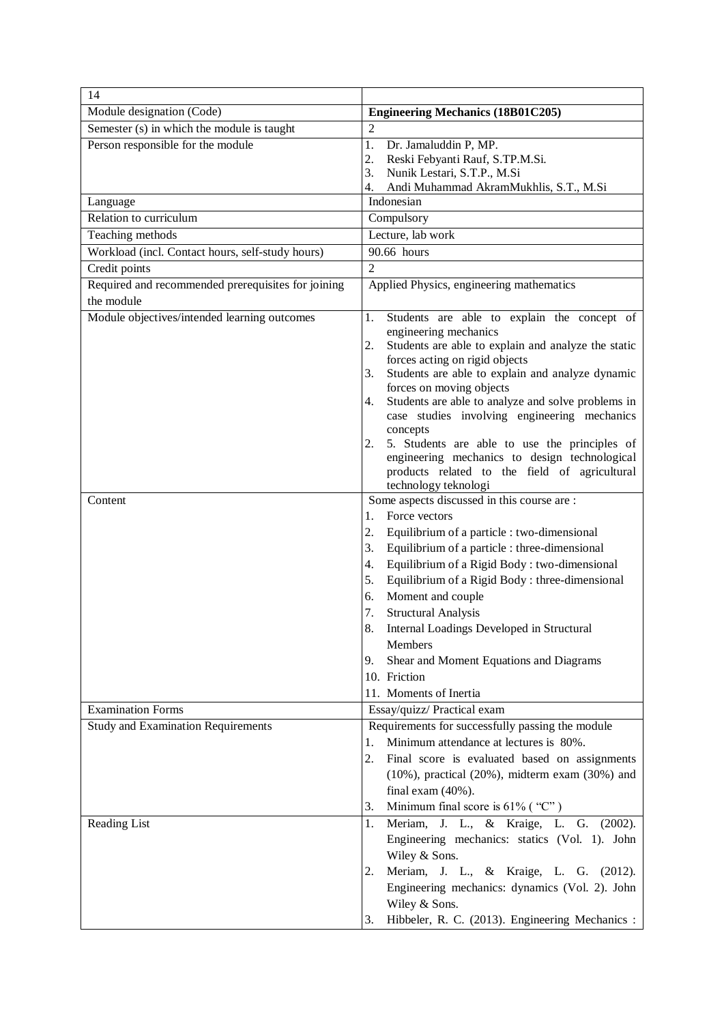| 14                                                 |                                                                                                          |
|----------------------------------------------------|----------------------------------------------------------------------------------------------------------|
| Module designation (Code)                          | <b>Engineering Mechanics (18B01C205)</b>                                                                 |
| Semester (s) in which the module is taught         | $\overline{2}$                                                                                           |
| Person responsible for the module                  | 1.<br>Dr. Jamaluddin P, MP.                                                                              |
|                                                    | 2.<br>Reski Febyanti Rauf, S.TP.M.Si.                                                                    |
|                                                    | Nunik Lestari, S.T.P., M.Si<br>3.<br>Andi Muhammad AkramMukhlis, S.T., M.Si<br>4.                        |
| Language                                           | Indonesian                                                                                               |
| Relation to curriculum                             | Compulsory                                                                                               |
| Teaching methods                                   | Lecture, lab work                                                                                        |
| Workload (incl. Contact hours, self-study hours)   | 90.66 hours                                                                                              |
| Credit points                                      | $\overline{2}$                                                                                           |
| Required and recommended prerequisites for joining | Applied Physics, engineering mathematics                                                                 |
| the module                                         |                                                                                                          |
| Module objectives/intended learning outcomes       | Students are able to explain the concept of<br>1.                                                        |
|                                                    | engineering mechanics                                                                                    |
|                                                    | Students are able to explain and analyze the static<br>2.<br>forces acting on rigid objects              |
|                                                    | Students are able to explain and analyze dynamic<br>3.                                                   |
|                                                    | forces on moving objects                                                                                 |
|                                                    | Students are able to analyze and solve problems in<br>4.                                                 |
|                                                    | case studies involving engineering mechanics<br>concepts                                                 |
|                                                    | 5. Students are able to use the principles of<br>2.                                                      |
|                                                    | engineering mechanics to design technological                                                            |
|                                                    | products related to the field of agricultural                                                            |
|                                                    | technology teknologi                                                                                     |
| Content                                            | Some aspects discussed in this course are :                                                              |
|                                                    | Force vectors<br>1.                                                                                      |
|                                                    | 2.<br>Equilibrium of a particle : two-dimensional<br>Equilibrium of a particle : three-dimensional<br>3. |
|                                                    | Equilibrium of a Rigid Body : two-dimensional<br>4.                                                      |
|                                                    | Equilibrium of a Rigid Body : three-dimensional<br>5.                                                    |
|                                                    | Moment and couple<br>6.                                                                                  |
|                                                    | 7.<br><b>Structural Analysis</b>                                                                         |
|                                                    | 8.<br>Internal Loadings Developed in Structural                                                          |
|                                                    | Members                                                                                                  |
|                                                    | Shear and Moment Equations and Diagrams<br>9.                                                            |
|                                                    | 10. Friction                                                                                             |
|                                                    | 11. Moments of Inertia                                                                                   |
| <b>Examination Forms</b>                           | Essay/quizz/ Practical exam                                                                              |
| <b>Study and Examination Requirements</b>          | Requirements for successfully passing the module                                                         |
|                                                    | Minimum attendance at lectures is 80%.<br>1.                                                             |
|                                                    | 2.<br>Final score is evaluated based on assignments                                                      |
|                                                    | $(10\%)$ , practical $(20\%)$ , midterm exam $(30\%)$ and                                                |
|                                                    | final exam $(40\%)$ .                                                                                    |
|                                                    | Minimum final score is $61\%$ ("C")<br>3.                                                                |
| Reading List                                       | Meriam, J. L., & Kraige, L. G. (2002).<br>1.                                                             |
|                                                    | Engineering mechanics: statics (Vol. 1). John                                                            |
|                                                    | Wiley & Sons.                                                                                            |
|                                                    | Meriam, J. L., & Kraige, L. G. (2012).<br>2.                                                             |
|                                                    | Engineering mechanics: dynamics (Vol. 2). John                                                           |
|                                                    | Wiley & Sons.                                                                                            |
|                                                    | Hibbeler, R. C. (2013). Engineering Mechanics :<br>3.                                                    |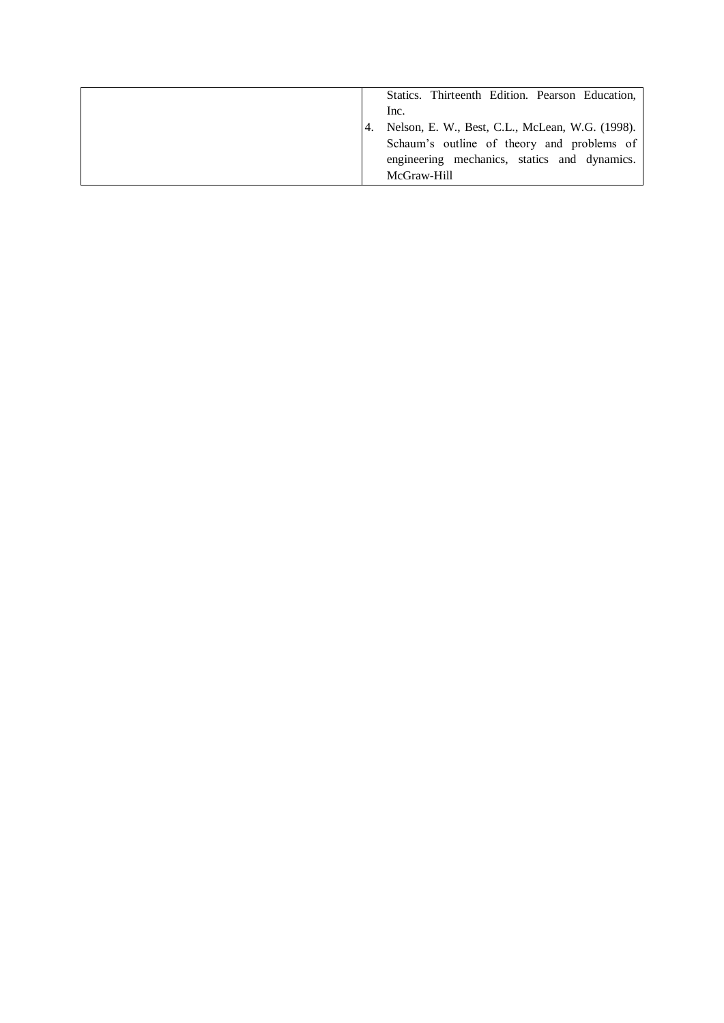|  | Statics. Thirteenth Edition. Pearson Education, |
|--|-------------------------------------------------|
|  | Inc.                                            |
|  | Nelson, E. W., Best, C.L., McLean, W.G. (1998). |
|  | Schaum's outline of theory and problems of      |
|  | engineering mechanics, statics and dynamics.    |
|  | McGraw-Hill                                     |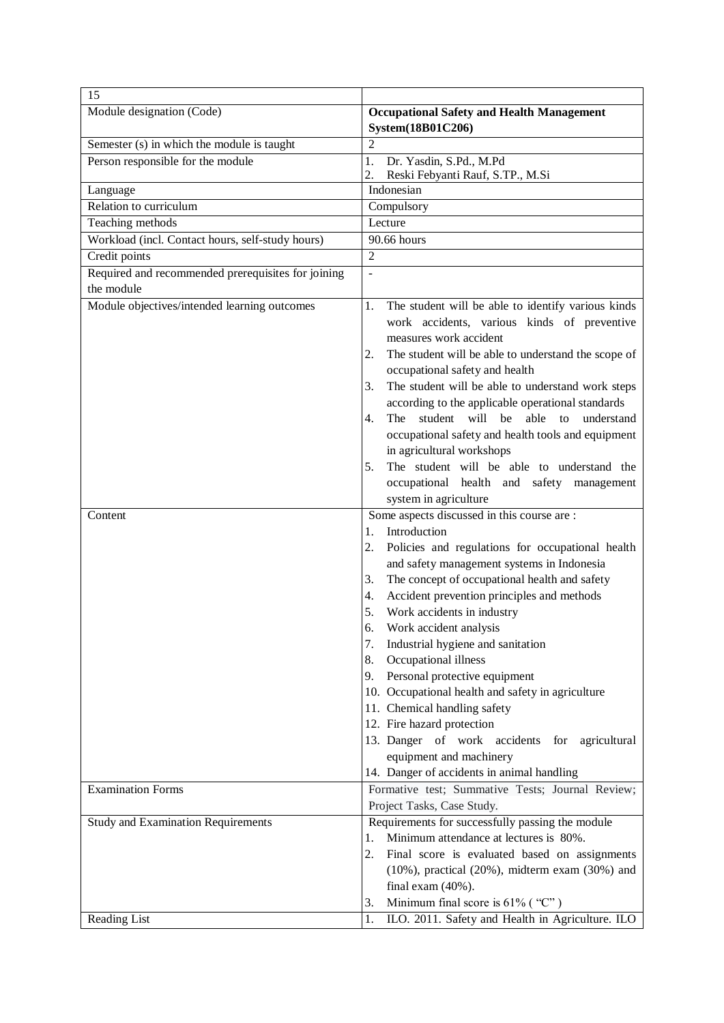| 15                                                        |                                                                                                                                                                                                                                                                                                                                                                                                                                                                                                                                                                                                                                                                                                                            |
|-----------------------------------------------------------|----------------------------------------------------------------------------------------------------------------------------------------------------------------------------------------------------------------------------------------------------------------------------------------------------------------------------------------------------------------------------------------------------------------------------------------------------------------------------------------------------------------------------------------------------------------------------------------------------------------------------------------------------------------------------------------------------------------------------|
| Module designation (Code)                                 | <b>Occupational Safety and Health Management</b><br>System(18B01C206)                                                                                                                                                                                                                                                                                                                                                                                                                                                                                                                                                                                                                                                      |
| Semester (s) in which the module is taught                | $\mathfrak{D}$                                                                                                                                                                                                                                                                                                                                                                                                                                                                                                                                                                                                                                                                                                             |
| Person responsible for the module                         | Dr. Yasdin, S.Pd., M.Pd<br>1.<br>Reski Febyanti Rauf, S.TP., M.Si<br>2.                                                                                                                                                                                                                                                                                                                                                                                                                                                                                                                                                                                                                                                    |
| Language                                                  | Indonesian                                                                                                                                                                                                                                                                                                                                                                                                                                                                                                                                                                                                                                                                                                                 |
| Relation to curriculum                                    | Compulsory                                                                                                                                                                                                                                                                                                                                                                                                                                                                                                                                                                                                                                                                                                                 |
| Teaching methods                                          | Lecture                                                                                                                                                                                                                                                                                                                                                                                                                                                                                                                                                                                                                                                                                                                    |
| Workload (incl. Contact hours, self-study hours)          | 90.66 hours                                                                                                                                                                                                                                                                                                                                                                                                                                                                                                                                                                                                                                                                                                                |
| Credit points                                             | $\overline{2}$                                                                                                                                                                                                                                                                                                                                                                                                                                                                                                                                                                                                                                                                                                             |
| Required and recommended prerequisites for joining        | $\overline{a}$                                                                                                                                                                                                                                                                                                                                                                                                                                                                                                                                                                                                                                                                                                             |
| the module                                                |                                                                                                                                                                                                                                                                                                                                                                                                                                                                                                                                                                                                                                                                                                                            |
| Module objectives/intended learning outcomes              | The student will be able to identify various kinds<br>1.<br>work accidents, various kinds of preventive<br>measures work accident<br>The student will be able to understand the scope of<br>2.<br>occupational safety and health<br>The student will be able to understand work steps<br>3.<br>according to the applicable operational standards<br>The student will be able to<br>understand<br>4.<br>occupational safety and health tools and equipment<br>in agricultural workshops<br>The student will be able to understand the<br>5.<br>occupational health and safety management                                                                                                                                    |
| Content                                                   | system in agriculture<br>Some aspects discussed in this course are :                                                                                                                                                                                                                                                                                                                                                                                                                                                                                                                                                                                                                                                       |
| <b>Examination Forms</b>                                  | Introduction<br>1.<br>Policies and regulations for occupational health<br>2.<br>and safety management systems in Indonesia<br>The concept of occupational health and safety<br>3.<br>Accident prevention principles and methods<br>4.<br>Work accidents in industry<br>5.<br>6.<br>Work accident analysis<br>Industrial hygiene and sanitation<br>7.<br>Occupational illness<br>8.<br>Personal protective equipment<br>9.<br>10. Occupational health and safety in agriculture<br>11. Chemical handling safety<br>12. Fire hazard protection<br>13. Danger of work accidents for agricultural<br>equipment and machinery<br>14. Danger of accidents in animal handling<br>Formative test; Summative Tests; Journal Review; |
|                                                           | Project Tasks, Case Study.                                                                                                                                                                                                                                                                                                                                                                                                                                                                                                                                                                                                                                                                                                 |
| <b>Study and Examination Requirements</b><br>Reading List | Requirements for successfully passing the module<br>Minimum attendance at lectures is 80%.<br>1.<br>2.<br>Final score is evaluated based on assignments<br>$(10\%)$ , practical $(20\%)$ , midterm exam $(30\%)$ and<br>final exam $(40\%)$ .<br>Minimum final score is $61\%$ ("C")<br>3.<br>ILO. 2011. Safety and Health in Agriculture. ILO<br>1.                                                                                                                                                                                                                                                                                                                                                                       |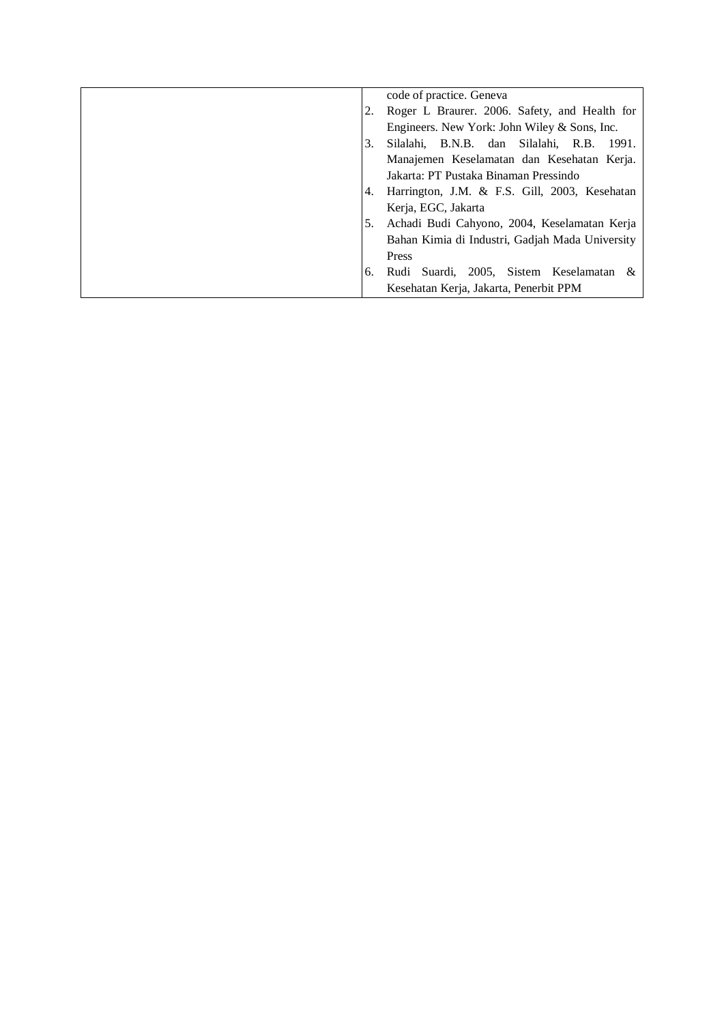|     | code of practice. Geneva                        |
|-----|-------------------------------------------------|
|     | Roger L Braurer. 2006. Safety, and Health for   |
|     | Engineers. New York: John Wiley & Sons, Inc.    |
| 3.  | Silalahi, B.N.B. dan Silalahi, R.B.<br>-1991.   |
|     | Manajemen Keselamatan dan Kesehatan Kerja.      |
|     | Jakarta: PT Pustaka Binaman Pressindo           |
| 4.  | Harrington, J.M. & F.S. Gill, 2003, Kesehatan   |
|     | Kerja, EGC, Jakarta                             |
| .5. | Achadi Budi Cahyono, 2004, Keselamatan Kerja    |
|     | Bahan Kimia di Industri, Gadjah Mada University |
|     | Press                                           |
| 6.  | Suardi, 2005, Sistem Keselamatan &<br>Rudi      |
|     | Kesehatan Kerja, Jakarta, Penerbit PPM          |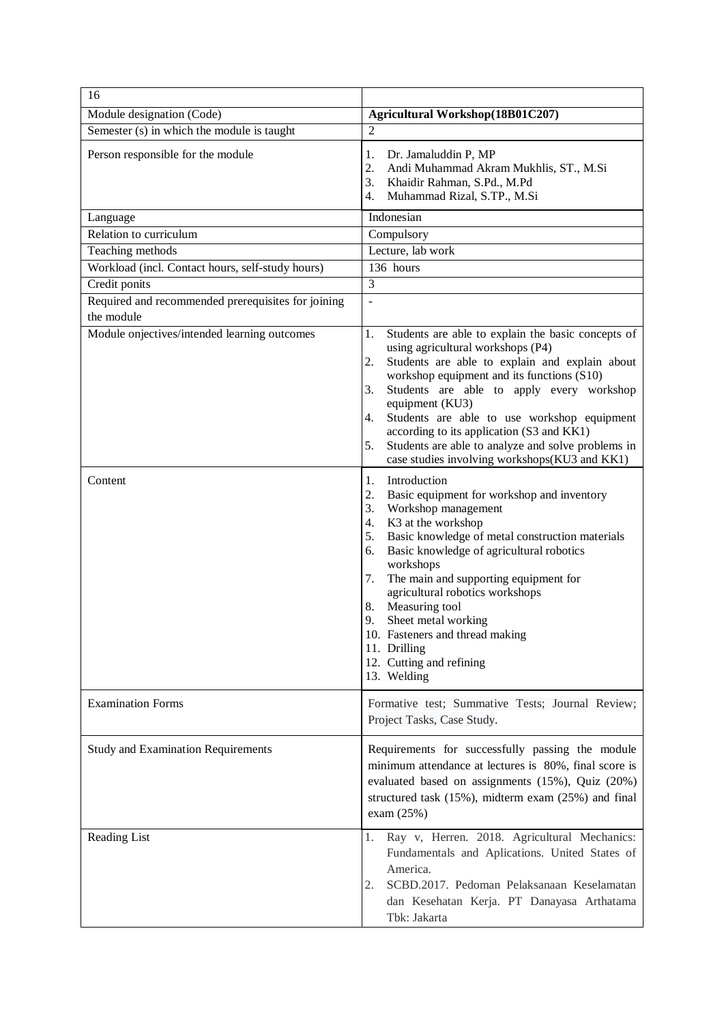| 16                                                               |                                                                                                                                                                                                                                                                                                                                                                                                                                                                                              |
|------------------------------------------------------------------|----------------------------------------------------------------------------------------------------------------------------------------------------------------------------------------------------------------------------------------------------------------------------------------------------------------------------------------------------------------------------------------------------------------------------------------------------------------------------------------------|
| Module designation (Code)                                        | Agricultural Workshop(18B01C207)                                                                                                                                                                                                                                                                                                                                                                                                                                                             |
| Semester (s) in which the module is taught                       | $\mathfrak{D}$                                                                                                                                                                                                                                                                                                                                                                                                                                                                               |
| Person responsible for the module                                | Dr. Jamaluddin P, MP<br>1.<br>2.<br>Andi Muhammad Akram Mukhlis, ST., M.Si<br>Khaidir Rahman, S.Pd., M.Pd<br>3.<br>Muhammad Rizal, S.TP., M.Si<br>4.                                                                                                                                                                                                                                                                                                                                         |
| Language                                                         | Indonesian                                                                                                                                                                                                                                                                                                                                                                                                                                                                                   |
| Relation to curriculum                                           | Compulsory                                                                                                                                                                                                                                                                                                                                                                                                                                                                                   |
| Teaching methods                                                 | Lecture, lab work                                                                                                                                                                                                                                                                                                                                                                                                                                                                            |
| Workload (incl. Contact hours, self-study hours)                 | 136 hours                                                                                                                                                                                                                                                                                                                                                                                                                                                                                    |
| Credit ponits                                                    | $\overline{3}$                                                                                                                                                                                                                                                                                                                                                                                                                                                                               |
| Required and recommended prerequisites for joining<br>the module | $\overline{\phantom{a}}$                                                                                                                                                                                                                                                                                                                                                                                                                                                                     |
| Module onjectives/intended learning outcomes                     | Students are able to explain the basic concepts of<br>1.<br>using agricultural workshops (P4)<br>Students are able to explain and explain about<br>2.<br>workshop equipment and its functions (S10)<br>3.<br>Students are able to apply every workshop<br>equipment (KU3)<br>Students are able to use workshop equipment<br>4.<br>according to its application (S3 and KK1)<br>Students are able to analyze and solve problems in<br>5.<br>case studies involving workshops(KU3 and KK1)     |
| Content                                                          | 1.<br>Introduction<br>2.<br>Basic equipment for workshop and inventory<br>Workshop management<br>3.<br>K3 at the workshop<br>4.<br>5.<br>Basic knowledge of metal construction materials<br>Basic knowledge of agricultural robotics<br>6.<br>workshops<br>The main and supporting equipment for<br>7.<br>agricultural robotics workshops<br>Measuring tool<br>8.<br>Sheet metal working<br>9.<br>10. Fasteners and thread making<br>11. Drilling<br>12. Cutting and refining<br>13. Welding |
| <b>Examination Forms</b>                                         | Formative test; Summative Tests; Journal Review;<br>Project Tasks, Case Study.                                                                                                                                                                                                                                                                                                                                                                                                               |
| <b>Study and Examination Requirements</b>                        | Requirements for successfully passing the module<br>minimum attendance at lectures is 80%, final score is<br>evaluated based on assignments (15%), Quiz (20%)<br>structured task (15%), midterm exam (25%) and final<br>exam $(25%)$                                                                                                                                                                                                                                                         |
| Reading List                                                     | Ray v, Herren. 2018. Agricultural Mechanics:<br>1.<br>Fundamentals and Aplications. United States of<br>America.<br>SCBD.2017. Pedoman Pelaksanaan Keselamatan<br>2.<br>dan Kesehatan Kerja. PT Danayasa Arthatama<br>Tbk: Jakarta                                                                                                                                                                                                                                                           |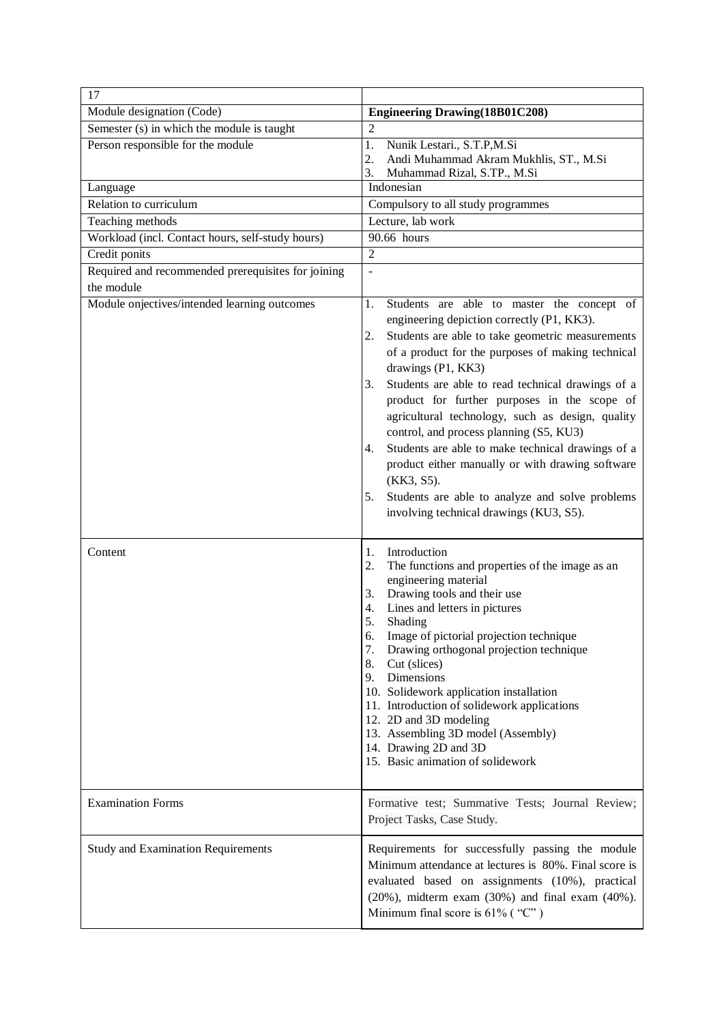| 17                                                 |                                                                                                                                                                                                                                                                                                                                                                                                                                                                                                                                                                                                                                                                                |
|----------------------------------------------------|--------------------------------------------------------------------------------------------------------------------------------------------------------------------------------------------------------------------------------------------------------------------------------------------------------------------------------------------------------------------------------------------------------------------------------------------------------------------------------------------------------------------------------------------------------------------------------------------------------------------------------------------------------------------------------|
| Module designation (Code)                          | <b>Engineering Drawing (18B01C208)</b>                                                                                                                                                                                                                                                                                                                                                                                                                                                                                                                                                                                                                                         |
| Semester (s) in which the module is taught         | 2                                                                                                                                                                                                                                                                                                                                                                                                                                                                                                                                                                                                                                                                              |
| Person responsible for the module                  | Nunik Lestari., S.T.P,M.Si<br>1.                                                                                                                                                                                                                                                                                                                                                                                                                                                                                                                                                                                                                                               |
|                                                    | $\overline{2}$ .<br>Andi Muhammad Akram Mukhlis, ST., M.Si<br>3.<br>Muhammad Rizal, S.TP., M.Si                                                                                                                                                                                                                                                                                                                                                                                                                                                                                                                                                                                |
| Language                                           | Indonesian                                                                                                                                                                                                                                                                                                                                                                                                                                                                                                                                                                                                                                                                     |
| Relation to curriculum                             | Compulsory to all study programmes                                                                                                                                                                                                                                                                                                                                                                                                                                                                                                                                                                                                                                             |
| Teaching methods                                   | Lecture, lab work                                                                                                                                                                                                                                                                                                                                                                                                                                                                                                                                                                                                                                                              |
| Workload (incl. Contact hours, self-study hours)   | 90.66 hours                                                                                                                                                                                                                                                                                                                                                                                                                                                                                                                                                                                                                                                                    |
| Credit ponits                                      | $\overline{2}$                                                                                                                                                                                                                                                                                                                                                                                                                                                                                                                                                                                                                                                                 |
| Required and recommended prerequisites for joining | $\overline{a}$                                                                                                                                                                                                                                                                                                                                                                                                                                                                                                                                                                                                                                                                 |
| the module                                         |                                                                                                                                                                                                                                                                                                                                                                                                                                                                                                                                                                                                                                                                                |
| Module onjectives/intended learning outcomes       | Students are able to master the concept of<br>1.<br>engineering depiction correctly (P1, KK3).<br>Students are able to take geometric measurements<br>2.<br>of a product for the purposes of making technical<br>drawings (P1, KK3)<br>Students are able to read technical drawings of a<br>3.<br>product for further purposes in the scope of<br>agricultural technology, such as design, quality<br>control, and process planning (S5, KU3)<br>Students are able to make technical drawings of a<br>4.<br>product either manually or with drawing software<br>(KK3, S5).<br>Students are able to analyze and solve problems<br>5.<br>involving technical drawings (KU3, S5). |
| Content                                            | Introduction<br>1.<br>The functions and properties of the image as an<br>2.<br>engineering material<br>Drawing tools and their use<br>3.<br>Lines and letters in pictures<br>4.<br>5.<br>Shading<br>Image of pictorial projection technique<br>6.<br>Drawing orthogonal projection technique<br>7.<br>8.<br>Cut (slices)<br>9. Dimensions<br>10. Solidework application installation<br>11. Introduction of solidework applications<br>12. 2D and 3D modeling<br>13. Assembling 3D model (Assembly)<br>14. Drawing 2D and 3D<br>15. Basic animation of solidework                                                                                                              |
| <b>Examination Forms</b>                           | Formative test; Summative Tests; Journal Review;<br>Project Tasks, Case Study.                                                                                                                                                                                                                                                                                                                                                                                                                                                                                                                                                                                                 |
| <b>Study and Examination Requirements</b>          | Requirements for successfully passing the module<br>Minimum attendance at lectures is 80%. Final score is<br>evaluated based on assignments (10%), practical<br>$(20\%)$ , midterm exam $(30\%)$ and final exam $(40\%)$ .<br>Minimum final score is $61\%$ ("C")                                                                                                                                                                                                                                                                                                                                                                                                              |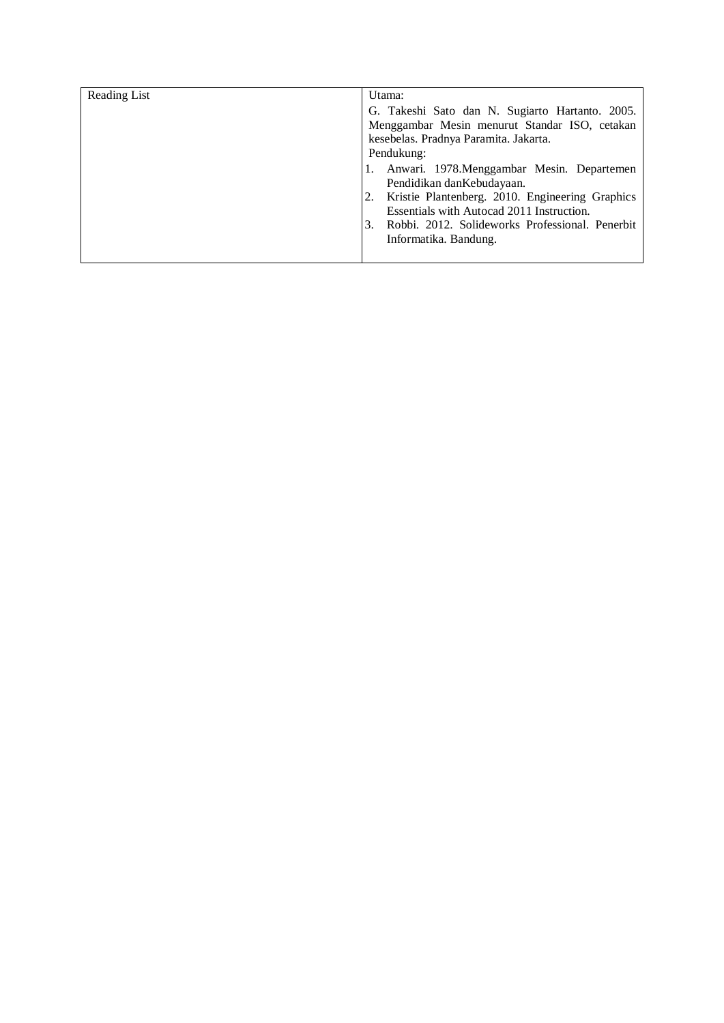| Reading List | Utama:                                                                                                                                                                   |
|--------------|--------------------------------------------------------------------------------------------------------------------------------------------------------------------------|
|              | G. Takeshi Sato dan N. Sugiarto Hartanto. 2005.                                                                                                                          |
|              | Menggambar Mesin menurut Standar ISO, cetakan                                                                                                                            |
|              | kesebelas. Pradnya Paramita. Jakarta.                                                                                                                                    |
|              | Pendukung:                                                                                                                                                               |
|              | Anwari. 1978. Menggambar Mesin. Departemen<br>Pendidikan dan Kebudayaan.<br>Kristie Plantenberg. 2010. Engineering Graphics<br>Essentials with Autocad 2011 Instruction. |
|              | Robbi. 2012. Solideworks Professional. Penerbit<br>3.<br>Informatika. Bandung.                                                                                           |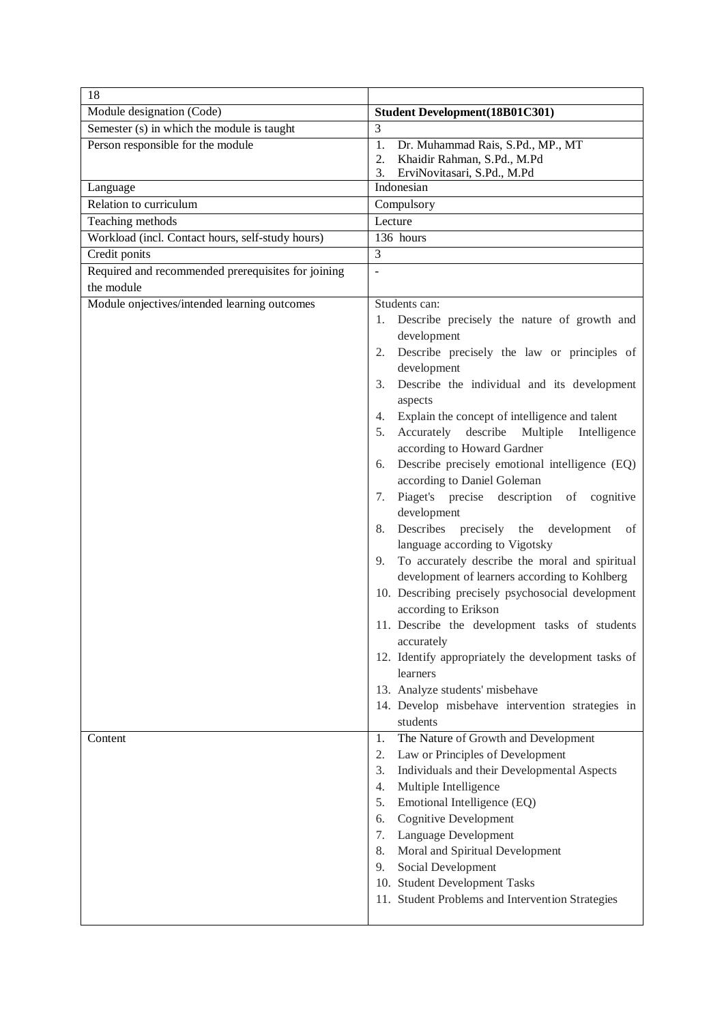| 18                                                 |                                                                                                                   |
|----------------------------------------------------|-------------------------------------------------------------------------------------------------------------------|
| Module designation (Code)                          | <b>Student Development (18B01C301)</b>                                                                            |
| Semester (s) in which the module is taught         | 3                                                                                                                 |
| Person responsible for the module                  | 1.<br>Dr. Muhammad Rais, S.Pd., MP., MT<br>2.<br>Khaidir Rahman, S.Pd., M.Pd<br>3.<br>ErviNovitasari, S.Pd., M.Pd |
| Language                                           | Indonesian                                                                                                        |
| Relation to curriculum                             | Compulsory                                                                                                        |
| Teaching methods                                   | Lecture                                                                                                           |
| Workload (incl. Contact hours, self-study hours)   | 136 hours                                                                                                         |
| Credit ponits                                      | 3                                                                                                                 |
| Required and recommended prerequisites for joining | $\overline{a}$                                                                                                    |
| the module                                         |                                                                                                                   |
| Module onjectives/intended learning outcomes       | Students can:                                                                                                     |
|                                                    | Describe precisely the nature of growth and<br>1.<br>development                                                  |
|                                                    | Describe precisely the law or principles of<br>2.<br>development                                                  |
|                                                    | Describe the individual and its development<br>3.<br>aspects                                                      |
|                                                    | Explain the concept of intelligence and talent<br>4.                                                              |
|                                                    | describe<br>Accurately<br>Multiple<br>Intelligence<br>5.                                                          |
|                                                    | according to Howard Gardner<br>Describe precisely emotional intelligence (EQ)<br>6.                               |
|                                                    | according to Daniel Goleman                                                                                       |
|                                                    | Piaget's precise description of cognitive<br>7.<br>development                                                    |
|                                                    | Describes precisely the<br>development<br>8.<br>οf<br>language according to Vigotsky                              |
|                                                    | To accurately describe the moral and spiritual<br>9.<br>development of learners according to Kohlberg             |
|                                                    | 10. Describing precisely psychosocial development                                                                 |
|                                                    | according to Erikson<br>11. Describe the development tasks of students                                            |
|                                                    | accurately                                                                                                        |
|                                                    | 12. Identify appropriately the development tasks of<br>learners                                                   |
|                                                    | 13. Analyze students' misbehave                                                                                   |
|                                                    | 14. Develop misbehave intervention strategies in                                                                  |
|                                                    | students                                                                                                          |
| Content                                            | The Nature of Growth and Development<br>1.                                                                        |
|                                                    | Law or Principles of Development<br>2.                                                                            |
|                                                    | 3.<br>Individuals and their Developmental Aspects                                                                 |
|                                                    | Multiple Intelligence<br>4.                                                                                       |
|                                                    | Emotional Intelligence (EQ)<br>5.                                                                                 |
|                                                    | <b>Cognitive Development</b><br>6.                                                                                |
|                                                    | Language Development<br>7.                                                                                        |
|                                                    | Moral and Spiritual Development<br>8.                                                                             |
|                                                    | Social Development<br>9.                                                                                          |
|                                                    | 10. Student Development Tasks                                                                                     |
|                                                    | 11. Student Problems and Intervention Strategies                                                                  |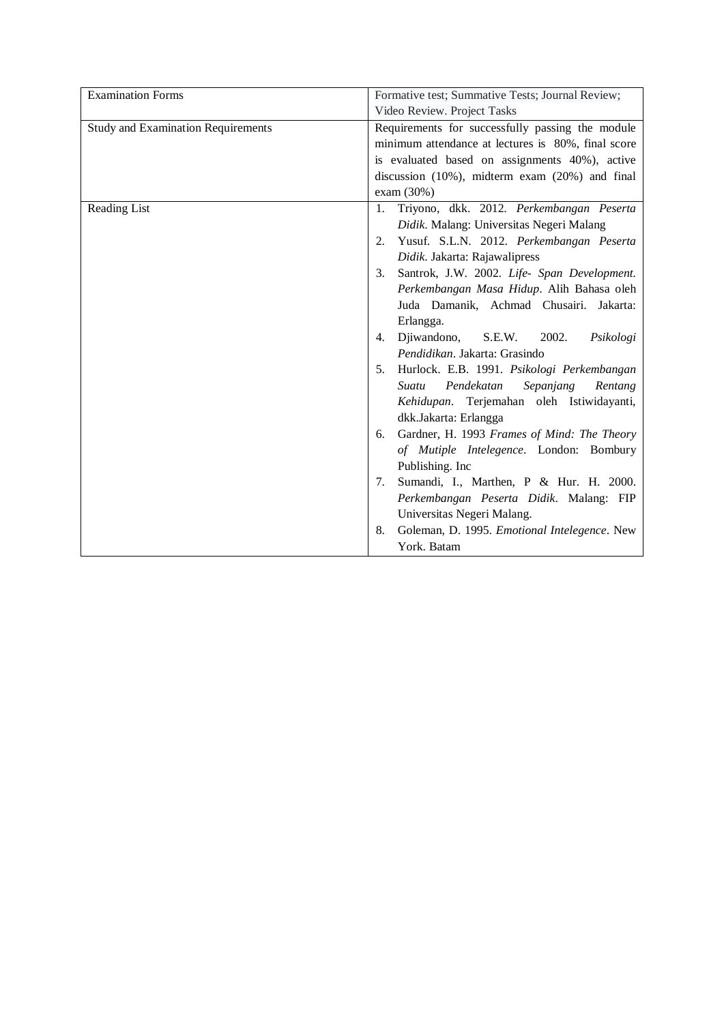| <b>Examination Forms</b>                  | Formative test; Summative Tests; Journal Review;                                         |
|-------------------------------------------|------------------------------------------------------------------------------------------|
|                                           | Video Review. Project Tasks                                                              |
| <b>Study and Examination Requirements</b> | Requirements for successfully passing the module                                         |
|                                           | minimum attendance at lectures is 80%, final score                                       |
|                                           | is evaluated based on assignments 40%), active                                           |
|                                           | discussion $(10\%)$ , midterm exam $(20\%)$ and final                                    |
|                                           | exam (30%)                                                                               |
| Reading List                              | Triyono, dkk. 2012. Perkembangan Peserta<br>1.                                           |
|                                           | Didik. Malang: Universitas Negeri Malang                                                 |
|                                           | Yusuf. S.L.N. 2012. Perkembangan Peserta<br>2.                                           |
|                                           | Didik. Jakarta: Rajawalipress                                                            |
|                                           | Santrok, J.W. 2002. Life- Span Development.<br>3.                                        |
|                                           | Perkembangan Masa Hidup. Alih Bahasa oleh                                                |
|                                           | Juda Damanik, Achmad Chusairi. Jakarta:                                                  |
|                                           | Erlangga.                                                                                |
|                                           | Djiwandono,<br>2002.<br>S.E.W.<br>Psikologi<br>4.                                        |
|                                           | Pendidikan. Jakarta: Grasindo                                                            |
|                                           | Hurlock. E.B. 1991. Psikologi Perkembangan<br>5.                                         |
|                                           | Pendekatan<br>Sepanjang<br>Suatu<br>Rentang<br>Kehidupan. Terjemahan oleh Istiwidayanti, |
|                                           | dkk.Jakarta: Erlangga                                                                    |
|                                           | Gardner, H. 1993 Frames of Mind: The Theory<br>6.                                        |
|                                           | of Mutiple Intelegence. London: Bombury                                                  |
|                                           | Publishing. Inc                                                                          |
|                                           | Sumandi, I., Marthen, P & Hur. H. 2000.<br>7.                                            |
|                                           | Perkembangan Peserta Didik. Malang: FIP                                                  |
|                                           | Universitas Negeri Malang.                                                               |
|                                           | Goleman, D. 1995. Emotional Intelegence. New<br>8.                                       |
|                                           | York. Batam                                                                              |
|                                           |                                                                                          |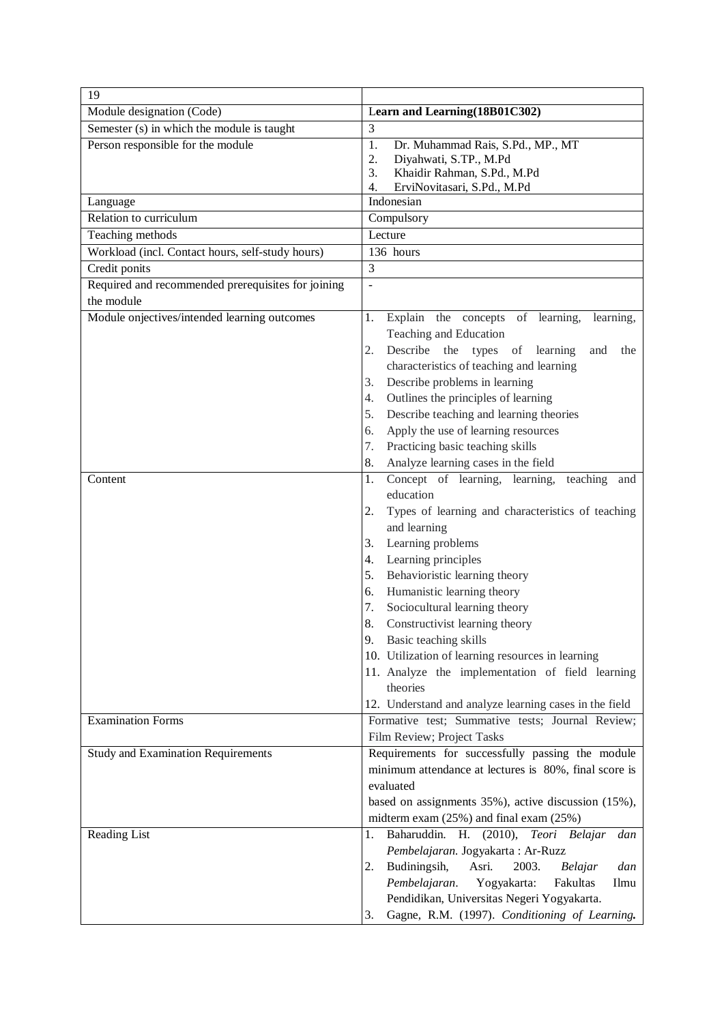| 19                                                 |                                                         |
|----------------------------------------------------|---------------------------------------------------------|
| Module designation (Code)                          | Learn and Learning (18B01C302)                          |
| Semester (s) in which the module is taught         | 3                                                       |
| Person responsible for the module                  | 1.<br>Dr. Muhammad Rais, S.Pd., MP., MT                 |
|                                                    | 2.<br>Diyahwati, S.TP., M.Pd                            |
|                                                    | 3.<br>Khaidir Rahman, S.Pd., M.Pd                       |
|                                                    | ErviNovitasari, S.Pd., M.Pd<br>4.<br>Indonesian         |
| Language<br>Relation to curriculum                 |                                                         |
| Teaching methods                                   | Compulsory<br>Lecture                                   |
| Workload (incl. Contact hours, self-study hours)   | 136 hours                                               |
| Credit ponits                                      | 3                                                       |
| Required and recommended prerequisites for joining |                                                         |
| the module                                         | $\overline{a}$                                          |
| Module onjectives/intended learning outcomes       | Explain the concepts of learning,<br>1.                 |
|                                                    | learning,<br>Teaching and Education                     |
|                                                    | 2.<br>Describe the types of learning<br>and<br>the      |
|                                                    | characteristics of teaching and learning                |
|                                                    | Describe problems in learning<br>3.                     |
|                                                    | Outlines the principles of learning<br>4.               |
|                                                    | Describe teaching and learning theories<br>5.           |
|                                                    | Apply the use of learning resources<br>6.               |
|                                                    | Practicing basic teaching skills<br>7.                  |
|                                                    | Analyze learning cases in the field<br>8.               |
| Content                                            | Concept of learning, learning,<br>1.<br>teaching<br>and |
|                                                    | education                                               |
|                                                    | 2.<br>Types of learning and characteristics of teaching |
|                                                    | and learning                                            |
|                                                    | Learning problems<br>3.                                 |
|                                                    | Learning principles<br>4.                               |
|                                                    | 5.<br>Behavioristic learning theory                     |
|                                                    | Humanistic learning theory<br>6.                        |
|                                                    | Sociocultural learning theory<br>7.                     |
|                                                    | 8.<br>Constructivist learning theory                    |
|                                                    | 9. Basic teaching skills                                |
|                                                    | 10. Utilization of learning resources in learning       |
|                                                    | 11. Analyze the implementation of field learning        |
|                                                    | theories                                                |
|                                                    | 12. Understand and analyze learning cases in the field  |
| <b>Examination Forms</b>                           | Formative test; Summative tests; Journal Review;        |
|                                                    | Film Review; Project Tasks                              |
| <b>Study and Examination Requirements</b>          | Requirements for successfully passing the module        |
|                                                    | minimum attendance at lectures is 80%, final score is   |
|                                                    | evaluated                                               |
|                                                    | based on assignments 35%), active discussion (15%),     |
|                                                    | midterm exam $(25%)$ and final exam $(25%)$             |
| Reading List                                       | Baharuddin. H. (2010), Teori Belajar<br>dan<br>1.       |
|                                                    | Pembelajaran. Jogyakarta: Ar-Ruzz                       |
|                                                    | Budiningsih,<br>Asri.<br>2003.<br>dan<br>2.<br>Belajar  |
|                                                    | Pembelajaran.<br>Yogyakarta:<br>Fakultas<br>Ilmu        |
|                                                    | Pendidikan, Universitas Negeri Yogyakarta.              |
|                                                    | Gagne, R.M. (1997). Conditioning of Learning.<br>3.     |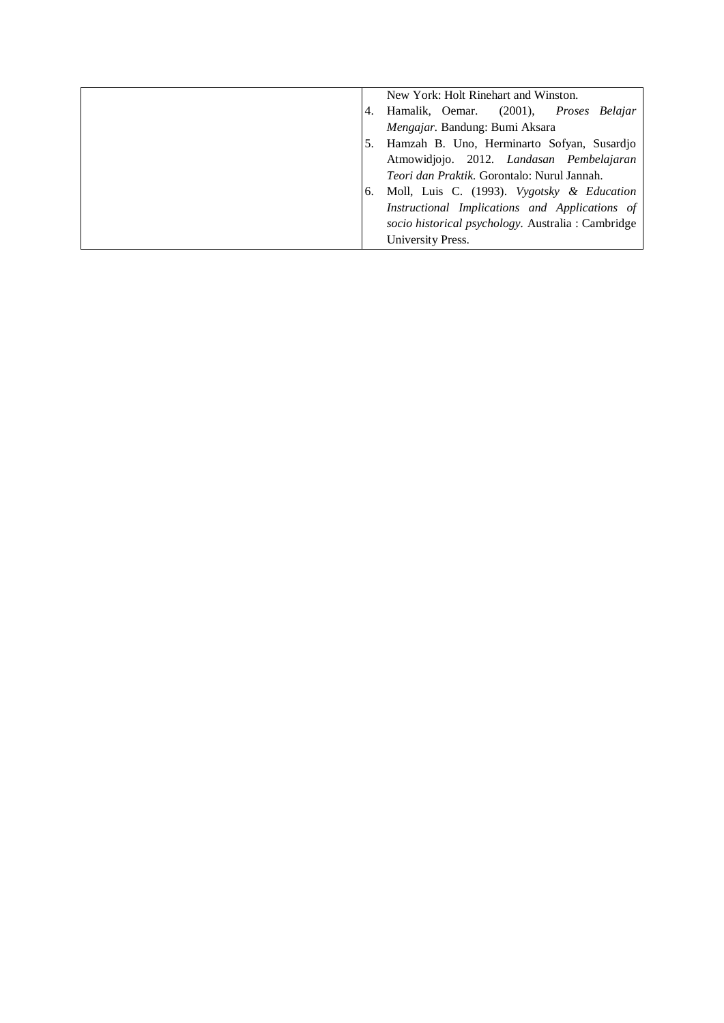| New York: Holt Rinehart and Winston.               |
|----------------------------------------------------|
| 4. Hamalik, Oemar. (2001), Proses Belajar          |
| Mengajar. Bandung: Bumi Aksara                     |
| 5. Hamzah B. Uno, Herminarto Sofyan, Susardjo      |
| Atmowidjojo. 2012. Landasan Pembelajaran           |
| <i>Teori dan Praktik.</i> Gorontalo: Nurul Jannah. |
| 6. Moll, Luis C. (1993). Vygotsky & Education      |
| Instructional Implications and Applications of     |
| socio historical psychology. Australia : Cambridge |
| University Press.                                  |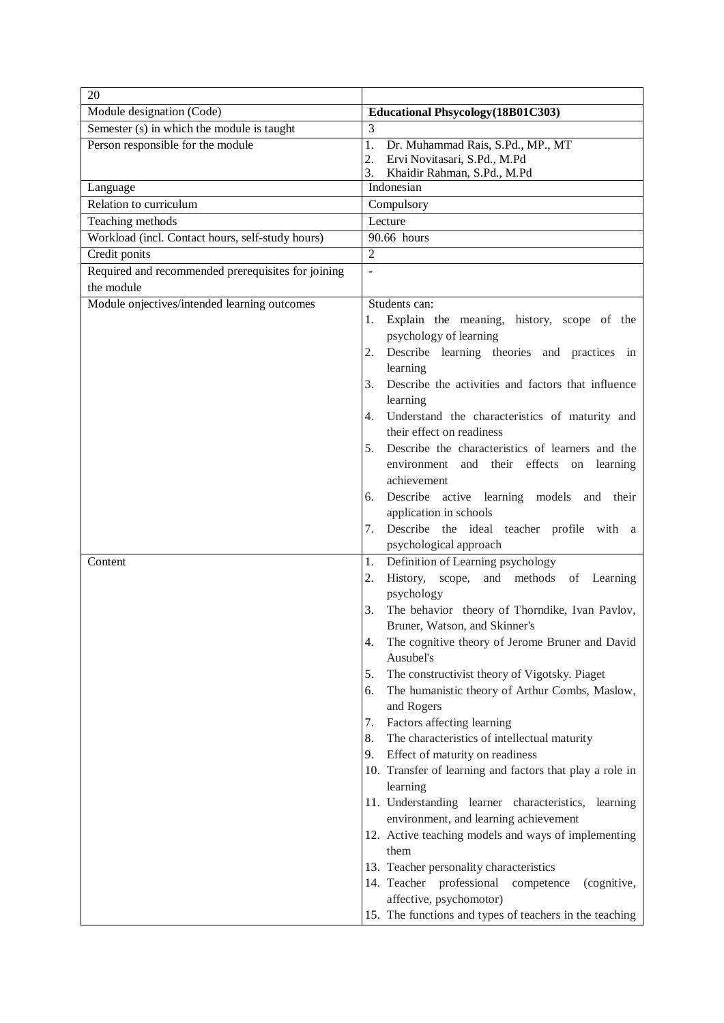| 20                                                 |                                                                    |
|----------------------------------------------------|--------------------------------------------------------------------|
| Module designation (Code)                          | <b>Educational Phsycology</b> (18B01C303)                          |
| Semester (s) in which the module is taught         | 3                                                                  |
| Person responsible for the module                  | 1.<br>Dr. Muhammad Rais, S.Pd., MP., MT                            |
|                                                    | Ervi Novitasari, S.Pd., M.Pd<br>2.                                 |
| Language                                           | 3.<br>Khaidir Rahman, S.Pd., M.Pd<br>Indonesian                    |
| Relation to curriculum                             | Compulsory                                                         |
| Teaching methods                                   | Lecture                                                            |
| Workload (incl. Contact hours, self-study hours)   | 90.66 hours                                                        |
| Credit ponits                                      | $\overline{2}$                                                     |
| Required and recommended prerequisites for joining | $\overline{\phantom{a}}$                                           |
| the module                                         |                                                                    |
| Module onjectives/intended learning outcomes       | Students can:                                                      |
|                                                    | Explain the meaning, history, scope of the<br>1.                   |
|                                                    | psychology of learning                                             |
|                                                    | Describe learning theories and practices in<br>2.                  |
|                                                    | learning                                                           |
|                                                    | Describe the activities and factors that influence<br>3.           |
|                                                    | learning                                                           |
|                                                    | Understand the characteristics of maturity and<br>4.               |
|                                                    | their effect on readiness                                          |
|                                                    | Describe the characteristics of learners and the<br>5.             |
|                                                    | environment and their effects on learning                          |
|                                                    | achievement                                                        |
|                                                    | Describe active learning models and their<br>6.                    |
|                                                    | application in schools                                             |
|                                                    | Describe the ideal teacher profile with a<br>7.                    |
|                                                    | psychological approach                                             |
| Content                                            | Definition of Learning psychology<br>1.                            |
|                                                    | History, scope,<br>and methods of Learning<br>2.                   |
|                                                    | psychology<br>3.<br>The behavior theory of Thorndike, Ivan Pavlov, |
|                                                    | Bruner, Watson, and Skinner's                                      |
|                                                    | The cognitive theory of Jerome Bruner and David<br>4.              |
|                                                    | Ausubel's                                                          |
|                                                    | 5.<br>The constructivist theory of Vigotsky. Piaget                |
|                                                    | The humanistic theory of Arthur Combs, Maslow,<br>6.               |
|                                                    | and Rogers                                                         |
|                                                    | Factors affecting learning<br>7.                                   |
|                                                    | The characteristics of intellectual maturity<br>8.                 |
|                                                    | Effect of maturity on readiness<br>9.                              |
|                                                    | 10. Transfer of learning and factors that play a role in           |
|                                                    | learning                                                           |
|                                                    | 11. Understanding learner characteristics, learning                |
|                                                    | environment, and learning achievement                              |
|                                                    | 12. Active teaching models and ways of implementing                |
|                                                    | them                                                               |
|                                                    | 13. Teacher personality characteristics                            |
|                                                    | 14. Teacher professional<br>competence<br>(cognitive,              |
|                                                    | affective, psychomotor)                                            |
|                                                    | 15. The functions and types of teachers in the teaching            |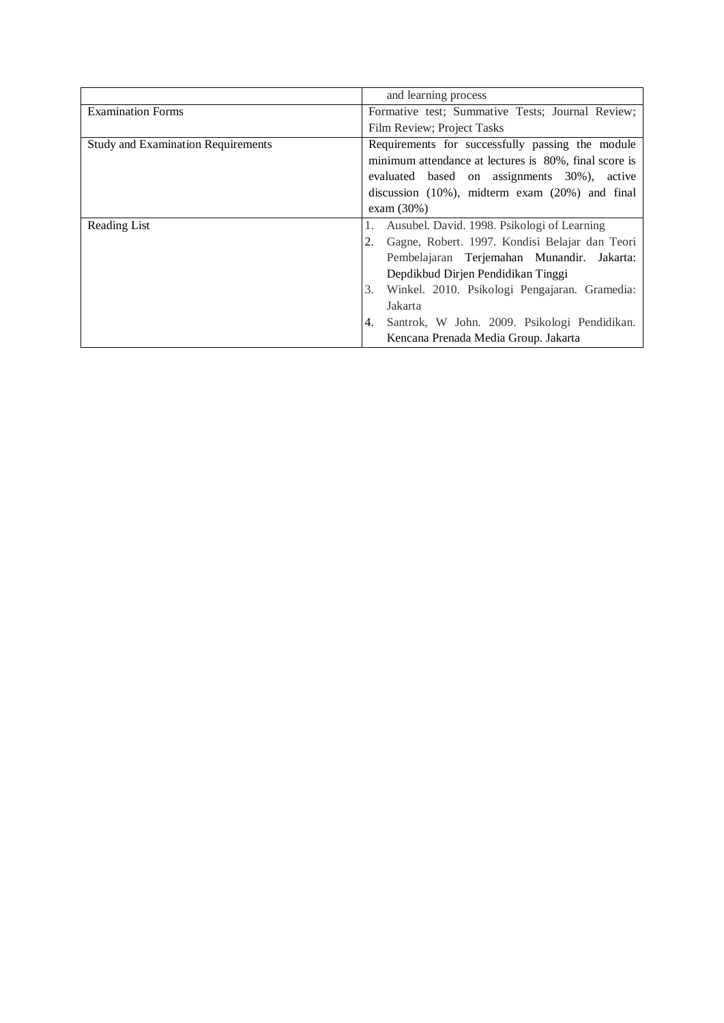|                                           | and learning process                                  |
|-------------------------------------------|-------------------------------------------------------|
| <b>Examination Forms</b>                  | Formative test; Summative Tests; Journal Review;      |
|                                           | Film Review; Project Tasks                            |
| <b>Study and Examination Requirements</b> | Requirements for successfully passing the module      |
|                                           | minimum attendance at lectures is 80%, final score is |
|                                           | evaluated based on assignments 30%),<br>active        |
|                                           | discussion (10%), midterm exam (20%) and final        |
|                                           | exam $(30\%)$                                         |
|                                           |                                                       |
| Reading List                              | Ausubel. David. 1998. Psikologi of Learning           |
|                                           | Gagne, Robert. 1997. Kondisi Belajar dan Teori<br>2.  |
|                                           | Pembelajaran Terjemahan Munandir. Jakarta:            |
|                                           | Depdikbud Dirjen Pendidikan Tinggi                    |
|                                           | Winkel. 2010. Psikologi Pengajaran. Gramedia:<br>3.   |
|                                           | Jakarta                                               |
|                                           | Santrok, W John. 2009. Psikologi Pendidikan.<br>4.    |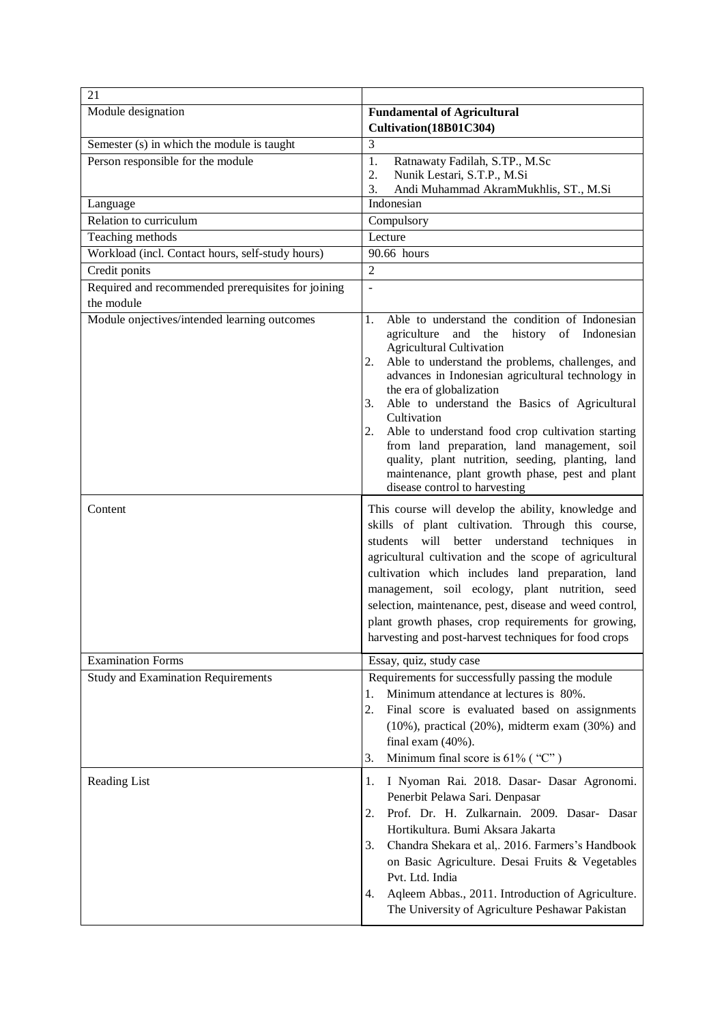| 21                                                      |                                                                                                                                                                                                                                                                                                                                                                                                                                                                                                                                                                                                                                                                                                                                                                                                                                           |
|---------------------------------------------------------|-------------------------------------------------------------------------------------------------------------------------------------------------------------------------------------------------------------------------------------------------------------------------------------------------------------------------------------------------------------------------------------------------------------------------------------------------------------------------------------------------------------------------------------------------------------------------------------------------------------------------------------------------------------------------------------------------------------------------------------------------------------------------------------------------------------------------------------------|
| Module designation                                      | <b>Fundamental of Agricultural</b><br>Cultivation(18B01C304)                                                                                                                                                                                                                                                                                                                                                                                                                                                                                                                                                                                                                                                                                                                                                                              |
| Semester (s) in which the module is taught              | 3                                                                                                                                                                                                                                                                                                                                                                                                                                                                                                                                                                                                                                                                                                                                                                                                                                         |
| Person responsible for the module                       | 1.<br>Ratnawaty Fadilah, S.TP., M.Sc<br>2.<br>Nunik Lestari, S.T.P., M.Si                                                                                                                                                                                                                                                                                                                                                                                                                                                                                                                                                                                                                                                                                                                                                                 |
| Language                                                | 3.<br>Andi Muhammad AkramMukhlis, ST., M.Si<br>Indonesian                                                                                                                                                                                                                                                                                                                                                                                                                                                                                                                                                                                                                                                                                                                                                                                 |
| Relation to curriculum                                  | Compulsory                                                                                                                                                                                                                                                                                                                                                                                                                                                                                                                                                                                                                                                                                                                                                                                                                                |
| Teaching methods                                        | Lecture                                                                                                                                                                                                                                                                                                                                                                                                                                                                                                                                                                                                                                                                                                                                                                                                                                   |
| Workload (incl. Contact hours, self-study hours)        | 90.66 hours                                                                                                                                                                                                                                                                                                                                                                                                                                                                                                                                                                                                                                                                                                                                                                                                                               |
| Credit ponits                                           | $\overline{2}$                                                                                                                                                                                                                                                                                                                                                                                                                                                                                                                                                                                                                                                                                                                                                                                                                            |
| Required and recommended prerequisites for joining      | ÷,                                                                                                                                                                                                                                                                                                                                                                                                                                                                                                                                                                                                                                                                                                                                                                                                                                        |
| the module                                              |                                                                                                                                                                                                                                                                                                                                                                                                                                                                                                                                                                                                                                                                                                                                                                                                                                           |
| Module onjectives/intended learning outcomes<br>Content | Able to understand the condition of Indonesian<br>1.<br>agriculture and the<br>history of Indonesian<br><b>Agricultural Cultivation</b><br>Able to understand the problems, challenges, and<br>2.<br>advances in Indonesian agricultural technology in<br>the era of globalization<br>3.<br>Able to understand the Basics of Agricultural<br>Cultivation<br>Able to understand food crop cultivation starting<br>2.<br>from land preparation, land management, soil<br>quality, plant nutrition, seeding, planting, land<br>maintenance, plant growth phase, pest and plant<br>disease control to harvesting<br>This course will develop the ability, knowledge and<br>skills of plant cultivation. Through this course,<br>will<br>better understand techniques in<br>students<br>agricultural cultivation and the scope of agricultural |
|                                                         | cultivation which includes land preparation, land<br>management, soil ecology, plant nutrition, seed<br>selection, maintenance, pest, disease and weed control,<br>plant growth phases, crop requirements for growing,<br>harvesting and post-harvest techniques for food crops                                                                                                                                                                                                                                                                                                                                                                                                                                                                                                                                                           |
| <b>Examination Forms</b>                                | Essay, quiz, study case                                                                                                                                                                                                                                                                                                                                                                                                                                                                                                                                                                                                                                                                                                                                                                                                                   |
| <b>Study and Examination Requirements</b>               | Requirements for successfully passing the module<br>Minimum attendance at lectures is 80%.<br>1.<br>2.<br>Final score is evaluated based on assignments<br>$(10\%)$ , practical $(20\%)$ , midterm exam $(30\%)$ and<br>final exam $(40\%)$ .<br>Minimum final score is $61\%$ ("C")<br>3.                                                                                                                                                                                                                                                                                                                                                                                                                                                                                                                                                |
| Reading List                                            | 1.<br>I Nyoman Rai. 2018. Dasar- Dasar Agronomi.<br>Penerbit Pelawa Sari. Denpasar<br>Prof. Dr. H. Zulkarnain. 2009. Dasar- Dasar<br>2.<br>Hortikultura. Bumi Aksara Jakarta<br>3.<br>Chandra Shekara et al,. 2016. Farmers's Handbook<br>on Basic Agriculture. Desai Fruits & Vegetables<br>Pvt. Ltd. India<br>Aqleem Abbas., 2011. Introduction of Agriculture.<br>4.<br>The University of Agriculture Peshawar Pakistan                                                                                                                                                                                                                                                                                                                                                                                                                |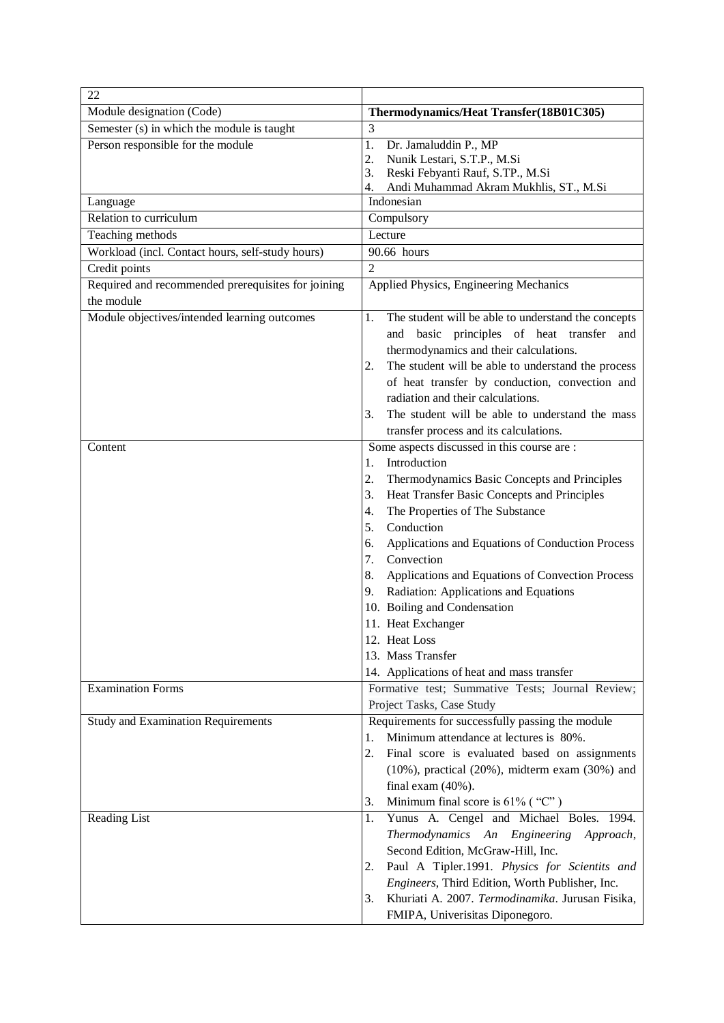| 22                                                 |                                                                                                       |
|----------------------------------------------------|-------------------------------------------------------------------------------------------------------|
| Module designation (Code)                          | Thermodynamics/Heat Transfer(18B01C305)                                                               |
| Semester (s) in which the module is taught         | 3                                                                                                     |
| Person responsible for the module                  | 1.<br>Dr. Jamaluddin P., MP                                                                           |
|                                                    | 2.<br>Nunik Lestari, S.T.P., M.Si                                                                     |
|                                                    | 3.<br>Reski Febyanti Rauf, S.TP., M.Si<br>Andi Muhammad Akram Mukhlis, ST., M.Si<br>4.                |
| Language                                           | Indonesian                                                                                            |
| Relation to curriculum                             | Compulsory                                                                                            |
| Teaching methods                                   | Lecture                                                                                               |
| Workload (incl. Contact hours, self-study hours)   | 90.66 hours                                                                                           |
| Credit points                                      | $\overline{2}$                                                                                        |
| Required and recommended prerequisites for joining | Applied Physics, Engineering Mechanics                                                                |
| the module                                         |                                                                                                       |
| Module objectives/intended learning outcomes       | The student will be able to understand the concepts<br>1.                                             |
|                                                    | basic principles of heat transfer<br>and<br>and                                                       |
|                                                    | thermodynamics and their calculations.                                                                |
|                                                    | The student will be able to understand the process<br>2.                                              |
|                                                    | of heat transfer by conduction, convection and                                                        |
|                                                    | radiation and their calculations.                                                                     |
|                                                    | The student will be able to understand the mass<br>3.                                                 |
|                                                    | transfer process and its calculations.                                                                |
| Content                                            | Some aspects discussed in this course are :                                                           |
|                                                    | Introduction<br>1.                                                                                    |
|                                                    | 2.<br>Thermodynamics Basic Concepts and Principles                                                    |
|                                                    | Heat Transfer Basic Concepts and Principles<br>3.                                                     |
|                                                    | 4.<br>The Properties of The Substance                                                                 |
|                                                    | Conduction<br>5.                                                                                      |
|                                                    | Applications and Equations of Conduction Process<br>6.<br>Convection                                  |
|                                                    | 7.                                                                                                    |
|                                                    | 8.<br>Applications and Equations of Convection Process<br>Radiation: Applications and Equations<br>9. |
|                                                    | 10. Boiling and Condensation                                                                          |
|                                                    | 11. Heat Exchanger                                                                                    |
|                                                    | 12. Heat Loss                                                                                         |
|                                                    | 13. Mass Transfer                                                                                     |
|                                                    | 14. Applications of heat and mass transfer                                                            |
| <b>Examination Forms</b>                           | Formative test; Summative Tests; Journal Review;                                                      |
|                                                    | Project Tasks, Case Study                                                                             |
| <b>Study and Examination Requirements</b>          | Requirements for successfully passing the module                                                      |
|                                                    | Minimum attendance at lectures is 80%.<br>1.                                                          |
|                                                    | 2.<br>Final score is evaluated based on assignments                                                   |
|                                                    | $(10\%)$ , practical $(20\%)$ , midterm exam $(30\%)$ and                                             |
|                                                    | final exam $(40\%)$ .                                                                                 |
|                                                    | Minimum final score is $61\%$ ("C")<br>3.                                                             |
| Reading List                                       | Yunus A. Cengel and Michael Boles. 1994.<br>1.                                                        |
|                                                    | Thermodynamics An Engineering<br>Approach,                                                            |
|                                                    | Second Edition, McGraw-Hill, Inc.                                                                     |
|                                                    | Paul A Tipler.1991. Physics for Scientits and<br>2.                                                   |
|                                                    | Engineers, Third Edition, Worth Publisher, Inc.                                                       |
|                                                    | Khuriati A. 2007. Termodinamika. Jurusan Fisika,<br>3.                                                |
|                                                    | FMIPA, Univerisitas Diponegoro.                                                                       |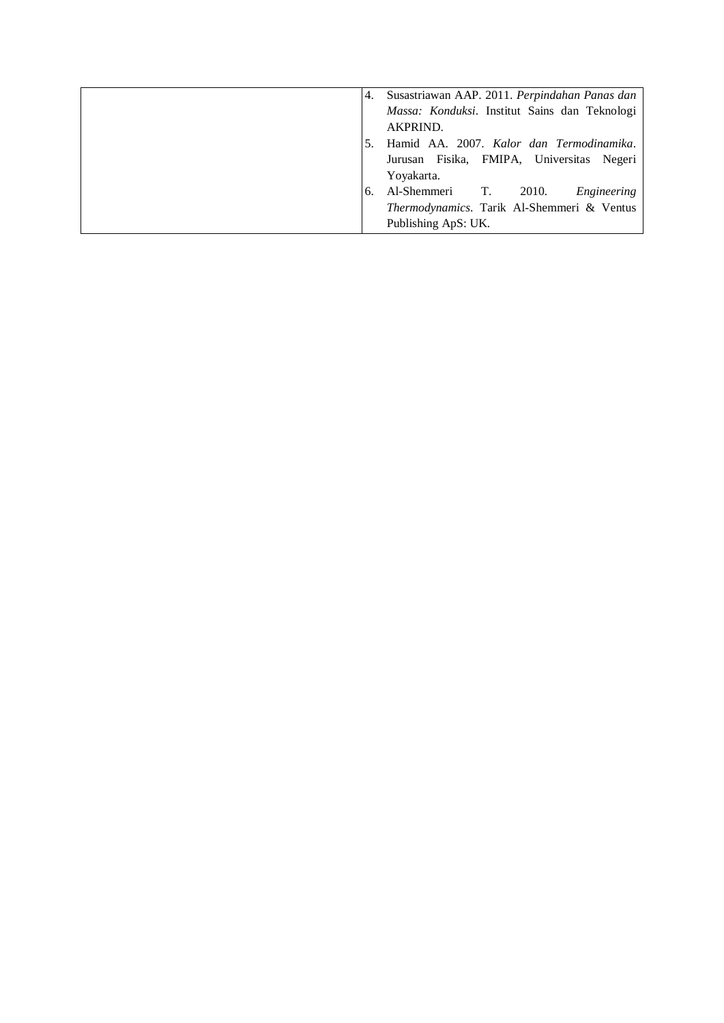| 4. | Susastriawan AAP. 2011. Perpindahan Panas dan |
|----|-----------------------------------------------|
|    | Massa: Konduksi. Institut Sains dan Teknologi |
|    | AKPRIND.                                      |
|    | Hamid AA. 2007. Kalor dan Termodinamika.      |
|    | Jurusan Fisika, FMIPA, Universitas Negeri     |
|    | Yoyakarta.                                    |
| 6. | Al-Shemmeri T. 2010.<br>Engineering           |
|    | Thermodynamics. Tarik Al-Shemmeri & Ventus    |
|    | Publishing ApS: UK.                           |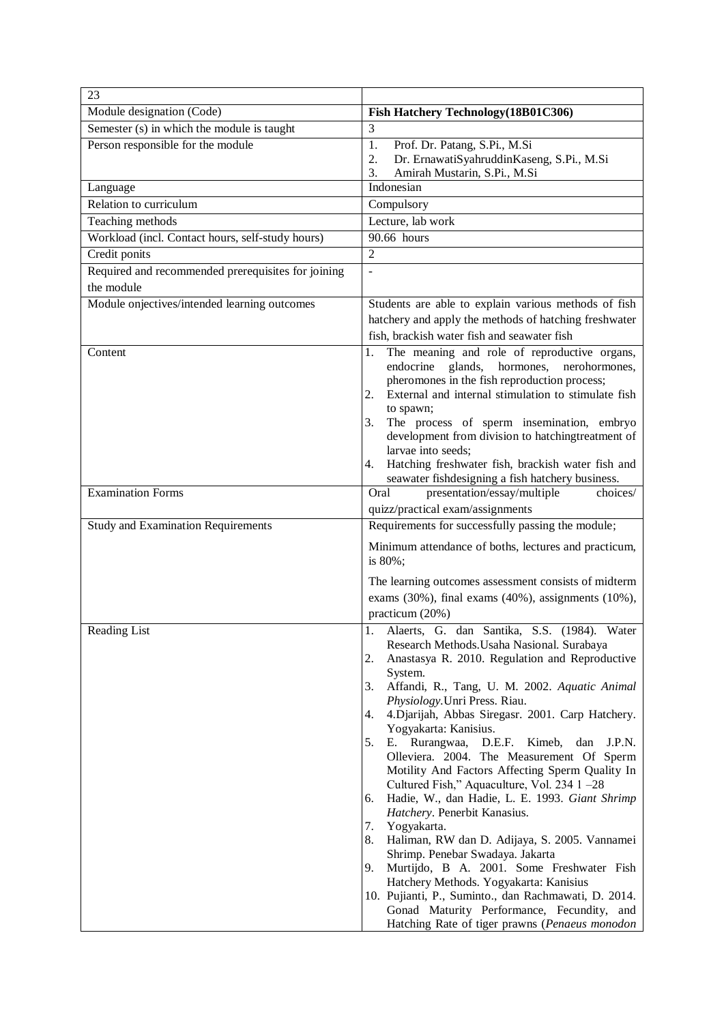| 23                                                 |                                                                                                                                                                                                                                                                                                                                                                                                                                                                                                                                                                                                                                                                                                                                                                                                                                                                                                                                                                                                                        |
|----------------------------------------------------|------------------------------------------------------------------------------------------------------------------------------------------------------------------------------------------------------------------------------------------------------------------------------------------------------------------------------------------------------------------------------------------------------------------------------------------------------------------------------------------------------------------------------------------------------------------------------------------------------------------------------------------------------------------------------------------------------------------------------------------------------------------------------------------------------------------------------------------------------------------------------------------------------------------------------------------------------------------------------------------------------------------------|
| Module designation (Code)                          | Fish Hatchery Technology (18B01C306)                                                                                                                                                                                                                                                                                                                                                                                                                                                                                                                                                                                                                                                                                                                                                                                                                                                                                                                                                                                   |
| Semester (s) in which the module is taught         | 3                                                                                                                                                                                                                                                                                                                                                                                                                                                                                                                                                                                                                                                                                                                                                                                                                                                                                                                                                                                                                      |
| Person responsible for the module                  | 1.<br>Prof. Dr. Patang, S.Pi., M.Si<br>2.<br>Dr. ErnawatiSyahruddinKaseng, S.Pi., M.Si<br>3.<br>Amirah Mustarin, S.Pi., M.Si                                                                                                                                                                                                                                                                                                                                                                                                                                                                                                                                                                                                                                                                                                                                                                                                                                                                                           |
| Language                                           | Indonesian                                                                                                                                                                                                                                                                                                                                                                                                                                                                                                                                                                                                                                                                                                                                                                                                                                                                                                                                                                                                             |
| Relation to curriculum                             | Compulsory                                                                                                                                                                                                                                                                                                                                                                                                                                                                                                                                                                                                                                                                                                                                                                                                                                                                                                                                                                                                             |
| Teaching methods                                   | Lecture, lab work                                                                                                                                                                                                                                                                                                                                                                                                                                                                                                                                                                                                                                                                                                                                                                                                                                                                                                                                                                                                      |
| Workload (incl. Contact hours, self-study hours)   | 90.66 hours                                                                                                                                                                                                                                                                                                                                                                                                                                                                                                                                                                                                                                                                                                                                                                                                                                                                                                                                                                                                            |
| Credit ponits                                      | $\overline{2}$                                                                                                                                                                                                                                                                                                                                                                                                                                                                                                                                                                                                                                                                                                                                                                                                                                                                                                                                                                                                         |
| Required and recommended prerequisites for joining | $\overline{a}$                                                                                                                                                                                                                                                                                                                                                                                                                                                                                                                                                                                                                                                                                                                                                                                                                                                                                                                                                                                                         |
| the module                                         |                                                                                                                                                                                                                                                                                                                                                                                                                                                                                                                                                                                                                                                                                                                                                                                                                                                                                                                                                                                                                        |
| Module onjectives/intended learning outcomes       | Students are able to explain various methods of fish<br>hatchery and apply the methods of hatching freshwater<br>fish, brackish water fish and seawater fish                                                                                                                                                                                                                                                                                                                                                                                                                                                                                                                                                                                                                                                                                                                                                                                                                                                           |
| Content                                            | The meaning and role of reproductive organs,<br>1.<br>endocrine<br>glands,<br>hormones.<br>nerohormones,<br>pheromones in the fish reproduction process;<br>External and internal stimulation to stimulate fish<br>2.<br>to spawn;<br>The process of sperm insemination, embryo<br>3.<br>development from division to hatchingtreatment of<br>larvae into seeds;<br>Hatching freshwater fish, brackish water fish and<br>4.<br>seawater fishdesigning a fish hatchery business.                                                                                                                                                                                                                                                                                                                                                                                                                                                                                                                                        |
| <b>Examination Forms</b>                           | presentation/essay/multiple<br>Oral<br>choices/                                                                                                                                                                                                                                                                                                                                                                                                                                                                                                                                                                                                                                                                                                                                                                                                                                                                                                                                                                        |
|                                                    | quizz/practical exam/assignments<br>Requirements for successfully passing the module;                                                                                                                                                                                                                                                                                                                                                                                                                                                                                                                                                                                                                                                                                                                                                                                                                                                                                                                                  |
| <b>Study and Examination Requirements</b>          | Minimum attendance of boths, lectures and practicum,<br>is 80%;<br>The learning outcomes assessment consists of midterm<br>exams (30%), final exams (40%), assignments (10%),<br>practicum (20%)                                                                                                                                                                                                                                                                                                                                                                                                                                                                                                                                                                                                                                                                                                                                                                                                                       |
| Reading List                                       | Alaerts, G. dan Santika, S.S. (1984). Water<br>1.<br>Research Methods. Usaha Nasional. Surabaya<br>Anastasya R. 2010. Regulation and Reproductive<br>2.<br>System.<br>Affandi, R., Tang, U. M. 2002. Aquatic Animal<br>3.<br>Physiology. Unri Press. Riau.<br>4. Djarijah, Abbas Siregasr. 2001. Carp Hatchery.<br>4.<br>Yogyakarta: Kanisius.<br>Rurangwaa,<br>D.E.F. Kimeb,<br>5.<br>dan<br>J.P.N.<br>Е.<br>Olleviera. 2004. The Measurement Of Sperm<br>Motility And Factors Affecting Sperm Quality In<br>Cultured Fish," Aquaculture, Vol. 234 1 -28<br>Hadie, W., dan Hadie, L. E. 1993. Giant Shrimp<br>6.<br>Hatchery. Penerbit Kanasius.<br>Yogyakarta.<br>7.<br>Haliman, RW dan D. Adijaya, S. 2005. Vannamei<br>8.<br>Shrimp. Penebar Swadaya. Jakarta<br>Murtijdo, B A. 2001. Some Freshwater Fish<br>9.<br>Hatchery Methods. Yogyakarta: Kanisius<br>10. Pujianti, P., Suminto., dan Rachmawati, D. 2014.<br>Gonad Maturity Performance, Fecundity, and<br>Hatching Rate of tiger prawns (Penaeus monodon |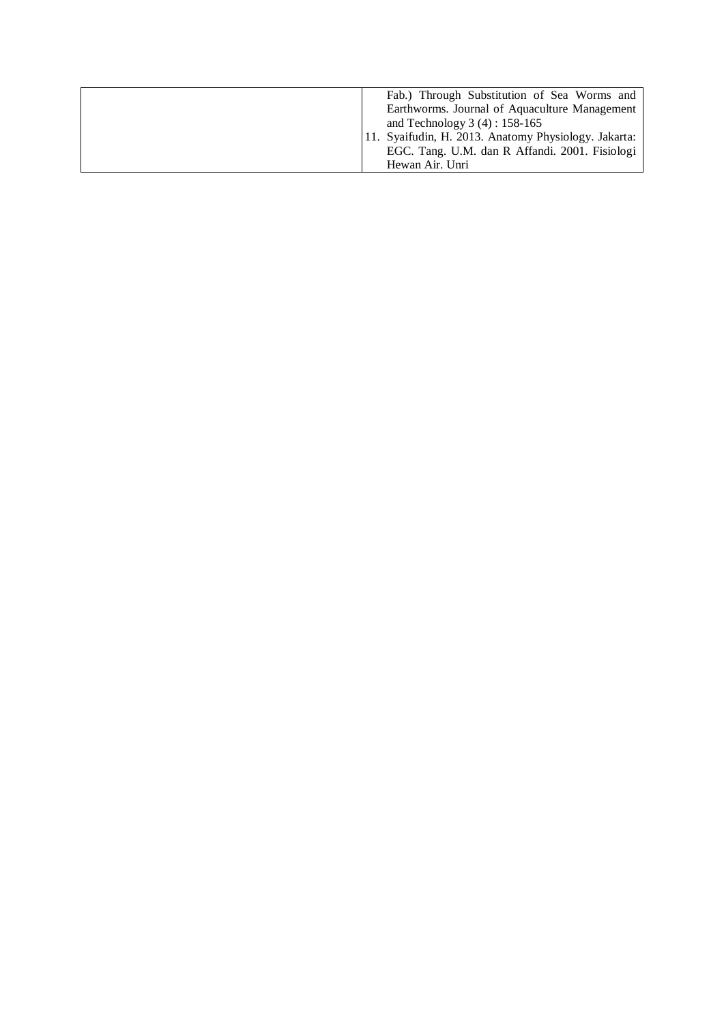| Fab.) Through Substitution of Sea Worms and<br>Earthworms. Journal of Aquaculture Management |
|----------------------------------------------------------------------------------------------|
| and Technology $3(4) : 158-165$<br>11. Syaifudin, H. 2013. Anatomy Physiology. Jakarta:      |
| EGC. Tang. U.M. dan R Affandi. 2001. Fisiologi                                               |
| Hewan Air. Unri                                                                              |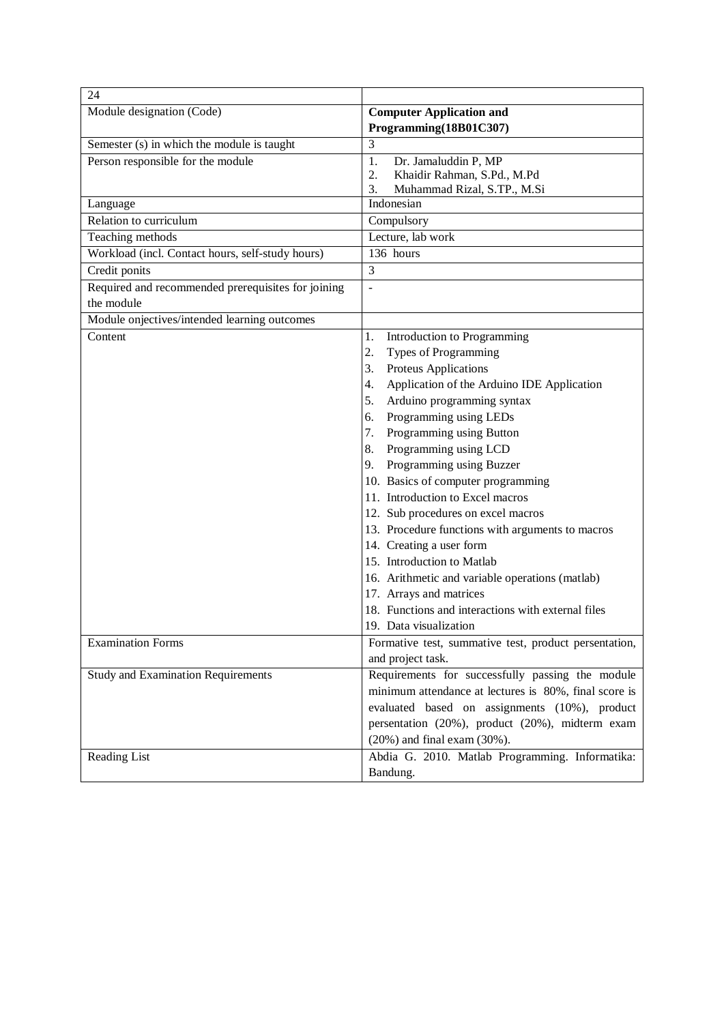| 24                                                 |                                                       |
|----------------------------------------------------|-------------------------------------------------------|
| Module designation (Code)                          | <b>Computer Application and</b>                       |
|                                                    | Programming(18B01C307)                                |
| Semester (s) in which the module is taught         | 3                                                     |
| Person responsible for the module                  | 1.<br>Dr. Jamaluddin P, MP                            |
|                                                    | 2.<br>Khaidir Rahman, S.Pd., M.Pd                     |
|                                                    | 3.<br>Muhammad Rizal, S.TP., M.Si                     |
| Language<br>Relation to curriculum                 | Indonesian                                            |
|                                                    | Compulsory                                            |
| Teaching methods                                   | Lecture, lab work<br>136 hours                        |
| Workload (incl. Contact hours, self-study hours)   |                                                       |
| Credit ponits                                      | 3                                                     |
| Required and recommended prerequisites for joining | $\overline{a}$                                        |
| the module                                         |                                                       |
| Module onjectives/intended learning outcomes       |                                                       |
| Content                                            | 1.<br>Introduction to Programming                     |
|                                                    | 2.<br>Types of Programming                            |
|                                                    | Proteus Applications<br>3.                            |
|                                                    | Application of the Arduino IDE Application<br>4.      |
|                                                    | Arduino programming syntax<br>5.                      |
|                                                    | Programming using LEDs<br>6.                          |
|                                                    | Programming using Button<br>7.                        |
|                                                    | Programming using LCD<br>8.                           |
|                                                    | Programming using Buzzer<br>9.                        |
|                                                    | 10. Basics of computer programming                    |
|                                                    | 11. Introduction to Excel macros                      |
|                                                    | 12. Sub procedures on excel macros                    |
|                                                    | 13. Procedure functions with arguments to macros      |
|                                                    | 14. Creating a user form                              |
|                                                    | 15. Introduction to Matlab                            |
|                                                    | 16. Arithmetic and variable operations (matlab)       |
|                                                    | 17. Arrays and matrices                               |
|                                                    | 18. Functions and interactions with external files    |
|                                                    | 19. Data visualization                                |
| <b>Examination Forms</b>                           | Formative test, summative test, product persentation, |
|                                                    | and project task.                                     |
| <b>Study and Examination Requirements</b>          | Requirements for successfully passing the module      |
|                                                    | minimum attendance at lectures is 80%, final score is |
|                                                    | evaluated based on assignments (10%), product         |
|                                                    | persentation (20%), product (20%), midterm exam       |
|                                                    | $(20\%)$ and final exam $(30\%)$ .                    |
| Reading List                                       | Abdia G. 2010. Matlab Programming. Informatika:       |
|                                                    | Bandung.                                              |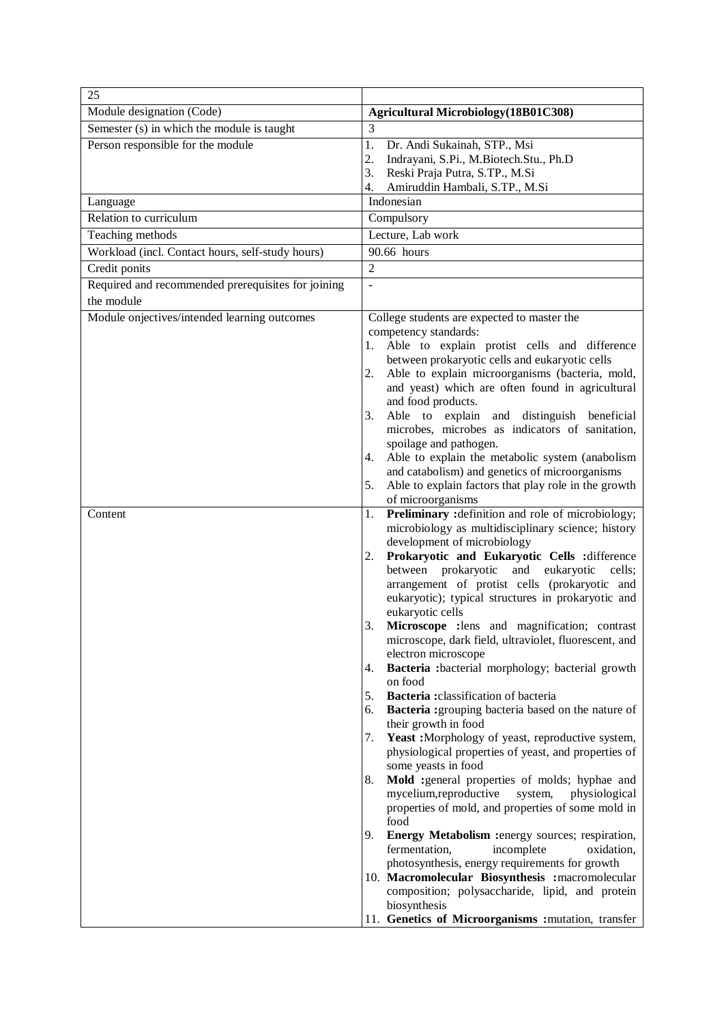| 25                                                 |                                                                                                              |
|----------------------------------------------------|--------------------------------------------------------------------------------------------------------------|
| Module designation (Code)                          | <b>Agricultural Microbiology</b> (18B01C308)                                                                 |
| Semester (s) in which the module is taught         | 3                                                                                                            |
| Person responsible for the module                  | 1.<br>Dr. Andi Sukainah, STP., Msi                                                                           |
|                                                    | Indrayani, S.Pi., M.Biotech.Stu., Ph.D<br>2.<br>3.<br>Reski Praja Putra, S.TP., M.Si                         |
|                                                    | Amiruddin Hambali, S.TP., M.Si<br>4.                                                                         |
| Language                                           | Indonesian                                                                                                   |
| Relation to curriculum                             | Compulsory                                                                                                   |
| Teaching methods                                   | Lecture, Lab work                                                                                            |
| Workload (incl. Contact hours, self-study hours)   | 90.66 hours                                                                                                  |
| Credit ponits                                      | $\overline{2}$                                                                                               |
| Required and recommended prerequisites for joining |                                                                                                              |
| the module                                         |                                                                                                              |
| Module onjectives/intended learning outcomes       | College students are expected to master the<br>competency standards:                                         |
|                                                    | Able to explain protist cells and difference<br>1.                                                           |
|                                                    | between prokaryotic cells and eukaryotic cells                                                               |
|                                                    | Able to explain microorganisms (bacteria, mold,<br>2.                                                        |
|                                                    | and yeast) which are often found in agricultural                                                             |
|                                                    | and food products.<br>3.<br>Able to explain and distinguish beneficial                                       |
|                                                    | microbes, microbes as indicators of sanitation,                                                              |
|                                                    | spoilage and pathogen.                                                                                       |
|                                                    | Able to explain the metabolic system (anabolism<br>4.                                                        |
|                                                    | and catabolism) and genetics of microorganisms                                                               |
|                                                    | 5.<br>Able to explain factors that play role in the growth<br>of microorganisms                              |
| Content                                            | Preliminary : definition and role of microbiology;<br>1.                                                     |
|                                                    | microbiology as multidisciplinary science; history                                                           |
|                                                    | development of microbiology                                                                                  |
|                                                    | Prokaryotic and Eukaryotic Cells :difference<br>2.                                                           |
|                                                    | between prokaryotic<br>and eukaryotic<br>cells;<br>arrangement of protist cells (prokaryotic and             |
|                                                    | eukaryotic); typical structures in prokaryotic and                                                           |
|                                                    | eukaryotic cells                                                                                             |
|                                                    | 3.<br>Microscope : lens and magnification; contrast<br>microscope, dark field, ultraviolet, fluorescent, and |
|                                                    | electron microscope                                                                                          |
|                                                    | Bacteria :bacterial morphology; bacterial growth<br>4.                                                       |
|                                                    | on food                                                                                                      |
|                                                    | 5.<br>Bacteria : classification of bacteria<br>Bacteria :grouping bacteria based on the nature of<br>6.      |
|                                                    | their growth in food                                                                                         |
|                                                    | Yeast :Morphology of yeast, reproductive system,<br>7.                                                       |
|                                                    | physiological properties of yeast, and properties of                                                         |
|                                                    | some yeasts in food                                                                                          |
|                                                    | Mold :general properties of molds; hyphae and<br>8.<br>mycelium, reproductive<br>system,<br>physiological    |
|                                                    | properties of mold, and properties of some mold in                                                           |
|                                                    | food<br>9.<br>Energy Metabolism : energy sources; respiration,                                               |
|                                                    | fermentation,<br>incomplete<br>oxidation.                                                                    |
|                                                    | photosynthesis, energy requirements for growth                                                               |
|                                                    | 10. Macromolecular Biosynthesis : macromolecular                                                             |
|                                                    | composition; polysaccharide, lipid, and protein                                                              |
|                                                    | biosynthesis                                                                                                 |
|                                                    | 11. Genetics of Microorganisms : mutation, transfer                                                          |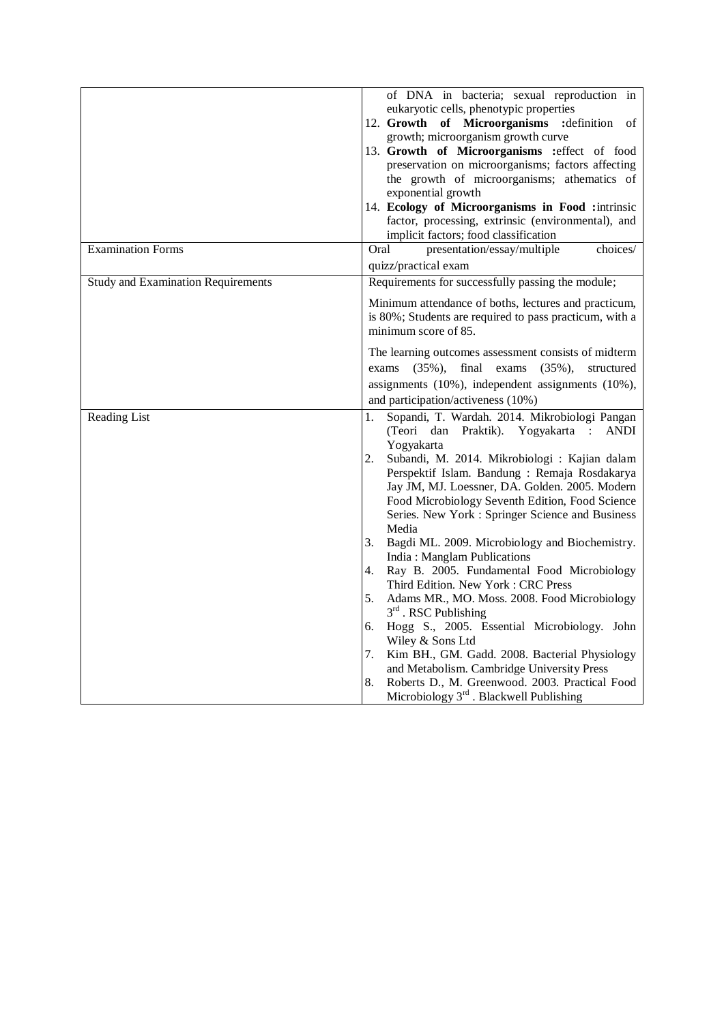|                                           | of DNA in bacteria; sexual reproduction in<br>eukaryotic cells, phenotypic properties<br>12. Growth of Microorganisms<br>: definition<br>of<br>growth; microorganism growth curve<br>13. Growth of Microorganisms : effect of food<br>preservation on microorganisms; factors affecting<br>the growth of microorganisms; athematics of<br>exponential growth<br>14. Ecology of Microorganisms in Food : intrinsic<br>factor, processing, extrinsic (environmental), and<br>implicit factors; food classification                                                                                                                                                                                                                                                                                                                                                                                                                                        |
|-------------------------------------------|---------------------------------------------------------------------------------------------------------------------------------------------------------------------------------------------------------------------------------------------------------------------------------------------------------------------------------------------------------------------------------------------------------------------------------------------------------------------------------------------------------------------------------------------------------------------------------------------------------------------------------------------------------------------------------------------------------------------------------------------------------------------------------------------------------------------------------------------------------------------------------------------------------------------------------------------------------|
| <b>Examination Forms</b>                  | Oral<br>presentation/essay/multiple<br>choices/<br>quizz/practical exam                                                                                                                                                                                                                                                                                                                                                                                                                                                                                                                                                                                                                                                                                                                                                                                                                                                                                 |
| <b>Study and Examination Requirements</b> | Requirements for successfully passing the module;                                                                                                                                                                                                                                                                                                                                                                                                                                                                                                                                                                                                                                                                                                                                                                                                                                                                                                       |
|                                           | Minimum attendance of boths, lectures and practicum,<br>is 80%; Students are required to pass practicum, with a<br>minimum score of 85.                                                                                                                                                                                                                                                                                                                                                                                                                                                                                                                                                                                                                                                                                                                                                                                                                 |
|                                           | The learning outcomes assessment consists of midterm<br>$(35\%),$<br>final<br>exams<br>$(35\%),$<br>structured<br>exams<br>assignments (10%), independent assignments (10%),<br>and participation/activeness (10%)                                                                                                                                                                                                                                                                                                                                                                                                                                                                                                                                                                                                                                                                                                                                      |
| Reading List                              | Sopandi, T. Wardah. 2014. Mikrobiologi Pangan<br>1.<br>(Teori<br>Praktik). Yogyakarta :<br><b>ANDI</b><br>dan<br>Yogyakarta<br>2.<br>Subandi, M. 2014. Mikrobiologi : Kajian dalam<br>Perspektif Islam. Bandung: Remaja Rosdakarya<br>Jay JM, MJ. Loessner, DA. Golden. 2005. Modern<br>Food Microbiology Seventh Edition, Food Science<br>Series. New York: Springer Science and Business<br>Media<br>Bagdi ML. 2009. Microbiology and Biochemistry.<br>3.<br>India: Manglam Publications<br>Ray B. 2005. Fundamental Food Microbiology<br>4.<br>Third Edition. New York: CRC Press<br>5.<br>Adams MR., MO. Moss. 2008. Food Microbiology<br>$3rd$ . RSC Publishing<br>Hogg S., 2005. Essential Microbiology. John<br>6.<br>Wiley & Sons Ltd<br>Kim BH., GM. Gadd. 2008. Bacterial Physiology<br>7.<br>and Metabolism. Cambridge University Press<br>Roberts D., M. Greenwood. 2003. Practical Food<br>8.<br>Microbiology $3rd$ . Blackwell Publishing |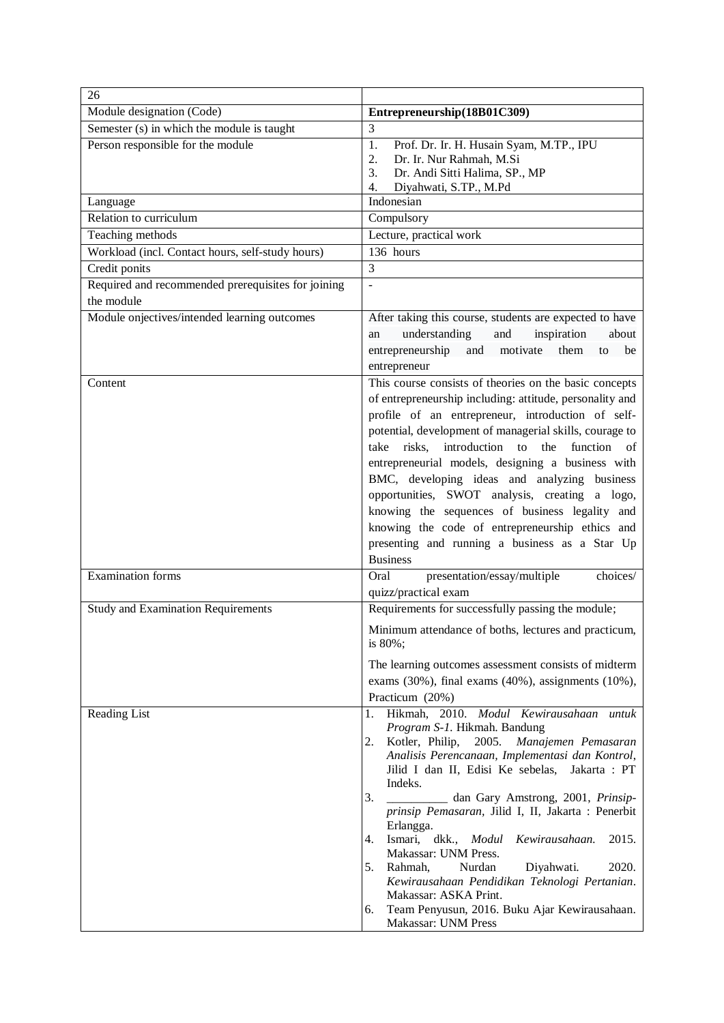| 26                                                 |                                                                                                           |
|----------------------------------------------------|-----------------------------------------------------------------------------------------------------------|
| Module designation (Code)                          | Entrepreneurship(18B01C309)                                                                               |
| Semester (s) in which the module is taught         | 3                                                                                                         |
| Person responsible for the module                  | Prof. Dr. Ir. H. Husain Syam, M.TP., IPU<br>1.                                                            |
|                                                    | Dr. Ir. Nur Rahmah, M.Si<br>2.<br>Dr. Andi Sitti Halima, SP., MP<br>3.                                    |
|                                                    | Diyahwati, S.TP., M.Pd<br>4.                                                                              |
| Language                                           | Indonesian                                                                                                |
| Relation to curriculum                             | Compulsory                                                                                                |
| Teaching methods                                   | Lecture, practical work                                                                                   |
| Workload (incl. Contact hours, self-study hours)   | 136 hours                                                                                                 |
| Credit ponits                                      | 3                                                                                                         |
| Required and recommended prerequisites for joining | $\overline{a}$                                                                                            |
| the module                                         |                                                                                                           |
| Module onjectives/intended learning outcomes       | After taking this course, students are expected to have                                                   |
|                                                    | understanding<br>and<br>inspiration<br>about<br>an                                                        |
|                                                    | entrepreneurship and<br>them<br>motivate<br>be<br>to                                                      |
|                                                    | entrepreneur                                                                                              |
| Content                                            | This course consists of theories on the basic concepts                                                    |
|                                                    | of entrepreneurship including: attitude, personality and                                                  |
|                                                    | profile of an entrepreneur, introduction of self-                                                         |
|                                                    | potential, development of managerial skills, courage to<br>take risks, introduction to the function<br>of |
|                                                    | entrepreneurial models, designing a business with                                                         |
|                                                    | BMC, developing ideas and analyzing business                                                              |
|                                                    | opportunities, SWOT analysis, creating a logo,                                                            |
|                                                    | knowing the sequences of business legality and                                                            |
|                                                    | knowing the code of entrepreneurship ethics and                                                           |
|                                                    | presenting and running a business as a Star Up                                                            |
|                                                    | <b>Business</b>                                                                                           |
| <b>Examination</b> forms                           | presentation/essay/multiple<br>choices/<br>Oral                                                           |
|                                                    | quizz/practical exam                                                                                      |
| <b>Study and Examination Requirements</b>          | Requirements for successfully passing the module;                                                         |
|                                                    | Minimum attendance of boths, lectures and practicum,<br>is 80%;                                           |
|                                                    | The learning outcomes assessment consists of midterm                                                      |
|                                                    | exams (30%), final exams (40%), assignments (10%),                                                        |
|                                                    | Practicum (20%)                                                                                           |
| Reading List                                       | Hikmah, 2010. Modul Kewirausahaan untuk<br>1.                                                             |
|                                                    | Program S-1. Hikmah. Bandung                                                                              |
|                                                    | Manajemen Pemasaran<br>2.<br>Kotler, Philip,<br>2005.                                                     |
|                                                    | Analisis Perencanaan, Implementasi dan Kontrol,<br>Jilid I dan II, Edisi Ke sebelas,<br>Jakarta: PT       |
|                                                    | Indeks.                                                                                                   |
|                                                    | 3.<br>dan Gary Amstrong, 2001, Prinsip-                                                                   |
|                                                    | prinsip Pemasaran, Jilid I, II, Jakarta : Penerbit<br>Erlangga.                                           |
|                                                    | Ismari, dkk., Modul<br>2015.<br>4.<br>Kewirausahaan.                                                      |
|                                                    | Makassar: UNM Press.<br>2020.<br>Nurdan<br>Diyahwati.<br>5.<br>Rahmah,                                    |
|                                                    | Kewirausahaan Pendidikan Teknologi Pertanian.                                                             |
|                                                    | Makassar: ASKA Print.                                                                                     |
|                                                    | Team Penyusun, 2016. Buku Ajar Kewirausahaan.<br>6.<br>Makassar: UNM Press                                |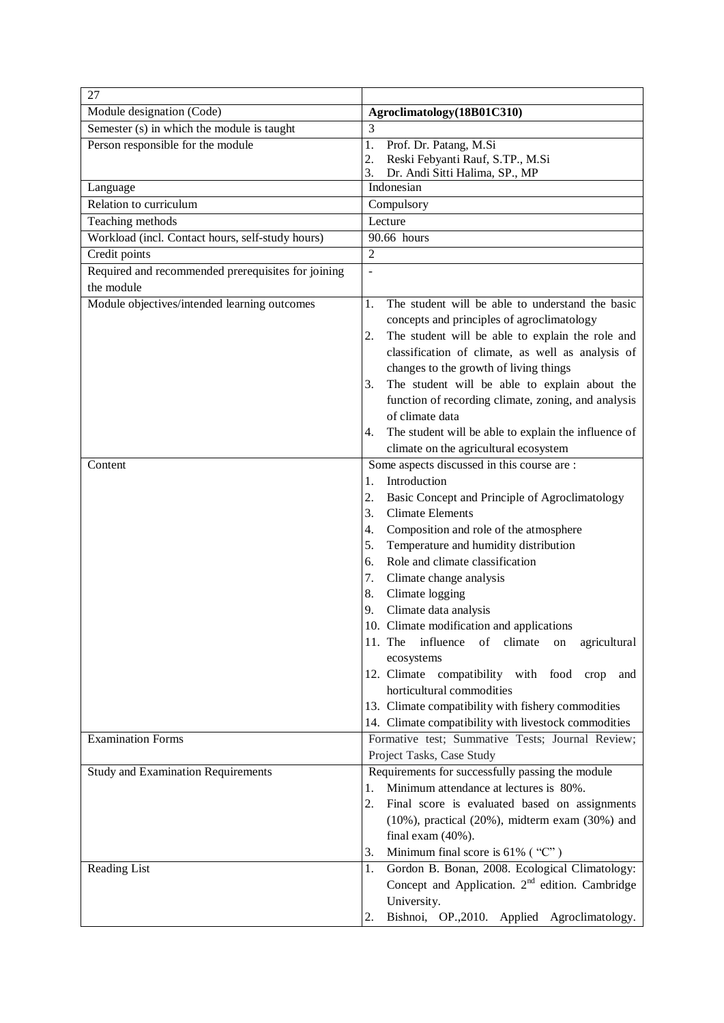| 27                                                                |                                                                                             |
|-------------------------------------------------------------------|---------------------------------------------------------------------------------------------|
| Module designation (Code)                                         | Agroclimatology(18B01C310)                                                                  |
| Semester (s) in which the module is taught                        | 3                                                                                           |
| Person responsible for the module                                 | 1.<br>Prof. Dr. Patang, M.Si                                                                |
|                                                                   | 2.<br>Reski Febyanti Rauf, S.TP., M.Si                                                      |
|                                                                   | 3.<br>Dr. Andi Sitti Halima, SP., MP<br>Indonesian                                          |
| Language<br>Relation to curriculum                                |                                                                                             |
|                                                                   | Compulsory                                                                                  |
| Teaching methods                                                  | Lecture<br>90.66 hours                                                                      |
| Workload (incl. Contact hours, self-study hours)<br>Credit points | $\overline{2}$                                                                              |
|                                                                   |                                                                                             |
| Required and recommended prerequisites for joining<br>the module  | ÷,                                                                                          |
| Module objectives/intended learning outcomes                      | The student will be able to understand the basic<br>1.                                      |
|                                                                   |                                                                                             |
|                                                                   | concepts and principles of agroclimatology                                                  |
|                                                                   | The student will be able to explain the role and<br>2.                                      |
|                                                                   | classification of climate, as well as analysis of<br>changes to the growth of living things |
|                                                                   | The student will be able to explain about the<br>3.                                         |
|                                                                   | function of recording climate, zoning, and analysis                                         |
|                                                                   | of climate data                                                                             |
|                                                                   | The student will be able to explain the influence of<br>4.                                  |
|                                                                   | climate on the agricultural ecosystem                                                       |
| Content                                                           | Some aspects discussed in this course are :                                                 |
|                                                                   | Introduction<br>1.                                                                          |
|                                                                   | 2.<br>Basic Concept and Principle of Agroclimatology                                        |
|                                                                   | <b>Climate Elements</b><br>3.                                                               |
|                                                                   | Composition and role of the atmosphere<br>4.                                                |
|                                                                   | Temperature and humidity distribution<br>5.                                                 |
|                                                                   | Role and climate classification<br>6.                                                       |
|                                                                   | Climate change analysis<br>7.                                                               |
|                                                                   | Climate logging<br>8.                                                                       |
|                                                                   | Climate data analysis<br>9.                                                                 |
|                                                                   | 10. Climate modification and applications                                                   |
|                                                                   | 11. The<br>influence<br>of climate<br>agricultural<br>on                                    |
|                                                                   | ecosystems                                                                                  |
|                                                                   | 12. Climate compatibility with food<br>crop<br>and                                          |
|                                                                   | horticultural commodities                                                                   |
|                                                                   | 13. Climate compatibility with fishery commodities                                          |
|                                                                   | 14. Climate compatibility with livestock commodities                                        |
| <b>Examination Forms</b>                                          | Formative test; Summative Tests; Journal Review;                                            |
|                                                                   | Project Tasks, Case Study                                                                   |
| <b>Study and Examination Requirements</b>                         | Requirements for successfully passing the module                                            |
|                                                                   | Minimum attendance at lectures is 80%.<br>1.                                                |
|                                                                   | 2.<br>Final score is evaluated based on assignments                                         |
|                                                                   | $(10\%)$ , practical $(20\%)$ , midterm exam $(30\%)$ and                                   |
|                                                                   | final exam $(40\%)$ .                                                                       |
|                                                                   | Minimum final score is $61\%$ ("C")<br>3.                                                   |
| <b>Reading List</b>                                               | Gordon B. Bonan, 2008. Ecological Climatology:<br>1.                                        |
|                                                                   | Concept and Application. 2 <sup>nd</sup> edition. Cambridge                                 |
|                                                                   | University.                                                                                 |
|                                                                   | Bishnoi, OP., 2010. Applied Agroclimatology.<br>2.                                          |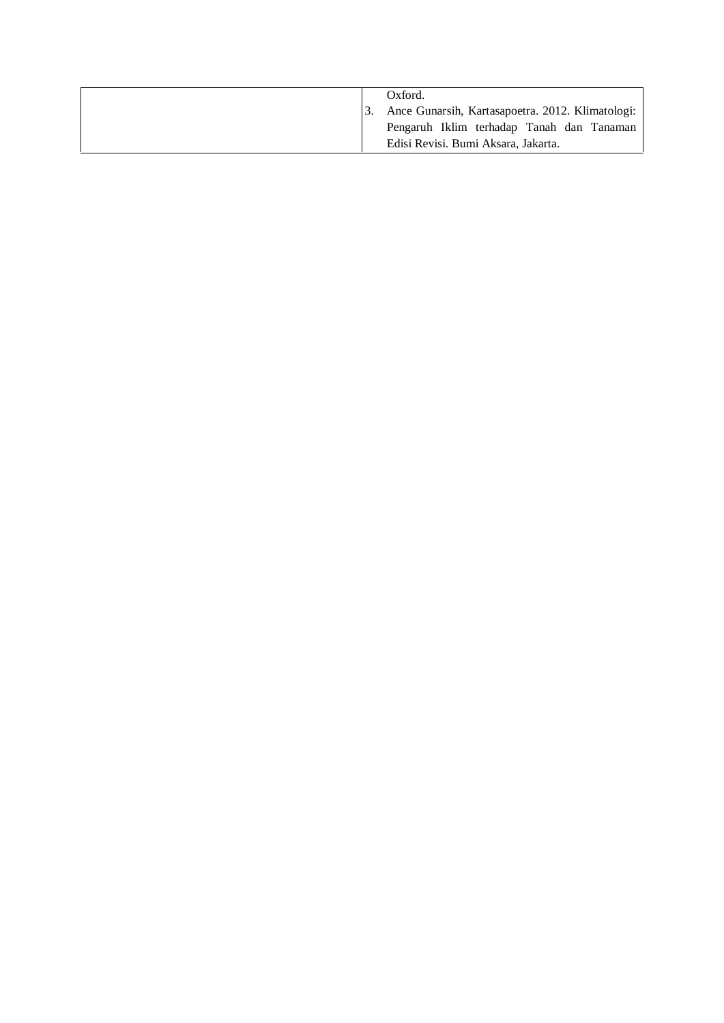| Oxford.                                          |
|--------------------------------------------------|
| Ance Gunarsih, Kartasapoetra. 2012. Klimatologi: |
| Pengaruh Iklim terhadap Tanah dan Tanaman        |
| Edisi Revisi. Bumi Aksara, Jakarta.              |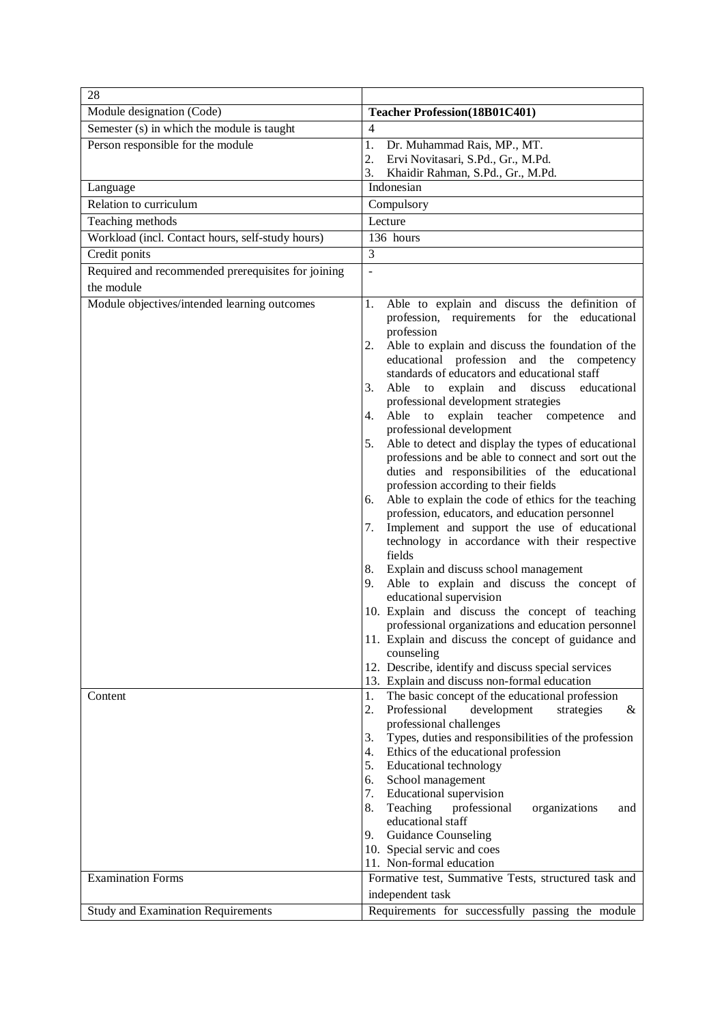| 28                                                      |                                                                                                                                                                                                                                                                                                                                                                                                                                                                                                                                                                                                                                                                                                                                                                                                                                                                                                                                                                                                                                                                                                                                                                                                                                                                                                                                                                                                                                                                                                                                                                                                                                                                                                                                               |
|---------------------------------------------------------|-----------------------------------------------------------------------------------------------------------------------------------------------------------------------------------------------------------------------------------------------------------------------------------------------------------------------------------------------------------------------------------------------------------------------------------------------------------------------------------------------------------------------------------------------------------------------------------------------------------------------------------------------------------------------------------------------------------------------------------------------------------------------------------------------------------------------------------------------------------------------------------------------------------------------------------------------------------------------------------------------------------------------------------------------------------------------------------------------------------------------------------------------------------------------------------------------------------------------------------------------------------------------------------------------------------------------------------------------------------------------------------------------------------------------------------------------------------------------------------------------------------------------------------------------------------------------------------------------------------------------------------------------------------------------------------------------------------------------------------------------|
| Module designation (Code)                               | Teacher Profession(18B01C401)                                                                                                                                                                                                                                                                                                                                                                                                                                                                                                                                                                                                                                                                                                                                                                                                                                                                                                                                                                                                                                                                                                                                                                                                                                                                                                                                                                                                                                                                                                                                                                                                                                                                                                                 |
| Semester (s) in which the module is taught              | $\overline{4}$                                                                                                                                                                                                                                                                                                                                                                                                                                                                                                                                                                                                                                                                                                                                                                                                                                                                                                                                                                                                                                                                                                                                                                                                                                                                                                                                                                                                                                                                                                                                                                                                                                                                                                                                |
| Person responsible for the module                       | 1.<br>Dr. Muhammad Rais, MP., MT.                                                                                                                                                                                                                                                                                                                                                                                                                                                                                                                                                                                                                                                                                                                                                                                                                                                                                                                                                                                                                                                                                                                                                                                                                                                                                                                                                                                                                                                                                                                                                                                                                                                                                                             |
|                                                         | 2.<br>Ervi Novitasari, S.Pd., Gr., M.Pd.                                                                                                                                                                                                                                                                                                                                                                                                                                                                                                                                                                                                                                                                                                                                                                                                                                                                                                                                                                                                                                                                                                                                                                                                                                                                                                                                                                                                                                                                                                                                                                                                                                                                                                      |
|                                                         | 3.<br>Khaidir Rahman, S.Pd., Gr., M.Pd.                                                                                                                                                                                                                                                                                                                                                                                                                                                                                                                                                                                                                                                                                                                                                                                                                                                                                                                                                                                                                                                                                                                                                                                                                                                                                                                                                                                                                                                                                                                                                                                                                                                                                                       |
| Language                                                | Indonesian                                                                                                                                                                                                                                                                                                                                                                                                                                                                                                                                                                                                                                                                                                                                                                                                                                                                                                                                                                                                                                                                                                                                                                                                                                                                                                                                                                                                                                                                                                                                                                                                                                                                                                                                    |
| Relation to curriculum                                  | Compulsory                                                                                                                                                                                                                                                                                                                                                                                                                                                                                                                                                                                                                                                                                                                                                                                                                                                                                                                                                                                                                                                                                                                                                                                                                                                                                                                                                                                                                                                                                                                                                                                                                                                                                                                                    |
| Teaching methods                                        | Lecture                                                                                                                                                                                                                                                                                                                                                                                                                                                                                                                                                                                                                                                                                                                                                                                                                                                                                                                                                                                                                                                                                                                                                                                                                                                                                                                                                                                                                                                                                                                                                                                                                                                                                                                                       |
| Workload (incl. Contact hours, self-study hours)        | 136 hours                                                                                                                                                                                                                                                                                                                                                                                                                                                                                                                                                                                                                                                                                                                                                                                                                                                                                                                                                                                                                                                                                                                                                                                                                                                                                                                                                                                                                                                                                                                                                                                                                                                                                                                                     |
| Credit ponits                                           | $\overline{3}$                                                                                                                                                                                                                                                                                                                                                                                                                                                                                                                                                                                                                                                                                                                                                                                                                                                                                                                                                                                                                                                                                                                                                                                                                                                                                                                                                                                                                                                                                                                                                                                                                                                                                                                                |
| Required and recommended prerequisites for joining      | $\overline{a}$                                                                                                                                                                                                                                                                                                                                                                                                                                                                                                                                                                                                                                                                                                                                                                                                                                                                                                                                                                                                                                                                                                                                                                                                                                                                                                                                                                                                                                                                                                                                                                                                                                                                                                                                |
| the module                                              |                                                                                                                                                                                                                                                                                                                                                                                                                                                                                                                                                                                                                                                                                                                                                                                                                                                                                                                                                                                                                                                                                                                                                                                                                                                                                                                                                                                                                                                                                                                                                                                                                                                                                                                                               |
| Module objectives/intended learning outcomes<br>Content | Able to explain and discuss the definition of<br>1.<br>profession, requirements for the educational<br>profession<br>Able to explain and discuss the foundation of the<br>2.<br>educational profession and the<br>competency<br>standards of educators and educational staff<br>Able to explain and discuss<br>educational<br>3.<br>professional development strategies<br>Able to explain teacher competence<br>4.<br>and<br>professional development<br>Able to detect and display the types of educational<br>5.<br>professions and be able to connect and sort out the<br>duties and responsibilities of the educational<br>profession according to their fields<br>Able to explain the code of ethics for the teaching<br>6.<br>profession, educators, and education personnel<br>Implement and support the use of educational<br>7.<br>technology in accordance with their respective<br>fields<br>Explain and discuss school management<br>8.<br>Able to explain and discuss the concept of<br>9.<br>educational supervision<br>10. Explain and discuss the concept of teaching<br>professional organizations and education personnel<br>11. Explain and discuss the concept of guidance and<br>counseling<br>12. Describe, identify and discuss special services<br>13. Explain and discuss non-formal education<br>The basic concept of the educational profession<br>1.<br>Professional<br>2.<br>development<br>strategies<br>&<br>professional challenges<br>Types, duties and responsibilities of the profession<br>3.<br>Ethics of the educational profession<br>4.<br>Educational technology<br>5.<br>School management<br>6.<br>7.<br><b>Educational supervision</b><br>Teaching<br>professional<br>organizations<br>8.<br>and |
|                                                         | educational staff<br><b>Guidance Counseling</b><br>9.<br>10. Special servic and coes<br>11. Non-formal education                                                                                                                                                                                                                                                                                                                                                                                                                                                                                                                                                                                                                                                                                                                                                                                                                                                                                                                                                                                                                                                                                                                                                                                                                                                                                                                                                                                                                                                                                                                                                                                                                              |
| Examination Forms                                       | Formative test, Summative Tests, structured task and                                                                                                                                                                                                                                                                                                                                                                                                                                                                                                                                                                                                                                                                                                                                                                                                                                                                                                                                                                                                                                                                                                                                                                                                                                                                                                                                                                                                                                                                                                                                                                                                                                                                                          |
|                                                         | independent task                                                                                                                                                                                                                                                                                                                                                                                                                                                                                                                                                                                                                                                                                                                                                                                                                                                                                                                                                                                                                                                                                                                                                                                                                                                                                                                                                                                                                                                                                                                                                                                                                                                                                                                              |
| <b>Study and Examination Requirements</b>               | Requirements for successfully passing the module                                                                                                                                                                                                                                                                                                                                                                                                                                                                                                                                                                                                                                                                                                                                                                                                                                                                                                                                                                                                                                                                                                                                                                                                                                                                                                                                                                                                                                                                                                                                                                                                                                                                                              |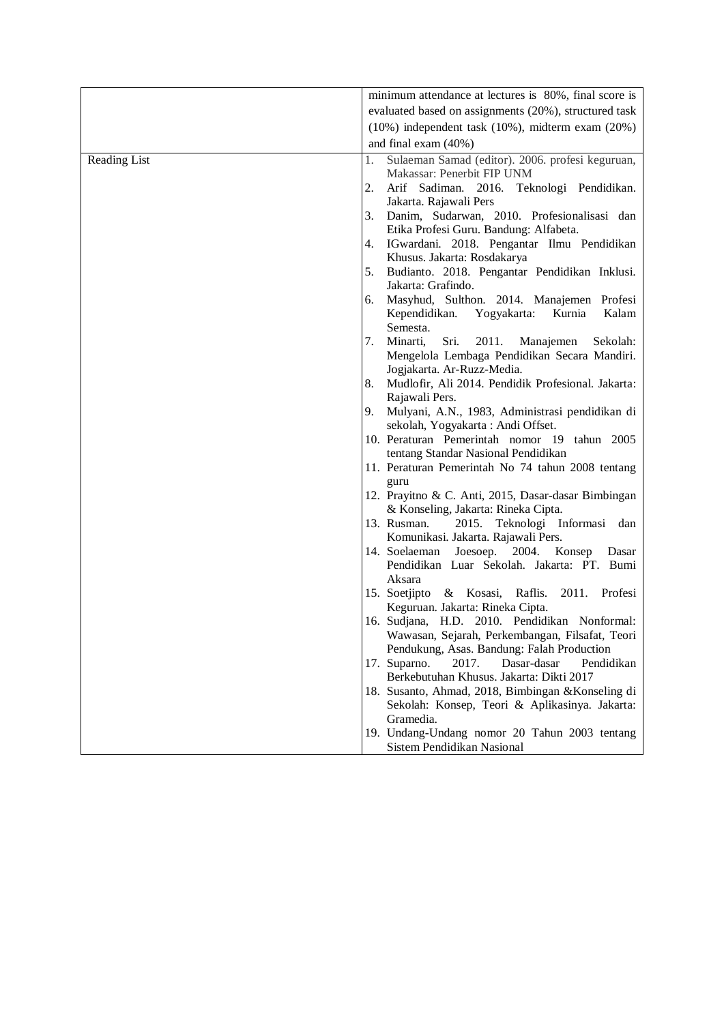|              | minimum attendance at lectures is 80%, final score is                                    |
|--------------|------------------------------------------------------------------------------------------|
|              | evaluated based on assignments (20%), structured task                                    |
|              |                                                                                          |
|              | $(10\%)$ independent task $(10\%)$ , midterm exam $(20\%)$                               |
|              | and final exam (40%)                                                                     |
| Reading List | Sulaeman Samad (editor). 2006. profesi keguruan,<br>1.<br>Makassar: Penerbit FIP UNM     |
|              | Arif Sadiman. 2016. Teknologi Pendidikan.<br>2.                                          |
|              | Jakarta. Rajawali Pers                                                                   |
|              | Danim, Sudarwan, 2010. Profesionalisasi dan<br>3.                                        |
|              | Etika Profesi Guru. Bandung: Alfabeta.                                                   |
|              | IGwardani. 2018. Pengantar Ilmu Pendidikan<br>4.                                         |
|              | Khusus. Jakarta: Rosdakarya                                                              |
|              | Budianto. 2018. Pengantar Pendidikan Inklusi.<br>5.                                      |
|              | Jakarta: Grafindo.                                                                       |
|              | Masyhud, Sulthon. 2014. Manajemen Profesi<br>6.                                          |
|              | Kependidikan.<br>Yogyakarta:<br>Kurnia<br>Kalam                                          |
|              | Semesta.                                                                                 |
|              | 7.<br>Minarti,<br>Sri.<br>2011.<br>Manajemen<br>Sekolah:                                 |
|              | Mengelola Lembaga Pendidikan Secara Mandiri.                                             |
|              | Jogjakarta. Ar-Ruzz-Media.                                                               |
|              | Mudlofir, Ali 2014. Pendidik Profesional. Jakarta:<br>8.                                 |
|              | Rajawali Pers.                                                                           |
|              | Mulyani, A.N., 1983, Administrasi pendidikan di<br>9.                                    |
|              | sekolah, Yogyakarta: Andi Offset.                                                        |
|              | 10. Peraturan Pemerintah nomor 19 tahun 2005                                             |
|              | tentang Standar Nasional Pendidikan<br>11. Peraturan Pemerintah No 74 tahun 2008 tentang |
|              | guru                                                                                     |
|              | 12. Prayitno & C. Anti, 2015, Dasar-dasar Bimbingan                                      |
|              | & Konseling, Jakarta: Rineka Cipta.                                                      |
|              | 13. Rusman.<br>Teknologi Informasi<br>2015.<br>dan                                       |
|              | Komunikasi. Jakarta. Rajawali Pers.                                                      |
|              | 14. Soelaeman<br>Joesoep. $2004$ .<br>Konsep Dasar                                       |
|              | Pendidikan Luar Sekolah. Jakarta: PT. Bumi                                               |
|              | Aksara                                                                                   |
|              | 15. Soetjipto & Kosasi,<br>Raflis.<br>2011. Profesi<br>Keguruan. Jakarta: Rineka Cipta.  |
|              | 16. Sudjana, H.D. 2010. Pendidikan Nonformal:                                            |
|              | Wawasan, Sejarah, Perkembangan, Filsafat, Teori                                          |
|              | Pendukung, Asas. Bandung: Falah Production                                               |
|              | 17. Suparno.<br>2017.<br>Dasar-dasar<br>Pendidikan                                       |
|              | Berkebutuhan Khusus. Jakarta: Dikti 2017                                                 |
|              | 18. Susanto, Ahmad, 2018, Bimbingan & Konseling di                                       |
|              | Sekolah: Konsep, Teori & Aplikasinya. Jakarta:                                           |
|              | Gramedia.                                                                                |
|              | 19. Undang-Undang nomor 20 Tahun 2003 tentang<br>Sistem Pendidikan Nasional              |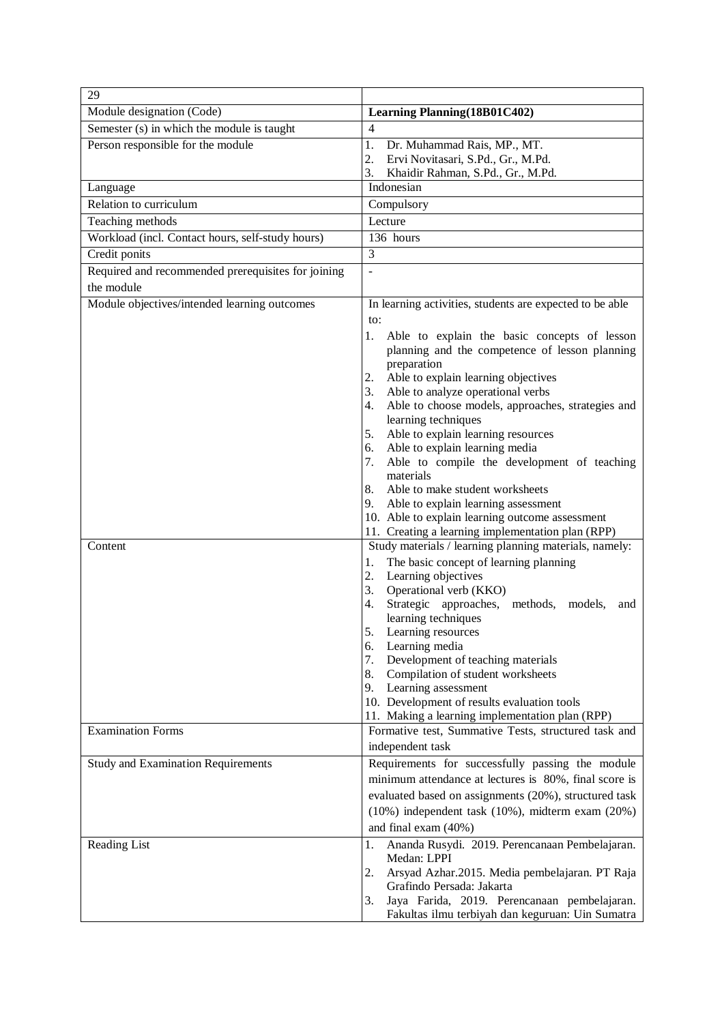| 29                                                 |                                                                                                |
|----------------------------------------------------|------------------------------------------------------------------------------------------------|
| Module designation (Code)                          | <b>Learning Planning (18B01C402)</b>                                                           |
| Semester (s) in which the module is taught         | $\overline{4}$                                                                                 |
| Person responsible for the module                  | 1.<br>Dr. Muhammad Rais, MP., MT.                                                              |
|                                                    | 2.<br>Ervi Novitasari, S.Pd., Gr., M.Pd.                                                       |
|                                                    | 3.<br>Khaidir Rahman, S.Pd., Gr., M.Pd.                                                        |
| Language                                           | Indonesian                                                                                     |
| Relation to curriculum                             | Compulsory                                                                                     |
| Teaching methods                                   | Lecture                                                                                        |
| Workload (incl. Contact hours, self-study hours)   | 136 hours                                                                                      |
| Credit ponits                                      | 3                                                                                              |
| Required and recommended prerequisites for joining |                                                                                                |
| the module                                         |                                                                                                |
| Module objectives/intended learning outcomes       | In learning activities, students are expected to be able                                       |
|                                                    | to:                                                                                            |
|                                                    | 1.<br>Able to explain the basic concepts of lesson                                             |
|                                                    | planning and the competence of lesson planning                                                 |
|                                                    | preparation<br>Able to explain learning objectives<br>2.                                       |
|                                                    | 3.<br>Able to analyze operational verbs                                                        |
|                                                    | Able to choose models, approaches, strategies and<br>4.                                        |
|                                                    | learning techniques                                                                            |
|                                                    | 5.<br>Able to explain learning resources                                                       |
|                                                    | Able to explain learning media<br>6.                                                           |
|                                                    | 7.<br>Able to compile the development of teaching<br>materials                                 |
|                                                    | Able to make student worksheets<br>8.                                                          |
|                                                    | 9. Able to explain learning assessment                                                         |
|                                                    | 10. Able to explain learning outcome assessment                                                |
|                                                    | 11. Creating a learning implementation plan (RPP)                                              |
| Content                                            | Study materials / learning planning materials, namely:                                         |
|                                                    | 1.<br>The basic concept of learning planning                                                   |
|                                                    | 2.<br>Learning objectives                                                                      |
|                                                    | 3.<br>Operational verb (KKO)<br>Strategic approaches, methods,<br>4.<br>models,                |
|                                                    | and<br>learning techniques                                                                     |
|                                                    | 5.<br>Learning resources                                                                       |
|                                                    | 6.<br>Learning media                                                                           |
|                                                    | Development of teaching materials<br>7.                                                        |
|                                                    | 8.<br>Compilation of student worksheets                                                        |
|                                                    | Learning assessment<br>9.                                                                      |
|                                                    | 10. Development of results evaluation tools<br>11. Making a learning implementation plan (RPP) |
| <b>Examination Forms</b>                           | Formative test, Summative Tests, structured task and                                           |
|                                                    | independent task                                                                               |
| <b>Study and Examination Requirements</b>          | Requirements for successfully passing the module                                               |
|                                                    | minimum attendance at lectures is 80%, final score is                                          |
|                                                    | evaluated based on assignments (20%), structured task                                          |
|                                                    | $(10\%)$ independent task $(10\%)$ , midterm exam $(20\%)$                                     |
|                                                    | and final exam (40%)                                                                           |
| Reading List                                       | 1.<br>Ananda Rusydi. 2019. Perencanaan Pembelajaran.                                           |
|                                                    | Medan: LPPI                                                                                    |
|                                                    | 2.<br>Arsyad Azhar.2015. Media pembelajaran. PT Raja                                           |
|                                                    | Grafindo Persada: Jakarta                                                                      |
|                                                    | Jaya Farida, 2019. Perencanaan pembelajaran.<br>3.                                             |
|                                                    | Fakultas ilmu terbiyah dan keguruan: Uin Sumatra                                               |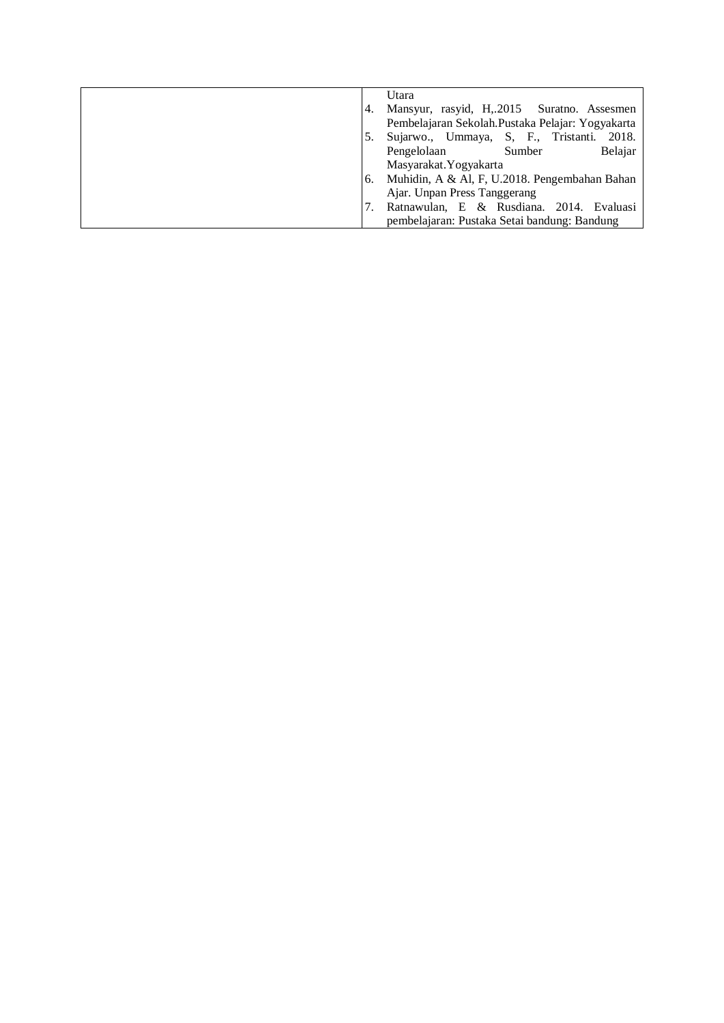|    | Utara                                            |
|----|--------------------------------------------------|
|    | Mansyur, rasyid, H,.2015 Suratno. Assesmen       |
|    | Pembelajaran Sekolah.Pustaka Pelajar: Yogyakarta |
|    | Sujarwo., Ummaya, S, F., Tristanti.<br>2018.     |
|    | Belajar<br>Pengelolaan<br>Sumber                 |
|    | Masyarakat. Yogyakarta                           |
| 6. | Muhidin, A & Al, F, U.2018. Pengembahan Bahan    |
|    | Ajar. Unpan Press Tanggerang                     |
|    | Ratnawulan, E & Rusdiana. 2014. Evaluasi         |
|    | pembelajaran: Pustaka Setai bandung: Bandung     |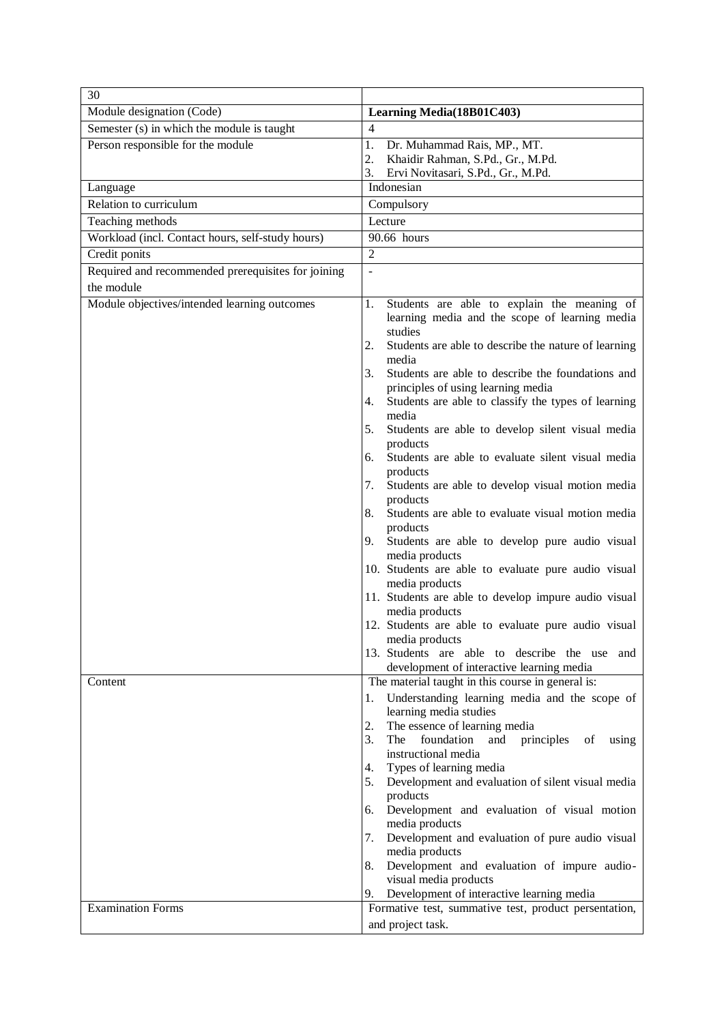| 30                                                 |                                                                                                                                                                                                                                                                                                                                                                                                                                                                                                                                                                                                                                                                                                                     |
|----------------------------------------------------|---------------------------------------------------------------------------------------------------------------------------------------------------------------------------------------------------------------------------------------------------------------------------------------------------------------------------------------------------------------------------------------------------------------------------------------------------------------------------------------------------------------------------------------------------------------------------------------------------------------------------------------------------------------------------------------------------------------------|
| Module designation (Code)                          | Learning Media(18B01C403)                                                                                                                                                                                                                                                                                                                                                                                                                                                                                                                                                                                                                                                                                           |
| Semester (s) in which the module is taught         | $\overline{4}$                                                                                                                                                                                                                                                                                                                                                                                                                                                                                                                                                                                                                                                                                                      |
| Person responsible for the module                  | 1.<br>Dr. Muhammad Rais, MP., MT.                                                                                                                                                                                                                                                                                                                                                                                                                                                                                                                                                                                                                                                                                   |
|                                                    | 2.<br>Khaidir Rahman, S.Pd., Gr., M.Pd.<br>3.<br>Ervi Novitasari, S.Pd., Gr., M.Pd.                                                                                                                                                                                                                                                                                                                                                                                                                                                                                                                                                                                                                                 |
| Language                                           | Indonesian                                                                                                                                                                                                                                                                                                                                                                                                                                                                                                                                                                                                                                                                                                          |
| Relation to curriculum                             | Compulsory                                                                                                                                                                                                                                                                                                                                                                                                                                                                                                                                                                                                                                                                                                          |
| Teaching methods                                   | Lecture                                                                                                                                                                                                                                                                                                                                                                                                                                                                                                                                                                                                                                                                                                             |
| Workload (incl. Contact hours, self-study hours)   | 90.66 hours                                                                                                                                                                                                                                                                                                                                                                                                                                                                                                                                                                                                                                                                                                         |
| Credit ponits                                      | $\overline{2}$                                                                                                                                                                                                                                                                                                                                                                                                                                                                                                                                                                                                                                                                                                      |
| Required and recommended prerequisites for joining | $\overline{a}$                                                                                                                                                                                                                                                                                                                                                                                                                                                                                                                                                                                                                                                                                                      |
| the module                                         |                                                                                                                                                                                                                                                                                                                                                                                                                                                                                                                                                                                                                                                                                                                     |
| Module objectives/intended learning outcomes       | Students are able to explain the meaning of<br>1.<br>learning media and the scope of learning media<br>studies<br>2.<br>Students are able to describe the nature of learning<br>media<br>Students are able to describe the foundations and<br>3.<br>principles of using learning media<br>Students are able to classify the types of learning<br>4.<br>media<br>Students are able to develop silent visual media<br>5.<br>products<br>Students are able to evaluate silent visual media<br>6.<br>products<br>Students are able to develop visual motion media<br>7.<br>products<br>Students are able to evaluate visual motion media<br>8.<br>products<br>Students are able to develop pure audio visual<br>9.      |
|                                                    | media products<br>10. Students are able to evaluate pure audio visual<br>media products<br>11. Students are able to develop impure audio visual<br>media products<br>12. Students are able to evaluate pure audio visual<br>media products<br>13. Students are able to describe the use and<br>development of interactive learning media                                                                                                                                                                                                                                                                                                                                                                            |
| Content<br><b>Examination Forms</b>                | The material taught in this course in general is:<br>Understanding learning media and the scope of<br>1.<br>learning media studies<br>The essence of learning media<br>2.<br>3.<br>The<br>foundation<br>and<br>principles<br>of<br>using<br>instructional media<br>Types of learning media<br>4.<br>Development and evaluation of silent visual media<br>5.<br>products<br>Development and evaluation of visual motion<br>6.<br>media products<br>Development and evaluation of pure audio visual<br>7.<br>media products<br>Development and evaluation of impure audio-<br>8.<br>visual media products<br>Development of interactive learning media<br>9.<br>Formative test, summative test, product persentation, |
|                                                    | and project task.                                                                                                                                                                                                                                                                                                                                                                                                                                                                                                                                                                                                                                                                                                   |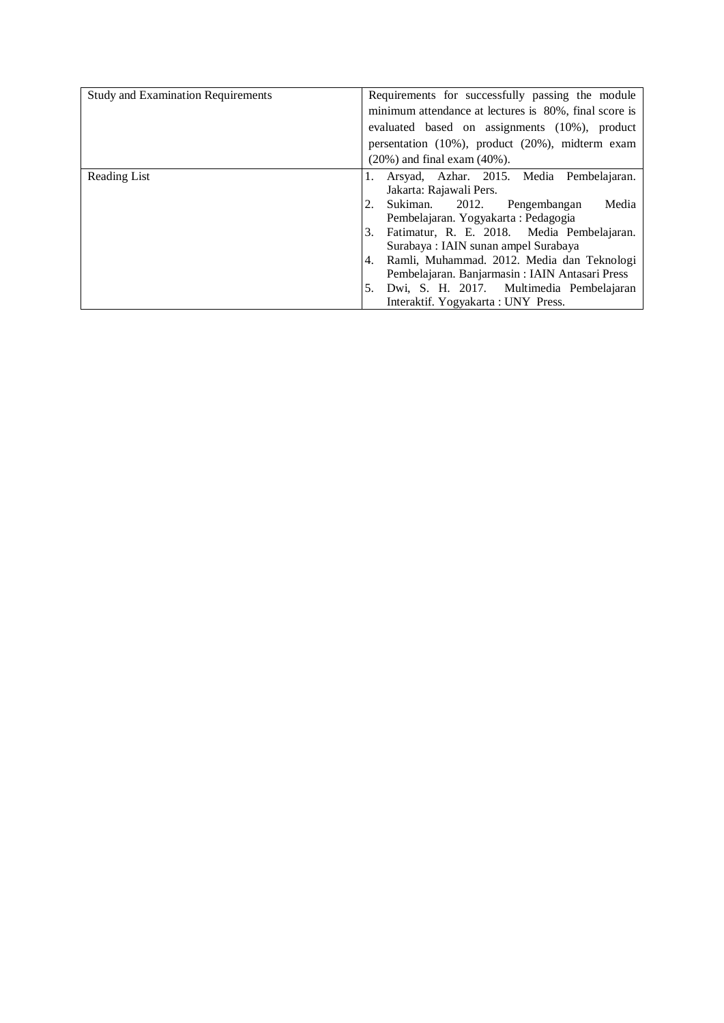| <b>Study and Examination Requirements</b> | Requirements for successfully passing the module      |
|-------------------------------------------|-------------------------------------------------------|
|                                           | minimum attendance at lectures is 80%, final score is |
|                                           | evaluated based on assignments (10%), product         |
|                                           | persentation (10%), product (20%), midterm exam       |
|                                           | $(20\%)$ and final exam $(40\%)$ .                    |
| Reading List                              | Arsyad, Azhar. 2015. Media Pembelajaran.              |
|                                           | Jakarta: Rajawali Pers.                               |
|                                           | Sukiman. 2012. Pengembangan<br>Media                  |
|                                           | Pembelajaran. Yogyakarta: Pedagogia                   |
|                                           | Fatimatur, R. E. 2018. Media Pembelajaran.<br>3.      |
|                                           | Surabaya: IAIN sunan ampel Surabaya                   |
|                                           | Ramli, Muhammad. 2012. Media dan Teknologi<br>4.      |
|                                           | Pembelajaran. Banjarmasin: IAIN Antasari Press        |
|                                           | Dwi, S. H. 2017. Multimedia Pembelajaran<br>5.        |
|                                           | Interaktif. Yogyakarta : UNY Press.                   |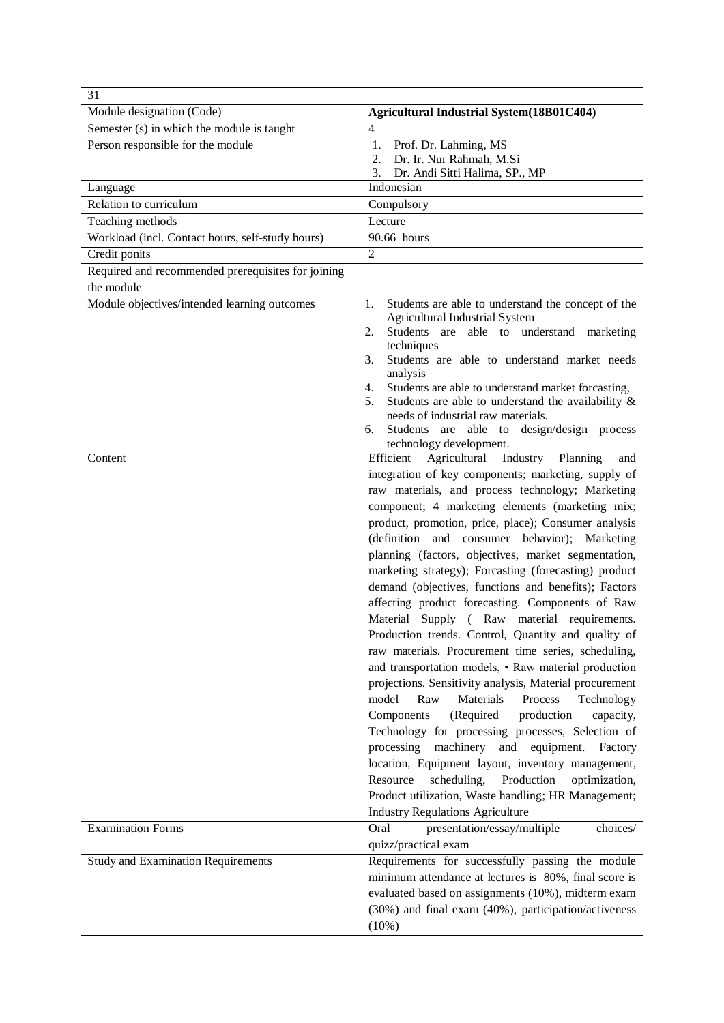| 31                                                 |                                                                                                                 |
|----------------------------------------------------|-----------------------------------------------------------------------------------------------------------------|
| Module designation (Code)                          | Agricultural Industrial System(18B01C404)                                                                       |
| Semester (s) in which the module is taught         | 4                                                                                                               |
| Person responsible for the module                  | 1.<br>Prof. Dr. Lahming, MS                                                                                     |
|                                                    | Dr. Ir. Nur Rahmah, M.Si<br>2.<br>Dr. Andi Sitti Halima, SP., MP<br>3.                                          |
| Language                                           | Indonesian                                                                                                      |
| Relation to curriculum                             | Compulsory                                                                                                      |
| Teaching methods                                   | Lecture                                                                                                         |
| Workload (incl. Contact hours, self-study hours)   | 90.66 hours                                                                                                     |
| Credit ponits                                      | $\overline{2}$                                                                                                  |
| Required and recommended prerequisites for joining |                                                                                                                 |
| the module                                         |                                                                                                                 |
| Module objectives/intended learning outcomes       | Students are able to understand the concept of the<br>1.                                                        |
|                                                    | <b>Agricultural Industrial System</b>                                                                           |
|                                                    | Students are able to understand marketing<br>2.<br>techniques                                                   |
|                                                    | Students are able to understand market needs<br>3.                                                              |
|                                                    | analysis                                                                                                        |
|                                                    | Students are able to understand market forcasting,<br>4.                                                        |
|                                                    | Students are able to understand the availability $\&$<br>5.                                                     |
|                                                    | needs of industrial raw materials.<br>Students are able to design/design process<br>6.                          |
|                                                    | technology development.                                                                                         |
| Content                                            | Industry<br>Efficient<br>Agricultural<br>Planning<br>and                                                        |
|                                                    | integration of key components; marketing, supply of                                                             |
|                                                    | raw materials, and process technology; Marketing                                                                |
|                                                    | component; 4 marketing elements (marketing mix;                                                                 |
|                                                    | product, promotion, price, place); Consumer analysis                                                            |
|                                                    | (definition and consumer behavior); Marketing                                                                   |
|                                                    | planning (factors, objectives, market segmentation,                                                             |
|                                                    | marketing strategy); Forcasting (forecasting) product                                                           |
|                                                    | demand (objectives, functions and benefits); Factors                                                            |
|                                                    | affecting product forecasting. Components of Raw                                                                |
|                                                    | Material Supply (Raw material requirements.                                                                     |
|                                                    | Production trends. Control, Quantity and quality of                                                             |
|                                                    | raw materials. Procurement time series, scheduling,                                                             |
|                                                    | and transportation models, • Raw material production<br>projections. Sensitivity analysis, Material procurement |
|                                                    | Materials<br>model<br>Process<br>Raw<br>Technology                                                              |
|                                                    | Components<br>(Required<br>production<br>capacity,                                                              |
|                                                    | Technology for processing processes, Selection of                                                               |
|                                                    | processing<br>machinery<br>and<br>equipment.<br>Factory                                                         |
|                                                    | location, Equipment layout, inventory management,                                                               |
|                                                    | Production<br>Resource<br>scheduling,<br>optimization,                                                          |
|                                                    | Product utilization, Waste handling; HR Management;                                                             |
|                                                    | <b>Industry Regulations Agriculture</b>                                                                         |
| <b>Examination Forms</b>                           | Oral<br>presentation/essay/multiple<br>choices/                                                                 |
|                                                    | quizz/practical exam                                                                                            |
| <b>Study and Examination Requirements</b>          | Requirements for successfully passing the module                                                                |
|                                                    | minimum attendance at lectures is 80%, final score is                                                           |
|                                                    | evaluated based on assignments (10%), midterm exam                                                              |
|                                                    | (30%) and final exam (40%), participation/activeness                                                            |
|                                                    | (10%)                                                                                                           |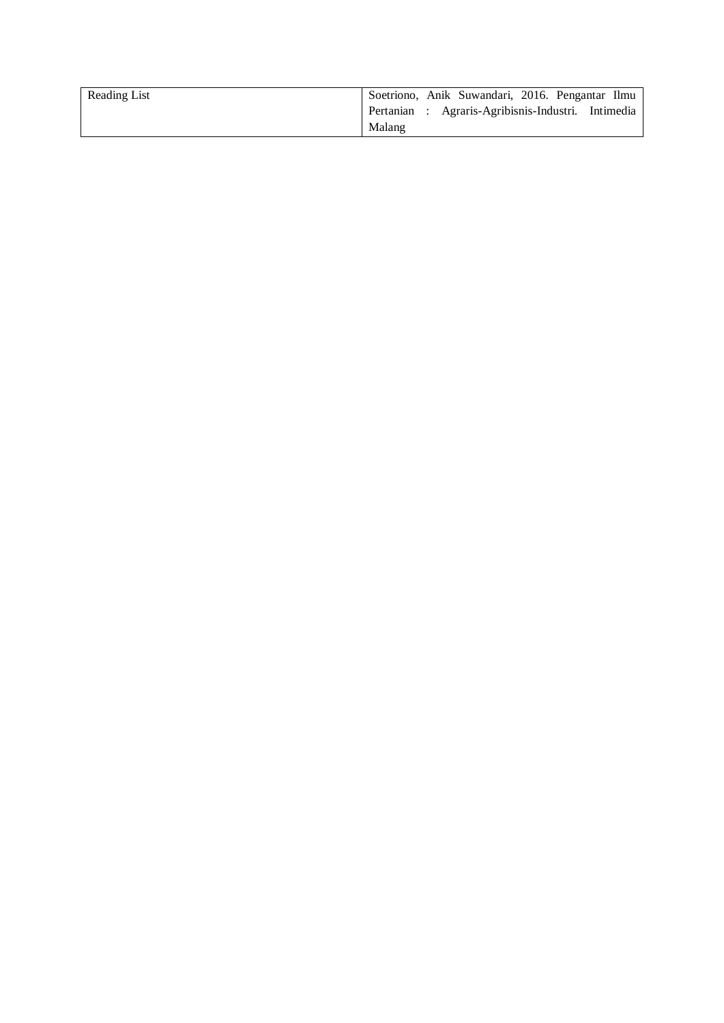| Reading List | Soetriono, Anik Suwandari, 2016. Pengantar Ilmu    |
|--------------|----------------------------------------------------|
|              | Pertanian : Agraris-Agribisnis-Industri. Intimedia |
|              | Malang                                             |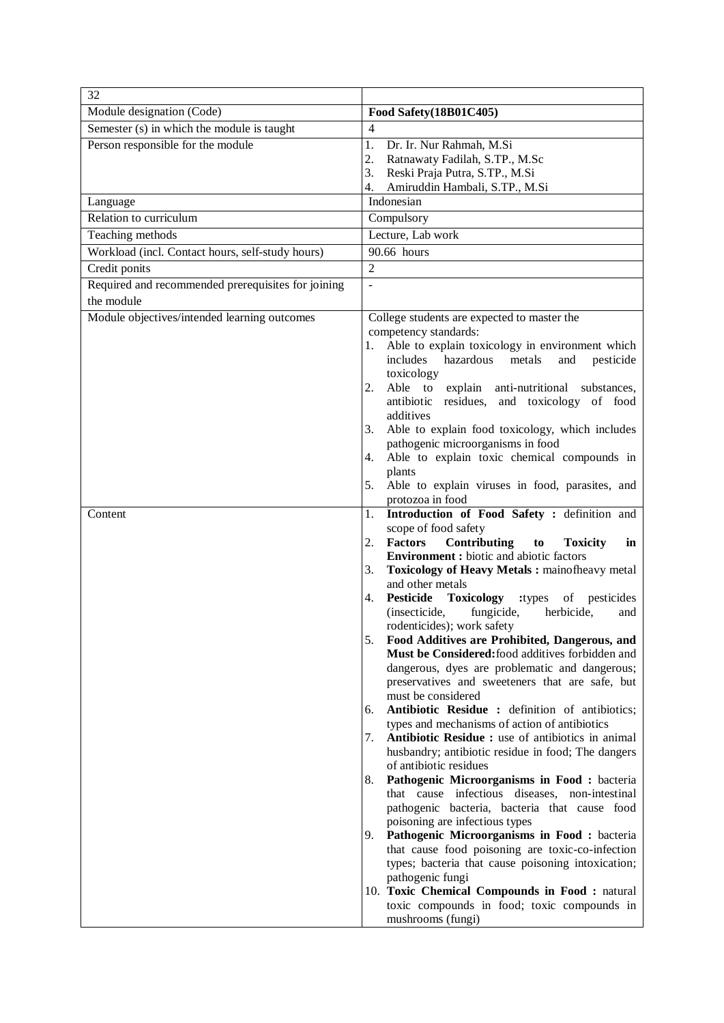| 32                                                 |                                                                                                   |
|----------------------------------------------------|---------------------------------------------------------------------------------------------------|
| Module designation (Code)                          | Food Safety(18B01C405)                                                                            |
| Semester (s) in which the module is taught         | $\overline{4}$                                                                                    |
| Person responsible for the module                  | 1.<br>Dr. Ir. Nur Rahmah, M.Si                                                                    |
|                                                    | Ratnawaty Fadilah, S.TP., M.Sc<br>2.                                                              |
|                                                    | Reski Praja Putra, S.TP., M.Si<br>3.<br>Amiruddin Hambali, S.TP., M.Si<br>4.                      |
| Language                                           | Indonesian                                                                                        |
| Relation to curriculum                             | Compulsory                                                                                        |
| Teaching methods                                   | Lecture, Lab work                                                                                 |
| Workload (incl. Contact hours, self-study hours)   | 90.66 hours                                                                                       |
| Credit ponits                                      | $\overline{2}$                                                                                    |
| Required and recommended prerequisites for joining | $\overline{a}$                                                                                    |
| the module                                         |                                                                                                   |
| Module objectives/intended learning outcomes       | College students are expected to master the                                                       |
|                                                    | competency standards:                                                                             |
|                                                    | Able to explain toxicology in environment which<br>1.                                             |
|                                                    | includes hazardous metals<br>and<br>pesticide                                                     |
|                                                    | toxicology                                                                                        |
|                                                    | Able to explain anti-nutritional substances,<br>2.<br>antibiotic residues, and toxicology of food |
|                                                    | additives                                                                                         |
|                                                    | Able to explain food toxicology, which includes<br>3.                                             |
|                                                    | pathogenic microorganisms in food                                                                 |
|                                                    | Able to explain toxic chemical compounds in<br>4.                                                 |
|                                                    | plants                                                                                            |
|                                                    | Able to explain viruses in food, parasites, and<br>5.<br>protozoa in food                         |
| Content                                            | Introduction of Food Safety : definition and<br>1.                                                |
|                                                    | scope of food safety                                                                              |
|                                                    | <b>Factors</b><br>Contributing<br>2.<br>to<br><b>Toxicity</b><br>in                               |
|                                                    | <b>Environment :</b> biotic and abiotic factors                                                   |
|                                                    | Toxicology of Heavy Metals : mainofheavy metal<br>3.                                              |
|                                                    | and other metals<br><b>Pesticide</b><br><b>Toxicology</b><br>:types of pesticides<br>4.           |
|                                                    | herbicide,<br>(insecticide,<br>fungicide,<br>and                                                  |
|                                                    | rodenticides); work safety                                                                        |
|                                                    | Food Additives are Prohibited, Dangerous, and<br>5.                                               |
|                                                    | Must be Considered: food additives forbidden and                                                  |
|                                                    | dangerous, dyes are problematic and dangerous;<br>preservatives and sweeteners that are safe, but |
|                                                    | must be considered                                                                                |
|                                                    | Antibiotic Residue : definition of antibiotics;<br>6.                                             |
|                                                    | types and mechanisms of action of antibiotics                                                     |
|                                                    | Antibiotic Residue : use of antibiotics in animal<br>7.                                           |
|                                                    | husbandry; antibiotic residue in food; The dangers                                                |
|                                                    | of antibiotic residues<br>Pathogenic Microorganisms in Food : bacteria<br>8.                      |
|                                                    | that cause infectious diseases, non-intestinal                                                    |
|                                                    | pathogenic bacteria, bacteria that cause food                                                     |
|                                                    | poisoning are infectious types                                                                    |
|                                                    | Pathogenic Microorganisms in Food : bacteria<br>9.                                                |
|                                                    | that cause food poisoning are toxic-co-infection                                                  |
|                                                    | types; bacteria that cause poisoning intoxication;<br>pathogenic fungi                            |
|                                                    | 10. Toxic Chemical Compounds in Food: natural                                                     |
|                                                    | toxic compounds in food; toxic compounds in                                                       |
|                                                    | mushrooms (fungi)                                                                                 |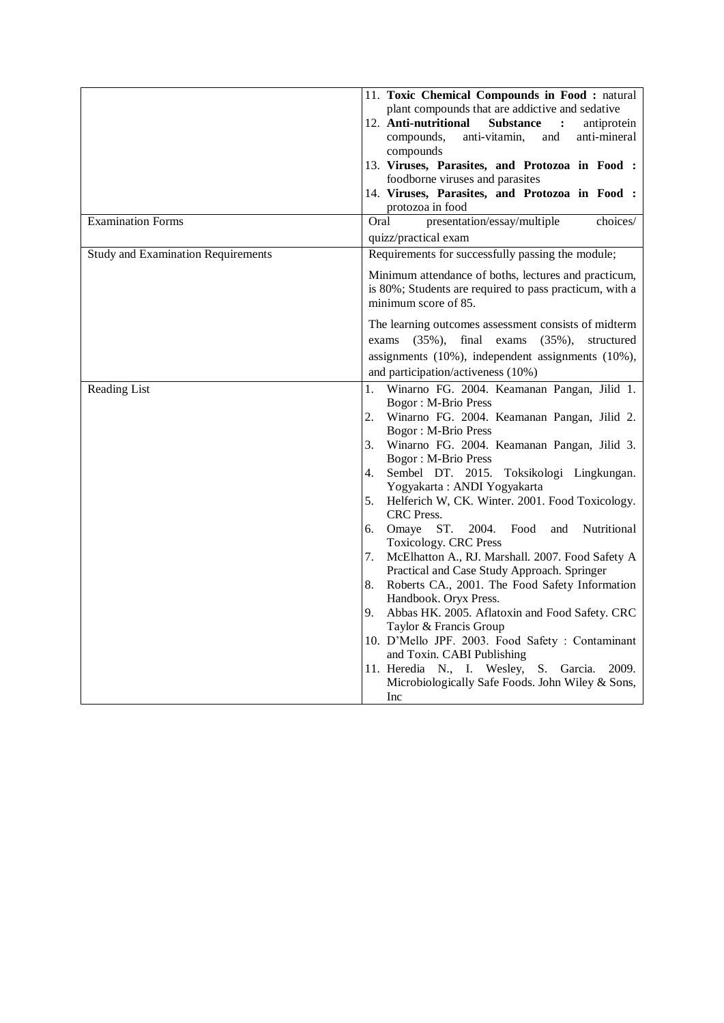|                                           | 11. Toxic Chemical Compounds in Food: natural<br>plant compounds that are addictive and sedative<br>12. Anti-nutritional<br><b>Substance</b><br>$\ddot{\cdot}$<br>antiprotein<br>compounds,<br>and<br>anti-mineral<br>anti-vitamin,<br>compounds                                                                                                                                                                                                                                                                                                                                                                                                                                                                                                                                                                                                                                                                                                                                             |
|-------------------------------------------|----------------------------------------------------------------------------------------------------------------------------------------------------------------------------------------------------------------------------------------------------------------------------------------------------------------------------------------------------------------------------------------------------------------------------------------------------------------------------------------------------------------------------------------------------------------------------------------------------------------------------------------------------------------------------------------------------------------------------------------------------------------------------------------------------------------------------------------------------------------------------------------------------------------------------------------------------------------------------------------------|
|                                           | 13. Viruses, Parasites, and Protozoa in Food :<br>foodborne viruses and parasites<br>14. Viruses, Parasites, and Protozoa in Food :<br>protozoa in food                                                                                                                                                                                                                                                                                                                                                                                                                                                                                                                                                                                                                                                                                                                                                                                                                                      |
| <b>Examination Forms</b>                  | Oral<br>presentation/essay/multiple<br>choices/                                                                                                                                                                                                                                                                                                                                                                                                                                                                                                                                                                                                                                                                                                                                                                                                                                                                                                                                              |
|                                           | quizz/practical exam                                                                                                                                                                                                                                                                                                                                                                                                                                                                                                                                                                                                                                                                                                                                                                                                                                                                                                                                                                         |
| <b>Study and Examination Requirements</b> | Requirements for successfully passing the module;                                                                                                                                                                                                                                                                                                                                                                                                                                                                                                                                                                                                                                                                                                                                                                                                                                                                                                                                            |
|                                           | Minimum attendance of boths, lectures and practicum,<br>is 80%; Students are required to pass practicum, with a<br>minimum score of 85.                                                                                                                                                                                                                                                                                                                                                                                                                                                                                                                                                                                                                                                                                                                                                                                                                                                      |
|                                           | The learning outcomes assessment consists of midterm<br>exams $(35\%)$ ,<br>final<br>exams<br>$(35\%)$ ,<br>structured<br>assignments (10%), independent assignments (10%),<br>and participation/activeness (10%)                                                                                                                                                                                                                                                                                                                                                                                                                                                                                                                                                                                                                                                                                                                                                                            |
| Reading List                              | Winarno FG. 2004. Keamanan Pangan, Jilid 1.<br>1.<br><b>Bogor: M-Brio Press</b><br>2.<br>Winarno FG. 2004. Keamanan Pangan, Jilid 2.<br><b>Bogor: M-Brio Press</b><br>3.<br>Winarno FG. 2004. Keamanan Pangan, Jilid 3.<br><b>Bogor: M-Brio Press</b><br>Sembel DT. 2015. Toksikologi Lingkungan.<br>4.<br>Yogyakarta: ANDI Yogyakarta<br>5.<br>Helferich W, CK. Winter. 2001. Food Toxicology.<br><b>CRC</b> Press.<br>Omaye ST.<br>2004.<br>Food<br>Nutritional<br>6.<br>and<br><b>Toxicology. CRC Press</b><br>McElhatton A., RJ. Marshall. 2007. Food Safety A<br>7.<br>Practical and Case Study Approach. Springer<br>Roberts CA., 2001. The Food Safety Information<br>8.<br>Handbook. Oryx Press.<br>9.<br>Abbas HK. 2005. Aflatoxin and Food Safety. CRC<br>Taylor & Francis Group<br>10. D'Mello JPF. 2003. Food Safety : Contaminant<br>and Toxin. CABI Publishing<br>11. Heredia N., I. Wesley,<br>S. Garcia.<br>2009.<br>Microbiologically Safe Foods. John Wiley & Sons,<br>Inc |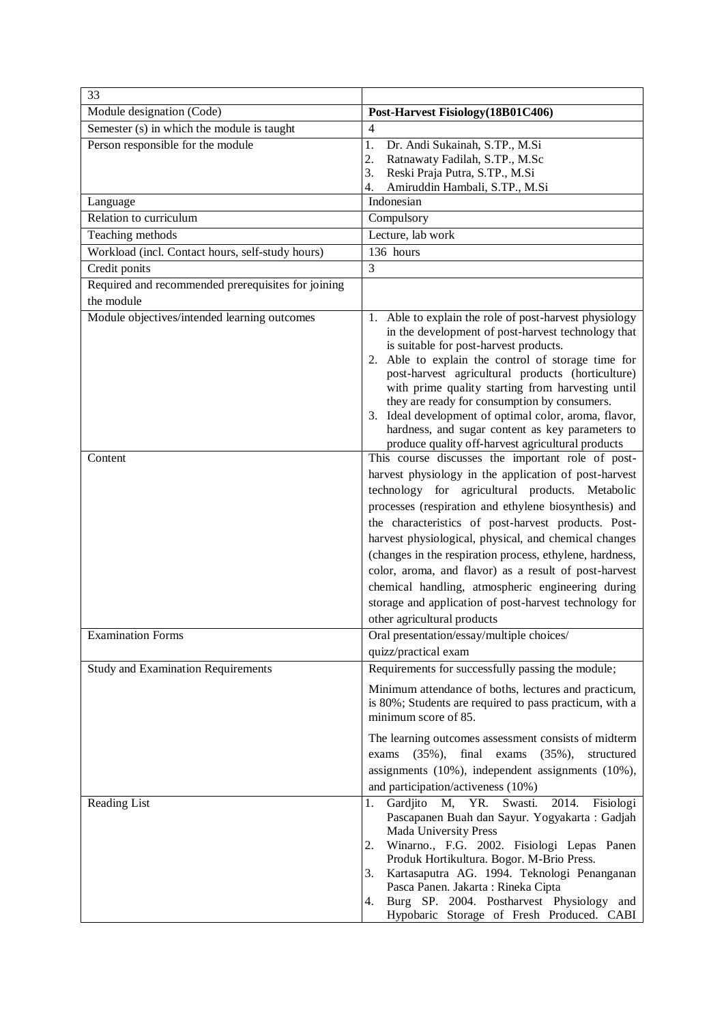| 33                                                 |                                                                                                                                                                                                                                                                                                                                                                                                                                                                                                                                                                                                           |
|----------------------------------------------------|-----------------------------------------------------------------------------------------------------------------------------------------------------------------------------------------------------------------------------------------------------------------------------------------------------------------------------------------------------------------------------------------------------------------------------------------------------------------------------------------------------------------------------------------------------------------------------------------------------------|
| Module designation (Code)                          | Post-Harvest Fisiology (18B01C406)                                                                                                                                                                                                                                                                                                                                                                                                                                                                                                                                                                        |
| Semester (s) in which the module is taught         | 4                                                                                                                                                                                                                                                                                                                                                                                                                                                                                                                                                                                                         |
| Person responsible for the module                  | 1.<br>Dr. Andi Sukainah, S.TP., M.Si                                                                                                                                                                                                                                                                                                                                                                                                                                                                                                                                                                      |
|                                                    | 2.<br>Ratnawaty Fadilah, S.TP., M.Sc                                                                                                                                                                                                                                                                                                                                                                                                                                                                                                                                                                      |
|                                                    | 3.<br>Reski Praja Putra, S.TP., M.Si<br>Amiruddin Hambali, S.TP., M.Si<br>4.                                                                                                                                                                                                                                                                                                                                                                                                                                                                                                                              |
| Language                                           | Indonesian                                                                                                                                                                                                                                                                                                                                                                                                                                                                                                                                                                                                |
| Relation to curriculum                             | Compulsory                                                                                                                                                                                                                                                                                                                                                                                                                                                                                                                                                                                                |
| Teaching methods                                   | Lecture, lab work                                                                                                                                                                                                                                                                                                                                                                                                                                                                                                                                                                                         |
| Workload (incl. Contact hours, self-study hours)   | 136 hours                                                                                                                                                                                                                                                                                                                                                                                                                                                                                                                                                                                                 |
| Credit ponits                                      | 3                                                                                                                                                                                                                                                                                                                                                                                                                                                                                                                                                                                                         |
| Required and recommended prerequisites for joining |                                                                                                                                                                                                                                                                                                                                                                                                                                                                                                                                                                                                           |
| the module                                         |                                                                                                                                                                                                                                                                                                                                                                                                                                                                                                                                                                                                           |
| Module objectives/intended learning outcomes       | 1. Able to explain the role of post-harvest physiology<br>in the development of post-harvest technology that<br>is suitable for post-harvest products.<br>Able to explain the control of storage time for<br>2.<br>post-harvest agricultural products (horticulture)<br>with prime quality starting from harvesting until<br>they are ready for consumption by consumers.<br>3. Ideal development of optimal color, aroma, flavor,<br>hardness, and sugar content as key parameters to<br>produce quality off-harvest agricultural products                                                               |
| Content                                            | This course discusses the important role of post-<br>harvest physiology in the application of post-harvest<br>technology for agricultural products. Metabolic<br>processes (respiration and ethylene biosynthesis) and<br>the characteristics of post-harvest products. Post-<br>harvest physiological, physical, and chemical changes<br>(changes in the respiration process, ethylene, hardness,<br>color, aroma, and flavor) as a result of post-harvest<br>chemical handling, atmospheric engineering during<br>storage and application of post-harvest technology for<br>other agricultural products |
| <b>Examination Forms</b>                           | Oral presentation/essay/multiple choices/                                                                                                                                                                                                                                                                                                                                                                                                                                                                                                                                                                 |
|                                                    | quizz/practical exam                                                                                                                                                                                                                                                                                                                                                                                                                                                                                                                                                                                      |
| <b>Study and Examination Requirements</b>          | Requirements for successfully passing the module;<br>Minimum attendance of boths, lectures and practicum,<br>is 80%; Students are required to pass practicum, with a<br>minimum score of 85.<br>The learning outcomes assessment consists of midterm<br>final exams<br>$(35\%),$<br>$(35\%),$<br>structured<br>exams<br>assignments (10%), independent assignments (10%),<br>and participation/activeness (10%)                                                                                                                                                                                           |
| Reading List                                       | Gardjito M, YR. Swasti. 2014. Fisiologi<br>1.                                                                                                                                                                                                                                                                                                                                                                                                                                                                                                                                                             |
|                                                    | Pascapanen Buah dan Sayur. Yogyakarta: Gadjah<br>Mada University Press<br>Winarno., F.G. 2002. Fisiologi Lepas Panen<br>2.<br>Produk Hortikultura. Bogor. M-Brio Press.<br>Kartasaputra AG. 1994. Teknologi Penanganan<br>3.<br>Pasca Panen. Jakarta: Rineka Cipta<br>Burg SP. 2004. Postharvest Physiology and<br>4.<br>Hypobaric Storage of Fresh Produced. CABI                                                                                                                                                                                                                                        |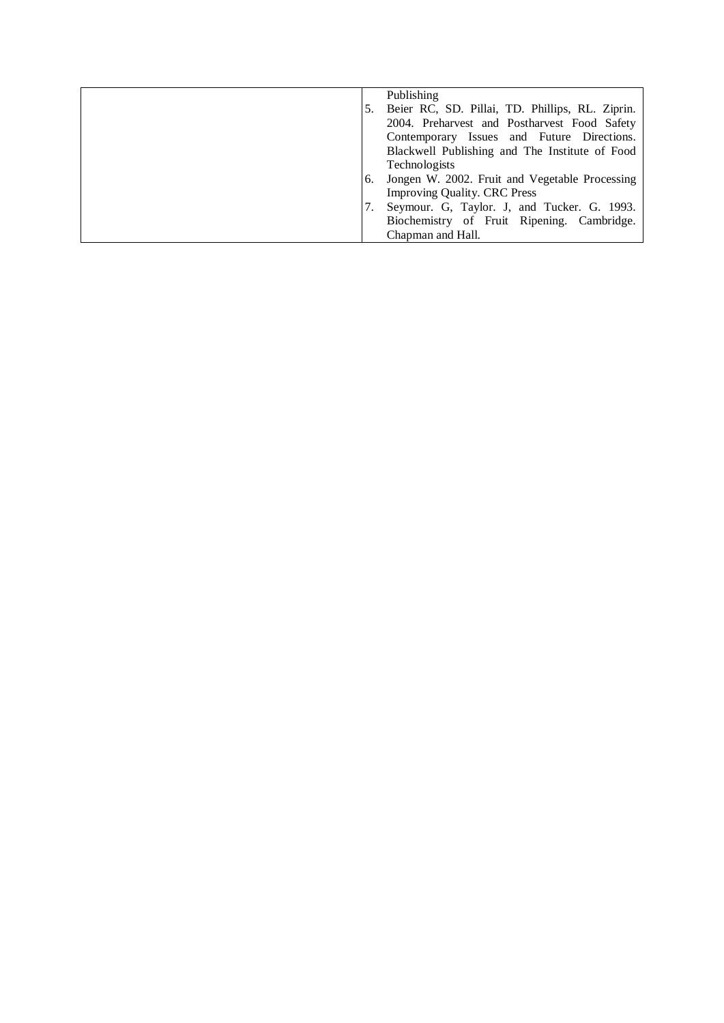|    | Publishing                                      |
|----|-------------------------------------------------|
|    | Beier RC, SD. Pillai, TD. Phillips, RL. Ziprin. |
|    | 2004. Preharvest and Postharvest Food Safety    |
|    | Contemporary Issues and Future Directions.      |
|    | Blackwell Publishing and The Institute of Food  |
|    | Technologists                                   |
| 6. | Jongen W. 2002. Fruit and Vegetable Processing  |
|    | <b>Improving Quality. CRC Press</b>             |
|    | Seymour. G, Taylor. J, and Tucker. G. 1993.     |
|    | Biochemistry of Fruit Ripening. Cambridge.      |
|    | Chapman and Hall.                               |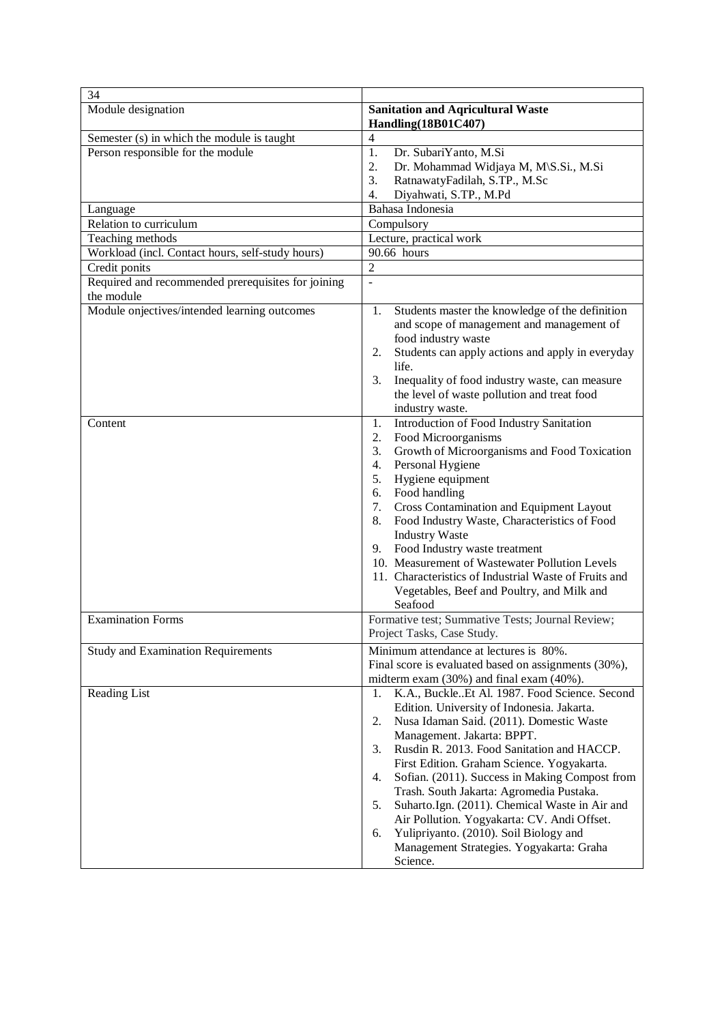| 34                                                               |                                                                                                                                                                                                                                                                                                                                                                                                                                                                                                                                                                                                        |
|------------------------------------------------------------------|--------------------------------------------------------------------------------------------------------------------------------------------------------------------------------------------------------------------------------------------------------------------------------------------------------------------------------------------------------------------------------------------------------------------------------------------------------------------------------------------------------------------------------------------------------------------------------------------------------|
| Module designation                                               | <b>Sanitation and Aqricultural Waste</b><br>Handling(18B01C407)                                                                                                                                                                                                                                                                                                                                                                                                                                                                                                                                        |
| Semester (s) in which the module is taught                       | 4                                                                                                                                                                                                                                                                                                                                                                                                                                                                                                                                                                                                      |
| Person responsible for the module                                | 1.<br>Dr. SubariYanto, M.Si<br>2.<br>Dr. Mohammad Widjaya M, M\S.Si., M.Si<br>3.<br>RatnawatyFadilah, S.TP., M.Sc<br>Diyahwati, S.TP., M.Pd<br>4.                                                                                                                                                                                                                                                                                                                                                                                                                                                      |
| Language                                                         | Bahasa Indonesia                                                                                                                                                                                                                                                                                                                                                                                                                                                                                                                                                                                       |
| Relation to curriculum                                           | Compulsory                                                                                                                                                                                                                                                                                                                                                                                                                                                                                                                                                                                             |
| Teaching methods                                                 | Lecture, practical work                                                                                                                                                                                                                                                                                                                                                                                                                                                                                                                                                                                |
| Workload (incl. Contact hours, self-study hours)                 | 90.66 hours                                                                                                                                                                                                                                                                                                                                                                                                                                                                                                                                                                                            |
| Credit ponits                                                    | $\overline{2}$                                                                                                                                                                                                                                                                                                                                                                                                                                                                                                                                                                                         |
| Required and recommended prerequisites for joining<br>the module | $\overline{a}$                                                                                                                                                                                                                                                                                                                                                                                                                                                                                                                                                                                         |
| Module onjectives/intended learning outcomes                     | Students master the knowledge of the definition<br>1.<br>and scope of management and management of<br>food industry waste<br>Students can apply actions and apply in everyday<br>2.<br>life.<br>Inequality of food industry waste, can measure<br>3.<br>the level of waste pollution and treat food<br>industry waste.                                                                                                                                                                                                                                                                                 |
| Content                                                          | Introduction of Food Industry Sanitation<br>1.<br>2.<br>Food Microorganisms<br>Growth of Microorganisms and Food Toxication<br>3.<br>Personal Hygiene<br>4.<br>Hygiene equipment<br>5.<br>Food handling<br>6.<br><b>Cross Contamination and Equipment Layout</b><br>7.<br>Food Industry Waste, Characteristics of Food<br>8.<br><b>Industry Waste</b><br>Food Industry waste treatment<br>9.<br>10. Measurement of Wastewater Pollution Levels<br>11. Characteristics of Industrial Waste of Fruits and<br>Vegetables, Beef and Poultry, and Milk and<br>Seafood                                       |
| <b>Examination Forms</b>                                         | Formative test; Summative Tests; Journal Review;<br>Project Tasks, Case Study.                                                                                                                                                                                                                                                                                                                                                                                                                                                                                                                         |
| <b>Study and Examination Requirements</b>                        | Minimum attendance at lectures is 80%.<br>Final score is evaluated based on assignments (30%),<br>midterm exam (30%) and final exam (40%).                                                                                                                                                                                                                                                                                                                                                                                                                                                             |
| Reading List                                                     | K.A., BuckleEt Al. 1987. Food Science. Second<br>1.<br>Edition. University of Indonesia. Jakarta.<br>Nusa Idaman Said. (2011). Domestic Waste<br>2.<br>Management. Jakarta: BPPT.<br>Rusdin R. 2013. Food Sanitation and HACCP.<br>3.<br>First Edition. Graham Science. Yogyakarta.<br>Sofian. (2011). Success in Making Compost from<br>4.<br>Trash. South Jakarta: Agromedia Pustaka.<br>Suharto.Ign. (2011). Chemical Waste in Air and<br>5.<br>Air Pollution. Yogyakarta: CV. Andi Offset.<br>Yulipriyanto. (2010). Soil Biology and<br>6.<br>Management Strategies. Yogyakarta: Graha<br>Science. |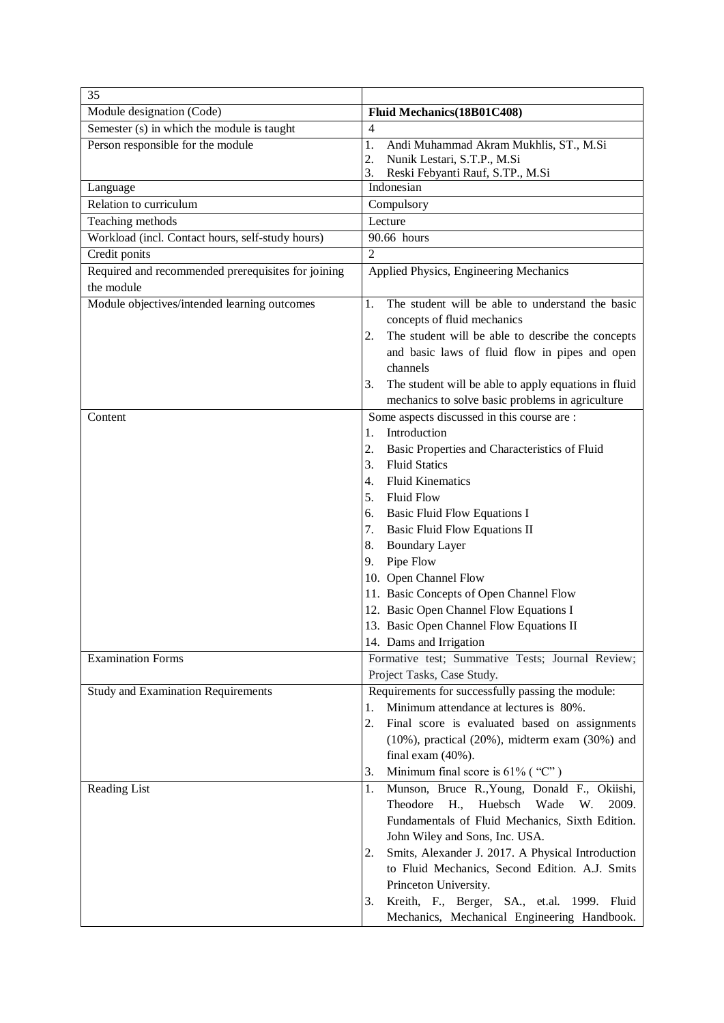| 35                                                 |                                                            |
|----------------------------------------------------|------------------------------------------------------------|
| Module designation (Code)                          | Fluid Mechanics(18B01C408)                                 |
| Semester (s) in which the module is taught         | $\overline{4}$                                             |
| Person responsible for the module                  | 1.<br>Andi Muhammad Akram Mukhlis, ST., M.Si               |
|                                                    | 2.<br>Nunik Lestari, S.T.P., M.Si                          |
|                                                    | Reski Febyanti Rauf, S.TP., M.Si<br>3.                     |
| Language                                           | Indonesian                                                 |
| Relation to curriculum                             | Compulsory                                                 |
| Teaching methods                                   | Lecture                                                    |
| Workload (incl. Contact hours, self-study hours)   | 90.66 hours                                                |
| Credit ponits                                      | $\overline{2}$                                             |
| Required and recommended prerequisites for joining | Applied Physics, Engineering Mechanics                     |
| the module                                         |                                                            |
| Module objectives/intended learning outcomes       | The student will be able to understand the basic<br>1.     |
|                                                    | concepts of fluid mechanics                                |
|                                                    | The student will be able to describe the concepts<br>2.    |
|                                                    | and basic laws of fluid flow in pipes and open             |
|                                                    | channels                                                   |
|                                                    | The student will be able to apply equations in fluid<br>3. |
|                                                    | mechanics to solve basic problems in agriculture           |
| Content                                            | Some aspects discussed in this course are :                |
|                                                    | Introduction<br>1.                                         |
|                                                    | 2.<br>Basic Properties and Characteristics of Fluid        |
|                                                    | <b>Fluid Statics</b><br>3.                                 |
|                                                    | <b>Fluid Kinematics</b><br>4.                              |
|                                                    | <b>Fluid Flow</b><br>5.                                    |
|                                                    | <b>Basic Fluid Flow Equations I</b><br>6.                  |
|                                                    | <b>Basic Fluid Flow Equations II</b><br>7.                 |
|                                                    | <b>Boundary Layer</b><br>8.                                |
|                                                    | Pipe Flow<br>9.                                            |
|                                                    | 10. Open Channel Flow                                      |
|                                                    | 11. Basic Concepts of Open Channel Flow                    |
|                                                    | 12. Basic Open Channel Flow Equations I                    |
|                                                    | 13. Basic Open Channel Flow Equations II                   |
|                                                    | 14. Dams and Irrigation                                    |
| <b>Examination Forms</b>                           | Formative test; Summative Tests; Journal Review;           |
|                                                    | Project Tasks, Case Study.                                 |
| <b>Study and Examination Requirements</b>          | Requirements for successfully passing the module:          |
|                                                    | Minimum attendance at lectures is 80%.<br>1.               |
|                                                    | 2.<br>Final score is evaluated based on assignments        |
|                                                    | $(10\%)$ , practical $(20\%)$ , midterm exam $(30\%)$ and  |
|                                                    | final exam $(40\%)$ .                                      |
|                                                    | Minimum final score is $61\%$ ("C")<br>3.                  |
| Reading List                                       | Munson, Bruce R., Young, Donald F., Okiishi,<br>1.         |
|                                                    | Theodore<br>H.,<br>Huebsch<br>Wade<br>W.<br>2009.          |
|                                                    | Fundamentals of Fluid Mechanics, Sixth Edition.            |
|                                                    | John Wiley and Sons, Inc. USA.                             |
|                                                    | Smits, Alexander J. 2017. A Physical Introduction<br>2.    |
|                                                    | to Fluid Mechanics, Second Edition. A.J. Smits             |
|                                                    | Princeton University.                                      |
|                                                    | Kreith, F., Berger, SA., et.al. 1999. Fluid<br>3.          |
|                                                    | Mechanics, Mechanical Engineering Handbook.                |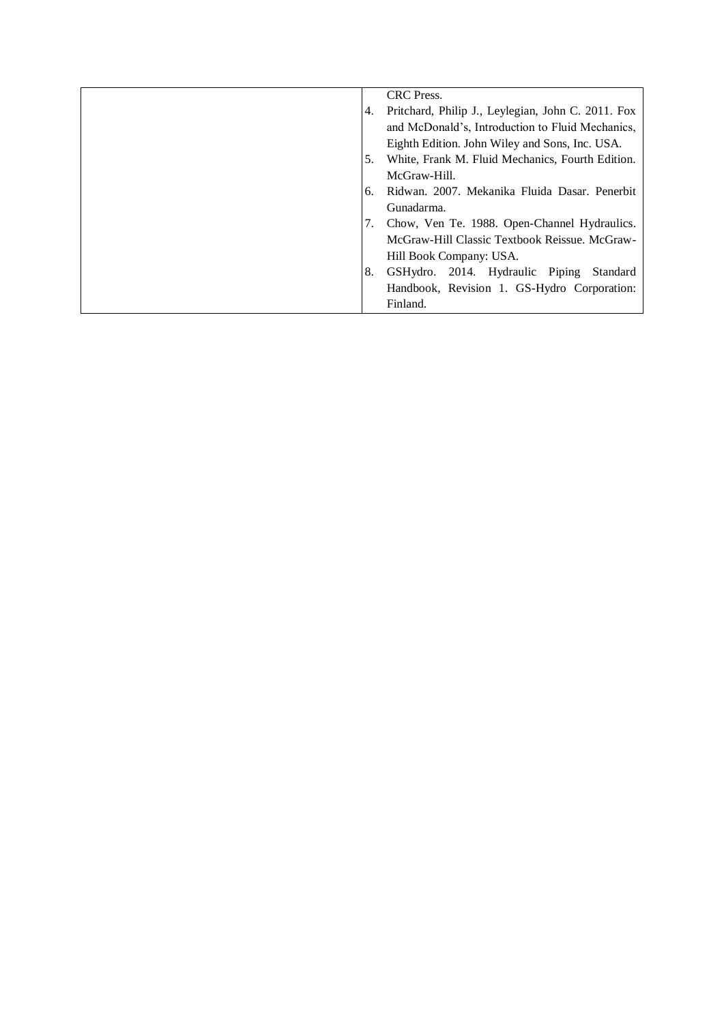|    | CRC Press.                                         |
|----|----------------------------------------------------|
| 4. | Pritchard, Philip J., Leylegian, John C. 2011. Fox |
|    | and McDonald's, Introduction to Fluid Mechanics,   |
|    | Eighth Edition. John Wiley and Sons, Inc. USA.     |
| 5. | White, Frank M. Fluid Mechanics, Fourth Edition.   |
|    | McGraw-Hill.                                       |
| 6. | Ridwan, 2007. Mekanika Fluida Dasar. Penerbit      |
|    | Gunadarma.                                         |
| 7. | Chow, Ven Te. 1988. Open-Channel Hydraulics.       |
|    | McGraw-Hill Classic Textbook Reissue. McGraw-      |
|    | Hill Book Company: USA.                            |
| 8. | GSHydro. 2014. Hydraulic Piping<br>Standard        |
|    | Handbook, Revision 1. GS-Hydro Corporation:        |
|    | Finland.                                           |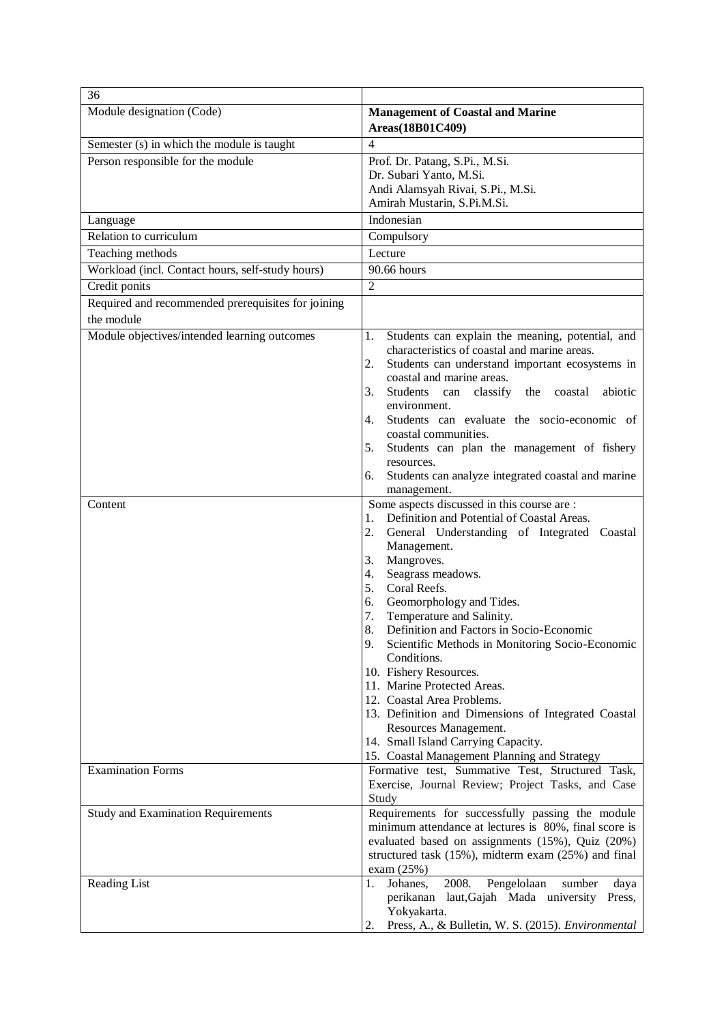| 36                                                               |                                                                                                                                                                                                                                                                                                                                                                                                                                                                                                                                                                                                                                                                                                       |
|------------------------------------------------------------------|-------------------------------------------------------------------------------------------------------------------------------------------------------------------------------------------------------------------------------------------------------------------------------------------------------------------------------------------------------------------------------------------------------------------------------------------------------------------------------------------------------------------------------------------------------------------------------------------------------------------------------------------------------------------------------------------------------|
| Module designation (Code)                                        | <b>Management of Coastal and Marine</b><br>Areas(18B01C409)                                                                                                                                                                                                                                                                                                                                                                                                                                                                                                                                                                                                                                           |
| Semester (s) in which the module is taught                       | $\overline{4}$                                                                                                                                                                                                                                                                                                                                                                                                                                                                                                                                                                                                                                                                                        |
| Person responsible for the module                                | Prof. Dr. Patang, S.Pi., M.Si.<br>Dr. Subari Yanto, M.Si.<br>Andi Alamsyah Rivai, S.Pi., M.Si.                                                                                                                                                                                                                                                                                                                                                                                                                                                                                                                                                                                                        |
|                                                                  | Amirah Mustarin, S.Pi.M.Si.                                                                                                                                                                                                                                                                                                                                                                                                                                                                                                                                                                                                                                                                           |
| Language                                                         | Indonesian                                                                                                                                                                                                                                                                                                                                                                                                                                                                                                                                                                                                                                                                                            |
| Relation to curriculum                                           | Compulsory                                                                                                                                                                                                                                                                                                                                                                                                                                                                                                                                                                                                                                                                                            |
| Teaching methods                                                 | Lecture                                                                                                                                                                                                                                                                                                                                                                                                                                                                                                                                                                                                                                                                                               |
| Workload (incl. Contact hours, self-study hours)                 | 90.66 hours                                                                                                                                                                                                                                                                                                                                                                                                                                                                                                                                                                                                                                                                                           |
| Credit ponits                                                    | $\overline{2}$                                                                                                                                                                                                                                                                                                                                                                                                                                                                                                                                                                                                                                                                                        |
| Required and recommended prerequisites for joining<br>the module |                                                                                                                                                                                                                                                                                                                                                                                                                                                                                                                                                                                                                                                                                                       |
| Module objectives/intended learning outcomes                     | Students can explain the meaning, potential, and<br>1.<br>characteristics of coastal and marine areas.<br>Students can understand important ecosystems in<br>2.<br>coastal and marine areas.<br>Students can classify<br>the<br>abiotic<br>3.<br>coastal                                                                                                                                                                                                                                                                                                                                                                                                                                              |
|                                                                  | environment.<br>Students can evaluate the socio-economic of<br>4.<br>coastal communities.<br>Students can plan the management of fishery<br>5.<br>resources.<br>Students can analyze integrated coastal and marine<br>6.<br>management.                                                                                                                                                                                                                                                                                                                                                                                                                                                               |
| Content                                                          | Some aspects discussed in this course are :<br>Definition and Potential of Coastal Areas.<br>1.<br>2.<br>General Understanding of Integrated Coastal<br>Management.<br>Mangroves.<br>3.<br>Seagrass meadows.<br>4.<br>Coral Reefs.<br>5.<br>Geomorphology and Tides.<br>6.<br>Temperature and Salinity.<br>7.<br>Definition and Factors in Socio-Economic<br>8.<br>Scientific Methods in Monitoring Socio-Economic<br>9.<br>Conditions.<br>10. Fishery Resources.<br>11. Marine Protected Areas.<br>12. Coastal Area Problems.<br>13. Definition and Dimensions of Integrated Coastal<br>Resources Management.<br>14. Small Island Carrying Capacity.<br>15. Coastal Management Planning and Strategy |
| <b>Examination Forms</b>                                         | Formative test, Summative Test, Structured Task,<br>Exercise, Journal Review; Project Tasks, and Case<br>Study                                                                                                                                                                                                                                                                                                                                                                                                                                                                                                                                                                                        |
| <b>Study and Examination Requirements</b>                        | Requirements for successfully passing the module<br>minimum attendance at lectures is 80%, final score is<br>evaluated based on assignments (15%), Quiz (20%)<br>structured task (15%), midterm exam (25%) and final<br>exam $(25%)$                                                                                                                                                                                                                                                                                                                                                                                                                                                                  |
| Reading List                                                     | $200\overline{8}$ .<br>Pengelolaan<br>Johanes,<br>1.<br>sumber<br>daya<br>perikanan laut, Gajah Mada university Press,<br>Yokyakarta.<br>Press, A., & Bulletin, W. S. (2015). Environmental<br>2.                                                                                                                                                                                                                                                                                                                                                                                                                                                                                                     |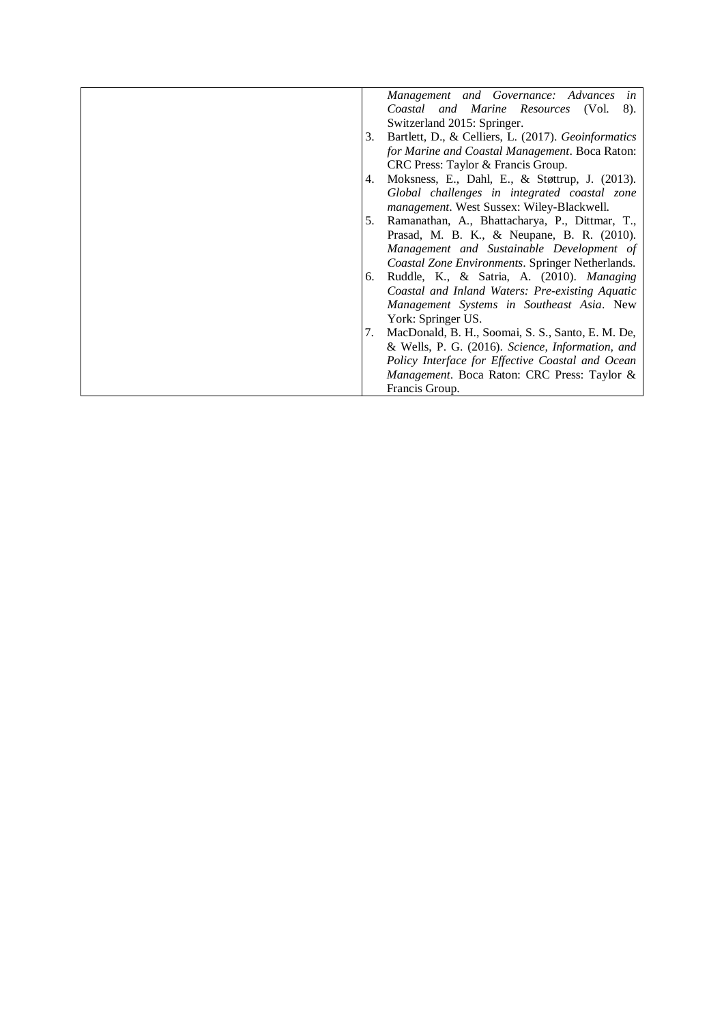|    | Management and Governance: Advances in              |
|----|-----------------------------------------------------|
|    | Coastal and Marine Resources (Vol.<br>8).           |
|    | Switzerland 2015: Springer.                         |
| 3. | Bartlett, D., & Celliers, L. (2017). Geoinformatics |
|    | for Marine and Coastal Management. Boca Raton:      |
|    | CRC Press: Taylor & Francis Group.                  |
| 4. | Moksness, E., Dahl, E., & Støttrup, J. (2013).      |
|    | Global challenges in integrated coastal zone        |
|    | management. West Sussex: Wiley-Blackwell.           |
| 5. | Ramanathan, A., Bhattacharya, P., Dittmar, T.,      |
|    | Prasad, M. B. K., & Neupane, B. R. (2010).          |
|    | Management and Sustainable Development of           |
|    | Coastal Zone Environments. Springer Netherlands.    |
| 6. | Ruddle, K., & Satria, A. (2010). Managing           |
|    | Coastal and Inland Waters: Pre-existing Aquatic     |
|    | Management Systems in Southeast Asia. New           |
|    | York: Springer US.                                  |
| 7. | MacDonald, B. H., Soomai, S. S., Santo, E. M. De,   |
|    | & Wells, P. G. (2016). Science, Information, and    |
|    | Policy Interface for Effective Coastal and Ocean    |
|    | Management. Boca Raton: CRC Press: Taylor &         |
|    | Francis Group.                                      |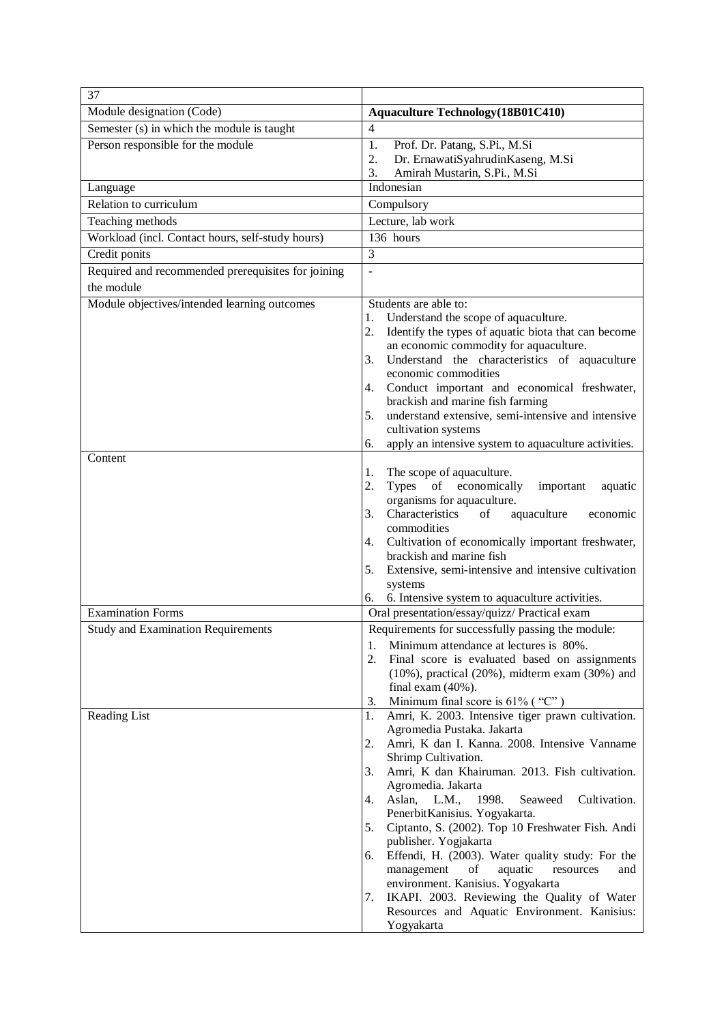| 37                                                               |                                                                                                       |
|------------------------------------------------------------------|-------------------------------------------------------------------------------------------------------|
| Module designation (Code)                                        | <b>Aquaculture Technology</b> (18B01C410)                                                             |
| Semester (s) in which the module is taught                       | $\overline{4}$                                                                                        |
| Person responsible for the module                                | 1.<br>Prof. Dr. Patang, S.Pi., M.Si                                                                   |
|                                                                  | Dr. ErnawatiSyahrudinKaseng, M.Si<br>2.                                                               |
|                                                                  | Amirah Mustarin, S.Pi., M.Si<br>3.<br>Indonesian                                                      |
| Language<br>Relation to curriculum                               |                                                                                                       |
|                                                                  | Compulsory                                                                                            |
| Teaching methods                                                 | Lecture, lab work<br>136 hours                                                                        |
| Workload (incl. Contact hours, self-study hours)                 | 3                                                                                                     |
| Credit ponits                                                    |                                                                                                       |
| Required and recommended prerequisites for joining<br>the module | $\sim$                                                                                                |
|                                                                  |                                                                                                       |
| Module objectives/intended learning outcomes                     | Students are able to:<br>Understand the scope of aquaculture.<br>1.                                   |
|                                                                  | Identify the types of aquatic biota that can become<br>2.                                             |
|                                                                  | an economic commodity for aquaculture.                                                                |
|                                                                  | Understand the characteristics of aquaculture<br>3.                                                   |
|                                                                  | economic commodities                                                                                  |
|                                                                  | Conduct important and economical freshwater,<br>4.                                                    |
|                                                                  | brackish and marine fish farming<br>understand extensive, semi-intensive and intensive<br>5.          |
|                                                                  | cultivation systems                                                                                   |
|                                                                  | apply an intensive system to aquaculture activities.<br>6.                                            |
| Content                                                          |                                                                                                       |
|                                                                  | The scope of aquaculture.<br>1.                                                                       |
|                                                                  | 2.<br>of economically<br>Types<br>important<br>aquatic                                                |
|                                                                  | organisms for aquaculture.<br>Characteristics<br>3.                                                   |
|                                                                  | of<br>aquaculture<br>economic<br>commodities                                                          |
|                                                                  | 4. Cultivation of economically important freshwater,                                                  |
|                                                                  | brackish and marine fish                                                                              |
|                                                                  | Extensive, semi-intensive and intensive cultivation<br>5.                                             |
|                                                                  | systems                                                                                               |
| <b>Examination Forms</b>                                         | 6. Intensive system to aquaculture activities.<br>6.<br>Oral presentation/essay/quizz/ Practical exam |
|                                                                  | Requirements for successfully passing the module:                                                     |
| <b>Study and Examination Requirements</b>                        | 1.<br>Minimum attendance at lectures is 80%.                                                          |
|                                                                  | 2.<br>Final score is evaluated based on assignments                                                   |
|                                                                  | $(10\%)$ , practical $(20\%)$ , midterm exam $(30\%)$ and                                             |
|                                                                  | final exam $(40\%)$ .                                                                                 |
|                                                                  | Minimum final score is $61\%$ ("C")<br>3.                                                             |
| <b>Reading List</b>                                              | Amri, K. 2003. Intensive tiger prawn cultivation.<br>1.                                               |
|                                                                  | Agromedia Pustaka. Jakarta<br>Amri, K dan I. Kanna. 2008. Intensive Vanname<br>2.                     |
|                                                                  | Shrimp Cultivation.                                                                                   |
|                                                                  | Amri, K dan Khairuman. 2013. Fish cultivation.<br>3.                                                  |
|                                                                  | Agromedia. Jakarta                                                                                    |
|                                                                  | Aslan,<br>L.M.,<br>1998.<br>Seaweed<br>Cultivation.<br>4.                                             |
|                                                                  | PenerbitKanisius. Yogyakarta.                                                                         |
|                                                                  | 5.<br>Ciptanto, S. (2002). Top 10 Freshwater Fish. Andi<br>publisher. Yogjakarta                      |
|                                                                  | Effendi, H. (2003). Water quality study: For the<br>6.                                                |
|                                                                  | management<br>of<br>aquatic<br>resources<br>and                                                       |
|                                                                  | environment. Kanisius. Yogyakarta                                                                     |
|                                                                  | IKAPI. 2003. Reviewing the Quality of Water<br>7.                                                     |
|                                                                  | Resources and Aquatic Environment. Kanisius:<br>Yogyakarta                                            |
|                                                                  |                                                                                                       |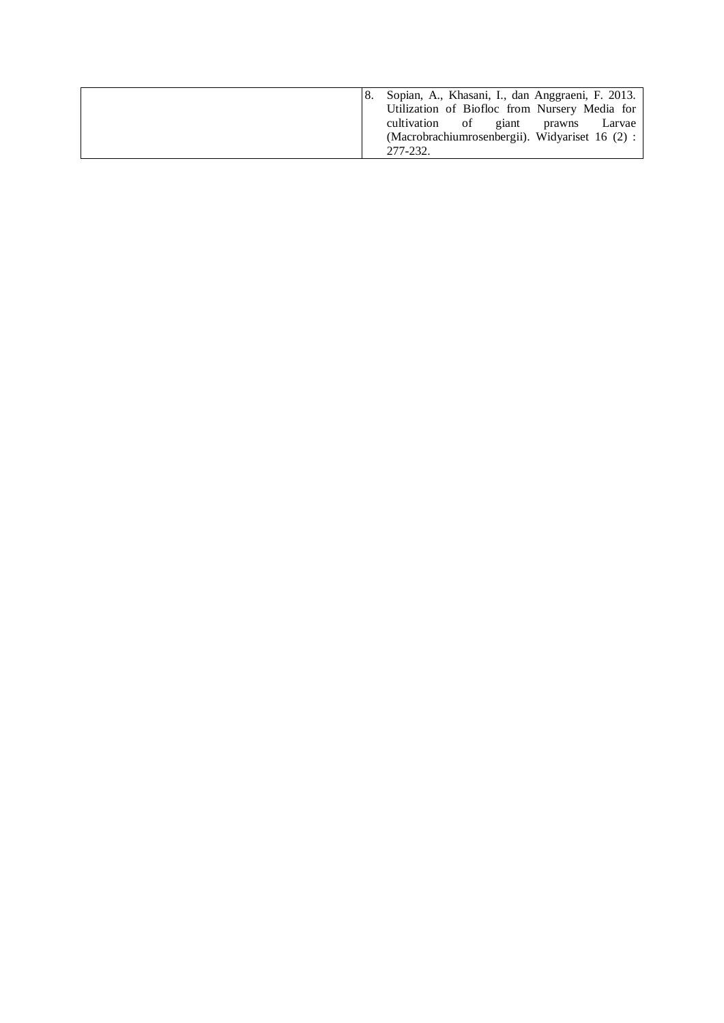|  | Sopian, A., Khasani, I., dan Anggraeni, F. 2013. |
|--|--------------------------------------------------|
|  | Utilization of Biofloc from Nursery Media for    |
|  | cultivation of giant<br>prawns Larvae            |
|  | (Macrobrachiumrosenbergii). Widyariset 16 (2) :  |
|  | 277-232.                                         |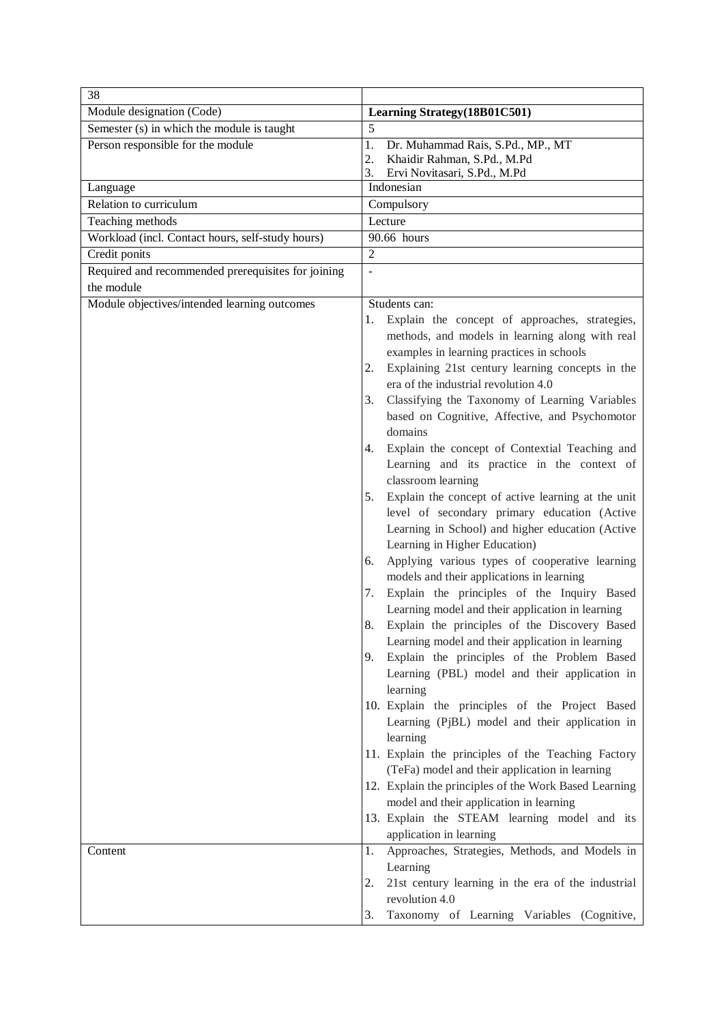| 38                                                 |                                                                                                   |
|----------------------------------------------------|---------------------------------------------------------------------------------------------------|
| Module designation (Code)                          | Learning Strategy(18B01C501)                                                                      |
| Semester (s) in which the module is taught         | 5                                                                                                 |
| Person responsible for the module                  | Dr. Muhammad Rais, S.Pd., MP., MT<br>1.                                                           |
|                                                    | Khaidir Rahman, S.Pd., M.Pd<br>2.                                                                 |
| Language                                           | 3.<br>Ervi Novitasari, S.Pd., M.Pd<br>Indonesian                                                  |
| Relation to curriculum                             | Compulsory                                                                                        |
| Teaching methods                                   | Lecture                                                                                           |
| Workload (incl. Contact hours, self-study hours)   | 90.66 hours                                                                                       |
| Credit ponits                                      | $\overline{2}$                                                                                    |
| Required and recommended prerequisites for joining | $\overline{a}$                                                                                    |
| the module                                         |                                                                                                   |
| Module objectives/intended learning outcomes       | Students can:                                                                                     |
|                                                    | Explain the concept of approaches, strategies,<br>1.                                              |
|                                                    | methods, and models in learning along with real                                                   |
|                                                    | examples in learning practices in schools                                                         |
|                                                    | Explaining 21st century learning concepts in the<br>2.                                            |
|                                                    | era of the industrial revolution 4.0                                                              |
|                                                    | Classifying the Taxonomy of Learning Variables<br>3.                                              |
|                                                    | based on Cognitive, Affective, and Psychomotor                                                    |
|                                                    | domains                                                                                           |
|                                                    | Explain the concept of Contextial Teaching and<br>4.                                              |
|                                                    | Learning and its practice in the context of                                                       |
|                                                    | classroom learning                                                                                |
|                                                    | Explain the concept of active learning at the unit<br>5.                                          |
|                                                    | level of secondary primary education (Active                                                      |
|                                                    | Learning in School) and higher education (Active                                                  |
|                                                    | Learning in Higher Education)                                                                     |
|                                                    | Applying various types of cooperative learning<br>6.<br>models and their applications in learning |
|                                                    | Explain the principles of the Inquiry Based<br>7.                                                 |
|                                                    | Learning model and their application in learning                                                  |
|                                                    | Explain the principles of the Discovery Based<br>8.                                               |
|                                                    | Learning model and their application in learning                                                  |
|                                                    | Explain the principles of the Problem Based<br>9.                                                 |
|                                                    | Learning (PBL) model and their application in                                                     |
|                                                    | learning                                                                                          |
|                                                    | 10. Explain the principles of the Project Based                                                   |
|                                                    | Learning (PjBL) model and their application in                                                    |
|                                                    | learning                                                                                          |
|                                                    | 11. Explain the principles of the Teaching Factory                                                |
|                                                    | (TeFa) model and their application in learning                                                    |
|                                                    | 12. Explain the principles of the Work Based Learning                                             |
|                                                    | model and their application in learning                                                           |
|                                                    | 13. Explain the STEAM learning model and its                                                      |
|                                                    | application in learning<br>Approaches, Strategies, Methods, and Models in                         |
| Content                                            | 1.<br>Learning                                                                                    |
|                                                    | 21st century learning in the era of the industrial<br>2.                                          |
|                                                    | revolution 4.0                                                                                    |
|                                                    | Taxonomy of Learning Variables (Cognitive,<br>3.                                                  |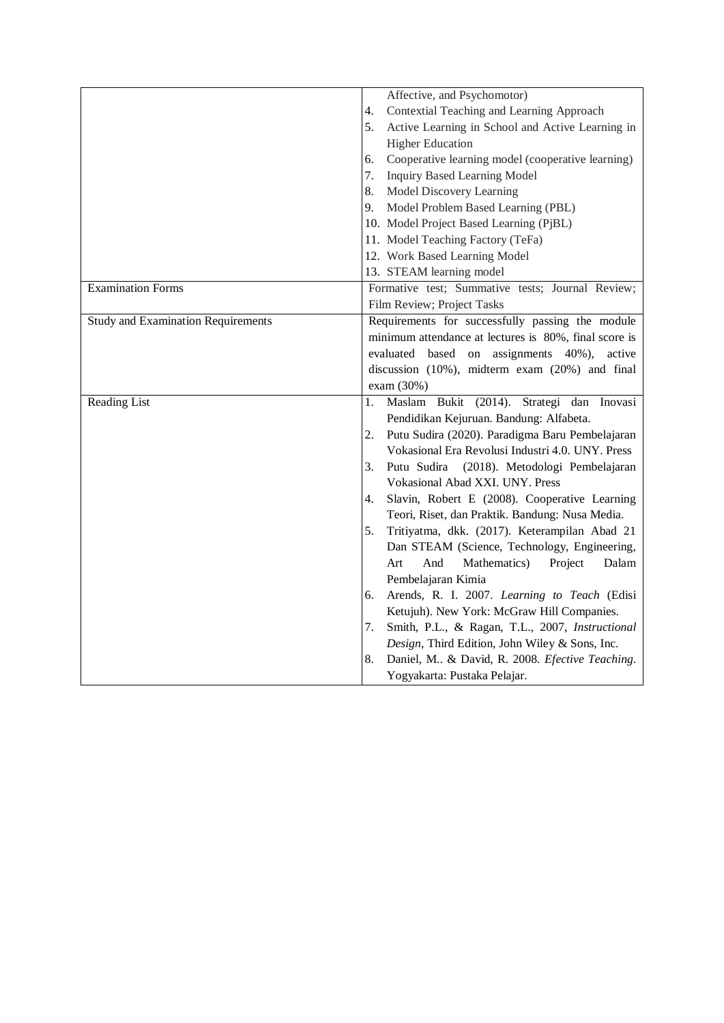|                                           | Affective, and Psychomotor)                             |
|-------------------------------------------|---------------------------------------------------------|
|                                           | Contextial Teaching and Learning Approach<br>4.         |
|                                           | Active Learning in School and Active Learning in<br>5.  |
|                                           | <b>Higher Education</b>                                 |
|                                           | Cooperative learning model (cooperative learning)<br>6. |
|                                           | 7.<br><b>Inquiry Based Learning Model</b>               |
|                                           | Model Discovery Learning<br>8.                          |
|                                           | Model Problem Based Learning (PBL)<br>9.                |
|                                           | 10. Model Project Based Learning (PjBL)                 |
|                                           | 11. Model Teaching Factory (TeFa)                       |
|                                           | 12. Work Based Learning Model                           |
|                                           | 13. STEAM learning model                                |
| <b>Examination Forms</b>                  | Formative test; Summative tests; Journal Review;        |
|                                           | Film Review; Project Tasks                              |
| <b>Study and Examination Requirements</b> | Requirements for successfully passing the module        |
|                                           | minimum attendance at lectures is 80%, final score is   |
|                                           | evaluated based on assignments 40%), active             |
|                                           | discussion (10%), midterm exam (20%) and final          |
|                                           | exam (30%)                                              |
| <b>Reading List</b>                       | Maslam Bukit (2014). Strategi dan Inovasi<br>1.         |
|                                           | Pendidikan Kejuruan. Bandung: Alfabeta.                 |
|                                           | Putu Sudira (2020). Paradigma Baru Pembelajaran<br>2.   |
|                                           | Vokasional Era Revolusi Industri 4.0. UNY. Press        |
|                                           | Putu Sudira<br>(2018). Metodologi Pembelajaran<br>3.    |
|                                           | Vokasional Abad XXI. UNY. Press                         |
|                                           | Slavin, Robert E (2008). Cooperative Learning<br>4.     |
|                                           | Teori, Riset, dan Praktik. Bandung: Nusa Media.         |
|                                           | Tritiyatma, dkk. (2017). Keterampilan Abad 21<br>5.     |
|                                           | Dan STEAM (Science, Technology, Engineering,            |
|                                           | And<br>Mathematics)<br>Project<br>Art<br>Dalam          |
|                                           | Pembelajaran Kimia                                      |
|                                           | Arends, R. I. 2007. Learning to Teach (Edisi<br>6.      |
|                                           | Ketujuh). New York: McGraw Hill Companies.              |
|                                           | Smith, P.L., & Ragan, T.L., 2007, Instructional<br>7.   |
|                                           | Design, Third Edition, John Wiley & Sons, Inc.          |
|                                           | Daniel, M & David, R. 2008. Efective Teaching.<br>8.    |
|                                           | Yogyakarta: Pustaka Pelajar.                            |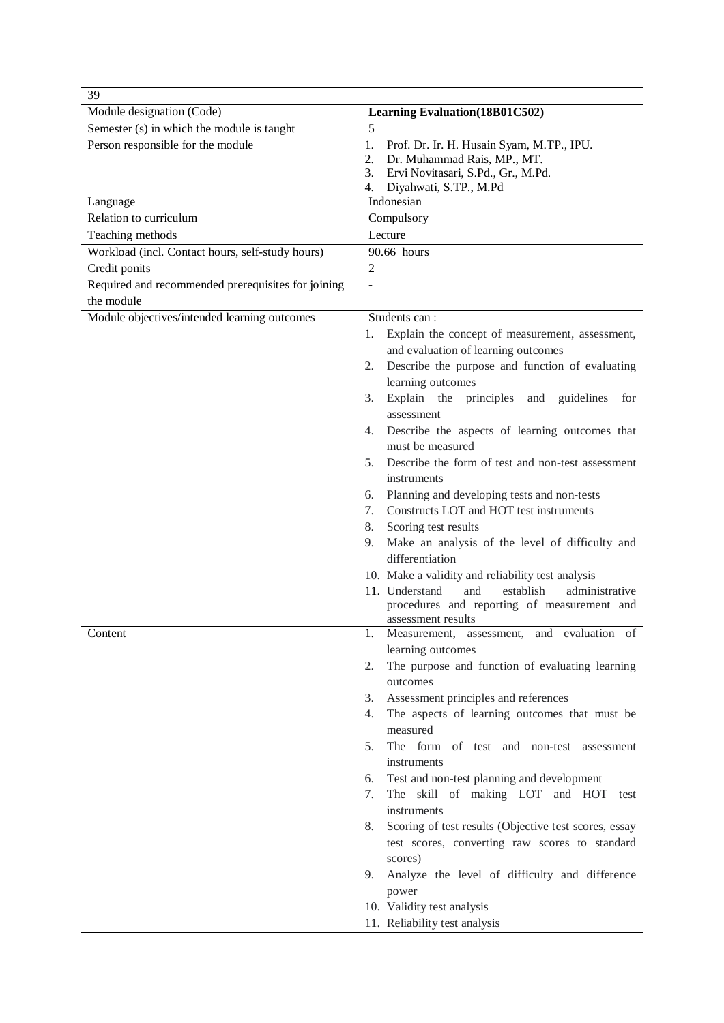| 39                                                 |                                                                                                |
|----------------------------------------------------|------------------------------------------------------------------------------------------------|
| Module designation (Code)                          | <b>Learning Evaluation</b> (18B01C502)                                                         |
| Semester (s) in which the module is taught         | 5                                                                                              |
| Person responsible for the module                  | 1.<br>Prof. Dr. Ir. H. Husain Syam, M.TP., IPU.                                                |
|                                                    | Dr. Muhammad Rais, MP., MT.<br>2.                                                              |
|                                                    | Ervi Novitasari, S.Pd., Gr., M.Pd.<br>3.                                                       |
|                                                    | Diyahwati, S.TP., M.Pd<br>4.<br>Indonesian                                                     |
| Language<br>Relation to curriculum                 |                                                                                                |
|                                                    | Compulsory<br>Lecture                                                                          |
| Teaching methods                                   |                                                                                                |
| Workload (incl. Contact hours, self-study hours)   | 90.66 hours<br>$\overline{2}$                                                                  |
| Credit ponits                                      |                                                                                                |
| Required and recommended prerequisites for joining | $\overline{a}$                                                                                 |
| the module                                         |                                                                                                |
| Module objectives/intended learning outcomes       | Students can:                                                                                  |
|                                                    | Explain the concept of measurement, assessment,<br>1.                                          |
|                                                    | and evaluation of learning outcomes                                                            |
|                                                    | Describe the purpose and function of evaluating<br>2.                                          |
|                                                    | learning outcomes<br>Explain the principles and<br>guidelines<br>3.<br>for                     |
|                                                    | assessment                                                                                     |
|                                                    | Describe the aspects of learning outcomes that<br>4.                                           |
|                                                    | must be measured                                                                               |
|                                                    | Describe the form of test and non-test assessment<br>5.                                        |
|                                                    | instruments                                                                                    |
|                                                    | Planning and developing tests and non-tests<br>6.                                              |
|                                                    | Constructs LOT and HOT test instruments<br>7.                                                  |
|                                                    | Scoring test results<br>8.                                                                     |
|                                                    | Make an analysis of the level of difficulty and<br>9.                                          |
|                                                    | differentiation                                                                                |
|                                                    | 10. Make a validity and reliability test analysis                                              |
|                                                    | 11. Understand<br>and<br>establish<br>administrative                                           |
|                                                    | procedures and reporting of measurement and                                                    |
|                                                    | assessment results                                                                             |
| Content                                            | Measurement, assessment, and evaluation of<br>1.                                               |
|                                                    | learning outcomes                                                                              |
|                                                    | The purpose and function of evaluating learning<br>2.                                          |
|                                                    | outcomes                                                                                       |
|                                                    | Assessment principles and references<br>3.                                                     |
|                                                    | The aspects of learning outcomes that must be<br>4.                                            |
|                                                    | measured                                                                                       |
|                                                    | The form of test and non-test<br>5.<br>assessment                                              |
|                                                    | instruments                                                                                    |
|                                                    | Test and non-test planning and development<br>6.<br>The skill of making LOT and HOT test<br>7. |
|                                                    | instruments                                                                                    |
|                                                    | Scoring of test results (Objective test scores, essay<br>8.                                    |
|                                                    | test scores, converting raw scores to standard                                                 |
|                                                    | scores)                                                                                        |
|                                                    | Analyze the level of difficulty and difference<br>9.                                           |
|                                                    | power                                                                                          |
|                                                    | 10. Validity test analysis                                                                     |
|                                                    | 11. Reliability test analysis                                                                  |
|                                                    |                                                                                                |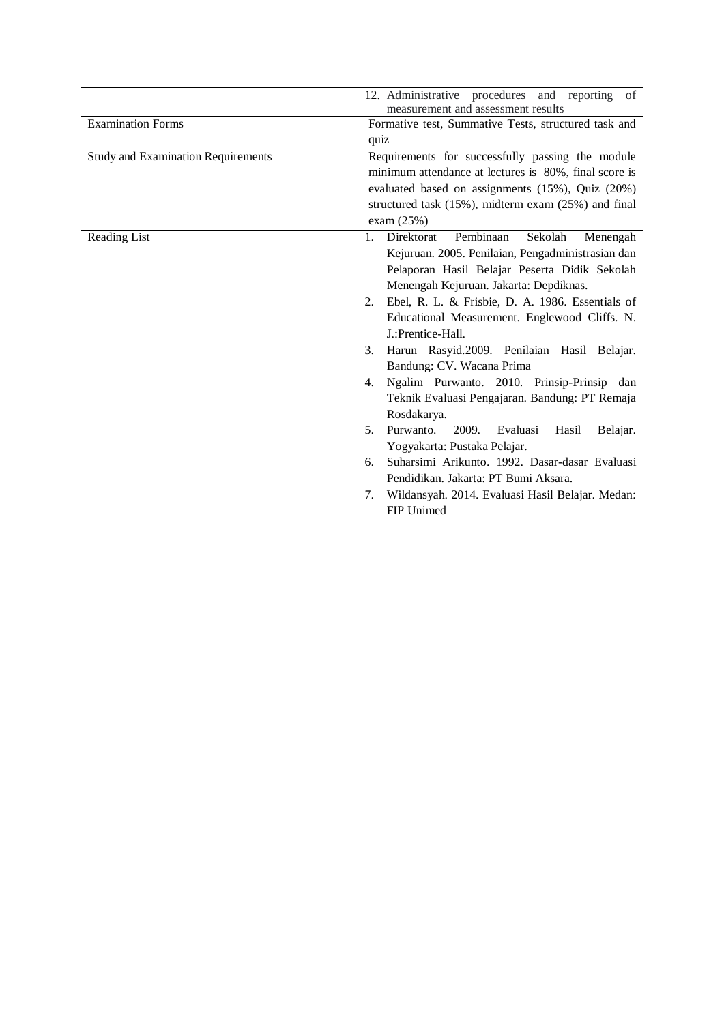|                                           | 12. Administrative procedures and<br>reporting of<br>measurement and assessment results |
|-------------------------------------------|-----------------------------------------------------------------------------------------|
| <b>Examination Forms</b>                  | Formative test, Summative Tests, structured task and                                    |
|                                           | quiz                                                                                    |
| <b>Study and Examination Requirements</b> | Requirements for successfully passing the module                                        |
|                                           | minimum attendance at lectures is 80%, final score is                                   |
|                                           | evaluated based on assignments (15%), Quiz (20%)                                        |
|                                           | structured task (15%), midterm exam (25%) and final                                     |
|                                           | exam $(25%)$                                                                            |
| Reading List                              | 1.<br>Pembinaan<br>Direktorat<br>Sekolah<br>Menengah                                    |
|                                           | Kejuruan. 2005. Penilaian, Pengadministrasian dan                                       |
|                                           | Pelaporan Hasil Belajar Peserta Didik Sekolah                                           |
|                                           | Menengah Kejuruan. Jakarta: Depdiknas.                                                  |
|                                           | Ebel, R. L. & Frisbie, D. A. 1986. Essentials of<br>2.                                  |
|                                           | Educational Measurement. Englewood Cliffs. N.                                           |
|                                           | J.:Prentice-Hall.                                                                       |
|                                           | Harun Rasyid.2009. Penilaian Hasil Belajar.<br>3.                                       |
|                                           | Bandung: CV. Wacana Prima                                                               |
|                                           | Ngalim Purwanto. 2010. Prinsip-Prinsip dan<br>4.                                        |
|                                           | Teknik Evaluasi Pengajaran. Bandung: PT Remaja<br>Rosdakarya.                           |
|                                           | Purwanto.<br>5.<br>2009. Evaluasi<br>Hasil<br>Belajar.                                  |
|                                           | Yogyakarta: Pustaka Pelajar.                                                            |
|                                           | Suharsimi Arikunto. 1992. Dasar-dasar Evaluasi<br>6.                                    |
|                                           | Pendidikan. Jakarta: PT Bumi Aksara.                                                    |
|                                           | Wildansyah. 2014. Evaluasi Hasil Belajar. Medan:<br>7.                                  |
|                                           | FIP Unimed                                                                              |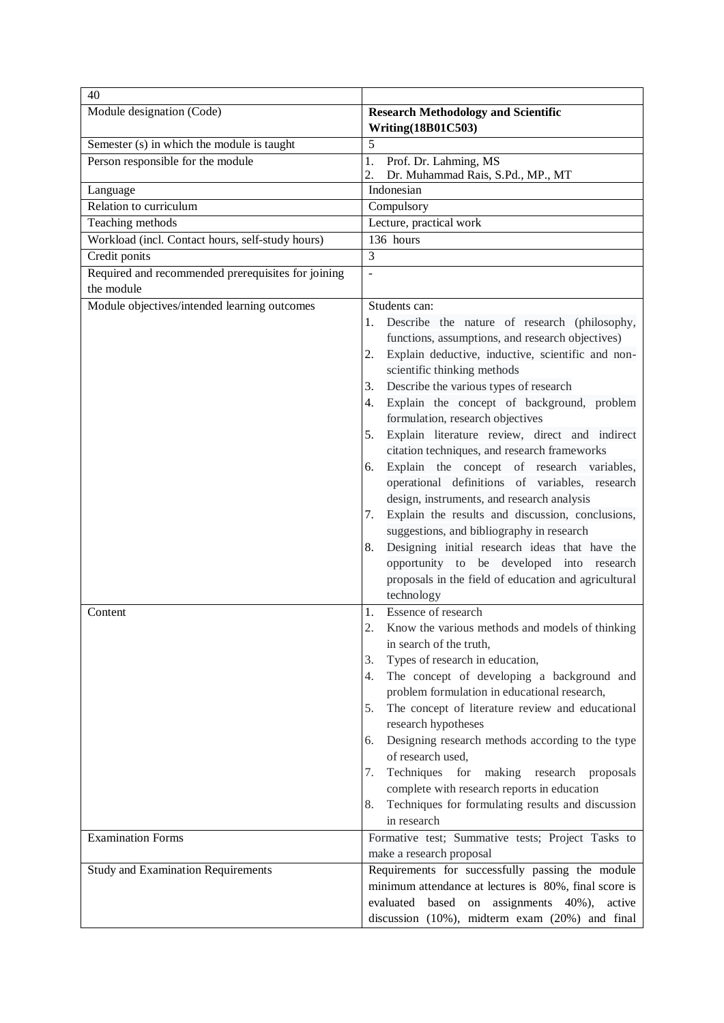| 40                                                 |                                                                                                                                                                                                                                                                                                                                                                                                                                                                                                                                                                                                             |  |  |
|----------------------------------------------------|-------------------------------------------------------------------------------------------------------------------------------------------------------------------------------------------------------------------------------------------------------------------------------------------------------------------------------------------------------------------------------------------------------------------------------------------------------------------------------------------------------------------------------------------------------------------------------------------------------------|--|--|
| Module designation (Code)                          | <b>Research Methodology and Scientific</b><br><b>Writing(18B01C503)</b>                                                                                                                                                                                                                                                                                                                                                                                                                                                                                                                                     |  |  |
| Semester (s) in which the module is taught         | 5                                                                                                                                                                                                                                                                                                                                                                                                                                                                                                                                                                                                           |  |  |
| Person responsible for the module                  | 1.<br>Prof. Dr. Lahming, MS<br>2.<br>Dr. Muhammad Rais, S.Pd., MP., MT                                                                                                                                                                                                                                                                                                                                                                                                                                                                                                                                      |  |  |
| Language                                           | Indonesian                                                                                                                                                                                                                                                                                                                                                                                                                                                                                                                                                                                                  |  |  |
| Relation to curriculum                             | Compulsory                                                                                                                                                                                                                                                                                                                                                                                                                                                                                                                                                                                                  |  |  |
| Teaching methods                                   | Lecture, practical work                                                                                                                                                                                                                                                                                                                                                                                                                                                                                                                                                                                     |  |  |
| Workload (incl. Contact hours, self-study hours)   | 136 hours                                                                                                                                                                                                                                                                                                                                                                                                                                                                                                                                                                                                   |  |  |
| Credit ponits                                      | 3                                                                                                                                                                                                                                                                                                                                                                                                                                                                                                                                                                                                           |  |  |
| Required and recommended prerequisites for joining | $\overline{a}$                                                                                                                                                                                                                                                                                                                                                                                                                                                                                                                                                                                              |  |  |
| the module                                         |                                                                                                                                                                                                                                                                                                                                                                                                                                                                                                                                                                                                             |  |  |
| Module objectives/intended learning outcomes       | Students can:                                                                                                                                                                                                                                                                                                                                                                                                                                                                                                                                                                                               |  |  |
|                                                    | Describe the nature of research (philosophy,<br>1.<br>functions, assumptions, and research objectives)<br>Explain deductive, inductive, scientific and non-<br>2.<br>scientific thinking methods<br>Describe the various types of research<br>3.                                                                                                                                                                                                                                                                                                                                                            |  |  |
|                                                    | Explain the concept of background, problem<br>4.<br>formulation, research objectives<br>Explain literature review, direct and indirect<br>5.                                                                                                                                                                                                                                                                                                                                                                                                                                                                |  |  |
|                                                    | citation techniques, and research frameworks<br>Explain the concept of research variables,<br>6.<br>operational definitions of variables, research<br>design, instruments, and research analysis<br>Explain the results and discussion, conclusions,<br>7.<br>suggestions, and bibliography in research<br>Designing initial research ideas that have the<br>8.<br>opportunity to be developed into research<br>proposals in the field of education and agricultural<br>technology                                                                                                                          |  |  |
| Content                                            | Essence of research<br>1.<br>2.<br>Know the various methods and models of thinking<br>in search of the truth,<br>Types of research in education,<br>3.<br>The concept of developing a background and<br>4.<br>problem formulation in educational research,<br>The concept of literature review and educational<br>5.<br>research hypotheses<br>Designing research methods according to the type<br>6.<br>of research used,<br>Techniques<br>for making<br>7.<br>research proposals<br>complete with research reports in education<br>Techniques for formulating results and discussion<br>8.<br>in research |  |  |
| <b>Examination Forms</b>                           | Formative test; Summative tests; Project Tasks to<br>make a research proposal                                                                                                                                                                                                                                                                                                                                                                                                                                                                                                                               |  |  |
| <b>Study and Examination Requirements</b>          | Requirements for successfully passing the module<br>minimum attendance at lectures is 80%, final score is<br>evaluated based<br>on assignments 40%),<br>active<br>discussion (10%), midterm exam (20%) and final                                                                                                                                                                                                                                                                                                                                                                                            |  |  |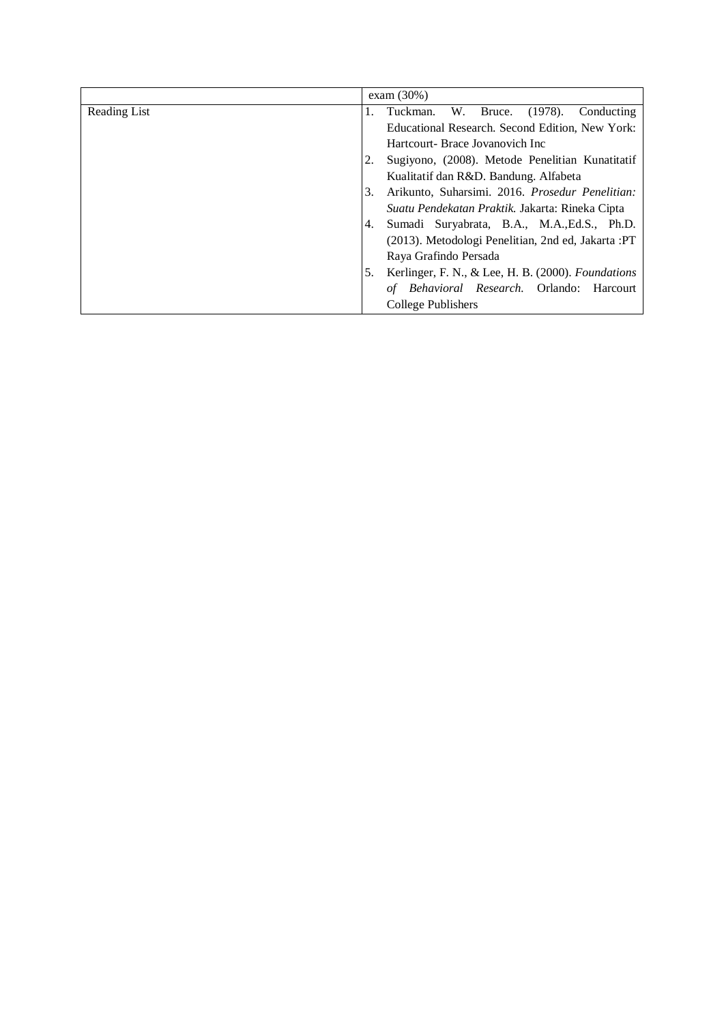|              |    | exam $(30\%)$                                        |
|--------------|----|------------------------------------------------------|
| Reading List | 1. | W.<br>Bruce.<br>$(1978)$ .<br>Tuckman.<br>Conducting |
|              |    | Educational Research. Second Edition, New York:      |
|              |    | Hartcourt- Brace Jovanovich Inc                      |
|              |    | Sugiyono, (2008). Metode Penelitian Kunatitatif      |
|              |    | Kualitatif dan R&D. Bandung. Alfabeta                |
|              | 3. | Arikunto, Suharsimi. 2016. Prosedur Penelitian:      |
|              |    | Suatu Pendekatan Praktik. Jakarta: Rineka Cipta      |
|              | 4. | Sumadi Suryabrata, B.A., M.A., Ed.S., Ph.D.          |
|              |    | (2013). Metodologi Penelitian, 2nd ed, Jakarta : PT  |
|              |    | Raya Grafindo Persada                                |
|              | 5. | Kerlinger, F. N., & Lee, H. B. (2000). Foundations   |
|              |    | <i>Behavioral Research.</i> Orlando: Harcourt<br>οf  |
|              |    | College Publishers                                   |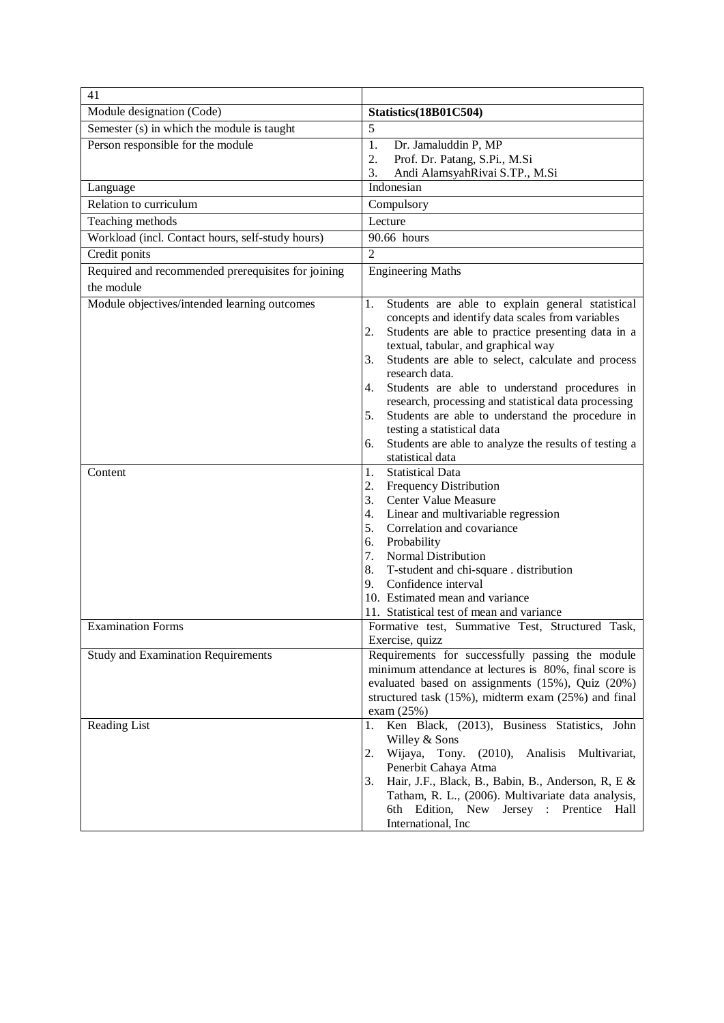| 41                                                               |                                                                                                                                                                                                                                                                                                                                                                                                                                                                                                                                                                                                                                                                                                                                                              |
|------------------------------------------------------------------|--------------------------------------------------------------------------------------------------------------------------------------------------------------------------------------------------------------------------------------------------------------------------------------------------------------------------------------------------------------------------------------------------------------------------------------------------------------------------------------------------------------------------------------------------------------------------------------------------------------------------------------------------------------------------------------------------------------------------------------------------------------|
| Module designation (Code)                                        | Statistics(18B01C504)                                                                                                                                                                                                                                                                                                                                                                                                                                                                                                                                                                                                                                                                                                                                        |
| Semester (s) in which the module is taught                       | 5                                                                                                                                                                                                                                                                                                                                                                                                                                                                                                                                                                                                                                                                                                                                                            |
| Person responsible for the module                                | 1.<br>Dr. Jamaluddin P, MP<br>2.<br>Prof. Dr. Patang, S.Pi., M.Si<br>Andi AlamsyahRivai S.TP., M.Si<br>3.                                                                                                                                                                                                                                                                                                                                                                                                                                                                                                                                                                                                                                                    |
| Language                                                         | Indonesian                                                                                                                                                                                                                                                                                                                                                                                                                                                                                                                                                                                                                                                                                                                                                   |
| Relation to curriculum                                           | Compulsory                                                                                                                                                                                                                                                                                                                                                                                                                                                                                                                                                                                                                                                                                                                                                   |
| Teaching methods                                                 | Lecture                                                                                                                                                                                                                                                                                                                                                                                                                                                                                                                                                                                                                                                                                                                                                      |
| Workload (incl. Contact hours, self-study hours)                 | 90.66 hours                                                                                                                                                                                                                                                                                                                                                                                                                                                                                                                                                                                                                                                                                                                                                  |
| Credit ponits                                                    | $\overline{2}$                                                                                                                                                                                                                                                                                                                                                                                                                                                                                                                                                                                                                                                                                                                                               |
| Required and recommended prerequisites for joining<br>the module | <b>Engineering Maths</b>                                                                                                                                                                                                                                                                                                                                                                                                                                                                                                                                                                                                                                                                                                                                     |
| Module objectives/intended learning outcomes<br>Content          | Students are able to explain general statistical<br>1.<br>concepts and identify data scales from variables<br>Students are able to practice presenting data in a<br>2.<br>textual, tabular, and graphical way<br>Students are able to select, calculate and process<br>3.<br>research data.<br>Students are able to understand procedures in<br>4.<br>research, processing and statistical data processing<br>Students are able to understand the procedure in<br>5.<br>testing a statistical data<br>Students are able to analyze the results of testing a<br>6.<br>statistical data<br><b>Statistical Data</b><br>1.<br>2. Frequency Distribution<br>3. Center Value Measure<br>Linear and multivariable regression<br>4.<br>5. Correlation and covariance |
|                                                                  | 6. Probability<br>7. Normal Distribution<br>T-student and chi-square . distribution<br>8.<br>Confidence interval<br>9.<br>10. Estimated mean and variance<br>11. Statistical test of mean and variance                                                                                                                                                                                                                                                                                                                                                                                                                                                                                                                                                       |
| <b>Examination Forms</b>                                         | Formative test, Summative Test, Structured Task,<br>Exercise, quizz                                                                                                                                                                                                                                                                                                                                                                                                                                                                                                                                                                                                                                                                                          |
| <b>Study and Examination Requirements</b>                        | Requirements for successfully passing the module<br>minimum attendance at lectures is 80%, final score is<br>evaluated based on assignments (15%), Quiz (20%)<br>structured task (15%), midterm exam (25%) and final<br>exam $(25%)$                                                                                                                                                                                                                                                                                                                                                                                                                                                                                                                         |
| Reading List                                                     | Ken Black, (2013), Business Statistics, John<br>1.<br>Willey & Sons<br>2.<br>Wijaya, Tony.<br>(2010),<br>Analisis<br>Multivariat,<br>Penerbit Cahaya Atma<br>3.<br>Hair, J.F., Black, B., Babin, B., Anderson, R, E &<br>Tatham, R. L., (2006). Multivariate data analysis,<br>6th Edition, New Jersey : Prentice<br>Hall<br>International, Inc                                                                                                                                                                                                                                                                                                                                                                                                              |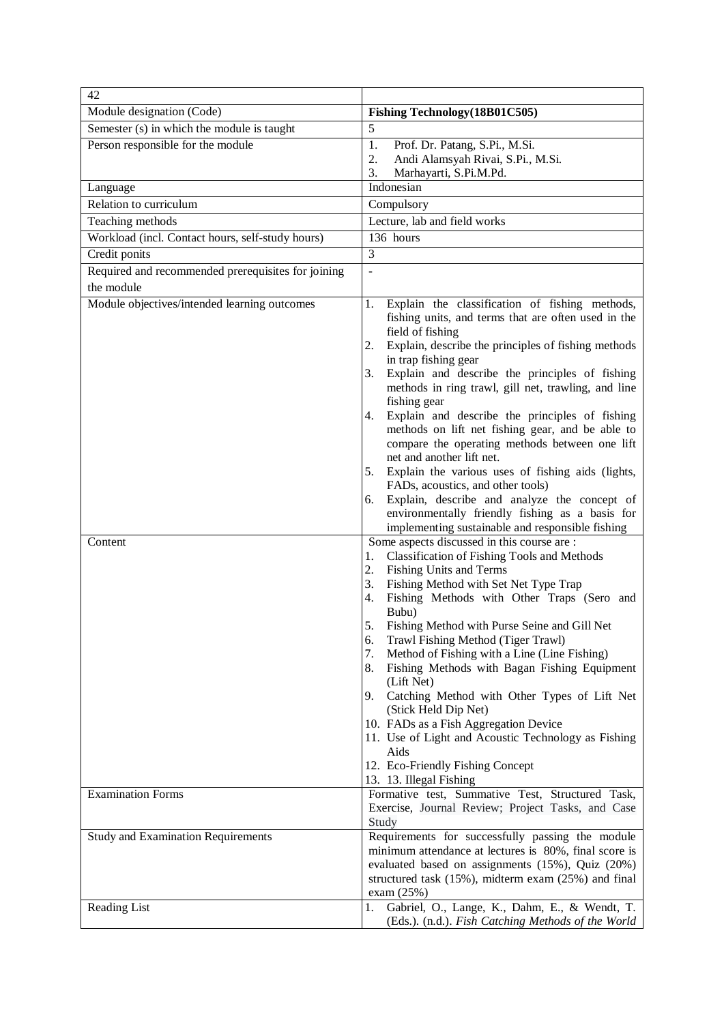| 42                                                 |                                                                                                                                                                                                                                      |  |  |
|----------------------------------------------------|--------------------------------------------------------------------------------------------------------------------------------------------------------------------------------------------------------------------------------------|--|--|
| Module designation (Code)                          | Fishing Technology (18B01C505)                                                                                                                                                                                                       |  |  |
| Semester (s) in which the module is taught         | 5                                                                                                                                                                                                                                    |  |  |
| Person responsible for the module                  | 1.<br>Prof. Dr. Patang, S.Pi., M.Si.                                                                                                                                                                                                 |  |  |
|                                                    | Andi Alamsyah Rivai, S.Pi., M.Si.<br>2.<br>3.                                                                                                                                                                                        |  |  |
| Language                                           | Marhayarti, S.Pi.M.Pd.<br>Indonesian                                                                                                                                                                                                 |  |  |
| Relation to curriculum                             | Compulsory                                                                                                                                                                                                                           |  |  |
| Teaching methods                                   | Lecture, lab and field works                                                                                                                                                                                                         |  |  |
| Workload (incl. Contact hours, self-study hours)   | 136 hours                                                                                                                                                                                                                            |  |  |
| Credit ponits                                      | 3                                                                                                                                                                                                                                    |  |  |
| Required and recommended prerequisites for joining | $\sim$                                                                                                                                                                                                                               |  |  |
| the module                                         |                                                                                                                                                                                                                                      |  |  |
| Module objectives/intended learning outcomes       | Explain the classification of fishing methods,<br>1.                                                                                                                                                                                 |  |  |
|                                                    | fishing units, and terms that are often used in the<br>field of fishing                                                                                                                                                              |  |  |
|                                                    | Explain, describe the principles of fishing methods<br>2.<br>in trap fishing gear                                                                                                                                                    |  |  |
|                                                    | Explain and describe the principles of fishing<br>3.<br>methods in ring trawl, gill net, trawling, and line<br>fishing gear                                                                                                          |  |  |
|                                                    | Explain and describe the principles of fishing<br>4.<br>methods on lift net fishing gear, and be able to<br>compare the operating methods between one lift<br>net and another lift net.                                              |  |  |
|                                                    | Explain the various uses of fishing aids (lights,<br>5.<br>FADs, acoustics, and other tools)                                                                                                                                         |  |  |
|                                                    | Explain, describe and analyze the concept of<br>6.                                                                                                                                                                                   |  |  |
|                                                    | environmentally friendly fishing as a basis for<br>implementing sustainable and responsible fishing                                                                                                                                  |  |  |
| Content                                            | Some aspects discussed in this course are :                                                                                                                                                                                          |  |  |
|                                                    | <b>Classification of Fishing Tools and Methods</b><br>1.                                                                                                                                                                             |  |  |
|                                                    | 2.<br>Fishing Units and Terms                                                                                                                                                                                                        |  |  |
|                                                    | Fishing Method with Set Net Type Trap<br>3.<br>Fishing Methods with Other Traps (Sero and<br>4.<br>Bubu)                                                                                                                             |  |  |
|                                                    | 5.<br>Fishing Method with Purse Seine and Gill Net<br>Trawl Fishing Method (Tiger Trawl)<br>6.                                                                                                                                       |  |  |
|                                                    | Method of Fishing with a Line (Line Fishing)<br>7.                                                                                                                                                                                   |  |  |
|                                                    | Fishing Methods with Bagan Fishing Equipment<br>8.<br>(Lift Net)                                                                                                                                                                     |  |  |
|                                                    | Catching Method with Other Types of Lift Net<br>9.<br>(Stick Held Dip Net)                                                                                                                                                           |  |  |
|                                                    | 10. FADs as a Fish Aggregation Device                                                                                                                                                                                                |  |  |
|                                                    | 11. Use of Light and Acoustic Technology as Fishing<br>Aids                                                                                                                                                                          |  |  |
|                                                    | 12. Eco-Friendly Fishing Concept<br>13. 13. Illegal Fishing                                                                                                                                                                          |  |  |
| <b>Examination Forms</b>                           | Formative test, Summative Test, Structured Task,<br>Exercise, Journal Review; Project Tasks, and Case<br>Study                                                                                                                       |  |  |
| <b>Study and Examination Requirements</b>          | Requirements for successfully passing the module<br>minimum attendance at lectures is 80%, final score is<br>evaluated based on assignments (15%), Quiz (20%)<br>structured task (15%), midterm exam (25%) and final<br>exam $(25%)$ |  |  |
| Reading List                                       | Gabriel, O., Lange, K., Dahm, E., & Wendt, T.<br>1.<br>(Eds.). (n.d.). Fish Catching Methods of the World                                                                                                                            |  |  |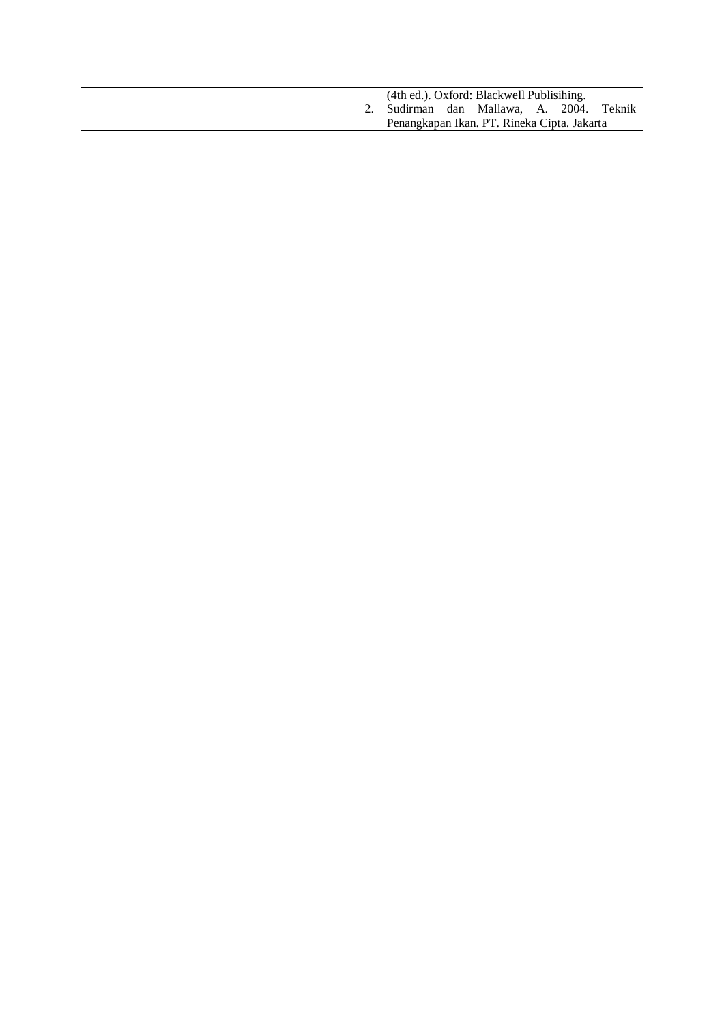|  |                                | (4th ed.). Oxford: Blackwell Publisihing.   |  |        |
|--|--------------------------------|---------------------------------------------|--|--------|
|  | Sudirman dan Mallawa, A. 2004. |                                             |  | Teknik |
|  |                                | Penangkapan Ikan. PT. Rineka Cipta. Jakarta |  |        |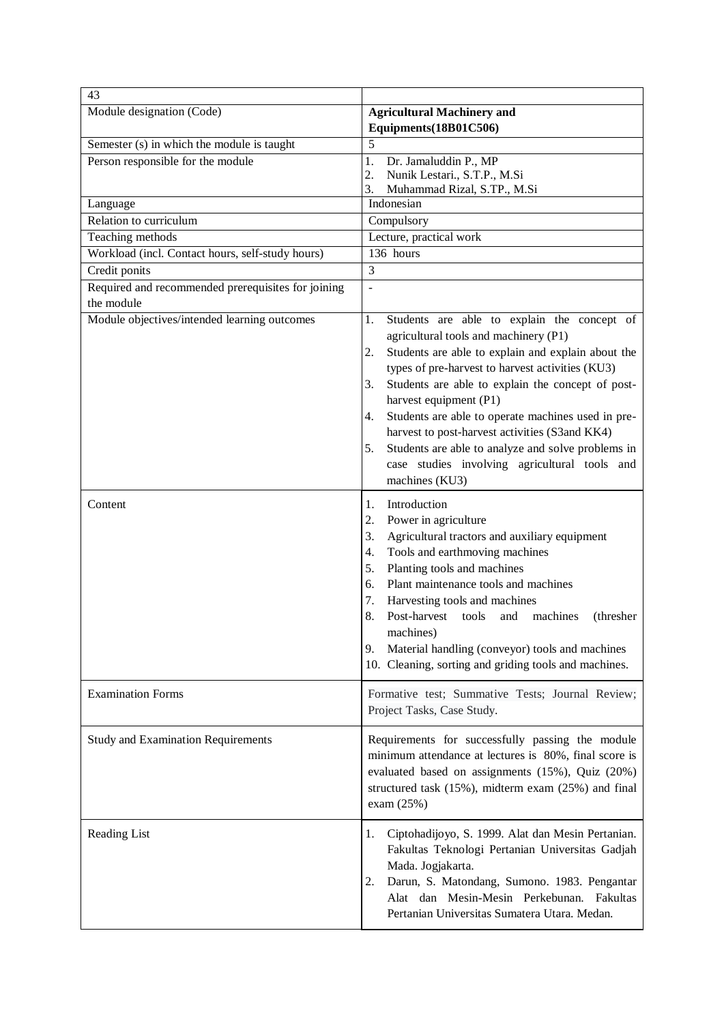| 43                                                               |                                                                                             |  |  |
|------------------------------------------------------------------|---------------------------------------------------------------------------------------------|--|--|
| Module designation (Code)                                        | <b>Agricultural Machinery and</b><br>Equipments(18B01C506)                                  |  |  |
| Semester (s) in which the module is taught                       | 5                                                                                           |  |  |
| Person responsible for the module                                | Dr. Jamaluddin P., MP<br>1.                                                                 |  |  |
|                                                                  | 2.<br>Nunik Lestari., S.T.P., M.Si                                                          |  |  |
|                                                                  | 3.<br>Muhammad Rizal, S.TP., M.Si                                                           |  |  |
| Language                                                         | Indonesian                                                                                  |  |  |
| Relation to curriculum                                           | Compulsory                                                                                  |  |  |
| Teaching methods                                                 | Lecture, practical work                                                                     |  |  |
| Workload (incl. Contact hours, self-study hours)                 | 136 hours                                                                                   |  |  |
| Credit ponits                                                    | $\overline{3}$                                                                              |  |  |
| Required and recommended prerequisites for joining<br>the module | $\frac{1}{2}$                                                                               |  |  |
| Module objectives/intended learning outcomes                     | Students are able to explain the concept of<br>1.                                           |  |  |
|                                                                  | agricultural tools and machinery (P1)                                                       |  |  |
|                                                                  | Students are able to explain and explain about the<br>2.                                    |  |  |
|                                                                  | types of pre-harvest to harvest activities (KU3)                                            |  |  |
|                                                                  | Students are able to explain the concept of post-<br>3.                                     |  |  |
|                                                                  | harvest equipment (P1)<br>Students are able to operate machines used in pre-<br>4.          |  |  |
|                                                                  | harvest to post-harvest activities (S3and KK4)                                              |  |  |
|                                                                  | Students are able to analyze and solve problems in<br>5.                                    |  |  |
|                                                                  | case studies involving agricultural tools and                                               |  |  |
|                                                                  | machines (KU3)                                                                              |  |  |
|                                                                  |                                                                                             |  |  |
| Content                                                          | Introduction<br>1.                                                                          |  |  |
|                                                                  | 2.<br>Power in agriculture                                                                  |  |  |
|                                                                  | Agricultural tractors and auxiliary equipment<br>3.<br>Tools and earthmoving machines<br>4. |  |  |
|                                                                  | Planting tools and machines<br>5.                                                           |  |  |
|                                                                  | Plant maintenance tools and machines<br>6.                                                  |  |  |
|                                                                  | 7.<br>Harvesting tools and machines                                                         |  |  |
|                                                                  | Post-harvest<br>8.<br>tools<br>machines<br>and<br>(thresher)                                |  |  |
|                                                                  | machines)                                                                                   |  |  |
|                                                                  | Material handling (conveyor) tools and machines<br>9.                                       |  |  |
|                                                                  | 10. Cleaning, sorting and griding tools and machines.                                       |  |  |
|                                                                  |                                                                                             |  |  |
| <b>Examination Forms</b>                                         | Formative test; Summative Tests; Journal Review;<br>Project Tasks, Case Study.              |  |  |
|                                                                  |                                                                                             |  |  |
| <b>Study and Examination Requirements</b>                        | Requirements for successfully passing the module                                            |  |  |
|                                                                  | minimum attendance at lectures is 80%, final score is                                       |  |  |
|                                                                  | evaluated based on assignments (15%), Quiz (20%)                                            |  |  |
|                                                                  | structured task (15%), midterm exam (25%) and final                                         |  |  |
|                                                                  | exam $(25%)$                                                                                |  |  |
| Reading List                                                     | 1.<br>Ciptohadijoyo, S. 1999. Alat dan Mesin Pertanian.                                     |  |  |
|                                                                  | Fakultas Teknologi Pertanian Universitas Gadjah                                             |  |  |
|                                                                  | Mada. Jogjakarta.                                                                           |  |  |
|                                                                  | Darun, S. Matondang, Sumono. 1983. Pengantar<br>2.                                          |  |  |
|                                                                  | Alat dan Mesin-Mesin Perkebunan. Fakultas                                                   |  |  |
|                                                                  | Pertanian Universitas Sumatera Utara. Medan.                                                |  |  |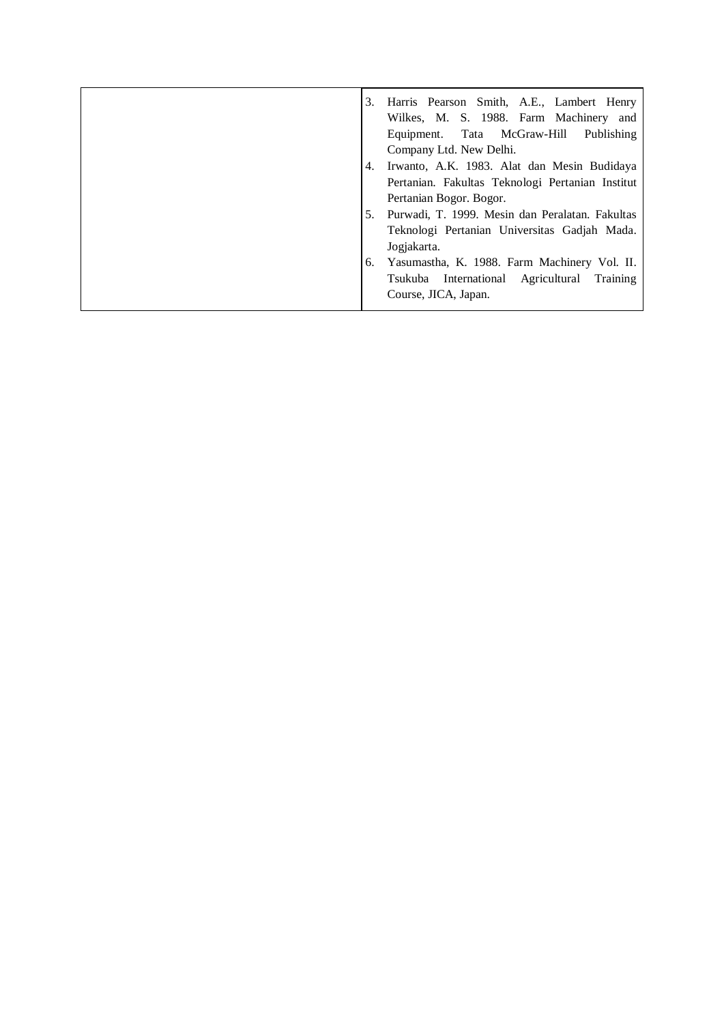| 3. | Harris Pearson Smith, A.E., Lambert Henry<br>Wilkes, M. S. 1988. Farm Machinery and |
|----|-------------------------------------------------------------------------------------|
|    | Equipment. Tata McGraw-Hill<br>Publishing                                           |
|    | Company Ltd. New Delhi.                                                             |
| 4. | Irwanto, A.K. 1983. Alat dan Mesin Budidaya                                         |
|    | Pertanian. Fakultas Teknologi Pertanian Institut                                    |
|    | Pertanian Bogor. Bogor.                                                             |
| 5. | Purwadi, T. 1999. Mesin dan Peralatan. Fakultas                                     |
|    | Teknologi Pertanian Universitas Gadjah Mada.                                        |
|    | Jogjakarta.                                                                         |
| 6. | Yasumastha, K. 1988. Farm Machinery Vol. II.                                        |
|    | Tsukuba International Agricultural Training                                         |
|    | Course, JICA, Japan.                                                                |
|    |                                                                                     |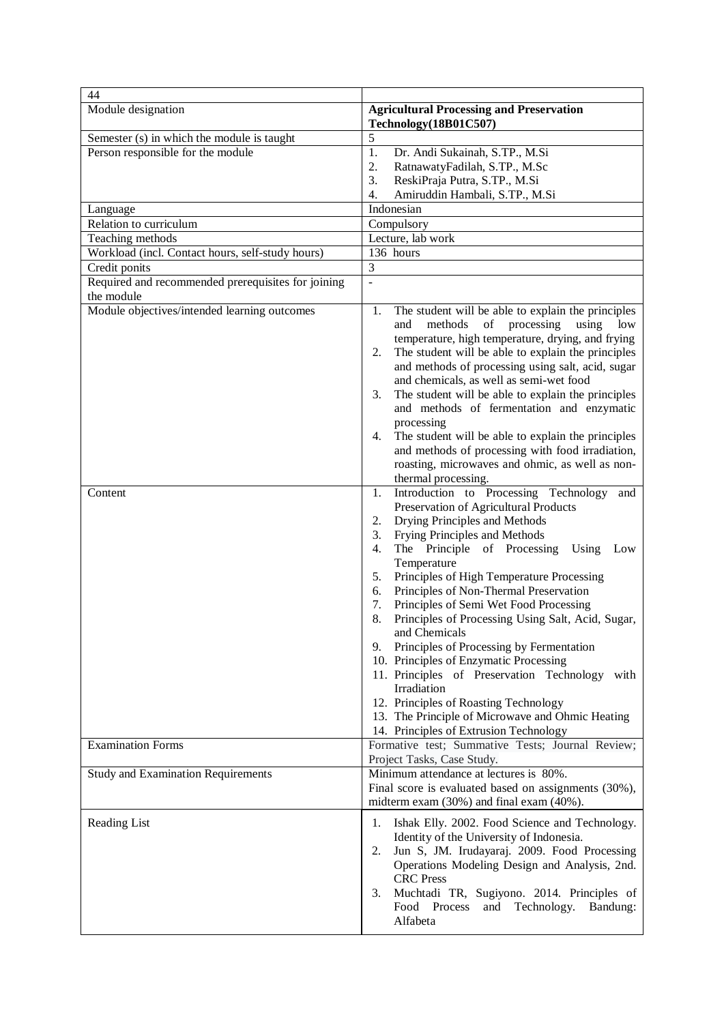| 44                                                               |                                                                                                                                                                                                                                                                                                                                                                                                                                                                                                                                                                                                                                                                                                                                                                                                                                                                                                                                                      |
|------------------------------------------------------------------|------------------------------------------------------------------------------------------------------------------------------------------------------------------------------------------------------------------------------------------------------------------------------------------------------------------------------------------------------------------------------------------------------------------------------------------------------------------------------------------------------------------------------------------------------------------------------------------------------------------------------------------------------------------------------------------------------------------------------------------------------------------------------------------------------------------------------------------------------------------------------------------------------------------------------------------------------|
| Module designation                                               | <b>Agricultural Processing and Preservation</b><br>Technology(18B01C507)                                                                                                                                                                                                                                                                                                                                                                                                                                                                                                                                                                                                                                                                                                                                                                                                                                                                             |
| Semester (s) in which the module is taught                       | 5                                                                                                                                                                                                                                                                                                                                                                                                                                                                                                                                                                                                                                                                                                                                                                                                                                                                                                                                                    |
| Person responsible for the module                                | 1.<br>Dr. Andi Sukainah, S.TP., M.Si<br>2.<br>RatnawatyFadilah, S.TP., M.Sc<br>3.<br>ReskiPraja Putra, S.TP., M.Si<br>4.<br>Amiruddin Hambali, S.TP., M.Si                                                                                                                                                                                                                                                                                                                                                                                                                                                                                                                                                                                                                                                                                                                                                                                           |
| Language                                                         | Indonesian                                                                                                                                                                                                                                                                                                                                                                                                                                                                                                                                                                                                                                                                                                                                                                                                                                                                                                                                           |
| Relation to curriculum                                           | Compulsory                                                                                                                                                                                                                                                                                                                                                                                                                                                                                                                                                                                                                                                                                                                                                                                                                                                                                                                                           |
| Teaching methods                                                 | Lecture, lab work                                                                                                                                                                                                                                                                                                                                                                                                                                                                                                                                                                                                                                                                                                                                                                                                                                                                                                                                    |
| Workload (incl. Contact hours, self-study hours)                 | 136 hours                                                                                                                                                                                                                                                                                                                                                                                                                                                                                                                                                                                                                                                                                                                                                                                                                                                                                                                                            |
| Credit ponits                                                    | 3                                                                                                                                                                                                                                                                                                                                                                                                                                                                                                                                                                                                                                                                                                                                                                                                                                                                                                                                                    |
| Required and recommended prerequisites for joining<br>the module | $\overline{\phantom{a}}$                                                                                                                                                                                                                                                                                                                                                                                                                                                                                                                                                                                                                                                                                                                                                                                                                                                                                                                             |
| Module objectives/intended learning outcomes<br>Content          | The student will be able to explain the principles<br>1.<br>methods<br>of<br>processing<br>low<br>and<br>using<br>temperature, high temperature, drying, and frying<br>The student will be able to explain the principles<br>2.<br>and methods of processing using salt, acid, sugar<br>and chemicals, as well as semi-wet food<br>The student will be able to explain the principles<br>3.<br>and methods of fermentation and enzymatic<br>processing<br>The student will be able to explain the principles<br>4.<br>and methods of processing with food irradiation,<br>roasting, microwaves and ohmic, as well as non-<br>thermal processing.<br>Introduction to Processing Technology<br>1.<br>and<br>Preservation of Agricultural Products<br>Drying Principles and Methods<br>2.<br>Frying Principles and Methods<br>3.<br>The Principle of Processing<br>4.<br>Using<br>Low<br>Temperature<br>Principles of High Temperature Processing<br>5. |
|                                                                  | Principles of Non-Thermal Preservation<br>6.<br>7.<br>Principles of Semi Wet Food Processing<br>8.<br>Principles of Processing Using Salt, Acid, Sugar,<br>and Chemicals<br>Principles of Processing by Fermentation<br>9.<br>10. Principles of Enzymatic Processing<br>11. Principles of Preservation Technology<br>with<br>Irradiation<br>12. Principles of Roasting Technology<br>13. The Principle of Microwave and Ohmic Heating<br>14. Principles of Extrusion Technology                                                                                                                                                                                                                                                                                                                                                                                                                                                                      |
| <b>Examination Forms</b>                                         | Formative test; Summative Tests; Journal Review;<br>Project Tasks, Case Study.                                                                                                                                                                                                                                                                                                                                                                                                                                                                                                                                                                                                                                                                                                                                                                                                                                                                       |
| <b>Study and Examination Requirements</b>                        | Minimum attendance at lectures is 80%.<br>Final score is evaluated based on assignments (30%),<br>midterm exam $(30\%)$ and final exam $(40\%)$ .                                                                                                                                                                                                                                                                                                                                                                                                                                                                                                                                                                                                                                                                                                                                                                                                    |
| Reading List                                                     | Ishak Elly. 2002. Food Science and Technology.<br>1.<br>Identity of the University of Indonesia.<br>Jun S, JM. Irudayaraj. 2009. Food Processing<br>2.<br>Operations Modeling Design and Analysis, 2nd.<br><b>CRC</b> Press<br>Muchtadi TR, Sugiyono. 2014. Principles of<br>3.<br>Process<br>and Technology.<br>Food<br>Bandung:<br>Alfabeta                                                                                                                                                                                                                                                                                                                                                                                                                                                                                                                                                                                                        |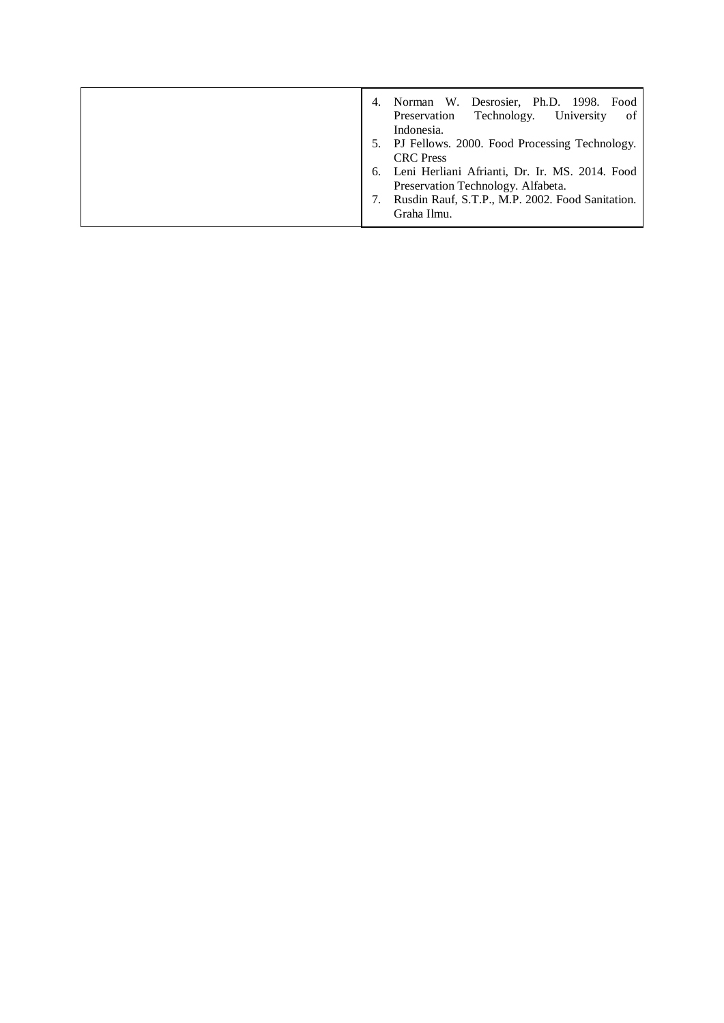| Norman W. Desrosier, Ph.D. 1998. Food<br>Preservation Technology. University<br>of<br>Indonesia.                                                                                                                                      |
|---------------------------------------------------------------------------------------------------------------------------------------------------------------------------------------------------------------------------------------|
| 5. PJ Fellows. 2000. Food Processing Technology.<br><b>CRC</b> Press<br>Leni Herliani Afrianti, Dr. Ir. MS. 2014. Food<br>6.<br>Preservation Technology. Alfabeta.<br>Rusdin Rauf, S.T.P., M.P. 2002. Food Sanitation.<br>Graha Ilmu. |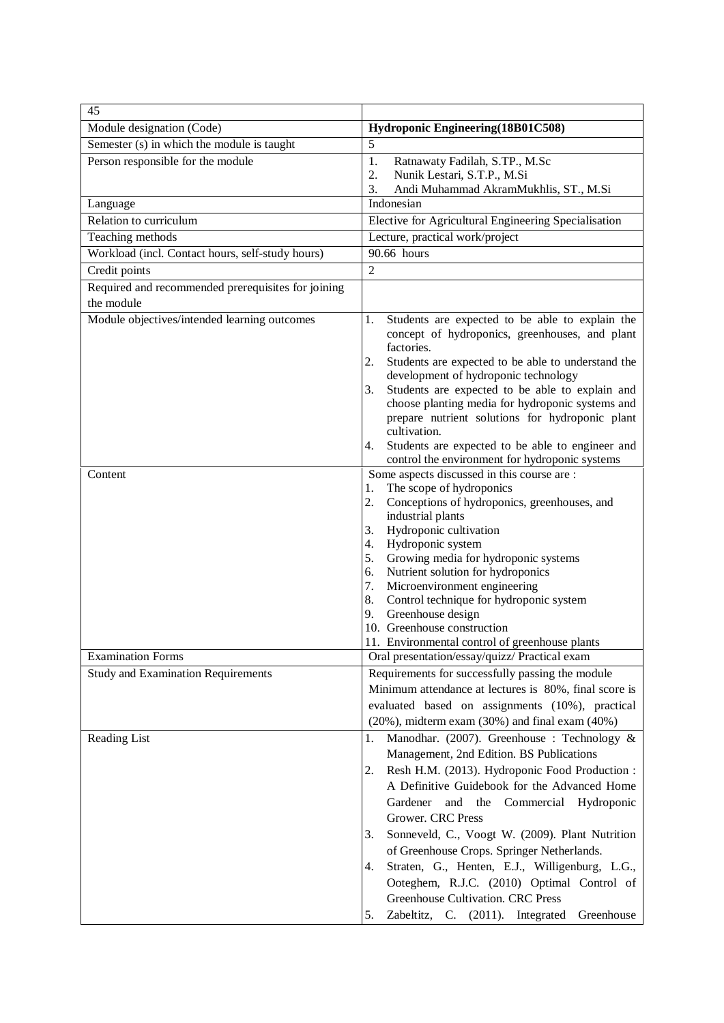| 45                                                 |                                                                                                                                                                                                                                                                                                                                                                                                                                                                                                                                                                               |
|----------------------------------------------------|-------------------------------------------------------------------------------------------------------------------------------------------------------------------------------------------------------------------------------------------------------------------------------------------------------------------------------------------------------------------------------------------------------------------------------------------------------------------------------------------------------------------------------------------------------------------------------|
| Module designation (Code)                          | Hydroponic Engineering(18B01C508)                                                                                                                                                                                                                                                                                                                                                                                                                                                                                                                                             |
| Semester (s) in which the module is taught         | 5                                                                                                                                                                                                                                                                                                                                                                                                                                                                                                                                                                             |
| Person responsible for the module                  | Ratnawaty Fadilah, S.TP., M.Sc<br>1.                                                                                                                                                                                                                                                                                                                                                                                                                                                                                                                                          |
|                                                    | Nunik Lestari, S.T.P., M.Si<br>2.                                                                                                                                                                                                                                                                                                                                                                                                                                                                                                                                             |
|                                                    | 3.<br>Andi Muhammad AkramMukhlis, ST., M.Si                                                                                                                                                                                                                                                                                                                                                                                                                                                                                                                                   |
| Language                                           | Indonesian                                                                                                                                                                                                                                                                                                                                                                                                                                                                                                                                                                    |
| Relation to curriculum                             | Elective for Agricultural Engineering Specialisation                                                                                                                                                                                                                                                                                                                                                                                                                                                                                                                          |
| Teaching methods                                   | Lecture, practical work/project                                                                                                                                                                                                                                                                                                                                                                                                                                                                                                                                               |
| Workload (incl. Contact hours, self-study hours)   | 90.66 hours                                                                                                                                                                                                                                                                                                                                                                                                                                                                                                                                                                   |
| Credit points                                      | $\overline{2}$                                                                                                                                                                                                                                                                                                                                                                                                                                                                                                                                                                |
| Required and recommended prerequisites for joining |                                                                                                                                                                                                                                                                                                                                                                                                                                                                                                                                                                               |
| the module                                         |                                                                                                                                                                                                                                                                                                                                                                                                                                                                                                                                                                               |
| Module objectives/intended learning outcomes       | Students are expected to be able to explain the<br>1.<br>concept of hydroponics, greenhouses, and plant<br>factories.<br>2.<br>Students are expected to be able to understand the<br>development of hydroponic technology<br>Students are expected to be able to explain and<br>3.<br>choose planting media for hydroponic systems and<br>prepare nutrient solutions for hydroponic plant<br>cultivation.<br>Students are expected to be able to engineer and<br>4.                                                                                                           |
| Content                                            | control the environment for hydroponic systems<br>Some aspects discussed in this course are :                                                                                                                                                                                                                                                                                                                                                                                                                                                                                 |
|                                                    | The scope of hydroponics<br>1.<br>2.<br>Conceptions of hydroponics, greenhouses, and<br>industrial plants<br>Hydroponic cultivation<br>3.<br>Hydroponic system<br>4.<br>Growing media for hydroponic systems<br>5.<br>Nutrient solution for hydroponics<br>6.<br>Microenvironment engineering<br>7.<br>Control technique for hydroponic system<br>8.<br>Greenhouse design<br>9.<br>10. Greenhouse construction<br>11. Environmental control of greenhouse plants                                                                                                              |
| <b>Examination Forms</b>                           | Oral presentation/essay/quizz/ Practical exam                                                                                                                                                                                                                                                                                                                                                                                                                                                                                                                                 |
| <b>Study and Examination Requirements</b>          | Requirements for successfully passing the module<br>Minimum attendance at lectures is 80%, final score is<br>evaluated based on assignments (10%), practical<br>$(20\%)$ , midterm exam $(30\%)$ and final exam $(40\%)$                                                                                                                                                                                                                                                                                                                                                      |
| Reading List                                       | Manodhar. (2007). Greenhouse : Technology &<br>1.<br>Management, 2nd Edition. BS Publications<br>Resh H.M. (2013). Hydroponic Food Production:<br>2.<br>A Definitive Guidebook for the Advanced Home<br>Gardener and the Commercial Hydroponic<br>Grower. CRC Press<br>Sonneveld, C., Voogt W. (2009). Plant Nutrition<br>3.<br>of Greenhouse Crops. Springer Netherlands.<br>Straten, G., Henten, E.J., Willigenburg, L.G.,<br>4.<br>Ooteghem, R.J.C. (2010) Optimal Control of<br>Greenhouse Cultivation. CRC Press<br>Zabeltitz, C. (2011). Integrated<br>Greenhouse<br>5. |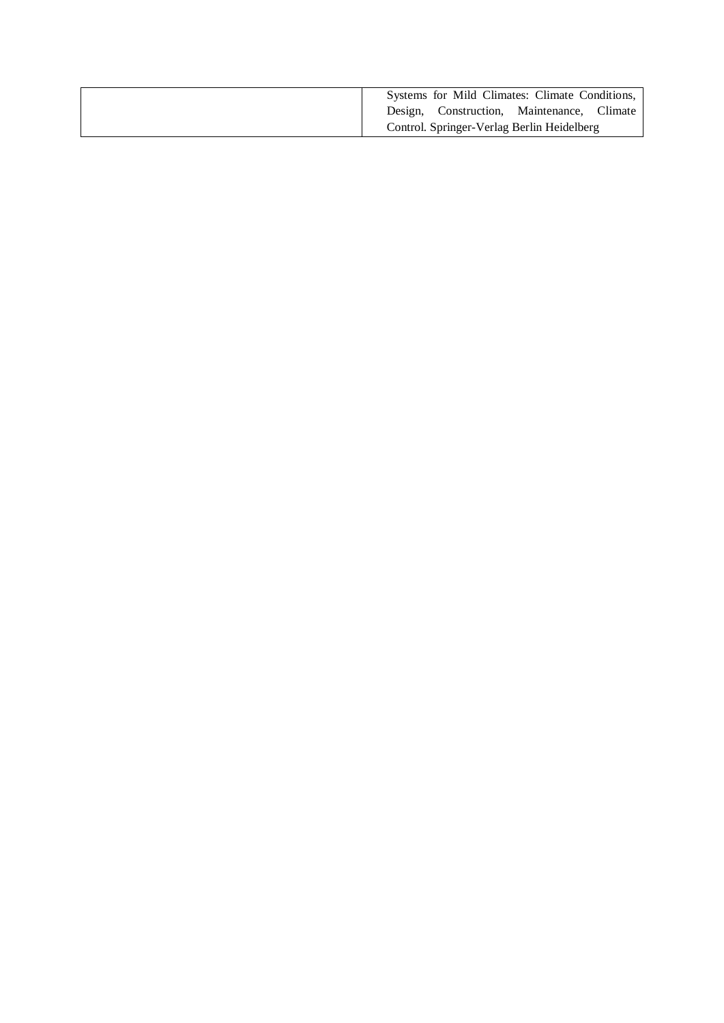| Systems for Mild Climates: Climate Conditions, |
|------------------------------------------------|
| Design, Construction, Maintenance, Climate     |
| Control. Springer-Verlag Berlin Heidelberg     |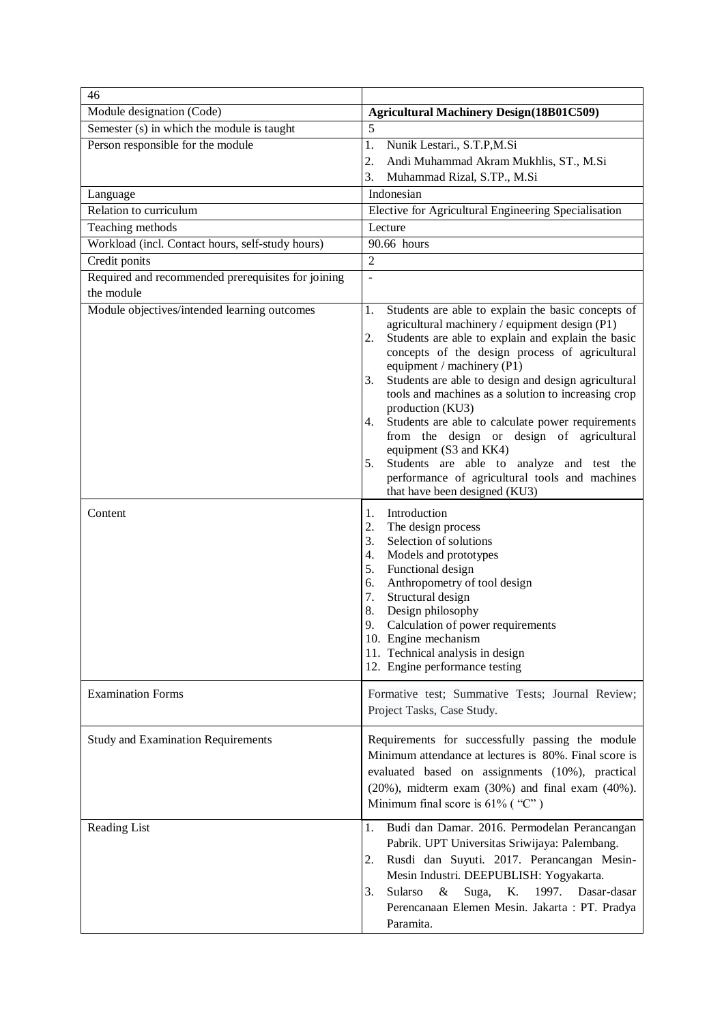| 46                                                 |                                                                                                                                                                                                                                                                                                                                                                                                                                                                                                                                                                                                                                                                        |
|----------------------------------------------------|------------------------------------------------------------------------------------------------------------------------------------------------------------------------------------------------------------------------------------------------------------------------------------------------------------------------------------------------------------------------------------------------------------------------------------------------------------------------------------------------------------------------------------------------------------------------------------------------------------------------------------------------------------------------|
| Module designation (Code)                          | <b>Agricultural Machinery Design(18B01C509)</b>                                                                                                                                                                                                                                                                                                                                                                                                                                                                                                                                                                                                                        |
| Semester (s) in which the module is taught         | 5                                                                                                                                                                                                                                                                                                                                                                                                                                                                                                                                                                                                                                                                      |
| Person responsible for the module                  | 1.<br>Nunik Lestari., S.T.P,M.Si                                                                                                                                                                                                                                                                                                                                                                                                                                                                                                                                                                                                                                       |
|                                                    | 2.<br>Andi Muhammad Akram Mukhlis, ST., M.Si                                                                                                                                                                                                                                                                                                                                                                                                                                                                                                                                                                                                                           |
|                                                    | 3.<br>Muhammad Rizal, S.TP., M.Si                                                                                                                                                                                                                                                                                                                                                                                                                                                                                                                                                                                                                                      |
| Language                                           | Indonesian                                                                                                                                                                                                                                                                                                                                                                                                                                                                                                                                                                                                                                                             |
| Relation to curriculum                             | Elective for Agricultural Engineering Specialisation                                                                                                                                                                                                                                                                                                                                                                                                                                                                                                                                                                                                                   |
| Teaching methods                                   | Lecture                                                                                                                                                                                                                                                                                                                                                                                                                                                                                                                                                                                                                                                                |
| Workload (incl. Contact hours, self-study hours)   | 90.66 hours                                                                                                                                                                                                                                                                                                                                                                                                                                                                                                                                                                                                                                                            |
| Credit ponits                                      | $\overline{2}$                                                                                                                                                                                                                                                                                                                                                                                                                                                                                                                                                                                                                                                         |
| Required and recommended prerequisites for joining | $\overline{a}$                                                                                                                                                                                                                                                                                                                                                                                                                                                                                                                                                                                                                                                         |
| the module                                         |                                                                                                                                                                                                                                                                                                                                                                                                                                                                                                                                                                                                                                                                        |
| Module objectives/intended learning outcomes       | 1.<br>Students are able to explain the basic concepts of<br>agricultural machinery / equipment design (P1)<br>Students are able to explain and explain the basic<br>2.<br>concepts of the design process of agricultural<br>equipment / machinery (P1)<br>Students are able to design and design agricultural<br>3.<br>tools and machines as a solution to increasing crop<br>production (KU3)<br>Students are able to calculate power requirements<br>4.<br>from the design or design of agricultural<br>equipment (S3 and KK4)<br>Students are able to analyze and test the<br>5.<br>performance of agricultural tools and machines<br>that have been designed (KU3) |
| Content                                            | Introduction<br>1.<br>2.<br>The design process<br>3.<br>Selection of solutions<br>Models and prototypes<br>4.<br>Functional design<br>5.<br>Anthropometry of tool design<br>6.<br>Structural design<br>7.<br>8.<br>Design philosophy<br>9.<br>Calculation of power requirements<br>10. Engine mechanism<br>11. Technical analysis in design<br>12. Engine performance testing                                                                                                                                                                                                                                                                                          |
| <b>Examination Forms</b>                           | Formative test; Summative Tests; Journal Review;<br>Project Tasks, Case Study.                                                                                                                                                                                                                                                                                                                                                                                                                                                                                                                                                                                         |
| <b>Study and Examination Requirements</b>          | Requirements for successfully passing the module<br>Minimum attendance at lectures is 80%. Final score is<br>evaluated based on assignments (10%), practical<br>$(20\%)$ , midterm exam $(30\%)$ and final exam $(40\%)$ .<br>Minimum final score is 61% ("C")                                                                                                                                                                                                                                                                                                                                                                                                         |
| <b>Reading List</b>                                | 1.<br>Budi dan Damar. 2016. Permodelan Perancangan<br>Pabrik. UPT Universitas Sriwijaya: Palembang.<br>Rusdi dan Suyuti. 2017. Perancangan Mesin-<br>2.<br>Mesin Industri. DEEPUBLISH: Yogyakarta.<br>Sularso<br>Suga,<br>K. 1997. Dasar-dasar<br>3.<br>&<br>Perencanaan Elemen Mesin. Jakarta: PT. Pradya<br>Paramita.                                                                                                                                                                                                                                                                                                                                                |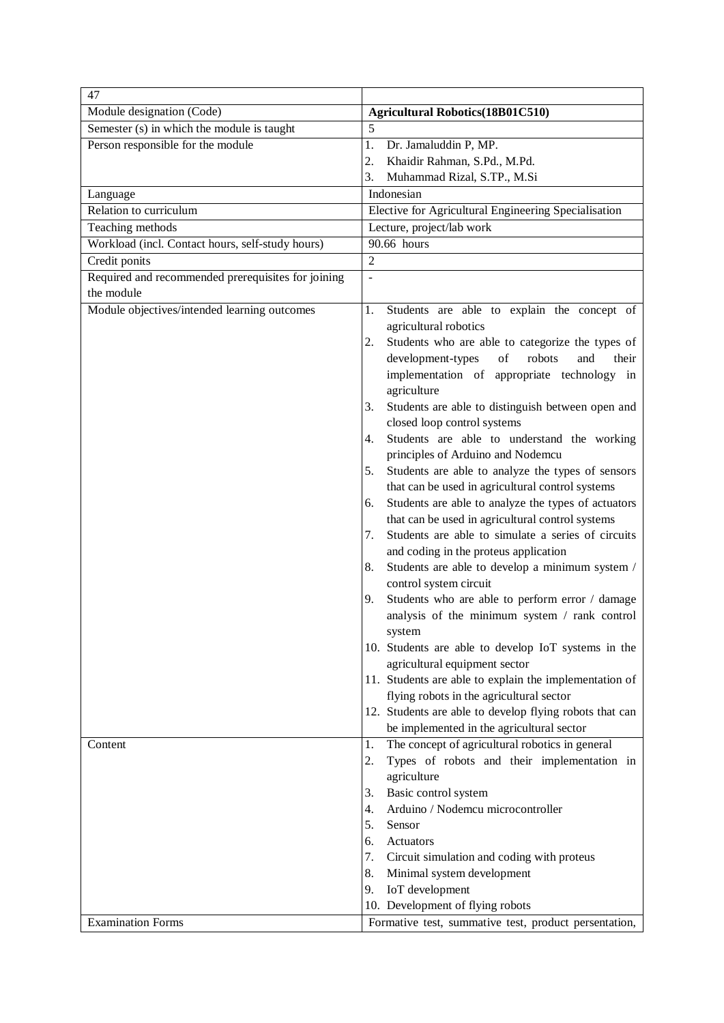| <b>Agricultural Robotics(18B01C510)</b><br>Module designation (Code)<br>Semester (s) in which the module is taught<br>5<br>Person responsible for the module<br>Dr. Jamaluddin P, MP.<br>1.<br>2.<br>Khaidir Rahman, S.Pd., M.Pd.<br>3.<br>Muhammad Rizal, S.TP., M.Si<br>Indonesian<br>Language<br>Relation to curriculum<br>Elective for Agricultural Engineering Specialisation<br>Lecture, project/lab work<br>Teaching methods<br>90.66 hours<br>Workload (incl. Contact hours, self-study hours)<br>Credit ponits<br>$\overline{2}$<br>Required and recommended prerequisites for joining<br>$\overline{\phantom{a}}$<br>the module<br>Module objectives/intended learning outcomes<br>Students are able to explain the concept of<br>1.<br>agricultural robotics<br>Students who are able to categorize the types of<br>2.<br>development-types<br>of<br>robots<br>and<br>their<br>implementation of appropriate technology in<br>agriculture<br>Students are able to distinguish between open and<br>3.<br>closed loop control systems<br>Students are able to understand the working<br>4.<br>principles of Arduino and Nodemcu<br>Students are able to analyze the types of sensors<br>5.<br>that can be used in agricultural control systems<br>Students are able to analyze the types of actuators<br>6.<br>that can be used in agricultural control systems<br>Students are able to simulate a series of circuits<br>7.<br>and coding in the proteus application<br>Students are able to develop a minimum system /<br>8.<br>control system circuit<br>Students who are able to perform error / damage<br>9.<br>analysis of the minimum system / rank control<br>system<br>10. Students are able to develop IoT systems in the<br>agricultural equipment sector<br>11. Students are able to explain the implementation of<br>flying robots in the agricultural sector<br>12. Students are able to develop flying robots that can<br>be implemented in the agricultural sector<br>The concept of agricultural robotics in general<br>1.<br>Content<br>Types of robots and their implementation in<br>2.<br>agriculture<br>Basic control system<br>3.<br>4.<br>Arduino / Nodemcu microcontroller<br>5.<br>Sensor<br>6.<br>Actuators<br>7.<br>Circuit simulation and coding with proteus<br>8.<br>Minimal system development<br>9.<br>IoT development | 47 |  |
|-----------------------------------------------------------------------------------------------------------------------------------------------------------------------------------------------------------------------------------------------------------------------------------------------------------------------------------------------------------------------------------------------------------------------------------------------------------------------------------------------------------------------------------------------------------------------------------------------------------------------------------------------------------------------------------------------------------------------------------------------------------------------------------------------------------------------------------------------------------------------------------------------------------------------------------------------------------------------------------------------------------------------------------------------------------------------------------------------------------------------------------------------------------------------------------------------------------------------------------------------------------------------------------------------------------------------------------------------------------------------------------------------------------------------------------------------------------------------------------------------------------------------------------------------------------------------------------------------------------------------------------------------------------------------------------------------------------------------------------------------------------------------------------------------------------------------------------------------------------------------------------------------------------------------------------------------------------------------------------------------------------------------------------------------------------------------------------------------------------------------------------------------------------------------------------------------------------------------------------------------------------------------------------------------------------------------------------------------------------------|----|--|
|                                                                                                                                                                                                                                                                                                                                                                                                                                                                                                                                                                                                                                                                                                                                                                                                                                                                                                                                                                                                                                                                                                                                                                                                                                                                                                                                                                                                                                                                                                                                                                                                                                                                                                                                                                                                                                                                                                                                                                                                                                                                                                                                                                                                                                                                                                                                                                 |    |  |
|                                                                                                                                                                                                                                                                                                                                                                                                                                                                                                                                                                                                                                                                                                                                                                                                                                                                                                                                                                                                                                                                                                                                                                                                                                                                                                                                                                                                                                                                                                                                                                                                                                                                                                                                                                                                                                                                                                                                                                                                                                                                                                                                                                                                                                                                                                                                                                 |    |  |
|                                                                                                                                                                                                                                                                                                                                                                                                                                                                                                                                                                                                                                                                                                                                                                                                                                                                                                                                                                                                                                                                                                                                                                                                                                                                                                                                                                                                                                                                                                                                                                                                                                                                                                                                                                                                                                                                                                                                                                                                                                                                                                                                                                                                                                                                                                                                                                 |    |  |
|                                                                                                                                                                                                                                                                                                                                                                                                                                                                                                                                                                                                                                                                                                                                                                                                                                                                                                                                                                                                                                                                                                                                                                                                                                                                                                                                                                                                                                                                                                                                                                                                                                                                                                                                                                                                                                                                                                                                                                                                                                                                                                                                                                                                                                                                                                                                                                 |    |  |
|                                                                                                                                                                                                                                                                                                                                                                                                                                                                                                                                                                                                                                                                                                                                                                                                                                                                                                                                                                                                                                                                                                                                                                                                                                                                                                                                                                                                                                                                                                                                                                                                                                                                                                                                                                                                                                                                                                                                                                                                                                                                                                                                                                                                                                                                                                                                                                 |    |  |
|                                                                                                                                                                                                                                                                                                                                                                                                                                                                                                                                                                                                                                                                                                                                                                                                                                                                                                                                                                                                                                                                                                                                                                                                                                                                                                                                                                                                                                                                                                                                                                                                                                                                                                                                                                                                                                                                                                                                                                                                                                                                                                                                                                                                                                                                                                                                                                 |    |  |
|                                                                                                                                                                                                                                                                                                                                                                                                                                                                                                                                                                                                                                                                                                                                                                                                                                                                                                                                                                                                                                                                                                                                                                                                                                                                                                                                                                                                                                                                                                                                                                                                                                                                                                                                                                                                                                                                                                                                                                                                                                                                                                                                                                                                                                                                                                                                                                 |    |  |
|                                                                                                                                                                                                                                                                                                                                                                                                                                                                                                                                                                                                                                                                                                                                                                                                                                                                                                                                                                                                                                                                                                                                                                                                                                                                                                                                                                                                                                                                                                                                                                                                                                                                                                                                                                                                                                                                                                                                                                                                                                                                                                                                                                                                                                                                                                                                                                 |    |  |
|                                                                                                                                                                                                                                                                                                                                                                                                                                                                                                                                                                                                                                                                                                                                                                                                                                                                                                                                                                                                                                                                                                                                                                                                                                                                                                                                                                                                                                                                                                                                                                                                                                                                                                                                                                                                                                                                                                                                                                                                                                                                                                                                                                                                                                                                                                                                                                 |    |  |
|                                                                                                                                                                                                                                                                                                                                                                                                                                                                                                                                                                                                                                                                                                                                                                                                                                                                                                                                                                                                                                                                                                                                                                                                                                                                                                                                                                                                                                                                                                                                                                                                                                                                                                                                                                                                                                                                                                                                                                                                                                                                                                                                                                                                                                                                                                                                                                 |    |  |
|                                                                                                                                                                                                                                                                                                                                                                                                                                                                                                                                                                                                                                                                                                                                                                                                                                                                                                                                                                                                                                                                                                                                                                                                                                                                                                                                                                                                                                                                                                                                                                                                                                                                                                                                                                                                                                                                                                                                                                                                                                                                                                                                                                                                                                                                                                                                                                 |    |  |
|                                                                                                                                                                                                                                                                                                                                                                                                                                                                                                                                                                                                                                                                                                                                                                                                                                                                                                                                                                                                                                                                                                                                                                                                                                                                                                                                                                                                                                                                                                                                                                                                                                                                                                                                                                                                                                                                                                                                                                                                                                                                                                                                                                                                                                                                                                                                                                 |    |  |
|                                                                                                                                                                                                                                                                                                                                                                                                                                                                                                                                                                                                                                                                                                                                                                                                                                                                                                                                                                                                                                                                                                                                                                                                                                                                                                                                                                                                                                                                                                                                                                                                                                                                                                                                                                                                                                                                                                                                                                                                                                                                                                                                                                                                                                                                                                                                                                 |    |  |
|                                                                                                                                                                                                                                                                                                                                                                                                                                                                                                                                                                                                                                                                                                                                                                                                                                                                                                                                                                                                                                                                                                                                                                                                                                                                                                                                                                                                                                                                                                                                                                                                                                                                                                                                                                                                                                                                                                                                                                                                                                                                                                                                                                                                                                                                                                                                                                 |    |  |
|                                                                                                                                                                                                                                                                                                                                                                                                                                                                                                                                                                                                                                                                                                                                                                                                                                                                                                                                                                                                                                                                                                                                                                                                                                                                                                                                                                                                                                                                                                                                                                                                                                                                                                                                                                                                                                                                                                                                                                                                                                                                                                                                                                                                                                                                                                                                                                 |    |  |
|                                                                                                                                                                                                                                                                                                                                                                                                                                                                                                                                                                                                                                                                                                                                                                                                                                                                                                                                                                                                                                                                                                                                                                                                                                                                                                                                                                                                                                                                                                                                                                                                                                                                                                                                                                                                                                                                                                                                                                                                                                                                                                                                                                                                                                                                                                                                                                 |    |  |
|                                                                                                                                                                                                                                                                                                                                                                                                                                                                                                                                                                                                                                                                                                                                                                                                                                                                                                                                                                                                                                                                                                                                                                                                                                                                                                                                                                                                                                                                                                                                                                                                                                                                                                                                                                                                                                                                                                                                                                                                                                                                                                                                                                                                                                                                                                                                                                 |    |  |
|                                                                                                                                                                                                                                                                                                                                                                                                                                                                                                                                                                                                                                                                                                                                                                                                                                                                                                                                                                                                                                                                                                                                                                                                                                                                                                                                                                                                                                                                                                                                                                                                                                                                                                                                                                                                                                                                                                                                                                                                                                                                                                                                                                                                                                                                                                                                                                 |    |  |
|                                                                                                                                                                                                                                                                                                                                                                                                                                                                                                                                                                                                                                                                                                                                                                                                                                                                                                                                                                                                                                                                                                                                                                                                                                                                                                                                                                                                                                                                                                                                                                                                                                                                                                                                                                                                                                                                                                                                                                                                                                                                                                                                                                                                                                                                                                                                                                 |    |  |
|                                                                                                                                                                                                                                                                                                                                                                                                                                                                                                                                                                                                                                                                                                                                                                                                                                                                                                                                                                                                                                                                                                                                                                                                                                                                                                                                                                                                                                                                                                                                                                                                                                                                                                                                                                                                                                                                                                                                                                                                                                                                                                                                                                                                                                                                                                                                                                 |    |  |
|                                                                                                                                                                                                                                                                                                                                                                                                                                                                                                                                                                                                                                                                                                                                                                                                                                                                                                                                                                                                                                                                                                                                                                                                                                                                                                                                                                                                                                                                                                                                                                                                                                                                                                                                                                                                                                                                                                                                                                                                                                                                                                                                                                                                                                                                                                                                                                 |    |  |
|                                                                                                                                                                                                                                                                                                                                                                                                                                                                                                                                                                                                                                                                                                                                                                                                                                                                                                                                                                                                                                                                                                                                                                                                                                                                                                                                                                                                                                                                                                                                                                                                                                                                                                                                                                                                                                                                                                                                                                                                                                                                                                                                                                                                                                                                                                                                                                 |    |  |
|                                                                                                                                                                                                                                                                                                                                                                                                                                                                                                                                                                                                                                                                                                                                                                                                                                                                                                                                                                                                                                                                                                                                                                                                                                                                                                                                                                                                                                                                                                                                                                                                                                                                                                                                                                                                                                                                                                                                                                                                                                                                                                                                                                                                                                                                                                                                                                 |    |  |
|                                                                                                                                                                                                                                                                                                                                                                                                                                                                                                                                                                                                                                                                                                                                                                                                                                                                                                                                                                                                                                                                                                                                                                                                                                                                                                                                                                                                                                                                                                                                                                                                                                                                                                                                                                                                                                                                                                                                                                                                                                                                                                                                                                                                                                                                                                                                                                 |    |  |
|                                                                                                                                                                                                                                                                                                                                                                                                                                                                                                                                                                                                                                                                                                                                                                                                                                                                                                                                                                                                                                                                                                                                                                                                                                                                                                                                                                                                                                                                                                                                                                                                                                                                                                                                                                                                                                                                                                                                                                                                                                                                                                                                                                                                                                                                                                                                                                 |    |  |
|                                                                                                                                                                                                                                                                                                                                                                                                                                                                                                                                                                                                                                                                                                                                                                                                                                                                                                                                                                                                                                                                                                                                                                                                                                                                                                                                                                                                                                                                                                                                                                                                                                                                                                                                                                                                                                                                                                                                                                                                                                                                                                                                                                                                                                                                                                                                                                 |    |  |
|                                                                                                                                                                                                                                                                                                                                                                                                                                                                                                                                                                                                                                                                                                                                                                                                                                                                                                                                                                                                                                                                                                                                                                                                                                                                                                                                                                                                                                                                                                                                                                                                                                                                                                                                                                                                                                                                                                                                                                                                                                                                                                                                                                                                                                                                                                                                                                 |    |  |
|                                                                                                                                                                                                                                                                                                                                                                                                                                                                                                                                                                                                                                                                                                                                                                                                                                                                                                                                                                                                                                                                                                                                                                                                                                                                                                                                                                                                                                                                                                                                                                                                                                                                                                                                                                                                                                                                                                                                                                                                                                                                                                                                                                                                                                                                                                                                                                 |    |  |
|                                                                                                                                                                                                                                                                                                                                                                                                                                                                                                                                                                                                                                                                                                                                                                                                                                                                                                                                                                                                                                                                                                                                                                                                                                                                                                                                                                                                                                                                                                                                                                                                                                                                                                                                                                                                                                                                                                                                                                                                                                                                                                                                                                                                                                                                                                                                                                 |    |  |
|                                                                                                                                                                                                                                                                                                                                                                                                                                                                                                                                                                                                                                                                                                                                                                                                                                                                                                                                                                                                                                                                                                                                                                                                                                                                                                                                                                                                                                                                                                                                                                                                                                                                                                                                                                                                                                                                                                                                                                                                                                                                                                                                                                                                                                                                                                                                                                 |    |  |
|                                                                                                                                                                                                                                                                                                                                                                                                                                                                                                                                                                                                                                                                                                                                                                                                                                                                                                                                                                                                                                                                                                                                                                                                                                                                                                                                                                                                                                                                                                                                                                                                                                                                                                                                                                                                                                                                                                                                                                                                                                                                                                                                                                                                                                                                                                                                                                 |    |  |
|                                                                                                                                                                                                                                                                                                                                                                                                                                                                                                                                                                                                                                                                                                                                                                                                                                                                                                                                                                                                                                                                                                                                                                                                                                                                                                                                                                                                                                                                                                                                                                                                                                                                                                                                                                                                                                                                                                                                                                                                                                                                                                                                                                                                                                                                                                                                                                 |    |  |
|                                                                                                                                                                                                                                                                                                                                                                                                                                                                                                                                                                                                                                                                                                                                                                                                                                                                                                                                                                                                                                                                                                                                                                                                                                                                                                                                                                                                                                                                                                                                                                                                                                                                                                                                                                                                                                                                                                                                                                                                                                                                                                                                                                                                                                                                                                                                                                 |    |  |
|                                                                                                                                                                                                                                                                                                                                                                                                                                                                                                                                                                                                                                                                                                                                                                                                                                                                                                                                                                                                                                                                                                                                                                                                                                                                                                                                                                                                                                                                                                                                                                                                                                                                                                                                                                                                                                                                                                                                                                                                                                                                                                                                                                                                                                                                                                                                                                 |    |  |
|                                                                                                                                                                                                                                                                                                                                                                                                                                                                                                                                                                                                                                                                                                                                                                                                                                                                                                                                                                                                                                                                                                                                                                                                                                                                                                                                                                                                                                                                                                                                                                                                                                                                                                                                                                                                                                                                                                                                                                                                                                                                                                                                                                                                                                                                                                                                                                 |    |  |
|                                                                                                                                                                                                                                                                                                                                                                                                                                                                                                                                                                                                                                                                                                                                                                                                                                                                                                                                                                                                                                                                                                                                                                                                                                                                                                                                                                                                                                                                                                                                                                                                                                                                                                                                                                                                                                                                                                                                                                                                                                                                                                                                                                                                                                                                                                                                                                 |    |  |
|                                                                                                                                                                                                                                                                                                                                                                                                                                                                                                                                                                                                                                                                                                                                                                                                                                                                                                                                                                                                                                                                                                                                                                                                                                                                                                                                                                                                                                                                                                                                                                                                                                                                                                                                                                                                                                                                                                                                                                                                                                                                                                                                                                                                                                                                                                                                                                 |    |  |
|                                                                                                                                                                                                                                                                                                                                                                                                                                                                                                                                                                                                                                                                                                                                                                                                                                                                                                                                                                                                                                                                                                                                                                                                                                                                                                                                                                                                                                                                                                                                                                                                                                                                                                                                                                                                                                                                                                                                                                                                                                                                                                                                                                                                                                                                                                                                                                 |    |  |
|                                                                                                                                                                                                                                                                                                                                                                                                                                                                                                                                                                                                                                                                                                                                                                                                                                                                                                                                                                                                                                                                                                                                                                                                                                                                                                                                                                                                                                                                                                                                                                                                                                                                                                                                                                                                                                                                                                                                                                                                                                                                                                                                                                                                                                                                                                                                                                 |    |  |
|                                                                                                                                                                                                                                                                                                                                                                                                                                                                                                                                                                                                                                                                                                                                                                                                                                                                                                                                                                                                                                                                                                                                                                                                                                                                                                                                                                                                                                                                                                                                                                                                                                                                                                                                                                                                                                                                                                                                                                                                                                                                                                                                                                                                                                                                                                                                                                 |    |  |
|                                                                                                                                                                                                                                                                                                                                                                                                                                                                                                                                                                                                                                                                                                                                                                                                                                                                                                                                                                                                                                                                                                                                                                                                                                                                                                                                                                                                                                                                                                                                                                                                                                                                                                                                                                                                                                                                                                                                                                                                                                                                                                                                                                                                                                                                                                                                                                 |    |  |
|                                                                                                                                                                                                                                                                                                                                                                                                                                                                                                                                                                                                                                                                                                                                                                                                                                                                                                                                                                                                                                                                                                                                                                                                                                                                                                                                                                                                                                                                                                                                                                                                                                                                                                                                                                                                                                                                                                                                                                                                                                                                                                                                                                                                                                                                                                                                                                 |    |  |
|                                                                                                                                                                                                                                                                                                                                                                                                                                                                                                                                                                                                                                                                                                                                                                                                                                                                                                                                                                                                                                                                                                                                                                                                                                                                                                                                                                                                                                                                                                                                                                                                                                                                                                                                                                                                                                                                                                                                                                                                                                                                                                                                                                                                                                                                                                                                                                 |    |  |
|                                                                                                                                                                                                                                                                                                                                                                                                                                                                                                                                                                                                                                                                                                                                                                                                                                                                                                                                                                                                                                                                                                                                                                                                                                                                                                                                                                                                                                                                                                                                                                                                                                                                                                                                                                                                                                                                                                                                                                                                                                                                                                                                                                                                                                                                                                                                                                 |    |  |
|                                                                                                                                                                                                                                                                                                                                                                                                                                                                                                                                                                                                                                                                                                                                                                                                                                                                                                                                                                                                                                                                                                                                                                                                                                                                                                                                                                                                                                                                                                                                                                                                                                                                                                                                                                                                                                                                                                                                                                                                                                                                                                                                                                                                                                                                                                                                                                 |    |  |
|                                                                                                                                                                                                                                                                                                                                                                                                                                                                                                                                                                                                                                                                                                                                                                                                                                                                                                                                                                                                                                                                                                                                                                                                                                                                                                                                                                                                                                                                                                                                                                                                                                                                                                                                                                                                                                                                                                                                                                                                                                                                                                                                                                                                                                                                                                                                                                 |    |  |
|                                                                                                                                                                                                                                                                                                                                                                                                                                                                                                                                                                                                                                                                                                                                                                                                                                                                                                                                                                                                                                                                                                                                                                                                                                                                                                                                                                                                                                                                                                                                                                                                                                                                                                                                                                                                                                                                                                                                                                                                                                                                                                                                                                                                                                                                                                                                                                 |    |  |
|                                                                                                                                                                                                                                                                                                                                                                                                                                                                                                                                                                                                                                                                                                                                                                                                                                                                                                                                                                                                                                                                                                                                                                                                                                                                                                                                                                                                                                                                                                                                                                                                                                                                                                                                                                                                                                                                                                                                                                                                                                                                                                                                                                                                                                                                                                                                                                 |    |  |
| 10. Development of flying robots                                                                                                                                                                                                                                                                                                                                                                                                                                                                                                                                                                                                                                                                                                                                                                                                                                                                                                                                                                                                                                                                                                                                                                                                                                                                                                                                                                                                                                                                                                                                                                                                                                                                                                                                                                                                                                                                                                                                                                                                                                                                                                                                                                                                                                                                                                                                |    |  |
| Formative test, summative test, product persentation,<br><b>Examination Forms</b>                                                                                                                                                                                                                                                                                                                                                                                                                                                                                                                                                                                                                                                                                                                                                                                                                                                                                                                                                                                                                                                                                                                                                                                                                                                                                                                                                                                                                                                                                                                                                                                                                                                                                                                                                                                                                                                                                                                                                                                                                                                                                                                                                                                                                                                                               |    |  |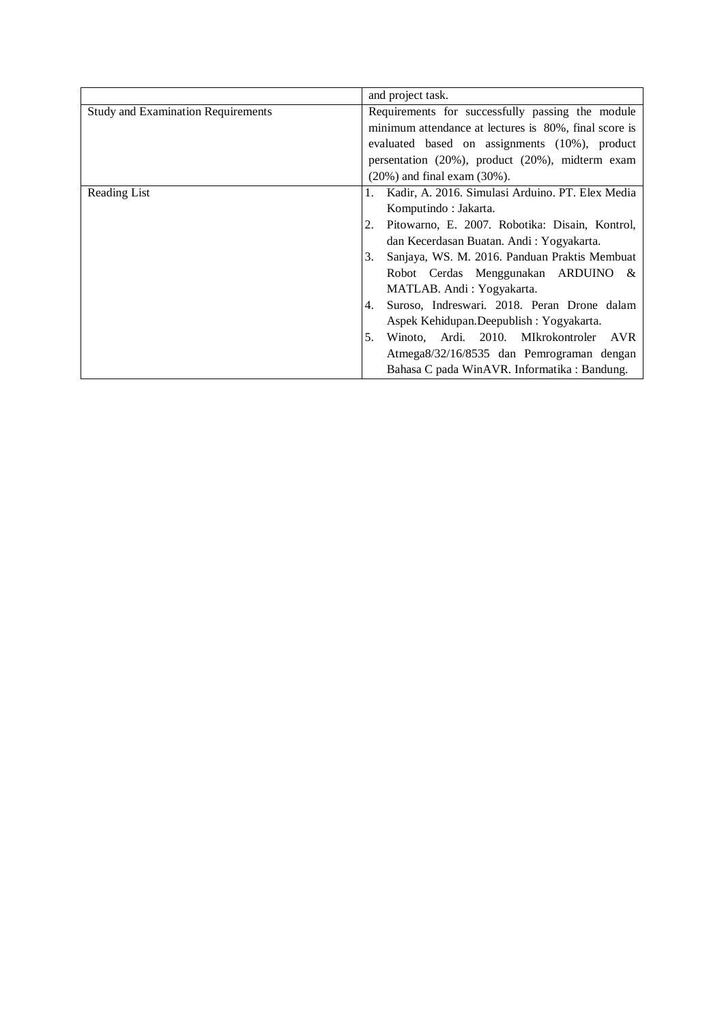|                                           | and project task.                                       |
|-------------------------------------------|---------------------------------------------------------|
| <b>Study and Examination Requirements</b> | Requirements for successfully passing the module        |
|                                           | minimum attendance at lectures is 80%, final score is   |
|                                           | evaluated based on assignments (10%), product           |
|                                           | persentation $(20\%)$ , product $(20\%)$ , midterm exam |
|                                           | $(20\%)$ and final exam $(30\%)$ .                      |
| Reading List                              | Kadir, A. 2016. Simulasi Arduino. PT. Elex Media        |
|                                           | Komputindo: Jakarta.                                    |
|                                           | Pitowarno, E. 2007. Robotika: Disain, Kontrol,<br>2.    |
|                                           | dan Kecerdasan Buatan. Andi: Yogyakarta.                |
|                                           | Sanjaya, WS. M. 2016. Panduan Praktis Membuat<br>3.     |
|                                           | Robot Cerdas Menggunakan ARDUINO &                      |
|                                           | MATLAB. Andi: Yogyakarta.                               |
|                                           | Suroso, Indreswari. 2018. Peran Drone dalam<br>4.       |
|                                           | Aspek Kehidupan.Deepublish: Yogyakarta.                 |
|                                           | Winoto, Ardi. 2010. MIkrokontroler<br>5.<br><b>AVR</b>  |
|                                           | Atmega8/32/16/8535 dan Pemrograman dengan               |
|                                           | Bahasa C pada WinAVR. Informatika : Bandung.            |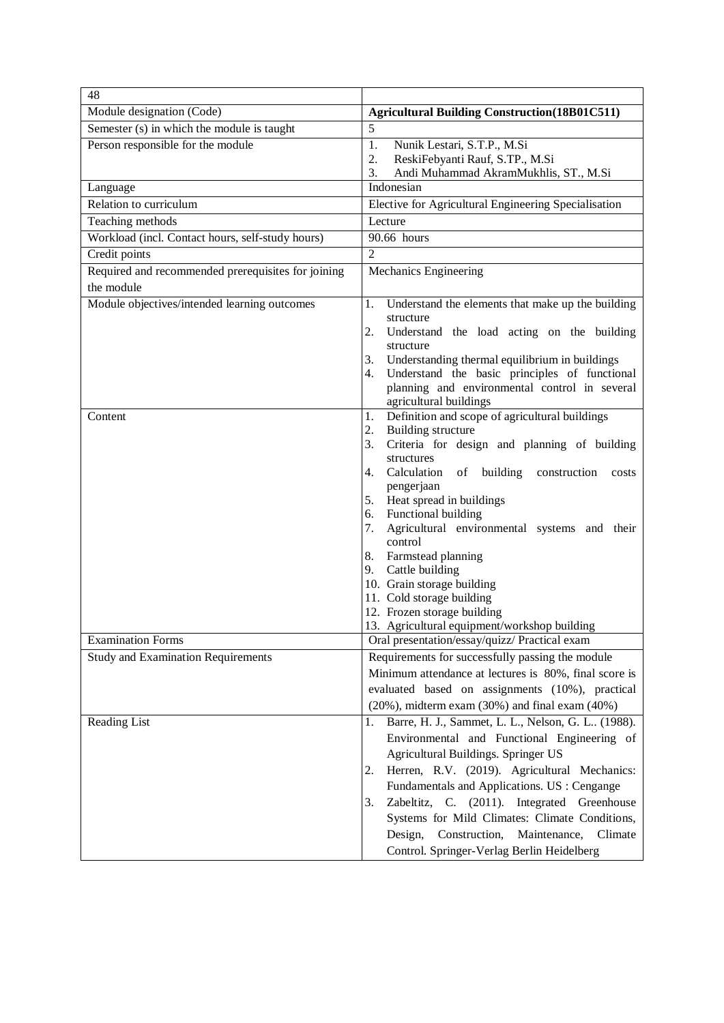| 48                                                 |                                                                                                                                                                                                                                                                                                                                                                                                                                                                                                                                                                    |
|----------------------------------------------------|--------------------------------------------------------------------------------------------------------------------------------------------------------------------------------------------------------------------------------------------------------------------------------------------------------------------------------------------------------------------------------------------------------------------------------------------------------------------------------------------------------------------------------------------------------------------|
| Module designation (Code)                          | <b>Agricultural Building Construction (18B01C511)</b>                                                                                                                                                                                                                                                                                                                                                                                                                                                                                                              |
| Semester (s) in which the module is taught         | 5                                                                                                                                                                                                                                                                                                                                                                                                                                                                                                                                                                  |
| Person responsible for the module                  | Nunik Lestari, S.T.P., M.Si<br>1.<br>2.<br>ReskiFebyanti Rauf, S.TP., M.Si<br>Andi Muhammad AkramMukhlis, ST., M.Si<br>3.                                                                                                                                                                                                                                                                                                                                                                                                                                          |
| Language                                           | Indonesian                                                                                                                                                                                                                                                                                                                                                                                                                                                                                                                                                         |
| Relation to curriculum                             | Elective for Agricultural Engineering Specialisation                                                                                                                                                                                                                                                                                                                                                                                                                                                                                                               |
| Teaching methods                                   | Lecture                                                                                                                                                                                                                                                                                                                                                                                                                                                                                                                                                            |
| Workload (incl. Contact hours, self-study hours)   | 90.66 hours                                                                                                                                                                                                                                                                                                                                                                                                                                                                                                                                                        |
| Credit points                                      | $\overline{2}$                                                                                                                                                                                                                                                                                                                                                                                                                                                                                                                                                     |
| Required and recommended prerequisites for joining | Mechanics Engineering                                                                                                                                                                                                                                                                                                                                                                                                                                                                                                                                              |
| the module                                         |                                                                                                                                                                                                                                                                                                                                                                                                                                                                                                                                                                    |
| Module objectives/intended learning outcomes       | Understand the elements that make up the building<br>1.<br>structure<br>2.<br>Understand the load acting on the building<br>structure<br>Understanding thermal equilibrium in buildings<br>3.<br>Understand the basic principles of functional<br>4.<br>planning and environmental control in several<br>agricultural buildings                                                                                                                                                                                                                                    |
| Content                                            | Definition and scope of agricultural buildings<br>1.<br><b>Building structure</b><br>2.<br>Criteria for design and planning of building<br>3.<br>structures<br>Calculation<br>building<br>of<br>construction<br>4.<br>costs<br>pengerjaan<br>Heat spread in buildings<br>5.<br>6. Functional building<br>Agricultural environmental systems and their<br>7.<br>control<br>Farmstead planning<br>8.<br>9. Cattle building<br>10. Grain storage building<br>11. Cold storage building<br>12. Frozen storage building<br>13. Agricultural equipment/workshop building |
| <b>Examination Forms</b>                           | Oral presentation/essay/quizz/ Practical exam                                                                                                                                                                                                                                                                                                                                                                                                                                                                                                                      |
| <b>Study and Examination Requirements</b>          | Requirements for successfully passing the module<br>Minimum attendance at lectures is 80%, final score is<br>evaluated based on assignments (10%), practical<br>$(20\%)$ , midterm exam $(30\%)$ and final exam $(40\%)$                                                                                                                                                                                                                                                                                                                                           |
| Reading List                                       | Barre, H. J., Sammet, L. L., Nelson, G. L (1988).<br>1.<br>Environmental and Functional Engineering of<br>Agricultural Buildings. Springer US<br>Herren, R.V. (2019). Agricultural Mechanics:<br>2.<br>Fundamentals and Applications. US : Cengange<br>Zabeltitz, C. (2011). Integrated Greenhouse<br>3.<br>Systems for Mild Climates: Climate Conditions,<br>Design, Construction,<br>Maintenance,<br>Climate<br>Control. Springer-Verlag Berlin Heidelberg                                                                                                       |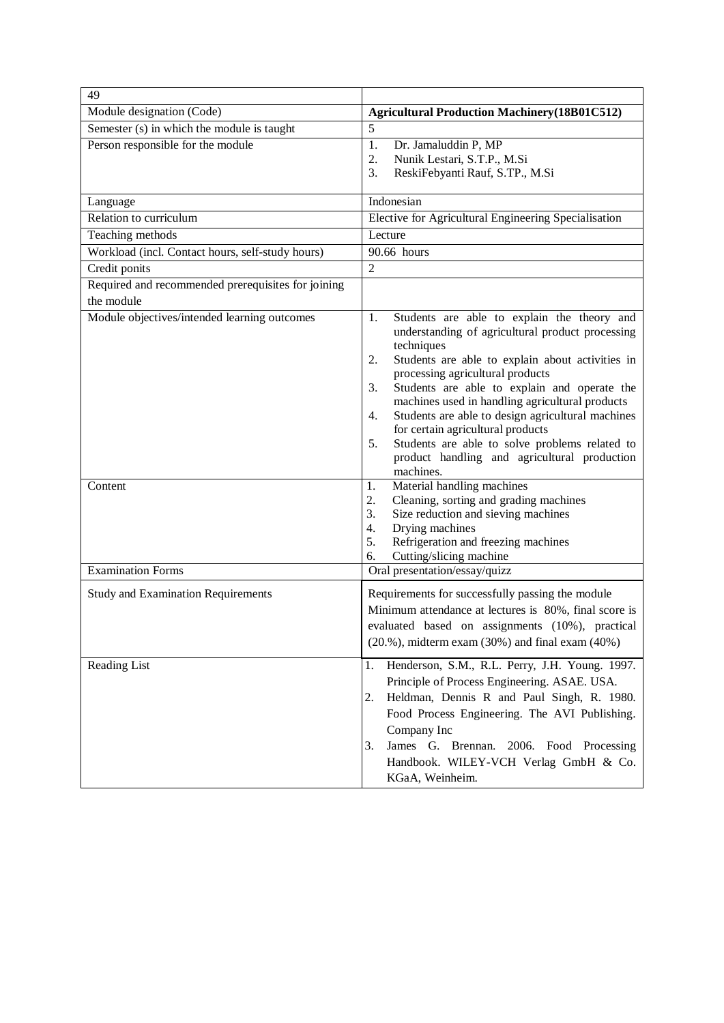| 49                                                 |                                                                                                                                                                                                                                                                                                                                                                                                                                                                                                                                                 |
|----------------------------------------------------|-------------------------------------------------------------------------------------------------------------------------------------------------------------------------------------------------------------------------------------------------------------------------------------------------------------------------------------------------------------------------------------------------------------------------------------------------------------------------------------------------------------------------------------------------|
| Module designation (Code)                          | <b>Agricultural Production Machinery (18B01C512)</b>                                                                                                                                                                                                                                                                                                                                                                                                                                                                                            |
| Semester (s) in which the module is taught         | 5                                                                                                                                                                                                                                                                                                                                                                                                                                                                                                                                               |
| Person responsible for the module                  | 1.<br>Dr. Jamaluddin P, MP<br>2.<br>Nunik Lestari, S.T.P., M.Si<br>ReskiFebyanti Rauf, S.TP., M.Si<br>3.                                                                                                                                                                                                                                                                                                                                                                                                                                        |
| Language                                           | Indonesian                                                                                                                                                                                                                                                                                                                                                                                                                                                                                                                                      |
| Relation to curriculum                             | Elective for Agricultural Engineering Specialisation                                                                                                                                                                                                                                                                                                                                                                                                                                                                                            |
| Teaching methods                                   | Lecture                                                                                                                                                                                                                                                                                                                                                                                                                                                                                                                                         |
| Workload (incl. Contact hours, self-study hours)   | 90.66 hours                                                                                                                                                                                                                                                                                                                                                                                                                                                                                                                                     |
| Credit ponits                                      | $\overline{2}$                                                                                                                                                                                                                                                                                                                                                                                                                                                                                                                                  |
| Required and recommended prerequisites for joining |                                                                                                                                                                                                                                                                                                                                                                                                                                                                                                                                                 |
| the module                                         |                                                                                                                                                                                                                                                                                                                                                                                                                                                                                                                                                 |
| Module objectives/intended learning outcomes       | Students are able to explain the theory and<br>1.<br>understanding of agricultural product processing<br>techniques<br>Students are able to explain about activities in<br>2.<br>processing agricultural products<br>Students are able to explain and operate the<br>3.<br>machines used in handling agricultural products<br>Students are able to design agricultural machines<br>4.<br>for certain agricultural products<br>Students are able to solve problems related to<br>5.<br>product handling and agricultural production<br>machines. |
| Content<br><b>Examination Forms</b>                | Material handling machines<br>1.<br>Cleaning, sorting and grading machines<br>2.<br>Size reduction and sieving machines<br>3.<br>4.<br>Drying machines<br>Refrigeration and freezing machines<br>5.<br>Cutting/slicing machine<br>6.<br>Oral presentation/essay/quizz                                                                                                                                                                                                                                                                           |
| <b>Study and Examination Requirements</b>          | Requirements for successfully passing the module<br>Minimum attendance at lectures is 80%, final score is<br>evaluated based on assignments (10%), practical<br>$(20.%)$ , midterm exam $(30%)$ and final exam $(40%)$                                                                                                                                                                                                                                                                                                                          |
| Reading List                                       | Henderson, S.M., R.L. Perry, J.H. Young. 1997.<br>1.<br>Principle of Process Engineering. ASAE. USA.<br>Heldman, Dennis R and Paul Singh, R. 1980.<br>2.<br>Food Process Engineering. The AVI Publishing.<br>Company Inc<br>James G. Brennan.<br>2006. Food Processing<br>3.<br>Handbook. WILEY-VCH Verlag GmbH & Co.<br>KGaA, Weinheim.                                                                                                                                                                                                        |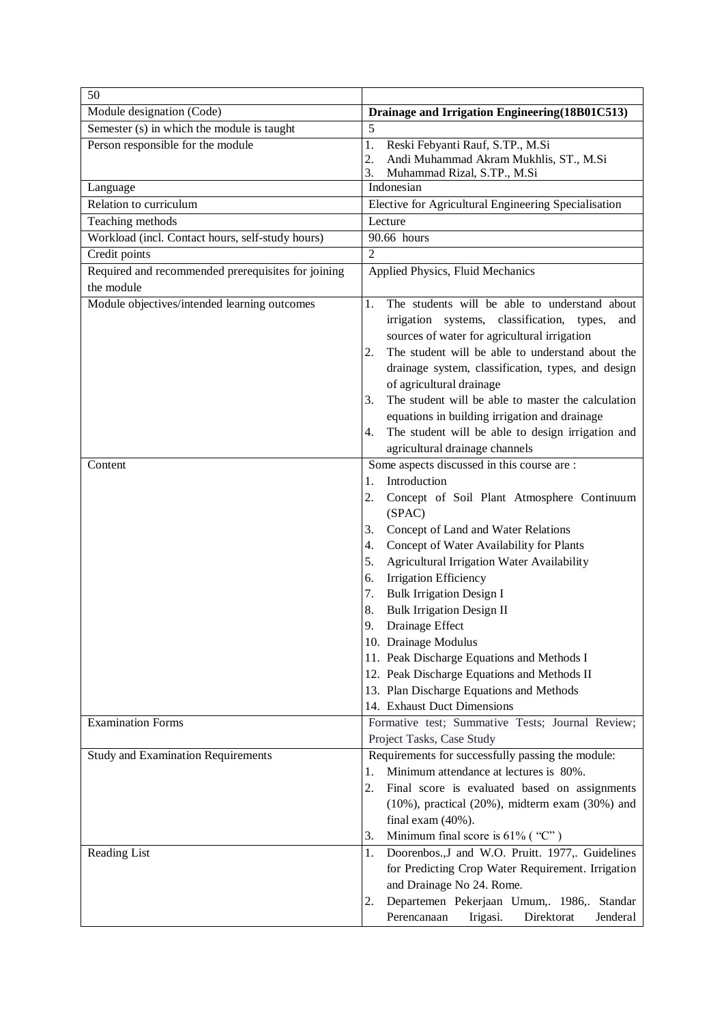| 50                                                                   |                                                                                                  |
|----------------------------------------------------------------------|--------------------------------------------------------------------------------------------------|
| Module designation (Code)                                            | Drainage and Irrigation Engineering (18B01C513)                                                  |
| Semester (s) in which the module is taught                           | 5                                                                                                |
| Person responsible for the module                                    | Reski Febyanti Rauf, S.TP., M.Si<br>1.                                                           |
|                                                                      | Andi Muhammad Akram Mukhlis, ST., M.Si<br>2.                                                     |
|                                                                      | Muhammad Rizal, S.TP., M.Si<br>3.<br>Indonesian                                                  |
| Language<br>Relation to curriculum                                   | Elective for Agricultural Engineering Specialisation                                             |
|                                                                      | Lecture                                                                                          |
| Teaching methods<br>Workload (incl. Contact hours, self-study hours) | 90.66 hours                                                                                      |
|                                                                      | $\overline{2}$                                                                                   |
| Credit points                                                        |                                                                                                  |
| Required and recommended prerequisites for joining<br>the module     | Applied Physics, Fluid Mechanics                                                                 |
|                                                                      |                                                                                                  |
| Module objectives/intended learning outcomes                         | The students will be able to understand about<br>1.                                              |
|                                                                      | irrigation systems, classification,<br>types,<br>and                                             |
|                                                                      | sources of water for agricultural irrigation<br>The student will be able to understand about the |
|                                                                      | 2.                                                                                               |
|                                                                      | drainage system, classification, types, and design<br>of agricultural drainage                   |
|                                                                      | The student will be able to master the calculation<br>3.                                         |
|                                                                      | equations in building irrigation and drainage                                                    |
|                                                                      | The student will be able to design irrigation and<br>4.                                          |
|                                                                      | agricultural drainage channels                                                                   |
| Content                                                              | Some aspects discussed in this course are :                                                      |
|                                                                      | Introduction<br>1.                                                                               |
|                                                                      | 2.<br>Concept of Soil Plant Atmosphere Continuum                                                 |
|                                                                      | (SPAC)                                                                                           |
|                                                                      | Concept of Land and Water Relations<br>3.                                                        |
|                                                                      | Concept of Water Availability for Plants<br>4.                                                   |
|                                                                      | Agricultural Irrigation Water Availability<br>5.                                                 |
|                                                                      | <b>Irrigation Efficiency</b><br>6.                                                               |
|                                                                      | <b>Bulk Irrigation Design I</b><br>7.                                                            |
|                                                                      | <b>Bulk Irrigation Design II</b><br>8.                                                           |
|                                                                      | Drainage Effect<br>9.                                                                            |
|                                                                      | 10. Drainage Modulus                                                                             |
|                                                                      | 11. Peak Discharge Equations and Methods I                                                       |
|                                                                      | 12. Peak Discharge Equations and Methods II                                                      |
|                                                                      | 13. Plan Discharge Equations and Methods                                                         |
|                                                                      | 14. Exhaust Duct Dimensions                                                                      |
| <b>Examination Forms</b>                                             | Formative test; Summative Tests; Journal Review;                                                 |
|                                                                      | Project Tasks, Case Study                                                                        |
| <b>Study and Examination Requirements</b>                            | Requirements for successfully passing the module:                                                |
|                                                                      | Minimum attendance at lectures is 80%.<br>1.                                                     |
|                                                                      | 2.<br>Final score is evaluated based on assignments                                              |
|                                                                      | $(10\%)$ , practical $(20\%)$ , midterm exam $(30\%)$ and                                        |
|                                                                      | final exam $(40\%)$ .                                                                            |
|                                                                      | Minimum final score is $61\%$ ("C")<br>3.                                                        |
| <b>Reading List</b>                                                  | Doorenbos., J and W.O. Pruitt. 1977,. Guidelines<br>1.                                           |
|                                                                      | for Predicting Crop Water Requirement. Irrigation                                                |
|                                                                      | and Drainage No 24. Rome.                                                                        |
|                                                                      | Departemen Pekerjaan Umum,. 1986,. Standar<br>2.                                                 |
|                                                                      | Perencanaan<br>Irigasi.<br>Direktorat<br>Jenderal                                                |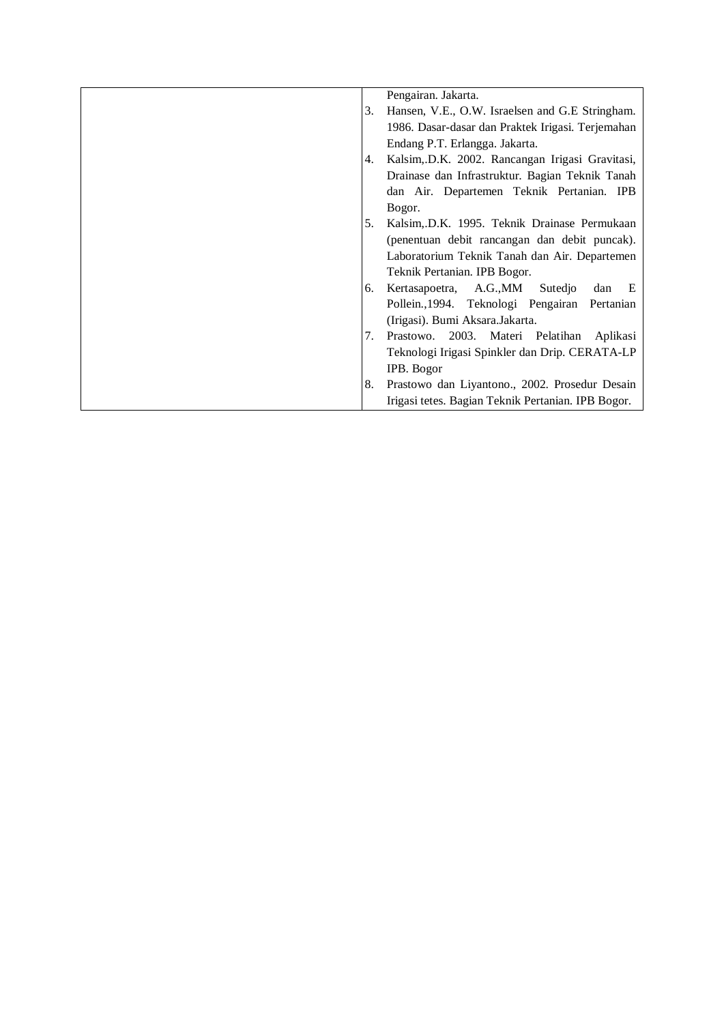|    | Pengairan. Jakarta.                                |
|----|----------------------------------------------------|
| 3. | Hansen, V.E., O.W. Israelsen and G.E Stringham.    |
|    | 1986. Dasar-dasar dan Praktek Irigasi. Terjemahan  |
|    | Endang P.T. Erlangga. Jakarta.                     |
| 4. | Kalsim, D.K. 2002. Rancangan Irigasi Gravitasi,    |
|    | Drainase dan Infrastruktur. Bagian Teknik Tanah    |
|    | dan Air. Departemen Teknik Pertanian. IPB          |
|    | Bogor.                                             |
| 5. | Kalsim, D.K. 1995. Teknik Drainase Permukaan       |
|    | (penentuan debit rancangan dan debit puncak).      |
|    | Laboratorium Teknik Tanah dan Air. Departemen      |
|    | Teknik Pertanian. IPB Bogor.                       |
| 6. | Kertasapoetra, A.G., MM<br>Sutedjo<br>dan<br>E     |
|    | Pollein., 1994. Teknologi Pengairan Pertanian      |
|    | (Irigasi). Bumi Aksara.Jakarta.                    |
| 7. | Prastowo. 2003. Materi Pelatihan Aplikasi          |
|    | Teknologi Irigasi Spinkler dan Drip. CERATA-LP     |
|    | IPB. Bogor                                         |
| 8. | Prastowo dan Liyantono., 2002. Prosedur Desain     |
|    | Irigasi tetes. Bagian Teknik Pertanian. IPB Bogor. |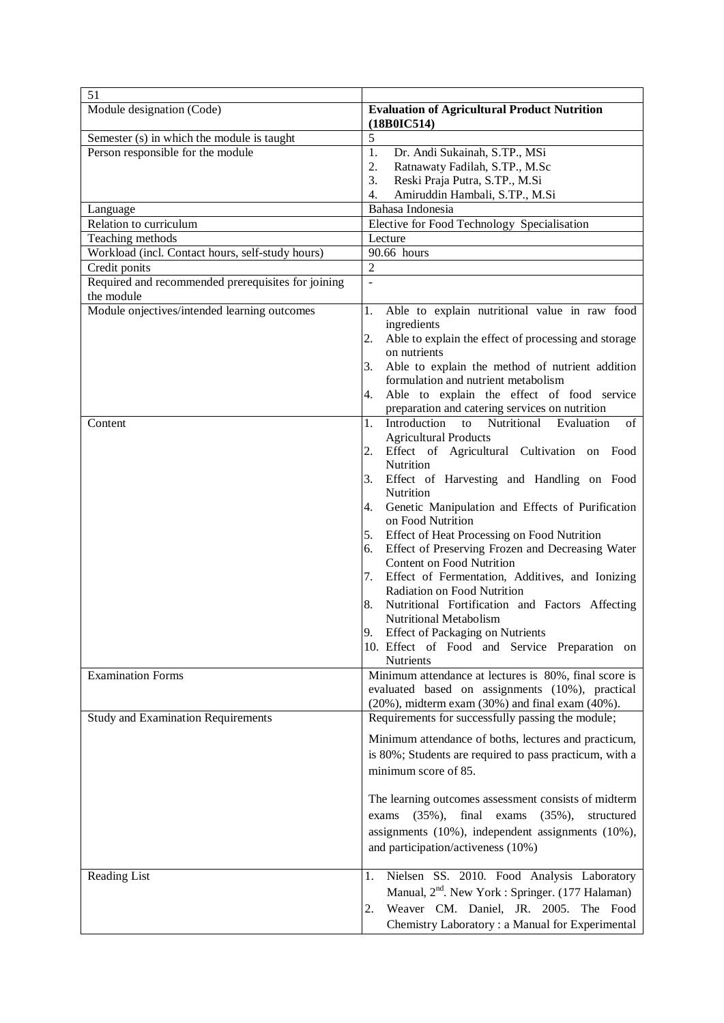| 51                                                               |                                                                                                                                                                                                                                                                                                                                                                                                                                                                                                                                                                                                                                                                                                                                                                                                                                                                                                                                                                                                                                                                                             |
|------------------------------------------------------------------|---------------------------------------------------------------------------------------------------------------------------------------------------------------------------------------------------------------------------------------------------------------------------------------------------------------------------------------------------------------------------------------------------------------------------------------------------------------------------------------------------------------------------------------------------------------------------------------------------------------------------------------------------------------------------------------------------------------------------------------------------------------------------------------------------------------------------------------------------------------------------------------------------------------------------------------------------------------------------------------------------------------------------------------------------------------------------------------------|
| Module designation (Code)                                        | <b>Evaluation of Agricultural Product Nutrition</b><br>(18B0IC514)                                                                                                                                                                                                                                                                                                                                                                                                                                                                                                                                                                                                                                                                                                                                                                                                                                                                                                                                                                                                                          |
| Semester (s) in which the module is taught                       | 5                                                                                                                                                                                                                                                                                                                                                                                                                                                                                                                                                                                                                                                                                                                                                                                                                                                                                                                                                                                                                                                                                           |
| Person responsible for the module                                | 1.<br>Dr. Andi Sukainah, S.TP., MSi<br>2.<br>Ratnawaty Fadilah, S.TP., M.Sc<br>3.<br>Reski Praja Putra, S.TP., M.Si<br>4.<br>Amiruddin Hambali, S.TP., M.Si                                                                                                                                                                                                                                                                                                                                                                                                                                                                                                                                                                                                                                                                                                                                                                                                                                                                                                                                 |
| Language                                                         | Bahasa Indonesia                                                                                                                                                                                                                                                                                                                                                                                                                                                                                                                                                                                                                                                                                                                                                                                                                                                                                                                                                                                                                                                                            |
| Relation to curriculum                                           | Elective for Food Technology Specialisation                                                                                                                                                                                                                                                                                                                                                                                                                                                                                                                                                                                                                                                                                                                                                                                                                                                                                                                                                                                                                                                 |
| Teaching methods                                                 | Lecture                                                                                                                                                                                                                                                                                                                                                                                                                                                                                                                                                                                                                                                                                                                                                                                                                                                                                                                                                                                                                                                                                     |
| Workload (incl. Contact hours, self-study hours)                 | 90.66 hours                                                                                                                                                                                                                                                                                                                                                                                                                                                                                                                                                                                                                                                                                                                                                                                                                                                                                                                                                                                                                                                                                 |
| Credit ponits                                                    | $\overline{2}$                                                                                                                                                                                                                                                                                                                                                                                                                                                                                                                                                                                                                                                                                                                                                                                                                                                                                                                                                                                                                                                                              |
| Required and recommended prerequisites for joining<br>the module | $\overline{a}$                                                                                                                                                                                                                                                                                                                                                                                                                                                                                                                                                                                                                                                                                                                                                                                                                                                                                                                                                                                                                                                                              |
| Module onjectives/intended learning outcomes<br>Content          | Able to explain nutritional value in raw food<br>1.<br>ingredients<br>Able to explain the effect of processing and storage<br>2.<br>on nutrients<br>Able to explain the method of nutrient addition<br>3.<br>formulation and nutrient metabolism<br>Able to explain the effect of food service<br>4.<br>preparation and catering services on nutrition<br>Introduction<br>1.<br>Nutritional Evaluation<br>to<br>of<br><b>Agricultural Products</b><br>Effect of Agricultural Cultivation on Food<br>2.<br>Nutrition<br>Effect of Harvesting and Handling on Food<br>3.<br>Nutrition<br>Genetic Manipulation and Effects of Purification<br>4.<br>on Food Nutrition<br>Effect of Heat Processing on Food Nutrition<br>5.<br>Effect of Preserving Frozen and Decreasing Water<br>6.<br>Content on Food Nutrition<br>Effect of Fermentation, Additives, and Ionizing<br>7.<br>Radiation on Food Nutrition<br>Nutritional Fortification and Factors Affecting<br>8.<br>Nutritional Metabolism<br>9.<br><b>Effect of Packaging on Nutrients</b><br>10. Effect of Food and Service Preparation on |
| <b>Examination Forms</b>                                         | <b>Nutrients</b><br>Minimum attendance at lectures is 80%, final score is<br>evaluated based on assignments (10%), practical                                                                                                                                                                                                                                                                                                                                                                                                                                                                                                                                                                                                                                                                                                                                                                                                                                                                                                                                                                |
|                                                                  | $(20\%)$ , midterm exam $(30\%)$ and final exam $(40\%)$ .                                                                                                                                                                                                                                                                                                                                                                                                                                                                                                                                                                                                                                                                                                                                                                                                                                                                                                                                                                                                                                  |
| <b>Study and Examination Requirements</b>                        | Requirements for successfully passing the module;<br>Minimum attendance of boths, lectures and practicum,<br>is 80%; Students are required to pass practicum, with a<br>minimum score of 85.<br>The learning outcomes assessment consists of midterm<br>exams $(35\%)$ , final exams $(35\%)$ ,<br>structured<br>assignments (10%), independent assignments (10%),<br>and participation/activeness (10%)                                                                                                                                                                                                                                                                                                                                                                                                                                                                                                                                                                                                                                                                                    |
| Reading List                                                     | Nielsen SS. 2010. Food Analysis Laboratory<br>1.<br>Manual, 2 <sup>nd</sup> . New York : Springer. (177 Halaman)<br>Weaver CM. Daniel, JR. 2005. The Food<br>2.<br>Chemistry Laboratory: a Manual for Experimental                                                                                                                                                                                                                                                                                                                                                                                                                                                                                                                                                                                                                                                                                                                                                                                                                                                                          |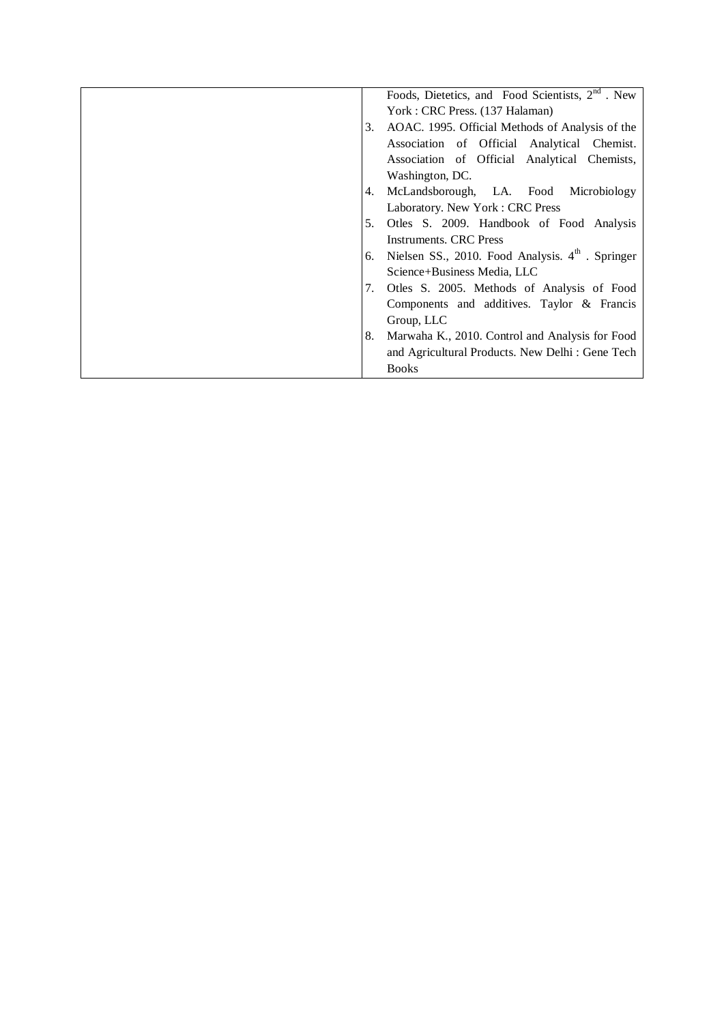|    | Foods, Dietetics, and Food Scientists, $2nd$ . New |
|----|----------------------------------------------------|
|    | York: CRC Press. (137 Halaman)                     |
| 3. | AOAC. 1995. Official Methods of Analysis of the    |
|    | Association of Official Analytical Chemist.        |
|    | Association of Official Analytical Chemists,       |
|    | Washington, DC.                                    |
| 4. | McLandsborough, LA. Food Microbiology              |
|    | Laboratory. New York: CRC Press                    |
| 5. | Otles S. 2009. Handbook of Food Analysis           |
|    | <b>Instruments. CRC Press</b>                      |
| 6. | Nielsen SS., 2010. Food Analysis. $4th$ . Springer |
|    | Science+Business Media, LLC                        |
| 7. | Otles S. 2005. Methods of Analysis of Food         |
|    | Components and additives. Taylor & Francis         |
|    | Group, LLC                                         |
| 8. | Marwaha K., 2010. Control and Analysis for Food    |
|    | and Agricultural Products. New Delhi: Gene Tech    |
|    | <b>Books</b>                                       |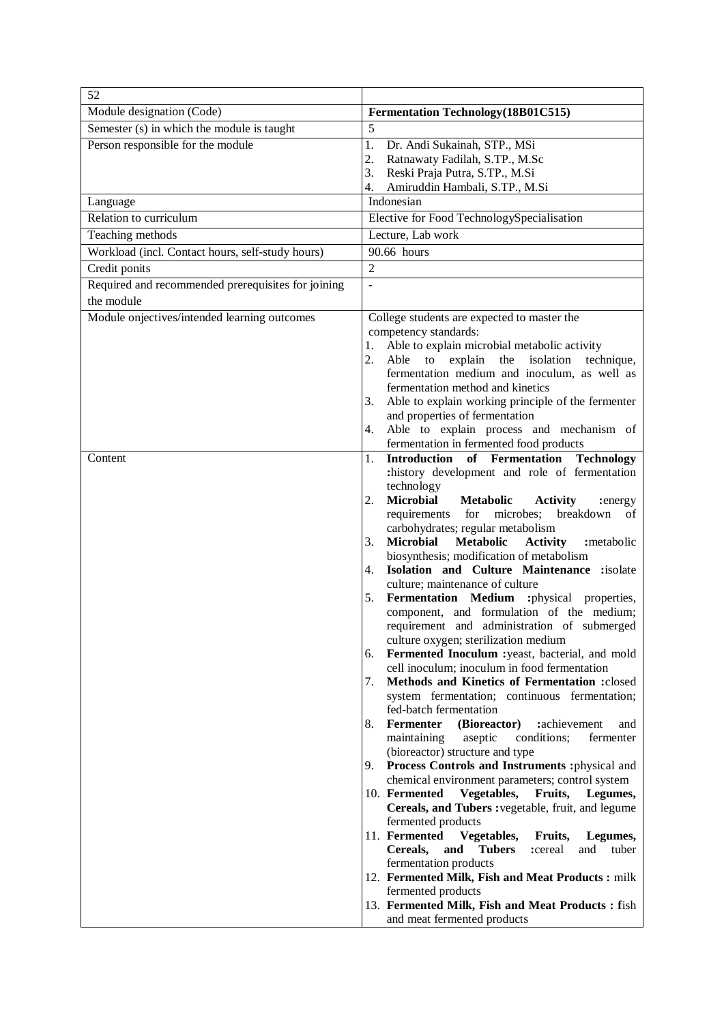| Semester (s) in which the module is taught<br>5<br>Person responsible for the module<br>1.<br>Dr. Andi Sukainah, STP., MSi<br>Ratnawaty Fadilah, S.TP., M.Sc<br>2.<br>3.<br>Reski Praja Putra, S.TP., M.Si<br>4.<br>Amiruddin Hambali, S.TP., M.Si<br>Indonesian<br>Language<br>Relation to curriculum<br>Elective for Food TechnologySpecialisation<br>Lecture, Lab work<br>Teaching methods<br>90.66 hours<br>Workload (incl. Contact hours, self-study hours)<br>$\overline{2}$<br>Credit ponits<br>Required and recommended prerequisites for joining<br>the module<br>Module onjectives/intended learning outcomes<br>College students are expected to master the<br>competency standards:<br>Able to explain microbial metabolic activity<br>1.<br>2.<br>Able to explain the isolation<br>technique,<br>fermentation medium and inoculum, as well as<br>fermentation method and kinetics<br>3.<br>Able to explain working principle of the fermenter<br>and properties of fermentation<br>Able to explain process and mechanism of<br>4.<br>fermentation in fermented food products<br>Introduction of Fermentation<br>Content<br>1.<br><b>Technology</b><br>:history development and role of fermentation<br>technology<br>2.<br><b>Microbial</b><br><b>Metabolic</b><br><b>Activity</b><br>:energy<br>for<br>microbes;<br>breakdown<br>requirements<br>οf<br>carbohydrates; regular metabolism<br><b>Microbial</b><br>Metabolic<br>3.<br><b>Activity</b><br>:metabolic<br>biosynthesis; modification of metabolism<br>Isolation and Culture Maintenance :isolate<br>4.<br>culture; maintenance of culture<br>5.<br>Fermentation Medium :physical properties,<br>component, and formulation of the medium;<br>requirement and administration of submerged<br>culture oxygen; sterilization medium<br>6.<br>Fermented Inoculum : yeast, bacterial, and mold<br>cell inoculum; inoculum in food fermentation<br>7.<br>Methods and Kinetics of Fermentation :closed<br>system fermentation; continuous fermentation;<br>fed-batch fermentation<br>Fermenter<br>(Bioreactor)<br>:achievement<br>8.<br>and<br>maintaining<br>aseptic<br>conditions;<br>fermenter<br>(bioreactor) structure and type<br>9. Process Controls and Instruments : physical and<br>chemical environment parameters; control system<br>10. Fermented<br>Vegetables,<br>Fruits,<br>Legumes,<br>Cereals, and Tubers : vegetable, fruit, and legume<br>fermented products<br>11. Fermented<br>Vegetables,<br>Fruits,<br>Legumes,<br>Cereals,<br>and<br><b>Tubers</b><br>:cereal<br>and<br>tuber<br>fermentation products<br>12. Fermented Milk, Fish and Meat Products : milk<br>fermented products<br>13. Fermented Milk, Fish and Meat Products : fish | 52                        |                                     |
|----------------------------------------------------------------------------------------------------------------------------------------------------------------------------------------------------------------------------------------------------------------------------------------------------------------------------------------------------------------------------------------------------------------------------------------------------------------------------------------------------------------------------------------------------------------------------------------------------------------------------------------------------------------------------------------------------------------------------------------------------------------------------------------------------------------------------------------------------------------------------------------------------------------------------------------------------------------------------------------------------------------------------------------------------------------------------------------------------------------------------------------------------------------------------------------------------------------------------------------------------------------------------------------------------------------------------------------------------------------------------------------------------------------------------------------------------------------------------------------------------------------------------------------------------------------------------------------------------------------------------------------------------------------------------------------------------------------------------------------------------------------------------------------------------------------------------------------------------------------------------------------------------------------------------------------------------------------------------------------------------------------------------------------------------------------------------------------------------------------------------------------------------------------------------------------------------------------------------------------------------------------------------------------------------------------------------------------------------------------------------------------------------------------------------------------------------------------------------------------------------------------------------------------------------------------------------------------------------------------------------------------------------------------------------------------------------------------------------------|---------------------------|-------------------------------------|
|                                                                                                                                                                                                                                                                                                                                                                                                                                                                                                                                                                                                                                                                                                                                                                                                                                                                                                                                                                                                                                                                                                                                                                                                                                                                                                                                                                                                                                                                                                                                                                                                                                                                                                                                                                                                                                                                                                                                                                                                                                                                                                                                                                                                                                                                                                                                                                                                                                                                                                                                                                                                                                                                                                                                  | Module designation (Code) | Fermentation Technology (18B01C515) |
|                                                                                                                                                                                                                                                                                                                                                                                                                                                                                                                                                                                                                                                                                                                                                                                                                                                                                                                                                                                                                                                                                                                                                                                                                                                                                                                                                                                                                                                                                                                                                                                                                                                                                                                                                                                                                                                                                                                                                                                                                                                                                                                                                                                                                                                                                                                                                                                                                                                                                                                                                                                                                                                                                                                                  |                           |                                     |
|                                                                                                                                                                                                                                                                                                                                                                                                                                                                                                                                                                                                                                                                                                                                                                                                                                                                                                                                                                                                                                                                                                                                                                                                                                                                                                                                                                                                                                                                                                                                                                                                                                                                                                                                                                                                                                                                                                                                                                                                                                                                                                                                                                                                                                                                                                                                                                                                                                                                                                                                                                                                                                                                                                                                  |                           |                                     |
|                                                                                                                                                                                                                                                                                                                                                                                                                                                                                                                                                                                                                                                                                                                                                                                                                                                                                                                                                                                                                                                                                                                                                                                                                                                                                                                                                                                                                                                                                                                                                                                                                                                                                                                                                                                                                                                                                                                                                                                                                                                                                                                                                                                                                                                                                                                                                                                                                                                                                                                                                                                                                                                                                                                                  |                           |                                     |
|                                                                                                                                                                                                                                                                                                                                                                                                                                                                                                                                                                                                                                                                                                                                                                                                                                                                                                                                                                                                                                                                                                                                                                                                                                                                                                                                                                                                                                                                                                                                                                                                                                                                                                                                                                                                                                                                                                                                                                                                                                                                                                                                                                                                                                                                                                                                                                                                                                                                                                                                                                                                                                                                                                                                  |                           |                                     |
|                                                                                                                                                                                                                                                                                                                                                                                                                                                                                                                                                                                                                                                                                                                                                                                                                                                                                                                                                                                                                                                                                                                                                                                                                                                                                                                                                                                                                                                                                                                                                                                                                                                                                                                                                                                                                                                                                                                                                                                                                                                                                                                                                                                                                                                                                                                                                                                                                                                                                                                                                                                                                                                                                                                                  |                           |                                     |
|                                                                                                                                                                                                                                                                                                                                                                                                                                                                                                                                                                                                                                                                                                                                                                                                                                                                                                                                                                                                                                                                                                                                                                                                                                                                                                                                                                                                                                                                                                                                                                                                                                                                                                                                                                                                                                                                                                                                                                                                                                                                                                                                                                                                                                                                                                                                                                                                                                                                                                                                                                                                                                                                                                                                  |                           |                                     |
|                                                                                                                                                                                                                                                                                                                                                                                                                                                                                                                                                                                                                                                                                                                                                                                                                                                                                                                                                                                                                                                                                                                                                                                                                                                                                                                                                                                                                                                                                                                                                                                                                                                                                                                                                                                                                                                                                                                                                                                                                                                                                                                                                                                                                                                                                                                                                                                                                                                                                                                                                                                                                                                                                                                                  |                           |                                     |
|                                                                                                                                                                                                                                                                                                                                                                                                                                                                                                                                                                                                                                                                                                                                                                                                                                                                                                                                                                                                                                                                                                                                                                                                                                                                                                                                                                                                                                                                                                                                                                                                                                                                                                                                                                                                                                                                                                                                                                                                                                                                                                                                                                                                                                                                                                                                                                                                                                                                                                                                                                                                                                                                                                                                  |                           |                                     |
|                                                                                                                                                                                                                                                                                                                                                                                                                                                                                                                                                                                                                                                                                                                                                                                                                                                                                                                                                                                                                                                                                                                                                                                                                                                                                                                                                                                                                                                                                                                                                                                                                                                                                                                                                                                                                                                                                                                                                                                                                                                                                                                                                                                                                                                                                                                                                                                                                                                                                                                                                                                                                                                                                                                                  |                           |                                     |
|                                                                                                                                                                                                                                                                                                                                                                                                                                                                                                                                                                                                                                                                                                                                                                                                                                                                                                                                                                                                                                                                                                                                                                                                                                                                                                                                                                                                                                                                                                                                                                                                                                                                                                                                                                                                                                                                                                                                                                                                                                                                                                                                                                                                                                                                                                                                                                                                                                                                                                                                                                                                                                                                                                                                  |                           |                                     |
|                                                                                                                                                                                                                                                                                                                                                                                                                                                                                                                                                                                                                                                                                                                                                                                                                                                                                                                                                                                                                                                                                                                                                                                                                                                                                                                                                                                                                                                                                                                                                                                                                                                                                                                                                                                                                                                                                                                                                                                                                                                                                                                                                                                                                                                                                                                                                                                                                                                                                                                                                                                                                                                                                                                                  |                           |                                     |
|                                                                                                                                                                                                                                                                                                                                                                                                                                                                                                                                                                                                                                                                                                                                                                                                                                                                                                                                                                                                                                                                                                                                                                                                                                                                                                                                                                                                                                                                                                                                                                                                                                                                                                                                                                                                                                                                                                                                                                                                                                                                                                                                                                                                                                                                                                                                                                                                                                                                                                                                                                                                                                                                                                                                  |                           |                                     |
|                                                                                                                                                                                                                                                                                                                                                                                                                                                                                                                                                                                                                                                                                                                                                                                                                                                                                                                                                                                                                                                                                                                                                                                                                                                                                                                                                                                                                                                                                                                                                                                                                                                                                                                                                                                                                                                                                                                                                                                                                                                                                                                                                                                                                                                                                                                                                                                                                                                                                                                                                                                                                                                                                                                                  |                           |                                     |
|                                                                                                                                                                                                                                                                                                                                                                                                                                                                                                                                                                                                                                                                                                                                                                                                                                                                                                                                                                                                                                                                                                                                                                                                                                                                                                                                                                                                                                                                                                                                                                                                                                                                                                                                                                                                                                                                                                                                                                                                                                                                                                                                                                                                                                                                                                                                                                                                                                                                                                                                                                                                                                                                                                                                  |                           |                                     |
|                                                                                                                                                                                                                                                                                                                                                                                                                                                                                                                                                                                                                                                                                                                                                                                                                                                                                                                                                                                                                                                                                                                                                                                                                                                                                                                                                                                                                                                                                                                                                                                                                                                                                                                                                                                                                                                                                                                                                                                                                                                                                                                                                                                                                                                                                                                                                                                                                                                                                                                                                                                                                                                                                                                                  |                           |                                     |
|                                                                                                                                                                                                                                                                                                                                                                                                                                                                                                                                                                                                                                                                                                                                                                                                                                                                                                                                                                                                                                                                                                                                                                                                                                                                                                                                                                                                                                                                                                                                                                                                                                                                                                                                                                                                                                                                                                                                                                                                                                                                                                                                                                                                                                                                                                                                                                                                                                                                                                                                                                                                                                                                                                                                  |                           |                                     |
|                                                                                                                                                                                                                                                                                                                                                                                                                                                                                                                                                                                                                                                                                                                                                                                                                                                                                                                                                                                                                                                                                                                                                                                                                                                                                                                                                                                                                                                                                                                                                                                                                                                                                                                                                                                                                                                                                                                                                                                                                                                                                                                                                                                                                                                                                                                                                                                                                                                                                                                                                                                                                                                                                                                                  |                           |                                     |
|                                                                                                                                                                                                                                                                                                                                                                                                                                                                                                                                                                                                                                                                                                                                                                                                                                                                                                                                                                                                                                                                                                                                                                                                                                                                                                                                                                                                                                                                                                                                                                                                                                                                                                                                                                                                                                                                                                                                                                                                                                                                                                                                                                                                                                                                                                                                                                                                                                                                                                                                                                                                                                                                                                                                  |                           |                                     |
|                                                                                                                                                                                                                                                                                                                                                                                                                                                                                                                                                                                                                                                                                                                                                                                                                                                                                                                                                                                                                                                                                                                                                                                                                                                                                                                                                                                                                                                                                                                                                                                                                                                                                                                                                                                                                                                                                                                                                                                                                                                                                                                                                                                                                                                                                                                                                                                                                                                                                                                                                                                                                                                                                                                                  |                           |                                     |
|                                                                                                                                                                                                                                                                                                                                                                                                                                                                                                                                                                                                                                                                                                                                                                                                                                                                                                                                                                                                                                                                                                                                                                                                                                                                                                                                                                                                                                                                                                                                                                                                                                                                                                                                                                                                                                                                                                                                                                                                                                                                                                                                                                                                                                                                                                                                                                                                                                                                                                                                                                                                                                                                                                                                  |                           |                                     |
|                                                                                                                                                                                                                                                                                                                                                                                                                                                                                                                                                                                                                                                                                                                                                                                                                                                                                                                                                                                                                                                                                                                                                                                                                                                                                                                                                                                                                                                                                                                                                                                                                                                                                                                                                                                                                                                                                                                                                                                                                                                                                                                                                                                                                                                                                                                                                                                                                                                                                                                                                                                                                                                                                                                                  |                           |                                     |
|                                                                                                                                                                                                                                                                                                                                                                                                                                                                                                                                                                                                                                                                                                                                                                                                                                                                                                                                                                                                                                                                                                                                                                                                                                                                                                                                                                                                                                                                                                                                                                                                                                                                                                                                                                                                                                                                                                                                                                                                                                                                                                                                                                                                                                                                                                                                                                                                                                                                                                                                                                                                                                                                                                                                  |                           |                                     |
|                                                                                                                                                                                                                                                                                                                                                                                                                                                                                                                                                                                                                                                                                                                                                                                                                                                                                                                                                                                                                                                                                                                                                                                                                                                                                                                                                                                                                                                                                                                                                                                                                                                                                                                                                                                                                                                                                                                                                                                                                                                                                                                                                                                                                                                                                                                                                                                                                                                                                                                                                                                                                                                                                                                                  |                           |                                     |
|                                                                                                                                                                                                                                                                                                                                                                                                                                                                                                                                                                                                                                                                                                                                                                                                                                                                                                                                                                                                                                                                                                                                                                                                                                                                                                                                                                                                                                                                                                                                                                                                                                                                                                                                                                                                                                                                                                                                                                                                                                                                                                                                                                                                                                                                                                                                                                                                                                                                                                                                                                                                                                                                                                                                  |                           |                                     |
|                                                                                                                                                                                                                                                                                                                                                                                                                                                                                                                                                                                                                                                                                                                                                                                                                                                                                                                                                                                                                                                                                                                                                                                                                                                                                                                                                                                                                                                                                                                                                                                                                                                                                                                                                                                                                                                                                                                                                                                                                                                                                                                                                                                                                                                                                                                                                                                                                                                                                                                                                                                                                                                                                                                                  |                           |                                     |
|                                                                                                                                                                                                                                                                                                                                                                                                                                                                                                                                                                                                                                                                                                                                                                                                                                                                                                                                                                                                                                                                                                                                                                                                                                                                                                                                                                                                                                                                                                                                                                                                                                                                                                                                                                                                                                                                                                                                                                                                                                                                                                                                                                                                                                                                                                                                                                                                                                                                                                                                                                                                                                                                                                                                  |                           |                                     |
|                                                                                                                                                                                                                                                                                                                                                                                                                                                                                                                                                                                                                                                                                                                                                                                                                                                                                                                                                                                                                                                                                                                                                                                                                                                                                                                                                                                                                                                                                                                                                                                                                                                                                                                                                                                                                                                                                                                                                                                                                                                                                                                                                                                                                                                                                                                                                                                                                                                                                                                                                                                                                                                                                                                                  |                           |                                     |
|                                                                                                                                                                                                                                                                                                                                                                                                                                                                                                                                                                                                                                                                                                                                                                                                                                                                                                                                                                                                                                                                                                                                                                                                                                                                                                                                                                                                                                                                                                                                                                                                                                                                                                                                                                                                                                                                                                                                                                                                                                                                                                                                                                                                                                                                                                                                                                                                                                                                                                                                                                                                                                                                                                                                  |                           |                                     |
|                                                                                                                                                                                                                                                                                                                                                                                                                                                                                                                                                                                                                                                                                                                                                                                                                                                                                                                                                                                                                                                                                                                                                                                                                                                                                                                                                                                                                                                                                                                                                                                                                                                                                                                                                                                                                                                                                                                                                                                                                                                                                                                                                                                                                                                                                                                                                                                                                                                                                                                                                                                                                                                                                                                                  |                           |                                     |
|                                                                                                                                                                                                                                                                                                                                                                                                                                                                                                                                                                                                                                                                                                                                                                                                                                                                                                                                                                                                                                                                                                                                                                                                                                                                                                                                                                                                                                                                                                                                                                                                                                                                                                                                                                                                                                                                                                                                                                                                                                                                                                                                                                                                                                                                                                                                                                                                                                                                                                                                                                                                                                                                                                                                  |                           |                                     |
|                                                                                                                                                                                                                                                                                                                                                                                                                                                                                                                                                                                                                                                                                                                                                                                                                                                                                                                                                                                                                                                                                                                                                                                                                                                                                                                                                                                                                                                                                                                                                                                                                                                                                                                                                                                                                                                                                                                                                                                                                                                                                                                                                                                                                                                                                                                                                                                                                                                                                                                                                                                                                                                                                                                                  |                           |                                     |
|                                                                                                                                                                                                                                                                                                                                                                                                                                                                                                                                                                                                                                                                                                                                                                                                                                                                                                                                                                                                                                                                                                                                                                                                                                                                                                                                                                                                                                                                                                                                                                                                                                                                                                                                                                                                                                                                                                                                                                                                                                                                                                                                                                                                                                                                                                                                                                                                                                                                                                                                                                                                                                                                                                                                  |                           |                                     |
|                                                                                                                                                                                                                                                                                                                                                                                                                                                                                                                                                                                                                                                                                                                                                                                                                                                                                                                                                                                                                                                                                                                                                                                                                                                                                                                                                                                                                                                                                                                                                                                                                                                                                                                                                                                                                                                                                                                                                                                                                                                                                                                                                                                                                                                                                                                                                                                                                                                                                                                                                                                                                                                                                                                                  |                           |                                     |
|                                                                                                                                                                                                                                                                                                                                                                                                                                                                                                                                                                                                                                                                                                                                                                                                                                                                                                                                                                                                                                                                                                                                                                                                                                                                                                                                                                                                                                                                                                                                                                                                                                                                                                                                                                                                                                                                                                                                                                                                                                                                                                                                                                                                                                                                                                                                                                                                                                                                                                                                                                                                                                                                                                                                  |                           |                                     |
|                                                                                                                                                                                                                                                                                                                                                                                                                                                                                                                                                                                                                                                                                                                                                                                                                                                                                                                                                                                                                                                                                                                                                                                                                                                                                                                                                                                                                                                                                                                                                                                                                                                                                                                                                                                                                                                                                                                                                                                                                                                                                                                                                                                                                                                                                                                                                                                                                                                                                                                                                                                                                                                                                                                                  |                           |                                     |
|                                                                                                                                                                                                                                                                                                                                                                                                                                                                                                                                                                                                                                                                                                                                                                                                                                                                                                                                                                                                                                                                                                                                                                                                                                                                                                                                                                                                                                                                                                                                                                                                                                                                                                                                                                                                                                                                                                                                                                                                                                                                                                                                                                                                                                                                                                                                                                                                                                                                                                                                                                                                                                                                                                                                  |                           |                                     |
|                                                                                                                                                                                                                                                                                                                                                                                                                                                                                                                                                                                                                                                                                                                                                                                                                                                                                                                                                                                                                                                                                                                                                                                                                                                                                                                                                                                                                                                                                                                                                                                                                                                                                                                                                                                                                                                                                                                                                                                                                                                                                                                                                                                                                                                                                                                                                                                                                                                                                                                                                                                                                                                                                                                                  |                           |                                     |
|                                                                                                                                                                                                                                                                                                                                                                                                                                                                                                                                                                                                                                                                                                                                                                                                                                                                                                                                                                                                                                                                                                                                                                                                                                                                                                                                                                                                                                                                                                                                                                                                                                                                                                                                                                                                                                                                                                                                                                                                                                                                                                                                                                                                                                                                                                                                                                                                                                                                                                                                                                                                                                                                                                                                  |                           |                                     |
|                                                                                                                                                                                                                                                                                                                                                                                                                                                                                                                                                                                                                                                                                                                                                                                                                                                                                                                                                                                                                                                                                                                                                                                                                                                                                                                                                                                                                                                                                                                                                                                                                                                                                                                                                                                                                                                                                                                                                                                                                                                                                                                                                                                                                                                                                                                                                                                                                                                                                                                                                                                                                                                                                                                                  |                           |                                     |
|                                                                                                                                                                                                                                                                                                                                                                                                                                                                                                                                                                                                                                                                                                                                                                                                                                                                                                                                                                                                                                                                                                                                                                                                                                                                                                                                                                                                                                                                                                                                                                                                                                                                                                                                                                                                                                                                                                                                                                                                                                                                                                                                                                                                                                                                                                                                                                                                                                                                                                                                                                                                                                                                                                                                  |                           |                                     |
|                                                                                                                                                                                                                                                                                                                                                                                                                                                                                                                                                                                                                                                                                                                                                                                                                                                                                                                                                                                                                                                                                                                                                                                                                                                                                                                                                                                                                                                                                                                                                                                                                                                                                                                                                                                                                                                                                                                                                                                                                                                                                                                                                                                                                                                                                                                                                                                                                                                                                                                                                                                                                                                                                                                                  |                           |                                     |
|                                                                                                                                                                                                                                                                                                                                                                                                                                                                                                                                                                                                                                                                                                                                                                                                                                                                                                                                                                                                                                                                                                                                                                                                                                                                                                                                                                                                                                                                                                                                                                                                                                                                                                                                                                                                                                                                                                                                                                                                                                                                                                                                                                                                                                                                                                                                                                                                                                                                                                                                                                                                                                                                                                                                  |                           |                                     |
|                                                                                                                                                                                                                                                                                                                                                                                                                                                                                                                                                                                                                                                                                                                                                                                                                                                                                                                                                                                                                                                                                                                                                                                                                                                                                                                                                                                                                                                                                                                                                                                                                                                                                                                                                                                                                                                                                                                                                                                                                                                                                                                                                                                                                                                                                                                                                                                                                                                                                                                                                                                                                                                                                                                                  |                           |                                     |
|                                                                                                                                                                                                                                                                                                                                                                                                                                                                                                                                                                                                                                                                                                                                                                                                                                                                                                                                                                                                                                                                                                                                                                                                                                                                                                                                                                                                                                                                                                                                                                                                                                                                                                                                                                                                                                                                                                                                                                                                                                                                                                                                                                                                                                                                                                                                                                                                                                                                                                                                                                                                                                                                                                                                  |                           |                                     |
|                                                                                                                                                                                                                                                                                                                                                                                                                                                                                                                                                                                                                                                                                                                                                                                                                                                                                                                                                                                                                                                                                                                                                                                                                                                                                                                                                                                                                                                                                                                                                                                                                                                                                                                                                                                                                                                                                                                                                                                                                                                                                                                                                                                                                                                                                                                                                                                                                                                                                                                                                                                                                                                                                                                                  |                           |                                     |
|                                                                                                                                                                                                                                                                                                                                                                                                                                                                                                                                                                                                                                                                                                                                                                                                                                                                                                                                                                                                                                                                                                                                                                                                                                                                                                                                                                                                                                                                                                                                                                                                                                                                                                                                                                                                                                                                                                                                                                                                                                                                                                                                                                                                                                                                                                                                                                                                                                                                                                                                                                                                                                                                                                                                  |                           |                                     |
|                                                                                                                                                                                                                                                                                                                                                                                                                                                                                                                                                                                                                                                                                                                                                                                                                                                                                                                                                                                                                                                                                                                                                                                                                                                                                                                                                                                                                                                                                                                                                                                                                                                                                                                                                                                                                                                                                                                                                                                                                                                                                                                                                                                                                                                                                                                                                                                                                                                                                                                                                                                                                                                                                                                                  |                           |                                     |
|                                                                                                                                                                                                                                                                                                                                                                                                                                                                                                                                                                                                                                                                                                                                                                                                                                                                                                                                                                                                                                                                                                                                                                                                                                                                                                                                                                                                                                                                                                                                                                                                                                                                                                                                                                                                                                                                                                                                                                                                                                                                                                                                                                                                                                                                                                                                                                                                                                                                                                                                                                                                                                                                                                                                  |                           |                                     |
|                                                                                                                                                                                                                                                                                                                                                                                                                                                                                                                                                                                                                                                                                                                                                                                                                                                                                                                                                                                                                                                                                                                                                                                                                                                                                                                                                                                                                                                                                                                                                                                                                                                                                                                                                                                                                                                                                                                                                                                                                                                                                                                                                                                                                                                                                                                                                                                                                                                                                                                                                                                                                                                                                                                                  |                           | and meat fermented products         |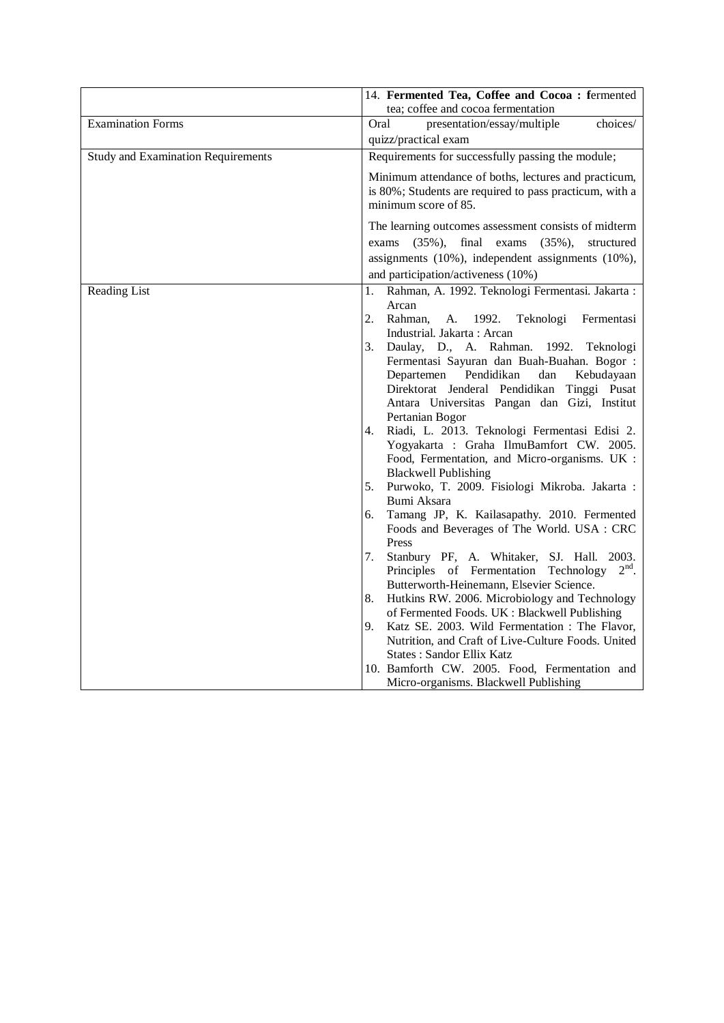|                                           | 14. Fermented Tea, Coffee and Cocoa: fermented                                                  |
|-------------------------------------------|-------------------------------------------------------------------------------------------------|
|                                           | tea; coffee and cocoa fermentation                                                              |
| <b>Examination Forms</b>                  | presentation/essay/multiple<br>Oral<br>choices/                                                 |
|                                           | quizz/practical exam                                                                            |
| <b>Study and Examination Requirements</b> | Requirements for successfully passing the module;                                               |
|                                           | Minimum attendance of boths, lectures and practicum,                                            |
|                                           | is 80%; Students are required to pass practicum, with a                                         |
|                                           | minimum score of 85.                                                                            |
|                                           | The learning outcomes assessment consists of midterm                                            |
|                                           | final exams<br>$(35\%)$ ,<br>$(35\%),$<br>structured<br>exams                                   |
|                                           | assignments (10%), independent assignments (10%),                                               |
|                                           | and participation/activeness (10%)                                                              |
| Reading List                              | Rahman, A. 1992. Teknologi Fermentasi. Jakarta:<br>1.                                           |
|                                           | Arcan                                                                                           |
|                                           | 2.<br>Rahman,<br>1992.<br>Teknologi<br>Fermentasi<br>A.                                         |
|                                           | Industrial. Jakarta: Arcan                                                                      |
|                                           | Daulay, D., A. Rahman. 1992. Teknologi<br>3.                                                    |
|                                           | Fermentasi Sayuran dan Buah-Buahan. Bogor:                                                      |
|                                           | Pendidikan<br>Departemen<br>dan<br>Kebudayaan                                                   |
|                                           | Direktorat Jenderal Pendidikan Tinggi Pusat                                                     |
|                                           | Antara Universitas Pangan dan Gizi, Institut                                                    |
|                                           | Pertanian Bogor                                                                                 |
|                                           | Riadi, L. 2013. Teknologi Fermentasi Edisi 2.<br>4.<br>Yogyakarta : Graha IlmuBamfort CW. 2005. |
|                                           | Food, Fermentation, and Micro-organisms. UK :                                                   |
|                                           | <b>Blackwell Publishing</b>                                                                     |
|                                           | Purwoko, T. 2009. Fisiologi Mikroba. Jakarta :<br>5.                                            |
|                                           | Bumi Aksara                                                                                     |
|                                           | Tamang JP, K. Kailasapathy. 2010. Fermented<br>6.                                               |
|                                           | Foods and Beverages of The World. USA : CRC                                                     |
|                                           | Press                                                                                           |
|                                           | Stanbury PF, A. Whitaker, SJ. Hall. 2003.<br>7.                                                 |
|                                           | Principles of Fermentation Technology $2nd$ .                                                   |
|                                           | Butterworth-Heinemann, Elsevier Science.                                                        |
|                                           | Hutkins RW. 2006. Microbiology and Technology<br>8.                                             |
|                                           | of Fermented Foods. UK : Blackwell Publishing                                                   |
|                                           | Katz SE. 2003. Wild Fermentation: The Flavor,<br>9.                                             |
|                                           | Nutrition, and Craft of Live-Culture Foods. United                                              |
|                                           | <b>States: Sandor Ellix Katz</b>                                                                |
|                                           | 10. Bamforth CW. 2005. Food, Fermentation and                                                   |
|                                           | Micro-organisms. Blackwell Publishing                                                           |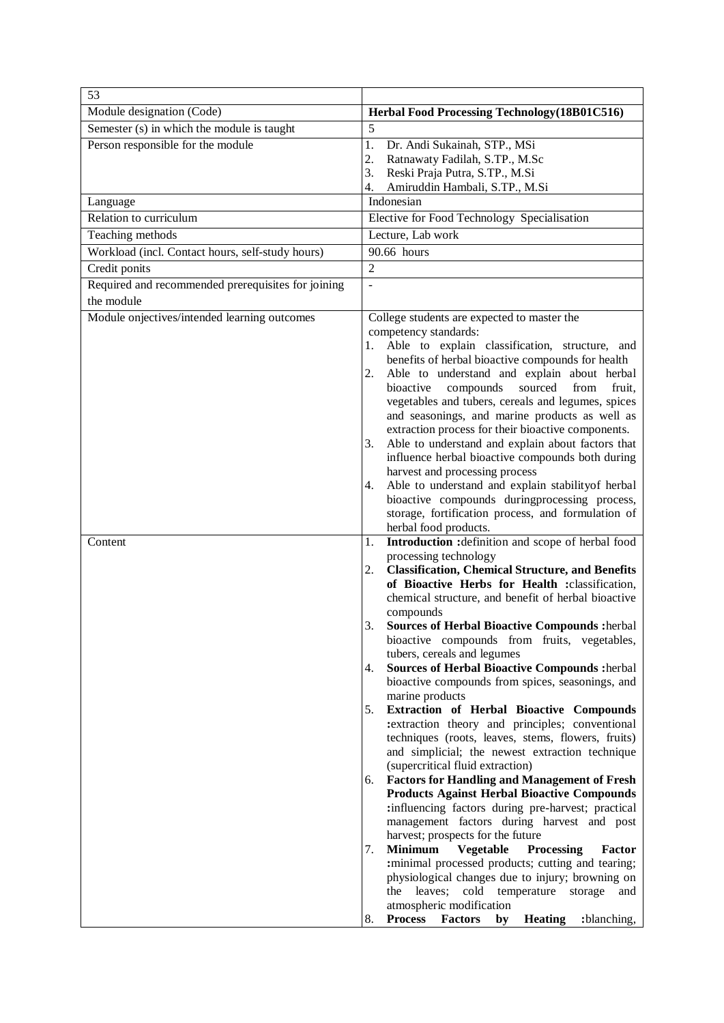| 53                                                 |                                                                                                             |
|----------------------------------------------------|-------------------------------------------------------------------------------------------------------------|
| Module designation (Code)                          | Herbal Food Processing Technology (18B01C516)                                                               |
| Semester (s) in which the module is taught         | 5                                                                                                           |
| Person responsible for the module                  | 1.<br>Dr. Andi Sukainah, STP., MSi                                                                          |
|                                                    | Ratnawaty Fadilah, S.TP., M.Sc<br>2.<br>3.<br>Reski Praja Putra, S.TP., M.Si                                |
|                                                    | 4.<br>Amiruddin Hambali, S.TP., M.Si                                                                        |
| Language                                           | Indonesian                                                                                                  |
| Relation to curriculum                             | Elective for Food Technology Specialisation                                                                 |
| Teaching methods                                   | Lecture, Lab work                                                                                           |
| Workload (incl. Contact hours, self-study hours)   | 90.66 hours                                                                                                 |
| Credit ponits                                      | $\overline{2}$                                                                                              |
| Required and recommended prerequisites for joining | $\overline{\phantom{a}}$                                                                                    |
| the module                                         |                                                                                                             |
| Module onjectives/intended learning outcomes       | College students are expected to master the<br>competency standards:                                        |
|                                                    | Able to explain classification, structure, and<br>1.                                                        |
|                                                    | benefits of herbal bioactive compounds for health                                                           |
|                                                    | Able to understand and explain about herbal<br>2.<br>bioactive compounds<br>sourced<br>from<br>fruit.       |
|                                                    | vegetables and tubers, cereals and legumes, spices                                                          |
|                                                    | and seasonings, and marine products as well as                                                              |
|                                                    | extraction process for their bioactive components.                                                          |
|                                                    | Able to understand and explain about factors that<br>3.<br>influence herbal bioactive compounds both during |
|                                                    | harvest and processing process                                                                              |
|                                                    | Able to understand and explain stabilityof herbal<br>4.                                                     |
|                                                    | bioactive compounds duringprocessing process,                                                               |
|                                                    | storage, fortification process, and formulation of                                                          |
| Content                                            | herbal food products.<br>Introduction : definition and scope of herbal food<br>1.                           |
|                                                    | processing technology                                                                                       |
|                                                    | <b>Classification, Chemical Structure, and Benefits</b><br>2.                                               |
|                                                    | of Bioactive Herbs for Health :classification,                                                              |
|                                                    | chemical structure, and benefit of herbal bioactive<br>compounds                                            |
|                                                    | 3.<br><b>Sources of Herbal Bioactive Compounds : herbal</b>                                                 |
|                                                    | bioactive compounds from fruits, vegetables,                                                                |
|                                                    | tubers, cereals and legumes                                                                                 |
|                                                    | <b>Sources of Herbal Bioactive Compounds : herbal</b><br>4.                                                 |
|                                                    | bioactive compounds from spices, seasonings, and<br>marine products                                         |
|                                                    | Extraction of Herbal Bioactive Compounds<br>5.                                                              |
|                                                    | :extraction theory and principles; conventional                                                             |
|                                                    | techniques (roots, leaves, stems, flowers, fruits)                                                          |
|                                                    | and simplicial; the newest extraction technique<br>(supercritical fluid extraction)                         |
|                                                    | <b>Factors for Handling and Management of Fresh</b><br>6.                                                   |
|                                                    | <b>Products Against Herbal Bioactive Compounds</b>                                                          |
|                                                    | :influencing factors during pre-harvest; practical                                                          |
|                                                    | management factors during harvest and post<br>harvest; prospects for the future                             |
|                                                    | <b>Minimum</b><br><b>Vegetable</b><br>Processing<br>7.<br>Factor                                            |
|                                                    | :minimal processed products; cutting and tearing;                                                           |
|                                                    | physiological changes due to injury; browning on                                                            |
|                                                    | the leaves; cold temperature storage<br>and                                                                 |
|                                                    | atmospheric modification<br><b>Process</b><br><b>Factors</b><br><b>Heating</b><br>8.<br>:blanching,<br>by   |
|                                                    |                                                                                                             |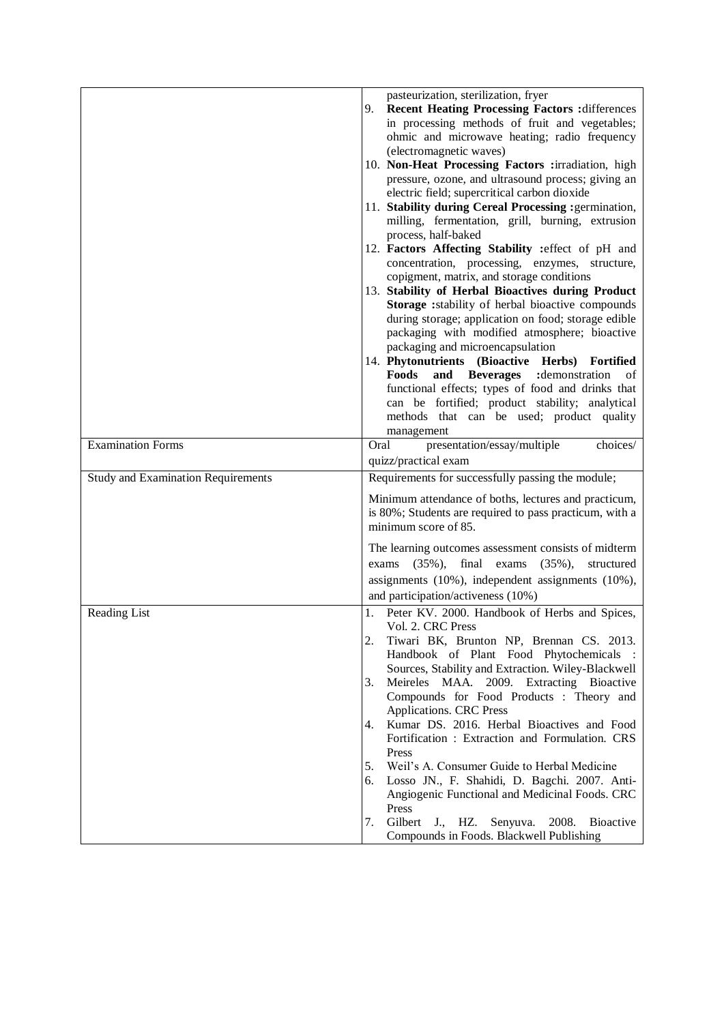|                                           | pasteurization, sterilization, fryer                                                        |
|-------------------------------------------|---------------------------------------------------------------------------------------------|
|                                           | <b>Recent Heating Processing Factors : differences</b><br>9.                                |
|                                           | in processing methods of fruit and vegetables;                                              |
|                                           | ohmic and microwave heating; radio frequency                                                |
|                                           | (electromagnetic waves)                                                                     |
|                                           | 10. Non-Heat Processing Factors :irradiation, high                                          |
|                                           | pressure, ozone, and ultrasound process; giving an                                          |
|                                           | electric field; supercritical carbon dioxide                                                |
|                                           | 11. Stability during Cereal Processing : germination,                                       |
|                                           | milling, fermentation, grill, burning, extrusion                                            |
|                                           | process, half-baked                                                                         |
|                                           | 12. Factors Affecting Stability : effect of pH and                                          |
|                                           | concentration, processing, enzymes, structure,<br>copigment, matrix, and storage conditions |
|                                           | 13. Stability of Herbal Bioactives during Product                                           |
|                                           | Storage : stability of herbal bioactive compounds                                           |
|                                           | during storage; application on food; storage edible                                         |
|                                           | packaging with modified atmosphere; bioactive                                               |
|                                           | packaging and microencapsulation                                                            |
|                                           | 14. Phytonutrients (Bioactive Herbs) Fortified                                              |
|                                           | and<br><b>Beverages</b><br>:demonstration<br>Foods<br>of                                    |
|                                           | functional effects; types of food and drinks that                                           |
|                                           | can be fortified; product stability; analytical                                             |
|                                           | methods that can be used; product quality                                                   |
|                                           | management                                                                                  |
| <b>Examination Forms</b>                  | Oral<br>presentation/essay/multiple<br>choices/                                             |
|                                           | quizz/practical exam                                                                        |
| <b>Study</b> and Examination Requirements | Requirements for successfully passing the module;                                           |
|                                           |                                                                                             |
|                                           | Minimum attendance of boths, lectures and practicum,                                        |
|                                           | is 80%; Students are required to pass practicum, with a                                     |
|                                           | minimum score of 85.                                                                        |
|                                           | The learning outcomes assessment consists of midterm                                        |
|                                           | $(35\%)$ ,<br>final<br>exams<br>$(35\%),$<br>structured<br>exams                            |
|                                           | assignments (10%), independent assignments (10%),                                           |
|                                           | and participation/activeness (10%)                                                          |
|                                           |                                                                                             |
| Reading List                              | Peter KV. 2000. Handbook of Herbs and Spices,<br>1.<br>Vol. 2. CRC Press                    |
|                                           | 2.<br>Tiwari BK, Brunton NP, Brennan CS. 2013.                                              |
|                                           | Handbook of Plant Food Phytochemicals                                                       |
|                                           | Sources, Stability and Extraction. Wiley-Blackwell                                          |
|                                           | Meireles MAA. 2009. Extracting Bioactive<br>3.                                              |
|                                           | Compounds for Food Products : Theory and                                                    |
|                                           | Applications. CRC Press                                                                     |
|                                           | Kumar DS. 2016. Herbal Bioactives and Food<br>4.                                            |
|                                           | Fortification: Extraction and Formulation. CRS                                              |
|                                           | Press                                                                                       |
|                                           | Weil's A. Consumer Guide to Herbal Medicine<br>5.                                           |
|                                           | Losso JN., F. Shahidi, D. Bagchi. 2007. Anti-<br>6.                                         |
|                                           | Angiogenic Functional and Medicinal Foods. CRC                                              |
|                                           | Press                                                                                       |
|                                           |                                                                                             |
|                                           | Gilbert<br>2008.<br>7.<br>$J_{\cdot}$ , HZ.<br>Senyuva.<br><b>B</b> ioactive                |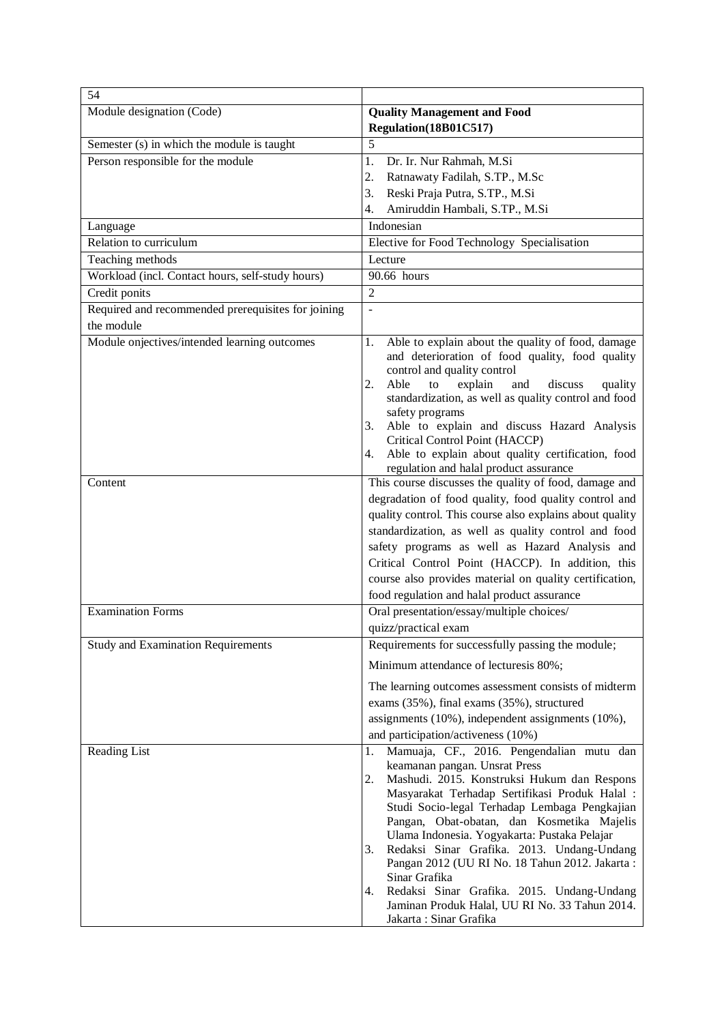| 54                                                 |                                                                                                                                                                                                                                                                                                                                                                                                                                                                                                                                                                                               |  |
|----------------------------------------------------|-----------------------------------------------------------------------------------------------------------------------------------------------------------------------------------------------------------------------------------------------------------------------------------------------------------------------------------------------------------------------------------------------------------------------------------------------------------------------------------------------------------------------------------------------------------------------------------------------|--|
| Module designation (Code)                          | <b>Quality Management and Food</b>                                                                                                                                                                                                                                                                                                                                                                                                                                                                                                                                                            |  |
|                                                    | Regulation(18B01C517)                                                                                                                                                                                                                                                                                                                                                                                                                                                                                                                                                                         |  |
| Semester (s) in which the module is taught         | 5                                                                                                                                                                                                                                                                                                                                                                                                                                                                                                                                                                                             |  |
| Person responsible for the module                  | 1.<br>Dr. Ir. Nur Rahmah, M.Si                                                                                                                                                                                                                                                                                                                                                                                                                                                                                                                                                                |  |
|                                                    | 2.<br>Ratnawaty Fadilah, S.TP., M.Sc                                                                                                                                                                                                                                                                                                                                                                                                                                                                                                                                                          |  |
|                                                    | 3.<br>Reski Praja Putra, S.TP., M.Si                                                                                                                                                                                                                                                                                                                                                                                                                                                                                                                                                          |  |
|                                                    | Amiruddin Hambali, S.TP., M.Si<br>4.                                                                                                                                                                                                                                                                                                                                                                                                                                                                                                                                                          |  |
| Language                                           | Indonesian                                                                                                                                                                                                                                                                                                                                                                                                                                                                                                                                                                                    |  |
| Relation to curriculum                             | Elective for Food Technology Specialisation                                                                                                                                                                                                                                                                                                                                                                                                                                                                                                                                                   |  |
| Teaching methods                                   | Lecture                                                                                                                                                                                                                                                                                                                                                                                                                                                                                                                                                                                       |  |
| Workload (incl. Contact hours, self-study hours)   | 90.66 hours                                                                                                                                                                                                                                                                                                                                                                                                                                                                                                                                                                                   |  |
| Credit ponits                                      | $\overline{2}$                                                                                                                                                                                                                                                                                                                                                                                                                                                                                                                                                                                |  |
| Required and recommended prerequisites for joining | $\overline{a}$                                                                                                                                                                                                                                                                                                                                                                                                                                                                                                                                                                                |  |
| the module                                         |                                                                                                                                                                                                                                                                                                                                                                                                                                                                                                                                                                                               |  |
| Module onjectives/intended learning outcomes       | Able to explain about the quality of food, damage<br>1.<br>and deterioration of food quality, food quality<br>control and quality control<br>2.<br>discuss<br>Able<br>explain<br>and<br>to<br>quality<br>standardization, as well as quality control and food<br>safety programs<br>Able to explain and discuss Hazard Analysis<br>3.<br>Critical Control Point (HACCP)<br>Able to explain about quality certification, food<br>4.                                                                                                                                                            |  |
| Content                                            | regulation and halal product assurance<br>This course discusses the quality of food, damage and                                                                                                                                                                                                                                                                                                                                                                                                                                                                                               |  |
|                                                    | degradation of food quality, food quality control and<br>quality control. This course also explains about quality<br>standardization, as well as quality control and food<br>safety programs as well as Hazard Analysis and<br>Critical Control Point (HACCP). In addition, this<br>course also provides material on quality certification,<br>food regulation and halal product assurance                                                                                                                                                                                                    |  |
| <b>Examination Forms</b>                           | Oral presentation/essay/multiple choices/                                                                                                                                                                                                                                                                                                                                                                                                                                                                                                                                                     |  |
|                                                    | quizz/practical exam                                                                                                                                                                                                                                                                                                                                                                                                                                                                                                                                                                          |  |
| <b>Study and Examination Requirements</b>          | Requirements for successfully passing the module;                                                                                                                                                                                                                                                                                                                                                                                                                                                                                                                                             |  |
|                                                    | Minimum attendance of lecturesis 80%;                                                                                                                                                                                                                                                                                                                                                                                                                                                                                                                                                         |  |
|                                                    | The learning outcomes assessment consists of midterm<br>exams (35%), final exams (35%), structured<br>assignments (10%), independent assignments (10%),<br>and participation/activeness (10%)                                                                                                                                                                                                                                                                                                                                                                                                 |  |
| Reading List                                       | Mamuaja, CF., 2016. Pengendalian mutu dan<br>1.<br>keamanan pangan. Unsrat Press<br>Mashudi. 2015. Konstruksi Hukum dan Respons<br>2.<br>Masyarakat Terhadap Sertifikasi Produk Halal :<br>Studi Socio-legal Terhadap Lembaga Pengkajian<br>Pangan, Obat-obatan, dan Kosmetika Majelis<br>Ulama Indonesia. Yogyakarta: Pustaka Pelajar<br>Redaksi Sinar Grafika. 2013. Undang-Undang<br>3.<br>Pangan 2012 (UU RI No. 18 Tahun 2012. Jakarta:<br>Sinar Grafika<br>Redaksi Sinar Grafika. 2015. Undang-Undang<br>4.<br>Jaminan Produk Halal, UU RI No. 33 Tahun 2014.<br>Jakarta: Sinar Grafika |  |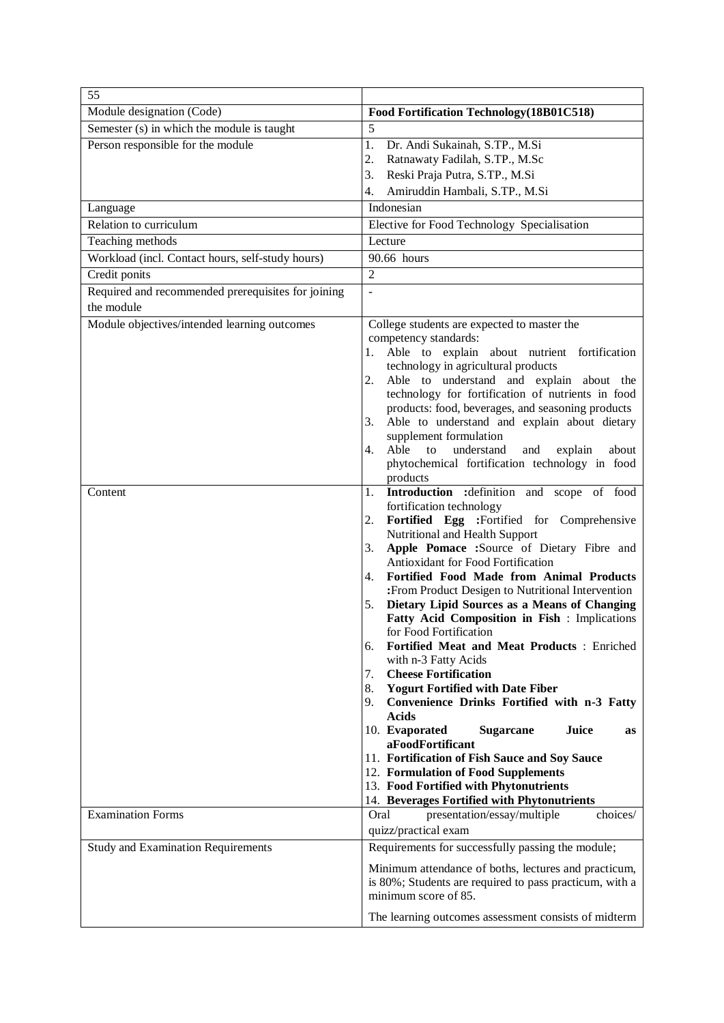| 55                                                 |                                                                                                         |
|----------------------------------------------------|---------------------------------------------------------------------------------------------------------|
| Module designation (Code)                          | Food Fortification Technology (18B01C518)                                                               |
| Semester (s) in which the module is taught         | 5                                                                                                       |
| Person responsible for the module                  | 1.<br>Dr. Andi Sukainah, S.TP., M.Si                                                                    |
|                                                    | 2.<br>Ratnawaty Fadilah, S.TP., M.Sc                                                                    |
|                                                    | 3.<br>Reski Praja Putra, S.TP., M.Si                                                                    |
|                                                    | Amiruddin Hambali, S.TP., M.Si<br>4.                                                                    |
| Language                                           | Indonesian                                                                                              |
| Relation to curriculum                             | Elective for Food Technology Specialisation                                                             |
| Teaching methods                                   | Lecture                                                                                                 |
| Workload (incl. Contact hours, self-study hours)   | 90.66 hours                                                                                             |
| Credit ponits                                      | $\overline{2}$                                                                                          |
| Required and recommended prerequisites for joining |                                                                                                         |
| the module                                         |                                                                                                         |
| Module objectives/intended learning outcomes       | College students are expected to master the                                                             |
|                                                    | competency standards:                                                                                   |
|                                                    | Able to explain about nutrient fortification<br>1.                                                      |
|                                                    | technology in agricultural products                                                                     |
|                                                    | Able to understand and explain about the<br>2.<br>technology for fortification of nutrients in food     |
|                                                    | products: food, beverages, and seasoning products                                                       |
|                                                    | 3.<br>Able to understand and explain about dietary                                                      |
|                                                    | supplement formulation                                                                                  |
|                                                    | Able<br>4.<br>to<br>understand<br>and<br>explain<br>about                                               |
|                                                    | phytochemical fortification technology in food                                                          |
|                                                    | products                                                                                                |
| Content                                            | Introduction : definition and scope of food<br>1.<br>fortification technology                           |
|                                                    | Fortified Egg :Fortified for Comprehensive<br>2.                                                        |
|                                                    | Nutritional and Health Support                                                                          |
|                                                    | Apple Pomace :Source of Dietary Fibre and<br>3.                                                         |
|                                                    | Antioxidant for Food Fortification                                                                      |
|                                                    | Fortified Food Made from Animal Products<br>4.                                                          |
|                                                    | :From Product Desigen to Nutritional Intervention<br>Dietary Lipid Sources as a Means of Changing<br>5. |
|                                                    | Fatty Acid Composition in Fish : Implications                                                           |
|                                                    | for Food Fortification                                                                                  |
|                                                    | 6.<br>Fortified Meat and Meat Products: Enriched                                                        |
|                                                    | with n-3 Fatty Acids                                                                                    |
|                                                    | <b>Cheese Fortification</b><br>7.                                                                       |
|                                                    | <b>Yogurt Fortified with Date Fiber</b><br>8.<br>Convenience Drinks Fortified with n-3 Fatty<br>9.      |
|                                                    | <b>Acids</b>                                                                                            |
|                                                    | 10. Evaporated<br>Juice<br><b>Sugarcane</b><br><b>as</b>                                                |
|                                                    | aFoodFortificant                                                                                        |
|                                                    | 11. Fortification of Fish Sauce and Soy Sauce                                                           |
|                                                    | 12. Formulation of Food Supplements                                                                     |
|                                                    | 13. Food Fortified with Phytonutrients                                                                  |
| <b>Examination Forms</b>                           | 14. Beverages Fortified with Phytonutrients<br>presentation/essay/multiple<br>choices/<br>Oral          |
|                                                    | quizz/practical exam                                                                                    |
| <b>Study and Examination Requirements</b>          | Requirements for successfully passing the module;                                                       |
|                                                    |                                                                                                         |
|                                                    | Minimum attendance of boths, lectures and practicum,                                                    |
|                                                    | is 80%; Students are required to pass practicum, with a<br>minimum score of 85.                         |
|                                                    |                                                                                                         |
|                                                    | The learning outcomes assessment consists of midterm                                                    |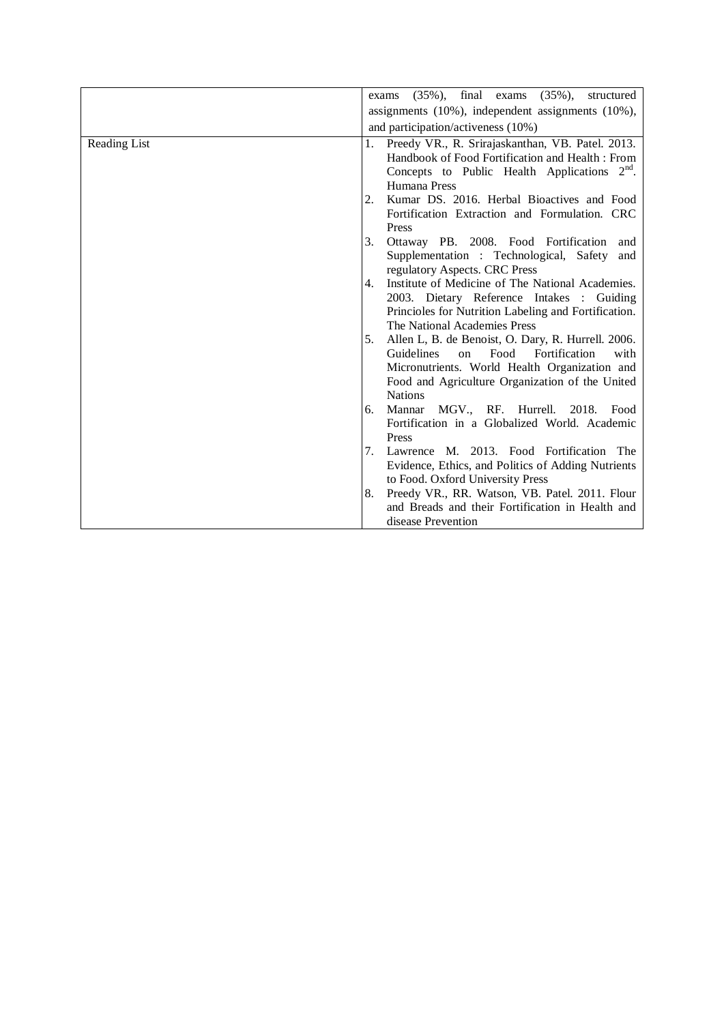|              | $(35\%)$ , final exams $(35\%)$ , structured<br>exams                                                                                                                                                                                            |  |  |
|--------------|--------------------------------------------------------------------------------------------------------------------------------------------------------------------------------------------------------------------------------------------------|--|--|
|              | assignments $(10\%)$ , independent assignments $(10\%)$ ,                                                                                                                                                                                        |  |  |
|              | and participation/activeness (10%)                                                                                                                                                                                                               |  |  |
| Reading List | Preedy VR., R. Srirajaskanthan, VB. Patel. 2013.<br>1.<br>Handbook of Food Fortification and Health: From<br>Concepts to Public Health Applications $2nd$ .<br>Humana Press                                                                      |  |  |
|              | Kumar DS. 2016. Herbal Bioactives and Food<br>2.<br>Fortification Extraction and Formulation. CRC<br>Press                                                                                                                                       |  |  |
|              | 3.<br>Ottaway PB. 2008. Food Fortification<br>and<br>Supplementation : Technological, Safety<br>and<br>regulatory Aspects. CRC Press                                                                                                             |  |  |
|              | Institute of Medicine of The National Academies.<br>4.<br>2003. Dietary Reference Intakes : Guiding<br>Princioles for Nutrition Labeling and Fortification.<br>The National Academies Press                                                      |  |  |
|              | 5.<br>Allen L, B. de Benoist, O. Dary, R. Hurrell. 2006.<br><b>Guidelines</b><br>Food<br>Fortification<br>$\alpha$<br>with<br>Micronutrients. World Health Organization and<br>Food and Agriculture Organization of the United<br><b>Nations</b> |  |  |
|              | Mannar MGV., RF. Hurrell. 2018.<br>Food<br>6.<br>Fortification in a Globalized World. Academic<br>Press                                                                                                                                          |  |  |
|              | Lawrence M. 2013. Food Fortification The<br>7.<br>Evidence, Ethics, and Politics of Adding Nutrients<br>to Food. Oxford University Press                                                                                                         |  |  |
|              | Preedy VR., RR. Watson, VB. Patel. 2011. Flour<br>8.<br>and Breads and their Fortification in Health and<br>disease Prevention                                                                                                                   |  |  |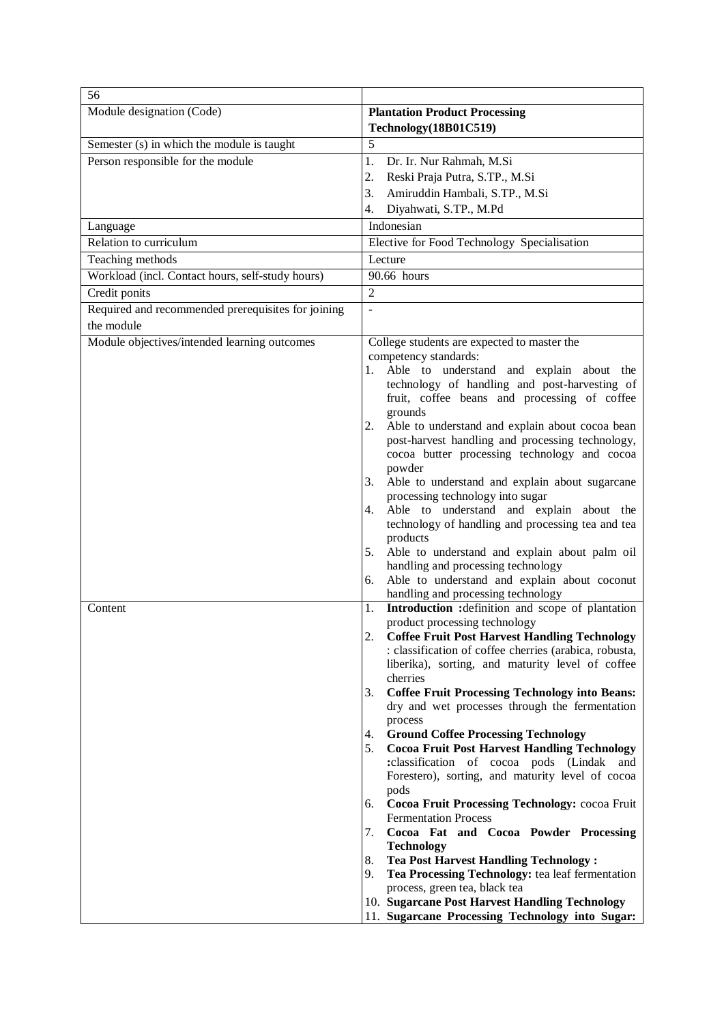| 56                                                 |                                                                                                                                                                                                                                                                                                                                                                                                                                                                                                                                                                                                                                                                                                                                                                                                                                                                                                                                                                                                |  |  |
|----------------------------------------------------|------------------------------------------------------------------------------------------------------------------------------------------------------------------------------------------------------------------------------------------------------------------------------------------------------------------------------------------------------------------------------------------------------------------------------------------------------------------------------------------------------------------------------------------------------------------------------------------------------------------------------------------------------------------------------------------------------------------------------------------------------------------------------------------------------------------------------------------------------------------------------------------------------------------------------------------------------------------------------------------------|--|--|
| Module designation (Code)                          | <b>Plantation Product Processing</b><br>Technology(18B01C519)                                                                                                                                                                                                                                                                                                                                                                                                                                                                                                                                                                                                                                                                                                                                                                                                                                                                                                                                  |  |  |
| Semester (s) in which the module is taught         | 5                                                                                                                                                                                                                                                                                                                                                                                                                                                                                                                                                                                                                                                                                                                                                                                                                                                                                                                                                                                              |  |  |
| Person responsible for the module                  | Dr. Ir. Nur Rahmah, M.Si<br>1.                                                                                                                                                                                                                                                                                                                                                                                                                                                                                                                                                                                                                                                                                                                                                                                                                                                                                                                                                                 |  |  |
|                                                    | Reski Praja Putra, S.TP., M.Si<br>2.                                                                                                                                                                                                                                                                                                                                                                                                                                                                                                                                                                                                                                                                                                                                                                                                                                                                                                                                                           |  |  |
|                                                    | Amiruddin Hambali, S.TP., M.Si<br>3.                                                                                                                                                                                                                                                                                                                                                                                                                                                                                                                                                                                                                                                                                                                                                                                                                                                                                                                                                           |  |  |
|                                                    | Diyahwati, S.TP., M.Pd<br>4.                                                                                                                                                                                                                                                                                                                                                                                                                                                                                                                                                                                                                                                                                                                                                                                                                                                                                                                                                                   |  |  |
| Language                                           | Indonesian                                                                                                                                                                                                                                                                                                                                                                                                                                                                                                                                                                                                                                                                                                                                                                                                                                                                                                                                                                                     |  |  |
| Relation to curriculum                             | Elective for Food Technology Specialisation                                                                                                                                                                                                                                                                                                                                                                                                                                                                                                                                                                                                                                                                                                                                                                                                                                                                                                                                                    |  |  |
| Teaching methods                                   | Lecture                                                                                                                                                                                                                                                                                                                                                                                                                                                                                                                                                                                                                                                                                                                                                                                                                                                                                                                                                                                        |  |  |
| Workload (incl. Contact hours, self-study hours)   | 90.66 hours                                                                                                                                                                                                                                                                                                                                                                                                                                                                                                                                                                                                                                                                                                                                                                                                                                                                                                                                                                                    |  |  |
| Credit ponits                                      | $\overline{2}$                                                                                                                                                                                                                                                                                                                                                                                                                                                                                                                                                                                                                                                                                                                                                                                                                                                                                                                                                                                 |  |  |
| Required and recommended prerequisites for joining | $\frac{1}{2}$                                                                                                                                                                                                                                                                                                                                                                                                                                                                                                                                                                                                                                                                                                                                                                                                                                                                                                                                                                                  |  |  |
| the module                                         |                                                                                                                                                                                                                                                                                                                                                                                                                                                                                                                                                                                                                                                                                                                                                                                                                                                                                                                                                                                                |  |  |
| Module objectives/intended learning outcomes       | College students are expected to master the<br>competency standards:<br>Able to understand and explain about the<br>1.<br>technology of handling and post-harvesting of<br>fruit, coffee beans and processing of coffee<br>grounds<br>Able to understand and explain about cocoa bean<br>2.<br>post-harvest handling and processing technology,<br>cocoa butter processing technology and cocoa<br>powder<br>Able to understand and explain about sugarcane<br>3.<br>processing technology into sugar<br>Able to understand and explain about the<br>4.<br>technology of handling and processing tea and tea<br>products<br>Able to understand and explain about palm oil<br>5.<br>handling and processing technology<br>Able to understand and explain about coconut<br>6.<br>handling and processing technology                                                                                                                                                                              |  |  |
| Content                                            | Introduction : definition and scope of plantation<br>1.<br>product processing technology<br><b>Coffee Fruit Post Harvest Handling Technology</b><br>: classification of coffee cherries (arabica, robusta,<br>liberika), sorting, and maturity level of coffee<br>cherries<br><b>Coffee Fruit Processing Technology into Beans:</b><br>3.<br>dry and wet processes through the fermentation<br>process<br><b>Ground Coffee Processing Technology</b><br>4.<br><b>Cocoa Fruit Post Harvest Handling Technology</b><br>5.<br>:classification of cocoa pods (Lindak and<br>Forestero), sorting, and maturity level of cocoa<br>pods<br>Cocoa Fruit Processing Technology: cocoa Fruit<br>6.<br><b>Fermentation Process</b><br>Cocoa Fat and Cocoa Powder Processing<br>7.<br><b>Technology</b><br><b>Tea Post Harvest Handling Technology:</b><br>8.<br>9.<br>Tea Processing Technology: tea leaf fermentation<br>process, green tea, black tea<br>10. Sugarcane Post Harvest Handling Technology |  |  |
|                                                    | 11. Sugarcane Processing Technology into Sugar:                                                                                                                                                                                                                                                                                                                                                                                                                                                                                                                                                                                                                                                                                                                                                                                                                                                                                                                                                |  |  |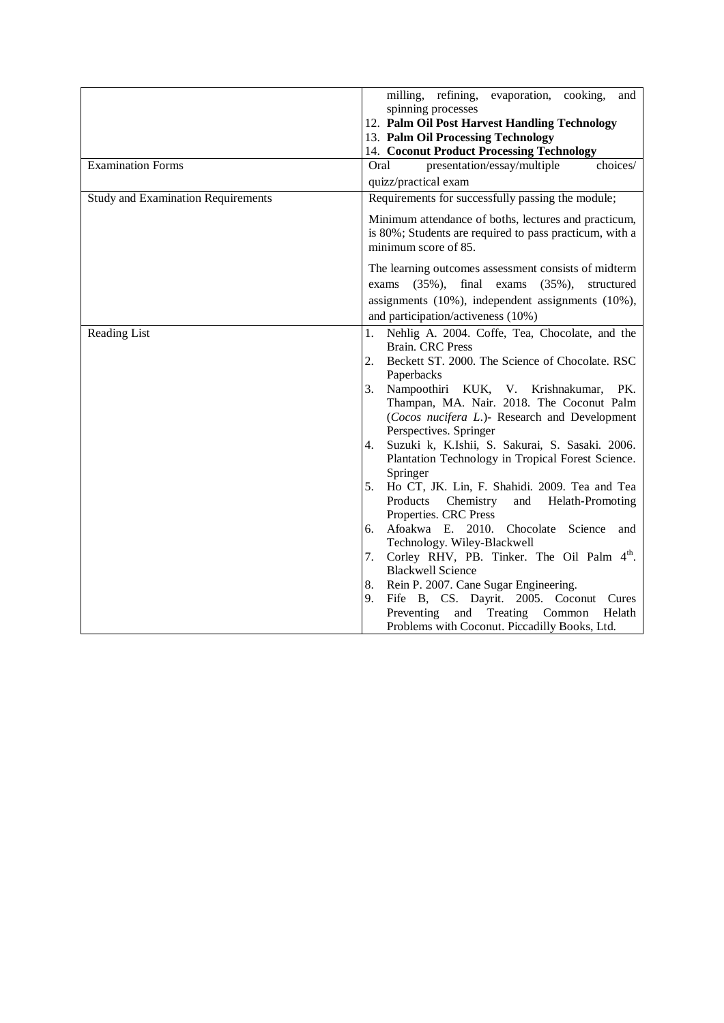|                                           | milling, refining, evaporation, cooking,<br>and                |
|-------------------------------------------|----------------------------------------------------------------|
|                                           | spinning processes                                             |
|                                           | 12. Palm Oil Post Harvest Handling Technology                  |
|                                           | 13. Palm Oil Processing Technology                             |
|                                           | 14. Coconut Product Processing Technology                      |
| <b>Examination Forms</b>                  | presentation/essay/multiple<br>choices/<br>Oral                |
|                                           | quizz/practical exam                                           |
| <b>Study and Examination Requirements</b> | Requirements for successfully passing the module;              |
|                                           | Minimum attendance of boths, lectures and practicum,           |
|                                           | is 80%; Students are required to pass practicum, with a        |
|                                           | minimum score of 85.                                           |
|                                           | The learning outcomes assessment consists of midterm           |
|                                           | exams $(35\%)$ , final exams $(35\%)$ ,<br>structured          |
|                                           | assignments (10%), independent assignments (10%),              |
|                                           | and participation/activeness (10%)                             |
| Reading List                              | Nehlig A. 2004. Coffe, Tea, Chocolate, and the<br>1.           |
|                                           | <b>Brain. CRC Press</b>                                        |
|                                           | Beckett ST. 2000. The Science of Chocolate. RSC<br>2.          |
|                                           | Paperbacks                                                     |
|                                           | Nampoothiri KUK, V. Krishnakumar,<br>PK.<br>3.                 |
|                                           | Thampan, MA. Nair. 2018. The Coconut Palm                      |
|                                           | (Cocos nucifera L.)- Research and Development                  |
|                                           | Perspectives. Springer                                         |
|                                           | Suzuki k, K.Ishii, S. Sakurai, S. Sasaki. 2006.<br>4.          |
|                                           | Plantation Technology in Tropical Forest Science.              |
|                                           | Springer                                                       |
|                                           | Ho CT, JK. Lin, F. Shahidi. 2009. Tea and Tea<br>5.            |
|                                           | Products Chemistry<br>and Helath-Promoting                     |
|                                           | Properties. CRC Press<br>6. Afoakwa E. 2010. Chocolate Science |
|                                           | and<br>Technology. Wiley-Blackwell                             |
|                                           | Corley RHV, PB. Tinker. The Oil Palm 4 <sup>th</sup> .<br>7.   |
|                                           | <b>Blackwell Science</b>                                       |
|                                           | Rein P. 2007. Cane Sugar Engineering.<br>8.                    |
|                                           | Fife B, CS. Dayrit. 2005. Coconut Cures<br>9.                  |
|                                           | Preventing<br>Treating Common<br>and<br>Helath                 |
|                                           | Problems with Coconut. Piccadilly Books, Ltd.                  |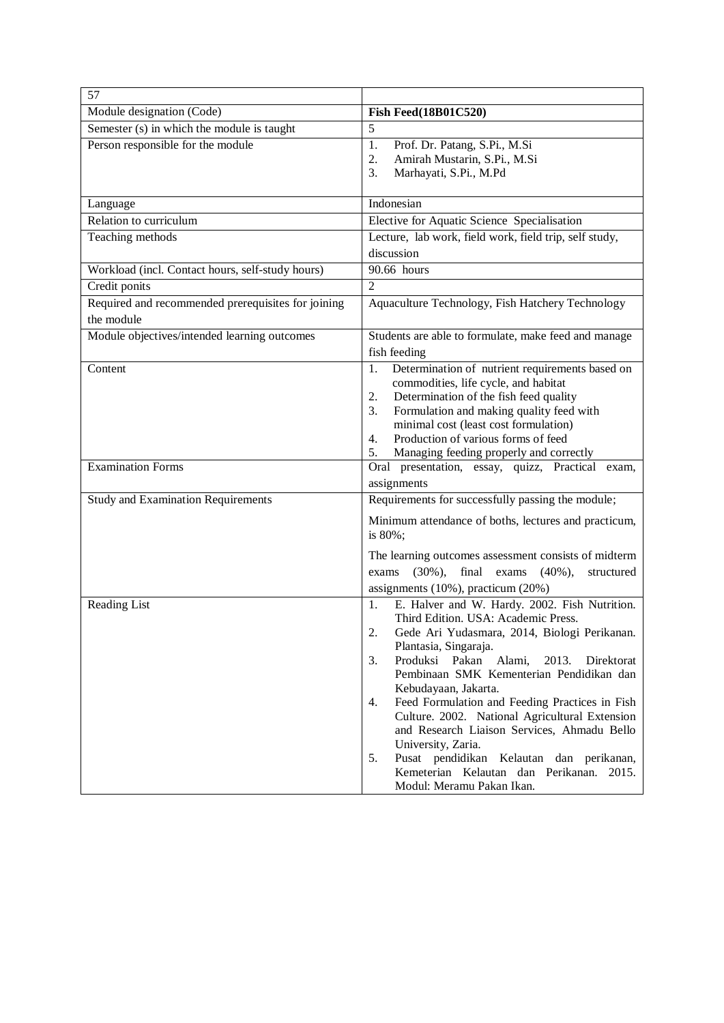| 57                                                               |                                                                                                                                                                                                                                                                                                                                                                                                                                                                                                                                                                                                                  |  |  |
|------------------------------------------------------------------|------------------------------------------------------------------------------------------------------------------------------------------------------------------------------------------------------------------------------------------------------------------------------------------------------------------------------------------------------------------------------------------------------------------------------------------------------------------------------------------------------------------------------------------------------------------------------------------------------------------|--|--|
| Module designation (Code)                                        | <b>Fish Feed</b> (18B01C520)                                                                                                                                                                                                                                                                                                                                                                                                                                                                                                                                                                                     |  |  |
| Semester (s) in which the module is taught                       | 5                                                                                                                                                                                                                                                                                                                                                                                                                                                                                                                                                                                                                |  |  |
| Person responsible for the module                                | 1.<br>Prof. Dr. Patang, S.Pi., M.Si<br>2.<br>Amirah Mustarin, S.Pi., M.Si<br>3.<br>Marhayati, S.Pi., M.Pd                                                                                                                                                                                                                                                                                                                                                                                                                                                                                                        |  |  |
| Language                                                         | Indonesian                                                                                                                                                                                                                                                                                                                                                                                                                                                                                                                                                                                                       |  |  |
| Relation to curriculum                                           | Elective for Aquatic Science Specialisation                                                                                                                                                                                                                                                                                                                                                                                                                                                                                                                                                                      |  |  |
| Teaching methods                                                 | Lecture, lab work, field work, field trip, self study,<br>discussion                                                                                                                                                                                                                                                                                                                                                                                                                                                                                                                                             |  |  |
| Workload (incl. Contact hours, self-study hours)                 | $\overline{90.66}$ hours                                                                                                                                                                                                                                                                                                                                                                                                                                                                                                                                                                                         |  |  |
| Credit ponits                                                    | $\overline{2}$                                                                                                                                                                                                                                                                                                                                                                                                                                                                                                                                                                                                   |  |  |
| Required and recommended prerequisites for joining<br>the module | Aquaculture Technology, Fish Hatchery Technology                                                                                                                                                                                                                                                                                                                                                                                                                                                                                                                                                                 |  |  |
| Module objectives/intended learning outcomes                     | Students are able to formulate, make feed and manage<br>fish feeding                                                                                                                                                                                                                                                                                                                                                                                                                                                                                                                                             |  |  |
| Content                                                          | Determination of nutrient requirements based on<br>1.<br>commodities, life cycle, and habitat<br>Determination of the fish feed quality<br>2.<br>Formulation and making quality feed with<br>3.<br>minimal cost (least cost formulation)<br>Production of various forms of feed<br>4.<br>Managing feeding properly and correctly<br>5.                                                                                                                                                                                                                                                                           |  |  |
| <b>Examination Forms</b>                                         | Oral presentation, essay, quizz, Practical exam,<br>assignments                                                                                                                                                                                                                                                                                                                                                                                                                                                                                                                                                  |  |  |
| <b>Study and Examination Requirements</b>                        | Requirements for successfully passing the module;<br>Minimum attendance of boths, lectures and practicum,<br>is 80%;<br>The learning outcomes assessment consists of midterm<br>$(30\%),$<br>final<br>exams<br>$(40\%),$<br>structured<br>exams<br>assignments (10%), practicum (20%)                                                                                                                                                                                                                                                                                                                            |  |  |
| Reading List                                                     | E. Halver and W. Hardy. 2002. Fish Nutrition.<br>1.<br>Third Edition. USA: Academic Press.<br>2.<br>Gede Ari Yudasmara, 2014, Biologi Perikanan.<br>Plantasia, Singaraja.<br>3.<br>Produksi Pakan<br>Alami,<br>2013.<br>Direktorat<br>Pembinaan SMK Kementerian Pendidikan dan<br>Kebudayaan, Jakarta.<br>Feed Formulation and Feeding Practices in Fish<br>4.<br>Culture. 2002. National Agricultural Extension<br>and Research Liaison Services, Ahmadu Bello<br>University, Zaria.<br>5.<br>Pusat pendidikan Kelautan dan perikanan,<br>Kemeterian Kelautan dan Perikanan. 2015.<br>Modul: Meramu Pakan Ikan. |  |  |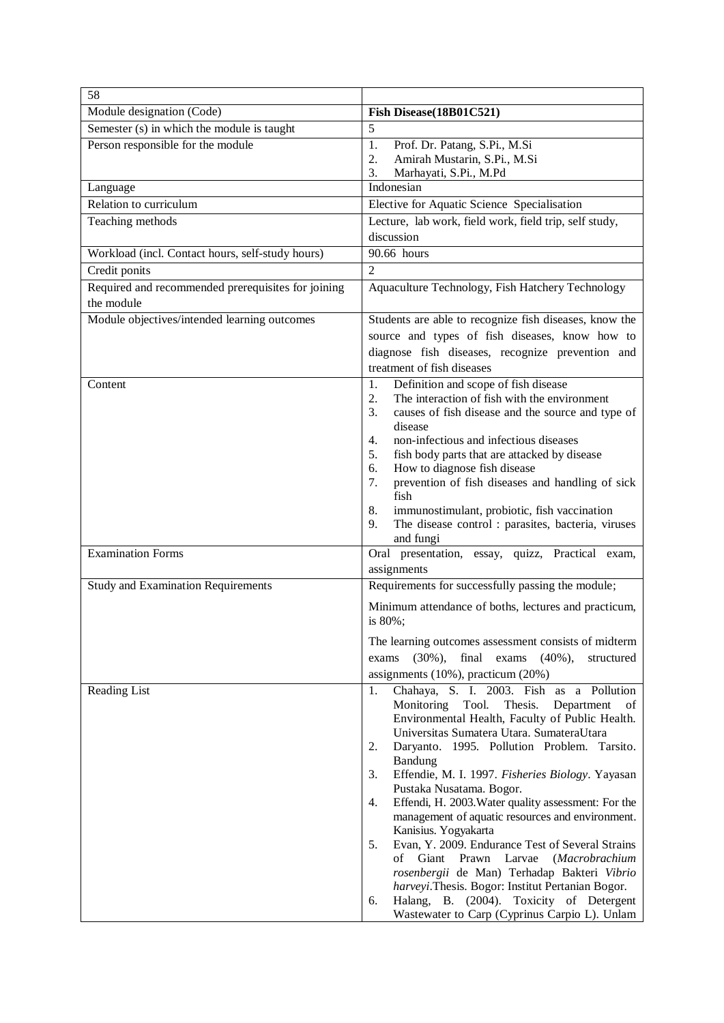| 58                                                 |                                                                                                                |
|----------------------------------------------------|----------------------------------------------------------------------------------------------------------------|
| Module designation (Code)                          | Fish Disease(18B01C521)                                                                                        |
| Semester (s) in which the module is taught         | 5                                                                                                              |
| Person responsible for the module                  | 1.<br>Prof. Dr. Patang, S.Pi., M.Si                                                                            |
|                                                    | Amirah Mustarin, S.Pi., M.Si<br>2.                                                                             |
| Language                                           | 3.<br>Marhayati, S.Pi., M.Pd<br>Indonesian                                                                     |
| Relation to curriculum                             | Elective for Aquatic Science Specialisation                                                                    |
| Teaching methods                                   | Lecture, lab work, field work, field trip, self study,                                                         |
|                                                    | discussion                                                                                                     |
| Workload (incl. Contact hours, self-study hours)   | 90.66 hours                                                                                                    |
| Credit ponits                                      | $\overline{2}$                                                                                                 |
| Required and recommended prerequisites for joining | Aquaculture Technology, Fish Hatchery Technology                                                               |
| the module                                         |                                                                                                                |
| Module objectives/intended learning outcomes       | Students are able to recognize fish diseases, know the                                                         |
|                                                    | source and types of fish diseases, know how to                                                                 |
|                                                    | diagnose fish diseases, recognize prevention and<br>treatment of fish diseases                                 |
| Content                                            | Definition and scope of fish disease<br>1.                                                                     |
|                                                    | The interaction of fish with the environment<br>2.                                                             |
|                                                    | 3.<br>causes of fish disease and the source and type of                                                        |
|                                                    | disease<br>non-infectious and infectious diseases                                                              |
|                                                    | 4.<br>fish body parts that are attacked by disease<br>5.                                                       |
|                                                    | How to diagnose fish disease<br>6.                                                                             |
|                                                    | prevention of fish diseases and handling of sick<br>7.                                                         |
|                                                    | fish                                                                                                           |
|                                                    | 8.<br>immunostimulant, probiotic, fish vaccination<br>The disease control : parasites, bacteria, viruses<br>9. |
|                                                    | and fungi                                                                                                      |
| <b>Examination Forms</b>                           | Oral presentation, essay, quizz, Practical exam,                                                               |
|                                                    | assignments                                                                                                    |
| <b>Study and Examination Requirements</b>          | Requirements for successfully passing the module;                                                              |
|                                                    | Minimum attendance of boths, lectures and practicum,<br>is 80%;                                                |
|                                                    | The learning outcomes assessment consists of midterm                                                           |
|                                                    | $(30\%)$ ,<br>final exams $(40\%)$ ,<br>exams<br>structured                                                    |
|                                                    | assignments (10%), practicum (20%)                                                                             |
| Reading List                                       | Chahaya, S. I. 2003. Fish as a Pollution<br>1.                                                                 |
|                                                    | Monitoring<br>Tool.<br>Thesis.<br>Department<br>of                                                             |
|                                                    | Environmental Health, Faculty of Public Health.<br>Universitas Sumatera Utara. SumateraUtara                   |
|                                                    | Daryanto. 1995. Pollution Problem. Tarsito.<br>2.                                                              |
|                                                    | Bandung                                                                                                        |
|                                                    | Effendie, M. I. 1997. Fisheries Biology. Yayasan<br>3.                                                         |
|                                                    | Pustaka Nusatama. Bogor.                                                                                       |
|                                                    | Effendi, H. 2003. Water quality assessment: For the<br>4.<br>management of aquatic resources and environment.  |
|                                                    | Kanisius. Yogyakarta                                                                                           |
|                                                    | Evan, Y. 2009. Endurance Test of Several Strains<br>5.                                                         |
|                                                    | Giant Prawn<br>Larvae<br>(Macrobrachium<br>of                                                                  |
|                                                    | rosenbergii de Man) Terhadap Bakteri Vibrio<br>harveyi.Thesis. Bogor: Institut Pertanian Bogor.                |
|                                                    | Halang, B. (2004). Toxicity of Detergent<br>6.                                                                 |
|                                                    | Wastewater to Carp (Cyprinus Carpio L). Unlam                                                                  |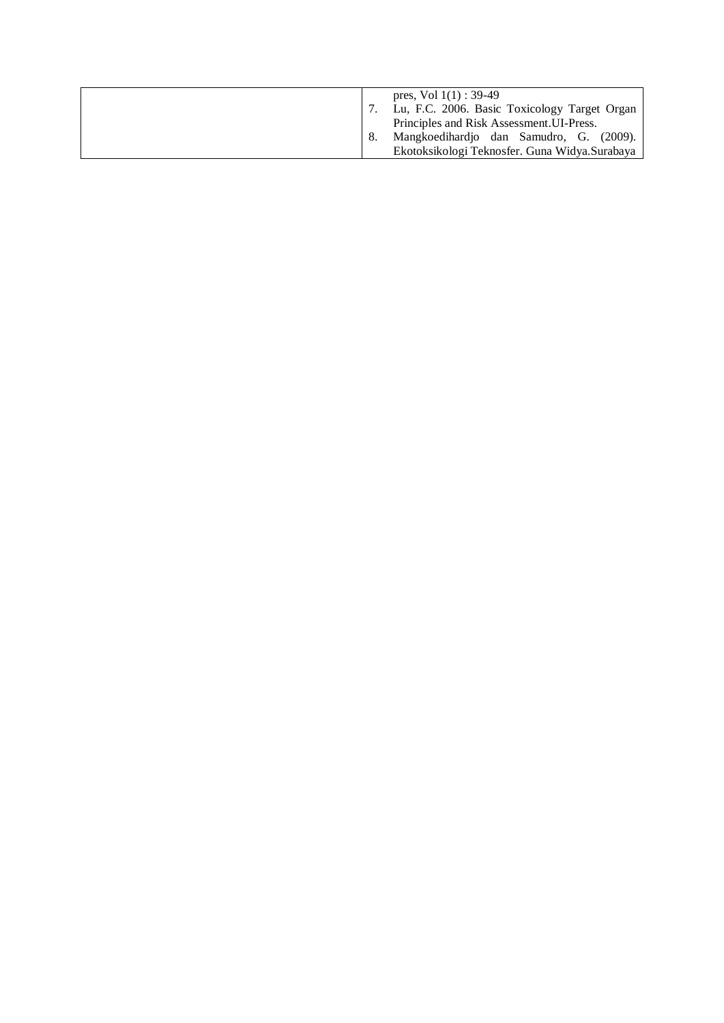| pres, Vol $1(1)$ : 39-49<br>Lu, F.C. 2006. Basic Toxicology Target Organ<br>Principles and Risk Assessment. UI-Press. |
|-----------------------------------------------------------------------------------------------------------------------|
| Mangkoedihardjo dan Samudro, G. (2009).                                                                               |
| Ekotoksikologi Teknosfer. Guna Widya.Surabaya                                                                         |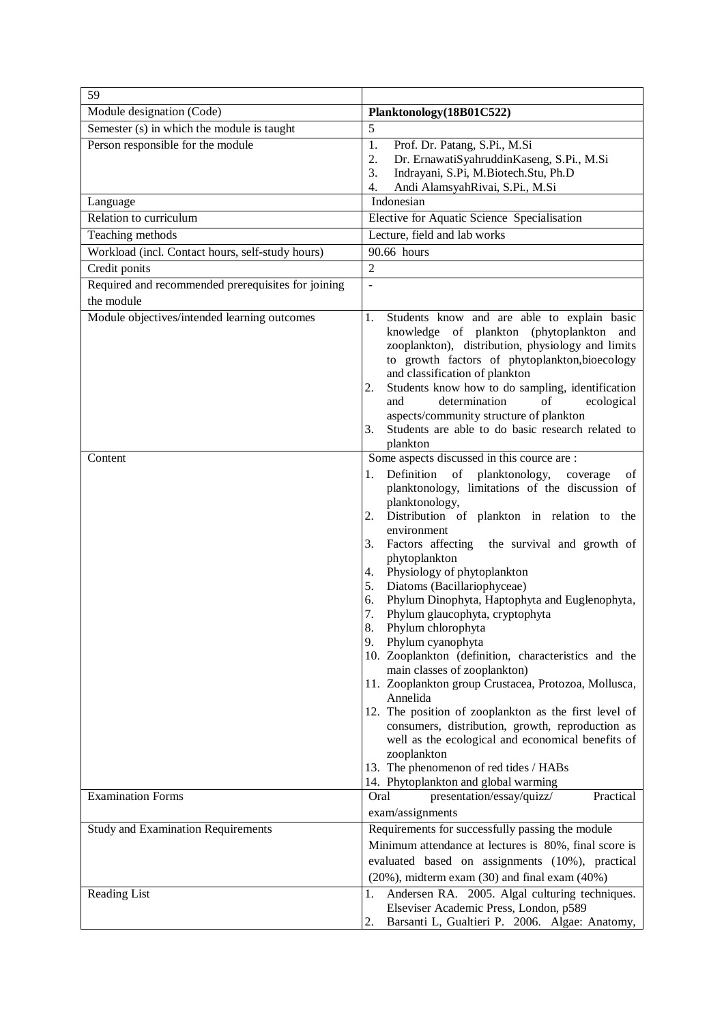| 59                                                               |                                                                                                                                                                                                                                                                                                                                                                                                                                                                                                                                                                                                                                                                                                                                                                                                                                                                                                                                                                                         |  |  |  |
|------------------------------------------------------------------|-----------------------------------------------------------------------------------------------------------------------------------------------------------------------------------------------------------------------------------------------------------------------------------------------------------------------------------------------------------------------------------------------------------------------------------------------------------------------------------------------------------------------------------------------------------------------------------------------------------------------------------------------------------------------------------------------------------------------------------------------------------------------------------------------------------------------------------------------------------------------------------------------------------------------------------------------------------------------------------------|--|--|--|
| Module designation (Code)                                        | Planktonology(18B01C522)                                                                                                                                                                                                                                                                                                                                                                                                                                                                                                                                                                                                                                                                                                                                                                                                                                                                                                                                                                |  |  |  |
| Semester (s) in which the module is taught                       | 5                                                                                                                                                                                                                                                                                                                                                                                                                                                                                                                                                                                                                                                                                                                                                                                                                                                                                                                                                                                       |  |  |  |
| Person responsible for the module                                | 1.<br>Prof. Dr. Patang, S.Pi., M.Si<br>Dr. ErnawatiSyahruddinKaseng, S.Pi., M.Si<br>2.<br>Indrayani, S.Pi, M.Biotech.Stu, Ph.D<br>3.<br>Andi AlamsyahRivai, S.Pi., M.Si<br>4.                                                                                                                                                                                                                                                                                                                                                                                                                                                                                                                                                                                                                                                                                                                                                                                                           |  |  |  |
| Language                                                         | Indonesian                                                                                                                                                                                                                                                                                                                                                                                                                                                                                                                                                                                                                                                                                                                                                                                                                                                                                                                                                                              |  |  |  |
| Relation to curriculum                                           | Elective for Aquatic Science Specialisation                                                                                                                                                                                                                                                                                                                                                                                                                                                                                                                                                                                                                                                                                                                                                                                                                                                                                                                                             |  |  |  |
| Teaching methods                                                 | Lecture, field and lab works                                                                                                                                                                                                                                                                                                                                                                                                                                                                                                                                                                                                                                                                                                                                                                                                                                                                                                                                                            |  |  |  |
| Workload (incl. Contact hours, self-study hours)                 | 90.66 hours                                                                                                                                                                                                                                                                                                                                                                                                                                                                                                                                                                                                                                                                                                                                                                                                                                                                                                                                                                             |  |  |  |
| Credit ponits                                                    | $\overline{2}$                                                                                                                                                                                                                                                                                                                                                                                                                                                                                                                                                                                                                                                                                                                                                                                                                                                                                                                                                                          |  |  |  |
| Required and recommended prerequisites for joining<br>the module | $\overline{a}$                                                                                                                                                                                                                                                                                                                                                                                                                                                                                                                                                                                                                                                                                                                                                                                                                                                                                                                                                                          |  |  |  |
| Module objectives/intended learning outcomes                     | Students know and are able to explain basic<br>1.<br>knowledge of plankton (phytoplankton<br>and<br>zooplankton), distribution, physiology and limits<br>to growth factors of phytoplankton, bioecology<br>and classification of plankton<br>Students know how to do sampling, identification<br>2.<br>and<br>determination<br>of<br>ecological<br>aspects/community structure of plankton<br>Students are able to do basic research related to<br>3.                                                                                                                                                                                                                                                                                                                                                                                                                                                                                                                                   |  |  |  |
|                                                                  | plankton                                                                                                                                                                                                                                                                                                                                                                                                                                                                                                                                                                                                                                                                                                                                                                                                                                                                                                                                                                                |  |  |  |
| Content                                                          | Some aspects discussed in this cource are :<br>Definition of planktonology,<br>1.<br>coverage<br>οf<br>planktonology, limitations of the discussion of<br>planktonology,<br>Distribution of plankton in relation to the<br>2.<br>environment<br>3.<br>Factors affecting<br>the survival and growth of<br>phytoplankton<br>Physiology of phytoplankton<br>4.<br>Diatoms (Bacillariophyceae)<br>5.<br>Phylum Dinophyta, Haptophyta and Euglenophyta,<br>6.<br>Phylum glaucophyta, cryptophyta<br>7.<br>8.<br>Phylum chlorophyta<br>9.<br>Phylum cyanophyta<br>10. Zooplankton (definition, characteristics and the<br>main classes of zooplankton)<br>11. Zooplankton group Crustacea, Protozoa, Mollusca,<br>Annelida<br>12. The position of zooplankton as the first level of<br>consumers, distribution, growth, reproduction as<br>well as the ecological and economical benefits of<br>zooplankton<br>13. The phenomenon of red tides / HABs<br>14. Phytoplankton and global warming |  |  |  |
| <b>Examination Forms</b>                                         | Practical<br>presentation/essay/quizz/<br>Oral<br>exam/assignments                                                                                                                                                                                                                                                                                                                                                                                                                                                                                                                                                                                                                                                                                                                                                                                                                                                                                                                      |  |  |  |
| <b>Study and Examination Requirements</b>                        | Requirements for successfully passing the module<br>Minimum attendance at lectures is 80%, final score is<br>evaluated based on assignments (10%), practical<br>$(20\%)$ , midterm exam $(30)$ and final exam $(40\%)$                                                                                                                                                                                                                                                                                                                                                                                                                                                                                                                                                                                                                                                                                                                                                                  |  |  |  |
| Reading List                                                     | Andersen RA. 2005. Algal culturing techniques.<br>1.<br>Elseviser Academic Press, London, p589<br>Barsanti L, Gualtieri P. 2006. Algae: Anatomy,<br>2.                                                                                                                                                                                                                                                                                                                                                                                                                                                                                                                                                                                                                                                                                                                                                                                                                                  |  |  |  |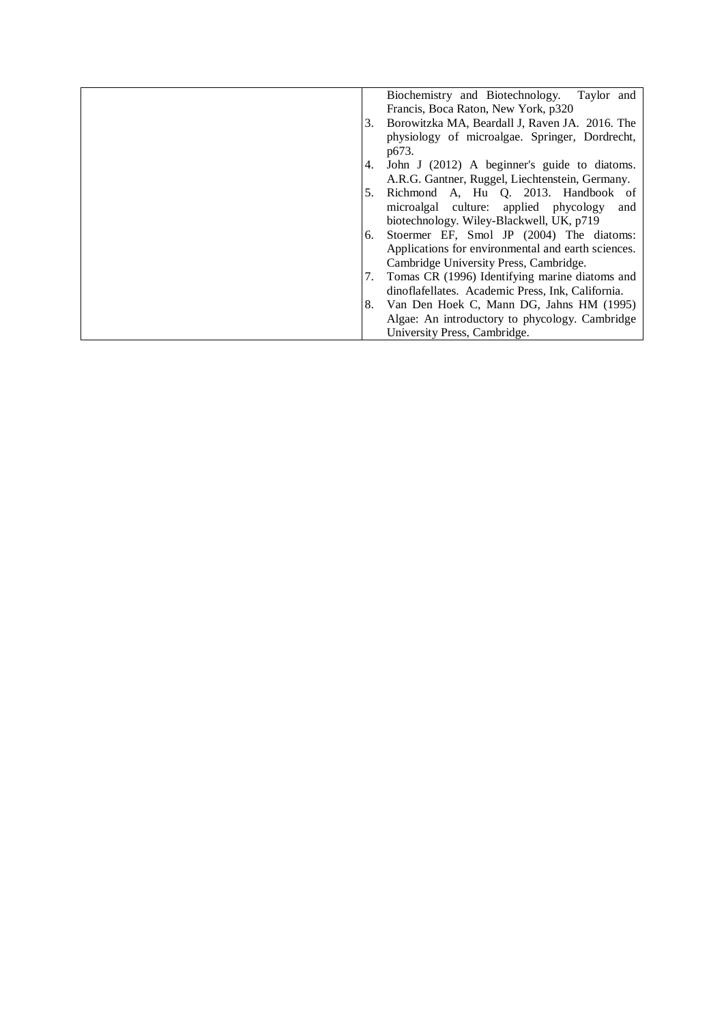|    | Biochemistry and Biotechnology. Taylor and         |
|----|----------------------------------------------------|
|    | Francis, Boca Raton, New York, p320                |
| 3. | Borowitzka MA, Beardall J, Raven JA. 2016. The     |
|    | physiology of microalgae. Springer, Dordrecht,     |
|    | p673.                                              |
| 4. | John J (2012) A beginner's guide to diatoms.       |
|    | A.R.G. Gantner, Ruggel, Liechtenstein, Germany.    |
| 5. | Richmond A, Hu Q. 2013. Handbook of                |
|    | microalgal culture: applied phycology<br>and       |
|    | biotechnology. Wiley-Blackwell, UK, p719           |
| 6. | Stoermer EF, Smol JP (2004) The diatoms:           |
|    | Applications for environmental and earth sciences. |
|    | Cambridge University Press, Cambridge.             |
| 7. | Tomas CR (1996) Identifying marine diatoms and     |
|    | dinoflafellates. Academic Press, Ink, California.  |
| 8. | Van Den Hoek C, Mann DG, Jahns HM (1995)           |
|    | Algae: An introductory to phycology. Cambridge     |
|    | University Press, Cambridge.                       |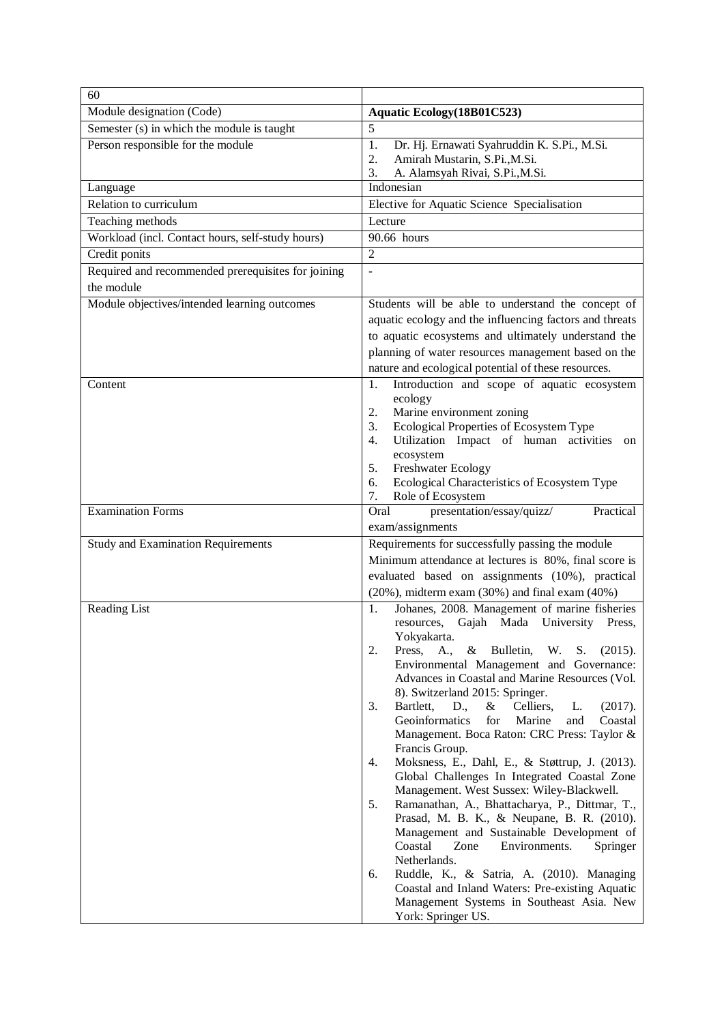| 60                                                                |                                                                                                                                                                                                                                                                                                                                                                                                                                                                                                                                                                                                                                                                                                                                                                                                                                                                                                                                                                                                                                                    |
|-------------------------------------------------------------------|----------------------------------------------------------------------------------------------------------------------------------------------------------------------------------------------------------------------------------------------------------------------------------------------------------------------------------------------------------------------------------------------------------------------------------------------------------------------------------------------------------------------------------------------------------------------------------------------------------------------------------------------------------------------------------------------------------------------------------------------------------------------------------------------------------------------------------------------------------------------------------------------------------------------------------------------------------------------------------------------------------------------------------------------------|
| Module designation (Code)                                         | Aquatic Ecology (18B01C523)                                                                                                                                                                                                                                                                                                                                                                                                                                                                                                                                                                                                                                                                                                                                                                                                                                                                                                                                                                                                                        |
| Semester (s) in which the module is taught                        | 5                                                                                                                                                                                                                                                                                                                                                                                                                                                                                                                                                                                                                                                                                                                                                                                                                                                                                                                                                                                                                                                  |
| Person responsible for the module                                 | 1.<br>Dr. Hj. Ernawati Syahruddin K. S.Pi., M.Si.<br>Amirah Mustarin, S.Pi., M.Si.<br>2.                                                                                                                                                                                                                                                                                                                                                                                                                                                                                                                                                                                                                                                                                                                                                                                                                                                                                                                                                           |
|                                                                   | A. Alamsyah Rivai, S.Pi., M.Si.<br>3.<br>Indonesian                                                                                                                                                                                                                                                                                                                                                                                                                                                                                                                                                                                                                                                                                                                                                                                                                                                                                                                                                                                                |
| Language<br>Relation to curriculum                                |                                                                                                                                                                                                                                                                                                                                                                                                                                                                                                                                                                                                                                                                                                                                                                                                                                                                                                                                                                                                                                                    |
|                                                                   | Elective for Aquatic Science Specialisation                                                                                                                                                                                                                                                                                                                                                                                                                                                                                                                                                                                                                                                                                                                                                                                                                                                                                                                                                                                                        |
| Teaching methods                                                  | Lecture<br>90.66 hours                                                                                                                                                                                                                                                                                                                                                                                                                                                                                                                                                                                                                                                                                                                                                                                                                                                                                                                                                                                                                             |
| Workload (incl. Contact hours, self-study hours)<br>Credit ponits | $\overline{2}$                                                                                                                                                                                                                                                                                                                                                                                                                                                                                                                                                                                                                                                                                                                                                                                                                                                                                                                                                                                                                                     |
| Required and recommended prerequisites for joining                |                                                                                                                                                                                                                                                                                                                                                                                                                                                                                                                                                                                                                                                                                                                                                                                                                                                                                                                                                                                                                                                    |
| the module                                                        |                                                                                                                                                                                                                                                                                                                                                                                                                                                                                                                                                                                                                                                                                                                                                                                                                                                                                                                                                                                                                                                    |
| Module objectives/intended learning outcomes                      | Students will be able to understand the concept of<br>aquatic ecology and the influencing factors and threats<br>to aquatic ecosystems and ultimately understand the<br>planning of water resources management based on the<br>nature and ecological potential of these resources.                                                                                                                                                                                                                                                                                                                                                                                                                                                                                                                                                                                                                                                                                                                                                                 |
| Content                                                           | Introduction and scope of aquatic ecosystem<br>1.<br>ecology<br>Marine environment zoning<br>2.<br>Ecological Properties of Ecosystem Type<br>3.<br>Utilization Impact of human activities<br>$\overline{4}$ .<br>on<br>ecosystem<br>Freshwater Ecology<br>5.<br>Ecological Characteristics of Ecosystem Type<br>6.<br>Role of Ecosystem<br>7.                                                                                                                                                                                                                                                                                                                                                                                                                                                                                                                                                                                                                                                                                                     |
| <b>Examination Forms</b>                                          | presentation/essay/quizz/<br>Practical<br>Oral<br>exam/assignments                                                                                                                                                                                                                                                                                                                                                                                                                                                                                                                                                                                                                                                                                                                                                                                                                                                                                                                                                                                 |
| <b>Study and Examination Requirements</b>                         | Requirements for successfully passing the module<br>Minimum attendance at lectures is 80%, final score is<br>evaluated based on assignments (10%), practical<br>$(20\%)$ , midterm exam $(30\%)$ and final exam $(40\%)$                                                                                                                                                                                                                                                                                                                                                                                                                                                                                                                                                                                                                                                                                                                                                                                                                           |
| <b>Reading List</b>                                               | Johanes, 2008. Management of marine fisheries<br>1.<br>resources, Gajah Mada University Press,<br>Yokyakarta.<br>2.<br>Press,<br>A.,<br>Bulletin,<br>W.<br>(2015).<br>&<br>S.<br>Environmental Management and Governance:<br>Advances in Coastal and Marine Resources (Vol.<br>8). Switzerland 2015: Springer.<br>Bartlett,<br>D.,<br>&<br>Celliers,<br>3.<br>L.<br>(2017).<br>Geoinformatics<br>for<br>Marine<br>Coastal<br>and<br>Management. Boca Raton: CRC Press: Taylor &<br>Francis Group.<br>Moksness, E., Dahl, E., & Støttrup, J. (2013).<br>4.<br>Global Challenges In Integrated Coastal Zone<br>Management. West Sussex: Wiley-Blackwell.<br>Ramanathan, A., Bhattacharya, P., Dittmar, T.,<br>5.<br>Prasad, M. B. K., & Neupane, B. R. (2010).<br>Management and Sustainable Development of<br>Coastal<br>Environments.<br>Zone<br>Springer<br>Netherlands.<br>Ruddle, K., & Satria, A. (2010). Managing<br>6.<br>Coastal and Inland Waters: Pre-existing Aquatic<br>Management Systems in Southeast Asia. New<br>York: Springer US. |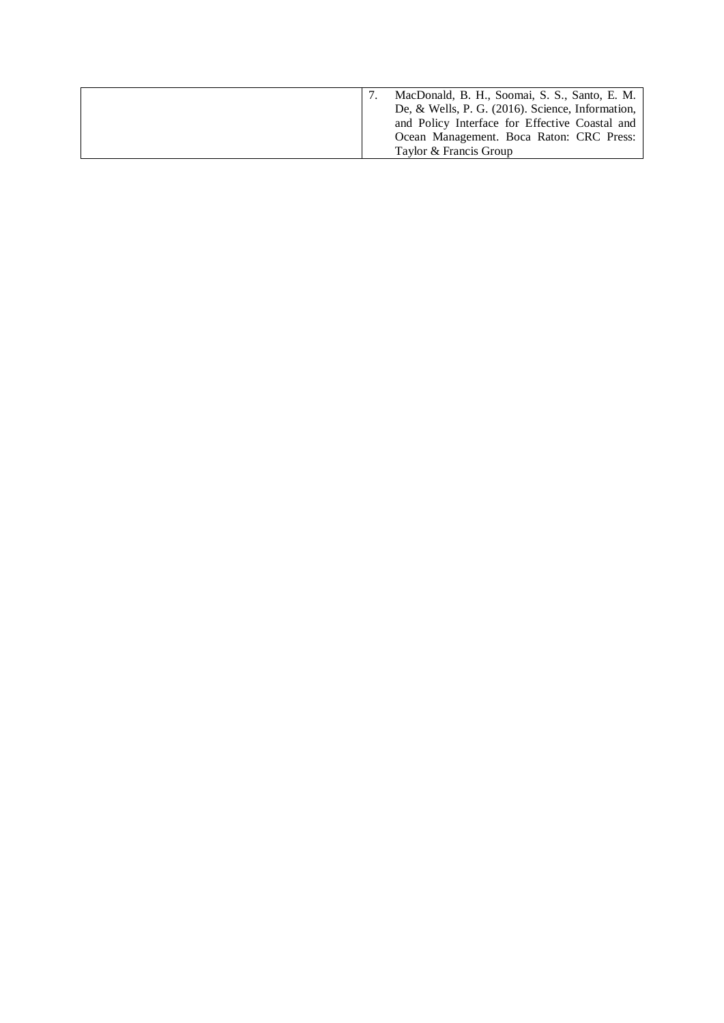|  | MacDonald, B. H., Soomai, S. S., Santo, E. M.       |
|--|-----------------------------------------------------|
|  | De, & Wells, P. G. $(2016)$ . Science, Information, |
|  | and Policy Interface for Effective Coastal and      |
|  | Ocean Management. Boca Raton: CRC Press:            |
|  | Taylor & Francis Group                              |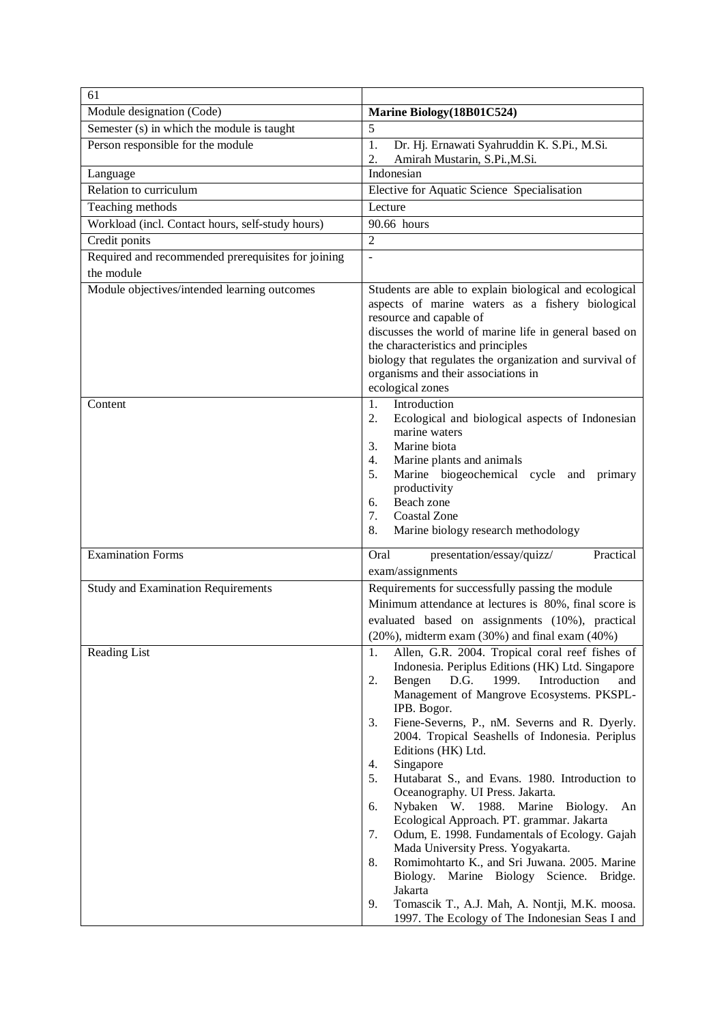| 61                                                 |                                                                                                                                                                                                                                                                                                                                                                                                                                                                                                                                                                                                                                                                                                                                                                                                                                                                                                  |
|----------------------------------------------------|--------------------------------------------------------------------------------------------------------------------------------------------------------------------------------------------------------------------------------------------------------------------------------------------------------------------------------------------------------------------------------------------------------------------------------------------------------------------------------------------------------------------------------------------------------------------------------------------------------------------------------------------------------------------------------------------------------------------------------------------------------------------------------------------------------------------------------------------------------------------------------------------------|
| Module designation (Code)                          | Marine Biology(18B01C524)                                                                                                                                                                                                                                                                                                                                                                                                                                                                                                                                                                                                                                                                                                                                                                                                                                                                        |
| Semester (s) in which the module is taught         | 5                                                                                                                                                                                                                                                                                                                                                                                                                                                                                                                                                                                                                                                                                                                                                                                                                                                                                                |
| Person responsible for the module                  | 1.<br>Dr. Hj. Ernawati Syahruddin K. S.Pi., M.Si.<br>Amirah Mustarin, S.Pi., M.Si.<br>2.                                                                                                                                                                                                                                                                                                                                                                                                                                                                                                                                                                                                                                                                                                                                                                                                         |
| Language                                           | Indonesian                                                                                                                                                                                                                                                                                                                                                                                                                                                                                                                                                                                                                                                                                                                                                                                                                                                                                       |
| Relation to curriculum                             | Elective for Aquatic Science Specialisation                                                                                                                                                                                                                                                                                                                                                                                                                                                                                                                                                                                                                                                                                                                                                                                                                                                      |
| Teaching methods                                   | Lecture                                                                                                                                                                                                                                                                                                                                                                                                                                                                                                                                                                                                                                                                                                                                                                                                                                                                                          |
| Workload (incl. Contact hours, self-study hours)   | 90.66 hours                                                                                                                                                                                                                                                                                                                                                                                                                                                                                                                                                                                                                                                                                                                                                                                                                                                                                      |
| Credit ponits                                      | $\overline{2}$                                                                                                                                                                                                                                                                                                                                                                                                                                                                                                                                                                                                                                                                                                                                                                                                                                                                                   |
| Required and recommended prerequisites for joining | ÷,                                                                                                                                                                                                                                                                                                                                                                                                                                                                                                                                                                                                                                                                                                                                                                                                                                                                                               |
| the module                                         |                                                                                                                                                                                                                                                                                                                                                                                                                                                                                                                                                                                                                                                                                                                                                                                                                                                                                                  |
| Module objectives/intended learning outcomes       | Students are able to explain biological and ecological<br>aspects of marine waters as a fishery biological<br>resource and capable of<br>discusses the world of marine life in general based on<br>the characteristics and principles<br>biology that regulates the organization and survival of<br>organisms and their associations in<br>ecological zones                                                                                                                                                                                                                                                                                                                                                                                                                                                                                                                                      |
| Content                                            | Introduction<br>1.<br>2.<br>Ecological and biological aspects of Indonesian<br>marine waters<br>Marine biota<br>3.<br>Marine plants and animals<br>4.<br>Marine biogeochemical cycle and primary<br>5.<br>productivity<br>Beach zone<br>6.<br><b>Coastal Zone</b><br>7.<br>8.<br>Marine biology research methodology                                                                                                                                                                                                                                                                                                                                                                                                                                                                                                                                                                             |
| <b>Examination Forms</b>                           | Practical<br>Oral<br>presentation/essay/quizz/<br>exam/assignments                                                                                                                                                                                                                                                                                                                                                                                                                                                                                                                                                                                                                                                                                                                                                                                                                               |
| <b>Study and Examination Requirements</b>          | Requirements for successfully passing the module<br>Minimum attendance at lectures is 80%, final score is<br>evaluated based on assignments (10%), practical<br>$(20\%)$ , midterm exam $(30\%)$ and final exam $(40\%)$                                                                                                                                                                                                                                                                                                                                                                                                                                                                                                                                                                                                                                                                         |
| <b>Reading List</b>                                | Allen, G.R. 2004. Tropical coral reef fishes of<br>1.<br>Indonesia. Periplus Editions (HK) Ltd. Singapore<br>Bengen<br>D.G.<br>1999.<br>Introduction<br>2.<br>and<br>Management of Mangrove Ecosystems. PKSPL-<br>IPB. Bogor.<br>3.<br>Fiene-Severns, P., nM. Severns and R. Dyerly.<br>2004. Tropical Seashells of Indonesia. Periplus<br>Editions (HK) Ltd.<br>Singapore<br>4.<br>Hutabarat S., and Evans. 1980. Introduction to<br>5.<br>Oceanography. UI Press. Jakarta.<br>Nybaken W. 1988. Marine<br>6.<br>Biology.<br>An<br>Ecological Approach. PT. grammar. Jakarta<br>7.<br>Odum, E. 1998. Fundamentals of Ecology. Gajah<br>Mada University Press. Yogyakarta.<br>Romimohtarto K., and Sri Juwana. 2005. Marine<br>8.<br>Biology. Marine Biology Science. Bridge.<br>Jakarta<br>9.<br>Tomascik T., A.J. Mah, A. Nontji, M.K. moosa.<br>1997. The Ecology of The Indonesian Seas I and |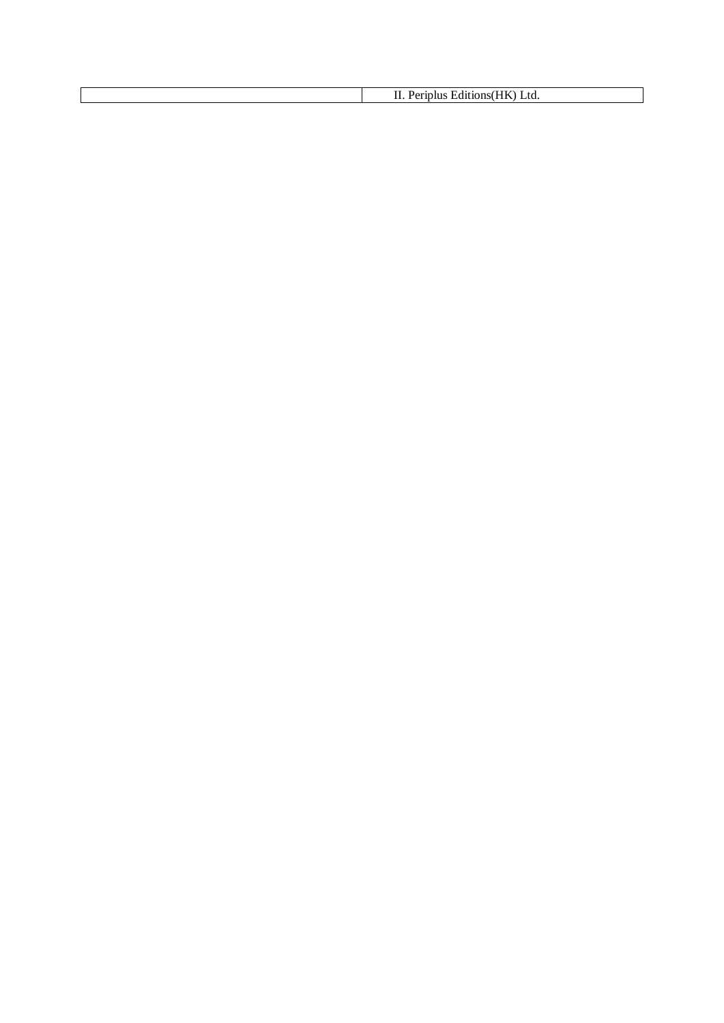II. Periplus Editions(HK) Ltd.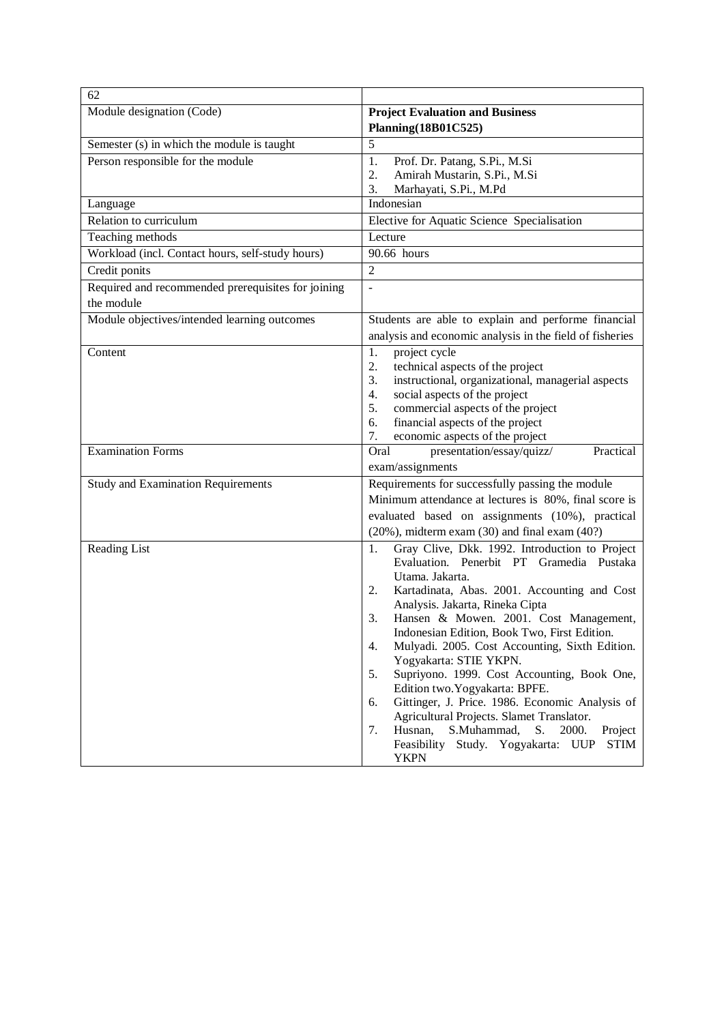| 62                                                 |                                                                                |
|----------------------------------------------------|--------------------------------------------------------------------------------|
| Module designation (Code)                          | <b>Project Evaluation and Business</b>                                         |
|                                                    | Planning(18B01C525)                                                            |
| Semester (s) in which the module is taught         | 5                                                                              |
| Person responsible for the module                  | Prof. Dr. Patang, S.Pi., M.Si<br>1.                                            |
|                                                    | 2.<br>Amirah Mustarin, S.Pi., M.Si                                             |
|                                                    | 3.<br>Marhayati, S.Pi., M.Pd                                                   |
| Language                                           | Indonesian                                                                     |
| Relation to curriculum                             | Elective for Aquatic Science Specialisation                                    |
| Teaching methods                                   | Lecture                                                                        |
| Workload (incl. Contact hours, self-study hours)   | 90.66 hours                                                                    |
| Credit ponits                                      | $\overline{2}$                                                                 |
| Required and recommended prerequisites for joining | $\frac{1}{2}$                                                                  |
| the module                                         |                                                                                |
| Module objectives/intended learning outcomes       | Students are able to explain and performe financial                            |
|                                                    | analysis and economic analysis in the field of fisheries                       |
| Content                                            | project cycle<br>1.                                                            |
|                                                    | technical aspects of the project<br>2.                                         |
|                                                    | instructional, organizational, managerial aspects<br>3.                        |
|                                                    | 4.<br>social aspects of the project<br>5.                                      |
|                                                    | commercial aspects of the project<br>financial aspects of the project<br>6.    |
|                                                    | 7.<br>economic aspects of the project                                          |
| <b>Examination Forms</b>                           | Oral<br>presentation/essay/quizz/<br>Practical                                 |
|                                                    | exam/assignments                                                               |
| <b>Study and Examination Requirements</b>          | Requirements for successfully passing the module                               |
|                                                    | Minimum attendance at lectures is 80%, final score is                          |
|                                                    | evaluated based on assignments (10%), practical                                |
|                                                    | $(20\%)$ , midterm exam $(30)$ and final exam $(40?)$                          |
| Reading List                                       | Gray Clive, Dkk. 1992. Introduction to Project<br>1.                           |
|                                                    | Evaluation. Penerbit PT Gramedia Pustaka                                       |
|                                                    | Utama. Jakarta.                                                                |
|                                                    | Kartadinata, Abas. 2001. Accounting and Cost<br>2.                             |
|                                                    | Analysis. Jakarta, Rineka Cipta                                                |
|                                                    | Hansen & Mowen. 2001. Cost Management,<br>3.                                   |
|                                                    | Indonesian Edition, Book Two, First Edition.                                   |
|                                                    | Mulyadi. 2005. Cost Accounting, Sixth Edition.<br>4.<br>Yogyakarta: STIE YKPN. |
|                                                    | Supriyono. 1999. Cost Accounting, Book One,<br>5.                              |
|                                                    | Edition two. Yogyakarta: BPFE.                                                 |
|                                                    | Gittinger, J. Price. 1986. Economic Analysis of<br>6.                          |
|                                                    | Agricultural Projects. Slamet Translator.                                      |
|                                                    | Husnan,<br>S.Muhammad,<br>S.<br>2000.<br>Project<br>7.                         |
|                                                    | Feasibility Study. Yogyakarta: UUP<br>STIM<br><b>YKPN</b>                      |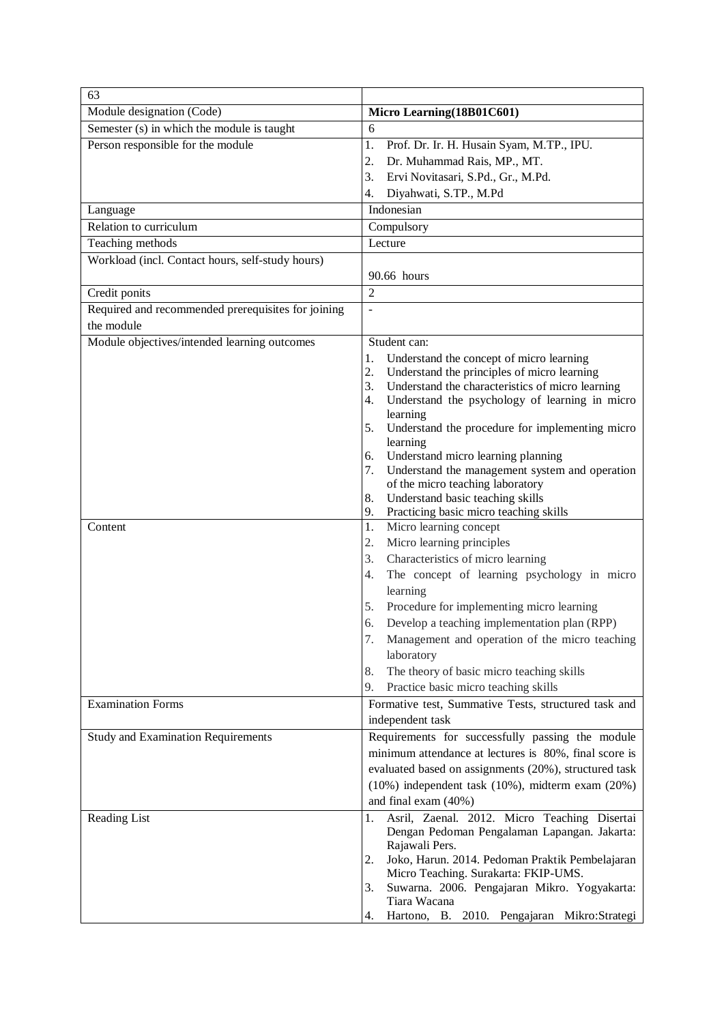| 63                                                 |                                                                |
|----------------------------------------------------|----------------------------------------------------------------|
| Module designation (Code)                          | Micro Learning(18B01C601)                                      |
| Semester (s) in which the module is taught         | 6                                                              |
| Person responsible for the module                  | 1.<br>Prof. Dr. Ir. H. Husain Syam, M.TP., IPU.                |
|                                                    | 2.<br>Dr. Muhammad Rais, MP., MT.                              |
|                                                    | 3.<br>Ervi Novitasari, S.Pd., Gr., M.Pd.                       |
|                                                    | Diyahwati, S.TP., M.Pd<br>4.                                   |
| Language                                           | Indonesian                                                     |
| Relation to curriculum                             | Compulsory                                                     |
| Teaching methods                                   | Lecture                                                        |
| Workload (incl. Contact hours, self-study hours)   |                                                                |
|                                                    | 90.66 hours                                                    |
| Credit ponits                                      | $\overline{2}$                                                 |
| Required and recommended prerequisites for joining | $\overline{a}$                                                 |
| the module                                         |                                                                |
| Module objectives/intended learning outcomes       | Student can:                                                   |
|                                                    | Understand the concept of micro learning<br>1.                 |
|                                                    | 2.<br>Understand the principles of micro learning              |
|                                                    | Understand the characteristics of micro learning<br>3.         |
|                                                    | Understand the psychology of learning in micro<br>4.           |
|                                                    | learning                                                       |
|                                                    | Understand the procedure for implementing micro<br>5.          |
|                                                    | learning<br>Understand micro learning planning<br>6.           |
|                                                    | Understand the management system and operation<br>7.           |
|                                                    | of the micro teaching laboratory                               |
|                                                    | Understand basic teaching skills<br>8.                         |
|                                                    | Practicing basic micro teaching skills<br>9.                   |
| Content                                            | Micro learning concept<br>1.                                   |
|                                                    | 2.<br>Micro learning principles                                |
|                                                    | Characteristics of micro learning<br>3.                        |
|                                                    | The concept of learning psychology in micro<br>4.              |
|                                                    | learning                                                       |
|                                                    | Procedure for implementing micro learning<br>5.                |
|                                                    | Develop a teaching implementation plan (RPP)<br>6.             |
|                                                    | Management and operation of the micro teaching<br>7.           |
|                                                    | laboratory                                                     |
|                                                    | The theory of basic micro teaching skills<br>8.                |
|                                                    | Practice basic micro teaching skills<br>9.                     |
| <b>Examination Forms</b>                           | Formative test, Summative Tests, structured task and           |
|                                                    | independent task                                               |
| <b>Study and Examination Requirements</b>          | Requirements for successfully passing the module               |
|                                                    | minimum attendance at lectures is 80%, final score is          |
|                                                    | evaluated based on assignments (20%), structured task          |
|                                                    | $(10\%)$ independent task $(10\%)$ , midterm exam $(20\%)$     |
|                                                    | and final exam (40%)                                           |
| Reading List                                       | Asril, Zaenal. 2012. Micro Teaching Disertai<br>1.             |
|                                                    | Dengan Pedoman Pengalaman Lapangan. Jakarta:<br>Rajawali Pers. |
|                                                    | Joko, Harun. 2014. Pedoman Praktik Pembelajaran<br>2.          |
|                                                    | Micro Teaching. Surakarta: FKIP-UMS.                           |
|                                                    | Suwarna. 2006. Pengajaran Mikro. Yogyakarta:<br>3.             |
|                                                    | Tiara Wacana                                                   |
|                                                    | Hartono, B. 2010. Pengajaran Mikro:Strategi<br>4.              |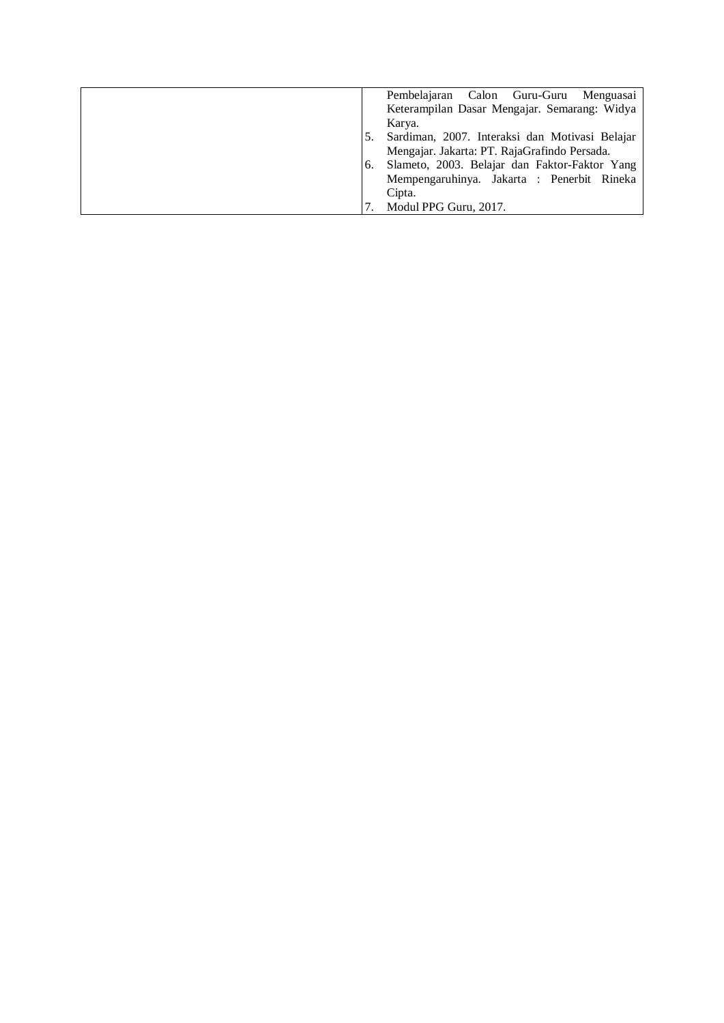|    | Pembelajaran Calon Guru-Guru<br>Menguasai      |
|----|------------------------------------------------|
|    | Keterampilan Dasar Mengajar. Semarang: Widya   |
|    | Karya.                                         |
|    | Sardiman, 2007. Interaksi dan Motivasi Belajar |
|    | Mengajar. Jakarta: PT. RajaGrafindo Persada.   |
| 6. | Slameto, 2003. Belajar dan Faktor-Faktor Yang  |
|    | Mempengaruhinya. Jakarta : Penerbit Rineka     |
|    | Cipta.                                         |
|    | Modul PPG Guru, 2017.                          |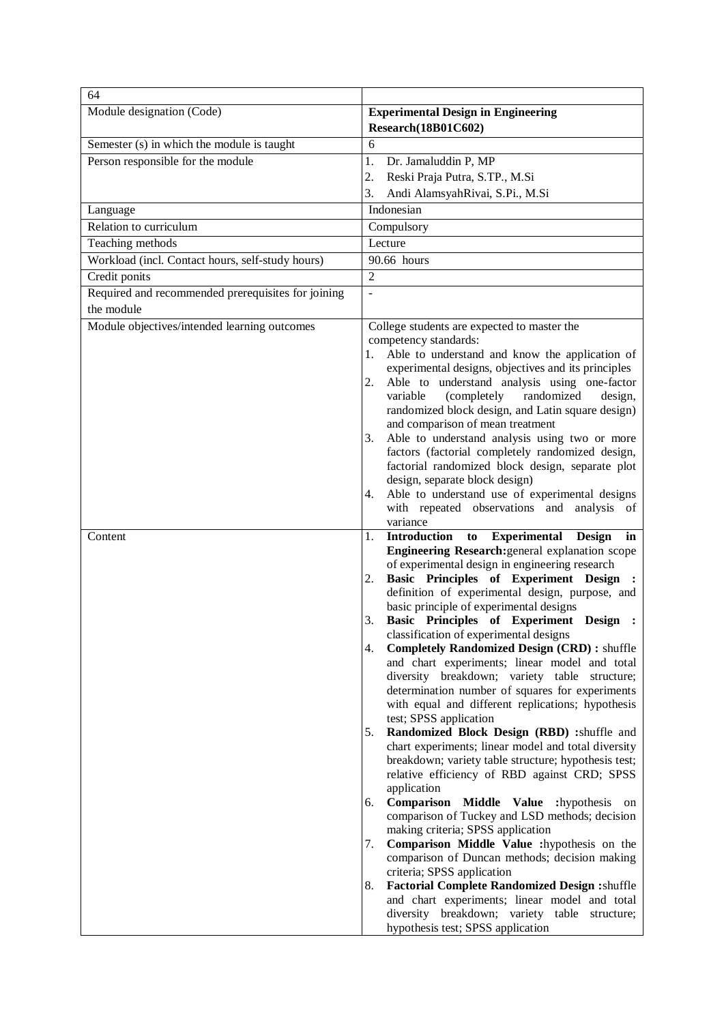| 64                                                                              |                                                                                                             |
|---------------------------------------------------------------------------------|-------------------------------------------------------------------------------------------------------------|
| Module designation (Code)                                                       | <b>Experimental Design in Engineering</b>                                                                   |
|                                                                                 | Research(18B01C602)                                                                                         |
| Semester (s) in which the module is taught<br>Person responsible for the module | 6<br>1.                                                                                                     |
|                                                                                 | Dr. Jamaluddin P, MP                                                                                        |
|                                                                                 | 2.<br>Reski Praja Putra, S.TP., M.Si<br>3.<br>Andi AlamsyahRivai, S.Pi., M.Si                               |
|                                                                                 | Indonesian                                                                                                  |
| Language<br>Relation to curriculum                                              | Compulsory                                                                                                  |
| Teaching methods                                                                | Lecture                                                                                                     |
| Workload (incl. Contact hours, self-study hours)                                | 90.66 hours                                                                                                 |
| Credit ponits                                                                   | $\overline{2}$                                                                                              |
| Required and recommended prerequisites for joining                              | ÷,                                                                                                          |
| the module                                                                      |                                                                                                             |
| Module objectives/intended learning outcomes                                    | College students are expected to master the                                                                 |
|                                                                                 | competency standards:                                                                                       |
|                                                                                 | Able to understand and know the application of<br>1.                                                        |
|                                                                                 | experimental designs, objectives and its principles                                                         |
|                                                                                 | Able to understand analysis using one-factor<br>2.                                                          |
|                                                                                 | (completely<br>randomized<br>variable<br>design,<br>randomized block design, and Latin square design)       |
|                                                                                 | and comparison of mean treatment                                                                            |
|                                                                                 | Able to understand analysis using two or more<br>3.                                                         |
|                                                                                 | factors (factorial completely randomized design,                                                            |
|                                                                                 | factorial randomized block design, separate plot                                                            |
|                                                                                 | design, separate block design)                                                                              |
|                                                                                 | Able to understand use of experimental designs<br>4.<br>with repeated observations and analysis of          |
|                                                                                 | variance                                                                                                    |
| Content                                                                         | to Experimental<br><b>Introduction</b><br>Design<br>1.<br>in                                                |
|                                                                                 | Engineering Research: general explanation scope                                                             |
|                                                                                 | of experimental design in engineering research<br>Basic Principles of Experiment Design                     |
|                                                                                 | 2.<br>definition of experimental design, purpose, and                                                       |
|                                                                                 | basic principle of experimental designs                                                                     |
|                                                                                 | Basic Principles of Experiment Design :<br>3.                                                               |
|                                                                                 | classification of experimental designs                                                                      |
|                                                                                 | <b>Completely Randomized Design (CRD):</b> shuffle<br>4.<br>and chart experiments; linear model and total   |
|                                                                                 | diversity breakdown; variety table structure;                                                               |
|                                                                                 | determination number of squares for experiments                                                             |
|                                                                                 | with equal and different replications; hypothesis                                                           |
|                                                                                 | test; SPSS application                                                                                      |
|                                                                                 | Randomized Block Design (RBD) :shuffle and<br>5.                                                            |
|                                                                                 | chart experiments; linear model and total diversity<br>breakdown; variety table structure; hypothesis test; |
|                                                                                 | relative efficiency of RBD against CRD; SPSS                                                                |
|                                                                                 | application                                                                                                 |
|                                                                                 | Comparison Middle Value :hypothesis on<br>6.                                                                |
|                                                                                 | comparison of Tuckey and LSD methods; decision                                                              |
|                                                                                 | making criteria; SPSS application<br>Comparison Middle Value :hypothesis on the<br>7.                       |
|                                                                                 | comparison of Duncan methods; decision making                                                               |
|                                                                                 | criteria; SPSS application                                                                                  |
|                                                                                 | <b>Factorial Complete Randomized Design :shuffle</b><br>8.                                                  |
|                                                                                 | and chart experiments; linear model and total                                                               |
|                                                                                 | diversity breakdown; variety table structure;                                                               |
|                                                                                 | hypothesis test; SPSS application                                                                           |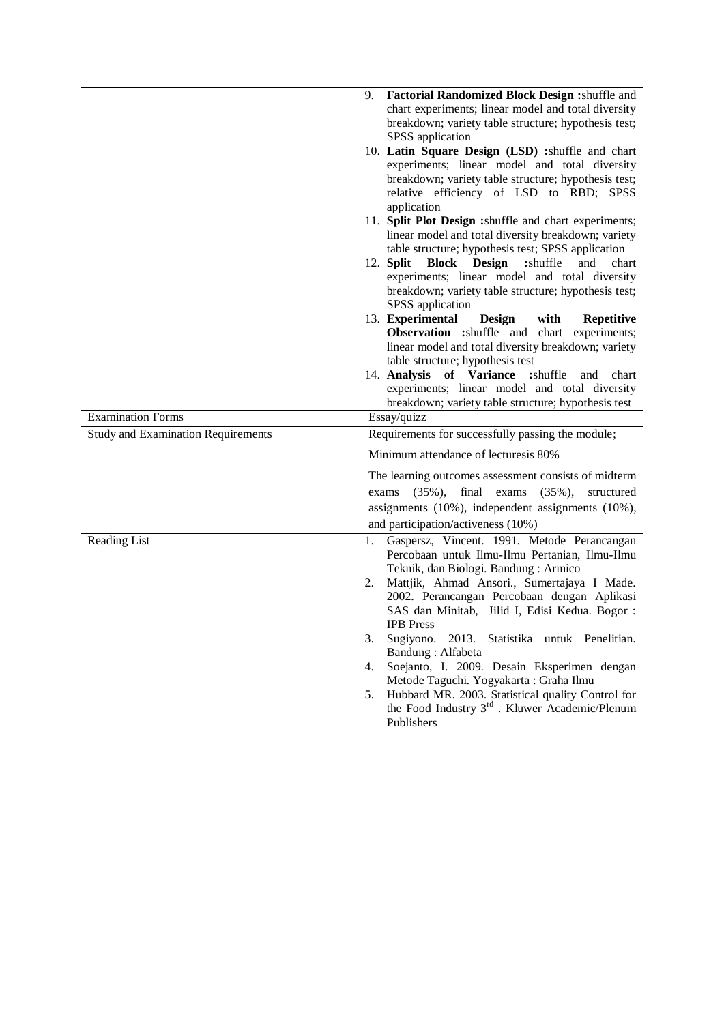|                                           | 9.<br>Factorial Randomized Block Design : shuffle and                                 |
|-------------------------------------------|---------------------------------------------------------------------------------------|
|                                           | chart experiments; linear model and total diversity                                   |
|                                           | breakdown; variety table structure; hypothesis test;                                  |
|                                           | SPSS application                                                                      |
|                                           | 10. Latin Square Design (LSD) :shuffle and chart                                      |
|                                           | experiments; linear model and total diversity                                         |
|                                           | breakdown; variety table structure; hypothesis test;                                  |
|                                           | relative efficiency of LSD to RBD; SPSS                                               |
|                                           | application                                                                           |
|                                           | 11. Split Plot Design : shuffle and chart experiments;                                |
|                                           | linear model and total diversity breakdown; variety                                   |
|                                           | table structure; hypothesis test; SPSS application                                    |
|                                           | <b>Block</b> Design<br>:shuffle<br>12. <b>Split</b><br>and<br>chart                   |
|                                           | experiments; linear model and total diversity                                         |
|                                           | breakdown; variety table structure; hypothesis test;                                  |
|                                           | SPSS application                                                                      |
|                                           | 13. Experimental<br>Design<br>with<br><b>Repetitive</b>                               |
|                                           | <b>Observation</b> : shuffle and chart experiments;                                   |
|                                           | linear model and total diversity breakdown; variety                                   |
|                                           | table structure; hypothesis test                                                      |
|                                           | 14. Analysis of Variance<br>:shuffle<br>and<br>chart                                  |
|                                           | experiments; linear model and total diversity                                         |
|                                           | breakdown; variety table structure; hypothesis test                                   |
|                                           |                                                                                       |
| <b>Examination Forms</b>                  | Essay/quizz                                                                           |
| <b>Study and Examination Requirements</b> | Requirements for successfully passing the module;                                     |
|                                           | Minimum attendance of lecturesis 80%                                                  |
|                                           | The learning outcomes assessment consists of midterm                                  |
|                                           | $(35\%)$ ,<br>final exams<br>$(35\%),$<br>exams<br>structured                         |
|                                           |                                                                                       |
|                                           | assignments (10%), independent assignments (10%),                                     |
|                                           | and participation/activeness (10%)                                                    |
| Reading List                              | Gaspersz, Vincent. 1991. Metode Perancangan<br>1.                                     |
|                                           | Percobaan untuk Ilmu-Ilmu Pertanian, Ilmu-Ilmu                                        |
|                                           | Teknik, dan Biologi. Bandung: Armico                                                  |
|                                           | Mattjik, Ahmad Ansori., Sumertajaya I Made.<br>2.                                     |
|                                           | 2002. Perancangan Percobaan dengan Aplikasi                                           |
|                                           | SAS dan Minitab, Jilid I, Edisi Kedua. Bogor :<br><b>IPB</b> Press                    |
|                                           | 3.                                                                                    |
|                                           | Sugiyono. 2013. Statistika untuk Penelitian.<br>Bandung: Alfabeta                     |
|                                           | 4.                                                                                    |
|                                           | Soejanto, I. 2009. Desain Eksperimen dengan<br>Metode Taguchi. Yogyakarta: Graha Ilmu |
|                                           | Hubbard MR. 2003. Statistical quality Control for<br>5.                               |
|                                           | the Food Industry 3 <sup>rd</sup> . Kluwer Academic/Plenum                            |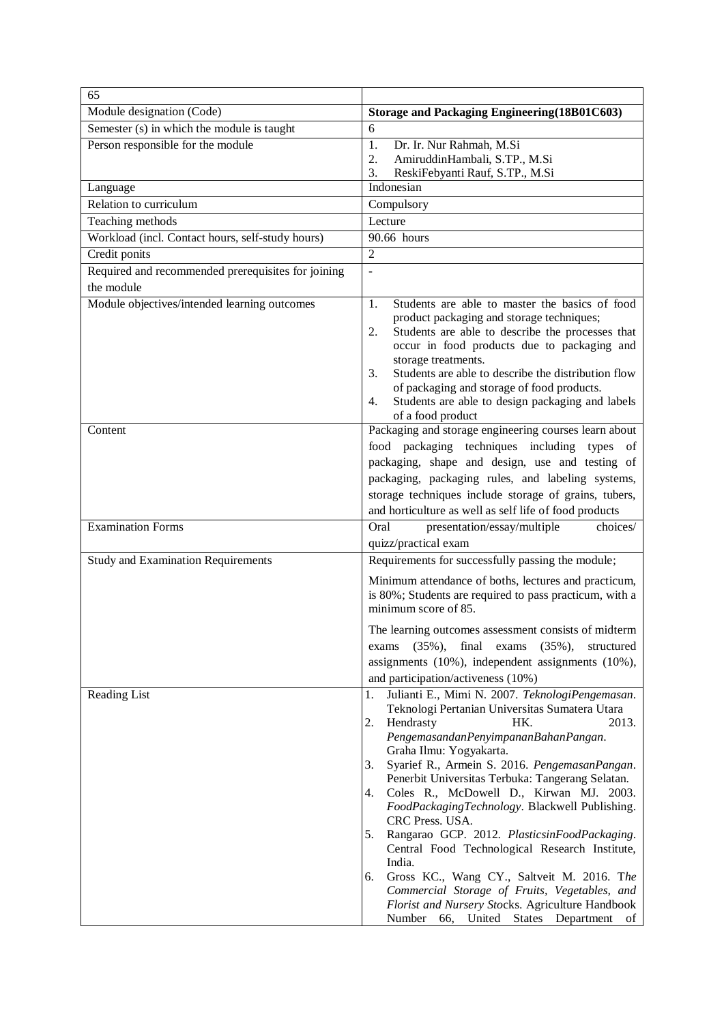| 65                                                 |                                                                                                                                                                                                                                                                                                                                  |
|----------------------------------------------------|----------------------------------------------------------------------------------------------------------------------------------------------------------------------------------------------------------------------------------------------------------------------------------------------------------------------------------|
| Module designation (Code)                          | Storage and Packaging Engineering (18B01C603)                                                                                                                                                                                                                                                                                    |
| Semester (s) in which the module is taught         | 6                                                                                                                                                                                                                                                                                                                                |
| Person responsible for the module                  | 1.<br>Dr. Ir. Nur Rahmah, M.Si                                                                                                                                                                                                                                                                                                   |
|                                                    | AmiruddinHambali, S.TP., M.Si<br>2.<br>ReskiFebyanti Rauf, S.TP., M.Si<br>3.                                                                                                                                                                                                                                                     |
| Language                                           | Indonesian                                                                                                                                                                                                                                                                                                                       |
| Relation to curriculum                             | Compulsory                                                                                                                                                                                                                                                                                                                       |
| Teaching methods                                   | Lecture                                                                                                                                                                                                                                                                                                                          |
| Workload (incl. Contact hours, self-study hours)   | 90.66 hours                                                                                                                                                                                                                                                                                                                      |
| Credit ponits                                      | 2                                                                                                                                                                                                                                                                                                                                |
| Required and recommended prerequisites for joining | $\overline{a}$                                                                                                                                                                                                                                                                                                                   |
| the module                                         |                                                                                                                                                                                                                                                                                                                                  |
| Module objectives/intended learning outcomes       | Students are able to master the basics of food<br>1.<br>product packaging and storage techniques;<br>Students are able to describe the processes that<br>2.<br>occur in food products due to packaging and<br>storage treatments.<br>Students are able to describe the distribution flow<br>3.                                   |
|                                                    | of packaging and storage of food products.<br>Students are able to design packaging and labels<br>4.<br>of a food product                                                                                                                                                                                                        |
| Content                                            | Packaging and storage engineering courses learn about<br>food packaging techniques including types of<br>packaging, shape and design, use and testing of<br>packaging, packaging rules, and labeling systems,<br>storage techniques include storage of grains, tubers,<br>and horticulture as well as self life of food products |
| <b>Examination Forms</b>                           | Oral<br>presentation/essay/multiple<br>choices/                                                                                                                                                                                                                                                                                  |
|                                                    | quizz/practical exam                                                                                                                                                                                                                                                                                                             |
| <b>Study and Examination Requirements</b>          | Requirements for successfully passing the module;                                                                                                                                                                                                                                                                                |
|                                                    | Minimum attendance of boths, lectures and practicum,<br>is 80%; Students are required to pass practicum, with a<br>minimum score of 85.                                                                                                                                                                                          |
|                                                    | The learning outcomes assessment consists of midterm                                                                                                                                                                                                                                                                             |
|                                                    | $(35\%),$ final exams $(35\%),$<br>structured<br>exams                                                                                                                                                                                                                                                                           |
|                                                    | assignments (10%), independent assignments (10%),                                                                                                                                                                                                                                                                                |
|                                                    | and participation/activeness (10%)                                                                                                                                                                                                                                                                                               |
| Reading List                                       | Julianti E., Mimi N. 2007. TeknologiPengemasan.<br>1.<br>Teknologi Pertanian Universitas Sumatera Utara<br>2.<br>HK.<br>2013.<br>Hendrasty<br>PengemasandanPenyimpananBahanPangan.<br>Graha Ilmu: Yogyakarta.<br>Syarief R., Armein S. 2016. PengemasanPangan.<br>3.<br>Penerbit Universitas Terbuka: Tangerang Selatan.         |
|                                                    | Coles R., McDowell D., Kirwan MJ. 2003.<br>4.<br>FoodPackagingTechnology. Blackwell Publishing.<br>CRC Press. USA.<br>Rangarao GCP. 2012. PlasticsinFoodPackaging.<br>5.<br>Central Food Technological Research Institute,                                                                                                       |
|                                                    | India.<br>Gross KC., Wang CY., Saltveit M. 2016. The<br>6.<br>Commercial Storage of Fruits, Vegetables, and<br>Florist and Nursery Stocks. Agriculture Handbook<br>Number 66, United States Department of                                                                                                                        |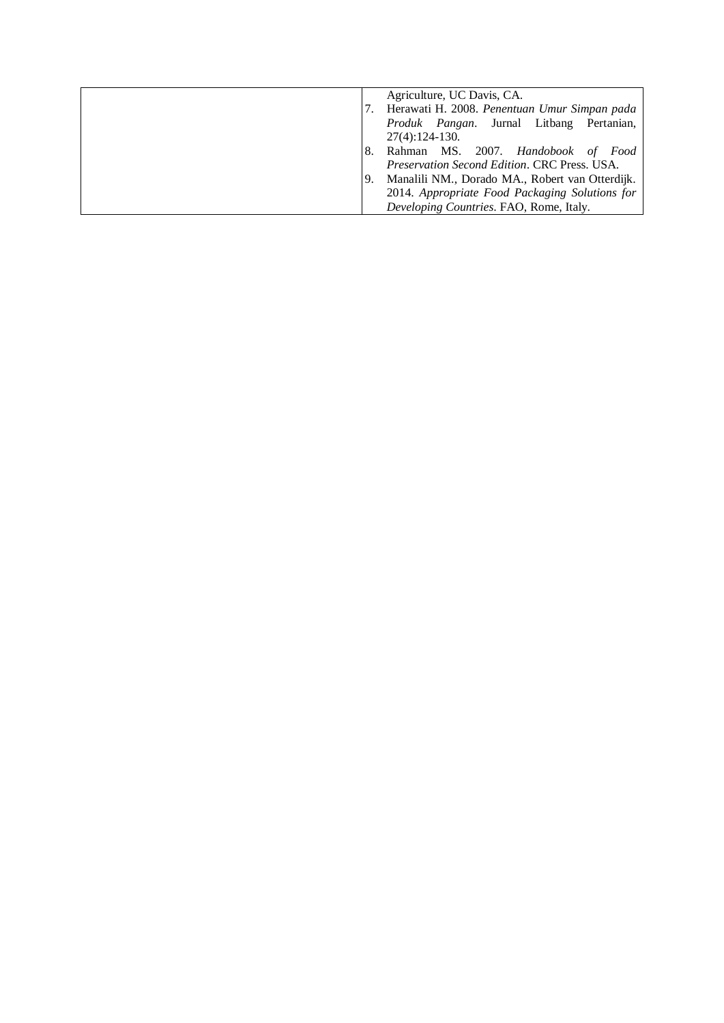|     | Agriculture, UC Davis, CA.                       |
|-----|--------------------------------------------------|
|     | Herawati H. 2008. Penentuan Umur Simpan pada     |
|     | <i>Produk Pangan</i> . Jurnal Litbang Pertanian, |
|     | $27(4):124-130.$                                 |
| 8.  | Rahman MS. 2007. Handobook of<br>Food            |
|     | Preservation Second Edition. CRC Press. USA.     |
| -9. | Manalili NM., Dorado MA., Robert van Otterdijk.  |
|     | 2014. Appropriate Food Packaging Solutions for   |
|     | Developing Countries. FAO, Rome, Italy.          |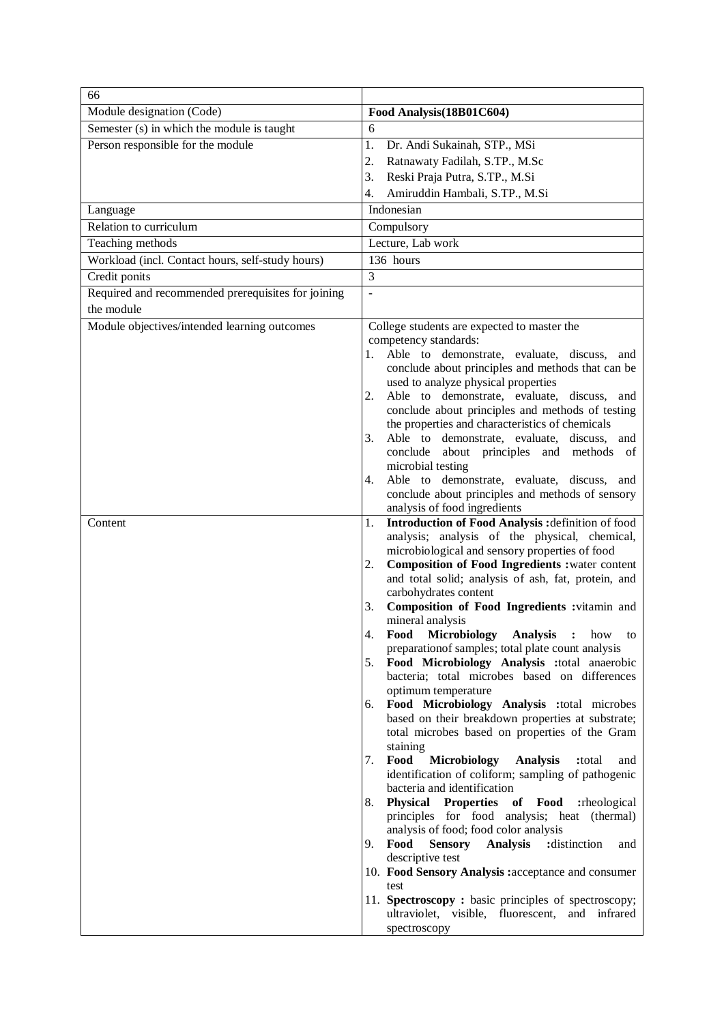| 66                                                 |                                                                                                     |
|----------------------------------------------------|-----------------------------------------------------------------------------------------------------|
| Module designation (Code)                          | Food Analysis(18B01C604)                                                                            |
| Semester (s) in which the module is taught         | 6                                                                                                   |
| Person responsible for the module                  | 1.<br>Dr. Andi Sukainah, STP., MSi                                                                  |
|                                                    | 2.<br>Ratnawaty Fadilah, S.TP., M.Sc                                                                |
|                                                    | 3.<br>Reski Praja Putra, S.TP., M.Si                                                                |
|                                                    | Amiruddin Hambali, S.TP., M.Si<br>4.                                                                |
| Language                                           | Indonesian                                                                                          |
| Relation to curriculum                             | Compulsory                                                                                          |
| Teaching methods                                   | Lecture, Lab work                                                                                   |
| Workload (incl. Contact hours, self-study hours)   | 136 hours                                                                                           |
| Credit ponits                                      | 3                                                                                                   |
| Required and recommended prerequisites for joining | $\Box$                                                                                              |
| the module                                         |                                                                                                     |
| Module objectives/intended learning outcomes       | College students are expected to master the                                                         |
|                                                    | competency standards:                                                                               |
|                                                    | Able to demonstrate, evaluate, discuss, and<br>1.                                                   |
|                                                    | conclude about principles and methods that can be                                                   |
|                                                    | used to analyze physical properties                                                                 |
|                                                    | Able to demonstrate, evaluate, discuss, and<br>2.                                                   |
|                                                    | conclude about principles and methods of testing<br>the properties and characteristics of chemicals |
|                                                    | Able to demonstrate, evaluate, discuss, and<br>3.                                                   |
|                                                    | conclude about principles and methods of                                                            |
|                                                    | microbial testing                                                                                   |
|                                                    | Able to demonstrate, evaluate, discuss, and<br>4.                                                   |
|                                                    | conclude about principles and methods of sensory                                                    |
|                                                    | analysis of food ingredients                                                                        |
| Content                                            | Introduction of Food Analysis : definition of food<br>1.                                            |
|                                                    | analysis; analysis of the physical, chemical,<br>microbiological and sensory properties of food     |
|                                                    | <b>Composition of Food Ingredients : water content</b><br>2.                                        |
|                                                    | and total solid; analysis of ash, fat, protein, and                                                 |
|                                                    | carbohydrates content                                                                               |
|                                                    | Composition of Food Ingredients : vitamin and<br>3.                                                 |
|                                                    | mineral analysis                                                                                    |
|                                                    | Food Microbiology Analysis : how to<br>preparation of samples; total plate count analysis           |
|                                                    | Food Microbiology Analysis :total anaerobic<br>5.                                                   |
|                                                    | bacteria; total microbes based on differences                                                       |
|                                                    | optimum temperature                                                                                 |
|                                                    | Food Microbiology Analysis :total microbes<br>6.                                                    |
|                                                    | based on their breakdown properties at substrate;                                                   |
|                                                    | total microbes based on properties of the Gram                                                      |
|                                                    | staining<br>Food<br><b>Microbiology</b><br><b>Analysis</b><br>7.<br>:total<br>and                   |
|                                                    | identification of coliform; sampling of pathogenic                                                  |
|                                                    | bacteria and identification                                                                         |
|                                                    | 8. Physical Properties of Food :rheological                                                         |
|                                                    | principles for food analysis; heat (thermal)                                                        |
|                                                    | analysis of food; food color analysis                                                               |
|                                                    | Food Sensory<br>9.<br><b>Analysis</b><br>:distinction<br>and                                        |
|                                                    | descriptive test<br>10. Food Sensory Analysis : acceptance and consumer                             |
|                                                    | test                                                                                                |
|                                                    | 11. Spectroscopy: basic principles of spectroscopy;                                                 |
|                                                    | ultraviolet, visible, fluorescent, and infrared                                                     |
|                                                    | spectroscopy                                                                                        |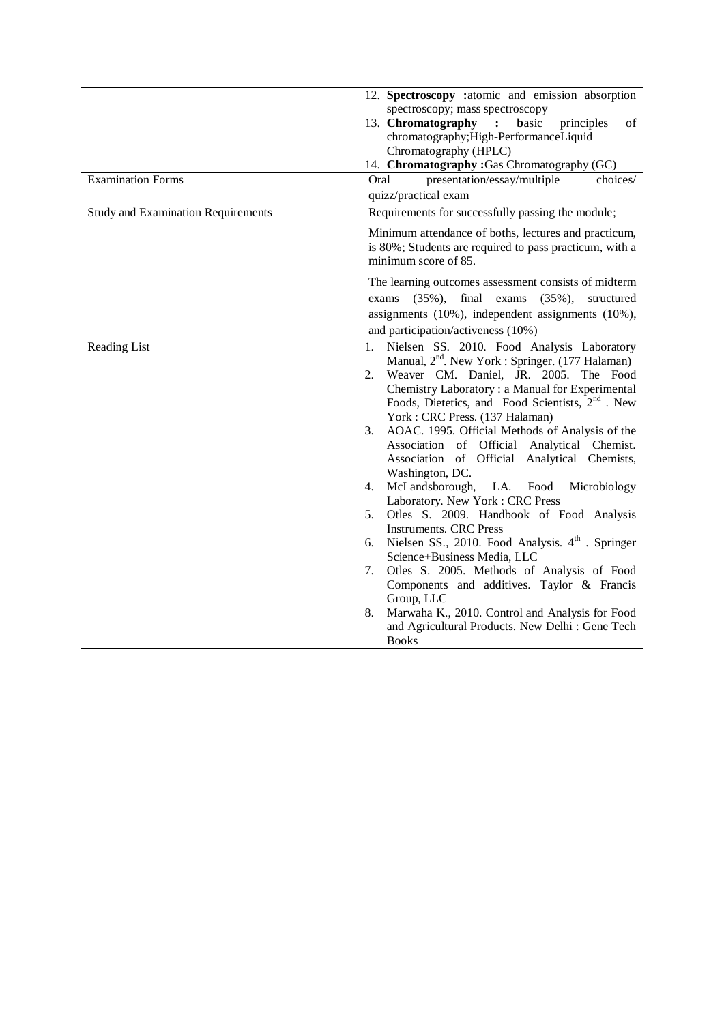| quizz/practical exam<br>Requirements for successfully passing the module;<br>Minimum attendance of boths, lectures and practicum,<br>is 80%; Students are required to pass practicum, with a<br>minimum score of 85.<br>The learning outcomes assessment consists of midterm<br>final<br>$(35\%),$<br>exams<br>$(35\%),$<br>structured<br>exams<br>assignments (10%), independent assignments (10%),<br>and participation/activeness (10%)                                                                                                                                                                                                                                                                                                                                                                                                                                                                                                                                                             |
|--------------------------------------------------------------------------------------------------------------------------------------------------------------------------------------------------------------------------------------------------------------------------------------------------------------------------------------------------------------------------------------------------------------------------------------------------------------------------------------------------------------------------------------------------------------------------------------------------------------------------------------------------------------------------------------------------------------------------------------------------------------------------------------------------------------------------------------------------------------------------------------------------------------------------------------------------------------------------------------------------------|
|                                                                                                                                                                                                                                                                                                                                                                                                                                                                                                                                                                                                                                                                                                                                                                                                                                                                                                                                                                                                        |
|                                                                                                                                                                                                                                                                                                                                                                                                                                                                                                                                                                                                                                                                                                                                                                                                                                                                                                                                                                                                        |
|                                                                                                                                                                                                                                                                                                                                                                                                                                                                                                                                                                                                                                                                                                                                                                                                                                                                                                                                                                                                        |
|                                                                                                                                                                                                                                                                                                                                                                                                                                                                                                                                                                                                                                                                                                                                                                                                                                                                                                                                                                                                        |
|                                                                                                                                                                                                                                                                                                                                                                                                                                                                                                                                                                                                                                                                                                                                                                                                                                                                                                                                                                                                        |
|                                                                                                                                                                                                                                                                                                                                                                                                                                                                                                                                                                                                                                                                                                                                                                                                                                                                                                                                                                                                        |
|                                                                                                                                                                                                                                                                                                                                                                                                                                                                                                                                                                                                                                                                                                                                                                                                                                                                                                                                                                                                        |
| Nielsen SS. 2010. Food Analysis Laboratory<br>1.<br>Manual, 2 <sup>nd</sup> . New York : Springer. (177 Halaman)<br>Weaver CM. Daniel, JR. 2005. The Food<br>2.<br>Chemistry Laboratory: a Manual for Experimental<br>Foods, Dietetics, and Food Scientists, 2 <sup>nd</sup> . New<br>York: CRC Press. (137 Halaman)<br>AOAC. 1995. Official Methods of Analysis of the<br>3.<br>Association of Official Analytical Chemist.<br>Association of Official Analytical Chemists,<br>Washington, DC.<br>4. McLandsborough, LA.<br>Food<br>Microbiology<br>Laboratory. New York: CRC Press<br>Otles S. 2009. Handbook of Food Analysis<br>5.<br><b>Instruments. CRC Press</b><br>6. Nielsen SS., 2010. Food Analysis. 4 <sup>th</sup> . Springer<br>Science+Business Media, LLC<br>Otles S. 2005. Methods of Analysis of Food<br>7.<br>Components and additives. Taylor & Francis<br>Group, LLC<br>Marwaha K., 2010. Control and Analysis for Food<br>8.<br>and Agricultural Products. New Delhi : Gene Tech |
|                                                                                                                                                                                                                                                                                                                                                                                                                                                                                                                                                                                                                                                                                                                                                                                                                                                                                                                                                                                                        |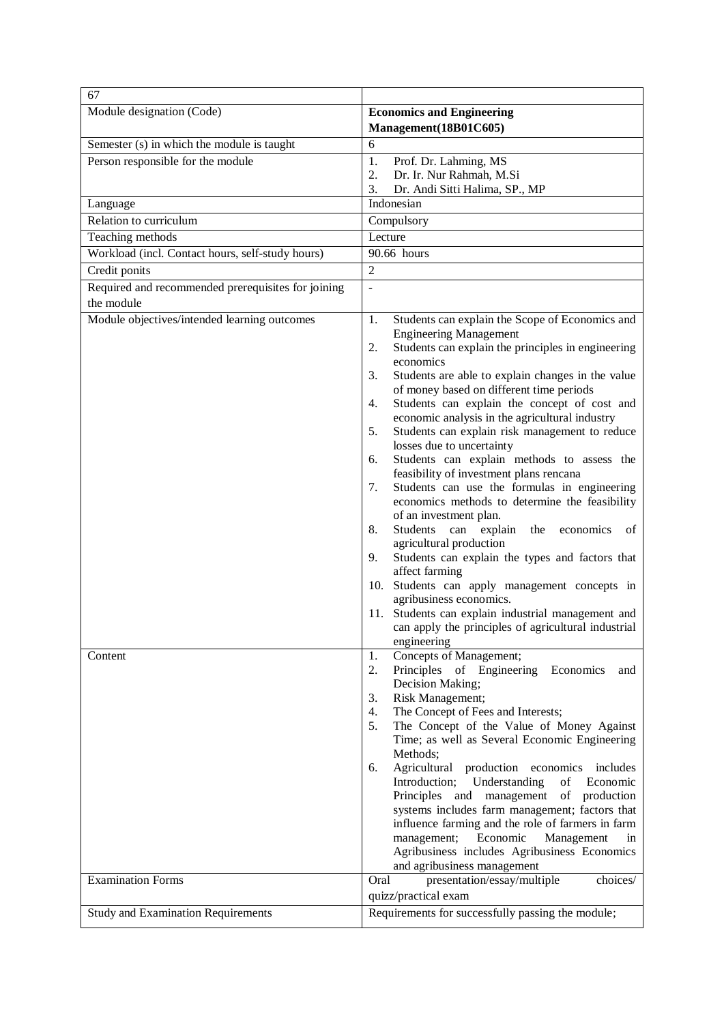| 67                                                               |                                                                                                                                                                                                                                                                                                                                                                                                                                                                                                                                                                                                                                                                                                                                                                                                                                                                                                                                                                                                                                                                                     |
|------------------------------------------------------------------|-------------------------------------------------------------------------------------------------------------------------------------------------------------------------------------------------------------------------------------------------------------------------------------------------------------------------------------------------------------------------------------------------------------------------------------------------------------------------------------------------------------------------------------------------------------------------------------------------------------------------------------------------------------------------------------------------------------------------------------------------------------------------------------------------------------------------------------------------------------------------------------------------------------------------------------------------------------------------------------------------------------------------------------------------------------------------------------|
| Module designation (Code)                                        | <b>Economics and Engineering</b><br>Management(18B01C605)                                                                                                                                                                                                                                                                                                                                                                                                                                                                                                                                                                                                                                                                                                                                                                                                                                                                                                                                                                                                                           |
| Semester (s) in which the module is taught                       | 6                                                                                                                                                                                                                                                                                                                                                                                                                                                                                                                                                                                                                                                                                                                                                                                                                                                                                                                                                                                                                                                                                   |
| Person responsible for the module                                | 1.<br>Prof. Dr. Lahming, MS<br>2.<br>Dr. Ir. Nur Rahmah, M.Si                                                                                                                                                                                                                                                                                                                                                                                                                                                                                                                                                                                                                                                                                                                                                                                                                                                                                                                                                                                                                       |
|                                                                  | 3.<br>Dr. Andi Sitti Halima, SP., MP<br>Indonesian                                                                                                                                                                                                                                                                                                                                                                                                                                                                                                                                                                                                                                                                                                                                                                                                                                                                                                                                                                                                                                  |
| Language<br>Relation to curriculum                               | Compulsory                                                                                                                                                                                                                                                                                                                                                                                                                                                                                                                                                                                                                                                                                                                                                                                                                                                                                                                                                                                                                                                                          |
|                                                                  | Lecture                                                                                                                                                                                                                                                                                                                                                                                                                                                                                                                                                                                                                                                                                                                                                                                                                                                                                                                                                                                                                                                                             |
| Teaching methods                                                 |                                                                                                                                                                                                                                                                                                                                                                                                                                                                                                                                                                                                                                                                                                                                                                                                                                                                                                                                                                                                                                                                                     |
| Workload (incl. Contact hours, self-study hours)                 | 90.66 hours                                                                                                                                                                                                                                                                                                                                                                                                                                                                                                                                                                                                                                                                                                                                                                                                                                                                                                                                                                                                                                                                         |
| Credit ponits                                                    | $\overline{2}$                                                                                                                                                                                                                                                                                                                                                                                                                                                                                                                                                                                                                                                                                                                                                                                                                                                                                                                                                                                                                                                                      |
| Required and recommended prerequisites for joining<br>the module | $\frac{1}{2}$                                                                                                                                                                                                                                                                                                                                                                                                                                                                                                                                                                                                                                                                                                                                                                                                                                                                                                                                                                                                                                                                       |
| Module objectives/intended learning outcomes                     | 1.<br>Students can explain the Scope of Economics and<br><b>Engineering Management</b><br>Students can explain the principles in engineering<br>2.<br>economics<br>3.<br>Students are able to explain changes in the value<br>of money based on different time periods<br>Students can explain the concept of cost and<br>4.<br>economic analysis in the agricultural industry<br>Students can explain risk management to reduce<br>5.<br>losses due to uncertainty<br>Students can explain methods to assess the<br>6.<br>feasibility of investment plans rencana<br>Students can use the formulas in engineering<br>7.<br>economics methods to determine the feasibility<br>of an investment plan.<br>8.<br>Students<br>explain<br>the<br>can<br>economics<br>οf<br>agricultural production<br>Students can explain the types and factors that<br>9.<br>affect farming<br>Students can apply management concepts in<br>10.<br>agribusiness economics.<br>11. Students can explain industrial management and<br>can apply the principles of agricultural industrial<br>engineering |
| Content                                                          | Concepts of Management;<br>1.<br>Principles of Engineering Economics<br>2.<br>and<br>Decision Making;<br>Risk Management;<br>3.<br>The Concept of Fees and Interests;<br>4.<br>The Concept of the Value of Money Against<br>5.<br>Time; as well as Several Economic Engineering<br>Methods;<br>Agricultural production economics<br>includes<br>6.<br>Introduction;<br>Understanding<br>of<br>Economic<br>of production<br>Principles and<br>management<br>systems includes farm management; factors that<br>influence farming and the role of farmers in farm<br>Economic<br>management;<br>Management<br>in<br>Agribusiness includes Agribusiness Economics<br>and agribusiness management                                                                                                                                                                                                                                                                                                                                                                                        |
| <b>Examination Forms</b>                                         | presentation/essay/multiple<br>Oral<br>choices/<br>quizz/practical exam                                                                                                                                                                                                                                                                                                                                                                                                                                                                                                                                                                                                                                                                                                                                                                                                                                                                                                                                                                                                             |
| <b>Study and Examination Requirements</b>                        | Requirements for successfully passing the module;                                                                                                                                                                                                                                                                                                                                                                                                                                                                                                                                                                                                                                                                                                                                                                                                                                                                                                                                                                                                                                   |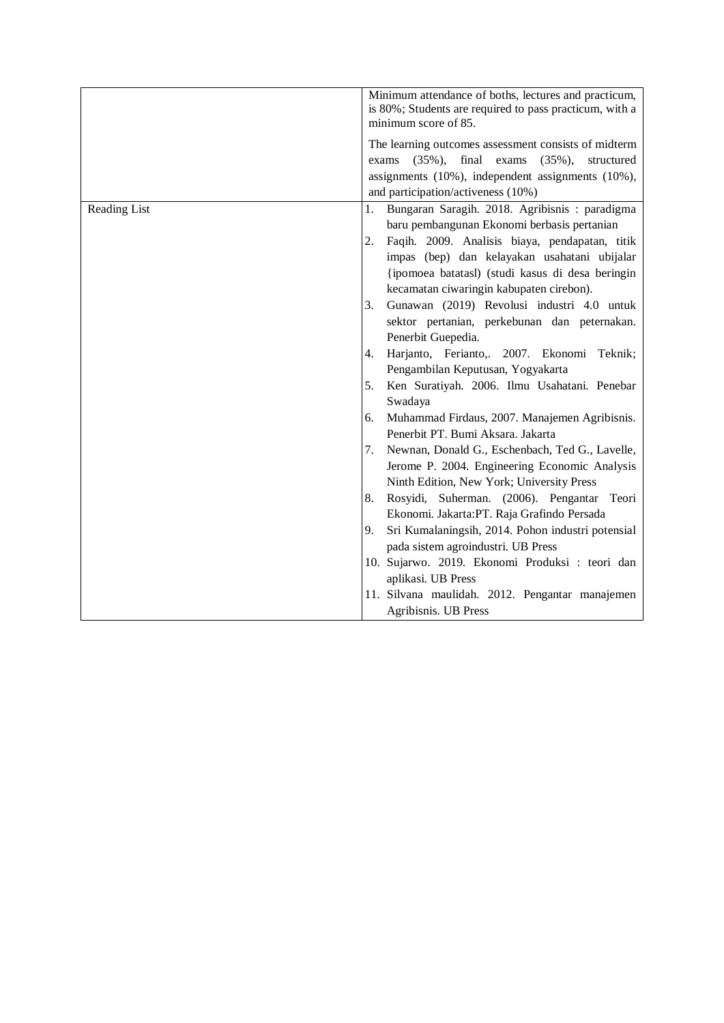|              | Minimum attendance of boths, lectures and practicum,<br>is 80%; Students are required to pass practicum, with a<br>minimum score of 85. |
|--------------|-----------------------------------------------------------------------------------------------------------------------------------------|
|              | The learning outcomes assessment consists of midterm                                                                                    |
|              | $(35\%),$<br>final<br>exams<br>$(35\%),$<br>structured<br>exams                                                                         |
|              | assignments (10%), independent assignments (10%),                                                                                       |
|              | and participation/activeness (10%)                                                                                                      |
| Reading List | Bungaran Saragih. 2018. Agribisnis: paradigma<br>1.                                                                                     |
|              | baru pembangunan Ekonomi berbasis pertanian                                                                                             |
|              | Faqih. 2009. Analisis biaya, pendapatan, titik<br>2.                                                                                    |
|              | impas (bep) dan kelayakan usahatani ubijalar                                                                                            |
|              | {ipomoea batatasl) (studi kasus di desa beringin                                                                                        |
|              | kecamatan ciwaringin kabupaten cirebon).                                                                                                |
|              | Gunawan (2019) Revolusi industri 4.0 untuk<br>3.                                                                                        |
|              | sektor pertanian, perkebunan dan peternakan.                                                                                            |
|              | Penerbit Guepedia.                                                                                                                      |
|              | Harjanto, Ferianto,. 2007. Ekonomi Teknik;<br>4.                                                                                        |
|              | Pengambilan Keputusan, Yogyakarta                                                                                                       |
|              | Ken Suratiyah. 2006. Ilmu Usahatani. Penebar<br>5.<br>Swadaya                                                                           |
|              | Muhammad Firdaus, 2007. Manajemen Agribisnis.<br>6.                                                                                     |
|              | Penerbit PT. Bumi Aksara. Jakarta                                                                                                       |
|              | Newnan, Donald G., Eschenbach, Ted G., Lavelle,<br>7.                                                                                   |
|              | Jerome P. 2004. Engineering Economic Analysis                                                                                           |
|              | Ninth Edition, New York; University Press                                                                                               |
|              | Rosyidi, Suherman. (2006). Pengantar Teori<br>8.                                                                                        |
|              | Ekonomi. Jakarta: PT. Raja Grafindo Persada                                                                                             |
|              | Sri Kumalaningsih, 2014. Pohon industri potensial<br>9.                                                                                 |
|              | pada sistem agroindustri. UB Press                                                                                                      |
|              | 10. Sujarwo. 2019. Ekonomi Produksi : teori dan                                                                                         |
|              | aplikasi. UB Press                                                                                                                      |
|              | 11. Silvana maulidah. 2012. Pengantar manajemen                                                                                         |
|              | Agribisnis. UB Press                                                                                                                    |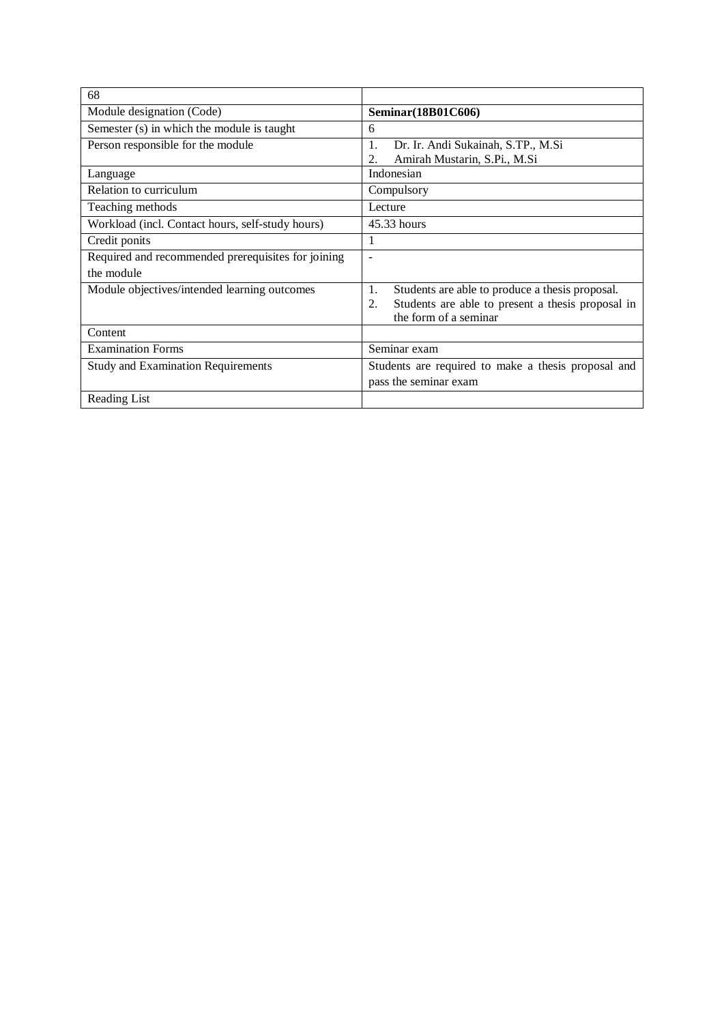| 68                                                 |                                                                                                                                           |
|----------------------------------------------------|-------------------------------------------------------------------------------------------------------------------------------------------|
| Module designation (Code)                          | Seminar(18B01C606)                                                                                                                        |
| Semester (s) in which the module is taught         | 6                                                                                                                                         |
| Person responsible for the module                  | Dr. Ir. Andi Sukainah, S.TP., M.Si<br>1.<br>Amirah Mustarin, S.Pi., M.Si<br>2.                                                            |
| Language                                           | Indonesian                                                                                                                                |
| Relation to curriculum                             | Compulsory                                                                                                                                |
| Teaching methods                                   | Lecture                                                                                                                                   |
| Workload (incl. Contact hours, self-study hours)   | 45.33 hours                                                                                                                               |
| Credit ponits                                      | 1                                                                                                                                         |
| Required and recommended prerequisites for joining | $\overline{a}$                                                                                                                            |
| the module                                         |                                                                                                                                           |
| Module objectives/intended learning outcomes       | 1.<br>Students are able to produce a thesis proposal.<br>Students are able to present a thesis proposal in<br>2.<br>the form of a seminar |
| Content                                            |                                                                                                                                           |
| <b>Examination Forms</b>                           | Seminar exam                                                                                                                              |
| <b>Study and Examination Requirements</b>          | Students are required to make a thesis proposal and                                                                                       |
|                                                    | pass the seminar exam                                                                                                                     |
| Reading List                                       |                                                                                                                                           |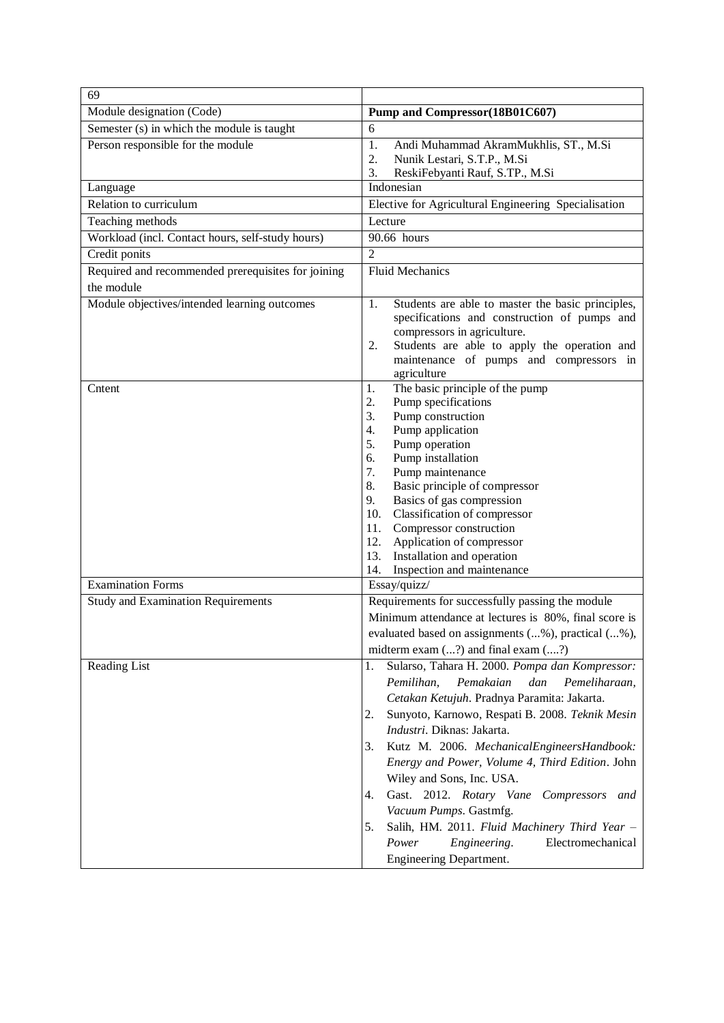| 69                                                 |                                                                                                                                                                                                                                                                                                                                                                                                                                                                                                                                                                                              |
|----------------------------------------------------|----------------------------------------------------------------------------------------------------------------------------------------------------------------------------------------------------------------------------------------------------------------------------------------------------------------------------------------------------------------------------------------------------------------------------------------------------------------------------------------------------------------------------------------------------------------------------------------------|
| Module designation (Code)                          | Pump and Compressor(18B01C607)                                                                                                                                                                                                                                                                                                                                                                                                                                                                                                                                                               |
| Semester (s) in which the module is taught         | 6                                                                                                                                                                                                                                                                                                                                                                                                                                                                                                                                                                                            |
| Person responsible for the module                  | 1.<br>Andi Muhammad AkramMukhlis, ST., M.Si<br>Nunik Lestari, S.T.P., M.Si<br>2.<br>ReskiFebyanti Rauf, S.TP., M.Si<br>3.                                                                                                                                                                                                                                                                                                                                                                                                                                                                    |
| Language                                           | Indonesian                                                                                                                                                                                                                                                                                                                                                                                                                                                                                                                                                                                   |
| Relation to curriculum                             | Elective for Agricultural Engineering Specialisation                                                                                                                                                                                                                                                                                                                                                                                                                                                                                                                                         |
| Teaching methods                                   | Lecture                                                                                                                                                                                                                                                                                                                                                                                                                                                                                                                                                                                      |
| Workload (incl. Contact hours, self-study hours)   | 90.66 hours                                                                                                                                                                                                                                                                                                                                                                                                                                                                                                                                                                                  |
| Credit ponits                                      | $\overline{2}$                                                                                                                                                                                                                                                                                                                                                                                                                                                                                                                                                                               |
| Required and recommended prerequisites for joining | <b>Fluid Mechanics</b>                                                                                                                                                                                                                                                                                                                                                                                                                                                                                                                                                                       |
| the module                                         |                                                                                                                                                                                                                                                                                                                                                                                                                                                                                                                                                                                              |
|                                                    |                                                                                                                                                                                                                                                                                                                                                                                                                                                                                                                                                                                              |
| Module objectives/intended learning outcomes       | 1.<br>Students are able to master the basic principles,<br>specifications and construction of pumps and<br>compressors in agriculture.<br>Students are able to apply the operation and<br>2.<br>maintenance of pumps and compressors in<br>agriculture                                                                                                                                                                                                                                                                                                                                       |
| Cntent                                             | The basic principle of the pump<br>1.<br>2.<br>Pump specifications<br>Pump construction<br>3.<br>Pump application<br>4.<br>5.<br>Pump operation<br>Pump installation<br>6.<br>7.<br>Pump maintenance<br>8.<br>Basic principle of compressor<br>Basics of gas compression<br>9.<br>Classification of compressor<br>10.<br>Compressor construction<br>11.<br>Application of compressor<br>12.<br>Installation and operation<br>13.<br>Inspection and maintenance<br>14.                                                                                                                        |
| <b>Examination Forms</b>                           | Essay/quizz/                                                                                                                                                                                                                                                                                                                                                                                                                                                                                                                                                                                 |
| <b>Study and Examination Requirements</b>          | Requirements for successfully passing the module                                                                                                                                                                                                                                                                                                                                                                                                                                                                                                                                             |
|                                                    | Minimum attendance at lectures is 80%, final score is                                                                                                                                                                                                                                                                                                                                                                                                                                                                                                                                        |
|                                                    | evaluated based on assignments (%), practical (%),                                                                                                                                                                                                                                                                                                                                                                                                                                                                                                                                           |
|                                                    | midterm exam $(?)$ and final exam $(?)$                                                                                                                                                                                                                                                                                                                                                                                                                                                                                                                                                      |
| <b>Reading List</b>                                | Sularso, Tahara H. 2000. Pompa dan Kompressor:<br>1.<br>Pemakaian<br>Pemilihan,<br>dan<br>Pemeliharaan,<br>Cetakan Ketujuh. Pradnya Paramita: Jakarta.<br>Sunyoto, Karnowo, Respati B. 2008. Teknik Mesin<br>2.<br>Industri. Diknas: Jakarta.<br>Kutz M. 2006. MechanicalEngineersHandbook:<br>3.<br>Energy and Power, Volume 4, Third Edition. John<br>Wiley and Sons, Inc. USA.<br>Gast. 2012. Rotary Vane Compressors and<br>4.<br>Vacuum Pumps. Gastmfg.<br>Salih, HM. 2011. Fluid Machinery Third Year -<br>5.<br>Electromechanical<br>Power<br>Engineering.<br>Engineering Department. |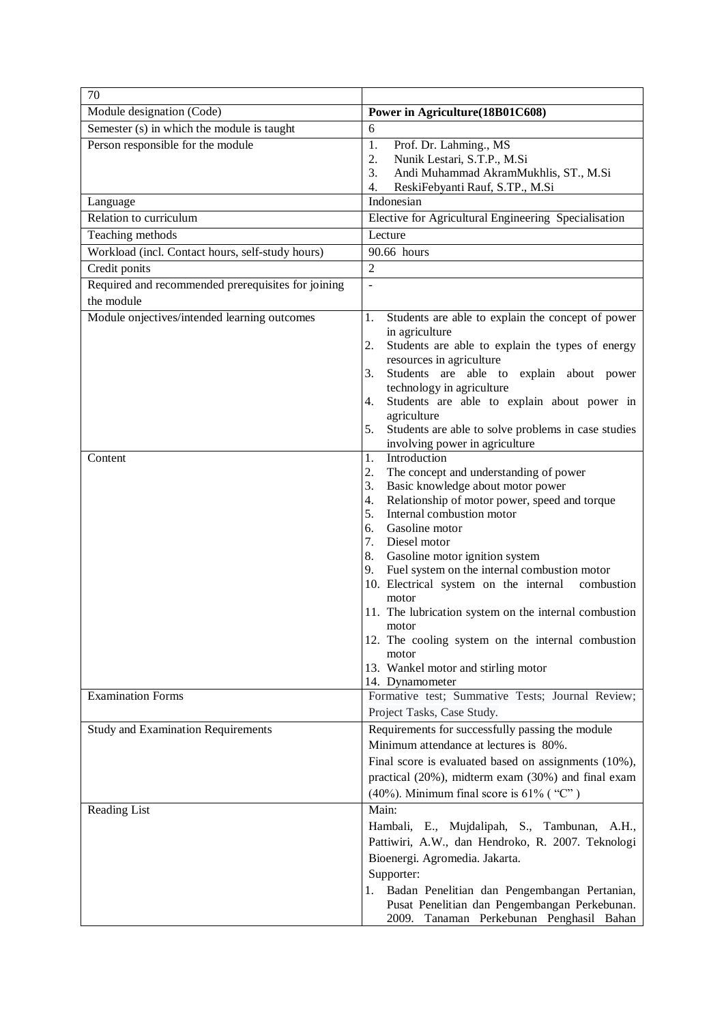| 70                                                               |                                                                                                                                                                                                                                                                                                                                                                                                                                                                                                                                                                                                            |
|------------------------------------------------------------------|------------------------------------------------------------------------------------------------------------------------------------------------------------------------------------------------------------------------------------------------------------------------------------------------------------------------------------------------------------------------------------------------------------------------------------------------------------------------------------------------------------------------------------------------------------------------------------------------------------|
| Module designation (Code)                                        | Power in Agriculture(18B01C608)                                                                                                                                                                                                                                                                                                                                                                                                                                                                                                                                                                            |
| Semester (s) in which the module is taught                       | 6                                                                                                                                                                                                                                                                                                                                                                                                                                                                                                                                                                                                          |
| Person responsible for the module                                | 1.<br>Prof. Dr. Lahming., MS<br>Nunik Lestari, S.T.P., M.Si<br>2.<br>3.<br>Andi Muhammad AkramMukhlis, ST., M.Si<br>ReskiFebyanti Rauf, S.TP., M.Si<br>4.                                                                                                                                                                                                                                                                                                                                                                                                                                                  |
| Language                                                         | Indonesian                                                                                                                                                                                                                                                                                                                                                                                                                                                                                                                                                                                                 |
| Relation to curriculum                                           | Elective for Agricultural Engineering Specialisation                                                                                                                                                                                                                                                                                                                                                                                                                                                                                                                                                       |
| Teaching methods                                                 | Lecture                                                                                                                                                                                                                                                                                                                                                                                                                                                                                                                                                                                                    |
| Workload (incl. Contact hours, self-study hours)                 | 90.66 hours                                                                                                                                                                                                                                                                                                                                                                                                                                                                                                                                                                                                |
| Credit ponits                                                    | $\overline{2}$                                                                                                                                                                                                                                                                                                                                                                                                                                                                                                                                                                                             |
| Required and recommended prerequisites for joining<br>the module | $\overline{a}$                                                                                                                                                                                                                                                                                                                                                                                                                                                                                                                                                                                             |
| Module onjectives/intended learning outcomes                     | 1.<br>Students are able to explain the concept of power<br>in agriculture<br>2.<br>Students are able to explain the types of energy<br>resources in agriculture<br>Students are able to<br>3.<br>explain about power<br>technology in agriculture<br>Students are able to explain about power in<br>4.<br>agriculture<br>Students are able to solve problems in case studies<br>5.<br>involving power in agriculture                                                                                                                                                                                       |
| Content                                                          | Introduction<br>1.<br>2.<br>The concept and understanding of power<br>Basic knowledge about motor power<br>3.<br>Relationship of motor power, speed and torque<br>4.<br>Internal combustion motor<br>5.<br>Gasoline motor<br>6.<br>7.<br>Diesel motor<br>8.<br>Gasoline motor ignition system<br>Fuel system on the internal combustion motor<br>9.<br>10. Electrical system on the internal combustion<br>motor<br>11. The lubrication system on the internal combustion<br>motor<br>12. The cooling system on the internal combustion<br>motor<br>13. Wankel motor and stirling motor<br>14. Dynamometer |
| <b>Examination Forms</b>                                         | Formative test; Summative Tests; Journal Review;<br>Project Tasks, Case Study.                                                                                                                                                                                                                                                                                                                                                                                                                                                                                                                             |
| <b>Study and Examination Requirements</b>                        | Requirements for successfully passing the module<br>Minimum attendance at lectures is 80%.<br>Final score is evaluated based on assignments (10%),<br>practical (20%), midterm exam (30%) and final exam<br>(40%). Minimum final score is $61\%$ ( "C")                                                                                                                                                                                                                                                                                                                                                    |
| Reading List                                                     | Main:<br>Hambali, E., Mujdalipah, S., Tambunan, A.H.,<br>Pattiwiri, A.W., dan Hendroko, R. 2007. Teknologi<br>Bioenergi. Agromedia. Jakarta.<br>Supporter:<br>Badan Penelitian dan Pengembangan Pertanian,<br>1.<br>Pusat Penelitian dan Pengembangan Perkebunan.<br>2009. Tanaman Perkebunan Penghasil Bahan                                                                                                                                                                                                                                                                                              |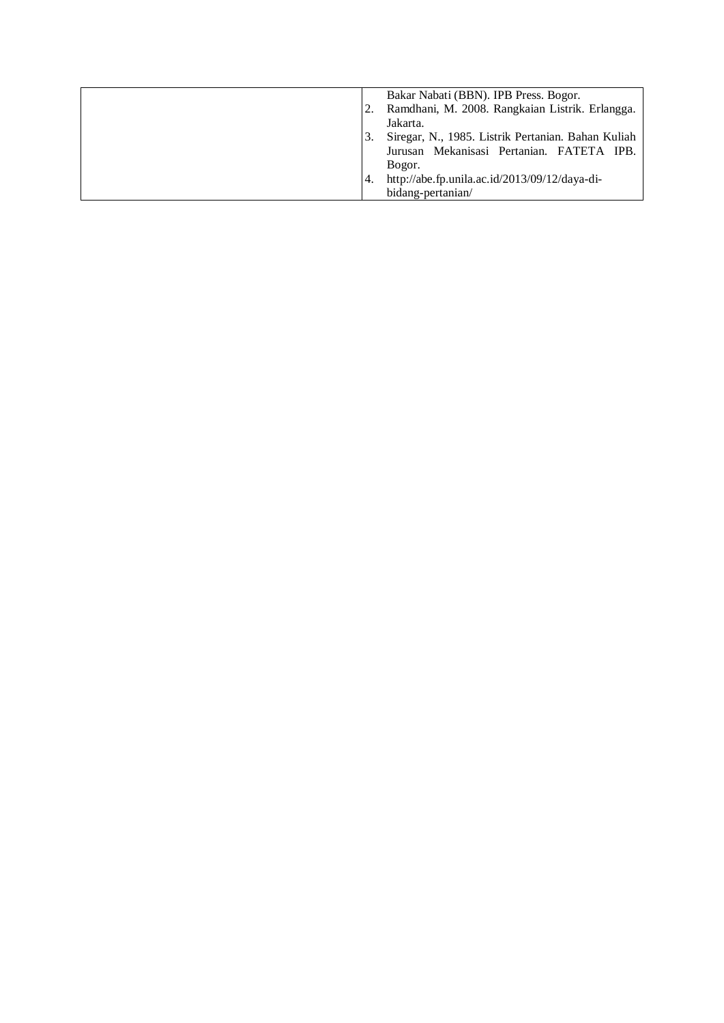|       | Bakar Nabati (BBN). IPB Press. Bogor.              |
|-------|----------------------------------------------------|
|       |                                                    |
|       | Ramdhani, M. 2008. Rangkaian Listrik. Erlangga.    |
|       | Jakarta.                                           |
| 3.    | Siregar, N., 1985. Listrik Pertanian. Bahan Kuliah |
|       | Jurusan Mekanisasi Pertanian. FATETA IPB.          |
|       | Bogor.                                             |
| $-4.$ | http://abe.fp.unila.ac.id/2013/09/12/daya-di-      |
|       | bidang-pertanian/                                  |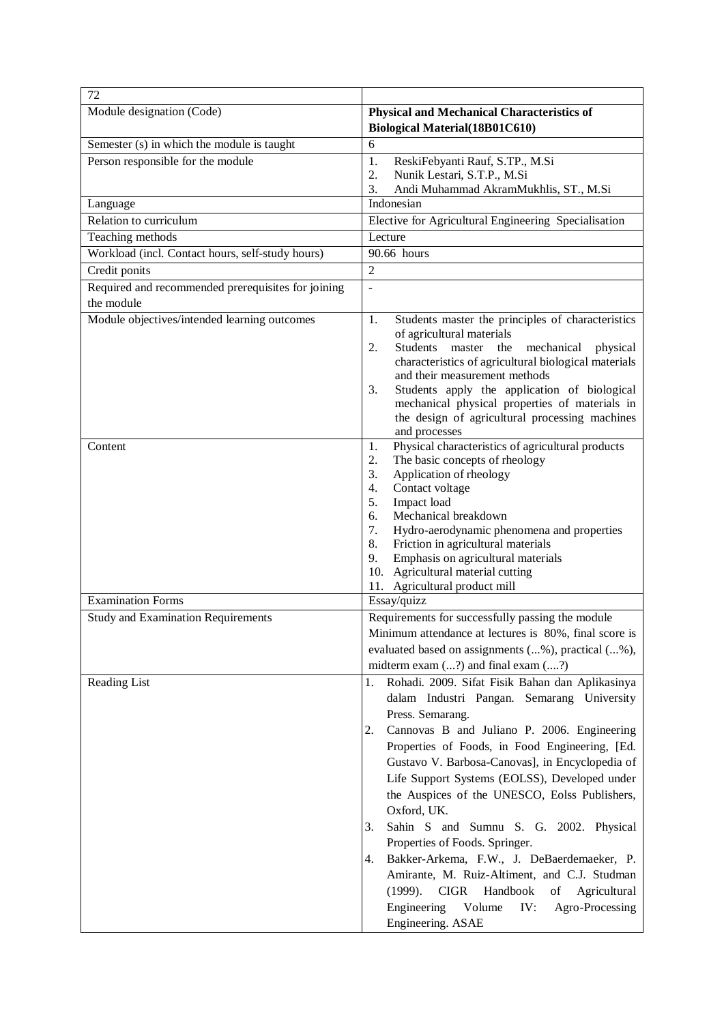| 72                                                 |                                                                                                                |
|----------------------------------------------------|----------------------------------------------------------------------------------------------------------------|
| Module designation (Code)                          | <b>Physical and Mechanical Characteristics of</b>                                                              |
|                                                    | Biological Material(18B01C610)                                                                                 |
| Semester (s) in which the module is taught         | 6                                                                                                              |
| Person responsible for the module                  | ReskiFebyanti Rauf, S.TP., M.Si<br>1.<br>2.                                                                    |
|                                                    | Nunik Lestari, S.T.P., M.Si<br>Andi Muhammad AkramMukhlis, ST., M.Si<br>3.                                     |
| Language                                           | Indonesian                                                                                                     |
| Relation to curriculum                             | Elective for Agricultural Engineering Specialisation                                                           |
| Teaching methods                                   | Lecture                                                                                                        |
| Workload (incl. Contact hours, self-study hours)   | 90.66 hours                                                                                                    |
| Credit ponits                                      | $\overline{2}$                                                                                                 |
| Required and recommended prerequisites for joining | ÷,                                                                                                             |
| the module                                         |                                                                                                                |
| Module objectives/intended learning outcomes       | Students master the principles of characteristics<br>1.                                                        |
|                                                    | of agricultural materials                                                                                      |
|                                                    | Students master<br>2.<br>the<br>mechanical<br>physical<br>characteristics of agricultural biological materials |
|                                                    | and their measurement methods                                                                                  |
|                                                    | Students apply the application of biological<br>3.                                                             |
|                                                    | mechanical physical properties of materials in                                                                 |
|                                                    | the design of agricultural processing machines<br>and processes                                                |
| Content                                            | Physical characteristics of agricultural products<br>1.                                                        |
|                                                    | The basic concepts of rheology<br>2.                                                                           |
|                                                    | Application of rheology<br>3.                                                                                  |
|                                                    | Contact voltage<br>4.                                                                                          |
|                                                    | Impact load<br>5.<br>Mechanical breakdown<br>6.                                                                |
|                                                    | 7.<br>Hydro-aerodynamic phenomena and properties                                                               |
|                                                    | 8.<br>Friction in agricultural materials                                                                       |
|                                                    | Emphasis on agricultural materials<br>9.                                                                       |
|                                                    | 10. Agricultural material cutting                                                                              |
| Examination Forms                                  | 11. Agricultural product mill<br>Essay/quizz                                                                   |
| <b>Study and Examination Requirements</b>          | Requirements for successfully passing the module                                                               |
|                                                    | Minimum attendance at lectures is 80%, final score is                                                          |
|                                                    | evaluated based on assignments (%), practical (%),                                                             |
|                                                    | midterm exam $(?)$ and final exam $(?)$                                                                        |
| Reading List                                       | Rohadi. 2009. Sifat Fisik Bahan dan Aplikasinya<br>1.                                                          |
|                                                    | dalam Industri Pangan. Semarang University                                                                     |
|                                                    | Press. Semarang.                                                                                               |
|                                                    | Cannovas B and Juliano P. 2006. Engineering<br>2.                                                              |
|                                                    | Properties of Foods, in Food Engineering, [Ed.                                                                 |
|                                                    | Gustavo V. Barbosa-Canovas], in Encyclopedia of                                                                |
|                                                    | Life Support Systems (EOLSS), Developed under                                                                  |
|                                                    | the Auspices of the UNESCO, Eolss Publishers,                                                                  |
|                                                    | Oxford, UK.                                                                                                    |
|                                                    | Sahin S and Sumnu S. G. 2002. Physical<br>3.                                                                   |
|                                                    | Properties of Foods. Springer.                                                                                 |
|                                                    | Bakker-Arkema, F.W., J. DeBaerdemaeker, P.<br>4.                                                               |
|                                                    | Amirante, M. Ruiz-Altiment, and C.J. Studman<br>Handbook<br>(1999). CIGR<br>Agricultural<br>of                 |
|                                                    | Engineering<br>Volume<br>Agro-Processing<br>IV:                                                                |
|                                                    | Engineering. ASAE                                                                                              |
|                                                    |                                                                                                                |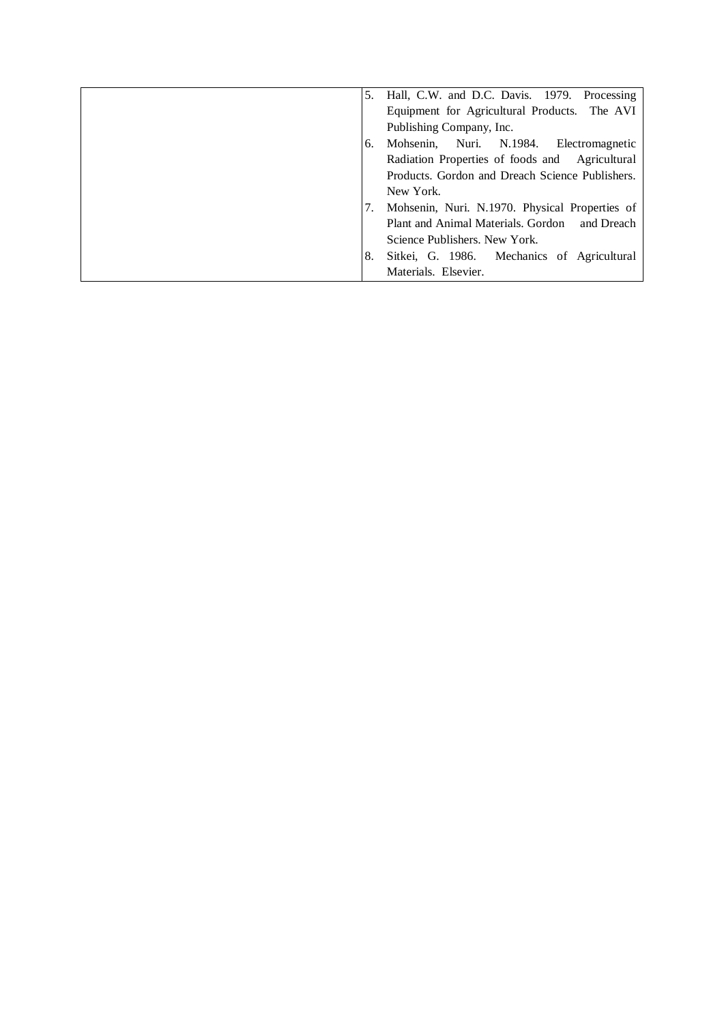| Hall, C.W. and D.C. Davis. 1979. Processing      |
|--------------------------------------------------|
| Equipment for Agricultural Products. The AVI     |
| Publishing Company, Inc.                         |
| Mohsenin, Nuri. N.1984.<br>Electromagnetic<br>6. |
| Radiation Properties of foods and Agricultural   |
| Products. Gordon and Dreach Science Publishers.  |
| New York.                                        |
| Mohsenin, Nuri. N.1970. Physical Properties of   |
| Plant and Animal Materials. Gordon<br>and Dreach |
| Science Publishers. New York.                    |
| Sitkei, G. 1986. Mechanics of Agricultural<br>8. |
| Materials. Elsevier.                             |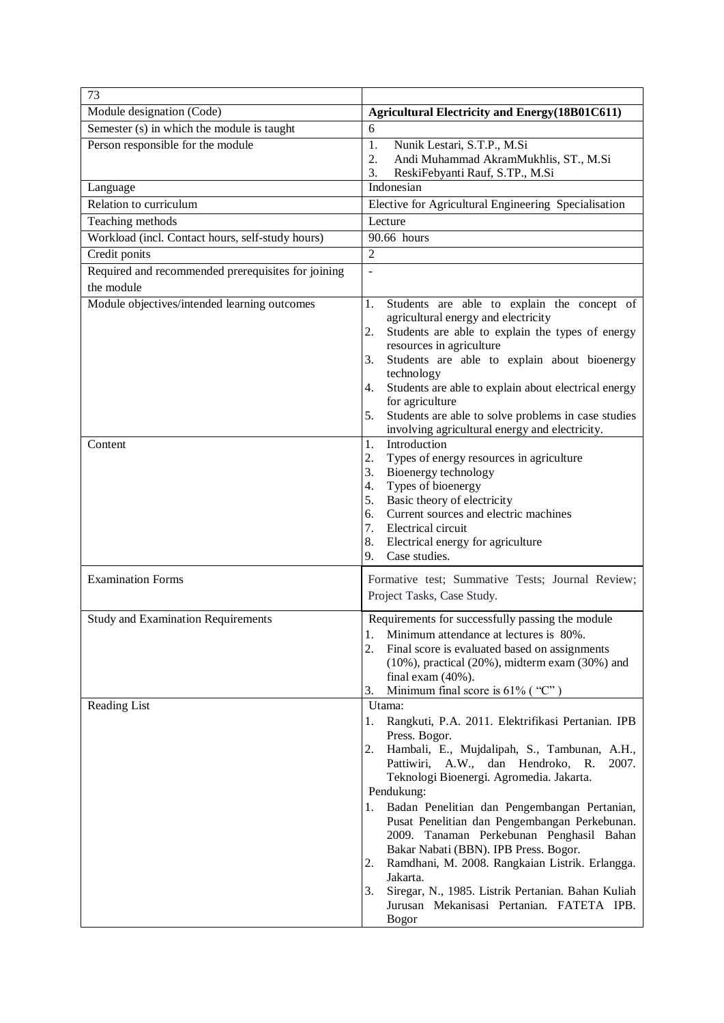| 73                                                 |                                                                                                                  |
|----------------------------------------------------|------------------------------------------------------------------------------------------------------------------|
| Module designation (Code)                          | <b>Agricultural Electricity and Energy (18B01C611)</b>                                                           |
| Semester (s) in which the module is taught         | 6                                                                                                                |
| Person responsible for the module                  | 1.<br>Nunik Lestari, S.T.P., M.Si                                                                                |
|                                                    | Andi Muhammad AkramMukhlis, ST., M.Si<br>2.                                                                      |
|                                                    | ReskiFebyanti Rauf, S.TP., M.Si<br>3.<br>Indonesian                                                              |
| Language<br>Relation to curriculum                 | Elective for Agricultural Engineering Specialisation                                                             |
| Teaching methods                                   | Lecture                                                                                                          |
| Workload (incl. Contact hours, self-study hours)   | 90.66 hours                                                                                                      |
| Credit ponits                                      | $\overline{2}$                                                                                                   |
| Required and recommended prerequisites for joining |                                                                                                                  |
| the module                                         |                                                                                                                  |
| Module objectives/intended learning outcomes       |                                                                                                                  |
|                                                    | Students are able to explain the concept of<br>1.<br>agricultural energy and electricity                         |
|                                                    | Students are able to explain the types of energy<br>2.                                                           |
|                                                    | resources in agriculture                                                                                         |
|                                                    | Students are able to explain about bioenergy<br>3.                                                               |
|                                                    | technology                                                                                                       |
|                                                    | Students are able to explain about electrical energy<br>4.<br>for agriculture                                    |
|                                                    | 5.<br>Students are able to solve problems in case studies                                                        |
|                                                    | involving agricultural energy and electricity.                                                                   |
| Content                                            | Introduction<br>1.                                                                                               |
|                                                    | Types of energy resources in agriculture<br>2.                                                                   |
|                                                    | Bioenergy technology<br>3.                                                                                       |
|                                                    | Types of bioenergy<br>4.                                                                                         |
|                                                    | Basic theory of electricity<br>5.<br>Current sources and electric machines<br>6.                                 |
|                                                    | 7.<br>Electrical circuit                                                                                         |
|                                                    | 8.<br>Electrical energy for agriculture                                                                          |
|                                                    | 9.<br>Case studies.                                                                                              |
| <b>Examination Forms</b>                           | Formative test; Summative Tests; Journal Review;                                                                 |
|                                                    | Project Tasks, Case Study.                                                                                       |
|                                                    |                                                                                                                  |
| <b>Study and Examination Requirements</b>          | Requirements for successfully passing the module                                                                 |
|                                                    | 1. Minimum attendance at lectures is 80%.                                                                        |
|                                                    | 2.<br>Final score is evaluated based on assignments<br>$(10\%)$ , practical $(20\%)$ , midterm exam $(30\%)$ and |
|                                                    | final exam $(40\%)$ .                                                                                            |
|                                                    | Minimum final score is $61\%$ ("C")<br>3.                                                                        |
| <b>Reading List</b>                                | Utama:                                                                                                           |
|                                                    | Rangkuti, P.A. 2011. Elektrifikasi Pertanian. IPB<br>1.                                                          |
|                                                    | Press. Bogor.                                                                                                    |
|                                                    | Hambali, E., Mujdalipah, S., Tambunan, A.H.,<br>2.                                                               |
|                                                    | Pattiwiri, A.W., dan Hendroko, R.<br>2007.<br>Teknologi Bioenergi. Agromedia. Jakarta.                           |
|                                                    | Pendukung:                                                                                                       |
|                                                    | Badan Penelitian dan Pengembangan Pertanian,<br>1.                                                               |
|                                                    | Pusat Penelitian dan Pengembangan Perkebunan.                                                                    |
|                                                    | 2009. Tanaman Perkebunan Penghasil Bahan                                                                         |
|                                                    | Bakar Nabati (BBN). IPB Press. Bogor.                                                                            |
|                                                    | Ramdhani, M. 2008. Rangkaian Listrik. Erlangga.<br>2.                                                            |
|                                                    | Jakarta.                                                                                                         |
|                                                    | Siregar, N., 1985. Listrik Pertanian. Bahan Kuliah<br>3.<br>Jurusan Mekanisasi Pertanian. FATETA IPB.            |
|                                                    | <b>Bogor</b>                                                                                                     |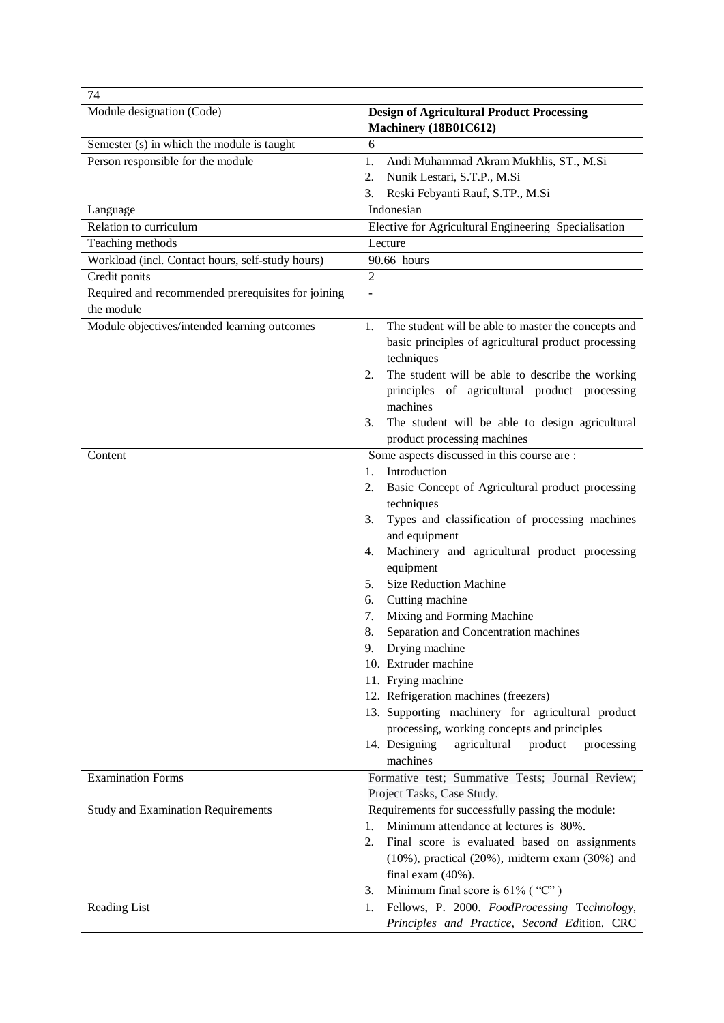| 74                                                 |                                                                           |
|----------------------------------------------------|---------------------------------------------------------------------------|
| Module designation (Code)                          | <b>Design of Agricultural Product Processing</b><br>Machinery (18B01C612) |
| Semester (s) in which the module is taught         | 6                                                                         |
| Person responsible for the module                  | 1.<br>Andi Muhammad Akram Mukhlis, ST., M.Si                              |
|                                                    | 2.<br>Nunik Lestari, S.T.P., M.Si                                         |
|                                                    | 3.<br>Reski Febyanti Rauf, S.TP., M.Si                                    |
| Language                                           | Indonesian                                                                |
| Relation to curriculum                             | Elective for Agricultural Engineering Specialisation                      |
| Teaching methods                                   | Lecture                                                                   |
| Workload (incl. Contact hours, self-study hours)   | 90.66 hours                                                               |
| Credit ponits                                      | $\overline{2}$                                                            |
| Required and recommended prerequisites for joining | ÷,                                                                        |
| the module                                         |                                                                           |
| Module objectives/intended learning outcomes       | The student will be able to master the concepts and<br>1.                 |
|                                                    | basic principles of agricultural product processing                       |
|                                                    | techniques                                                                |
|                                                    | The student will be able to describe the working<br>2.                    |
|                                                    | principles of agricultural product processing                             |
|                                                    | machines                                                                  |
|                                                    | The student will be able to design agricultural<br>3.                     |
|                                                    | product processing machines                                               |
| Content                                            | Some aspects discussed in this course are :                               |
|                                                    | Introduction<br>1.                                                        |
|                                                    | 2.<br>Basic Concept of Agricultural product processing                    |
|                                                    | techniques                                                                |
|                                                    | Types and classification of processing machines<br>3.<br>and equipment    |
|                                                    | Machinery and agricultural product processing<br>4.                       |
|                                                    | equipment                                                                 |
|                                                    | <b>Size Reduction Machine</b><br>5.                                       |
|                                                    | Cutting machine<br>6.                                                     |
|                                                    | Mixing and Forming Machine<br>7.                                          |
|                                                    | 8.<br>Separation and Concentration machines                               |
|                                                    | 9.<br>Drying machine                                                      |
|                                                    | 10. Extruder machine                                                      |
|                                                    | 11. Frying machine                                                        |
|                                                    | 12. Refrigeration machines (freezers)                                     |
|                                                    | 13. Supporting machinery for agricultural product                         |
|                                                    | processing, working concepts and principles                               |
|                                                    | 14. Designing<br>agricultural<br>product<br>processing                    |
| <b>Examination Forms</b>                           | machines<br>Formative test; Summative Tests; Journal Review;              |
|                                                    | Project Tasks, Case Study.                                                |
| <b>Study and Examination Requirements</b>          | Requirements for successfully passing the module:                         |
|                                                    | Minimum attendance at lectures is 80%.<br>1.                              |
|                                                    | 2.<br>Final score is evaluated based on assignments                       |
|                                                    | $(10\%)$ , practical $(20\%)$ , midterm exam $(30\%)$ and                 |
|                                                    | final exam $(40\%)$ .                                                     |
|                                                    | Minimum final score is 61% ("C")<br>3.                                    |
| Reading List                                       | Fellows, P. 2000. FoodProcessing Technology,<br>1.                        |
|                                                    | Principles and Practice, Second Edition. CRC                              |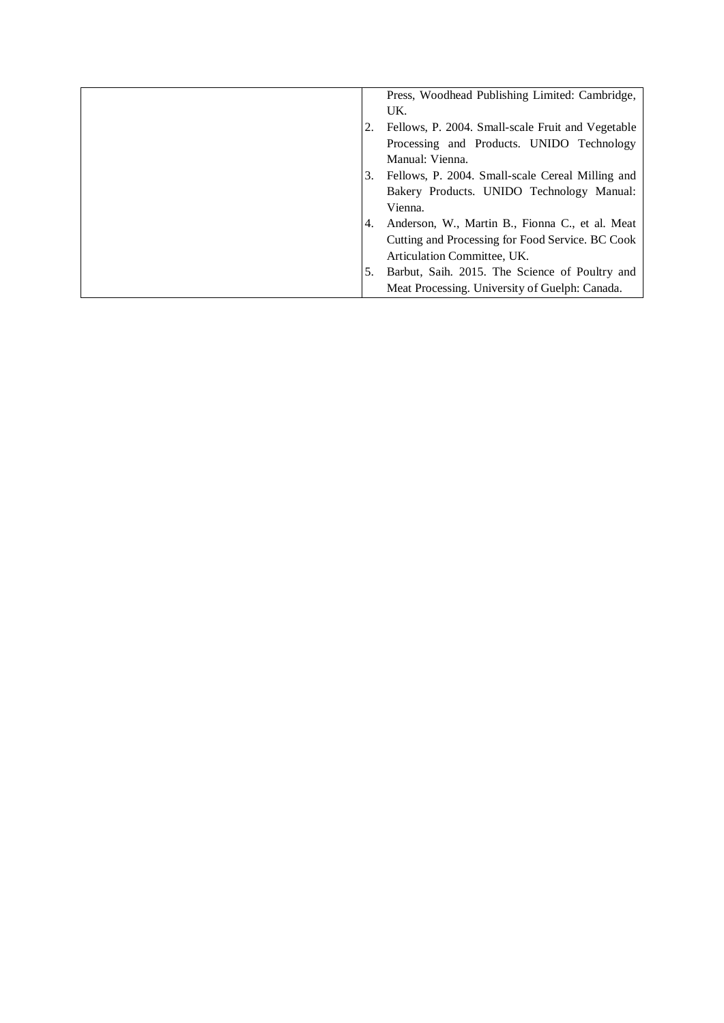|     | Press, Woodhead Publishing Limited: Cambridge,    |
|-----|---------------------------------------------------|
|     | UK.                                               |
|     | Fellows, P. 2004. Small-scale Fruit and Vegetable |
|     | Processing and Products. UNIDO Technology         |
|     | Manual: Vienna.                                   |
| 3.  | Fellows, P. 2004. Small-scale Cereal Milling and  |
|     | Bakery Products. UNIDO Technology Manual:         |
|     | Vienna.                                           |
| 4.  | Anderson, W., Martin B., Fionna C., et al. Meat   |
|     | Cutting and Processing for Food Service. BC Cook  |
|     | Articulation Committee, UK.                       |
| .5. | Barbut, Saih. 2015. The Science of Poultry and    |
|     | Meat Processing. University of Guelph: Canada.    |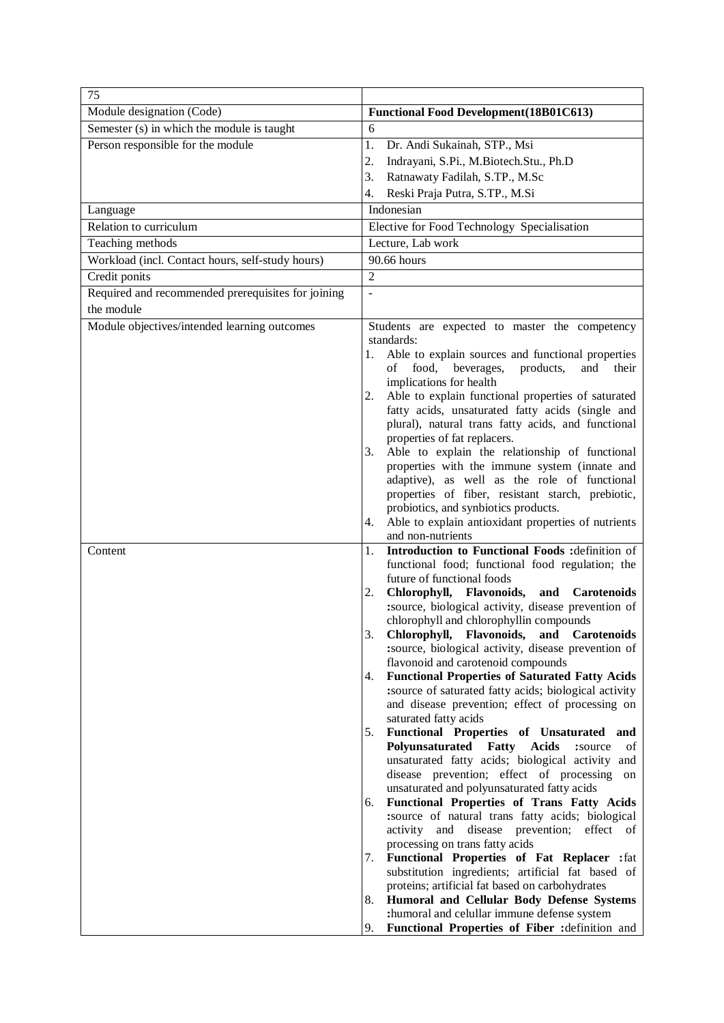| 75                                                 |                                                                                                                      |
|----------------------------------------------------|----------------------------------------------------------------------------------------------------------------------|
| Module designation (Code)                          | <b>Functional Food Development (18B01C613)</b>                                                                       |
| Semester (s) in which the module is taught         | 6                                                                                                                    |
| Person responsible for the module                  | 1.<br>Dr. Andi Sukainah, STP., Msi                                                                                   |
|                                                    | Indrayani, S.Pi., M.Biotech.Stu., Ph.D<br>2.                                                                         |
|                                                    | 3.<br>Ratnawaty Fadilah, S.TP., M.Sc                                                                                 |
|                                                    | Reski Praja Putra, S.TP., M.Si<br>4.                                                                                 |
| Language                                           | Indonesian                                                                                                           |
| Relation to curriculum                             | Elective for Food Technology Specialisation                                                                          |
| Teaching methods                                   | Lecture, Lab work                                                                                                    |
| Workload (incl. Contact hours, self-study hours)   | 90.66 hours                                                                                                          |
| Credit ponits                                      | $\overline{2}$                                                                                                       |
| Required and recommended prerequisites for joining | $\overline{a}$                                                                                                       |
| the module                                         |                                                                                                                      |
| Module objectives/intended learning outcomes       | Students are expected to master the competency                                                                       |
|                                                    | standards:                                                                                                           |
|                                                    | Able to explain sources and functional properties<br>1.<br>food,<br>products,<br>οf<br>and<br>their                  |
|                                                    | beverages,<br>implications for health                                                                                |
|                                                    | Able to explain functional properties of saturated<br>2.                                                             |
|                                                    | fatty acids, unsaturated fatty acids (single and                                                                     |
|                                                    | plural), natural trans fatty acids, and functional                                                                   |
|                                                    | properties of fat replacers.                                                                                         |
|                                                    | Able to explain the relationship of functional<br>3.                                                                 |
|                                                    | properties with the immune system (innate and<br>adaptive), as well as the role of functional                        |
|                                                    | properties of fiber, resistant starch, prebiotic,                                                                    |
|                                                    | probiotics, and synbiotics products.                                                                                 |
|                                                    | Able to explain antioxidant properties of nutrients<br>4.                                                            |
|                                                    | and non-nutrients                                                                                                    |
| Content                                            | Introduction to Functional Foods : definition of<br>1.                                                               |
|                                                    | functional food; functional food regulation; the                                                                     |
|                                                    | future of functional foods<br>Chlorophyll, Flavonoids,<br>and Carotenoids<br>2.                                      |
|                                                    | :source, biological activity, disease prevention of                                                                  |
|                                                    | chlorophyll and chlorophyllin compounds                                                                              |
|                                                    | Chlorophyll, Flavonoids, and Carotenoids                                                                             |
|                                                    | :source, biological activity, disease prevention of                                                                  |
|                                                    | flavonoid and carotenoid compounds                                                                                   |
|                                                    | <b>Functional Properties of Saturated Fatty Acids</b><br>4.<br>:source of saturated fatty acids; biological activity |
|                                                    | and disease prevention; effect of processing on                                                                      |
|                                                    | saturated fatty acids                                                                                                |
|                                                    | Functional Properties of Unsaturated and<br>5.                                                                       |
|                                                    | Polyunsaturated Fatty Acids<br>:source<br>of                                                                         |
|                                                    | unsaturated fatty acids; biological activity and                                                                     |
|                                                    | disease prevention; effect of processing on<br>unsaturated and polyunsaturated fatty acids                           |
|                                                    | Functional Properties of Trans Fatty Acids<br>6.                                                                     |
|                                                    | :source of natural trans fatty acids; biological                                                                     |
|                                                    | activity and disease prevention; effect of                                                                           |
|                                                    | processing on trans fatty acids                                                                                      |
|                                                    | <b>Functional Properties of Fat Replacer :</b> fat<br>7.                                                             |
|                                                    | substitution ingredients; artificial fat based of<br>proteins; artificial fat based on carbohydrates                 |
|                                                    | Humoral and Cellular Body Defense Systems<br>8.                                                                      |
|                                                    | :humoral and celullar immune defense system                                                                          |
|                                                    | Functional Properties of Fiber : definition and<br>9.                                                                |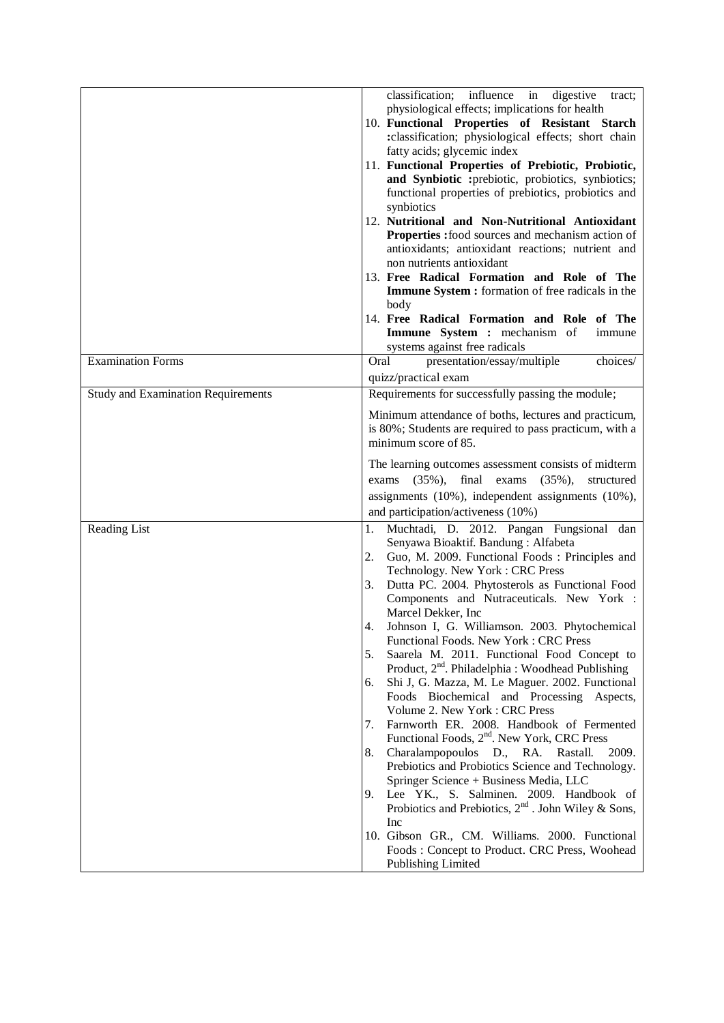|                                           | classification; influence in<br>digestive<br>tract;<br>physiological effects; implications for health<br>10. Functional Properties of Resistant Starch<br>: classification; physiological effects; short chain<br>fatty acids; glycemic index<br>11. Functional Properties of Prebiotic, Probiotic,<br>and Synbiotic : prebiotic, probiotics, synbiotics;<br>functional properties of prebiotics, probiotics and<br>synbiotics<br>12. Nutritional and Non-Nutritional Antioxidant<br>Properties : food sources and mechanism action of<br>antioxidants; antioxidant reactions; nutrient and<br>non nutrients antioxidant<br>13. Free Radical Formation and Role of The<br>Immune System : formation of free radicals in the<br>body<br>14. Free Radical Formation and Role of The                                                                                                                                                                                                                                                                                                                                                                                                              |
|-------------------------------------------|------------------------------------------------------------------------------------------------------------------------------------------------------------------------------------------------------------------------------------------------------------------------------------------------------------------------------------------------------------------------------------------------------------------------------------------------------------------------------------------------------------------------------------------------------------------------------------------------------------------------------------------------------------------------------------------------------------------------------------------------------------------------------------------------------------------------------------------------------------------------------------------------------------------------------------------------------------------------------------------------------------------------------------------------------------------------------------------------------------------------------------------------------------------------------------------------|
|                                           | Immune System : mechanism of<br>immune<br>systems against free radicals                                                                                                                                                                                                                                                                                                                                                                                                                                                                                                                                                                                                                                                                                                                                                                                                                                                                                                                                                                                                                                                                                                                        |
| <b>Examination Forms</b>                  | Oral<br>presentation/essay/multiple<br>choices/<br>quizz/practical exam                                                                                                                                                                                                                                                                                                                                                                                                                                                                                                                                                                                                                                                                                                                                                                                                                                                                                                                                                                                                                                                                                                                        |
| <b>Study and Examination Requirements</b> | Requirements for successfully passing the module;                                                                                                                                                                                                                                                                                                                                                                                                                                                                                                                                                                                                                                                                                                                                                                                                                                                                                                                                                                                                                                                                                                                                              |
|                                           | Minimum attendance of boths, lectures and practicum,<br>is 80%; Students are required to pass practicum, with a<br>minimum score of 85.<br>The learning outcomes assessment consists of midterm<br>final<br>$(35\%),$<br>$(35\%),$<br>exams<br>exams<br>structured<br>assignments $(10\%)$ , independent assignments $(10\%)$ ,<br>and participation/activeness (10%)                                                                                                                                                                                                                                                                                                                                                                                                                                                                                                                                                                                                                                                                                                                                                                                                                          |
| Reading List                              | Muchtadi, D. 2012. Pangan Fungsional dan<br>1.<br>Senyawa Bioaktif. Bandung: Alfabeta<br>Guo, M. 2009. Functional Foods: Principles and<br>2.<br>Technology. New York: CRC Press<br>Dutta PC. 2004. Phytosterols as Functional Food<br>3.<br>Components and Nutraceuticals. New York :<br>Marcel Dekker, Inc<br>Johnson I, G. Williamson. 2003. Phytochemical<br>4.<br>Functional Foods. New York: CRC Press<br>5.<br>Saarela M. 2011. Functional Food Concept to<br>Product, 2 <sup>nd</sup> . Philadelphia : Woodhead Publishing<br>Shi J, G. Mazza, M. Le Maguer. 2002. Functional<br>6.<br>Foods Biochemical and Processing Aspects,<br>Volume 2. New York: CRC Press<br>Farnworth ER. 2008. Handbook of Fermented<br>7.<br>Functional Foods, 2 <sup>nd</sup> . New York, CRC Press<br>Charalampopoulos D., RA. Rastall.<br>8.<br>2009.<br>Prebiotics and Probiotics Science and Technology.<br>Springer Science + Business Media, LLC<br>Lee YK., S. Salminen. 2009. Handbook of<br>9.<br>Probiotics and Prebiotics, $2^{nd}$ . John Wiley & Sons,<br>Inc<br>10. Gibson GR., CM. Williams. 2000. Functional<br>Foods: Concept to Product. CRC Press, Woohead<br><b>Publishing Limited</b> |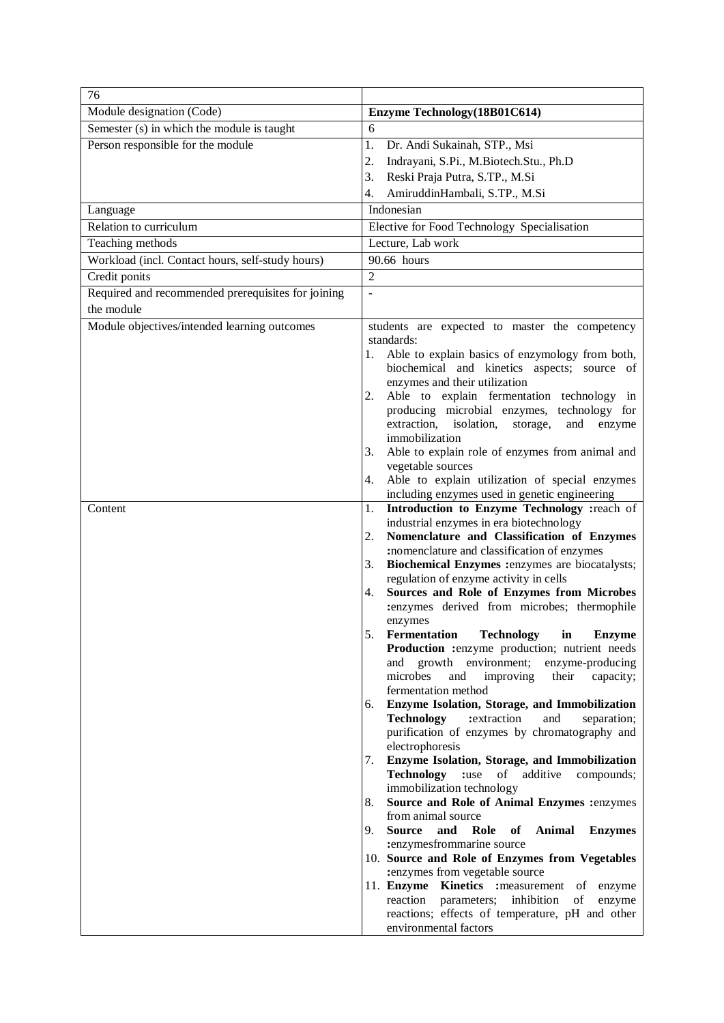| 76                                                 |                                                                                                    |
|----------------------------------------------------|----------------------------------------------------------------------------------------------------|
| Module designation (Code)                          | Enzyme Technology (18B01C614)                                                                      |
| Semester (s) in which the module is taught         | 6                                                                                                  |
| Person responsible for the module                  | 1.<br>Dr. Andi Sukainah, STP., Msi                                                                 |
|                                                    | 2.<br>Indrayani, S.Pi., M.Biotech.Stu., Ph.D                                                       |
|                                                    | Reski Praja Putra, S.TP., M.Si<br>3.                                                               |
|                                                    | AmiruddinHambali, S.TP., M.Si<br>4.                                                                |
| Language                                           | Indonesian                                                                                         |
| Relation to curriculum                             | Elective for Food Technology Specialisation                                                        |
| Teaching methods                                   | Lecture, Lab work                                                                                  |
| Workload (incl. Contact hours, self-study hours)   | 90.66 hours                                                                                        |
| Credit ponits                                      | $\overline{2}$                                                                                     |
| Required and recommended prerequisites for joining | $\overline{a}$                                                                                     |
| the module                                         |                                                                                                    |
| Module objectives/intended learning outcomes       | students are expected to master the competency                                                     |
|                                                    | standards:                                                                                         |
|                                                    | Able to explain basics of enzymology from both,<br>1.                                              |
|                                                    | biochemical and kinetics aspects; source of                                                        |
|                                                    | enzymes and their utilization                                                                      |
|                                                    | Able to explain fermentation technology in<br>2.                                                   |
|                                                    | producing microbial enzymes, technology for<br>extraction, isolation,<br>storage,<br>and<br>enzyme |
|                                                    | immobilization                                                                                     |
|                                                    | Able to explain role of enzymes from animal and<br>3.                                              |
|                                                    | vegetable sources                                                                                  |
|                                                    | Able to explain utilization of special enzymes<br>4.                                               |
|                                                    | including enzymes used in genetic engineering                                                      |
| Content                                            | Introduction to Enzyme Technology : reach of<br>1.                                                 |
|                                                    | industrial enzymes in era biotechnology<br>Nomenclature and Classification of Enzymes<br>2.        |
|                                                    | :nomenclature and classification of enzymes                                                        |
|                                                    | Biochemical Enzymes :enzymes are biocatalysts;<br>3.                                               |
|                                                    | regulation of enzyme activity in cells                                                             |
|                                                    | Sources and Role of Enzymes from Microbes<br>4.                                                    |
|                                                    | :enzymes derived from microbes; thermophile                                                        |
|                                                    | enzymes                                                                                            |
|                                                    | Fermentation Technology in<br><b>Enzyme</b><br>Production :enzyme production; nutrient needs       |
|                                                    | growth environment;<br>enzyme-producing<br>and                                                     |
|                                                    | microbes<br>improving<br>and<br>their<br>capacity;                                                 |
|                                                    | fermentation method                                                                                |
|                                                    | Enzyme Isolation, Storage, and Immobilization<br>6.                                                |
|                                                    | <b>Technology</b><br>:extraction<br>and<br>separation;                                             |
|                                                    | purification of enzymes by chromatography and                                                      |
|                                                    | electrophoresis<br>Enzyme Isolation, Storage, and Immobilization                                   |
|                                                    | 7.<br><b>Technology</b> :use of additive<br>compounds;                                             |
|                                                    | immobilization technology                                                                          |
|                                                    | Source and Role of Animal Enzymes :enzymes<br>8.                                                   |
|                                                    | from animal source                                                                                 |
|                                                    | 9.<br><b>Source</b><br>and<br>Role<br>of<br>Animal<br><b>Enzymes</b>                               |
|                                                    | :enzymesfrommarine source                                                                          |
|                                                    | 10. Source and Role of Enzymes from Vegetables<br>:enzymes from vegetable source                   |
|                                                    | 11. Enzyme Kinetics : measurement of enzyme                                                        |
|                                                    | reaction<br>parameters;<br>inhibition<br>of<br>enzyme                                              |
|                                                    | reactions; effects of temperature, pH and other                                                    |
|                                                    | environmental factors                                                                              |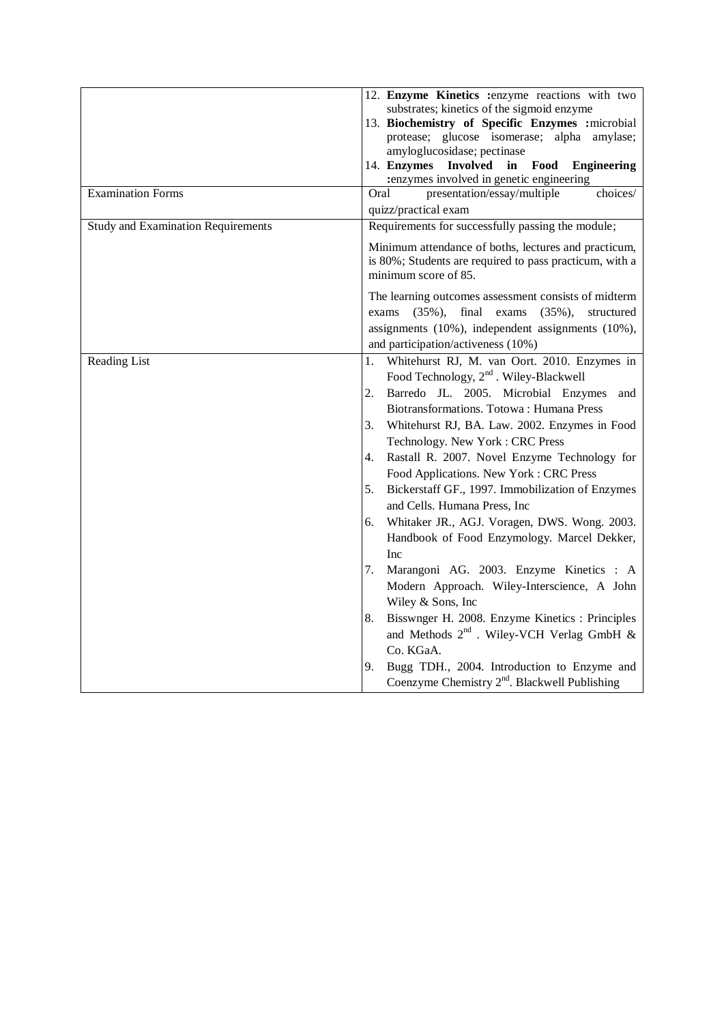|                                           | 12. Enzyme Kinetics : enzyme reactions with two                                 |
|-------------------------------------------|---------------------------------------------------------------------------------|
|                                           | substrates; kinetics of the sigmoid enzyme                                      |
|                                           | 13. Biochemistry of Specific Enzymes : microbial                                |
|                                           | protease; glucose isomerase; alpha amylase;<br>amyloglucosidase; pectinase      |
|                                           | 14. Enzymes Involved<br>in Food Engineering                                     |
|                                           | :enzymes involved in genetic engineering                                        |
| <b>Examination Forms</b>                  | presentation/essay/multiple<br>Oral<br>choices/                                 |
|                                           | quizz/practical exam                                                            |
| <b>Study and Examination Requirements</b> | Requirements for successfully passing the module;                               |
|                                           | Minimum attendance of boths, lectures and practicum,                            |
|                                           | is 80%; Students are required to pass practicum, with a<br>minimum score of 85. |
|                                           | The learning outcomes assessment consists of midterm                            |
|                                           | final<br>exams<br>$(35\%),$<br>$(35\%),$<br>exams<br>structured                 |
|                                           | assignments (10%), independent assignments (10%),                               |
|                                           | and participation/activeness (10%)                                              |
| Reading List                              | Whitehurst RJ, M. van Oort. 2010. Enzymes in<br>1.                              |
|                                           | Food Technology, 2 <sup>nd</sup> . Wiley-Blackwell                              |
|                                           | Barredo JL. 2005. Microbial Enzymes<br>2.<br>and                                |
|                                           | Biotransformations. Totowa: Humana Press                                        |
|                                           | 3. Whitehurst RJ, BA. Law. 2002. Enzymes in Food                                |
|                                           | Technology. New York: CRC Press                                                 |
|                                           | Rastall R. 2007. Novel Enzyme Technology for<br>4.                              |
|                                           | Food Applications. New York: CRC Press                                          |
|                                           | Bickerstaff GF., 1997. Immobilization of Enzymes<br>5.                          |
|                                           | and Cells. Humana Press, Inc                                                    |
|                                           | Whitaker JR., AGJ. Voragen, DWS. Wong. 2003.<br>6.                              |
|                                           | Handbook of Food Enzymology. Marcel Dekker,                                     |
|                                           | Inc                                                                             |
|                                           | Marangoni AG. 2003. Enzyme Kinetics: A<br>7.                                    |
|                                           | Modern Approach. Wiley-Interscience, A John                                     |
|                                           | Wiley & Sons, Inc.                                                              |
|                                           | Bisswnger H. 2008. Enzyme Kinetics: Principles<br>8.                            |
|                                           | and Methods $2^{nd}$ . Wiley-VCH Verlag GmbH &                                  |
|                                           | Co. KGaA.                                                                       |
|                                           | 9.<br>Bugg TDH., 2004. Introduction to Enzyme and                               |
|                                           | Coenzyme Chemistry $2^{nd}$ . Blackwell Publishing                              |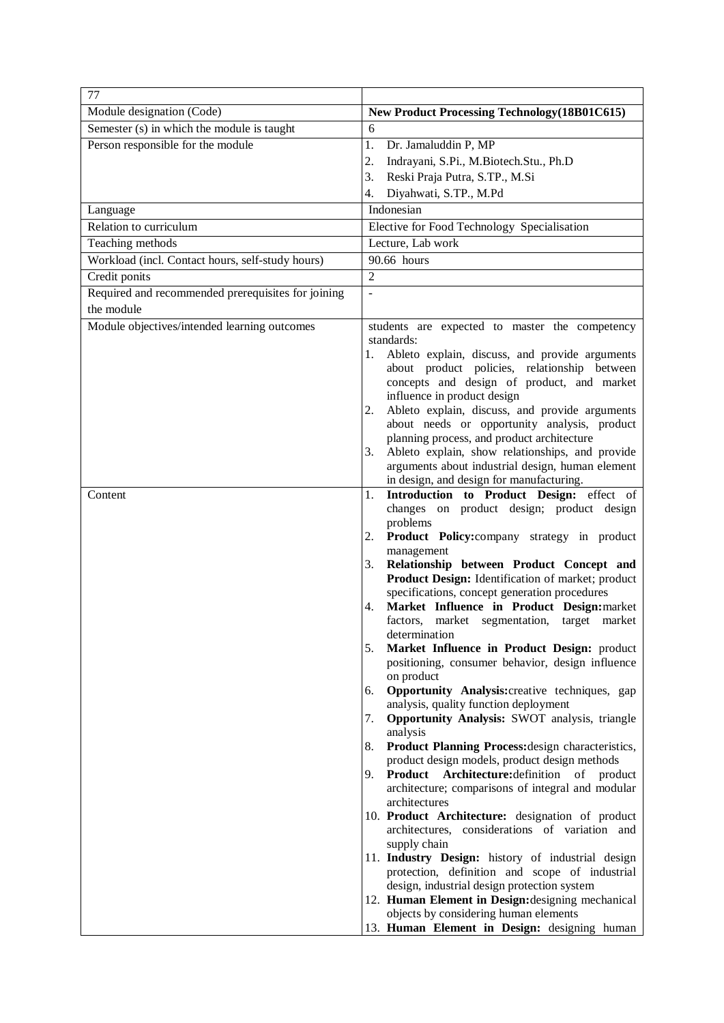| 77                                                 |                                                                                                     |
|----------------------------------------------------|-----------------------------------------------------------------------------------------------------|
| Module designation (Code)                          | <b>New Product Processing Technology (18B01C615)</b>                                                |
| Semester (s) in which the module is taught         | 6                                                                                                   |
| Person responsible for the module                  | 1.<br>Dr. Jamaluddin P, MP                                                                          |
|                                                    | Indrayani, S.Pi., M.Biotech.Stu., Ph.D<br>2.                                                        |
|                                                    | 3.<br>Reski Praja Putra, S.TP., M.Si                                                                |
|                                                    | Diyahwati, S.TP., M.Pd<br>4.                                                                        |
| Language                                           | Indonesian                                                                                          |
| Relation to curriculum                             | Elective for Food Technology Specialisation                                                         |
| Teaching methods                                   | Lecture, Lab work                                                                                   |
| Workload (incl. Contact hours, self-study hours)   | 90.66 hours                                                                                         |
| Credit ponits                                      | $\overline{2}$                                                                                      |
| Required and recommended prerequisites for joining | $\overline{a}$                                                                                      |
| the module                                         |                                                                                                     |
| Module objectives/intended learning outcomes       | students are expected to master the competency                                                      |
|                                                    | standards:                                                                                          |
|                                                    | Ableto explain, discuss, and provide arguments<br>1.                                                |
|                                                    | about product policies, relationship between<br>concepts and design of product, and market          |
|                                                    | influence in product design                                                                         |
|                                                    | Ableto explain, discuss, and provide arguments<br>2.                                                |
|                                                    | about needs or opportunity analysis, product                                                        |
|                                                    | planning process, and product architecture                                                          |
|                                                    | Ableto explain, show relationships, and provide<br>3.                                               |
|                                                    | arguments about industrial design, human element<br>in design, and design for manufacturing.        |
| Content                                            | Introduction to Product Design: effect of<br>1.                                                     |
|                                                    | changes on product design; product design                                                           |
|                                                    | problems                                                                                            |
|                                                    | Product Policy:company strategy in product<br>2.                                                    |
|                                                    | management                                                                                          |
|                                                    | Relationship between Product Concept and<br>3.                                                      |
|                                                    | Product Design: Identification of market; product<br>specifications, concept generation procedures  |
|                                                    | Market Influence in Product Design: market<br>4.                                                    |
|                                                    | factors, market segmentation, target market                                                         |
|                                                    | determination                                                                                       |
|                                                    | Market Influence in Product Design: product<br>5.                                                   |
|                                                    | positioning, consumer behavior, design influence                                                    |
|                                                    | on product<br><b>Opportunity Analysis:</b> creative techniques, gap<br>6.                           |
|                                                    | analysis, quality function deployment                                                               |
|                                                    | Opportunity Analysis: SWOT analysis, triangle<br>7.                                                 |
|                                                    | analysis                                                                                            |
|                                                    | Product Planning Process: design characteristics,<br>8.                                             |
|                                                    | product design models, product design methods<br>Product Architecture: definition of product<br>9.  |
|                                                    | architecture; comparisons of integral and modular                                                   |
|                                                    | architectures                                                                                       |
|                                                    | 10. Product Architecture: designation of product                                                    |
|                                                    | architectures, considerations of variation and                                                      |
|                                                    | supply chain                                                                                        |
|                                                    | 11. Industry Design: history of industrial design<br>protection, definition and scope of industrial |
|                                                    | design, industrial design protection system                                                         |
|                                                    | 12. Human Element in Design: designing mechanical                                                   |
|                                                    | objects by considering human elements                                                               |
|                                                    | 13. Human Element in Design: designing human                                                        |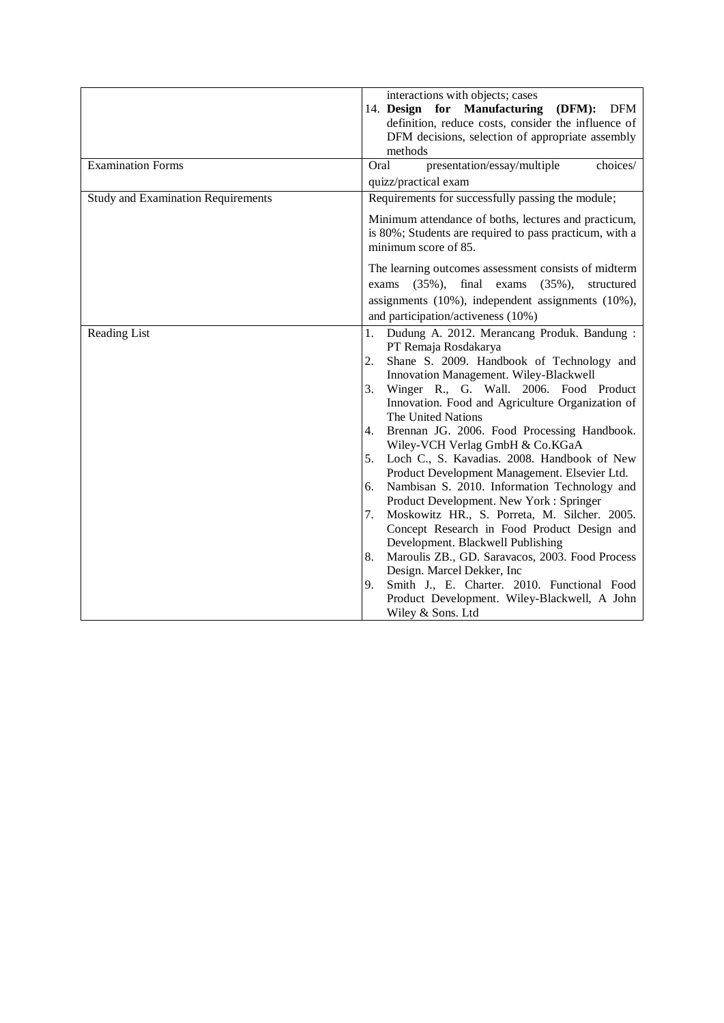|                                           | interactions with objects; cases<br>14. Design for Manufacturing<br>(DFM):<br>DFM<br>definition, reduce costs, consider the influence of<br>DFM decisions, selection of appropriate assembly<br>methods                                                                                                                                                                                                                                                                                                                                                                                                                                                                                                                                                                                                                                                                                                                                                   |
|-------------------------------------------|-----------------------------------------------------------------------------------------------------------------------------------------------------------------------------------------------------------------------------------------------------------------------------------------------------------------------------------------------------------------------------------------------------------------------------------------------------------------------------------------------------------------------------------------------------------------------------------------------------------------------------------------------------------------------------------------------------------------------------------------------------------------------------------------------------------------------------------------------------------------------------------------------------------------------------------------------------------|
| <b>Examination Forms</b>                  | Oral<br>choices/<br>presentation/essay/multiple<br>quizz/practical exam                                                                                                                                                                                                                                                                                                                                                                                                                                                                                                                                                                                                                                                                                                                                                                                                                                                                                   |
| <b>Study and Examination Requirements</b> | Requirements for successfully passing the module;                                                                                                                                                                                                                                                                                                                                                                                                                                                                                                                                                                                                                                                                                                                                                                                                                                                                                                         |
|                                           | Minimum attendance of boths, lectures and practicum,<br>is 80%; Students are required to pass practicum, with a<br>minimum score of 85.                                                                                                                                                                                                                                                                                                                                                                                                                                                                                                                                                                                                                                                                                                                                                                                                                   |
|                                           | The learning outcomes assessment consists of midterm<br>final<br>exams<br>$(35\%)$ ,<br>$(35\%)$ ,<br>structured<br>exams<br>assignments (10%), independent assignments (10%),                                                                                                                                                                                                                                                                                                                                                                                                                                                                                                                                                                                                                                                                                                                                                                            |
|                                           | and participation/activeness (10%)                                                                                                                                                                                                                                                                                                                                                                                                                                                                                                                                                                                                                                                                                                                                                                                                                                                                                                                        |
| Reading List                              | Dudung A. 2012. Merancang Produk. Bandung:<br>1.<br>PT Remaja Rosdakarya<br>Shane S. 2009. Handbook of Technology and<br>2.<br>Innovation Management. Wiley-Blackwell<br>Winger R., G. Wall. 2006. Food Product<br>3.<br>Innovation. Food and Agriculture Organization of<br>The United Nations<br>Brennan JG. 2006. Food Processing Handbook.<br>4.<br>Wiley-VCH Verlag GmbH & Co.KGaA<br>Loch C., S. Kavadias. 2008. Handbook of New<br>5.<br>Product Development Management. Elsevier Ltd.<br>Nambisan S. 2010. Information Technology and<br>6.<br>Product Development. New York: Springer<br>Moskowitz HR., S. Porreta, M. Silcher. 2005.<br>7.<br>Concept Research in Food Product Design and<br>Development. Blackwell Publishing<br>Maroulis ZB., GD. Saravacos, 2003. Food Process<br>8.<br>Design. Marcel Dekker, Inc<br>Smith J., E. Charter. 2010. Functional Food<br>9.<br>Product Development. Wiley-Blackwell, A John<br>Wiley & Sons. Ltd |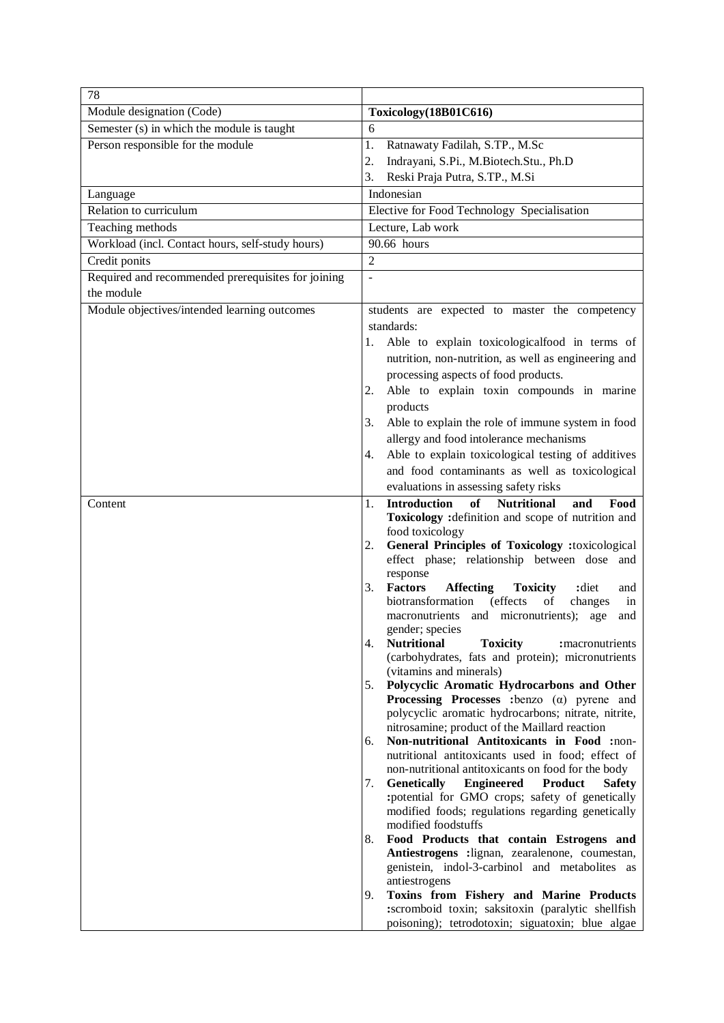| 78                                                 |                                                                                                         |
|----------------------------------------------------|---------------------------------------------------------------------------------------------------------|
| Module designation (Code)                          | Toxicology(18B01C616)                                                                                   |
| Semester (s) in which the module is taught         | 6                                                                                                       |
| Person responsible for the module                  | 1.<br>Ratnawaty Fadilah, S.TP., M.Sc                                                                    |
|                                                    | 2.<br>Indrayani, S.Pi., M.Biotech.Stu., Ph.D                                                            |
|                                                    | 3.<br>Reski Praja Putra, S.TP., M.Si                                                                    |
| Language                                           | Indonesian                                                                                              |
| Relation to curriculum                             | Elective for Food Technology Specialisation                                                             |
| Teaching methods                                   | Lecture, Lab work                                                                                       |
| Workload (incl. Contact hours, self-study hours)   | 90.66 hours                                                                                             |
| Credit ponits                                      | $\overline{2}$                                                                                          |
| Required and recommended prerequisites for joining | $\overline{a}$                                                                                          |
| the module                                         |                                                                                                         |
| Module objectives/intended learning outcomes       | students are expected to master the competency                                                          |
|                                                    | standards:                                                                                              |
|                                                    | Able to explain toxicologicalfood in terms of<br>1.                                                     |
|                                                    | nutrition, non-nutrition, as well as engineering and                                                    |
|                                                    | processing aspects of food products.                                                                    |
|                                                    | Able to explain toxin compounds in marine<br>2.                                                         |
|                                                    | products                                                                                                |
|                                                    | Able to explain the role of immune system in food<br>3.                                                 |
|                                                    | allergy and food intolerance mechanisms                                                                 |
|                                                    | Able to explain toxicological testing of additives<br>4.                                                |
|                                                    | and food contaminants as well as toxicological                                                          |
|                                                    | evaluations in assessing safety risks                                                                   |
| Content                                            | of<br><b>Nutritional</b><br><b>Introduction</b><br>Food<br>and<br>1.                                    |
|                                                    | Toxicology : definition and scope of nutrition and                                                      |
|                                                    | food toxicology                                                                                         |
|                                                    | <b>General Principles of Toxicology :toxicological</b><br>2.                                            |
|                                                    | effect phase; relationship between dose and<br>response                                                 |
|                                                    | <b>Factors</b><br><b>Affecting</b><br>:diet<br>3.<br><b>Toxicity</b><br>and                             |
|                                                    | biotransformation<br>(effects<br>of<br>changes<br>in                                                    |
|                                                    | and micronutrients);<br>macronutrients<br>age<br>and                                                    |
|                                                    | gender; species                                                                                         |
|                                                    | <b>Nutritional</b><br><b>Toxicity</b><br>4.<br>: macronutrients                                         |
|                                                    | (carbohydrates, fats and protein); micronutrients<br>(vitamins and minerals)                            |
|                                                    | Polycyclic Aromatic Hydrocarbons and Other<br>5.                                                        |
|                                                    | <b>Processing Processes</b> : benzo $(\alpha)$ pyrene and                                               |
|                                                    | polycyclic aromatic hydrocarbons; nitrate, nitrite,                                                     |
|                                                    | nitrosamine; product of the Maillard reaction                                                           |
|                                                    | Non-nutritional Antitoxicants in Food :non-<br>6.                                                       |
|                                                    | nutritional antitoxicants used in food; effect of<br>non-nutritional antitoxicants on food for the body |
|                                                    | <b>Engineered</b><br><b>Genetically</b><br><b>Product</b><br>7.<br><b>Safety</b>                        |
|                                                    | :potential for GMO crops; safety of genetically                                                         |
|                                                    | modified foods; regulations regarding genetically                                                       |
|                                                    | modified foodstuffs                                                                                     |
|                                                    | Food Products that contain Estrogens and<br>8.                                                          |
|                                                    | Antiestrogens :lignan, zearalenone, coumestan,<br>genistein, indol-3-carbinol and metabolites as        |
|                                                    | antiestrogens                                                                                           |
|                                                    | Toxins from Fishery and Marine Products<br>9.                                                           |
|                                                    | :scromboid toxin; saksitoxin (paralytic shellfish                                                       |
|                                                    | poisoning); tetrodotoxin; siguatoxin; blue algae                                                        |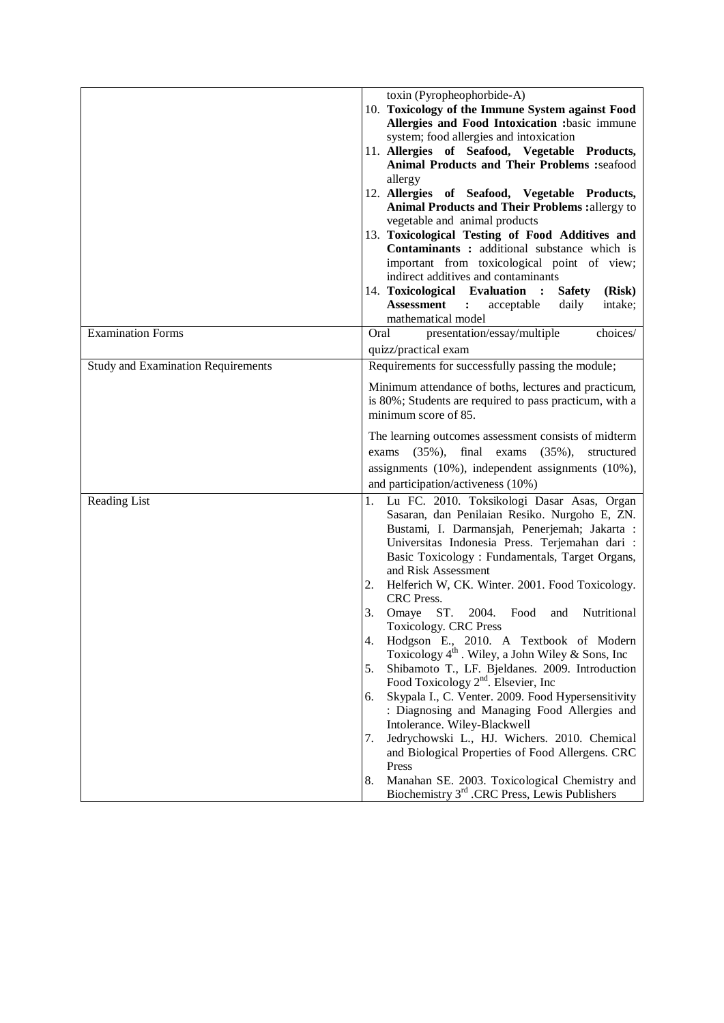|                                           | toxin (Pyropheophorbide-A)                                                                                   |
|-------------------------------------------|--------------------------------------------------------------------------------------------------------------|
|                                           | 10. Toxicology of the Immune System against Food                                                             |
|                                           | Allergies and Food Intoxication :basic immune                                                                |
|                                           | system; food allergies and intoxication                                                                      |
|                                           | 11. Allergies of Seafood, Vegetable Products,                                                                |
|                                           | <b>Animal Products and Their Problems :seafood</b>                                                           |
|                                           | allergy                                                                                                      |
|                                           | 12. Allergies of Seafood, Vegetable Products,                                                                |
|                                           | <b>Animal Products and Their Problems:</b> allergy to                                                        |
|                                           | vegetable and animal products                                                                                |
|                                           | 13. Toxicological Testing of Food Additives and                                                              |
|                                           | Contaminants : additional substance which is                                                                 |
|                                           | important from toxicological point of view;                                                                  |
|                                           | indirect additives and contaminants                                                                          |
|                                           | 14. Toxicological Evaluation :<br><b>Safety</b><br>(Risk)                                                    |
|                                           | <b>Assessment</b><br>acceptable<br>daily<br>intake;<br>$\ddot{\cdot}$<br>mathematical model                  |
| <b>Examination Forms</b>                  |                                                                                                              |
|                                           | presentation/essay/multiple<br>Oral<br>choices/                                                              |
|                                           | quizz/practical exam                                                                                         |
| <b>Study and Examination Requirements</b> | Requirements for successfully passing the module;                                                            |
|                                           | Minimum attendance of boths, lectures and practicum,                                                         |
|                                           | is 80%; Students are required to pass practicum, with a                                                      |
|                                           | minimum score of 85.                                                                                         |
|                                           |                                                                                                              |
|                                           | The learning outcomes assessment consists of midterm                                                         |
|                                           | $(35\%),$<br>final<br>$(35\%),$<br>exams<br>structured<br>exams                                              |
|                                           | assignments (10%), independent assignments (10%),                                                            |
|                                           | and participation/activeness (10%)                                                                           |
| Reading List                              | Lu FC. 2010. Toksikologi Dasar Asas, Organ                                                                   |
|                                           | Sasaran, dan Penilaian Resiko. Nurgoho E, ZN.                                                                |
|                                           | Bustami, I. Darmansjah, Penerjemah; Jakarta :                                                                |
|                                           | Universitas Indonesia Press. Terjemahan dari :                                                               |
|                                           | Basic Toxicology : Fundamentals, Target Organs,                                                              |
|                                           | and Risk Assessment                                                                                          |
|                                           | Helferich W, CK. Winter. 2001. Food Toxicology.<br>2.<br>CRC Press.                                          |
|                                           | ST.<br>2004.<br>Nutritional<br>3.<br>Omaye<br>Food<br>and                                                    |
|                                           | Toxicology. CRC Press                                                                                        |
|                                           | 4.<br>Hodgson E., 2010. A Textbook of Modern<br>Toxicology $4^{\text{th}}$ . Wiley, a John Wiley & Sons, Inc |
|                                           | Shibamoto T., LF. Bjeldanes. 2009. Introduction<br>5.                                                        |
|                                           | Food Toxicology $2nd$ . Elsevier, Inc                                                                        |
|                                           | Skypala I., C. Venter. 2009. Food Hypersensitivity<br>6.                                                     |
|                                           | : Diagnosing and Managing Food Allergies and                                                                 |
|                                           | Intolerance. Wiley-Blackwell                                                                                 |
|                                           | Jedrychowski L., HJ. Wichers. 2010. Chemical<br>7.                                                           |
|                                           | and Biological Properties of Food Allergens. CRC                                                             |
|                                           | Press                                                                                                        |
|                                           | Manahan SE. 2003. Toxicological Chemistry and<br>8.                                                          |
|                                           | Biochemistry 3 <sup>rd</sup> .CRC Press, Lewis Publishers                                                    |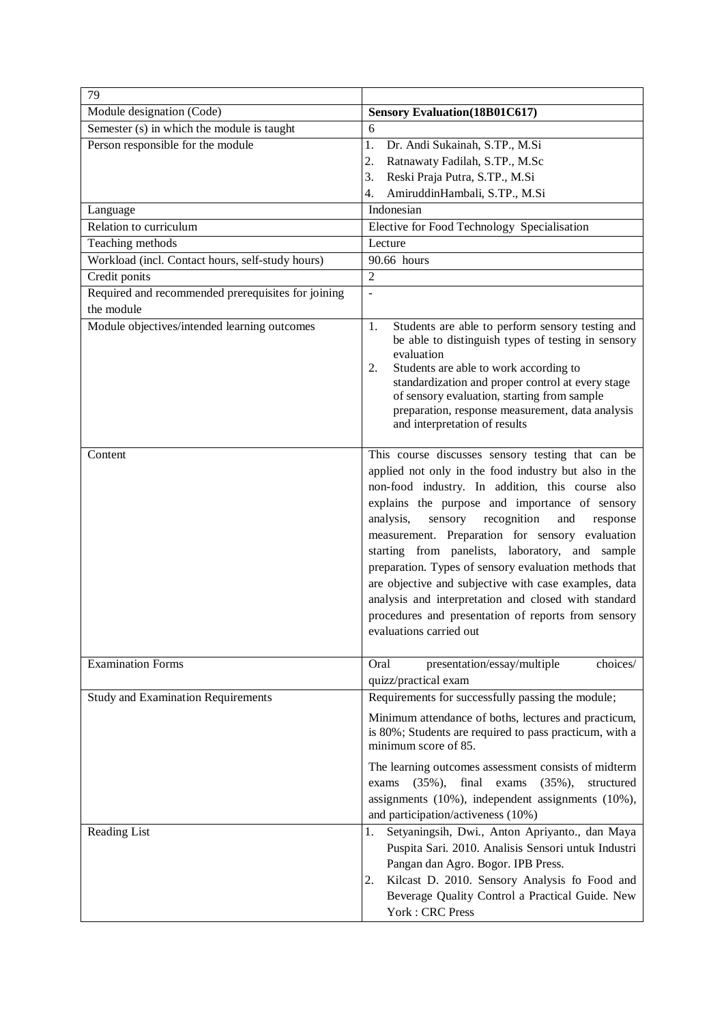| 79                                                               |                                                                                                                                                                                                                                                                                                                                                                                                                                                                                                                                                                                                                                              |
|------------------------------------------------------------------|----------------------------------------------------------------------------------------------------------------------------------------------------------------------------------------------------------------------------------------------------------------------------------------------------------------------------------------------------------------------------------------------------------------------------------------------------------------------------------------------------------------------------------------------------------------------------------------------------------------------------------------------|
| Module designation (Code)                                        | <b>Sensory Evaluation</b> (18B01C617)                                                                                                                                                                                                                                                                                                                                                                                                                                                                                                                                                                                                        |
| Semester (s) in which the module is taught                       | 6                                                                                                                                                                                                                                                                                                                                                                                                                                                                                                                                                                                                                                            |
| Person responsible for the module                                | Dr. Andi Sukainah, S.TP., M.Si<br>1.<br>2.<br>Ratnawaty Fadilah, S.TP., M.Sc<br>3.<br>Reski Praja Putra, S.TP., M.Si<br>AmiruddinHambali, S.TP., M.Si<br>4.                                                                                                                                                                                                                                                                                                                                                                                                                                                                                  |
| Language                                                         | Indonesian                                                                                                                                                                                                                                                                                                                                                                                                                                                                                                                                                                                                                                   |
| Relation to curriculum                                           | Elective for Food Technology Specialisation                                                                                                                                                                                                                                                                                                                                                                                                                                                                                                                                                                                                  |
| Teaching methods                                                 | Lecture                                                                                                                                                                                                                                                                                                                                                                                                                                                                                                                                                                                                                                      |
| Workload (incl. Contact hours, self-study hours)                 | 90.66 hours                                                                                                                                                                                                                                                                                                                                                                                                                                                                                                                                                                                                                                  |
| Credit ponits                                                    | $\overline{2}$                                                                                                                                                                                                                                                                                                                                                                                                                                                                                                                                                                                                                               |
| Required and recommended prerequisites for joining<br>the module | $\overline{a}$                                                                                                                                                                                                                                                                                                                                                                                                                                                                                                                                                                                                                               |
| Module objectives/intended learning outcomes                     | Students are able to perform sensory testing and<br>1.<br>be able to distinguish types of testing in sensory<br>evaluation<br>Students are able to work according to<br>2.<br>standardization and proper control at every stage<br>of sensory evaluation, starting from sample<br>preparation, response measurement, data analysis<br>and interpretation of results                                                                                                                                                                                                                                                                          |
| Content                                                          | This course discusses sensory testing that can be<br>applied not only in the food industry but also in the<br>non-food industry. In addition, this course also<br>explains the purpose and importance of sensory<br>sensory<br>recognition<br>analysis,<br>and<br>response<br>measurement. Preparation for sensory evaluation<br>starting from panelists, laboratory, and sample<br>preparation. Types of sensory evaluation methods that<br>are objective and subjective with case examples, data<br>analysis and interpretation and closed with standard<br>procedures and presentation of reports from sensory<br>evaluations carried out |
| <b>Examination Forms</b>                                         | presentation/essay/multiple<br>choices/<br>Oral<br>quizz/practical exam                                                                                                                                                                                                                                                                                                                                                                                                                                                                                                                                                                      |
| <b>Study and Examination Requirements</b>                        | Requirements for successfully passing the module;<br>Minimum attendance of boths, lectures and practicum,<br>is 80%; Students are required to pass practicum, with a<br>minimum score of 85.<br>The learning outcomes assessment consists of midterm<br>final<br>$(35\%),$<br>exams<br>$(35\%),$<br>structured<br>exams<br>assignments (10%), independent assignments (10%),<br>and participation/activeness (10%)                                                                                                                                                                                                                           |
| Reading List                                                     | Setyaningsih, Dwi., Anton Apriyanto., dan Maya<br>1.<br>Puspita Sari. 2010. Analisis Sensori untuk Industri<br>Pangan dan Agro. Bogor. IPB Press.<br>Kilcast D. 2010. Sensory Analysis fo Food and<br>2.<br>Beverage Quality Control a Practical Guide. New<br>York: CRC Press                                                                                                                                                                                                                                                                                                                                                               |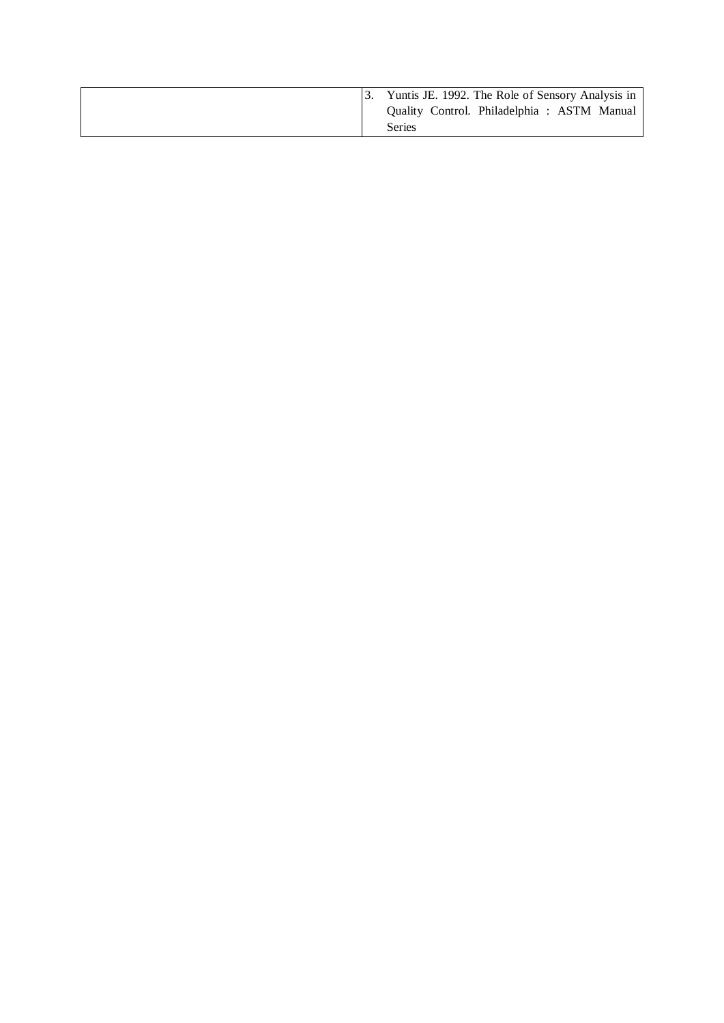|  | Yuntis JE. 1992. The Role of Sensory Analysis in     |
|--|------------------------------------------------------|
|  | Quality Control. Philadelphia: ASTM Manual<br>Series |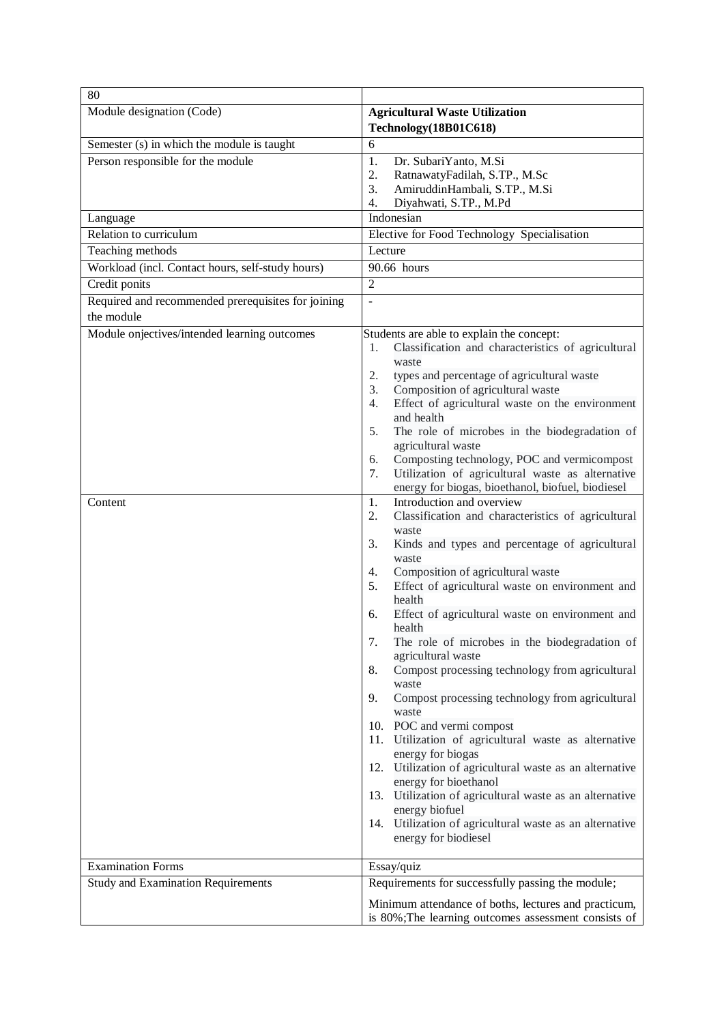| 80                                                               |                                                                                                                                                                                                                                                                                                                                                                                                                                                                                                                                                                                                                                                                                                                                                                                                                                                                                                                                                                                                                                                                                                                                                                                                                                                                                                                                                                                                                                                                                   |
|------------------------------------------------------------------|-----------------------------------------------------------------------------------------------------------------------------------------------------------------------------------------------------------------------------------------------------------------------------------------------------------------------------------------------------------------------------------------------------------------------------------------------------------------------------------------------------------------------------------------------------------------------------------------------------------------------------------------------------------------------------------------------------------------------------------------------------------------------------------------------------------------------------------------------------------------------------------------------------------------------------------------------------------------------------------------------------------------------------------------------------------------------------------------------------------------------------------------------------------------------------------------------------------------------------------------------------------------------------------------------------------------------------------------------------------------------------------------------------------------------------------------------------------------------------------|
| Module designation (Code)                                        | <b>Agricultural Waste Utilization</b><br>Technology(18B01C618)                                                                                                                                                                                                                                                                                                                                                                                                                                                                                                                                                                                                                                                                                                                                                                                                                                                                                                                                                                                                                                                                                                                                                                                                                                                                                                                                                                                                                    |
| Semester (s) in which the module is taught                       | 6                                                                                                                                                                                                                                                                                                                                                                                                                                                                                                                                                                                                                                                                                                                                                                                                                                                                                                                                                                                                                                                                                                                                                                                                                                                                                                                                                                                                                                                                                 |
| Person responsible for the module                                | 1.<br>Dr. SubariYanto, M.Si<br>2.<br>RatnawatyFadilah, S.TP., M.Sc<br>3.<br>AmiruddinHambali, S.TP., M.Si<br>4.<br>Diyahwati, S.TP., M.Pd                                                                                                                                                                                                                                                                                                                                                                                                                                                                                                                                                                                                                                                                                                                                                                                                                                                                                                                                                                                                                                                                                                                                                                                                                                                                                                                                         |
| Language                                                         | Indonesian                                                                                                                                                                                                                                                                                                                                                                                                                                                                                                                                                                                                                                                                                                                                                                                                                                                                                                                                                                                                                                                                                                                                                                                                                                                                                                                                                                                                                                                                        |
| Relation to curriculum                                           | Elective for Food Technology Specialisation                                                                                                                                                                                                                                                                                                                                                                                                                                                                                                                                                                                                                                                                                                                                                                                                                                                                                                                                                                                                                                                                                                                                                                                                                                                                                                                                                                                                                                       |
| Teaching methods                                                 | Lecture                                                                                                                                                                                                                                                                                                                                                                                                                                                                                                                                                                                                                                                                                                                                                                                                                                                                                                                                                                                                                                                                                                                                                                                                                                                                                                                                                                                                                                                                           |
| Workload (incl. Contact hours, self-study hours)                 | 90.66 hours                                                                                                                                                                                                                                                                                                                                                                                                                                                                                                                                                                                                                                                                                                                                                                                                                                                                                                                                                                                                                                                                                                                                                                                                                                                                                                                                                                                                                                                                       |
| Credit ponits                                                    | $\overline{2}$                                                                                                                                                                                                                                                                                                                                                                                                                                                                                                                                                                                                                                                                                                                                                                                                                                                                                                                                                                                                                                                                                                                                                                                                                                                                                                                                                                                                                                                                    |
| Required and recommended prerequisites for joining<br>the module | ÷,                                                                                                                                                                                                                                                                                                                                                                                                                                                                                                                                                                                                                                                                                                                                                                                                                                                                                                                                                                                                                                                                                                                                                                                                                                                                                                                                                                                                                                                                                |
| Module onjectives/intended learning outcomes<br>Content          | Students are able to explain the concept:<br>Classification and characteristics of agricultural<br>1.<br>waste<br>2.<br>types and percentage of agricultural waste<br>Composition of agricultural waste<br>3.<br>Effect of agricultural waste on the environment<br>4.<br>and health<br>5.<br>The role of microbes in the biodegradation of<br>agricultural waste<br>Composting technology, POC and vermicompost<br>6.<br>Utilization of agricultural waste as alternative<br>7.<br>energy for biogas, bioethanol, biofuel, biodiesel<br>Introduction and overview<br>1.<br>2.<br>Classification and characteristics of agricultural<br>waste<br>Kinds and types and percentage of agricultural<br>3.<br>waste<br>Composition of agricultural waste<br>4.<br>Effect of agricultural waste on environment and<br>5.<br>health<br>Effect of agricultural waste on environment and<br>6.<br>health<br>7.<br>The role of microbes in the biodegradation of<br>agricultural waste<br>Compost processing technology from agricultural<br>8.<br>waste<br>9.<br>Compost processing technology from agricultural<br>waste<br>10. POC and vermi compost<br>Utilization of agricultural waste as alternative<br>11.<br>energy for biogas<br>12. Utilization of agricultural waste as an alternative<br>energy for bioethanol<br>13. Utilization of agricultural waste as an alternative<br>energy biofuel<br>14. Utilization of agricultural waste as an alternative<br>energy for biodiesel |
| <b>Examination Forms</b>                                         | Essay/quiz                                                                                                                                                                                                                                                                                                                                                                                                                                                                                                                                                                                                                                                                                                                                                                                                                                                                                                                                                                                                                                                                                                                                                                                                                                                                                                                                                                                                                                                                        |
| <b>Study and Examination Requirements</b>                        | Requirements for successfully passing the module;                                                                                                                                                                                                                                                                                                                                                                                                                                                                                                                                                                                                                                                                                                                                                                                                                                                                                                                                                                                                                                                                                                                                                                                                                                                                                                                                                                                                                                 |
|                                                                  | Minimum attendance of boths, lectures and practicum,<br>is 80%; The learning outcomes assessment consists of                                                                                                                                                                                                                                                                                                                                                                                                                                                                                                                                                                                                                                                                                                                                                                                                                                                                                                                                                                                                                                                                                                                                                                                                                                                                                                                                                                      |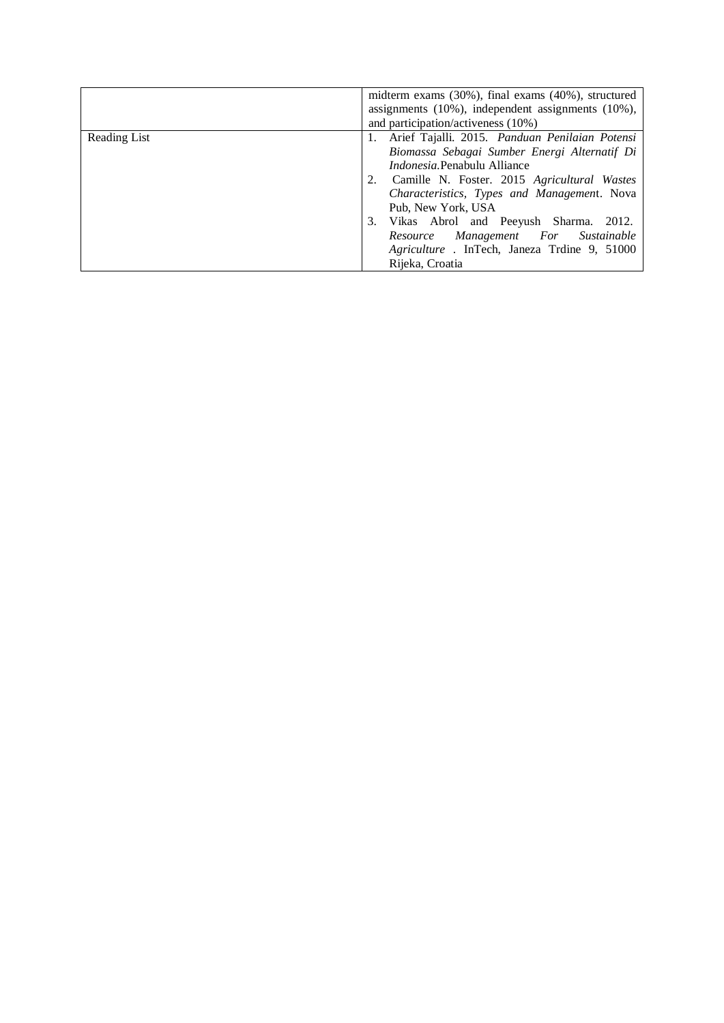|              | midterm exams $(30\%)$ , final exams $(40\%)$ , structured<br>assignments $(10\%)$ , independent assignments $(10\%)$ , |
|--------------|-------------------------------------------------------------------------------------------------------------------------|
|              | and participation/activeness (10%)                                                                                      |
| Reading List | 1. Arief Tajalli. 2015. Panduan Penilaian Potensi                                                                       |
|              | Biomassa Sebagai Sumber Energi Alternatif Di                                                                            |
|              | <i>Indonesia</i> . Penabulu Alliance                                                                                    |
|              | Camille N. Foster. 2015 Agricultural Wastes                                                                             |
|              | Characteristics, Types and Management. Nova                                                                             |
|              | Pub, New York, USA                                                                                                      |
|              | Vikas Abrol and Peeyush Sharma. 2012.<br>3.                                                                             |
|              | Resource Management For Sustainable                                                                                     |
|              | Agriculture. In Tech, Janeza Trdine 9, 51000                                                                            |
|              | Rijeka, Croatia                                                                                                         |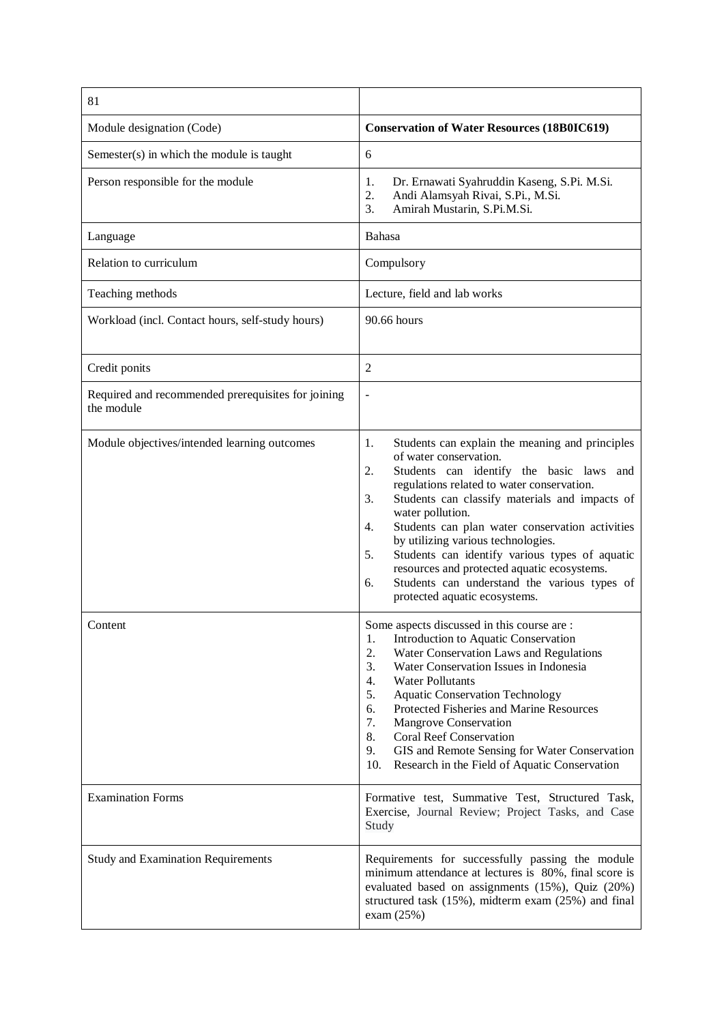| 81                                                               |                                                                                                                                                                                                                                                                                                                                                                                                                                                                                                                                                          |  |
|------------------------------------------------------------------|----------------------------------------------------------------------------------------------------------------------------------------------------------------------------------------------------------------------------------------------------------------------------------------------------------------------------------------------------------------------------------------------------------------------------------------------------------------------------------------------------------------------------------------------------------|--|
| Module designation (Code)                                        | <b>Conservation of Water Resources (18B0IC619)</b>                                                                                                                                                                                                                                                                                                                                                                                                                                                                                                       |  |
| Semester(s) in which the module is taught                        | 6                                                                                                                                                                                                                                                                                                                                                                                                                                                                                                                                                        |  |
| Person responsible for the module                                | Dr. Ernawati Syahruddin Kaseng, S.Pi. M.Si.<br>1.<br>2.<br>Andi Alamsyah Rivai, S.Pi., M.Si.<br>Amirah Mustarin, S.Pi.M.Si.<br>3.                                                                                                                                                                                                                                                                                                                                                                                                                        |  |
| Language                                                         | Bahasa                                                                                                                                                                                                                                                                                                                                                                                                                                                                                                                                                   |  |
| Relation to curriculum                                           | Compulsory                                                                                                                                                                                                                                                                                                                                                                                                                                                                                                                                               |  |
| Teaching methods                                                 | Lecture, field and lab works                                                                                                                                                                                                                                                                                                                                                                                                                                                                                                                             |  |
| Workload (incl. Contact hours, self-study hours)                 | 90.66 hours                                                                                                                                                                                                                                                                                                                                                                                                                                                                                                                                              |  |
| Credit ponits                                                    | $\overline{c}$                                                                                                                                                                                                                                                                                                                                                                                                                                                                                                                                           |  |
| Required and recommended prerequisites for joining<br>the module | ä,                                                                                                                                                                                                                                                                                                                                                                                                                                                                                                                                                       |  |
| Module objectives/intended learning outcomes                     | Students can explain the meaning and principles<br>1.<br>of water conservation.<br>Students can identify the basic laws and<br>2.<br>regulations related to water conservation.<br>Students can classify materials and impacts of<br>3.<br>water pollution.<br>Students can plan water conservation activities<br>4.<br>by utilizing various technologies.<br>5.<br>Students can identify various types of aquatic<br>resources and protected aquatic ecosystems.<br>Students can understand the various types of<br>6.<br>protected aquatic ecosystems. |  |
| Content                                                          | Some aspects discussed in this course are :<br>Introduction to Aquatic Conservation<br>1.<br>2.<br>Water Conservation Laws and Regulations<br>3.<br>Water Conservation Issues in Indonesia<br><b>Water Pollutants</b><br>4.<br>5.<br><b>Aquatic Conservation Technology</b><br>Protected Fisheries and Marine Resources<br>6.<br>7.<br>Mangrove Conservation<br>8.<br>Coral Reef Conservation<br>9.<br>GIS and Remote Sensing for Water Conservation<br>10.<br>Research in the Field of Aquatic Conservation                                             |  |
| <b>Examination Forms</b>                                         | Formative test, Summative Test, Structured Task,<br>Exercise, Journal Review; Project Tasks, and Case<br>Study                                                                                                                                                                                                                                                                                                                                                                                                                                           |  |
| <b>Study and Examination Requirements</b>                        | Requirements for successfully passing the module<br>minimum attendance at lectures is 80%, final score is<br>evaluated based on assignments (15%), Quiz (20%)<br>structured task (15%), midterm exam (25%) and final<br>exam $(25%)$                                                                                                                                                                                                                                                                                                                     |  |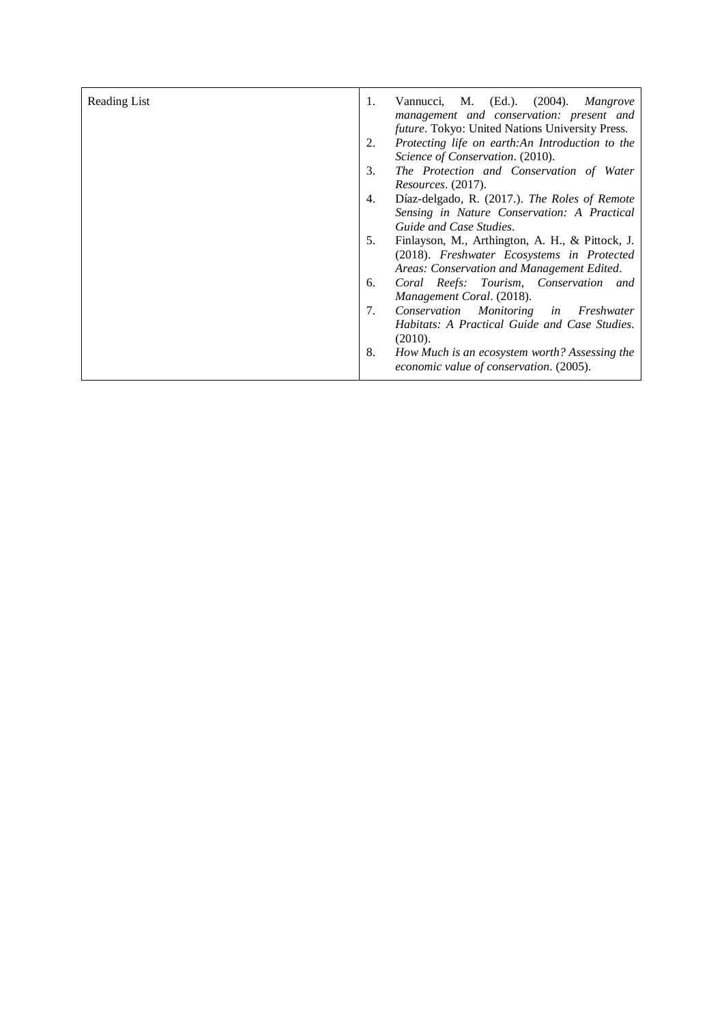| Reading List | 1. | Vannucci, M. (Ed.). (2004). Mangrove<br>management and conservation: present and<br><i>future</i> . Tokyo: United Nations University Press. |
|--------------|----|---------------------------------------------------------------------------------------------------------------------------------------------|
|              | 2. | Protecting life on earth:An Introduction to the                                                                                             |
|              |    | Science of Conservation. (2010).                                                                                                            |
|              | 3. | The Protection and Conservation of Water                                                                                                    |
|              |    | <i>Resources.</i> (2017).                                                                                                                   |
|              | 4. | Díaz-delgado, R. (2017.). The Roles of Remote                                                                                               |
|              |    | Sensing in Nature Conservation: A Practical                                                                                                 |
|              |    | Guide and Case Studies.                                                                                                                     |
|              | 5. | Finlayson, M., Arthington, A. H., & Pittock, J.                                                                                             |
|              |    | (2018). Freshwater Ecosystems in Protected                                                                                                  |
|              |    | Areas: Conservation and Management Edited.                                                                                                  |
|              | 6. | Coral Reefs: Tourism, Conservation and                                                                                                      |
|              |    | Management Coral. (2018).                                                                                                                   |
|              | 7. | Conservation Monitoring in Freshwater                                                                                                       |
|              |    | Habitats: A Practical Guide and Case Studies.                                                                                               |
|              |    | (2010).                                                                                                                                     |
|              | 8. | How Much is an ecosystem worth? Assessing the<br>economic value of conservation. (2005).                                                    |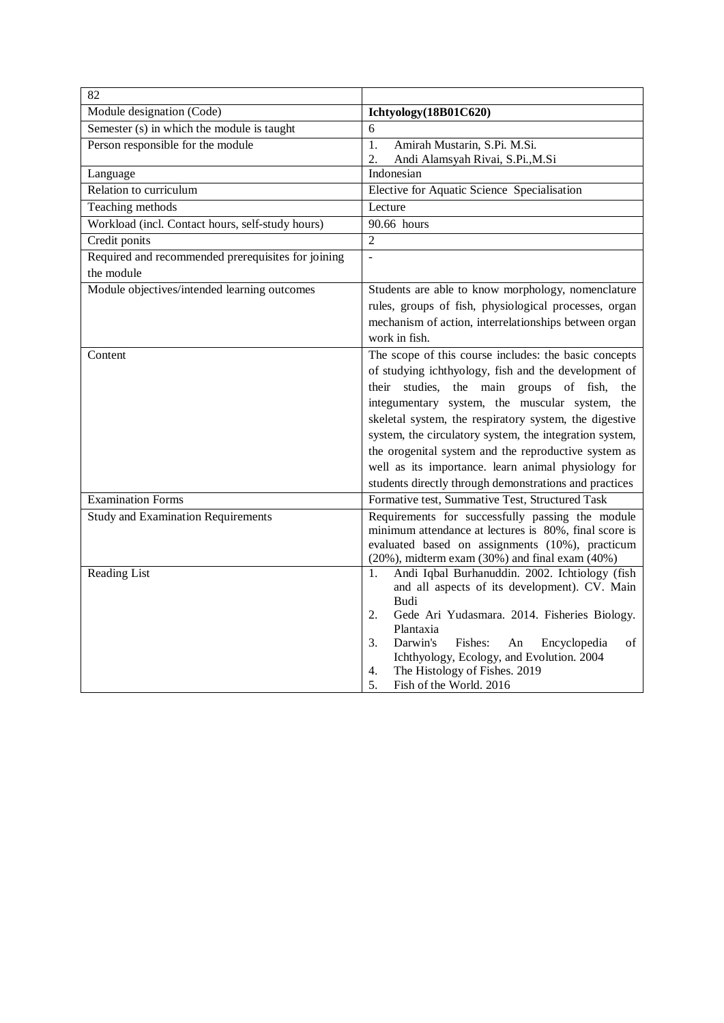| 82                                                               |                                                                                                                                                                                                                                                                                                                                                                                                                                                                                                                 |
|------------------------------------------------------------------|-----------------------------------------------------------------------------------------------------------------------------------------------------------------------------------------------------------------------------------------------------------------------------------------------------------------------------------------------------------------------------------------------------------------------------------------------------------------------------------------------------------------|
| Module designation (Code)                                        | Ichtyology(18B01C620)                                                                                                                                                                                                                                                                                                                                                                                                                                                                                           |
| Semester (s) in which the module is taught                       | 6                                                                                                                                                                                                                                                                                                                                                                                                                                                                                                               |
| Person responsible for the module                                | $\overline{1}$ .<br>Amirah Mustarin, S.Pi. M.Si.<br>2.<br>Andi Alamsyah Rivai, S.Pi., M.Si                                                                                                                                                                                                                                                                                                                                                                                                                      |
| Language                                                         | Indonesian                                                                                                                                                                                                                                                                                                                                                                                                                                                                                                      |
| Relation to curriculum                                           | Elective for Aquatic Science Specialisation                                                                                                                                                                                                                                                                                                                                                                                                                                                                     |
| Teaching methods                                                 | Lecture                                                                                                                                                                                                                                                                                                                                                                                                                                                                                                         |
| Workload (incl. Contact hours, self-study hours)                 | 90.66 hours                                                                                                                                                                                                                                                                                                                                                                                                                                                                                                     |
| Credit ponits                                                    | $\overline{2}$                                                                                                                                                                                                                                                                                                                                                                                                                                                                                                  |
| Required and recommended prerequisites for joining<br>the module |                                                                                                                                                                                                                                                                                                                                                                                                                                                                                                                 |
| Module objectives/intended learning outcomes                     | Students are able to know morphology, nomenclature<br>rules, groups of fish, physiological processes, organ<br>mechanism of action, interrelationships between organ<br>work in fish.                                                                                                                                                                                                                                                                                                                           |
| Content                                                          | The scope of this course includes: the basic concepts<br>of studying ichthyology, fish and the development of<br>their studies, the main groups of fish,<br>the<br>integumentary system, the muscular system, the<br>skeletal system, the respiratory system, the digestive<br>system, the circulatory system, the integration system,<br>the orogenital system and the reproductive system as<br>well as its importance. learn animal physiology for<br>students directly through demonstrations and practices |
| <b>Examination Forms</b>                                         | Formative test, Summative Test, Structured Task                                                                                                                                                                                                                                                                                                                                                                                                                                                                 |
| <b>Study and Examination Requirements</b>                        | Requirements for successfully passing the module<br>minimum attendance at lectures is 80%, final score is<br>evaluated based on assignments (10%), practicum<br>$(20\%)$ , midterm exam $(30\%)$ and final exam $(40\%)$                                                                                                                                                                                                                                                                                        |
| Reading List                                                     | Andi Iqbal Burhanuddin. 2002. Ichtiology (fish<br>1.<br>and all aspects of its development). CV. Main<br><b>Budi</b><br>Gede Ari Yudasmara. 2014. Fisheries Biology.<br>2.<br>Plantaxia<br>3.<br>Darwin's<br>Fishes:<br>$\sigma$ f<br>An<br>Encyclopedia<br>Ichthyology, Ecology, and Evolution. 2004<br>The Histology of Fishes. 2019<br>4.<br>5.<br>Fish of the World. 2016                                                                                                                                   |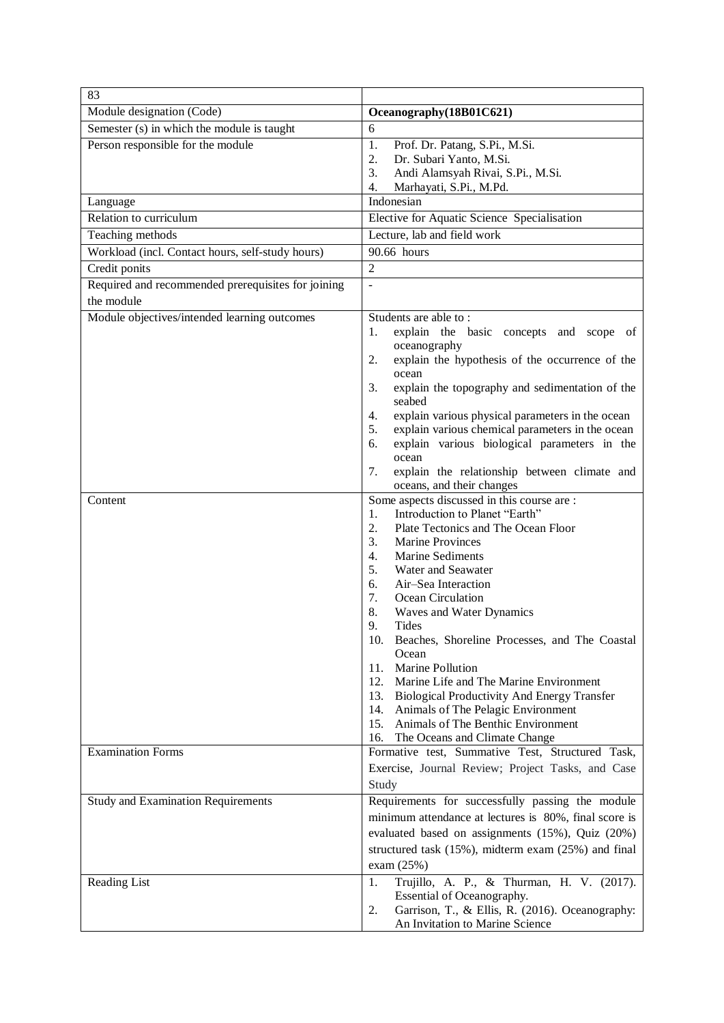| 83                                                               |                                                                                                                                                                                                                                                                                                                                                                                                                                                                                                                                                                                                                                                                              |
|------------------------------------------------------------------|------------------------------------------------------------------------------------------------------------------------------------------------------------------------------------------------------------------------------------------------------------------------------------------------------------------------------------------------------------------------------------------------------------------------------------------------------------------------------------------------------------------------------------------------------------------------------------------------------------------------------------------------------------------------------|
| Module designation (Code)                                        | Oceanography(18B01C621)                                                                                                                                                                                                                                                                                                                                                                                                                                                                                                                                                                                                                                                      |
| Semester (s) in which the module is taught                       | 6                                                                                                                                                                                                                                                                                                                                                                                                                                                                                                                                                                                                                                                                            |
| Person responsible for the module                                | 1.<br>Prof. Dr. Patang, S.Pi., M.Si.<br>Dr. Subari Yanto, M.Si.<br>2.<br>3.<br>Andi Alamsyah Rivai, S.Pi., M.Si.<br>Marhayati, S.Pi., M.Pd.<br>4.                                                                                                                                                                                                                                                                                                                                                                                                                                                                                                                            |
| Language                                                         | Indonesian                                                                                                                                                                                                                                                                                                                                                                                                                                                                                                                                                                                                                                                                   |
| Relation to curriculum                                           | Elective for Aquatic Science Specialisation                                                                                                                                                                                                                                                                                                                                                                                                                                                                                                                                                                                                                                  |
| Teaching methods                                                 | Lecture, lab and field work                                                                                                                                                                                                                                                                                                                                                                                                                                                                                                                                                                                                                                                  |
| Workload (incl. Contact hours, self-study hours)                 | 90.66 hours                                                                                                                                                                                                                                                                                                                                                                                                                                                                                                                                                                                                                                                                  |
| Credit ponits                                                    | $\overline{2}$                                                                                                                                                                                                                                                                                                                                                                                                                                                                                                                                                                                                                                                               |
| Required and recommended prerequisites for joining<br>the module |                                                                                                                                                                                                                                                                                                                                                                                                                                                                                                                                                                                                                                                                              |
| Module objectives/intended learning outcomes                     | Students are able to:<br>explain the basic concepts and scope of<br>1.<br>oceanography<br>explain the hypothesis of the occurrence of the<br>2.<br>ocean<br>explain the topography and sedimentation of the<br>3.<br>seabed<br>explain various physical parameters in the ocean<br>4.<br>explain various chemical parameters in the ocean<br>5.<br>explain various biological parameters in the<br>6.<br>ocean<br>explain the relationship between climate and<br>7.<br>oceans, and their changes                                                                                                                                                                            |
| Content                                                          | Some aspects discussed in this course are :<br>Introduction to Planet "Earth"<br>1.<br>Plate Tectonics and The Ocean Floor<br>2.<br>3.<br><b>Marine Provinces</b><br>Marine Sediments<br>4.<br>5.<br>Water and Seawater<br>Air-Sea Interaction<br>6.<br>7.<br>Ocean Circulation<br>8.<br>Waves and Water Dynamics<br>9.<br>Tides<br>Beaches, Shoreline Processes, and The Coastal<br>10.<br>Ocean<br>Marine Pollution<br>11.<br>12.<br>Marine Life and The Marine Environment<br>13.<br><b>Biological Productivity And Energy Transfer</b><br>14.<br>Animals of The Pelagic Environment<br>Animals of The Benthic Environment<br>15.<br>16.<br>The Oceans and Climate Change |
| <b>Examination Forms</b>                                         | Formative test, Summative Test, Structured Task,<br>Exercise, Journal Review; Project Tasks, and Case<br>Study                                                                                                                                                                                                                                                                                                                                                                                                                                                                                                                                                               |
| <b>Study and Examination Requirements</b>                        | Requirements for successfully passing the module<br>minimum attendance at lectures is 80%, final score is<br>evaluated based on assignments (15%), Quiz (20%)<br>structured task (15%), midterm exam (25%) and final<br>exam $(25%)$                                                                                                                                                                                                                                                                                                                                                                                                                                         |
| Reading List                                                     | Trujillo, A. P., & Thurman, H. V. (2017).<br>1.<br>Essential of Oceanography.<br>Garrison, T., & Ellis, R. (2016). Oceanography:<br>2.<br>An Invitation to Marine Science                                                                                                                                                                                                                                                                                                                                                                                                                                                                                                    |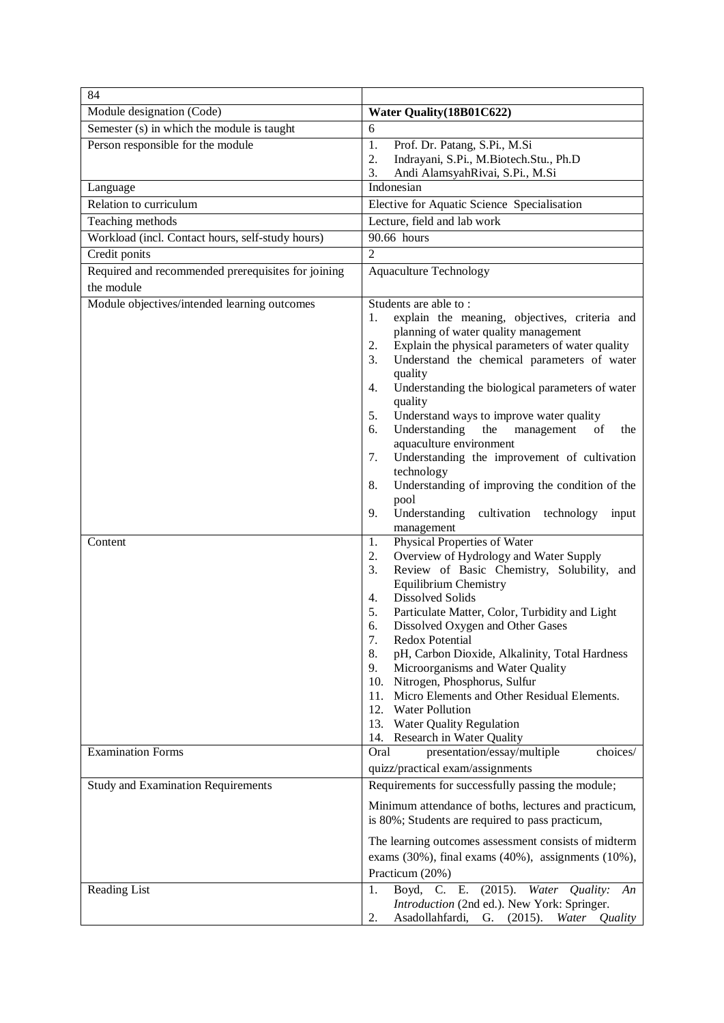| 84                                                 |                                                                                                                                                                                                                                                                                                                                                                                                                                                                                                                                                                                                                                                          |
|----------------------------------------------------|----------------------------------------------------------------------------------------------------------------------------------------------------------------------------------------------------------------------------------------------------------------------------------------------------------------------------------------------------------------------------------------------------------------------------------------------------------------------------------------------------------------------------------------------------------------------------------------------------------------------------------------------------------|
| Module designation (Code)                          | Water Quality (18B01C622)                                                                                                                                                                                                                                                                                                                                                                                                                                                                                                                                                                                                                                |
| Semester (s) in which the module is taught         | 6                                                                                                                                                                                                                                                                                                                                                                                                                                                                                                                                                                                                                                                        |
| Person responsible for the module                  | 1.<br>Prof. Dr. Patang, S.Pi., M.Si                                                                                                                                                                                                                                                                                                                                                                                                                                                                                                                                                                                                                      |
|                                                    | Indrayani, S.Pi., M.Biotech.Stu., Ph.D<br>2.                                                                                                                                                                                                                                                                                                                                                                                                                                                                                                                                                                                                             |
|                                                    | Andi AlamsyahRivai, S.Pi., M.Si<br>3.<br>Indonesian                                                                                                                                                                                                                                                                                                                                                                                                                                                                                                                                                                                                      |
| Language<br>Relation to curriculum                 |                                                                                                                                                                                                                                                                                                                                                                                                                                                                                                                                                                                                                                                          |
|                                                    | Elective for Aquatic Science Specialisation                                                                                                                                                                                                                                                                                                                                                                                                                                                                                                                                                                                                              |
| Teaching methods                                   | Lecture, field and lab work                                                                                                                                                                                                                                                                                                                                                                                                                                                                                                                                                                                                                              |
| Workload (incl. Contact hours, self-study hours)   | 90.66 hours                                                                                                                                                                                                                                                                                                                                                                                                                                                                                                                                                                                                                                              |
| Credit ponits                                      | $\overline{2}$                                                                                                                                                                                                                                                                                                                                                                                                                                                                                                                                                                                                                                           |
| Required and recommended prerequisites for joining | <b>Aquaculture Technology</b>                                                                                                                                                                                                                                                                                                                                                                                                                                                                                                                                                                                                                            |
| the module                                         |                                                                                                                                                                                                                                                                                                                                                                                                                                                                                                                                                                                                                                                          |
| Module objectives/intended learning outcomes       | Students are able to:<br>explain the meaning, objectives, criteria and<br>1.<br>planning of water quality management<br>Explain the physical parameters of water quality<br>2.<br>Understand the chemical parameters of water<br>3.<br>quality<br>Understanding the biological parameters of water<br>4.<br>quality<br>5.<br>Understand ways to improve water quality<br>Understanding<br>the<br>of<br>6.<br>management<br>the<br>aquaculture environment<br>Understanding the improvement of cultivation<br>7.<br>technology<br>8.<br>Understanding of improving the condition of the<br>pool<br>Understanding<br>9.<br>cultivation technology<br>input |
| Content                                            | management<br>Physical Properties of Water<br>1.<br>Overview of Hydrology and Water Supply<br>2.                                                                                                                                                                                                                                                                                                                                                                                                                                                                                                                                                         |
|                                                    | 3.<br>Review of Basic Chemistry, Solubility, and<br><b>Equilibrium Chemistry</b><br><b>Dissolved Solids</b><br>4.<br>5.<br>Particulate Matter, Color, Turbidity and Light<br>Dissolved Oxygen and Other Gases<br>6.<br>Redox Potential<br>7.<br>pH, Carbon Dioxide, Alkalinity, Total Hardness<br>8.<br>Microorganisms and Water Quality<br>9.<br>Nitrogen, Phosphorus, Sulfur<br>10.<br>Micro Elements and Other Residual Elements.<br>11.<br>12.<br><b>Water Pollution</b><br>13. Water Quality Regulation<br>14. Research in Water Quality                                                                                                            |
| <b>Examination Forms</b>                           | choices/<br>Oral<br>presentation/essay/multiple<br>quizz/practical exam/assignments                                                                                                                                                                                                                                                                                                                                                                                                                                                                                                                                                                      |
| <b>Study and Examination Requirements</b>          | Requirements for successfully passing the module;                                                                                                                                                                                                                                                                                                                                                                                                                                                                                                                                                                                                        |
|                                                    | Minimum attendance of boths, lectures and practicum,<br>is 80%; Students are required to pass practicum,<br>The learning outcomes assessment consists of midterm<br>exams $(30\%)$ , final exams $(40\%)$ , assignments $(10\%)$ ,<br>Practicum (20%)                                                                                                                                                                                                                                                                                                                                                                                                    |
| Reading List                                       | Boyd, C. E. (2015). Water Quality:<br>1.<br>An<br>Introduction (2nd ed.). New York: Springer.<br>Asadollahfardi, G. (2015). Water Quality<br>2.                                                                                                                                                                                                                                                                                                                                                                                                                                                                                                          |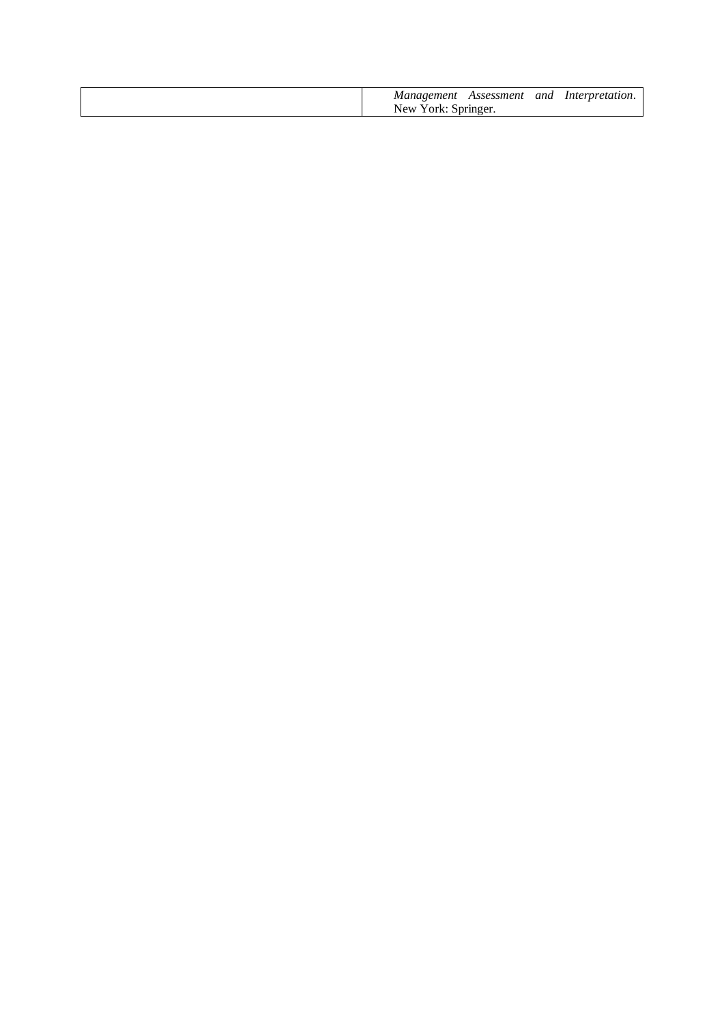| Mane                   | Assessment | and |  |
|------------------------|------------|-----|--|
| New-<br>$V$ orl $\sim$ | \nringer   |     |  |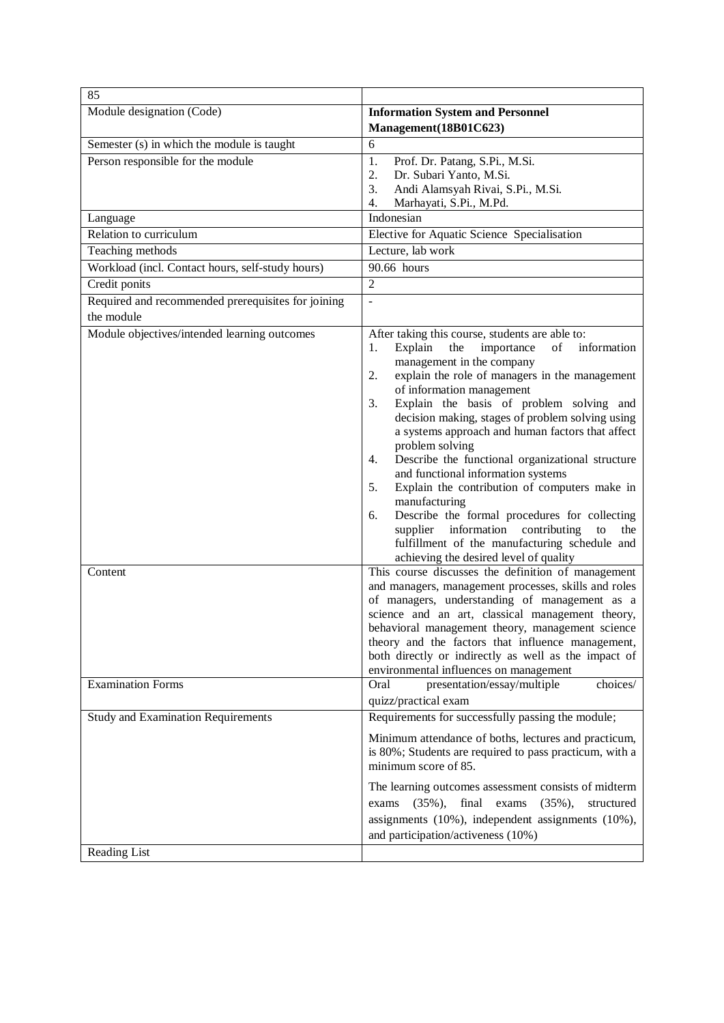| 85                                                      |                                                                                                                                                                                                                                                                                                                                                                                                                                                                                                                                                                                                                                                                                                                                                                                                                                                                                                                                                                                                                                                           |
|---------------------------------------------------------|-----------------------------------------------------------------------------------------------------------------------------------------------------------------------------------------------------------------------------------------------------------------------------------------------------------------------------------------------------------------------------------------------------------------------------------------------------------------------------------------------------------------------------------------------------------------------------------------------------------------------------------------------------------------------------------------------------------------------------------------------------------------------------------------------------------------------------------------------------------------------------------------------------------------------------------------------------------------------------------------------------------------------------------------------------------|
| Module designation (Code)                               | <b>Information System and Personnel</b>                                                                                                                                                                                                                                                                                                                                                                                                                                                                                                                                                                                                                                                                                                                                                                                                                                                                                                                                                                                                                   |
|                                                         | Management(18B01C623)                                                                                                                                                                                                                                                                                                                                                                                                                                                                                                                                                                                                                                                                                                                                                                                                                                                                                                                                                                                                                                     |
| Semester (s) in which the module is taught              | 6                                                                                                                                                                                                                                                                                                                                                                                                                                                                                                                                                                                                                                                                                                                                                                                                                                                                                                                                                                                                                                                         |
| Person responsible for the module                       | 1.<br>Prof. Dr. Patang, S.Pi., M.Si.<br>2.<br>Dr. Subari Yanto, M.Si.<br>3.<br>Andi Alamsyah Rivai, S.Pi., M.Si.<br>4.<br>Marhayati, S.Pi., M.Pd.                                                                                                                                                                                                                                                                                                                                                                                                                                                                                                                                                                                                                                                                                                                                                                                                                                                                                                         |
| Language                                                | Indonesian                                                                                                                                                                                                                                                                                                                                                                                                                                                                                                                                                                                                                                                                                                                                                                                                                                                                                                                                                                                                                                                |
| Relation to curriculum                                  | Elective for Aquatic Science Specialisation                                                                                                                                                                                                                                                                                                                                                                                                                                                                                                                                                                                                                                                                                                                                                                                                                                                                                                                                                                                                               |
| Teaching methods                                        | Lecture, lab work                                                                                                                                                                                                                                                                                                                                                                                                                                                                                                                                                                                                                                                                                                                                                                                                                                                                                                                                                                                                                                         |
| Workload (incl. Contact hours, self-study hours)        | 90.66 hours                                                                                                                                                                                                                                                                                                                                                                                                                                                                                                                                                                                                                                                                                                                                                                                                                                                                                                                                                                                                                                               |
| Credit ponits                                           | $\overline{2}$                                                                                                                                                                                                                                                                                                                                                                                                                                                                                                                                                                                                                                                                                                                                                                                                                                                                                                                                                                                                                                            |
| Required and recommended prerequisites for joining      | ÷,                                                                                                                                                                                                                                                                                                                                                                                                                                                                                                                                                                                                                                                                                                                                                                                                                                                                                                                                                                                                                                                        |
| the module                                              |                                                                                                                                                                                                                                                                                                                                                                                                                                                                                                                                                                                                                                                                                                                                                                                                                                                                                                                                                                                                                                                           |
| Module objectives/intended learning outcomes<br>Content | After taking this course, students are able to:<br>Explain<br>the<br>importance<br>of information<br>1.<br>management in the company<br>explain the role of managers in the management<br>2.<br>of information management<br>Explain the basis of problem solving and<br>3.<br>decision making, stages of problem solving using<br>a systems approach and human factors that affect<br>problem solving<br>Describe the functional organizational structure<br>4.<br>and functional information systems<br>5.<br>Explain the contribution of computers make in<br>manufacturing<br>Describe the formal procedures for collecting<br>6.<br>supplier information contributing<br>the<br>to<br>fulfillment of the manufacturing schedule and<br>achieving the desired level of quality<br>This course discusses the definition of management<br>and managers, management processes, skills and roles<br>of managers, understanding of management as a<br>science and an art, classical management theory,<br>behavioral management theory, management science |
|                                                         | theory and the factors that influence management,<br>both directly or indirectly as well as the impact of<br>environmental influences on management                                                                                                                                                                                                                                                                                                                                                                                                                                                                                                                                                                                                                                                                                                                                                                                                                                                                                                       |
| <b>Examination Forms</b>                                | Oral<br>presentation/essay/multiple<br>choices/<br>quizz/practical exam                                                                                                                                                                                                                                                                                                                                                                                                                                                                                                                                                                                                                                                                                                                                                                                                                                                                                                                                                                                   |
| <b>Study and Examination Requirements</b>               | Requirements for successfully passing the module;                                                                                                                                                                                                                                                                                                                                                                                                                                                                                                                                                                                                                                                                                                                                                                                                                                                                                                                                                                                                         |
|                                                         | Minimum attendance of boths, lectures and practicum,<br>is 80%; Students are required to pass practicum, with a<br>minimum score of 85.                                                                                                                                                                                                                                                                                                                                                                                                                                                                                                                                                                                                                                                                                                                                                                                                                                                                                                                   |
| Reading List                                            | The learning outcomes assessment consists of midterm<br>$(35\%),$<br>final exams $(35\%)$ ,<br>exams<br>structured<br>assignments (10%), independent assignments (10%),<br>and participation/activeness (10%)                                                                                                                                                                                                                                                                                                                                                                                                                                                                                                                                                                                                                                                                                                                                                                                                                                             |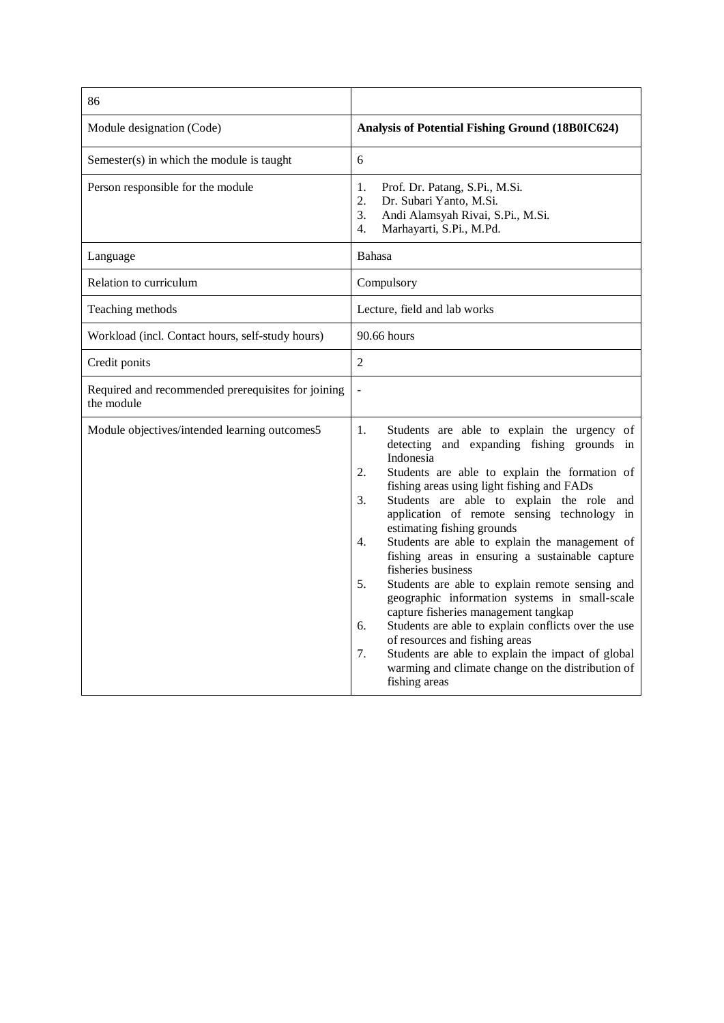| 86                                                               |                                                                                                                                                                                                                                                                                                                                                                                                                                                                                                                                                                                                                                                                                                                                                                                                                                                                      |
|------------------------------------------------------------------|----------------------------------------------------------------------------------------------------------------------------------------------------------------------------------------------------------------------------------------------------------------------------------------------------------------------------------------------------------------------------------------------------------------------------------------------------------------------------------------------------------------------------------------------------------------------------------------------------------------------------------------------------------------------------------------------------------------------------------------------------------------------------------------------------------------------------------------------------------------------|
| Module designation (Code)                                        | <b>Analysis of Potential Fishing Ground (18B0IC624)</b>                                                                                                                                                                                                                                                                                                                                                                                                                                                                                                                                                                                                                                                                                                                                                                                                              |
| Semester(s) in which the module is taught                        | 6                                                                                                                                                                                                                                                                                                                                                                                                                                                                                                                                                                                                                                                                                                                                                                                                                                                                    |
| Person responsible for the module                                | 1.<br>Prof. Dr. Patang, S.Pi., M.Si.<br>2.<br>Dr. Subari Yanto, M.Si.<br>3.<br>Andi Alamsyah Rivai, S.Pi., M.Si.<br>Marhayarti, S.Pi., M.Pd.<br>4.                                                                                                                                                                                                                                                                                                                                                                                                                                                                                                                                                                                                                                                                                                                   |
| Language                                                         | <b>Bahasa</b>                                                                                                                                                                                                                                                                                                                                                                                                                                                                                                                                                                                                                                                                                                                                                                                                                                                        |
| Relation to curriculum                                           | Compulsory                                                                                                                                                                                                                                                                                                                                                                                                                                                                                                                                                                                                                                                                                                                                                                                                                                                           |
| Teaching methods                                                 | Lecture, field and lab works                                                                                                                                                                                                                                                                                                                                                                                                                                                                                                                                                                                                                                                                                                                                                                                                                                         |
| Workload (incl. Contact hours, self-study hours)                 | 90.66 hours                                                                                                                                                                                                                                                                                                                                                                                                                                                                                                                                                                                                                                                                                                                                                                                                                                                          |
| Credit ponits                                                    | $\overline{2}$                                                                                                                                                                                                                                                                                                                                                                                                                                                                                                                                                                                                                                                                                                                                                                                                                                                       |
| Required and recommended prerequisites for joining<br>the module |                                                                                                                                                                                                                                                                                                                                                                                                                                                                                                                                                                                                                                                                                                                                                                                                                                                                      |
| Module objectives/intended learning outcomes5                    | Students are able to explain the urgency of<br>1.<br>detecting and expanding fishing grounds in<br>Indonesia<br>2.<br>Students are able to explain the formation of<br>fishing areas using light fishing and FADs<br>Students are able to explain the role and<br>3.<br>application of remote sensing technology in<br>estimating fishing grounds<br>Students are able to explain the management of<br>4.<br>fishing areas in ensuring a sustainable capture<br>fisheries business<br>5.<br>Students are able to explain remote sensing and<br>geographic information systems in small-scale<br>capture fisheries management tangkap<br>Students are able to explain conflicts over the use<br>6.<br>of resources and fishing areas<br>Students are able to explain the impact of global<br>7.<br>warming and climate change on the distribution of<br>fishing areas |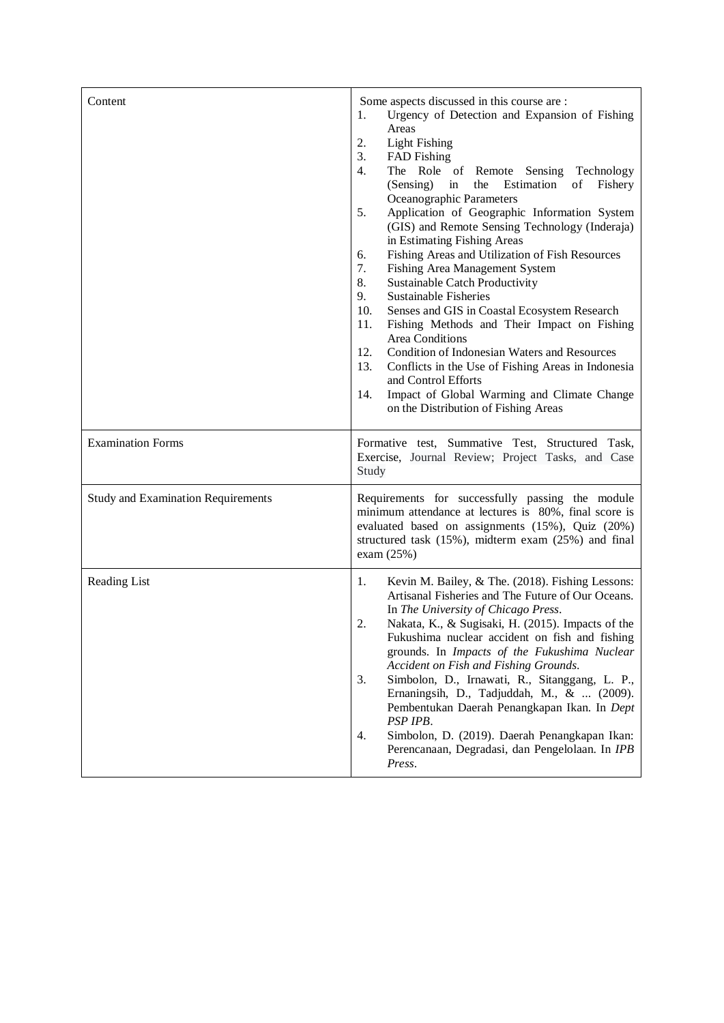| Content                                   | Some aspects discussed in this course are :<br>Urgency of Detection and Expansion of Fishing<br>1.<br>Areas<br><b>Light Fishing</b><br>2.<br>3.<br><b>FAD</b> Fishing<br>4.<br>The Role of Remote Sensing<br>Technology<br>Estimation<br>(Sensing)<br>of Fishery<br>in<br>the<br>Oceanographic Parameters<br>Application of Geographic Information System<br>5.<br>(GIS) and Remote Sensing Technology (Inderaja)<br>in Estimating Fishing Areas<br>Fishing Areas and Utilization of Fish Resources<br>6.<br>7.<br>Fishing Area Management System<br>8.<br>Sustainable Catch Productivity<br>9.<br><b>Sustainable Fisheries</b><br>10.<br>Senses and GIS in Coastal Ecosystem Research<br>11.<br>Fishing Methods and Their Impact on Fishing<br>Area Conditions<br>Condition of Indonesian Waters and Resources<br>12.<br>13.<br>Conflicts in the Use of Fishing Areas in Indonesia<br>and Control Efforts<br>Impact of Global Warming and Climate Change<br>14.<br>on the Distribution of Fishing Areas |
|-------------------------------------------|----------------------------------------------------------------------------------------------------------------------------------------------------------------------------------------------------------------------------------------------------------------------------------------------------------------------------------------------------------------------------------------------------------------------------------------------------------------------------------------------------------------------------------------------------------------------------------------------------------------------------------------------------------------------------------------------------------------------------------------------------------------------------------------------------------------------------------------------------------------------------------------------------------------------------------------------------------------------------------------------------------|
| <b>Examination Forms</b>                  | Formative test, Summative Test, Structured Task,<br>Exercise, Journal Review; Project Tasks, and Case<br>Study                                                                                                                                                                                                                                                                                                                                                                                                                                                                                                                                                                                                                                                                                                                                                                                                                                                                                           |
| <b>Study and Examination Requirements</b> | Requirements for successfully passing the module<br>minimum attendance at lectures is 80%, final score is<br>evaluated based on assignments (15%), Quiz (20%)<br>structured task (15%), midterm exam (25%) and final<br>exam $(25%)$                                                                                                                                                                                                                                                                                                                                                                                                                                                                                                                                                                                                                                                                                                                                                                     |
| Reading List                              | Kevin M. Bailey, & The. (2018). Fishing Lessons:<br>1.<br>Artisanal Fisheries and The Future of Our Oceans.<br>In The University of Chicago Press.<br>2.<br>Nakata, K., & Sugisaki, H. (2015). Impacts of the<br>Fukushima nuclear accident on fish and fishing<br>grounds. In Impacts of the Fukushima Nuclear<br>Accident on Fish and Fishing Grounds.<br>3.<br>Simbolon, D., Irnawati, R., Sitanggang, L. P.,<br>Ernaningsih, D., Tadjuddah, M., &  (2009).<br>Pembentukan Daerah Penangkapan Ikan. In Dept<br>PSP IPB.<br>Simbolon, D. (2019). Daerah Penangkapan Ikan:<br>4.<br>Perencanaan, Degradasi, dan Pengelolaan. In IPB<br>Press.                                                                                                                                                                                                                                                                                                                                                           |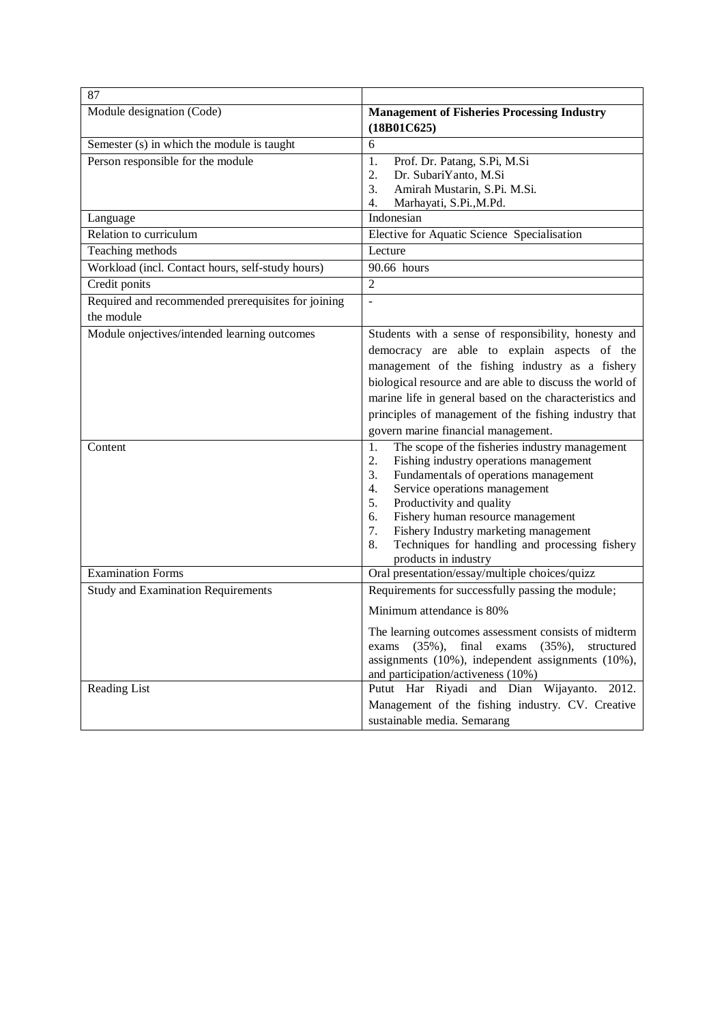| 87                                                 |                                                                                                |  |
|----------------------------------------------------|------------------------------------------------------------------------------------------------|--|
| Module designation (Code)                          | <b>Management of Fisheries Processing Industry</b>                                             |  |
|                                                    | (18B01C625)                                                                                    |  |
| Semester (s) in which the module is taught         | 6                                                                                              |  |
| Person responsible for the module                  | 1.<br>Prof. Dr. Patang, S.Pi, M.Si                                                             |  |
|                                                    | 2.<br>Dr. SubariYanto, M.Si                                                                    |  |
|                                                    | Amirah Mustarin, S.Pi. M.Si.<br>3.                                                             |  |
| Language                                           | 4.<br>Marhayati, S.Pi., M.Pd.<br>Indonesian                                                    |  |
| Relation to curriculum                             | Elective for Aquatic Science Specialisation                                                    |  |
| Teaching methods                                   | Lecture                                                                                        |  |
| Workload (incl. Contact hours, self-study hours)   | 90.66 hours                                                                                    |  |
| Credit ponits                                      | $\overline{2}$                                                                                 |  |
| Required and recommended prerequisites for joining | $\overline{\phantom{a}}$                                                                       |  |
| the module                                         |                                                                                                |  |
| Module onjectives/intended learning outcomes       | Students with a sense of responsibility, honesty and                                           |  |
|                                                    | democracy are able to explain aspects of the                                                   |  |
|                                                    | management of the fishing industry as a fishery                                                |  |
|                                                    | biological resource and are able to discuss the world of                                       |  |
|                                                    | marine life in general based on the characteristics and                                        |  |
|                                                    | principles of management of the fishing industry that                                          |  |
|                                                    | govern marine financial management.                                                            |  |
| Content                                            | 1.                                                                                             |  |
|                                                    | The scope of the fisheries industry management<br>2.<br>Fishing industry operations management |  |
|                                                    | Fundamentals of operations management<br>3.                                                    |  |
|                                                    | Service operations management<br>4.                                                            |  |
|                                                    | Productivity and quality<br>5.                                                                 |  |
|                                                    | Fishery human resource management<br>6.                                                        |  |
|                                                    | Fishery Industry marketing management<br>7.                                                    |  |
|                                                    | Techniques for handling and processing fishery<br>8.                                           |  |
|                                                    | products in industry                                                                           |  |
| <b>Examination Forms</b>                           | Oral presentation/essay/multiple choices/quizz                                                 |  |
| <b>Study</b> and Examination Requirements          | Requirements for successfully passing the module;                                              |  |
|                                                    | Minimum attendance is 80%                                                                      |  |
|                                                    | The learning outcomes assessment consists of midterm                                           |  |
|                                                    | exams (35%), final exams (35%), structured                                                     |  |
|                                                    | assignments $(10\%)$ , independent assignments $(10\%)$ ,                                      |  |
|                                                    | and participation/activeness (10%)                                                             |  |
| Reading List                                       | Putut Har Riyadi and Dian Wijayanto. 2012.                                                     |  |
|                                                    | Management of the fishing industry. CV. Creative                                               |  |
|                                                    | sustainable media. Semarang                                                                    |  |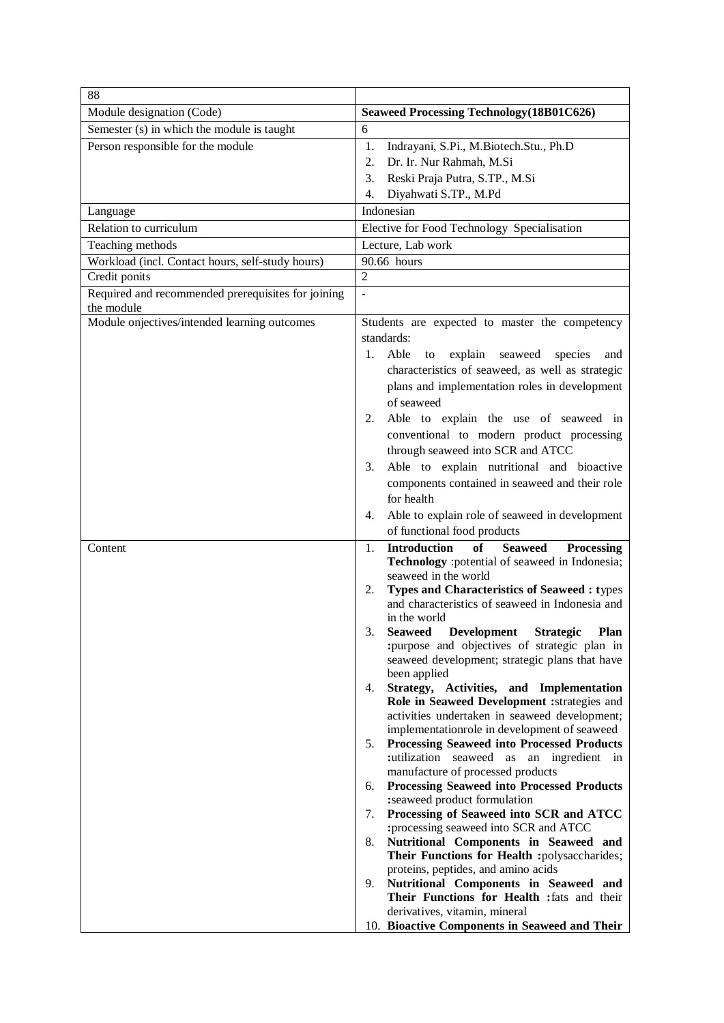| 88                                                               |                                                                                                                                      |
|------------------------------------------------------------------|--------------------------------------------------------------------------------------------------------------------------------------|
| Module designation (Code)                                        | <b>Seaweed Processing Technology (18B01C626)</b>                                                                                     |
| Semester (s) in which the module is taught                       | 6                                                                                                                                    |
| Person responsible for the module                                | Indrayani, S.Pi., M.Biotech.Stu., Ph.D<br>1.<br>2.<br>Dr. Ir. Nur Rahmah, M.Si                                                       |
|                                                                  | 3.<br>Reski Praja Putra, S.TP., M.Si                                                                                                 |
|                                                                  | Diyahwati S.TP., M.Pd<br>4.                                                                                                          |
| Language                                                         | Indonesian                                                                                                                           |
| Relation to curriculum                                           | Elective for Food Technology Specialisation                                                                                          |
| Teaching methods                                                 | Lecture, Lab work                                                                                                                    |
| Workload (incl. Contact hours, self-study hours)                 | 90.66 hours                                                                                                                          |
| Credit ponits                                                    | $\overline{2}$                                                                                                                       |
| Required and recommended prerequisites for joining<br>the module | ÷,                                                                                                                                   |
| Module onjectives/intended learning outcomes                     | Students are expected to master the competency                                                                                       |
|                                                                  | standards:                                                                                                                           |
|                                                                  | Able<br>explain<br>1.<br>seaweed<br>species<br>to<br>and                                                                             |
|                                                                  | characteristics of seaweed, as well as strategic                                                                                     |
|                                                                  | plans and implementation roles in development                                                                                        |
|                                                                  | of seaweed                                                                                                                           |
|                                                                  | Able to explain the use of seaweed in<br>2.                                                                                          |
|                                                                  | conventional to modern product processing<br>through seaweed into SCR and ATCC                                                       |
|                                                                  | Able to explain nutritional and bioactive<br>3.                                                                                      |
|                                                                  | components contained in seaweed and their role                                                                                       |
|                                                                  | for health                                                                                                                           |
|                                                                  | Able to explain role of seaweed in development<br>4.                                                                                 |
|                                                                  | of functional food products                                                                                                          |
| Content                                                          | <b>Introduction</b><br><b>Seaweed</b><br>of<br>Processing<br>1.<br>Technology : potential of seaweed in Indonesia;                   |
|                                                                  | seaweed in the world                                                                                                                 |
|                                                                  | <b>Types and Characteristics of Seaweed : types</b><br>2.<br>and characteristics of seaweed in Indonesia and                         |
|                                                                  | in the world<br>Seaweed Development Strategic<br>Plan                                                                                |
|                                                                  | :purpose and objectives of strategic plan in<br>seaweed development; strategic plans that have                                       |
|                                                                  | been applied<br>Strategy, Activities, and Implementation                                                                             |
|                                                                  | 4.<br>Role in Seaweed Development :strategies and                                                                                    |
|                                                                  | activities undertaken in seaweed development;                                                                                        |
|                                                                  | implementationrole in development of seaweed                                                                                         |
|                                                                  | <b>Processing Seaweed into Processed Products</b><br>5.<br>:utilization seaweed as an ingredient in                                  |
|                                                                  | manufacture of processed products                                                                                                    |
|                                                                  | <b>Processing Seaweed into Processed Products</b><br>6.<br>:seaweed product formulation                                              |
|                                                                  | Processing of Seaweed into SCR and ATCC<br>7.                                                                                        |
|                                                                  | :processing seaweed into SCR and ATCC<br>8.<br>Nutritional Components in Seaweed and<br>Their Functions for Health :polysaccharides; |
|                                                                  | proteins, peptides, and amino acids                                                                                                  |
|                                                                  | Nutritional Components in Seaweed and<br>9.                                                                                          |
|                                                                  | Their Functions for Health : fats and their                                                                                          |
|                                                                  | derivatives, vitamin, mineral                                                                                                        |
|                                                                  | 10. Bioactive Components in Seaweed and Their                                                                                        |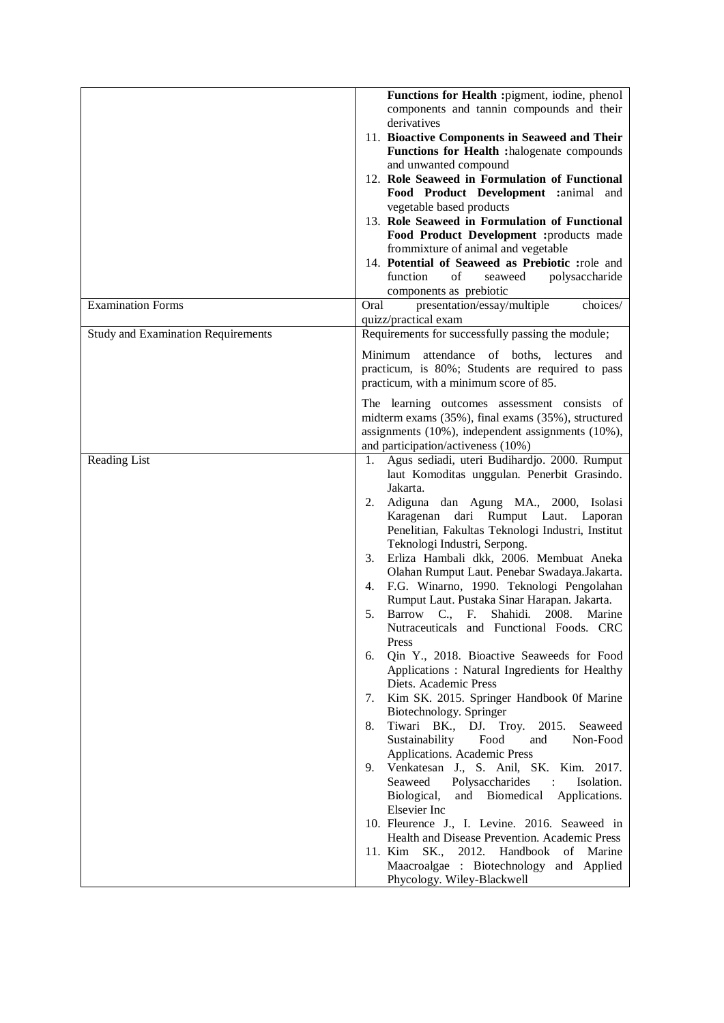|                                           | Functions for Health : pigment, iodine, phenol<br>components and tannin compounds and their<br>derivatives<br>11. Bioactive Components in Seaweed and Their<br>Functions for Health :halogenate compounds<br>and unwanted compound<br>12. Role Seaweed in Formulation of Functional<br>Food Product Development : animal and<br>vegetable based products<br>13. Role Seaweed in Formulation of Functional<br>Food Product Development :products made<br>frommixture of animal and vegetable<br>14. Potential of Seaweed as Prebiotic :role and<br>function<br>$% \left( \left( \mathcal{A},\mathcal{A}\right) \right) =\left( \mathcal{A},\mathcal{A}\right)$ of<br>polysaccharide<br>seaweed<br>components as prebiotic                                                                                                                                                                                                                                                                                                                                                                                                                                                                                                                                                                                                                                            |
|-------------------------------------------|---------------------------------------------------------------------------------------------------------------------------------------------------------------------------------------------------------------------------------------------------------------------------------------------------------------------------------------------------------------------------------------------------------------------------------------------------------------------------------------------------------------------------------------------------------------------------------------------------------------------------------------------------------------------------------------------------------------------------------------------------------------------------------------------------------------------------------------------------------------------------------------------------------------------------------------------------------------------------------------------------------------------------------------------------------------------------------------------------------------------------------------------------------------------------------------------------------------------------------------------------------------------------------------------------------------------------------------------------------------------|
| <b>Examination Forms</b>                  | Oral<br>presentation/essay/multiple<br>choices/<br>quizz/practical exam                                                                                                                                                                                                                                                                                                                                                                                                                                                                                                                                                                                                                                                                                                                                                                                                                                                                                                                                                                                                                                                                                                                                                                                                                                                                                             |
| <b>Study and Examination Requirements</b> | Requirements for successfully passing the module;<br>Minimum<br>attendance of boths, lectures<br>and<br>practicum, is 80%; Students are required to pass<br>practicum, with a minimum score of 85.<br>The learning outcomes assessment consists of                                                                                                                                                                                                                                                                                                                                                                                                                                                                                                                                                                                                                                                                                                                                                                                                                                                                                                                                                                                                                                                                                                                  |
|                                           | midterm exams (35%), final exams (35%), structured<br>assignments (10%), independent assignments (10%),<br>and participation/activeness (10%)                                                                                                                                                                                                                                                                                                                                                                                                                                                                                                                                                                                                                                                                                                                                                                                                                                                                                                                                                                                                                                                                                                                                                                                                                       |
| Reading List                              | Agus sediadi, uteri Budihardjo. 2000. Rumput<br>1.<br>laut Komoditas unggulan. Penerbit Grasindo.<br>Jakarta.<br>2.<br>Adiguna dan Agung MA., 2000, Isolasi<br>Karagenan dari Rumput Laut. Laporan<br>Penelitian, Fakultas Teknologi Industri, Institut<br>Teknologi Industri, Serpong.<br>Erliza Hambali dkk, 2006. Membuat Aneka<br>3.<br>Olahan Rumput Laut. Penebar Swadaya.Jakarta.<br>F.G. Winarno, 1990. Teknologi Pengolahan<br>4.<br>Rumput Laut. Pustaka Sinar Harapan. Jakarta.<br>Barrow C., F.<br>Shahidi.<br>5.<br>2008.<br>Marine<br>Nutraceuticals and Functional Foods. CRC<br>Press<br>Qin Y., 2018. Bioactive Seaweeds for Food<br>6.<br>Applications: Natural Ingredients for Healthy<br>Diets. Academic Press<br>Kim SK. 2015. Springer Handbook Of Marine<br>7.<br>Biotechnology. Springer<br>Tiwari BK., DJ. Troy.<br>2015.<br>8.<br>Seaweed<br>Food<br>Sustainability<br>and<br>Non-Food<br>Applications. Academic Press<br>Venkatesan J., S. Anil, SK. Kim. 2017.<br>9.<br>Polysaccharides<br>Isolation.<br>Seaweed<br>$\ddot{\cdot}$<br>Biological,<br>and Biomedical<br>Applications.<br>Elsevier Inc<br>10. Fleurence J., I. Levine. 2016. Seaweed in<br>Health and Disease Prevention. Academic Press<br>11. Kim<br>SK.,<br>2012.<br>Handbook<br>of<br>Marine<br>Maacroalgae : Biotechnology and Applied<br>Phycology. Wiley-Blackwell |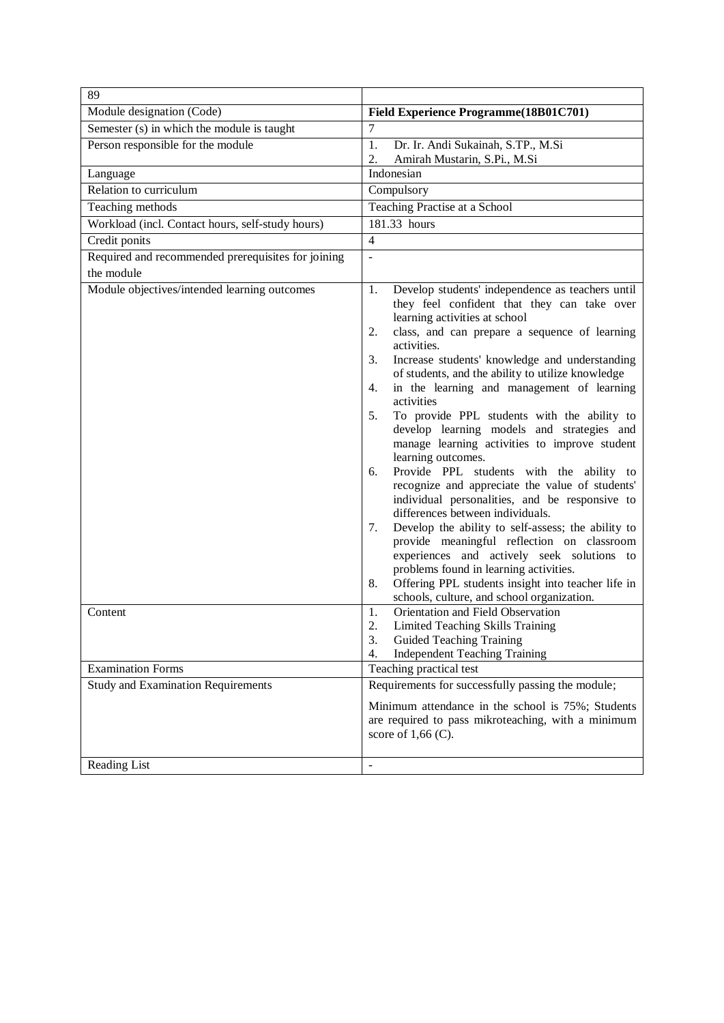| 89                                                               |                                                                                                                                                                                                                                                                                                                                                                                                                                                                                                                                                                                                                                                                                                                                                                                                                                                                                                                                                                                                                                                                                                                         |
|------------------------------------------------------------------|-------------------------------------------------------------------------------------------------------------------------------------------------------------------------------------------------------------------------------------------------------------------------------------------------------------------------------------------------------------------------------------------------------------------------------------------------------------------------------------------------------------------------------------------------------------------------------------------------------------------------------------------------------------------------------------------------------------------------------------------------------------------------------------------------------------------------------------------------------------------------------------------------------------------------------------------------------------------------------------------------------------------------------------------------------------------------------------------------------------------------|
| Module designation (Code)                                        | Field Experience Programme(18B01C701)                                                                                                                                                                                                                                                                                                                                                                                                                                                                                                                                                                                                                                                                                                                                                                                                                                                                                                                                                                                                                                                                                   |
| Semester (s) in which the module is taught                       | 7                                                                                                                                                                                                                                                                                                                                                                                                                                                                                                                                                                                                                                                                                                                                                                                                                                                                                                                                                                                                                                                                                                                       |
| Person responsible for the module                                | 1.<br>Dr. Ir. Andi Sukainah, S.TP., M.Si                                                                                                                                                                                                                                                                                                                                                                                                                                                                                                                                                                                                                                                                                                                                                                                                                                                                                                                                                                                                                                                                                |
|                                                                  | Amirah Mustarin, S.Pi., M.Si<br>2.                                                                                                                                                                                                                                                                                                                                                                                                                                                                                                                                                                                                                                                                                                                                                                                                                                                                                                                                                                                                                                                                                      |
| Language                                                         | Indonesian                                                                                                                                                                                                                                                                                                                                                                                                                                                                                                                                                                                                                                                                                                                                                                                                                                                                                                                                                                                                                                                                                                              |
| Relation to curriculum                                           | Compulsory                                                                                                                                                                                                                                                                                                                                                                                                                                                                                                                                                                                                                                                                                                                                                                                                                                                                                                                                                                                                                                                                                                              |
| Teaching methods                                                 | Teaching Practise at a School                                                                                                                                                                                                                                                                                                                                                                                                                                                                                                                                                                                                                                                                                                                                                                                                                                                                                                                                                                                                                                                                                           |
| Workload (incl. Contact hours, self-study hours)                 | 181.33 hours                                                                                                                                                                                                                                                                                                                                                                                                                                                                                                                                                                                                                                                                                                                                                                                                                                                                                                                                                                                                                                                                                                            |
| Credit ponits                                                    | $\overline{4}$                                                                                                                                                                                                                                                                                                                                                                                                                                                                                                                                                                                                                                                                                                                                                                                                                                                                                                                                                                                                                                                                                                          |
| Required and recommended prerequisites for joining<br>the module | $\overline{\phantom{a}}$                                                                                                                                                                                                                                                                                                                                                                                                                                                                                                                                                                                                                                                                                                                                                                                                                                                                                                                                                                                                                                                                                                |
| Module objectives/intended learning outcomes<br>Content          | Develop students' independence as teachers until<br>1.<br>they feel confident that they can take over<br>learning activities at school<br>class, and can prepare a sequence of learning<br>2.<br>activities.<br>3.<br>Increase students' knowledge and understanding<br>of students, and the ability to utilize knowledge<br>in the learning and management of learning<br>4.<br>activities<br>To provide PPL students with the ability to<br>5.<br>develop learning models and strategies and<br>manage learning activities to improve student<br>learning outcomes.<br>Provide PPL students with the ability to<br>6.<br>recognize and appreciate the value of students'<br>individual personalities, and be responsive to<br>differences between individuals.<br>Develop the ability to self-assess; the ability to<br>7.<br>provide meaningful reflection on classroom<br>experiences and actively seek solutions to<br>problems found in learning activities.<br>Offering PPL students insight into teacher life in<br>8.<br>schools, culture, and school organization.<br>Orientation and Field Observation<br>1. |
|                                                                  | 2.<br>Limited Teaching Skills Training<br><b>Guided Teaching Training</b><br>3.<br><b>Independent Teaching Training</b><br>4.                                                                                                                                                                                                                                                                                                                                                                                                                                                                                                                                                                                                                                                                                                                                                                                                                                                                                                                                                                                           |
| <b>Examination Forms</b>                                         | Teaching practical test                                                                                                                                                                                                                                                                                                                                                                                                                                                                                                                                                                                                                                                                                                                                                                                                                                                                                                                                                                                                                                                                                                 |
| <b>Study and Examination Requirements</b><br>Reading List        | Requirements for successfully passing the module;<br>Minimum attendance in the school is 75%; Students<br>are required to pass mikroteaching, with a minimum<br>score of $1,66$ (C).<br>$\overline{\phantom{0}}$                                                                                                                                                                                                                                                                                                                                                                                                                                                                                                                                                                                                                                                                                                                                                                                                                                                                                                        |
|                                                                  |                                                                                                                                                                                                                                                                                                                                                                                                                                                                                                                                                                                                                                                                                                                                                                                                                                                                                                                                                                                                                                                                                                                         |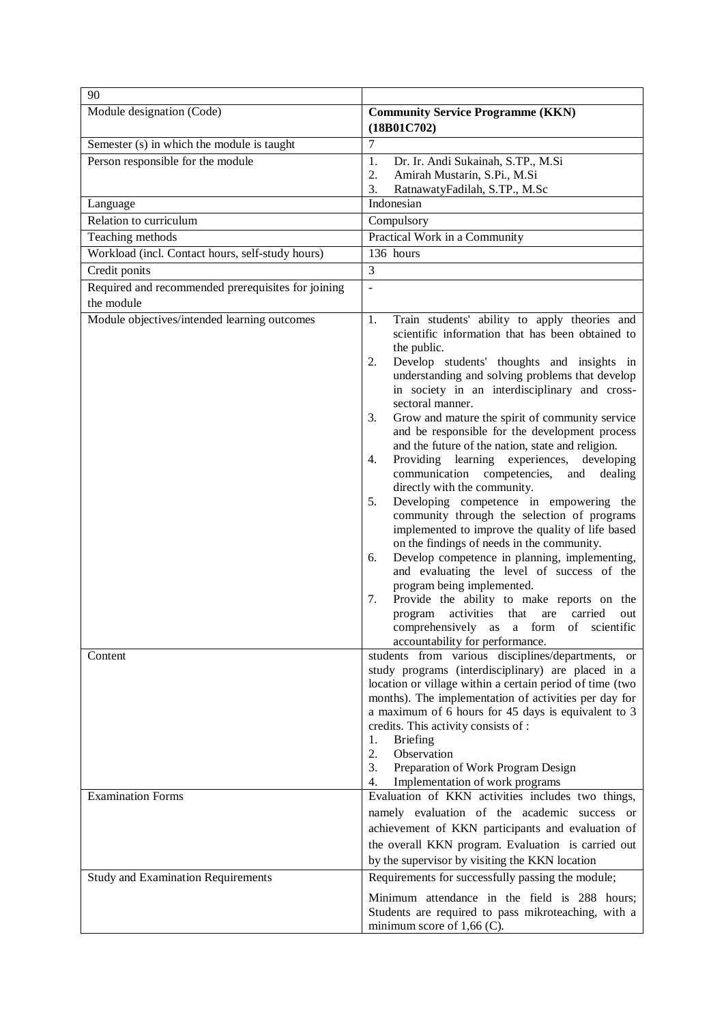| 90                                                               |                                                                                                                                                                                                                                                                                                                                                                                                                                                                                                                                                                                                                                                                                                                                                                                                                                                                                                                                                                                                                                                                                                                                          |
|------------------------------------------------------------------|------------------------------------------------------------------------------------------------------------------------------------------------------------------------------------------------------------------------------------------------------------------------------------------------------------------------------------------------------------------------------------------------------------------------------------------------------------------------------------------------------------------------------------------------------------------------------------------------------------------------------------------------------------------------------------------------------------------------------------------------------------------------------------------------------------------------------------------------------------------------------------------------------------------------------------------------------------------------------------------------------------------------------------------------------------------------------------------------------------------------------------------|
| Module designation (Code)                                        | <b>Community Service Programme (KKN)</b><br>(18B01C702)                                                                                                                                                                                                                                                                                                                                                                                                                                                                                                                                                                                                                                                                                                                                                                                                                                                                                                                                                                                                                                                                                  |
| Semester (s) in which the module is taught                       | $\tau$                                                                                                                                                                                                                                                                                                                                                                                                                                                                                                                                                                                                                                                                                                                                                                                                                                                                                                                                                                                                                                                                                                                                   |
| Person responsible for the module                                | 1.<br>Dr. Ir. Andi Sukainah, S.TP., M.Si<br>2.<br>Amirah Mustarin, S.Pi., M.Si<br>3.<br>RatnawatyFadilah, S.TP., M.Sc                                                                                                                                                                                                                                                                                                                                                                                                                                                                                                                                                                                                                                                                                                                                                                                                                                                                                                                                                                                                                    |
| Language                                                         | Indonesian                                                                                                                                                                                                                                                                                                                                                                                                                                                                                                                                                                                                                                                                                                                                                                                                                                                                                                                                                                                                                                                                                                                               |
| Relation to curriculum                                           | Compulsory                                                                                                                                                                                                                                                                                                                                                                                                                                                                                                                                                                                                                                                                                                                                                                                                                                                                                                                                                                                                                                                                                                                               |
| Teaching methods                                                 | Practical Work in a Community                                                                                                                                                                                                                                                                                                                                                                                                                                                                                                                                                                                                                                                                                                                                                                                                                                                                                                                                                                                                                                                                                                            |
| Workload (incl. Contact hours, self-study hours)                 | 136 hours                                                                                                                                                                                                                                                                                                                                                                                                                                                                                                                                                                                                                                                                                                                                                                                                                                                                                                                                                                                                                                                                                                                                |
| Credit ponits                                                    | $\overline{3}$                                                                                                                                                                                                                                                                                                                                                                                                                                                                                                                                                                                                                                                                                                                                                                                                                                                                                                                                                                                                                                                                                                                           |
| Required and recommended prerequisites for joining<br>the module | $\overline{a}$                                                                                                                                                                                                                                                                                                                                                                                                                                                                                                                                                                                                                                                                                                                                                                                                                                                                                                                                                                                                                                                                                                                           |
| Module objectives/intended learning outcomes                     | Train students' ability to apply theories and<br>1.<br>scientific information that has been obtained to<br>the public.<br>2.<br>Develop students' thoughts and insights in<br>understanding and solving problems that develop<br>in society in an interdisciplinary and cross-<br>sectoral manner.<br>Grow and mature the spirit of community service<br>3.<br>and be responsible for the development process<br>and the future of the nation, state and religion.<br>Providing learning experiences, developing<br>4.<br>communication competencies,<br>and<br>dealing<br>directly with the community.<br>Developing competence in empowering the<br>5.<br>community through the selection of programs<br>implemented to improve the quality of life based<br>on the findings of needs in the community.<br>Develop competence in planning, implementing,<br>6.<br>and evaluating the level of success of the<br>program being implemented.<br>Provide the ability to make reports on the<br>7.<br>activities<br>that<br>program<br>are<br>carried<br>out<br>comprehensively as a form of scientific<br>accountability for performance. |
| Content                                                          | students from various disciplines/departments, or<br>study programs (interdisciplinary) are placed in a<br>location or village within a certain period of time (two<br>months). The implementation of activities per day for<br>a maximum of 6 hours for 45 days is equivalent to 3<br>credits. This activity consists of :<br><b>Briefing</b><br>1.<br>Observation<br>$\overline{2}$ .<br>3.<br>Preparation of Work Program Design<br>Implementation of work programs<br>4.                                                                                                                                                                                                                                                                                                                                                                                                                                                                                                                                                                                                                                                             |
| <b>Examination Forms</b>                                         | Evaluation of KKN activities includes two things,<br>namely evaluation of the academic success or<br>achievement of KKN participants and evaluation of<br>the overall KKN program. Evaluation is carried out<br>by the supervisor by visiting the KKN location                                                                                                                                                                                                                                                                                                                                                                                                                                                                                                                                                                                                                                                                                                                                                                                                                                                                           |
| <b>Study and Examination Requirements</b>                        | Requirements for successfully passing the module;<br>Minimum attendance in the field is 288 hours;<br>Students are required to pass mikroteaching, with a<br>minimum score of $1,66$ (C).                                                                                                                                                                                                                                                                                                                                                                                                                                                                                                                                                                                                                                                                                                                                                                                                                                                                                                                                                |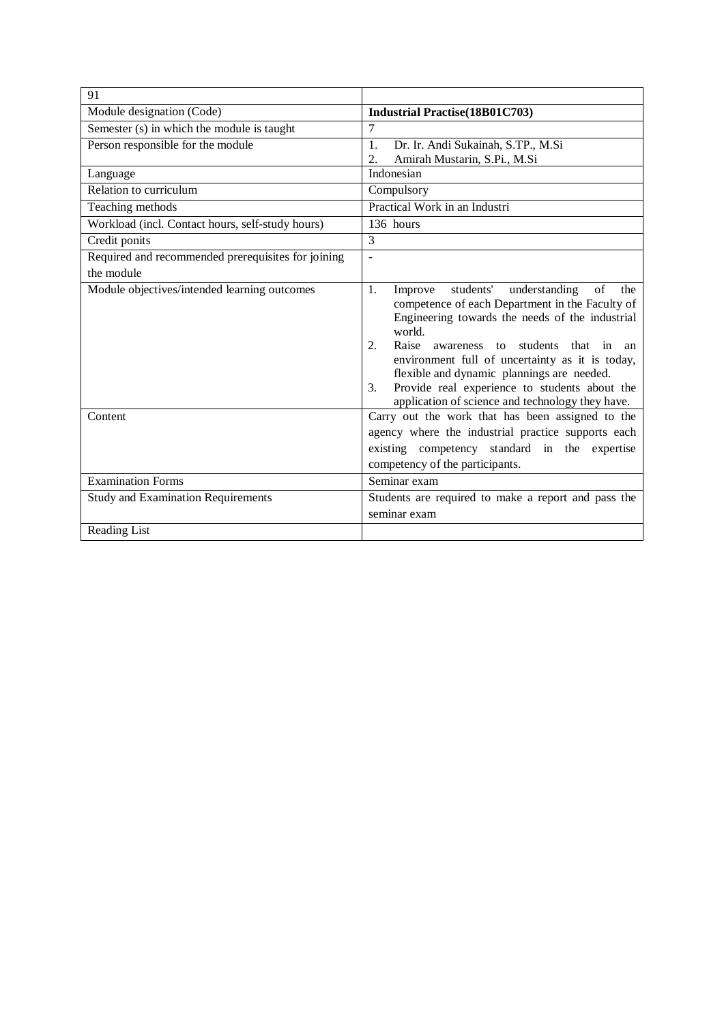| 91                                                 |                                                                                                                                                                                                                                                                                                                                                                                                                                      |
|----------------------------------------------------|--------------------------------------------------------------------------------------------------------------------------------------------------------------------------------------------------------------------------------------------------------------------------------------------------------------------------------------------------------------------------------------------------------------------------------------|
| Module designation (Code)                          | <b>Industrial Practise</b> (18B01C703)                                                                                                                                                                                                                                                                                                                                                                                               |
| Semester (s) in which the module is taught         | 7                                                                                                                                                                                                                                                                                                                                                                                                                                    |
| Person responsible for the module                  | Dr. Ir. Andi Sukainah, S.TP., M.Si<br>1.                                                                                                                                                                                                                                                                                                                                                                                             |
|                                                    | Amirah Mustarin, S.Pi., M.Si<br>2.                                                                                                                                                                                                                                                                                                                                                                                                   |
| Language                                           | Indonesian                                                                                                                                                                                                                                                                                                                                                                                                                           |
| Relation to curriculum                             | Compulsory                                                                                                                                                                                                                                                                                                                                                                                                                           |
| Teaching methods                                   | Practical Work in an Industri                                                                                                                                                                                                                                                                                                                                                                                                        |
| Workload (incl. Contact hours, self-study hours)   | 136 hours                                                                                                                                                                                                                                                                                                                                                                                                                            |
| Credit ponits                                      | 3                                                                                                                                                                                                                                                                                                                                                                                                                                    |
| Required and recommended prerequisites for joining | ÷,                                                                                                                                                                                                                                                                                                                                                                                                                                   |
| the module                                         |                                                                                                                                                                                                                                                                                                                                                                                                                                      |
| Module objectives/intended learning outcomes       | students'<br>understanding<br>of<br>1.<br>Improve<br>the<br>competence of each Department in the Faculty of<br>Engineering towards the needs of the industrial<br>world.<br>Raise awareness to students that in an<br>2.<br>environment full of uncertainty as it is today,<br>flexible and dynamic plannings are needed.<br>Provide real experience to students about the<br>3.<br>application of science and technology they have. |
| Content                                            | Carry out the work that has been assigned to the<br>agency where the industrial practice supports each<br>existing competency standard in the expertise<br>competency of the participants.                                                                                                                                                                                                                                           |
| <b>Examination Forms</b>                           | Seminar exam                                                                                                                                                                                                                                                                                                                                                                                                                         |
| <b>Study and Examination Requirements</b>          | Students are required to make a report and pass the                                                                                                                                                                                                                                                                                                                                                                                  |
|                                                    | seminar exam                                                                                                                                                                                                                                                                                                                                                                                                                         |
| Reading List                                       |                                                                                                                                                                                                                                                                                                                                                                                                                                      |